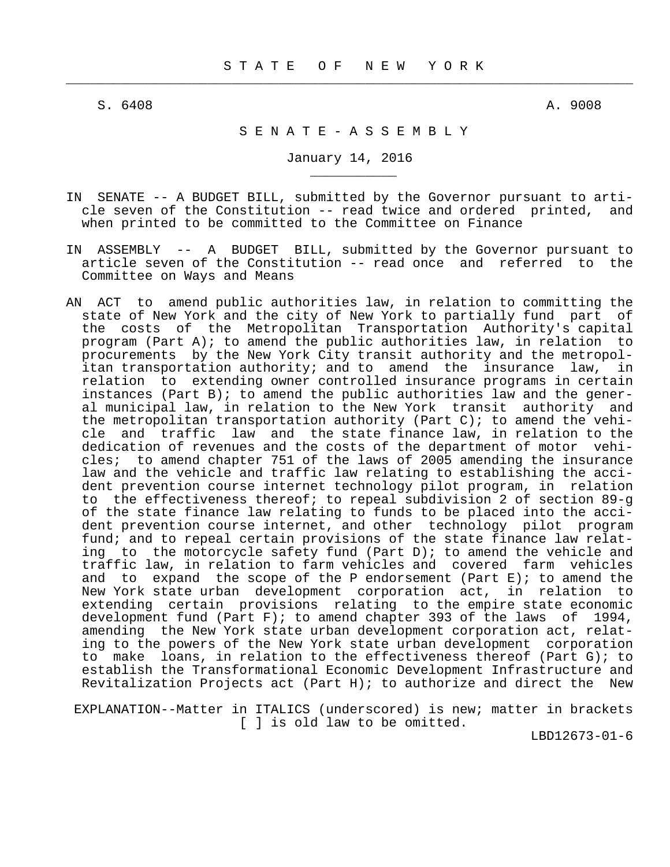$\frac{1}{2}$  , and the contribution of the contribution of the contribution of the contribution of the contribution of the contribution of the contribution of the contribution of the contribution of the contribution of the c

\_\_\_\_\_\_\_\_\_\_\_

S. 6408 A. 9008

## S E N A T E - A S S E M B L Y

January 14, 2016

- IN SENATE -- A BUDGET BILL, submitted by the Governor pursuant to arti cle seven of the Constitution -- read twice and ordered printed, and when printed to be committed to the Committee on Finance
- IN ASSEMBLY -- A BUDGET BILL, submitted by the Governor pursuant to article seven of the Constitution -- read once and referred to the Committee on Ways and Means
- AN ACT to amend public authorities law, in relation to committing the state of New York and the city of New York to partially fund part of the costs of the Metropolitan Transportation Authority's capital program (Part A); to amend the public authorities law, in relation to procurements by the New York City transit authority and the metropol itan transportation authority; and to amend the insurance law, in relation to extending owner controlled insurance programs in certain instances (Part B); to amend the public authorities law and the gener al municipal law, in relation to the New York transit authority and the metropolitan transportation authority (Part C); to amend the vehi cle and traffic law and the state finance law, in relation to the dedication of revenues and the costs of the department of motor vehi cles; to amend chapter 751 of the laws of 2005 amending the insurance law and the vehicle and traffic law relating to establishing the acci dent prevention course internet technology pilot program, in relation to the effectiveness thereof; to repeal subdivision 2 of section 89-g of the state finance law relating to funds to be placed into the acci dent prevention course internet, and other technology pilot program fund; and to repeal certain provisions of the state finance law relat ing to the motorcycle safety fund (Part D); to amend the vehicle and traffic law, in relation to farm vehicles and covered farm vehicles and to expand the scope of the P endorsement (Part  $E$ ); to amend the New York state urban development corporation act, in relation to extending certain provisions relating to the empire state economic<br>development fund (Part F); to amend chapter 393 of the laws of 1994. development fund (Part F); to amend chapter 393 of the laws of amending the New York state urban development corporation act, relat ing to the powers of the New York state urban development corporation to make loans, in relation to the effectiveness thereof (Part G); to establish the Transformational Economic Development Infrastructure and Revitalization Projects act (Part H); to authorize and direct the New

 EXPLANATION--Matter in ITALICS (underscored) is new; matter in brackets [ ] is old law to be omitted.

LBD12673-01-6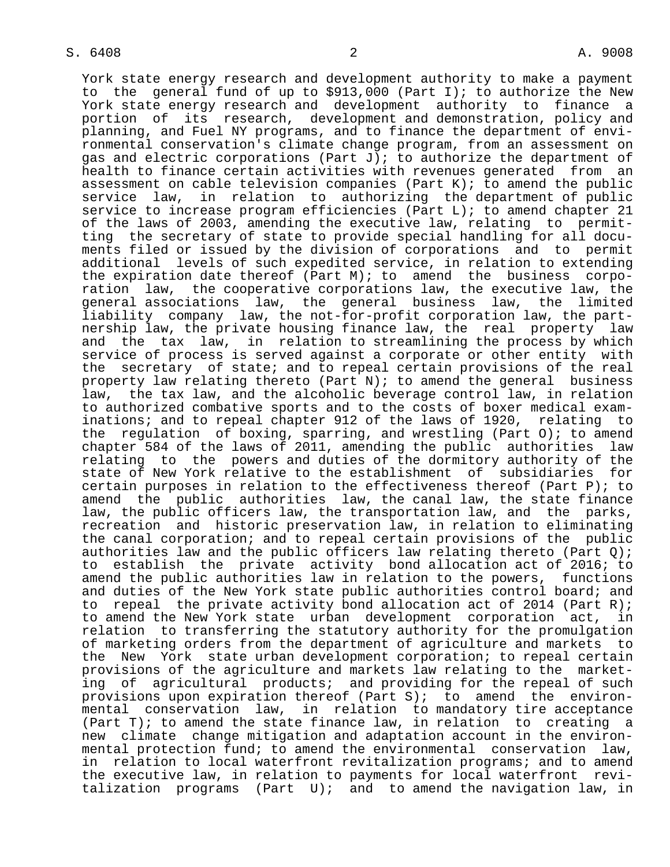$S. 6408$  and  $2$  and  $4.9008$ 

 York state energy research and development authority to make a payment to the general fund of up to \$913,000 (Part I); to authorize the New York state energy research and development authority to finance a portion of its research, development and demonstration, policy and planning, and Fuel NY programs, and to finance the department of envi ronmental conservation's climate change program, from an assessment on gas and electric corporations (Part J); to authorize the department of health to finance certain activities with revenues generated from an assessment on cable television companies (Part  $K$ ); to amend the public service law, in relation to authorizing the department of public service to increase program efficiencies (Part L); to amend chapter 21 of the laws of 2003, amending the executive law, relating to permit ting the secretary of state to provide special handling for all docu ments filed or issued by the division of corporations and to permit additional levels of such expedited service, in relation to extending the expiration date thereof (Part M); to amend the business corpo ration law, the cooperative corporations law, the executive law, the general associations law, the general business law, the limited liability company law, the not-for-profit corporation law, the part nership law, the private housing finance law, the real property law and the tax law, in relation to streamlining the process by which service of process is served against a corporate or other entity with the secretary of state; and to repeal certain provisions of the real property law relating thereto (Part N); to amend the general business law, the tax law, and the alcoholic beverage control law, in relation to authorized combative sports and to the costs of boxer medical exam inations; and to repeal chapter 912 of the laws of 1920, relating to the regulation of boxing, sparring, and wrestling (Part O); to amend chapter 584 of the laws of 2011, amending the public authorities law relating to the powers and duties of the dormitory authority of the state of New York relative to the establishment of subsidiaries for certain purposes in relation to the effectiveness thereof (Part P); to amend the public authorities law, the canal law, the state finance law, the public officers law, the transportation law, and the parks, recreation and historic preservation law, in relation to eliminating the canal corporation; and to repeal certain provisions of the public authorities law and the public officers law relating thereto (Part  $Q$ ); to establish the private activity bond allocation act of 2016; to amend the public authorities law in relation to the powers, functions and duties of the New York state public authorities control board; and to repeal the private activity bond allocation act of 2014 (Part R); to amend the New York state urban development corporation act, in relation to transferring the statutory authority for the promulgation of marketing orders from the department of agriculture and markets to the New York state urban development corporation; to repeal certain provisions of the agriculture and markets law relating to the market ing of agricultural products; and providing for the repeal of such provisions upon expiration thereof (Part S); to amend the environ mental conservation law, in relation to mandatory tire acceptance (Part T); to amend the state finance law, in relation to creating a new climate change mitigation and adaptation account in the environ mental protection fund; to amend the environmental conservation law, in relation to local waterfront revitalization programs; and to amend the executive law, in relation to payments for local waterfront revi talization programs (Part U); and to amend the navigation law, in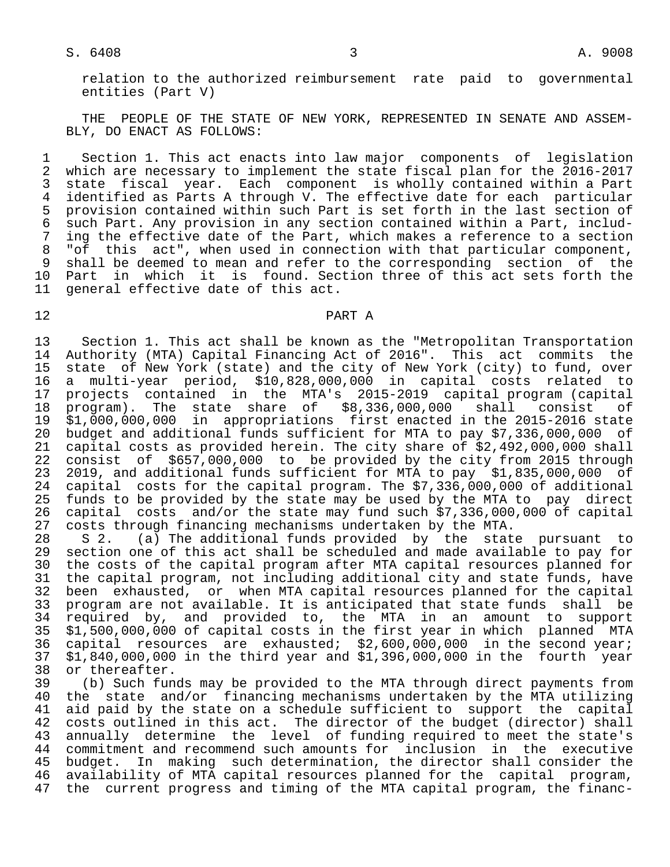# $S. 6408$  and  $3$  and  $A. 9008$

 relation to the authorized reimbursement rate paid to governmental entities (Part V)

 THE PEOPLE OF THE STATE OF NEW YORK, REPRESENTED IN SENATE AND ASSEM- BLY, DO ENACT AS FOLLOWS:

1 Section 1. This act enacts into law major components of legislation<br>2 which are necessary to implement the state fiscal plan for the 2016-2017 2 which are necessary to implement the state fiscal plan for the 2016-2017<br>3 state fiscal year. Each component is wholly contained within a Part 3 state fiscal year. Each component is wholly contained within a Part 4 identified as Parts A through V. The effective date for each particular<br>5 provision contained within such Part is set forth in the last section of 5 provision contained within such Part is set forth in the last section of<br>6 such Part. Any provision in any section contained within a Part, includ- 6 such Part. Any provision in any section contained within a Part, includ- 7 ing the effective date of the Part, which makes a reference to a section<br>8 "of this act", when used in connection with that particular component, "of this act", when used in connection with that particular component, 9 shall be deemed to mean and refer to the corresponding section of the<br>10 Part in which it is found. Section three of this act sets forth the 10 Part in which it is found. Section three of this act sets forth the 11 general effective date of this act. general effective date of this act.

# 12 PART A

13 Section 1. This act shall be known as the "Metropolitan Transportation<br>14 Authority (MTA) Capital Financing Act of 2016". This act commits the 14 Authority (MTA) Capital Financing Act of 2016". This act commits the<br>15 state of New York (state) and the city of New York (city) to fund, over state of New York (state) and the city of New York (city) to fund, over 16 a multi-year period, \$10,828,000,000 in capital costs related to 17 projects contained in the MTA's 2015-2019 capital program (capital 18 program). The state share of \$8,336,000,000 shall consist of 19 \$1,000,000,000 in appropriations first enacted in the 2015-2016 state 20 budget and additional funds sufficient for MTA to pay \$7,336,000,000 of<br>21 capital costs as provided herein. The city share of \$2,492,000,000 shall 21 capital costs as provided herein. The city share of \$2,492,000,000 shall<br>22 consist of \$657,000,000 to be provided by the city from 2015 through 22 consist of \$657,000,000 to be provided by the city from 2015 through 23 2019, and additional funds sufficient for MTA to pay \$1,835,000,000 of<br>24 capital costs for the capital program. The \$7,336,000,000 of additional 24 capital costs for the capital program. The \$7,336,000,000 of additional<br>25 funds to be provided by the state may be used by the MTA to pay direct 25 funds to be provided by the state may be used by the MTA to pay direct<br>26 capital costs and/or the state may fund such \$7,336,000,000 of capital 26 capital costs and/or the state may fund such \$7,336,000,000 of capital<br>27 costs through financing mechanisms undertaken by the MTA. 27 costs through financing mechanisms undertaken by the MTA.<br>28 S 2. (a) The additional funds provided by the stat

28 S 2. (a) The additional funds provided by the state pursuant to<br>29 section one of this act shall be scheduled and made available to pay for 29 section one of this act shall be scheduled and made available to pay for<br>20 the costs of the capital program after MTA capital resources planned for 30 the costs of the capital program after MTA capital resources planned for<br>31 the capital program, not including additional city and state funds, have 31 the capital program, not including additional city and state funds, have<br>32 been exhausted, or when MTA capital resources planned for the capital 32 been exhausted, or when MTA capital resources planned for the capital<br>33 program are not available. It is anticipated that state funds shall be 33 program are not available. It is anticipated that state funds shall be<br>34 required by, and provided to, the MTA in an amount to support 34 required by, and provided to, the MTA in an amount to support<br>35 \$1,500,000,000 of capital costs in the first year in which planned MTA 35 \$1,500,000,000 of capital costs in the first year in which planned MTA<br>36 capital resources are exhausted; \$2,600,000,000 in the second year; 36 capital resources are exhausted; \$2,600,000,000 in the second year;<br>37 \$1,840,000,000 in the third year and \$1,396,000,000 in the fourth year  $37$  \$1,840,000,000 in the third year and \$1,396,000,000 in the fourth year<br>38 or thereafter. 38 or thereafter.<br>39 (b) Such fun

 39 (b) Such funds may be provided to the MTA through direct payments from 40 the state and/or financing mechanisms undertaken by the MTA utilizing<br>41 aid paid by the state on a schedule sufficient to support the capital 41 aid paid by the state on a schedule sufficient to support the capital<br>42 costs outlined in this act. The director of the budget (director) shall 42 costs outlined in this act. The director of the budget (director) shall<br>43 annually determine the level of funding required to meet the state's 43 annually determine the level of funding required to meet the state's<br>44 commitment and recommend such amounts for inclusion in the executive 44 commitment and recommend such amounts for inclusion in the executive 45 budget. In making such determination, the director shall consider the<br>46 availability of MTA capital resources planned for the capital program, 46 availability of MTA capital resources planned for the capital program,<br>47 the current progress and timing of the MTA capital program, the financthe current progress and timing of the MTA capital program, the financ-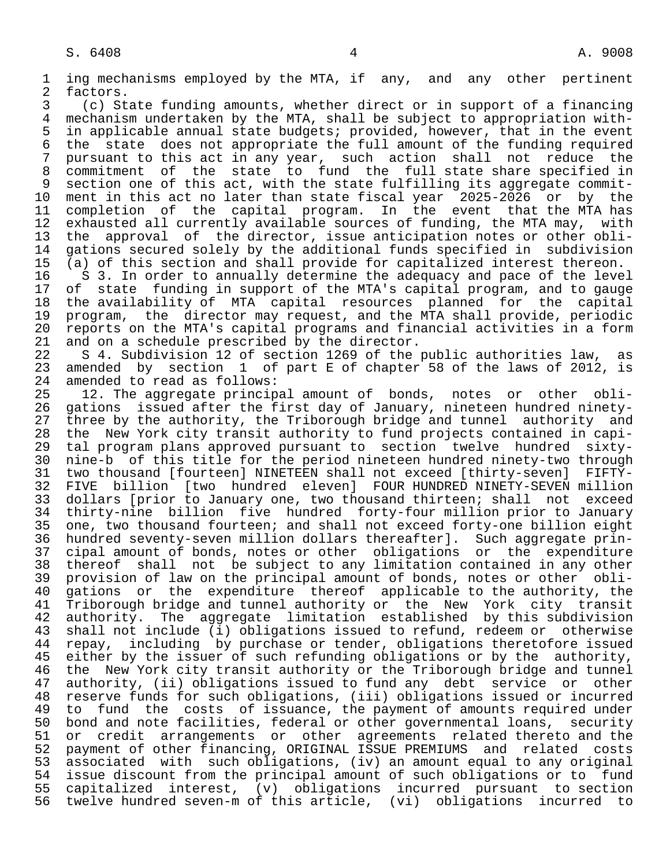1 ing mechanisms employed by the MTA, if any, and any other pertinent<br>2 factors. 2 factors.<br>3 (c) St 3 (c) State funding amounts, whether direct or in support of a financing 4 mechanism undertaken by the MTA, shall be subject to appropriation with- 5 in applicable annual state budgets; provided, however, that in the event<br>6 the state does not appropriate the full amount of the funding required 6 the state does not appropriate the full amount of the funding required<br>7 pursuant to this act in any year, such action shall not reduce the 7 pursuant to this act in any year, such action shall not reduce the<br>8 commitment of the state to fund the full state share specified in 8 commitment of the state to fund the full state share specified in<br>9 section one of this act, with the state fulfilling its aggregate commit-9 section one of this act, with the state fulfilling its aggregate commit-<br>10 ment in this act no later than state fiscal year 2025-2026 or by the 10 ment in this act no later than state fiscal year 2025-2026 or by the<br>11 completion of the capital program. In the event that the MTA has 11 completion of the capital program. In the event that the MTA has<br>12 exhausted all currently available sources of funding, the MTA may, with 12 exhausted all currently available sources of funding, the MTA may, with<br>13 the approval of the director, issue anticipation notes or other obli-13 the approval of the director, issue anticipation notes or other obli-<br>14 gations secured solely by the additional funds specified in subdivision 14 gations secured solely by the additional funds specified in subdivision 15 (a) of this section and shall provide for capitalized interest thereon.<br>16 S 3. In order to annually determine the adequacy and pace of the leve 16 S 3. In order to annually determine the adequacy and pace of the level<br>17 of state funding in support of the MTA's capital program, and to gauge 17 of state funding in support of the MTA's capital program, and to gauge<br>18 the availability of MTA capital resources planned for the capital 18 the availability of MTA capital resources planned for the capital<br>19 program, the director may request, and the MTA shall provide, periodic 19 program, the director may request, and the MTA shall provide, periodic<br>20 reports on the MTA's capital programs and financial activities in a form 20 reports on the MTA's capital programs and financial activities in a form<br>21 and on a schedule prescribed by the director. 21 and on a schedule prescribed by the director.<br>22 S 4. Subdivision 12 of section 1269 of the 22 S 4. Subdivision 12 of section 1269 of the public authorities law, as<br>23 amended by section 1 of part E of chapter 58 of the laws of 2012, is 23 amended by section 1 of part E of chapter 58 of the laws of 2012, is 24 amended to read as follows: 24 amended to read as follows:<br>25 12. The aggregate princip 12. The aggregate principal amount of bonds, notes or other obli- 26 gations issued after the first day of January, nineteen hundred ninety- 27 three by the authority, the Triborough bridge and tunnel authority and<br>28 the New York city transit authority to fund projects contained in capi-28 the New York city transit authority to fund projects contained in capi-<br>29 tal program plans approved pursuant to section twelve hundred sixty- 29 tal program plans approved pursuant to section twelve hundred sixty- 30 nine-b of this title for the period nineteen hundred ninety-two through 31 two thousand [fourteen] NINETEEN shall not exceed [thirty-seven] FIFTY- 32 FIVE billion [two hundred eleven] FOUR HUNDRED NINETY-SEVEN million<br>33 dollars [prior to January one, two thousand thirteen; shall not exceed 33 dollars [prior to January one, two thousand thirteen; shall not exceed<br>34 thirty-nine billion five hundred forty-four million prior to January 34 thirty-nine billion five hundred forty-four million prior to January<br>35 one, two thousand fourteen; and shall not exceed forty-one billion eight 35 one, two thousand fourteen; and shall not exceed forty-one billion eight<br>36 hundred seventy-seven million dollars thereafter]. Such aggregate prinhundred seventy-seven million dollars thereafter]. Such aggregate prin- 37 cipal amount of bonds, notes or other obligations or the expenditure 38 thereof shall not be subject to any limitation contained in any other<br>39 provision of law on the principal amount of bonds, notes or other obli-39 provision of law on the principal amount of bonds, notes or other obli-<br>40 gations or the expenditure thereof applicable to the authority, the 40 gations or the expenditure thereof applicable to the authority, the<br>41 Triborough bridge and tunnel authority or the New York city transit 41 Triborough bridge and tunnel authority or the New York city transit<br>42 authority. The aggregate limitation established by this subdivision 42 authority. The aggregate limitation established by this subdivision<br>43 shall not include (i) obligations issued to refund, redeem or otherwise 43 shall not include (i) obligations issued to refund, redeem or otherwise<br>44 repay, including by purchase or tender, obligations theretofore issued 44 repay, including by purchase or tender, obligations theretofore issued<br>45 either by the issuer of such refunding obligations or by the authority, either by the issuer of such refunding obligations or by the authority, 46 the New York city transit authority or the Triborough bridge and tunnel<br>47 authority, (ii) obligations issued to fund any debt service or other authority, (ii) obligations issued to fund any debt service or other 48 reserve funds for such obligations, (iii) obligations issued or incurred 49 to fund the costs of issuance, the payment of amounts required under<br>50 bond and note facilities, federal or other governmental loans, security 50 bond and note facilities, federal or other governmental loans, security<br>51 or credit arrangements or other agreements related thereto and the 51 or credit arrangements or other agreements related thereto and the<br>52 payment of other financing, ORIGINAL ISSUE PREMIUMS and related costs 52 payment of other financing, ORIGINAL ISSUE PREMIUMS and related costs<br>53 associated with such obligations, (iv) an amount equal to any original 53 associated with such obligations, (iv) an amount equal to any original<br>54 issue discount from the principal amount of such obligations or to fund 54 issue discount from the principal amount of such obligations or to fund<br>55 capitalized interest, (v) obligations incurred pursuant to section 55 capitalized interest, (v) obligations incurred pursuant to section twelve hundred seven-m of this article, (vi) obligations incurred to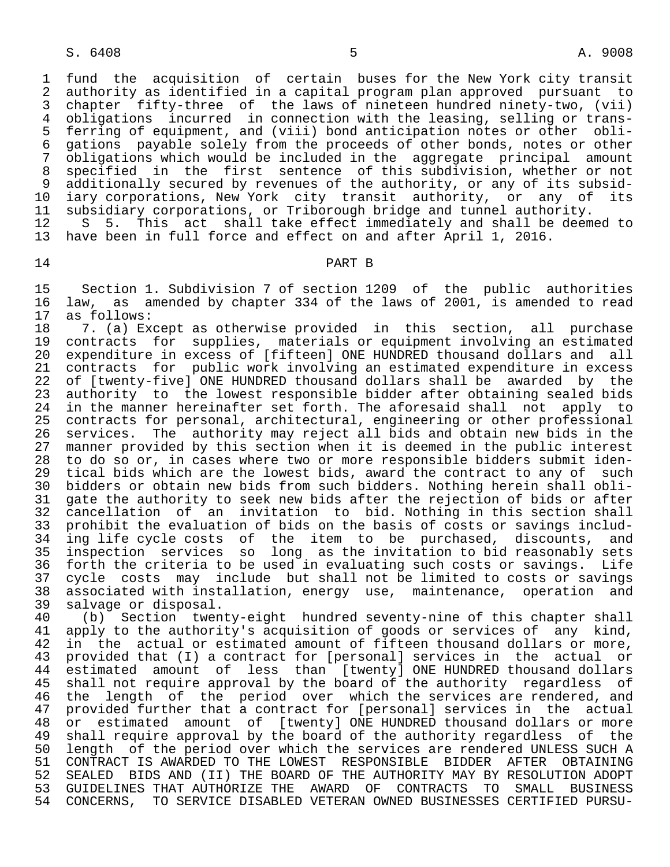1 fund the acquisition of certain buses for the New York city transit<br>2 authority as identified in a capital program plan approved pursuant to 2 authority as identified in a capital program plan approved pursuant to<br>3 chapter fifty-three of the laws of nineteen hundred ninety-two. (vii) 3 chapter fifty-three of the laws of nineteen hundred ninety-two, (vii)<br>4 obligations incurred in connection with the leasing, selling or trans- 4 obligations incurred in connection with the leasing, selling or trans- 5 ferring of equipment, and (viii) bond anticipation notes or other obli-<br>6 gations pavable solely from the proceeds of other bonds, notes or other 6 gations payable solely from the proceeds of other bonds, notes or other<br>7 obligations which would be included in the aggregate principal amount 7 obligations which would be included in the aggregate principal amount<br>8 specified in the first sentence of this subdivision, whether or not 8 specified in the first sentence of this subdivision, whether or not<br>9 additionally secured by revenues of the authority, or any of its subsid-9 additionally secured by revenues of the authority, or any of its subsid-<br>10 iary corporations, New York city transit authority, or any of its 10 iary corporations, New York city transit authority, or any of its<br>11 subsidiary corporations, or Triborough bridge and tunnel authority. 11 subsidiary corporations, or Triborough bridge and tunnel authority.<br>12 S 5. This act shall take effect immediately and shall be deem

12 S 5. This act shall take effect immediately and shall be deemed to<br>13 have been in full force and effect on and after April 1, 2016. have been in full force and effect on and after April 1, 2016.

# 14 PART B

15 Section 1. Subdivision 7 of section 1209 of the public authorities<br>16 law, as amended by chapter 334 of the laws of 2001, is amended to read 16 law, as amended by chapter 334 of the laws of 2001, is amended to read 17 as follows: 17 as follows:<br>18 7. (a) Ex

 18 7. (a) Except as otherwise provided in this section, all purchase 19 contracts for supplies, materials or equipment involving an estimated<br>20 expenditure in excess of [fifteen] ONE HUNDRED thousand dollars and all 20 expenditure in excess of [fifteen] ONE HUNDRED thousand dollars and all<br>21 contracts for public work involving an estimated expenditure in excess 21 contracts for public work involving an estimated expenditure in excess 22 of [twenty-five] ONE HUNDRED thousand dollars shall be awarded by the<br>23 authority to the lowest responsible bidder after obtaining sealed bids 23 authority to the lowest responsible bidder after obtaining sealed bids<br>24 in the manner hereinafter set forth. The aforesaid shall not apply to 24 in the manner hereinafter set forth. The aforesaid shall not apply to<br>25 contracts for personal, architectural, engineering or other professional 25 contracts for personal, architectural, engineering or other professional<br>26 services. The authority may reject all bids and obtain new bids in the 26 services. The authority may reject all bids and obtain new bids in the<br>27 manner provided by this section when it is deemed in the public interest 27 manner provided by this section when it is deemed in the public interest<br>28 to do so or, in cases where two or more responsible bidders submit iden-28 to do so or, in cases where two or more responsible bidders submit iden-<br>29 tical bids which are the lowest bids, award the contract to any of such 29 tical bids which are the lowest bids, award the contract to any of such<br>30 bidders or obtain new bids from such bidders. Nothing herein shall obli-30 bidders or obtain new bids from such bidders. Nothing herein shall obli-<br>31 gate the authority to seek new bids after the rejection of bids or after 31 gate the authority to seek new bids after the rejection of bids or after<br>32 cancellation of an invitation to bid. Nothing in this section shall 32 cancellation of an invitation to bid. Nothing in this section shall<br>33 prohibit the evaluation of bids on the basis of costs or savings includ- 33 prohibit the evaluation of bids on the basis of costs or savings includ ing life cycle costs of the item to be purchased, discounts, and 35 inspection services so long as the invitation to bid reasonably sets<br>36 forth the criteria to be used in evaluating such costs or savings. Life 36 forth the criteria to be used in evaluating such costs or savings. Life 37 cycle costs may include but shall not be limited to costs or savings<br>38 associated with installation, energy use, maintenance, operation and 38 associated with installation, energy use, maintenance, operation and

39 salvage or disposal.<br>40 (b) Section twen 40 (b) Section twenty-eight hundred seventy-nine of this chapter shall<br>41 apply to the authority's acquisition of goods or services of any kind. 41 apply to the authority's acquisition of goods or services of any kind,<br>42 in the actual or estimated amount of fifteen thousand dollars or more, 42 in the actual or estimated amount of fifteen thousand dollars or more,<br>43 provided that (I) a contract for [personal] services in the actual or 43 provided that (I) a contract for [personal] services in the actual or <sup>1</sup> estimated amount of less than [twenty] ONE HUNDRED thousand dollars<br>45 shall not require approval by the board of the authority regardless of shall not require approval by the board of the authority regardless of 46 the length of the period over which the services are rendered, and 47 provided further that a contract for [personal] services in the actual 48 or estimated amount of [twenty] ONE HUNDRED thousand dollars or more<br>49 shall require approval by the board of the authority reqardless of the 49 shall require approval by the board of the authority regardless of the<br>50 length of the period over which the services are rendered UNLESS SUCH A 50 length of the period over which the services are rendered UNLESS SUCH A<br>51 CONTRACT IS AWARDED TO THE LOWEST RESPONSIBLE BIDDER AFTER OBTAINING 51 CONTRACT IS AWARDED TO THE LOWEST RESPONSIBLE BIDDER AFTER OBTAINING<br>52 SEALED BIDS AND (II) THE BOARD OF THE AUTHORITY MAY BY RESOLUTION ADOPT 52 SEALED BIDS AND (II) THE BOARD OF THE AUTHORITY MAY BY RESOLUTION ADOPT<br>53 GUIDELINES THAT AUTHORIZE THE AWARD OF CONTRACTS TO SMALL BUSINESS 53 GUIDELINES THAT AUTHORIZE THE AWARD OF CONTRACTS TO SMALL BUSINESS<br>54 CONCERNS, TO SERVICE DISABLED VETERAN OWNED BUSINESSES CERTIFIED PURSU-54 CONCERNS, TO SERVICE DISABLED VETERAN OWNED BUSINESSES CERTIFIED PURSU-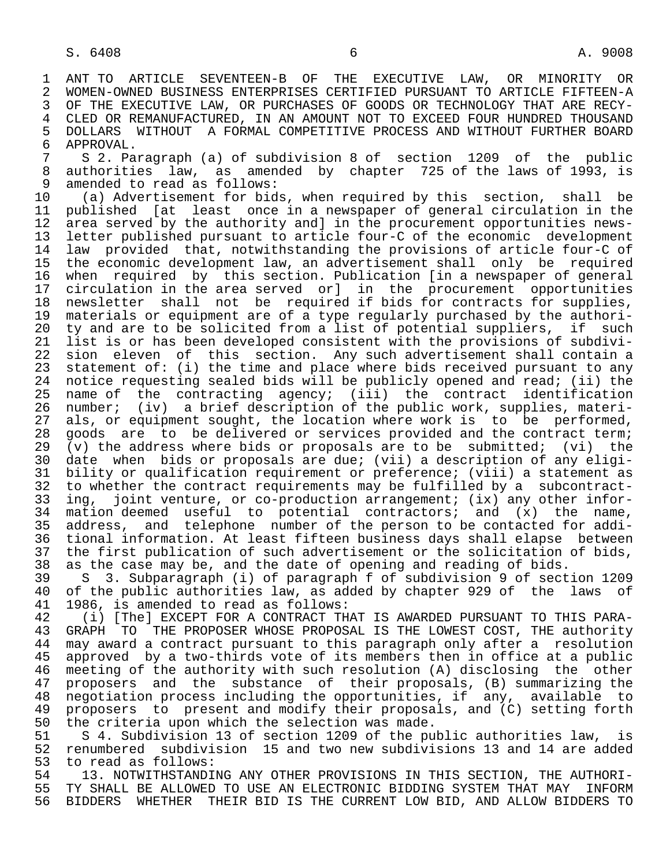1 ANT TO ARTICLE SEVENTEEN-B OF THE EXECUTIVE LAW, OR MINORITY OR 2 WOMEN-OWNED BUSINESS ENTERPRISES CERTIFIED PURSUANT TO ARTICLE FIFTEEN-A<br>3 OF THE EXECUTIVE LAW, OR PURCHASES OF GOODS OR TECHNOLOGY THAT ARE RECY-3 OF THE EXECUTIVE LAW, OR PURCHASES OF GOODS OR TECHNOLOGY THAT ARE RECY-<br>4 CLED OR REMANUFACTURED, IN AN AMOUNT NOT TO EXCEED FOUR HUNDRED THOUSAND 4 CLED OR REMANUFACTURED, IN AN AMOUNT NOT TO EXCEED FOUR HUNDRED THOUSAND<br>5 DOLLARS WITHOUT A FORMAL COMPETITIVE PROCESS AND WITHOUT FURTHER BOARD 5 DOLLARS WITHOUT A FORMAL COMPETITIVE PROCESS AND WITHOUT FURTHER BOARD<br>6 APPROVAL. 6 APPROVAL.<br>7 S 2. Pa

 7 S 2. Paragraph (a) of subdivision 8 of section 1209 of the public 8 authorities law, as amended by chapter 725 of the laws of 1993, is<br>9 amended to read as follows: 9 amended to read as follows:<br>10 (a) Advertisement for bid

 10 (a) Advertisement for bids, when required by this section, shall be 11 published [at least once in a newspaper of general circulation in the<br>12 area served by the authority and] in the procurement opportunities news-12 area served by the authority and] in the procurement opportunities news-<br>13 letter published pursuant to article four-C of the economic development 13 letter published pursuant to article four-C of the economic development<br>14 law provided that, notwithstanding the provisions of article four-C of law provided that, notwithstanding the provisions of article four-C of 15 the economic development law, an advertisement shall only be required 16 when required by this section. Publication [in a newspaper of general<br>17 circulation in the area served orl in the procurement opportunities 17 circulation in the area served or] in the procurement opportunities<br>18 newsletter shall not be required if bids for contracts for supplies, 18 newsletter shall not be required if bids for contracts for supplies,<br>19 materials or equipment are of a type reqularly purchased by the authori-19 materials or equipment are of a type regularly purchased by the authori-<br>20 ty and are to be solicited from a list of potential suppliers, if such 20 ty and are to be solicited from a list of potential suppliers, if such<br>21 list is or has been developed consistent with the provisions of subdivi-21 list is or has been developed consistent with the provisions of subdivi-<br>22 sion eleven of this section. Any such advertisement shall contain a 22 sion eleven of this section. Any such advertisement shall contain a<br>23 statement of: (i) the time and place where bids received pursuant to any statement of: (i) the time and place where bids received pursuant to any 24 notice requesting sealed bids will be publicly opened and read; (ii) the<br>25 name of the contracting agency; (iii) the contract identification name of the contracting agency; (iii) the contract identification 26 number; (iv) a brief description of the public work, supplies, materi-<br>27 als, or equipment sought, the location where work is to be performed, 27 als, or equipment sought, the location where work is to be performed,<br>28 goods are to be delivered or services provided and the contract term; 28 goods are to be delivered or services provided and the contract term;<br>29 (v) the address where bids or proposals are to be submitted; (vi) the 29 (v) the address where bids or proposals are to be submitted; (vi) the  $30$  date when bids or proposals are due; (vii) a description of any eligi-30 date when bids or proposals are due; (vii) a description of any eligi-<br>31 bility or qualification requirement or preference; (viii) a statement as 31 bility or qualification requirement or preference; (viii) a statement as<br>32 to whether the contract requirements may be fulfilled by a subcontract-32 to whether the contract requirements may be fulfilled by a subcontract-<br>33 ing, joint venture, or co-production arrangement; (ix) any other infor-33 ing, joint venture, or co-production arrangement; (ix) any other infor-<br>34 mation deemed useful to potential contractors; and (x) the name, 34 mation deemed useful to potential contractors; and (x) the name,<br>35 address, and telephone number of the person to be contacted for addi-35 address, and telephone number of the person to be contacted for addi-<br>36 tional information. At least fifteen business days shall elapse between tional information. At least fifteen business days shall elapse between 37 the first publication of such advertisement or the solicitation of bids,<br>38 as the case may be, and the date of opening and reading of bids.

38 as the case may be, and the date of opening and reading of bids.<br>39 S 3. Subparagraph (i) of paragraph f of subdivision 9 of sect 39 S 3. Subparagraph (i) of paragraph f of subdivision 9 of section 1209<br>40 of the public authorities law, as added by chapter 929 of the laws of 40 of the public authorities law, as added by chapter 929 of the laws of 41 1986, is amended to read as follows: 41 1986, is amended to read as follows:<br>42 (i) [The] EXCEPT FOR A CONTRACT TH

42 (i) [The] EXCEPT FOR A CONTRACT THAT IS AWARDED PURSUANT TO THIS PARA-<br>43 GRAPH TO THE PROPOSER WHOSE PROPOSAL IS THE LOWEST COST. THE authority 43 GRAPH TO THE PROPOSER WHOSE PROPOSAL IS THE LOWEST COST, THE authority<br>44 may award a contract pursuant to this paragraph only after a resolution 44 may award a contract pursuant to this paragraph only after a resolution<br>45 approved by a two-thirds vote of its members then in office at a public approved by a two-thirds vote of its members then in office at a public 46 meeting of the authority with such resolution (A) disclosing the other<br>47 proposers and the substance of their proposals, (B) summarizing the 47 proposers and the substance of their proposals, (B) summarizing the<br>48 negotiation process including the opportunities, if any, available to 48 negotiation process including the opportunities, if any, available to<br>49 proposers to present and modify their proposals, and (C) setting forth 49 proposers to present and modify their proposals, and (C) setting forth<br>50 the criteria upon which the selection was made. 50 the criteria upon which the selection was made.<br>51 S 4. Subdivision 13 of section 1209 of the pu

51 S 4. Subdivision 13 of section 1209 of the public authorities law, is<br>52 renumbered subdivision 15 and two new subdivisions 13 and 14 are added 52 renumbered subdivision 15 and two new subdivisions 13 and 14 are added 53 to read as follows:<br>54 13. NOTWITHSTANDI

54 13. NOTWITHSTANDING ANY OTHER PROVISIONS IN THIS SECTION, THE AUTHORI-<br>55 TY SHALL BE ALLOWED TO USE AN ELECTRONIC BIDDING SYSTEM THAT MAY INFORM 55 TY SHALL BE ALLOWED TO USE AN ELECTRONIC BIDDING SYSTEM THAT MAY INFORM<br>56 BIDDERS WHETHER THEIR BID IS THE CURRENT LOW BID. AND ALLOW BIDDERS TO 56 BIDDERS WHETHER THEIR BID IS THE CURRENT LOW BID, AND ALLOW BIDDERS TO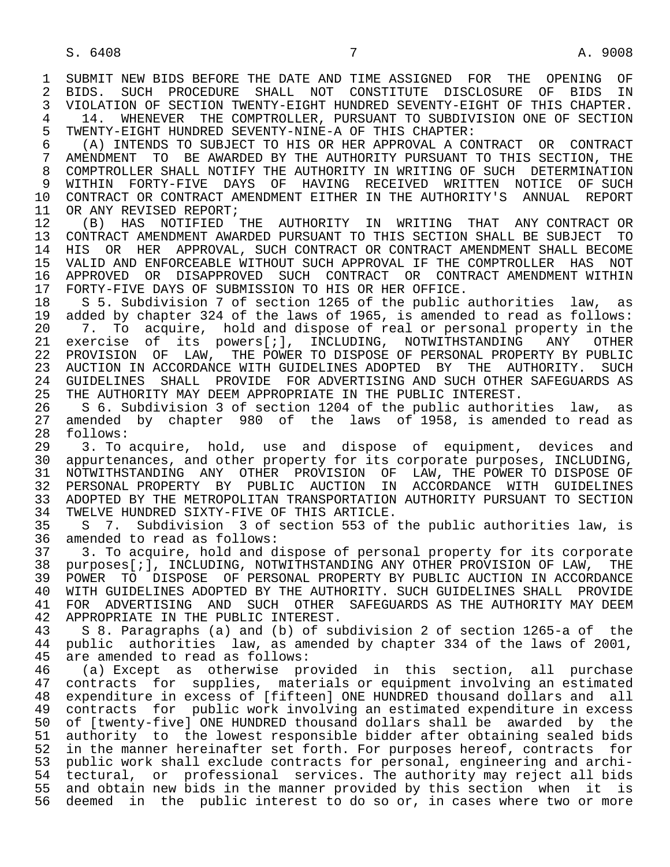1 SUBMIT NEW BIDS BEFORE THE DATE AND TIME ASSIGNED FOR THE OPENING OF<br>2 BIDS, SUCH PROCEDURE SHALL NOT CONSTITUTE DISCLOSURE OF BIDS IN 2 BIDS. SUCH PROCEDURE SHALL NOT CONSTITUTE DISCLOSURE OF BIDS IN<br>3 VIOLATION OF SECTION TWENTY-EIGHT HUNDRED SEVENTY-EIGHT OF THIS CHAPTER. 3 VIOLATION OF SECTION TWENTY-EIGHT HUNDRED SEVENTY-EIGHT OF THIS CHAPTER. 4 14. WHENEVER THE COMPTROLLER, PURSUANT TO SUBDIVISION ONE OF SECTION<br>5 TWENTY-EIGHT HUNDRED SEVENTY-NINE-A OF THIS CHAPTER: 5 TWENTY-EIGHT HUNDRED SEVENTY-NINE-A OF THIS CHAPTER: 6 (A) INTENDS TO SUBJECT TO HIS OR HER APPROVAL A CONTRACT OR CONTRACT 7 AMENDMENT TO BE AWARDED BY THE AUTHORITY PURSUANT TO THIS SECTION, THE 8 COMPTROLLER SHALL NOTIFY THE AUTHORITY IN WRITING OF SUCH DETERMINATION 9 WITHIN FORTY-FIVE DAYS OF HAVING RECEIVED WRITTEN NOTICE OF SUCH<br>10 CONTRACT OR CONTRACT AMENDMENT EITHER IN THE AUTHORITY'S ANNUAL REPORT 10 CONTRACT OR CONTRACT AMENDMENT EITHER IN THE AUTHORITY'S ANNUAL REPORT<br>11 OR ANY REVISED REPORT; 11 OR ANY REVISED REPORT;<br>12 (B) HAS NOTIFIED 12 (B) HAS NOTIFIED THE AUTHORITY IN WRITING THAT ANY CONTRACT OR 13 CONTRACT AMENDMENT AWARDED PURSUANT TO THIS SECTION SHALL BE SUBJECT TO 14 HIS OR HER APPROVAL, SUCH CONTRACT OR CONTRACT AMENDMENT SHALL BECOME 14 HIS OR HER APPROVAL, SUCH CONTRACT OR CONTRACT AMENDMENT SHALL BECOME 15 VALID AND ENFORCEABLE WITHOUT SUCH APPROVAL IF THE COMPTROLLER HAS NOT 16 APPROVED OR DISAPPROVED SUCH CONTRACT OR CONTRACT AMENDMENT WITHIN<br>17 FORTY-FIVE DAYS OF SUBMISSION TO HIS OR HER OFFICE. 17 FORTY-FIVE DAYS OF SUBMISSION TO HIS OR HER OFFICE.<br>18 S 5. Subdivision 7 of section 1265 of the public. 18 S 5. Subdivision 7 of section 1265 of the public authorities law, as<br>19 added by chapter 324 of the laws of 1965, is amended to read as follows: 19 added by chapter 324 of the laws of 1965, is amended to read as follows:<br>20 1. To acquire, hold and dispose of real or personal property in the 20 7. To acquire, hold and dispose of real or personal property in the<br>21 exercise of its powers[*i*], INCLUDING, NOTWITHSTANDING ANY OTHER 21 exercise of its powers[;], INCLUDING, NOTWITHSTANDING ANY OTHER<br>22 PROVISION OF LAW, THE-POWER-TO-DISPOSE-OF-PERSONAL-PROPERTY-BY-PUBLIC 22 PROVISION OF LAW, THE POWER TO DISPOSE OF PERSONAL PROPERTY BY PUBLIC<br>23 AUCTION IN ACCORDANCE WITH GUIDELINES ADOPTED BY THE AUTHORITY. SUCH 23 AUCTION IN ACCORDANCE WITH GUIDELINES ADOPTED BY THE AUTHORITY. SUCH 24 GUIDELINES SHALL PROVIDE FOR ADVERTISING AND SUCH OTHER SAFEGUARDS AS<br>25 THE AUTHORITY MAY DEEM APPROPRIATE IN THE PUBLIC INTEREST. THE AUTHORITY MAY DEEM APPROPRIATE IN THE PUBLIC INTEREST. 26 S 6. Subdivision 3 of section 1204 of the public authorities law, as 27 amended by chapter 980 of the laws of 1958, is amended to read as 28 follows: 28 follows:<br>29 3. To 29 3. To acquire, hold, use and dispose of equipment, devices and<br>30 appurtenances, and other property for its corporate purposes, INCLUDING, appurtenances, and other property for its corporate purposes, INCLUDING, 31 NOTWITHSTANDING ANY OTHER PROVISION OF LAW, THE POWER TO DISPOSE OF 32 PERSONAL PROPERTY BY PUBLIC AUCTION IN ACCORDANCE WITH GUIDELINES 33 ADOPTED BY THE METROPOLITAN TRANSPORTATION AUTHORITY PURSUANT TO SECTION<br>34 TWELVE HUNDRED SIXTY-FIVE OF THIS ARTICLE. 34 TWELVE HUNDRED SIXTY-FIVE OF THIS ARTICLE.<br>35 S. 7. Subdivision 3 of section 553 of 35 S 7. Subdivision 3 of section 553 of the public authorities law, is<br>36 amended to read as follows: amended to read as follows: 37 3. To acquire, hold and dispose of personal property for its corporate<br>38 purposes[;], INCLUDING, NOTWITHSTANDING ANY OTHER PROVISION OF LAW, THE 38 purposes[;], INCLUDING, NOTWITHSTANDING ANY OTHER PROVISION OF LAW, THE 39 POWER TO DISPOSE OF PERSONAL PROPERTY BY PUBLIC AUCTION IN ACCORDANCE<br>40 WITH GUIDELINES ADOPTED BY THE AUTHORITY. SUCH GUIDELINES SHALL PROVIDE 40 WITH GUIDELINES ADOPTED BY THE AUTHORITY. SUCH GUIDELINES SHALL PROVIDE<br>41 FOR ADVERTISING AND SUCH OTHER SAFEGUARDS AS THE AUTHORITY MAY DEEM 41 FOR ADVERTISING AND SUCH OTHER SAFEGUARDS AS THE AUTHORITY MAY DEEM<br>42 APPROPRIATE IN THE PUBLIC INTEREST. 42 APPROPRIATE IN THE PUBLIC INTEREST.<br>43 S 8. Paragraphs (a) and (b) of su 43 S 8. Paragraphs (a) and (b) of subdivision 2 of section 1265-a of the 44 public authorities law, as amended by chapter 334 of the laws of 2001,<br>45 are amended to read as follows: are amended to read as follows: 46 (a) Except as otherwise provided in this section, all purchase 47 contracts for supplies, materials or equipment involving an estimated<br>48 expenditure in excess of [fifteen] ONE HUNDRED thousand dollars and all 48 expenditure in excess of [fifteen] ONE HUNDRED thousand dollars and all<br>49 contracts for public work involving an estimated expenditure in excess 49 contracts for public work involving an estimated expenditure in excess<br>50 of [twenty-five] ONE HUNDRED thousand dollars shall be awarded by the 50 of [twenty-five] ONE HUNDRED thousand dollars shall be awarded by the<br>51 authority to the lowest responsible bidder after obtaining sealed bids 51 authority to the lowest responsible bidder after obtaining sealed bids<br>52 in the manner hereinafter set forth. For purposes hereof, contracts for in the manner hereinafter set forth. For purposes hereof, contracts for 53 public work shall exclude contracts for personal, engineering and archi-<br>54 tectural, or professional services. The authority may reject all bids 54 tectural, or professional services. The authority may reject all bids<br>55 and obtain new bids in the manner provided by this section when it is and obtain new bids in the manner provided by this section when it is 56 deemed in the public interest to do so or, in cases where two or more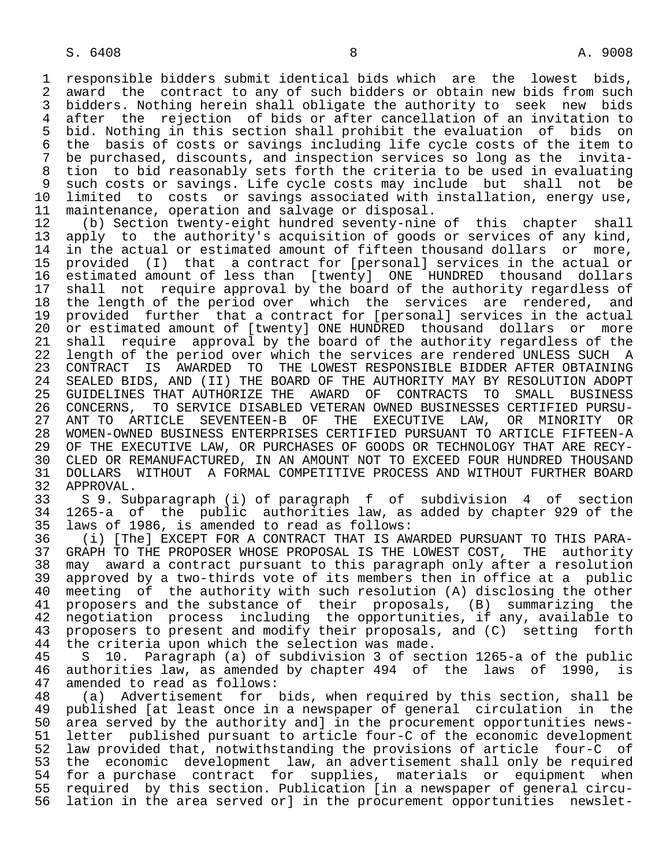1 responsible bidders submit identical bids which are the lowest bids,<br>2 award the contract to any of such bidders or obtain new bids from such 2 award the contract to any of such bidders or obtain new bids from such<br>3 bidders. Nothing herein shall obligate the authority to seek new bids 3 bidders. Nothing herein shall obligate the authority to seek new bids<br>4 after the rejection of bids or after cancellation of an invitation to 4 after the rejection of bids or after cancellation of an invitation to<br>5 bid. Nothing in this section shall prohibit the evaluation of bids on 5 bid. Nothing in this section shall prohibit the evaluation of bids on<br>6 the basis of costs or savings including life cycle costs of the item to 6 the basis of costs or savings including life cycle costs of the item to<br>7 be purchased, discounts, and inspection services so long as the invitabe purchased, discounts, and inspection services so long as the invita-8 tion to bid reasonably sets forth the criteria to be used in evaluating<br>9 such costs or savings. Life cycle costs may include but shall not be 9 such costs or savings. Life cycle costs may include but shall not be<br>10 limited to costs or savings associated with installation, energy use, 10 limited to costs or savings associated with installation, energy use,<br>11 maintenance, operation and salvage or disposal.

11 maintenance, operation and salvage or disposal.<br>12 (b) Section twenty-eight hundred seventy-nine 12 (b) Section twenty-eight hundred seventy-nine of this chapter shall<br>13 apply to the authority's acquisition of goods or services of any kind. 13 apply to the authority's acquisition of goods or services of any kind,<br>14 in the actual or estimated amount of fifteen thousand dollars or more. in the actual or estimated amount of fifteen thousand dollars or more, 15 provided (I) that a contract for [personal] services in the actual or 16 estimated amount of less than [twenty] ONE HUNDRED thousand dollars 17 shall not require approval by the board of the authority regardless of<br>18 the length of the period over which the services are rendered, and 18 the length of the period over which the services are rendered, and<br>19 provided further that a contract for [personal] services in the actual 19 provided further that a contract for [personal] services in the actual<br>20 or estimated amount of [twenty] ONE HUNDRED thousand dollars or more 20 or estimated amount of [twenty] ONE HUNDRED thousand dollars or more<br>21 shall require approval by the board of the authority regardless of the 21 shall require approval by the board of the authority regardless of the<br>22 length of the period over which the services are rendered UNLESS SUCH A 22 length of the period over which the services are rendered UNLESS SUCH A<br>23 CONTRACT IS AWARDED TO THE LOWEST RESPONSIBLE BIDDER AFTER OBTAINING 23 CONTRACT IS AWARDED TO THE LOWEST RESPONSIBLE BIDDER AFTER OBTAINING 24 SEALED BIDS, AND (II) THE BOARD OF THE AUTHORITY MAY BY RESOLUTION ADOPT<br>25 GUIDELINES THAT AUTHORIZE THE AWARD OF CONTRACTS TO SMALL BUSINESS 25 GUIDELINES THAT AUTHORIZE THE AWARD OF CONTRACTS TO SMALL BUSINESS 26 CONCERNS, TO SERVICE DISABLED VETERAN OWNED BUSINESSES CERTIFIED PURSU- 27 ANT TO ARTICLE SEVENTEEN-B OF THE EXECUTIVE LAW, OR MINORITY OR 28 WOMEN-OWNED BUSINESS ENTERPRISES CERTIFIED PURSUANT TO ARTICLE FIFTEEN-A 29 OF THE EXECUTIVE LAW, OR PURCHASES OF GOODS OR TECHNOLOGY THAT ARE RECY-<br>30 CLED OR REMANUFACTURED, IN AN AMOUNT NOT TO EXCEED FOUR HUNDRED THOUSAND 30 CLED OR REMANUFACTURED, IN AN AMOUNT NOT TO EXCEED FOUR HUNDRED THOUSAND<br>31 DOLLARS WITHOUT A FORMAL COMPETITIVE PROCESS AND WITHOUT FURTHER BOARD 31 DOLLARS WITHOUT A FORMAL COMPETITIVE PROCESS AND WITHOUT FURTHER BOARD<br>32 APPROVAL. 32 APPROVAL.<br>33 S 9. Su

 33 S 9. Subparagraph (i) of paragraph f of subdivision 4 of section 34 1265-a of the public authorities law, as added by chapter 929 of the<br>35 laws of 1986, is amended to read as follows: 35 laws of 1986, is amended to read as follows:<br>36 (i) [The] EXCEPT FOR A CONTRACT THAT IS AW

(i) [The] EXCEPT FOR A CONTRACT THAT IS AWARDED PURSUANT TO THIS PARA-37 GRAPH TO THE PROPOSER WHOSE PROPOSAL IS THE LOWEST COST, THE authority<br>38 may award a contract pursuant to this paragraph only after a resolution 38 may award a contract pursuant to this paragraph only after a resolution<br>39 approved by a two-thirds vote of its members then in office at a public 39 approved by a two-thirds vote of its members then in office at a public<br>40 meeting of the authority with such resolution (A) disclosing the other 40 meeting of the authority with such resolution (A) disclosing the other<br>41 proposers and the substance of their proposals, (B) summarizing the 41 proposers and the substance of their proposals, (B) summarizing the<br>42 negotiation process including the opportunities, if any, available to 12 negotiation process including the opportunities, if any, available to<br>43 proposers to present and modify their proposals, and (C) setting forth 43 proposers to present and modify their proposals, and (C) setting forth<br>44 the criteria upon which the selection was made. 44 the criteria upon which the selection was made.<br>45 S 10. Paragraph (a) of subdivision 3 of sec

 45 S 10. Paragraph (a) of subdivision 3 of section 1265-a of the public 46 authorities law, as amended by chapter 494 of the laws of 1990, is<br>47 amended to read as follows: amended to read as follows:

 48 (a) Advertisement for bids, when required by this section, shall be 49 published [at least once in a newspaper of general circulation in the<br>50 area served by the authority and in the procurement opportunities news-50 area served by the authority and] in the procurement opportunities news-<br>51 letter published pursuant to article four-C of the economic development 51 letter published pursuant to article four-C of the economic development<br>52 law provided that, notwithstanding the provisions of article four-C of 52 law provided that, notwithstanding the provisions of article four-C of<br>53 the economic development law, an advertisement shall only be required 53 the economic development law, an advertisement shall only be required<br>54 for a purchase contract for supplies, materials or equipment when 54 for a purchase contract for supplies, materials or equipment when<br>55 required by this section. Publication [in a newspaper of general circu-55 required by this section. Publication [in a newspaper of general circu-<br>56 lation in the area served or] in the procurement opportunities newsletlation in the area served or] in the procurement opportunities newslet-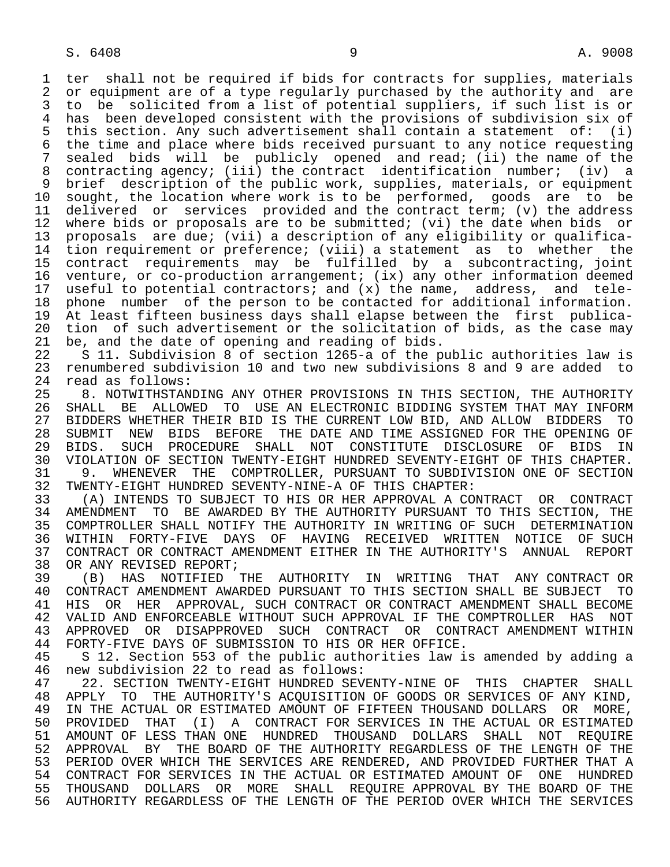1 ter shall not be required if bids for contracts for supplies, materials<br>2 or equipment are of a type reqularly purchased by the authority and are 2 or equipment are of a type regularly purchased by the authority and are<br>3 to be solicited from a list of potential suppliers, if such list is or 3 to be solicited from a list of potential suppliers, if such list is or 4 has been developed consistent with the provisions of subdivision six of<br>5 this section. Any such advertisement shall contain a statement of: (i) 5 this section. Any such advertisement shall contain a statement of: (i) 6 the time and place where bids received pursuant to any notice requesting<br>7 sealed bids will be publicly opened and read; (ii) the name of the sealed bids will be publicly opened and read; (ii) the name of the 8 contracting agency; (iii) the contract identification number; (iv) a 9 brief description of the public work, supplies, materials, or equipment<br>10 sought, the location where work is to be performed, goods are to be 10 sought, the location where work is to be performed, goods are to be 11 delivered or services provided and the contract term; (v) the address 11 delivered or services provided and the contract term; (v) the address<br>12 where bids or proposals are to be submitted; (vi) the date when bids or 12 where bids or proposals are to be submitted; (vi) the date when bids or<br>13 proposals are due; (vii) a description of any eligibility or qualifica-13 proposals are due; (vii) a description of any eligibility or qualifica-<br>14 tion requirement or preference; (viii) a statement as to whether the tion requirement or preference; (viii) a statement as to whether the 15 contract requirements may be fulfilled by a subcontracting, joint 16 venture, or co-production arrangement; (ix) any other information deemed<br>17 useful to potential contractors; and (x) the name, address, and tele-17 useful to potential contractors; and (x) the name, address, and tele-<br>18 phone number of the person to be contacted for additional information. 18 phone number of the person to be contacted for additional information.<br>19 At least fifteen business days shall elapse between the first publica-19 At least fifteen business days shall elapse between the first publica-<br>20 tion of such advertisement or the solicitation of bids, as the case may 20 tion of such advertisement or the solicitation of bids, as the case may<br>21 be, and the date of opening and reading of bids. 21 be, and the date of opening and reading of bids.<br>22 S 11. Subdivision 8 of section 1265-a of the p 22 S 11. Subdivision 8 of section 1265-a of the public authorities law is<br>23 renumbered subdivision 10 and two new subdivisions 8 and 9 are added to 23 renumbered subdivision 10 and two new subdivisions 8 and 9 are added to

 24 read as follows: 25 8. NOTWITHSTANDING ANY OTHER PROVISIONS IN THIS SECTION, THE AUTHORITY 26 SHALL BE ALLOWED TO USE AN ELECTRONIC BIDDING SYSTEM THAT MAY INFORM 27 BIDDERS WHETHER THEIR BID IS THE CURRENT LOW BID, AND ALLOW BIDDERS TO<br>28 SUBMIT NEW BIDS BEFORE THE DATE AND TIME ASSIGNED FOR THE OPENING OF 28 SUBMIT NEW BIDS BEFORE THE DATE AND TIME ASSIGNED FOR THE OPENING OF<br>29 BIDS. SUCH PROCEDURE SHALL NOT CONSTITUTE DISCLOSURE OF BIDS IN 29 BIDS. SUCH PROCEDURE SHALL NOT CONSTITUTE DISCLOSURE OF BIDS IN<br>30 VIOLATION OF SECTION TWENTY-EIGHT HUNDRED SEVENTY-EIGHT OF THIS CHAPTER. 30 VIOLATION OF SECTION TWENTY-EIGHT HUNDRED SEVENTY-EIGHT OF THIS CHAPTER.<br>31 9. WHENEVER THE COMPTROLLER, PURSUANT TO SUBDIVISION ONE OF SECTION 31 9. WHENEVER THE COMPTROLLER, PURSUANT TO SUBDIVISION ONE OF SECTION<br>32 TWENTY-EIGHT HUNDRED SEVENTY-NINE-A OF THIS CHAPTER: 32 TWENTY-EIGHT HUNDRED SEVENTY-NINE-A OF THIS CHAPTER:

 33 (A) INTENDS TO SUBJECT TO HIS OR HER APPROVAL A CONTRACT OR CONTRACT 34 AMENDMENT TO BE AWARDED BY THE AUTHORITY PURSUANT TO THIS SECTION, THE<br>35 COMPTROLLER SHALL NOTIFY THE AUTHORITY IN WRITING OF SUCH DETERMINATION 35 COMPTROLLER SHALL NOTIFY THE AUTHORITY IN WRITING OF SUCH DETERMINATION<br>36 WITHIN FORTY-FIVE DAYS OF HAVING RECEIVED WRITTEN NOTICE OF SUCH 36 WITHIN FORTY-FIVE DAYS OF HAVING RECEIVED WRITTEN NOTICE OF SUCH 37 CONTRACT OR CONTRACT AMENDMENT EITHER IN THE AUTHORITY'S ANNUAL REPORT<br>38 OR ANY REVISED REPORT; 38 OR ANY REVISED REPORT;<br>39 (B) HAS NOTIFIED THE AUTHORITY

 39 (B) HAS NOTIFIED THE AUTHORITY IN WRITING THAT ANY CONTRACT OR 40 CONTRACT AMENDMENT AWARDED PURSUANT TO THIS SECTION SHALL BE SUBJECT TO 41 HIS OR HER APPROVAL, SUCH CONTRACT OR CONTRACT AMENDMENT SHALL BECOME 41 HIS OR HER APPROVAL, SUCH CONTRACT OR CONTRACT AMENDMENT SHALL BECOME<br>42 VALID AND ENFORCEABLE WITHOUT SUCH APPROVAL IF THE COMPTROLLER HAS NOT 42 VALID AND ENFORCEABLE WITHOUT SUCH APPROVAL IF THE COMPTROLLER HAS NOT<br>43 APPROVED OR DISAPPROVED SUCH CONTRACT OR CONTRACT AMENDMENT WITHIN 43 APPROVED OR DISAPPROVED SUCH CONTRACT OR CONTRACT AMENDMENT\_WITHIN<br>44 FORTY-FIVE\_DAYS\_OF\_SUBMISSION\_TO\_HIS\_OR\_HER\_OFFICE. 44 FORTY-FIVE DAYS OF SUBMISSION TO HIS OR HER OFFICE.<br>45 S 12. Section 553 of the public authorities law i

5 12. Section 553 of the public authorities law is amended by adding a 46 new subdivision 22 to read as follows:

 47 22. SECTION TWENTY-EIGHT HUNDRED SEVENTY-NINE OF THIS CHAPTER SHALL 48 APPLY TO THE AUTHORITY'S ACQUISITION OF GOODS OR SERVICES OF ANY KIND,<br>49 IN THE ACTUAL OR ESTIMATED AMOUNT OF FIFTEEN THOUSAND DOLLARS OR MORE, 49 IN THE ACTUAL OR ESTIMATED AMOUNT OF FIFTEEN THOUSAND DOLLARS OR MORE,<br>50 PROVIDED THAT (I) A CONTRACT FOR SERVICES IN THE ACTUAL OR ESTIMATED 50 PROVIDED THAT (I) A CONTRACT FOR SERVICES IN THE ACTUAL OR ESTIMATED<br>51 AMOUNT OF LESS THAN ONE HUNDRED THOUSAND DOLLARS SHALL NOT REOUIRE 51 AMOUNT OF LESS THAN ONE HUNDRED THOUSAND DOLLARS SHALL NOT REQUIRE<br>52 APPROVAL BY THE BOARD OF THE AUTHORITY REGARDLESS OF THE LENGTH OF THE 52 APPROVAL BY THE BOARD OF THE AUTHORITY REGARDLESS OF THE LENGTH OF THE 53 PERIOD OVER WHICH THE SERVICES ARE RENDERED, AND PROVIDED FURTHER THAT A<br>54 CONTRACT FOR SERVICES IN THE ACTUAL OR ESTIMATED AMOUNT OF ONE HUNDRED 54 CONTRACT FOR SERVICES IN THE ACTUAL OR ESTIMATED AMOUNT OF ONE HUNDRED<br>55 THOUSAND DOLLARS OR MORE SHALL REOUIRE APPROVAL BY THE BOARD OF THE 55 THOUSAND DOLLARS OR MORE SHALL REQUIRE—APPROVAL BY THE BOARD OF THE SERVICES<br>56 AUTHORITY REGARDLESS OF THE LENGTH OF THE PERIOD OVER WHICH THE SERVICES 56 AUTHORITY REGARDLESS OF THE LENGTH OF THE PERIOD OVER WHICH THE SERVICES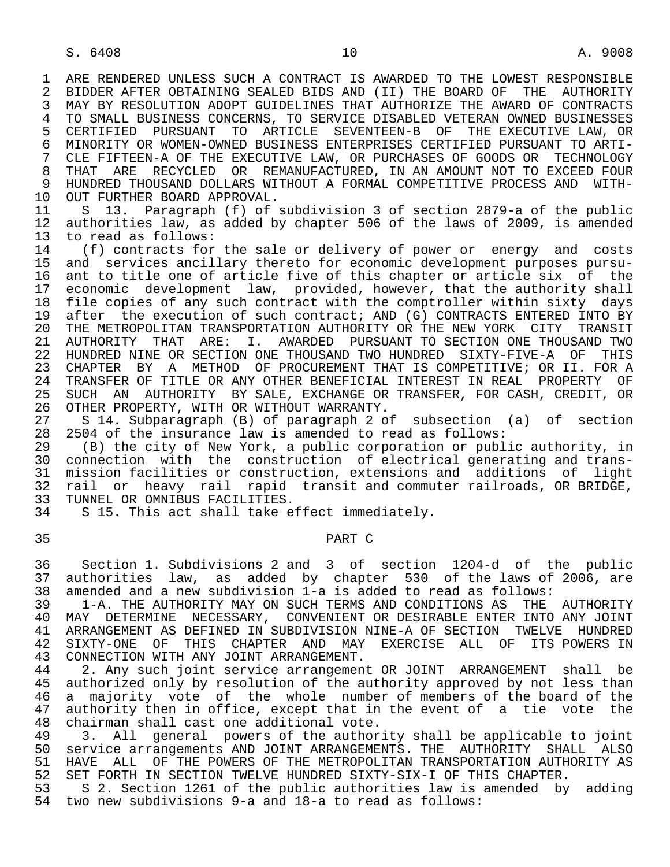1 ARE RENDERED UNLESS SUCH A CONTRACT IS AWARDED TO THE LOWEST RESPONSIBLE<br>2 BIDDER AFTER OBTAINING SEALED BIDS AND (II) THE BOARD OF THE AUTHORITY 2 BIDDER AFTER OBTAINING SEALED BIDS AND (II) THE BOARD OF THE AUTHORITY<br>3 MAY BY RESOLUTION ADOPT GUIDELINES THAT AUTHORIZE THE AWARD OF CONTRACTS MAY BY RESOLUTION ADOPT GUIDELINES THAT AUTHORIZE THE AWARD OF CONTRACTS 4 TO SMALL BUSINESS CONCERNS, TO SERVICE DISABLED VETERAN OWNED BUSINESSES<br>5 CERTIFIED PURSUANT TO ARTICLE SEVENTEEN-B OF THE EXECUTIVE LAW, OR 5 CERTIFIED PURSUANT TO ARTICLE SEVENTEEN-B OF THE EXECUTIVE LAW, OR<br>6 MINORITY OR WOMEN-OWNED BUSINESS ENTERPRISES CERTIFIED PURSUANT TO ARTI-6 MINORITY OR WOMEN-OWNED BUSINESS ENTERPRISES CERTIFIED PURSUANT TO ARTI-<br>7 CLE FIFTEEN-A OF THE EXECUTIVE LAW, OR PURCHASES OF GOODS OR TECHNOLOGY 7 CLE FIFTEEN-A OF THE EXECUTIVE LAW, OR PURCHASES OF GOODS OR TECHNOLOGY<br>8 THAT ARE RECYCLED OR REMANUFACTURED. IN AN AMOUNT NOT TO EXCEED FOUR 8 THAT ARE RECYCLED OR REMANUFACTURED, IN AN AMOUNT NOT TO EXCEED FOUR<br>9 HUNDRED THOUSAND DOLLARS WITHOUT A FORMAL COMPETITIVE PROCESS AND WITH-9 HUNDRED THOUSAND DOLLARS WITHOUT A FORMAL COMPETITIVE PROCESS AND WITH-<br>10 OUT FURTHER BOARD APPROVAL.

10 OUT FURTHER BOARD APPROVAL.<br>11 S 13. Paragraph (f) of 11 S 13. Paragraph (f) of subdivision 3 of section 2879-a of the public<br>12 authorities law, as added by chapter 506 of the laws of 2009, is amended 12 authorities law, as added by chapter 506 of the laws of 2009, is amended<br>13 to read as follows: 13 to read as follows:<br>14 (f) contracts for

14 (f) contracts for the sale or delivery of power or energy and costs<br>15 and services ancillary thereto for economic development purposes pursu- 15 and services ancillary thereto for economic development purposes pursu- 16 ant to title one of article five of this chapter or article six of the<br>17 economic development law, provided, however, that the authority shall 17 economic development law, provided, however, that the authority shall<br>18 file copies of any such contract with the comptroller within sixty days 18 file copies of any such contract with the comptroller within sixty days 19 after the execution of such contract; AND (G) CONTRACTS ENTERED INTO BY<br>20 THE METROPOLITAN TRANSPORTATION AUTHORITY OR THE NEW YORK CITY TRANSIT 20 THE METROPOLITAN TRANSPORTATION AUTHORITY OR THE NEW YORK CITY TRANSIT<br>21 AUTHORITY THAT ARE: I. AWARDED PURSUANT TO SECTION ONE THOUSAND TWO 21 AUTHORITY THAT ARE: I. AWARDED PURSUANT TO SECTION ONE THOUSAND TWO<br>22 HUNDRED NINE OR SECTION ONE THOUSAND TWO HUNDRED SIXTY-FIVE-A OF THIS 22 HUNDRED NINE OR SECTION ONE THOUSAND TWO HUNDRED SIXTY-FIVE-A OF THIS<br>23 CHAPTER BY A METHOD OF PROCUREMENT THAT IS COMPETITIVE; OR II. FOR A CHAPTER BY A METHOD OF PROCUREMENT THAT IS COMPETITIVE; OR II. FOR A 24 TRANSFER OF TITLE OR ANY OTHER BENEFICIAL INTEREST IN REAL PROPERTY OF<br>25 SUCH AN AUTHORITY BY SALE, EXCHANGE OR TRANSFER, FOR CASH, CREDIT, OR 25 SUCH AN AUTHORITY BY SALE, EXCHANGE OR TRANSFER, FOR CASH, CREDIT, OR 26 OTHER PROPERTY, WITH OR WITHOUT WARRANTY.

27 S 14. Subparagraph (B) of paragraph 2 of subsection (a) of section<br>28 2504 of the insurance law is amended to read as follows: 28 2504 of the insurance law is amended to read as follows:<br>29 (B) the city of New York, a public corporation or publ.

29 (B) the city of New York, a public corporation or public authority, in<br>30 connection with the construction of electrical generating and transconnection with the construction of electrical generating and trans-31 mission facilities or construction, extensions and additions of light<br>32 rail or heavy rail rapid transit and commuter railroads, OR BRIDGE, 32 rail or heavy rail rapid transit and commuter railroads, OR BRIDGE,<br>33 TUNNEL OR OMNIBUS FACILITIES. 33 TUNNEL OR OMNIBUS FACILITIES.<br>34 S 15. This act shall take e

S 15. This act shall take effect immediately.

## 35 PART C

 36 Section 1. Subdivisions 2 and 3 of section 1204-d of the public 37 authorities law, as added by chapter 530 of the laws of 2006, are<br>38 amended and a new subdivision 1-a is added to read as follows: 38 amended and a new subdivision 1-a is added to read as follows:

 39 1-A. THE AUTHORITY MAY ON SUCH TERMS AND CONDITIONS AS THE AUTHORITY 40 MAY DETERMINE NECESSARY, CONVENIENT OR DESIRABLE ENTER INTO ANY JOINT<br>41 ARRANGEMENT AS DEFINED IN SUBDIVISION NINE-A OF SECTION TWELVE HUNDRED 41 ARRANGEMENT AS DEFINED IN SUBDIVISION NINE-A OF SECTION TWELVE HUNDRED<br>42 SIXTY-ONE OF THIS CHAPTER AND MAY EXERCISE ALL OF ITS-POWERS IN 42 SIXTY-ONE OF THIS CHAPTER AND MAY EXERCISE ALL OF ITS POWERS IN 43 CONNECTION WITH ANY JOINT ARRANGEMENT. 43 CONNECTION WITH ANY JOINT ARRANGEMENT.<br>44 2. Any such joint service arrangemen

44 2. Any such joint service arrangement OR JOINT ARRANGEMENT shall be<br>45 authorized only by resolution of the authority approved by not less than authorized only by resolution of the authority approved by not less than 46 a majority vote of the whole number of members of the board of the<br>47 authority then in office, except that in the event of a tie vote the 47 authority then in office, except that in the event of a tie vote the<br>48 chairman shall cast one additional vote. 48 chairman shall cast one additional vote.<br>49 3. All general powers of the author

49 3. All general powers of the authority shall be applicable to joint<br>50 service arrangements AND JOINT ARRANGEMENTS. THE AUTHORITY SHALL ALSO 50 service arrangements AND JOINT ARRANGEMENTS. THE AUTHORITY SHALL ALSO<br>51 HAVE ALL OF THE POWERS OF THE METROPOLITAN TRANSPORTATION AUTHORITY AS 51 HAVE ALL OF THE POWERS OF THE METROPOLITAN TRANSPORTATION AUTHORITY AS<br>52 SET FORTH IN SECTION TWELVE HUNDRED SIXTY-SIX-I OF THIS CHAPTER. 52 SET FORTH IN SECTION TWELVE HUNDRED SIXTY-SIX-I OF THIS CHAPTER.<br>53 S 2. Section 1261 of the public authorities law is amended by

 53 S 2. Section 1261 of the public authorities law is amended by adding 54 two new subdivisions 9-a and 18-a to read as follows: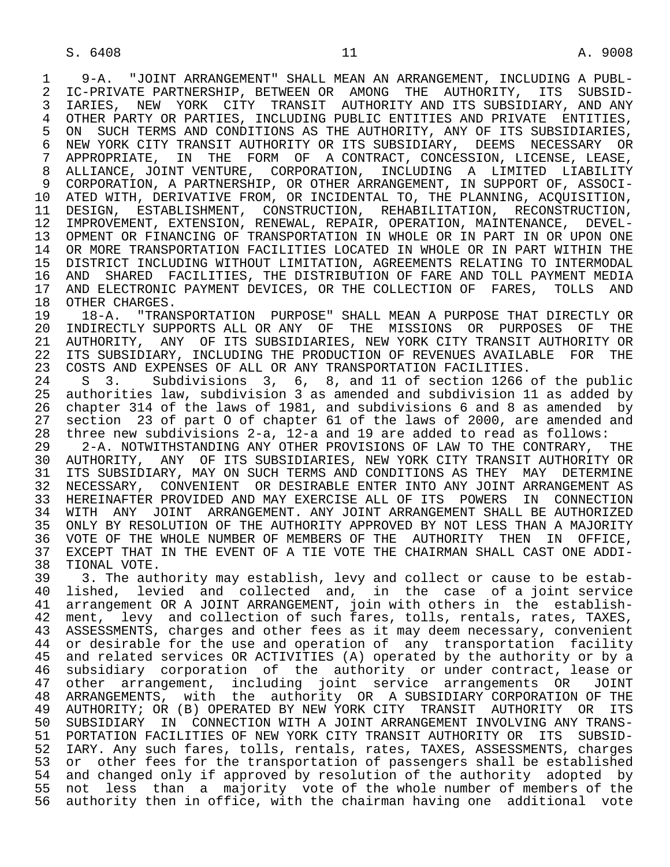1 9-A. "JOINT ARRANGEMENT" SHALL MEAN AN ARRANGEMENT, INCLUDING A PUBL-<br>2 IC-PRIVATE PARTNERSHIP, BETWEEN OR AMONG THE AUTHORITY, ITS SUBSID-2 IC-PRIVATE PARTNERSHIP, BETWEEN OR AMONG THE AUTHORITY, ITS SUBSID-<br>3 IARIES, NEW YORK CITY TRANSIT AUTHORITY AND ITS SUBSIDIARY, AND ANY 3 IARIES, NEW YORK CITY TRANSIT AUTHORITY AND ITS SUBSIDIARY, AND ANY<br>4 OTHER PARTY OR PARTIES, INCLUDING PUBLIC ENTITIES AND PRIVATE ENTITIES, 4 OTHER PARTY OR PARTIES, INCLUDING PUBLIC ENTITIES AND PRIVATE ENTITIES,<br>5 ON SUCH TERMS AND CONDITIONS AS THE AUTHORITY, ANY OF ITS SUBSIDIARIES, 5 ON SUCH TERMS AND CONDITIONS AS THE AUTHORITY, ANY OF ITS SUBSIDIARIES,<br>6 NEW YORK CITY TRANSIT AUTHORITY OR ITS SUBSIDIARY, DEEMS NECESSARY OR 6 NEW YORK CITY TRANSIT AUTHORITY OR ITS SUBSIDIARY, DEEMS NECESSARY OR<br>7 APPROPRIATE, IN THE FORM OF A CONTRACT, CONCESSION, LICENSE, LEASE, 7 APPROPRIATE, IN THE FORM OF A CONTRACT, CONCESSION, LICENSE, LEASE,<br>8 ALLIANCE, JOINT VENTURE, CORPORATION, INCLUDING A LIMITED LIABILITY 8 ALLIANCE, JOINT VENTURE, CORPORATION, INCLUDING A LIMITED LIABILITY<br>9 CORPORATION, A PARTNERSHIP, OR OTHER ARRANGEMENT, IN SUPPORT OF, ASSOCI- 9 CORPORATION, A PARTNERSHIP, OR OTHER ARRANGEMENT, IN SUPPORT OF, ASSOCI- 10 ATED WITH, DERIVATIVE FROM, OR INCIDENTAL TO, THE PLANNING, ACQUISITION,<br>11 DESIGN, ESTABLISHMENT, CONSTRUCTION, REHABILITATION, RECONSTRUCTION, 11 DESIGN, ESTABLISHMENT, CONSTRUCTION, REHABILITATION, RECONSTRUCTION,<br>12 IMPROVEMENT, EXTENSION, RENEWAL, REPAIR, OPERATION, MAINTENANCE, DEVEL- 12 IMPROVEMENT, EXTENSION, RENEWAL, REPAIR, OPERATION, MAINTENANCE, DEVEL- 13 OPMENT OR FINANCING OF TRANSPORTATION IN WHOLE OR IN PART IN OR UPON ONE<br>14 OR MORE TRANSPORTATION FACILITIES LOCATED IN WHOLE OR IN PART WITHIN THE OR MORE TRANSPORTATION FACILITIES LOCATED IN WHOLE OR IN PART WITHIN THE 15 DISTRICT INCLUDING WITHOUT LIMITATION, AGREEMENTS RELATING TO INTERMODAL<br>16 AND SHARED FACILITIES, THE DISTRIBUTION OF FARE AND TOLL PAYMENT MEDIA 16 AND SHARED FACILITIES, THE DISTRIBUTION OF FARE AND TOLL PAYMENT MEDIA<br>17 AND ELECTRONIC PAYMENT DEVICES, OR THE COLLECTION OF FARES, TOLLS AND 17 AND ELECTRONIC PAYMENT DEVICES, OR THE COLLECTION OF FARES, TOLLS AND 18 OTHER CHARGES.

18 OTHER CHARGES.<br>19 18-A. "TRAN 19 18-A. "TRANSPORTATION PURPOSE" SHALL MEAN A PURPOSE THAT DIRECTLY OR 20 INDIRECTLY SUPPORTS ALL OR ANY OF THE MISSIONS OR PURPOSES OF THE 21 AUTHORITY. ANY OF ITS SUBSIDIARIES, NEW YORK CITY TRANSIT AUTHORITY OR 21 AUTHORITY, ANY OF ITS SUBSIDIARIES, NEW YORK CITY TRANSIT AUTHORITY OR<br>22 ITS SUBSIDIARY, INCLUDING THE PRODUCTION OF REVENUES AVAILABLE FOR THE 22 ITS SUBSIDIARY, INCLUDING THE PRODUCTION OF REVENUES AVAILABLE FOR<br>23 COSTS AND EXPENSES OF ALL OR ANY TRANSPORTATION FACILITIES. 23 COSTS AND EXPENSES OF ALL OR ANY TRANSPORTATION FACILITIES.<br>24 S. 3. Subdivisions 3. 6. 8. and 11 of section 1266

24 S 3. Subdivisions 3, 6, 8, and 11 of section 1266 of the public<br>25 authorities law, subdivision 3 as amended and subdivision 11 as added by authorities law, subdivision 3 as amended and subdivision 11 as added by 26 chapter 314 of the laws of 1981, and subdivisions 6 and 8 as amended by<br>27 section 23 of part 0 of chapter 61 of the laws of 2000, are amended and 27 section 23 of part 0 of chapter 61 of the laws of 2000, are amended and  $28$  three new subdivisions 2-a, 12-a and 19 are added to read as follows: 28 three new subdivisions 2-a, 12-a and 19 are added to read as follows:

29 2-A. NOTWITHSTANDING ANY OTHER PROVISIONS OF LAW TO THE CONTRARY, THE 2018 2018 AUTHORITY ANY OF ITS SUBSIDIARIES, NEW YORK CITY TRANSIT AUTHORITY OR 30 AUTHORITY, ANY OF ITS SUBSIDIARIES, NEW YORK CITY TRANSIT AUTHORITY OR<br>31 ITS SUBSIDIARY, MAY ON SUCH TERMS AND CONDITIONS AS THEY MAY DETERMINE 31 ITS SUBSIDIARY, MAY ON SUCH TERMS AND CONDITIONS AS THEY MAY DETERMINE<br>32 NECESSARY, CONVENIENT OR DESIRABLE ENTER INTO ANY JOINT ARRANGEMENT AS 32 NECESSARY, CONVENIENT OR DESIRABLE ENTER INTO ANY JOINT ARRANGEMENT AS<br>33 HEREINAFTER PROVIDED AND MAY EXERCISE ALL OF ITS POWERS IN CONNECTION 33 HEREINAFTER PROVIDED AND MAY EXERCISE ALL OF ITS POWERS IN CONNECTION<br>34 WITH ANY JOINT ARRANGEMENT. ANY JOINT ARRANGEMENT SHALL BE AUTHORIZED 34 WITH ANY JOINT ARRANGEMENT. ANY JOINT ARRANGEMENT SHALL BE AUTHORIZED<br>35 ONLY BY RESOLUTION OF THE AUTHORITY APPROVED BY NOT LESS THAN A MAJORITY 35 ONLY BY RESOLUTION OF THE AUTHORITY APPROVED BY NOT LESS THAN A MAJORITY<br>36 VOTE OF THE WHOLE NUMBER OF MEMBERS OF THE AUTHORITY THEN IN OFFICE. 36 VOTE OF THE WHOLE NUMBER OF MEMBERS OF THE AUTHORITY THEN IN OFFICE,<br>37 EXCEPT THAT IN THE EVENT OF A TIE VOTE THE CHAIRMAN SHALL CAST ONE ADDI- 37 EXCEPT THAT IN THE EVENT OF A TIE VOTE THE CHAIRMAN SHALL CAST ONE ADDI- 38 TIONAL VOTE.<br>39 3. The aut

39 3. The authority may establish, levy and collect or cause to be estab-<br>40 lished, levied and collected and, in the case of a joint service 40 lished, levied and collected and, in the case of a joint service 41 arrangement OR A JOINT ARRANGEMENT, join with others in the establish- 42 ment, levy and collection of such fares, tolls, rentals, rates, TAXES, 43 ASSESSMENTS, charges and other fees as it may deem necessary, convenient 44 or desirable for the use and operation of any transportation facility<br>45 and related services OR ACTIVITIES (A) operated by the authority or by a and related services OR ACTIVITIES (A) operated by the authority or by a 46 subsidiary corporation of the authority or under-contract, lease or<br>47 other arrangement, including joint service arrangements OR JOINT 47 other arrangement, including joint service arrangements OR<br>48 ARRANGEMENTS, with the authority OR A-SUBSIDIARY-CORPORATION 48 ARRANGEMENTS, with the authority OR A-SUBSIDIARY-CORPORATION-OF-THE-<br>49 AUTHORITY; OR (B) OPERATED-BY-NEW-YORK-CITY-TRANSIT-AUTHORITY-OR-ITS 49 AUTHORITY; OR (B) OPERATED BY NEW YORK CITY TRANSIT AUTHORITY OR ITS<br>50 SUBSIDIARY IN CONNECTION WITH A JOINT ARRANGEMENT INVOLVING ANY TRANS- 50 SUBSIDIARY IN CONNECTION WITH A JOINT ARRANGEMENT INVOLVING ANY TRANS- 51 PORTATION FACILITIES OF NEW YORK CITY TRANSIT AUTHORITY OR ITS SUBSID- 52 IARY. Any such fares, tolls, rentals, rates, TAXES, ASSESSMENTS, charges 53 or other fees for the transportation of passengers shall be established<br>54 and changed only if approved by resolution of the authority adopted by 54 and changed only if approved by resolution of the authority adopted by<br>55 not less than a majority vote of the whole number of members of the 55 not less than a majority vote of the whole number of members of the 56 authority then in office, with the chairman having one additional vote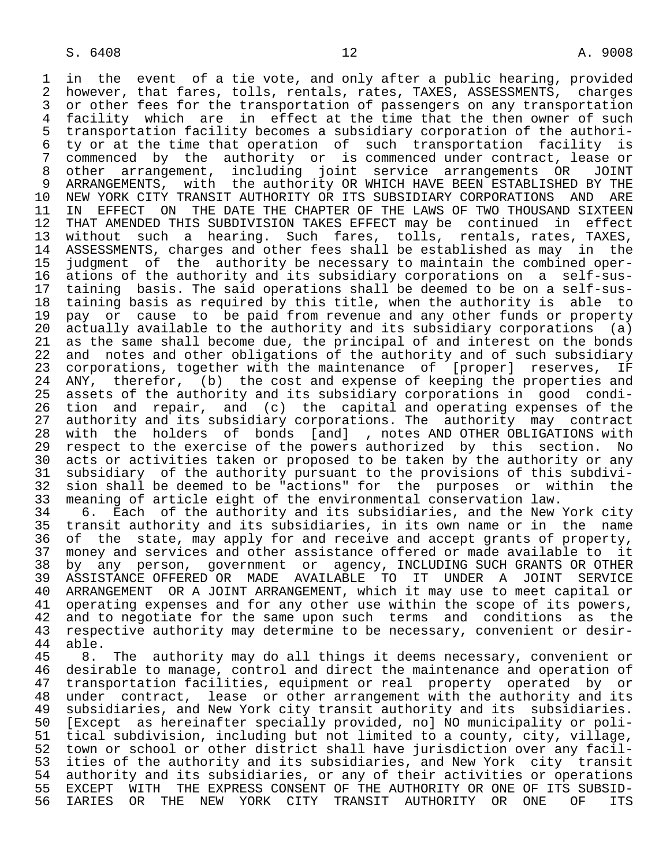1 in the event of a tie vote, and only after a public hearing, provided<br>2 however, that fares, tolls, rentals, rates, TAXES, ASSESSMENTS, charges 2 however, that fares, tolls, rentals, rates, TAXES, ASSESSMENTS, charges<br>3 or other fees for the transportation of passengers on any transportation 3 or other fees for the transportation of passengers on any transportation<br>4 facility which are in effect at the time that the then owner of such 4 facility which are in effect at the time that the then owner of such<br>5 transportation facility becomes a subsidiary corporation of the authori- 5 transportation facility becomes a subsidiary corporation of the authori- 6 ty or at the time that operation of such transportation facility is<br>7 commenced by the authority or is commenced under contract, lease or 7 commenced by the authority or is commenced under contract, lease or<br>8 other arrangement, including joint service arrangements OR JOINT 8 other arrangement, including joint service arrangements OR JOINT 9 ARRANGEMENTS, with the authority OR WHICH HAVE BEEN ESTABLISHED BY THE<br>10 NEW YORK CITY TRANSIT AUTHORITY OR ITS SUBSIDIARY CORPORATIONS AND ARE 10 NEW YORK CITY TRANSIT AUTHORITY OR ITS SUBSIDIARY CORPORATIONS<br>11 IN EFFECT ON THE DATE THE CHAPTER OF THE LAWS OF TWO THOUSAN 11 IN EFFECT ON THE DATE THE CHAPTER OF THE LAWS OF TWO THOUSAND SIXTEEN<br>12 THAT AMENDED THIS SUBDIVISION TAKES EFFECT may be continued in effect 12 THAT AMENDED THIS SUBDIVISION TAKES EFFECT may be continued in effect<br>13 without such a hearing. Such fares, tolls, rentals, rates, TAXES, 13 without such a hearing. Such fares, tolls, rentals, rates, TAXES, 14 ASSESSMENTS, charges and other fees shall be established as may in the 15 judgment of the authority be necessary to maintain the combined oper- 16 ations of the authority and its subsidiary corporations on a self-sus- 17 taining basis. The said operations shall be deemed to be on a self-sus-<br>18 taining basis as required by this title, when the authority is able to 18 taining basis as required by this title, when the authority is able to<br>19 pay or cause to be paid from revenue and any other funds or property 19 pay or cause to be paid from revenue and any other funds or property<br>20 actually available to the authority and its subsidiary corporations (a) 20 actually available to the authority and its subsidiary corporations (a)  $21$  as the same shall become due, the principal of and interest on the bonds 21 as the same shall become due, the principal of and interest on the bonds<br>22 and notes and other obligations of the authority and of such subsidiary 22 and notes and other obligations of the authority and of such subsidiary<br>23 corporations, together with the maintenance of [proper] reserves, IF 23 corporations, together with the maintenance of [proper] reserves, IF<br>24 ANY, therefor, (b) the cost and expense of keeping the properties and 24 ANY, therefor, (b) the cost and expense of keeping the properties and<br>25 assets of the authority and its subsidiary corporations in good condiassets of the authority and its subsidiary corporations in good condi-26 tion and repair, and (c) the capital and operating expenses of the<br>27 authority and its subsidiary corporations. The authority may contract 27 authority and its subsidiary corporations. The authority may contract<br>28 with the holders of bonds [and] , notes AND OTHER OBLIGATIONS with 28 with the holders of bonds [and] , notes AND OTHER OBLIGATIONS with<br>29 respect to the exercise of the powers authorized by this section. No 29 respect to the exercise of the powers authorized by this section. No<br>20 acts or activities taken or proposed to be taken by the authority or any 30 acts or activities taken or proposed to be taken by the authority or any<br>31 subsidiary of the authority pursuant to the provisions of this subdivi- 31 subsidiary of the authority pursuant to the provisions of this subdivi- 32 sion shall be deemed to be "actions" for the purposes or within the<br>33 meaning of article eight of the environmental conservation law. 33 meaning of article eight of the environmental conservation law.<br>34 6. Each of the authority and its subsidiaries, and the New

34 6. Each of the authority and its subsidiaries, and the New York city<br>35 transit authority and its subsidiaries, in its own name or in the name 35 transit authority and its subsidiaries, in its own name or in the name<br>36 of the state, may apply for and receive and accept grants of property, of the state, may apply for and receive and accept grants of property, 37 money and services and other assistance offered or made available to it<br>38 by any person, government or agency, INCLUDING SUCH GRANTS OR OTHER 38 by any person, government or agency, INCLUDING SUCH GRANTS OR OTHER 39 ASSISTANCE OFFERED OR MADE AVAILABLE TO IT UNDER A JOINT SERVICE<br>40 ARRANGEMENT OR A JOINT ARRANGEMENT, which it may use to meet capital or 40 ARRANGEMENT OR A JOINT ARRANGEMENT, which it may use to meet capital or<br>41 operating expenses and for any other use within the scope of its powers. 41 operating expenses and for any other use within the scope of its powers,<br>42 and to negotiate for the same upon such terms and conditions as the 42 and to negotiate for the same upon such terms and conditions as the<br>43 respective authority may determine to be necessary, convenient or desir-43 respective authority may determine to be necessary, convenient or desir-<br>44 able. 44 able.

45 8. The authority may do all things it deems necessary, convenient or<br>46 desirable to manage, control and direct the maintenance and operation of 46 desirable to manage, control and direct the maintenance and operation of<br>47 transportation facilities, equipment or real property operated by or 47 transportation facilities, equipment or real property operated by or<br>48 under contract, lease or other arrangement with the authority and its 48 under contract, lease or other arrangement with the authority and its<br>49 subsidiaries, and New York city transit authority and its subsidiaries. 49 subsidiaries, and New York city transit authority and its subsidiaries.<br>50 [Except as hereinafter specially provided, nol NO municipality or poli-50 [Except as hereinafter specially provided, no] NO municipality or poli-<br>51 tical subdivision, including but not limited to a county, city, village, 51 tical subdivision, including but not limited to a county, city, village,<br>52 town or school or other district shall have jurisdiction over any facil-52 town or school or other district shall have jurisdiction over any facil-<br>53 ities of the authority and its subsidiaries, and New York city transit 53 ities of the authority and its subsidiaries, and New York city transit<br>54 authority and its subsidiaries, or any of their activities or operations 54 authority and its subsidiaries, or any of their activities or operations<br>55 EXCEPT WITH THE EXPRESS CONSENT OF THE AUTHORITY OR ONE OF ITS SUBSID-55 EXCEPT WITH THE EXPRESS CONSENT OF THE AUTHORITY OR ONE OF ITS SUBSID-<br>56 IARIES OR THE NEW YORK CITY TRANSIT AUTHORITY OR ONE OF ITS 56 IARIES OR THE NEW YORK CITY TRANSIT AUTHORITY OR ONE OF ITS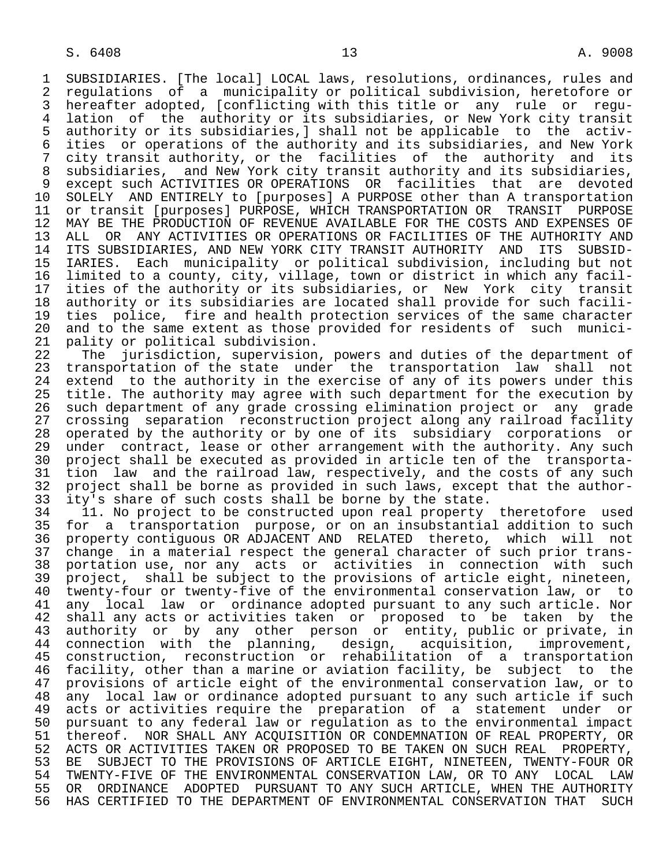1 SUBSIDIARIES. [The local] LOCAL laws, resolutions, ordinances, rules and<br>2 regulations of a municipality or political subdivision, heretofore or 2 regulations of a municipality or political subdivision, heretofore or<br>3 hereafter adopted, [conflicting with this title or any rule or regu- 3 hereafter adopted, [conflicting with this title or any rule or regu- 4 lation of the authority or its subsidiaries, or New York city transit<br>5 authority or its subsidiaries,] shall not be applicable to the activ- 5 authority or its subsidiaries,] shall not be applicable to the activ- 6 ities or operations of the authority and its subsidiaries, and New York city transit authority, or the facilities of the authority and its 8 subsidiaries, and New York city transit authority and its subsidiaries, 9 except such ACTIVITIES OR OPERATIONS OR facilities that are devoted<br>10 SOLELY AND ENTIRELY to [purposes] A PURPOSE other than A transportation 10 SOLELY AND ENTIRELY to [purposes] A PURPOSE other than A transportation<br>11 or transit [purposes] PURPOSE, WHICH TRANSPORTATION OR TRANSIT PURPOSE 11 or transit [purposes] PURPOSE, WHICH TRANSPORTATION OR TRANSIT PURPOSE<br>12 MAY BE THE PRODUCTION OF REVENUE AVAILABLE FOR THE COSTS AND EXPENSES OF 12 MAY BE THE PRODUCTION OF REVENUE AVAILABLE FOR THE COSTS AND EXPENSES OF<br>13 ALL OR ANY ACTIVITIES OR OPERATIONS OR FACILITIES OF THE AUTHORITY AND 13 ALL OR ANY ACTIVITIES OR OPERATIONS OR FACILITIES OF THE AUTHORITY AND<br>14 ITS SUBSIDIARIES, AND NEW YORK CITY TRANSIT AUTHORITY AND ITS SUBSID-ITS SUBSIDIARIES, AND NEW YORK CITY TRANSIT AUTHORITY AND ITS SUBSID- 15 IARIES. Each municipality or political subdivision, including but not 16 limited to a county, city, village, town or district in which any facil-<br>17 ities of the authority or its subsidiaries, or New York city transit 17 ities of the authority or its subsidiaries, or New York city transit<br>18 authority or its subsidiaries are located shall provide for such facili- 18 authority or its subsidiaries are located shall provide for such facili- 19 ties police, fire and health protection services of the same character<br>20 and to the same extent as those provided for residents of such munici-20 and to the same extent as those provided for residents of such munici-<br>21 pality or political subdivision. 21 pality or political subdivision.<br>22 The jurisdiction, supervision

22 The jurisdiction, supervision, powers and duties of the department of<br>23 transportation of the state under the transportation law shall not transportation of the state under the transportation law shall not 24 extend to the authority in the exercise of any of its powers under this<br>25 title. The authority may agree with such department for the execution by title. The authority may agree with such department for the execution by 26 such department of any grade crossing elimination project or any grade 27 crossing separation reconstruction project along any railroad facility<br>28 operated by the authority or by one of its subsidiary corporations or 28 operated by the authority or by one of its subsidiary corporations or<br>29 under contract, lease or other arrangement with the authority. Any such 29 under contract, lease or other arrangement with the authority. Any such<br>20 project shall be executed as provided in article ten of the transporta-30 project shall be executed as provided in article ten of the transporta-<br>31 tion law and the railroad law, respectively, and the costs of any such 31 tion law and the railroad law, respectively, and the costs of any such<br>32 project shall be borne as provided in such laws, except that the author-32 project shall be borne as provided in such laws, except that the author-<br>33 ity's share of such costs shall be borne by the state.

33 ity's share of such costs shall be borne by the state.<br>34 11. No project to be constructed upon real property 34 11. No project to be constructed upon real property theretofore used<br>35 for a transportation purpose, or on an insubstantial addition to such 35 for a transportation purpose, or on an insubstantial addition to such 36 property contiguous OR ADJACENT AND RELATED thereto, which will not 37 change in a material respect the general character of such prior trans- 38 portation use, nor any acts or activities in connection with such<br>39 project, shall be subject to the provisions of article eight, nineteen, 39 project, shall be subject to the provisions of article eight, nineteen,<br>40 twenty-four or twenty-five of the environmental conservation law, or to 40 twenty-four or twenty-five of the environmental conservation law, or to<br>41 any local law or ordinance adopted pursuant to any such article. Nor 41 any local law or ordinance adopted pursuant to any such article. Nor<br>42 shall any acts or activities taken or proposed to be taken by the 42 shall any acts or activities taken or proposed to be taken by the<br>43 authority or by any other person or entity, public or private, in 43 authority or by any other person or entity, public or private, in<br>44 connection with the planning, design, acquisition, improvement, 44 connection with the planning, design, acquisition, improvement, 45 construction, reconstruction or rehabilitation of a transportation 46 facility, other than a marine or aviation facility, be subject to the 47 provisions of article eight of the environmental conservation law, or to 48 any local law or ordinance adopted pursuant to any such article if such<br>49 acts or activities require the preparation of a statement under or 49 acts or activities require the preparation of a statement under or<br>50 pursuant to any federal law or regulation as to the environmental impact 50 pursuant to any federal law or regulation as to the environmental impact<br>51 thereof. NOR SHALL ANY ACOUISITION OR CONDEMNATION OF REAL PROPERTY, OR 51 thereof. NOR SHALL ANY ACQUISITION OR CONDEMNATION OF REAL PROPERTY, OR<br>52 ACTS OR ACTIVITIES TAKEN OR PROPOSED TO BE TAKEN ON SUCH REAL PROPERTY, ACTS OR ACTIVITIES TAKEN OR PROPOSED TO BE TAKEN ON SUCH REAL PROPERTY, 53 BE SUBJECT TO THE PROVISIONS OF ARTICLE EIGHT, NINETEEN, TWENTY-FOUR OR<br>54 TWENTY-FIVE OF THE ENVIRONMENTAL CONSERVATION LAW, OR TO ANY LOCAL LAW 54 TWENTY-FIVE OF THE ENVIRONMENTAL CONSERVATION LAW, OR TO ANY LOCAL LAW<br>55 OR ORDINANCE ADOPTED PURSUANT TO ANY SUCH ARTICLE, WHEN THE AUTHORITY 55 OR ORDINANCE ADOPTED PURSUANT TO ANY SUCH ARTICLE, WHEN THE AUTHORITY<br>56 HAS CERTIFIED TO THE DEPARTMENT OF ENVIRONMENTAL CONSERVATION THAT SUCH HAS CERTIFIED TO THE DEPARTMENT OF ENVIRONMENTAL CONSERVATION THAT SUCH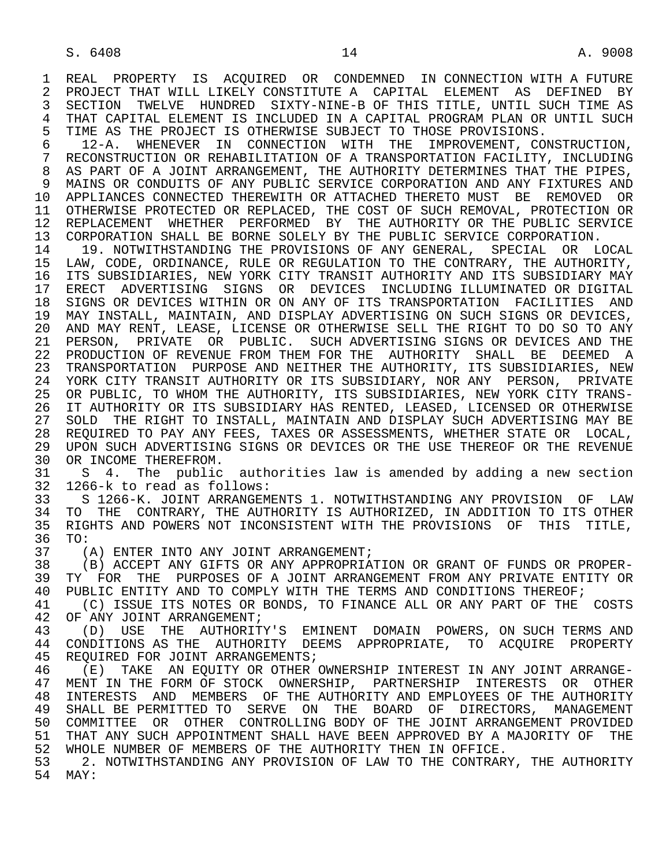1 REAL PROPERTY IS ACQUIRED OR CONDEMNED IN CONNECTION WITH A FUTURE<br>2 PROJECT THAT WILL LIKELY CONSTITUTE A CAPITAL ELEMENT AS DEFINED BY 2 PROJECT THAT WILL LIKELY CONSTITUTE A CAPITAL ELEMENT AS DEFINED BY<br>3 SECTION TWELVE HUNDRED SIXTY-NINE-BOF THIS TITLE, UNTIL SUCH TIME AS 3 SECTION TWELVE HUNDRED SIXTY-NINE-B OF THIS TITLE, UNTIL SUCH TIME AS 4 THAT CAPITAL ELEMENT IS INCLUDED IN A CAPITAL PROGRAM PLAN OR UNTIL SUCH<br>5 TIME AS THE PROJECT IS OTHERWISE SUBJECT TO THOSE PROVISIONS. 5 TIME AS THE PROJECT IS OTHERWISE SUBJECT TO THOSE PROVISIONS.<br>6 12-A. WHENEVER IN CONNECTION WITH THE IMPROVEMENT, CO.

 6 12-A. WHENEVER IN CONNECTION WITH THE IMPROVEMENT, CONSTRUCTION, 7 RECONSTRUCTION OR REHABILITATION OF A TRANSPORTATION FACILITY, INCLUDING 8 AS PART OF A JOINT ARRANGEMENT, THE AUTHORITY DETERMINES THAT THE PIPES,<br>9 MAINS OR CONDUITS OF ANY PUBLIC SERVICE CORPORATION AND ANY FIXTURES AND 9 MAINS OR CONDUITS OF ANY PUBLIC SERVICE CORPORATION AND ANY FIXTURES AND<br>10 APPLIANCES CONNECTED THEREWITH OR ATTACHED THERETO MUST BE REMOVED OR 10 APPLIANCES CONNECTED THEREWITH OR ATTACHED THERETO MUST BE REMOVED OR<br>11 OTHERWISE PROTECTED OR REPLACED, THE COST OF SUCH REMOVAL, PROTECTION OR OTHERWISE PROTECTED OR REPLACED, THE COST OF SUCH REMOVAL, PROTECTION OR 12 REPLACEMENT WHETHER PERFORMED BY THE AUTHORITY OR THE PUBLIC SERVICE<br>13 CORPORATION SHALL BE BORNE SOLELY BY THE PUBLIC SERVICE CORPORATION. 13 CORPORATION SHALL BE BORNE SOLELY BY THE PUBLIC SERVICE CORPORATION.<br>14 19 NOTWITHSTANDING THE PROVISIONS OF ANY GENERAL, SPECIAL OR LO

 14 19. NOTWITHSTANDING THE PROVISIONS OF ANY GENERAL, SPECIAL OR LOCAL 15 LAW, CODE, ORDINANCE, RULE OR REGULATION TO THE CONTRARY, THE AUTHORITY,<br>16 ITS SUBSIDIARIES, NEW YORK CITY TRANSIT AUTHORITY AND ITS SUBSIDIARY MAY 16 ITS SUBSIDIARIES, NEW YORK CITY TRANSIT AUTHORITY AND ITS SUBSIDIARY MAY<br>17 ERECT ADVERTISING SIGNS OR DEVICES INCLUDING ILLUMINATED OR DIGITAL 17 ERECT ADVERTISING SIGNS OR DEVICES INCLUDING ILLUMINATED OR DIGITAL<br>18 SIGNS OR DEVICES WITHIN OR ON ANY OF ITS TRANSPORTATION FACILITIES AND 18 SIGNS OR DEVICES WITHIN OR ON ANY OF ITS TRANSPORTATION FACILITIES AND 19 MAY INSTALL, MAINTAIN, AND DISPLAY ADVERTISING ON SUCH SIGNS OR DEVICES, 20 AND MAY RENT, LEASE, LICENSE OR OTHERWISE SELL THE RIGHT TO DO SO TO ANY<br>21 PERSON, PRIVATE OR PUBLIC. SUCH ADVERTISING SIGNS OR DEVICES AND THE 21 PERSON, PRIVATE OR PUBLIC. SUCH ADVERTISING SIGNS OR DEVICES AND THE 22 PRODUCTION OF REVENUE FROM THEM FOR THE AUTHORITY SHALL BE DEEMED A 22 PRODUCTION OF REVENUE FROM THEM FOR THE AUTHORITY SHALL BE DEEMED A<br>23 TRANSPORTATION PURPOSE AND NEITHER THE AUTHORITY, ITS SUBSIDIARIES, NEW 23 TRANSPORTATION PURPOSE AND NEITHER THE AUTHORITY, ITS SUBSIDIARIES, NEW 24 YORK CITY TRANSIT AUTHORITY OR ITS SUBSIDIARY, NOR ANY PERSON, PRIVATE<br>25 OR PUBLIC, TO WHOM THE AUTHORITY, ITS SUBSIDIARIES, NEW YORK CITY TRANS-OR PUBLIC, TO WHOM THE AUTHORITY, ITS SUBSIDIARIES, NEW YORK CITY TRANS- 26 IT AUTHORITY OR ITS SUBSIDIARY HAS RENTED, LEASED, LICENSED OR OTHERWISE 27 SOLD THE RIGHT TO INSTALL, MAINTAIN AND DISPLAY SUCH ADVERTISING MAY BE 28 REOUIRED TO PAY ANY FEES. TAXES OR ASSESSMENTS, WHETHER STATE OR LOCAL. 28 REQUIRED TO PAY ANY FEES, TAXES OR ASSESSMENTS, WHETHER STATE OR LOCAL, 29 UPON SUCH ADVERTISING SIGNS OR DEVICES OR THE USE THEREOF OR THE REVENUE 29 UPON SUCH ADVERTISING SIGNS OR DEVICES OR THE USE THEREOF OR THE REVENUE 30 OR INCOME THEREFROM. 30 OR INCOME THEREFROM.<br>31 S 4. The public

31 S 4. The public authorities law is amended by adding a new section<br>32 1266-k to read as follows: 32 1266-k to read as follows:

 33 S 1266-K. JOINT ARRANGEMENTS 1. NOTWITHSTANDING ANY PROVISION OF LAW 34 TO THE CONTRARY, THE AUTHORITY IS AUTHORIZED, IN ADDITION TO ITS OTHER<br>35 RIGHTS AND POWERS NOT INCONSISTENT WITH THE PROVISIONS OF THIS TITLE, 35 RIGHTS AND POWERS NOT INCONSISTENT WITH THE PROVISIONS OF THIS TITLE,<br>36 TO: 36 TO:<br>37 (

37 (A) ENTER INTO ANY JOINT ARRANGEMENT;<br>38 (B) ACCEPT ANY GIFTS OR ANY APPROPRIA 38 (B) ACCEPT ANY GIFTS OR ANY APPROPRIATION OR GRANT OF FUNDS OR PROPER-<br>39 TY FOR THE PURPOSES OF A JOINT ARRANGEMENT FROM ANY PRIVATE ENTITY OR 39 TY FOR THE PURPOSES OF A JOINT ARRANGEMENT FROM ANY PRIVATE ENTITY OR<br>40 PUBLIC ENTITY AND TO COMPLY WITH THE TERMS AND CONDITIONS THEREOF; 40 PUBLIC ENTITY AND TO COMPLY WITH THE TERMS AND CONDITIONS THEREOF;<br>41 (C) ISSUE ITS NOTES OR BONDS, TO FINANCE ALL OR ANY PART OF THE

41 (C) ISSUE ITS NOTES OR BONDS, TO FINANCE ALL OR ANY PART OF THE COSTS 42 OF ANY JOINT ARRANGEMENT; 42 OF ANY JOINT ARRANGEMENT;<br>43 (D) USE THE AUTHORITY

43 (D) USE THE AUTHORITY'S EMINENT DOMAIN POWERS, ON SUCH TERMS AND<br>44 CONDITIONS AS THE AUTHORITY DEEMS APPROPRIATE, TO ACOUIRE PROPERTY 44 CONDITIONS AS THE AUTHORITY DEEMS APPROPRIATE, TO ACQUIRE PROPERTY<br>45 REOUIRED FOR JOINT ARRANGEMENTS; REQUIRED FOR JOINT ARRANGEMENTS;

46 (E) TAKE AN EQUITY OR OTHER OWNERSHIP INTEREST IN ANY JOINT ARRANGE-<br>47 MENT IN THE FORM OF STOCK OWNERSHIP, PARTNERSHIP INTERESTS OR OTHER 47 MENT IN THE FORM OF STOCK OWNERSHIP, PARTNERSHIP INTERESTS OR OTHER<br>48 INTERESTS AND MEMBERS OF THE AUTHORITY AND EMPLOYEES OF THE AUTHORITY 48 INTERESTS AND MEMBERS OF THE AUTHORITY AND EMPLOYEES OF THE AUTHORITY<br>49 SHALL BE PERMITTED TO SERVE ON THE BOARD OF DIRECTORS, MANAGEMENT SHALL BE PERMITTED TO SERVE ON THE BOARD OF DIRECTORS, MANAGEMENT 50 COMMITTEE OR OTHER CONTROLLING BODY OF THE JOINT ARRANGEMENT PROVIDED 51 THAT ANY SUCH APPOINTMENT SHALL HAVE BEEN APPROVED BY A MAJORITY OF THE 52 WHOLE NUMBER OF MEMBERS OF THE AUTHORITY THEN IN OFFICE.<br>53 12. NOTWITHSTANDING ANY PROVISION OF LAW TO THE CONTRARY

53 2. NOTWITHSTANDING ANY PROVISION OF LAW TO THE CONTRARY, THE AUTHORITY<br>54 MAY:  $MAX:$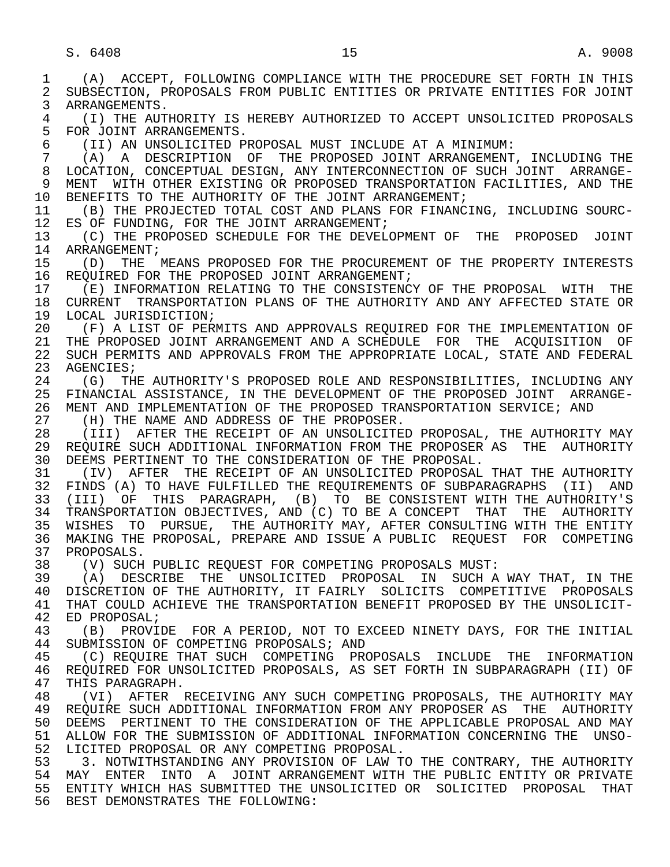1 (A) ACCEPT, FOLLOWING COMPLIANCE WITH THE PROCEDURE SET FORTH IN THIS 2 SUBSECTION, PROPOSALS FROM PUBLIC ENTITIES OR PRIVATE ENTITIES FOR JOINT<br>3 ARRANGEMENTS. ARRANGEMENTS. 4 (I) THE AUTHORITY IS HEREBY AUTHORIZED TO ACCEPT UNSOLICITED PROPOSALS<br>5 FOR JOINT ARRANGEMENTS. 5 FOR JOINT ARRANGEMENTS.<br>6 (II) AN UNSOLICITED P 6 (II) AN UNSOLICITED PROPOSAL MUST INCLUDE AT A MINIMUM: 7 (A) A DESCRIPTION OF THE PROPOSED JOINT ARRANGEMENT, INCLUDING THE 8 LOCATION, CONCEPTUAL DESIGN, ANY INTERCONNECTION OF SUCH JOINT ARRANGE- 9 MENT WITH OTHER EXISTING OR PROPOSED TRANSPORTATION FACILITIES, AND THE 10 BENEFITS TO THE AUTHORITY OF THE JOINT ARRANGEMENT; 10 BENEFITS TO THE AUTHORITY OF THE JOINT ARRANGEMENT;<br>11 (B) THE PROJECTED TOTAL COST AND PLANS FOR FINANC 11 (B) THE PROJECTED TOTAL COST AND PLANS FOR FINANCING, INCLUDING SOURC-<br>12 ES OF FUNDING, FOR THE JOINT ARRANGEMENT; ES OF FUNDING, FOR THE JOINT ARRANGEMENT; 13 (C) THE PROPOSED SCHEDULE FOR THE DEVELOPMENT OF THE PROPOSED JOINT 14 ARRANGEMENT: ARRANGEMENT; 15 (D) THE MEANS PROPOSED FOR THE PROCUREMENT OF THE PROPERTY INTERESTS<br>16 REOUIRED FOR THE PROPOSED JOINT ARRANGEMENT; 16 REQUIRED FOR THE PROPOSED JOINT ARRANGEMENT;<br>17 (E) INFORMATION RELATING TO THE CONSISTENC 17 (E) INFORMATION RELATING TO THE CONSISTENCY OF THE PROPOSAL WITH THE 18<br>18 CURRENT TRANSPORTATION PLANS OF THE AUTHORITY AND ANY AFFECTED STATE OR 18 CURRENT TRANSPORTATION PLANS OF THE AUTHORITY AND ANY AFFECTED STATE OR<br>19 LOCAL JURISDICTION; 19 LOCAL JURISDICTION;<br>20 (F) A LIST OF PER 20 (F) A LIST OF PERMITS AND APPROVALS REQUIRED FOR THE IMPLEMENTATION OF 21 THE PROPOSED JOINT ARRANGEMENT AND A SCHEDULE FOR THE ACOUISITION OF 21 THE PROPOSED JOINT ARRANGEMENT AND A SCHEDULE FOR THE ACQUISITION OF<br>22 SUCH PERMITS AND APPROVALS FROM THE APPROPRIATE LOCAL, STATE AND FEDERAL 22 SUCH PERMITS AND APPROVALS FROM THE APPROPRIATE LOCAL, STATE AND FEDERAL 23 AGENCIES; AGENCIES; 24 (G) THE AUTHORITY'S PROPOSED ROLE AND RESPONSIBILITIES, INCLUDING ANY<br>25 FINANCIAL ASSISTANCE, IN THE DEVELOPMENT OF THE PROPOSED JOINT ARRANGE- 25 FINANCIAL ASSISTANCE, IN THE DEVELOPMENT OF THE PROPOSED JOINT ARRANGE- 26 MENT AND IMPLEMENTATION OF THE PROPOSED TRANSPORTATION SERVICE; AND 27 (H) THE NAME AND ADDRESS OF THE PROPOSER. 27 (H) THE NAME AND ADDRESS OF THE PROPOSER.<br>28 (III) AFTER THE RECEIPT OF AN UNSOLICITE 28 (III) AFTER THE RECEIPT OF AN UNSOLICITED PROPOSAL, THE AUTHORITY MAY<br>29 REOUIRE SUCH ADDITIONAL INFORMATION FROM THE PROPOSER AS THE AUTHORITY 29 REQUIRE SUCH ADDITIONAL INFORMATION FROM THE PROPOSER AS THE AUTHORITY<br>30 DEEMS PERTINENT TO THE CONSIDERATION OF THE PROPOSAL. 30 DEEMS PERTINENT TO THE CONSIDERATION OF THE PROPOSAL.<br>31 (IV) AFTER THE RECEIPT OF AN UNSOLICITED PROPOSAL 31 (IV) AFTER THE RECEIPT OF AN UNSOLICITED PROPOSAL THAT THE AUTHORITY<br>32 FINDS (A) TO HAVE FULFILLED THE REOUIREMENTS OF SUBPARAGRAPHS (II) AND 32 FINDS (A) TO HAVE FULFILLED THE REQUIREMENTS OF SUBPARAGRAPHS (II) AND<br>33 (III) OF THIS PARAGRAPH, (B) TO BE CONSISTENT WITH THE AUTHORITY'S 33 (III) OF THIS PARAGRAPH, (B) TO BE CONSISTENT WITH THE AUTHORITY'S<br>34 TRANSPORTATION OBJECTIVES, AND (C) TO BE A CONCEPT THAT THE AUTHORITY 34 TRANSPORTATION OBJECTIVES, AND (C) TO BE A CONCEPT THAT THE AUTHORITY<br>35 WISHES TO PURSUE, THE AUTHORITY MAY, AFTER CONSULTING WITH THE ENTITY 35 WISHES TO PURSUE, THE AUTHORITY MAY, AFTER CONSULTING WITH THE ENTITY<br>36 MAKING THE PROPOSAL, PREPARE AND ISSUE A PUBLIC REOUEST FOR COMPETING 36 MAKING THE PROPOSAL, PREPARE AND ISSUE A PUBLIC REQUEST FOR COMPETING 37 PROPOSALS.<br>38 (V) SUCH 38 (V) SUCH PUBLIC REQUEST FOR COMPETING PROPOSALS MUST: 39 (A) DESCRIBE THE UNSOLICITED PROPOSAL IN SUCH A WAY THAT, IN THE 40 DISCRETION OF THE AUTHORITY, IT FAIRLY SOLICITS COMPETITIVE PROPOSALS<br>41 THAT COULD ACHIEVE THE TRANSPORTATION BENEFIT PROPOSED BY THE UNSOLICIT-41 THAT COULD ACHIEVE THE TRANSPORTATION BENEFIT PROPOSED BY THE UNSOLICIT-<br>42 ED PROPOSAL; 42 ED PROPOSAL;<br>43 (B) PROVI 43 (B) PROVIDE FOR A PERIOD, NOT TO EXCEED NINETY DAYS, FOR THE INITIAL<br>44 SUBMISSION OF COMPETING PROPOSALS; AND 44 SUBMISSION OF COMPETING PROPOSALS; AND<br>45 (C) REOUIRE THAT SUCH COMPETING PRO 45 (C) REQUIRE THAT SUCH COMPETING PROPOSALS INCLUDE THE INFORMATION 46 REQUIRED FOR UNSOLICITED PROPOSALS, AS SET FORTH IN SUBPARAGRAPH (II) OF<br>47 THIS PARAGRAPH. 47 THIS PARAGRAPH.<br>48 (VI) AFTER 1 48 (VI) AFTER RECEIVING ANY SUCH COMPETING PROPOSALS, THE AUTHORITY MAY<br>49 REOUIRE SUCH ADDITIONAL INFORMATION FROM ANY PROPOSER AS THE AUTHORITY 49 REQUIRE SUCH ADDITIONAL INFORMATION FROM ANY PROPOSER AS THE AUTHORITY<br>50 DEEMS PERTINENT TO THE CONSIDERATION OF THE APPLICABLE PROPOSAL AND MAY 50 DEEMS PERTINENT TO THE CONSIDERATION OF THE APPLICABLE PROPOSAL AND MAY<br>51 ALLOW FOR THE SUBMISSION OF ADDITIONAL INFORMATION CONCERNING THE UNSO- 51 ALLOW FOR THE SUBMISSION OF ADDITIONAL INFORMATION CONCERNING THE UNSO- 52 LICITED PROPOSAL OR ANY COMPETING PROPOSAL. 53 53 3. NOTWITHSTANDING ANY PROVISION OF LAW TO THE CONTRARY, THE AUTHORITY<br>54 MAY ENTER INTO A JOINT ARRANGEMENT WITH THE PUBLIC ENTITY OR PRIVATE 54 MAY ENTER INTO A JOINT-ARRANGEMENT-WITH-THE-PUBLIC-ENTITY-OR-PRIVATE<br>55 ENTITY-WHICH-HAS-SUBMITTED-THE-UNSOLICITED-OR-SOLICITED-PROPOSAL-THAT 55 ENTITY WHICH HAS SUBMITTED THE UNSOLICITED OR SOLICITED PROPOSAL THAT 56 BEST DEMONSTRATES THE FOLLOWING: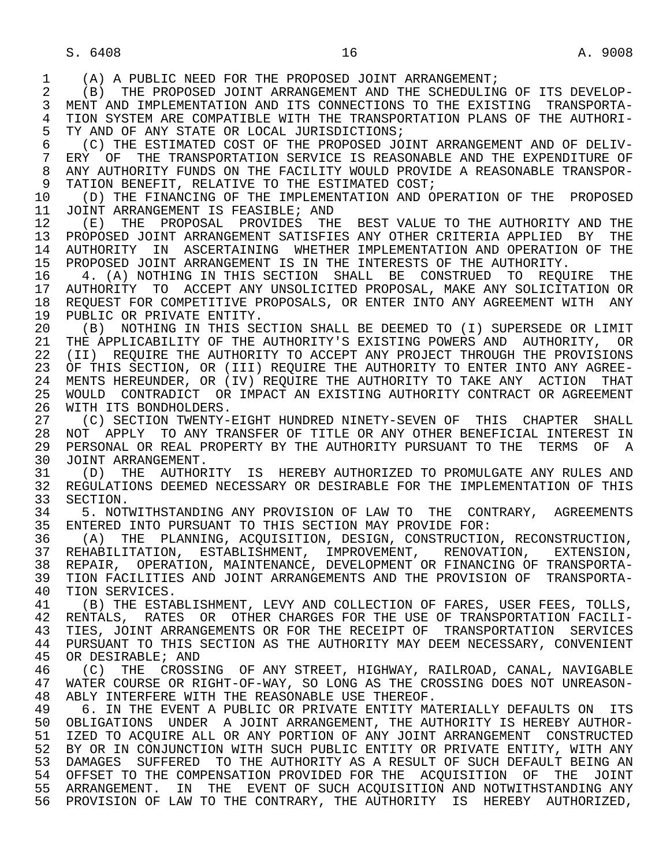1 (A) A PUBLIC NEED FOR THE PROPOSED JOINT ARRANGEMENT;<br>2 (B) THE PROPOSED JOINT ARRANGEMENT AND THE SCHEDULIN

 2 (B) THE PROPOSED JOINT ARRANGEMENT AND THE SCHEDULING OF ITS DEVELOP- MENT AND IMPLEMENTATION AND ITS CONNECTIONS TO THE EXISTING TRANSPORTA-4 TION SYSTEM ARE COMPATIBLE WITH THE TRANSPORTATION PLANS OF THE AUTHORI-<br>5 TY AND OF ANY STATE OR LOCAL JURISDICTIONS; 5 TY AND OF ANY STATE OR LOCAL JURISDICTIONS;<br>6 (C) THE ESTIMATED COST OF THE PROPOSED JO

 6 (C) THE ESTIMATED COST OF THE PROPOSED JOINT ARRANGEMENT AND OF DELIV- 7 ERY OF THE TRANSPORTATION SERVICE IS REASONABLE AND THE EXPENDITURE OF 8 ANY AUTHORITY FUNDS ON THE FACILITY WOULD PROVIDE A REASONABLE TRANSPOR- 9 TATION BENEFIT, RELATIVE TO THE ESTIMATED COST;<br>10 (D) THE FINANCING OF THE IMPLEMENTATION AND O

10 (D) THE FINANCING OF THE IMPLEMENTATION AND OPERATION OF THE PROPOSED<br>11 JOINT ARRANGEMENT IS FEASIBLE; AND 11 JOINT ARRANGEMENT IS FEASIBLE; AND<br>12 (E) THE PROPOSAL PROVIDES THE

12 (E) THE PROPOSAL PROVIDES THE BEST VALUE TO THE AUTHORITY AND THE 13 PROPOSED JOINT ARRANGEMENT SATISFIES ANY OTHER CRITERIA APPLIED BY THE 13 PROPOSED JOINT ARRANGEMENT SATISFIES ANY OTHER CRITERIA APPLIED BY THE<br>14 AUTHORITY IN ASCERTAINING WHETHER IMPLEMENTATION AND OPERATION OF THE 14 AUTHORITY IN ASCERTAINING WHETHER IMPLEMENTATION AND OPERATION OF THE 15 PROPOSED JOINT ARRANGEMENT IS IN THE INTERESTS OF THE AUTHORITY. 15 PROPOSED JOINT ARRANGEMENT IS IN THE INTERESTS OF THE AUTHORITY.<br>16 19. (A) NOTHING IN THIS SECTION SHALL BE CONSTRUED TO REOU

16 The A. (A) NOTHING IN THIS SECTION SHALL BE CONSTRUED TO REQUIRE THE 17 AUTHORITY TO ACCEPT ANY UNSOLICITED PROPOSAL, MAKE ANY SOLICITATION OR 17 AUTHORITY TO ACCEPT ANY UNSOLICITED PROPOSAL, MAKE ANY SOLICITATION OR<br>18 REOUEST FOR COMPETITIVE PROPOSALS, OR ENTER INTO ANY AGREEMENT WITH ANY 18 REQUEST FOR COMPETITIVE PROPOSALS, OR ENTER INTO ANY AGREEMENT WITH ANY 19 PUBLIC OR PRIVATE ENTITY 19 PUBLIC OR PRIVATE ENTITY.<br>20 (B) NOTHING IN THIS SE

20 (B) NOTHING IN THIS SECTION SHALL BE DEEMED TO (I) SUPERSEDE OR LIMIT<br>21 THE APPLICABILITY OF THE AUTHORITY'S EXISTING POWERS AND AUTHORITY, OR 21 THE APPLICABILITY OF THE AUTHORITY'S EXISTING POWERS AND AUTHORITY, OR<br>22 (II) REOUIRE THE AUTHORITY TO ACCEPT ANY PROJECT THROUGH THE PROVISIONS 22 (II) REQUIRE THE AUTHORITY TO ACCEPT ANY PROJECT THROUGH THE PROVISIONS<br>23 OF THIS SECTION, OR (III) REOUIRE THE AUTHORITY TO ENTER INTO ANY AGREE-OF THIS SECTION, OR (III) REQUIRE THE AUTHORITY TO ENTER INTO ANY AGREE-24 MENTS HEREUNDER, OR (IV) REQUIRE THE AUTHORITY TO TAKE ANY ACTION THAT<br>25 WOULD CONTRADICT OR IMPACT AN EXISTING AUTHORITY CONTRACT OR AGREEMENT 25 WOULD CONTRADICT OR IMPACT AN EXISTING AUTHORITY CONTRACT OR AGREEMENT

26 WITH ITS BONDHOLDERS.<br>27 (C) SECTION TWENTY-27 (C) SECTION TWENTY-EIGHT HUNDRED NINETY-SEVEN OF THIS CHAPTER SHALL<br>28 NOT APPLY TO ANY TRANSFER OF TITLE OR ANY OTHER BENEFICIAL INTEREST IN 28 NOT APPLY TO ANY TRANSFER OF TITLE OR ANY OTHER BENEFICIAL INTEREST IN<br>29 PERSONAL OR REAL PROPERTY BY THE AUTHORITY PURSUANT TO THE TERMS OF A 29 PERSONAL OR REAL PROPERTY BY THE AUTHORITY PURSUANT TO THE TERMS OF A<br>30 JOINT ARRANGEMENT 30 JOINT ARRANGEMENT.<br>31 (D) THE AUTHOR

31 (D) THE AUTHORITY IS HEREBY AUTHORIZED TO PROMULGATE ANY RULES AND<br>32 REGULATIONS DEEMED NECESSARY OR DESIRABLE FOR THE IMPLEMENTATION OF THIS 32 REGULATIONS DEEMED NECESSARY OR DESIRABLE FOR THE IMPLEMENTATION OF THIS<br>33 SECTION. 33 SECTION.<br>34 5. NOT

34 5. NOTWITHSTANDING ANY PROVISION OF LAW TO THE CONTRARY, AGREEMENTS<br>35 ENTERED INTO PURSUANT TO THIS SECTION MAY PROVIDE FOR: 35 ENTERED INTO PURSUANT TO THIS SECTION MAY PROVIDE FOR:<br>36 (A) THE PLANNING, ACOUISITION, DESIGN, CONSTRUCTION

 36 (A) THE PLANNING, ACQUISITION, DESIGN, CONSTRUCTION, RECONSTRUCTION, 37 REHABILITATION, ESTABLISHMENT, IMPROVEMENT, RENOVATION, EXTENSION,<br>38 REPAIR, OPERATION, MAINTENANCE, DEVELOPMENT OR FINANCING OF TRANSPORTA-38 REPAIR, OPERATION, MAINTENANCE, DEVELOPMENT OR FINANCING OF TRANSPORTA-<br>39 TION FACILITIES AND JOINT ARRANGEMENTS AND THE PROVISION OF TRANSPORTA-39 TION FACILITIES AND JOINT ARRANGEMENTS AND THE PROVISION OF TRANSPORTA-<br>40 TION SERVICES. 40 TION SERVICES.<br>41 (B) THE ESTAL

41 (B) THE ESTABLISHMENT, LEVY AND COLLECTION OF FARES, USER FEES, TOLLS,<br>42 RENTALS, RATES OR OTHER CHARGES FOR THE USE OF TRANSPORTATION FACILI-42 RENTALS, RATES OR OTHER CHARGES FOR THE USE OF TRANSPORTATION FACILI-<br>43 TIES, JOINT ARRANGEMENTS OR FOR THE RECEIPT OF TRANSPORTATION SERVICES 43 TIES, JOINT ARRANGEMENTS OR FOR THE RECEIPT OF TRANSPORTATION SERVICES<br>44 PURSUANT TO THIS SECTION AS THE AUTHORITY MAY DEEM NECESSARY, CONVENIENT 44 PURSUANT TO THIS SECTION AS THE AUTHORITY MAY DEEM NECESSARY, CONVENIENT<br>45 OR DESIRABLE; AND OR DESIRABLE; AND

46 (C) THE CROSSING OF ANY STREET, HIGHWAY, RAILROAD, CANAL, NAVIGABLE<br>47 WATER COURSE OR RIGHT-OF-WAY, SO LONG AS THE CROSSING DOES NOT UNREASON- 47 WATER COURSE OR RIGHT-OF-WAY, SO LONG AS THE CROSSING DOES NOT UNREASON- 48 ABLY INTERFERE WITH THE REASONABLE USE THEREOF.<br>49 6. IN THE EVENT A PUBLIC OR PRIVATE ENTITY MA

49 6. IN THE EVENT A PUBLIC OR PRIVATE ENTITY MATERIALLY DEFAULTS ON ITS<br>50 OBLIGATIONS UNDER A JOINT ARRANGEMENT, THE AUTHORITY IS HEREBY AUTHOR-50 OBLIGATIONS UNDER A JOINT ARRANGEMENT, THE AUTHORITY IS HEREBY AUTHOR-<br>51 IZED TO ACOUIRE ALL OR ANY PORTION OF ANY JOINT ARRANGEMENT CONSTRUCTED 51 IZED TO ACQUIRE ALL OR ANY PORTION OF ANY JOINT ARRANGEMENT CONSTRUCTED 52 BY OR IN CONJUNCTION WITH SUCH PUBLIC ENTITY OR PRIVATE ENTITY, WITH ANY 53 DAMAGES SUFFERED TO THE AUTHORITY AS A RESULT OF SUCH DEFAULT BEING AN 54 OFFERED TO THE COMPENSATION PROVIDED FOR THE ACOUISITION OF THE JOINT 54 OFFSET TO THE COMPENSATION PROVIDED FOR THE ACQUISITION OF THE JOINT 55 ARRANGEMENT. IN THE EVENT OF SUCH ACQUISITION AND NOTWITHSTANDING ANY 56 PROVISION OF LAW TO THE CONTRARY, THE AUTHORITY IS HEREBY AUTHORIZED,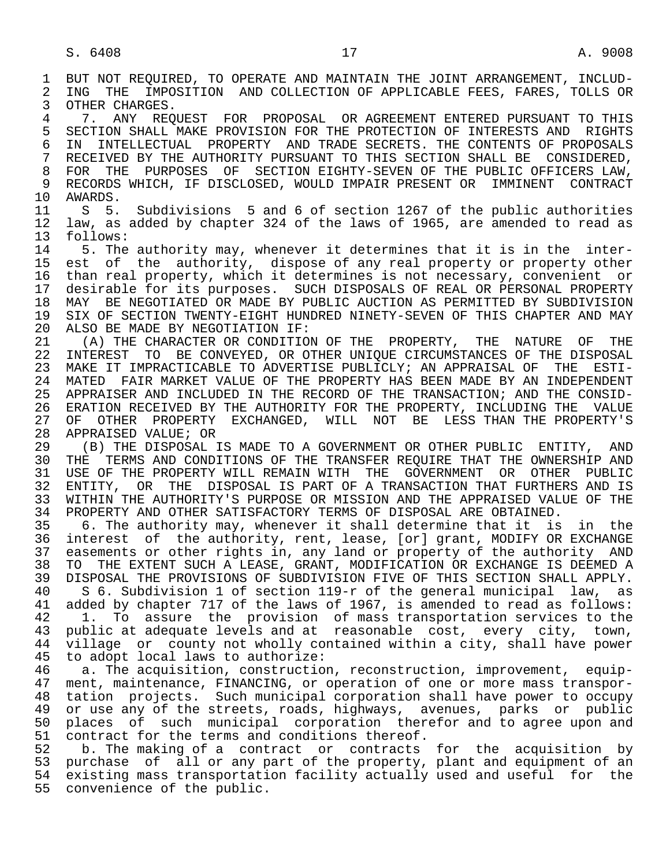1 BUT NOT REQUIRED, TO OPERATE AND MAINTAIN THE JOINT ARRANGEMENT, INCLUD-<br>2 ING THE IMPOSITION AND COLLECTION OF APPLICABLE FEES, FARES, TOLLS OR 2 ING THE IMPOSITION AND COLLECTION OF APPLICABLE FEES, FARES, TOLLS OR<br>3 OTHER CHARGES. OTHER CHARGES. 4 7. ANY REQUEST FOR PROPOSAL OR AGREEMENT ENTERED PURSUANT TO THIS<br>5 SECTION SHALL MAKE PROVISION FOR THE PROTECTION OF INTERESTS AND RIGHTS 5 SECTION SHALL MAKE PROVISION FOR THE PROTECTION OF INTERESTS AND RIGHTS<br>6 IN INTELLECTUAL PROPERTY AND TRADE SECRETS. THE CONTENTS OF PROPOSALS 6 IN INTELLECTUAL PROPERTY AND TRADE SECRETS. THE CONTENTS OF PROPOSALS 7 RECEIVED BY THE AUTHORITY PURSUANT TO THIS SECTION SHALL BE CONSIDERED. 7 RECEIVED BY THE AUTHORITY PURSUANT TO THIS SECTION SHALL BE CONSIDERED, 8 FOR THE PURPOSES OF SECTION EIGHTY-SEVEN OF THE PUBLIC OFFICERS LAW, 9 RECORDS WHICH, IF DISCLOSED, WOULD IMPAIR PRESENT OR IMMINENT CONTRACT<br>10 AWARDS. 10 AWARDS.<br>11 S 5. 11 S 5. Subdivisions 5 and 6 of section 1267 of the public authorities<br>12 law, as added by chapter 324 of the laws of 1965, are amended to read as 12 law, as added by chapter 324 of the laws of 1965, are amended to read as 13 follows:<br>14 5 The 5. The authority may, whenever it determines that it is in the inter-15 est of the authority, dispose of any real property or property other<br>16 than real property, which it determines is not necessary, convenient or 16 than real property, which it determines is not necessary, convenient or<br>17 desirable for its purposes. SUCH DISPOSALS OF REAL OR PERSONAL PROPERTY 17 desirable for its purposes. SUCH DISPOSALS OF REAL OR PERSONAL PROPERTY<br>18 MAY BE NEGOTIATED OR MADE BY PUBLIC AUCTION AS PERMITTED BY SUBDIVISION 18 MAY BE NEGOTIATED OR MADE BY PUBLIC AUCTION AS PERMITTED BY SUBDIVISION<br>19 SIX OF SECTION TWENTY-EIGHT HUNDRED NINETY-SEVEN OF THIS CHAPTER AND MAY 19 SIX OF SECTION TWENTY-EIGHT HUNDRED NINETY-SEVEN OF THIS CHAPTER AND MAY<br>20 ALSO BE MADE BY NEGOTIATION IF: 20 ALSO BE MADE BY NEGOTIATION IF:<br>21 (A) THE CHARACTER OR CONDITIO 21 (A) THE CHARACTER OR CONDITION OF THE PROPERTY, THE NATURE OF THE 22 INTEREST TO BE CONVEYED, OR OTHER UNIOUE CIRCUMSTANCES OF THE DISPOSAL 22 INTEREST TO BE CONVEYED, OR OTHER UNIQUE CIRCUMSTANCES OF THE DISPOSAL<br>23 MAKE IT IMPRACTICABLE TO ADVERTISE PUBLICLY; AN APPRAISAL OF THE ESTI-MAKE IT IMPRACTICABLE TO ADVERTISE PUBLICLY; AN APPRAISAL OF THE ESTI-24 MATED FAIR MARKET VALUE OF THE PROPERTY HAS BEEN MADE BY AN INDEPENDENT<br>25 APPRAISER AND INCLUDED IN THE RECORD OF THE TRANSACTION; AND THE CONSID- 25 APPRAISER AND INCLUDED IN THE RECORD OF THE TRANSACTION; AND THE CONSID- 26 ERATION RECEIVED BY THE AUTHORITY FOR THE PROPERTY, INCLUDING THE VALUE<br>27 OF OTHER PROPERTY EXCHANGED, WILL NOT BE LESS THAN THE PROPERTY'S 27 OF OTHER PROPERTY EXCHANGED, WILL NOT BE LESS THAN THE PROPERTY'S 28 APPRAISED VALUE; OR 28 APPRAISED VALUE; OR<br>29 (B) THE DISPOSAL 29 THE DISPOSAL IS MADE TO A GOVERNMENT OR OTHER PUBLIC ENTITY, AND 20 THE TREMS AND CONDITIONS OF THE TRANSFER REOUIRE THAT THE OWNERSHIP AND THE TERMS AND CONDITIONS OF THE TRANSFER REQUIRE THAT THE OWNERSHIP AND 31 USE OF THE PROPERTY WILL REMAIN WITH THE GOVERNMENT OR OTHER PUBLIC<br>32 ENTITY, OR THE DISPOSAL IS PART OF A TRANSACTION THAT FURTHERS AND IS 32 ENTITY, OR THE DISPOSAL IS PART OF A TRANSACTION THAT FURTHERS AND IS<br>33 WITHIN THE AUTHORITY'S PURPOSE OR MISSION AND THE APPRAISED VALUE OF THE 33 WITHIN THE AUTHORITY'S PURPOSE OR MISSION AND THE APPRAISED VALUE OF THE 34 PROPERTY AND OTHER SATISFACTORY TERMS OF DISPOSAL ARE OBTAINED. 34 PROPERTY AND OTHER SATISFACTORY TERMS OF DISPOSAL ARE OBTAINED.<br>35 6. The authority may, whenever it shall determine that it is 35 6. The authority may, whenever it shall determine that it is in the interest of the authority, rent, lease, [or] grant, MODIFY OR EXCHANGE 37 easements or other rights in, any land or property of the authority AND<br>38 TO THE EXTENT SUCH A LEASE, GRANT, MODIFICATION OR EXCHANGE IS DEEMED A 38 TO THE EXTENT SUCH A LEASE, GRANT, MODIFICATION OR EXCHANGE IS DEEMED A<br>39 DISPOSAL THE PROVISIONS OF SUBDIVISION FIVE OF THIS SECTION SHALL APPLY. 39 DISPOSAL THE PROVISIONS OF SUBDIVISION FIVE OF THIS SECTION SHALL APPLY.<br>40 S 6. Subdivision 1 of section 119-r of the general municipal law, as 40 S 6. Subdivision 1 of section 119-r of the general municipal law, as<br>41 added by chapter 717 of the laws of 1967, is amended to read as follows: 41 added by chapter 717 of the laws of 1967, is amended to read as follows:<br>42 1. To assure the provision of mass transportation services to the 42 1. To assure the provision of mass transportation services to the 43 public at adequate levels and at reasonable cost, every city, town, 44 village or county not wholly contained within a city, shall have power<br>45 to adopt local laws to authorize: to adopt local laws to authorize: 46 a. The acquisition, construction, reconstruction, improvement, equip-<br>47 ment, maintenance, FINANCING, or operation of one or more mass transporment, maintenance, FINANCING, or operation of one or more mass transpor-48 tation projects. Such municipal corporation shall have power to occupy<br>49 or use any of the streets, roads, highways, avenues, parks or public 49 or use any of the streets, roads, highways, avenues, parks or public<br>50 places of such municipal corporation therefor and to agree upon and 50 places of such municipal corporation therefor and to agree upon and<br>51 contract for the terms and conditions thereof. 51 contract for the terms and conditions thereof.<br>52 b. The making of a contract or contracts b. The making of a contract or contracts for the acquisition by 53 purchase of all or any part of the property, plant and equipment of an 54 existing mass transportation facility actually used and useful for the 55 convenience of the public.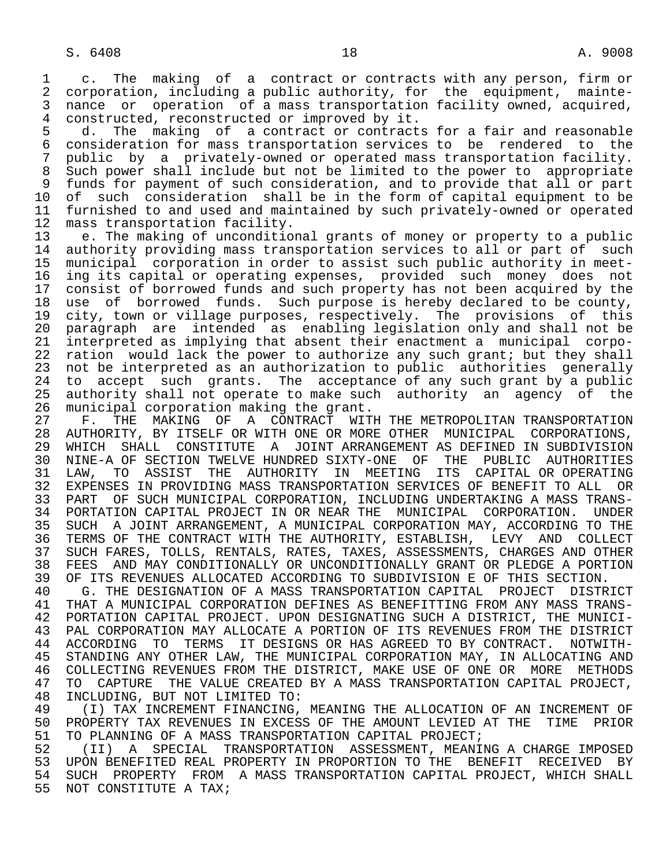1 c. The making of a contract or contracts with any person, firm or<br>2 corporation, including a public authority, for the equipment, mainte-2 corporation, including a public authority, for the equipment, mainte-<br>3 nance or operation of a mass transportation facility owned, acquired, nance or operation of a mass transportation facility owned, acquired, 4 constructed, reconstructed or improved by it.<br>5 d. The making of a contract or contract

5 d. The making of a contract or contracts for a fair and reasonable<br>6 consideration for mass transportation services to be rendered to the 6 consideration for mass transportation services to be rendered to the<br>7 public by a privately-owned or operated mass transportation facility. 7 public by a privately-owned or operated mass transportation facility. 8 Such power shall include but not be limited to the power to appropriate 9 funds for payment of such consideration, and to provide that all or part<br>10 of such consideration shall be in the form of capital equipment to be 10 of such consideration shall be in the form of capital equipment to be<br>11 furnished to and used and maintained by such privately-owned or operated 11 furnished to and used and maintained by such privately-owned or operated<br>12 mass transportation facility. 12 mass transportation facility.<br>13 e. The making of uncondition

13 e. The making of unconditional grants of money or property to a public<br>14 authority providing mass transportation services to all or part of such authority providing mass transportation services to all or part of such 15 municipal corporation in order to assist such public authority in meet- 16 ing its capital or operating expenses, provided such money does not<br>17 consist of borrowed funds and such property has not been acquired by the 17 consist of borrowed funds and such property has not been acquired by the<br>18 use of borrowed funds. Such purpose is hereby declared to be county, 18 use of borrowed funds. Such purpose is hereby declared to be county,<br>19 city, town or village purposes, respectively. The provisions of this 19 city, town or village purposes, respectively. The provisions of this 20 paragraph are intended as enabling legislation only and shall not be<br>21 interpreted as implying that absent their enactment a municipal corpo-21 interpreted as implying that absent their enactment a municipal corpo-<br>22 ration would lack the power to authorize any such grant; but they shall 22 ration would lack the power to authorize any such grant; but they shall<br>23 not be interpreted as an authorization to public authorities generally not be interpreted as an authorization to public authorities generally 24 to accept such grants. The acceptance of any such grant by a public<br>25 authority shall not operate to make such authority an agency of the authority shall not operate to make such authority an agency of the

26 municipal corporation making the grant.<br>27 F. THE MAKING OF A CONTRACT WIT 27 F. THE MAKING OF A CONTRACT WITH THE METROPOLITAN TRANSPORTATION<br>28 AUTHORITY, BY ITSELF OR WITH ONE OR MORE OTHER MUNICIPAL CORPORATIONS, 28 AUTHORITY, BY ITSELF OR WITH ONE OR MORE OTHER MUNICIPAL CORPORATIONS, WHICH SHALL CONSTITUTE A JOINT ARRANGEMENT AS DEFINED IN SUBDIVISION 30 NINE-A OF SECTION TWELVE HUNDRED SIXTY-ONE OF THE PUBLIC AUTHORITIES<br>31 LAW, TO ASSIST THE AUTHORITY IN MEETING ITS CAPITAL OR OPERATING 31 LAW, TO ASSIST THE AUTHORITY IN MEETING ITS CAPITAL OR OPERATING<br>32 EXPENSES IN PROVIDING MASS TRANSPORTATION SERVICES OF BENEFIT TO ALL OR 32 EXPENSES IN PROVIDING MASS TRANSPORTATION SERVICES OF BENEFIT TO ALL OR<br>33 PART OF SUCH MUNICIPAL CORPORATION, INCLUDING UNDERTAKING A MASS TRANS-33 PART OF SUCH MUNICIPAL CORPORATION, INCLUDING UNDERTAKING A MASS TRANS-<br>34 PORTATION CAPITAL PROJECT IN OR NEAR THE MUNICIPAL CORPORATION. UNDER 34 PORTATION CAPITAL PROJECT IN OR NEAR THE MUNICIPAL CORPORATION. UNDER<br>35 SUCH A JOINT ARRANGEMENT, A MUNICIPAL CORPORATION MAY, ACCORDING TO THE 35 SUCH A JOINT ARRANGEMENT, A MUNICIPAL CORPORATION MAY, ACCORDING TO THE<br>36 TERMS OF THE CONTRACT WITH THE AUTHORITY, ESTABLISH, LEVY AND COLLECT TERMS OF THE CONTRACT WITH THE AUTHORITY, ESTABLISH, LEVY AND COLLECT 37 SUCH FARES, TOLLS, RENTALS, RATES, TAXES, ASSESSMENTS, CHARGES AND OTHER<br>38 FEES AND MAY CONDITIONALLY OR UNCONDITIONALLY GRANT OR PLEDGE A PORTION 38 FEES AND MAY CONDITIONALLY OR UNCONDITIONALLY GRANT OR PLEDGE A PORTION<br>39 OF ITS REVENUES ALLOCATED ACCORDING TO SUBDIVISION E OF THIS SECTION.

39 OF ITS REVENUES ALLOCATED ACCORDING TO SUBDIVISION E OF THIS SECTION.<br>40 G. THE DESIGNATION OF A MASS TRANSPORTATION CAPITAL PROJECT DISTR 40 G. THE DESIGNATION OF A MASS TRANSPORTATION CAPITAL PROJECT DISTRICT<br>41 THAT A MUNICIPAL CORPORATION DEFINES AS BENEFITTING FROM ANY MASS TRANS-41 THAT A MUNICIPAL CORPORATION DEFINES AS BENEFITTING FROM ANY MASS TRANS-<br>42 PORTATION CAPITAL PROJECT, UPON DESIGNATING SUCH A DISTRICT, THE MUNICI-42 PORTATION CAPITAL PROJECT. UPON DESIGNATING SUCH A DISTRICT, THE MUNICI-<br>43 PAL CORPORATION MAY ALLOCATE A PORTION OF ITS REVENUES FROM THE DISTRICT 43 PAL CORPORATION MAY ALLOCATE A PORTION OF ITS REVENUES FROM THE DISTRICT<br>44 ACCORDING TO TERMS IT DESIGNS OR HAS AGREED TO BY CONTRACT. NOTWITH-44 ACCORDING TO TERMS IT DESIGNS OR HAS AGREED TO BY CONTRACT. NOTWITH-<br>45 STANDING ANY OTHER LAW, THE MUNICIPAL CORPORATION MAY, IN ALLOCATING AND STANDING ANY OTHER LAW, THE MUNICIPAL CORPORATION MAY, IN ALLOCATING AND 46 COLLECTING REVENUES FROM THE DISTRICT, MAKE USE OF ONE OR MORE METHODS<br>47 TO CAPTURE THE VALUE CREATED BY A MASS TRANSPORTATION CAPITAL PROJECT. 47 TO CAPTURE THE VALUE CREATED BY A MASS TRANSPORTATION CAPITAL PROJECT,<br>48 INCLUDING, BUT NOT LIMITED TO: 48 INCLUDING, BUT NOT LIMITED TO:<br>49 (I) TAX INCREMENT FINANCING,

49 (I) TAX INCREMENT FINANCING, MEANING THE ALLOCATION OF AN INCREMENT OF<br>50 PROPERTY TAX REVENUES IN EXCESS OF THE AMOUNT LEVIED AT THE TIME PRIOR 50 PROPERTY TAX REVENUES IN EXCESS OF THE AMOUNT LEVIED AT THE TIME PRIOR<br>51 TO PLANNING OF A MASS TRANSPORTATION CAPITAL PROJECT; 51 TO PLANNING OF A MASS TRANSPORTATION CAPITAL PROJECT;<br>52 (II) A SPECIAL TRANSPORTATION ASSESSMENT, MEANI

52 (II) A SPECIAL TRANSPORTATION ASSESSMENT, MEANING A CHARGE IMPOSED<br>53 UPON BENEFITED REAL PROPERTY IN PROPORTION TO THE BENEFIT RECEIVED BY 53 UPON BENEFITED REAL PROPERTY IN PROPORTION TO THE BENEFIT RECEIVED BY<br>54 SUCH PROPERTY FROM A MASS TRANSPORTATION CAPITAL PROJECT, WHICH SHALL 54 SUCH PROPERTY FROM A MASS TRANSPORTATION CAPITAL PROJECT, WHICH SHALL<br>55 NOT CONSTITUTE A TAX; NOT CONSTITUTE A TAX;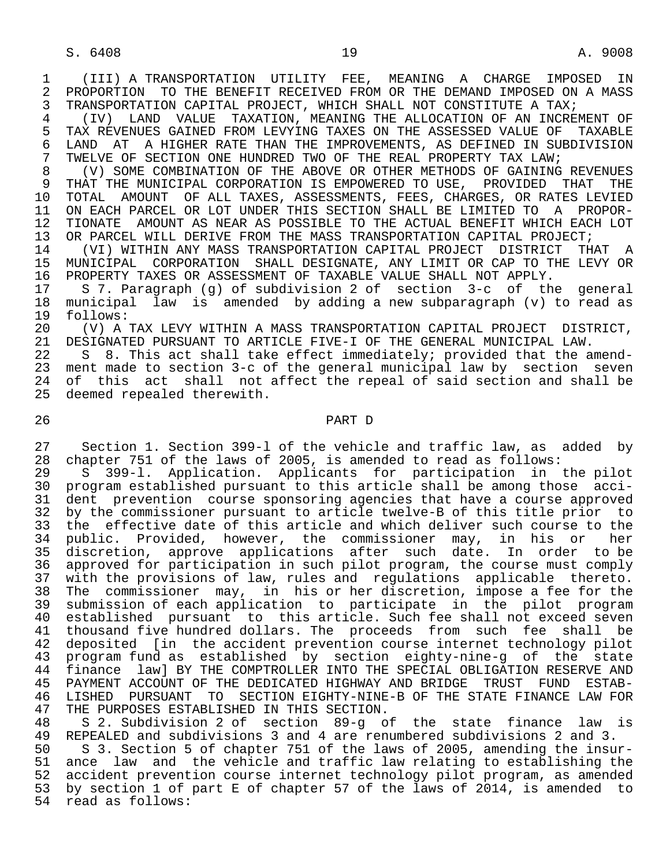1 (III) A TRANSPORTATION UTILITY FEE, MEANING A CHARGE IMPOSED IN 2 PROPORTION TO THE BENEFIT RECEIVED FROM OR THE DEMAND IMPOSED ON A MASS<br>3 TRANSPORTATION CAPITAL PROJECT, WHICH SHALL NOT CONSTITUTE A TAX; TRANSPORTATION CAPITAL PROJECT, WHICH SHALL NOT CONSTITUTE A TAX;

 4 (IV) LAND VALUE TAXATION, MEANING THE ALLOCATION OF AN INCREMENT OF 5 TAX REVENUES GAINED FROM LEVYING TAXES ON THE ASSESSED VALUE OF TAXABLE<br>6 LAND AT A HIGHER RATE THAN THE IMPROVEMENTS, AS DEFINED IN SUBDIVISION 6 LAND AT A HIGHER RATE THAN THE IMPROVEMENTS, AS DEFINED IN SUBDIVISION<br>7 TWELVE OF SECTION ONE HUNDRED TWO OF THE REAL PROPERTY TAX LAW; 7 TWELVE OF SECTION ONE HUNDRED TWO OF THE REAL PROPERTY TAX LAW;<br>8 (V) SOME COMBINATION OF THE ABOVE OR OTHER METHODS OF GAINING

 8 (V) SOME COMBINATION OF THE ABOVE OR OTHER METHODS OF GAINING REVENUES 9 THAT THE MUNICIPAL CORPORATION IS EMPOWERED TO USE, PROVIDED THAT THE<br>10 TOTAL AMOUNT OF ALL TAXES, ASSESSMENTS, FEES, CHARGES, OR RATES LEVIED 10 TOTAL AMOUNT OF ALL TAXES, ASSESSMENTS, FEES, CHARGES, OR RATES LEVIED<br>11 ON EACH PARCEL OR LOT UNDER THIS SECTION SHALL BE LIMITED TO A PROPOR-11 ON EACH PARCEL OR LOT UNDER THIS SECTION SHALL BE LIMITED TO A PROPOR-<br>12 TIONATE AMOUNT AS NEAR AS POSSIBLE TO THE ACTUAL BENEFIT WHICH EACH LOT 12 TIONATE AMOUNT AS NEAR AS POSSIBLE TO THE ACTUAL BENEFIT WHICH EACH LOT<br>13 OR PARCEL WILL DERIVE FROM THE MASS TRANSPORTATION CAPITAL PROJECT; 13 OR PARCEL WILL DERIVE FROM THE MASS TRANSPORTATION CAPITAL PROJECT;<br>14 (VI) WITHIN ANY MASS TRANSPORTATION CAPITAL PROJECT DISTRICT TH

 14 (VI) WITHIN ANY MASS TRANSPORTATION CAPITAL PROJECT DISTRICT THAT A 15 MUNICIPAL CORPORATION SHALL DESIGNATE, ANY LIMIT OR CAP TO THE LEVY OR 16 PROPERTY TAXES OR ASSESSMENT OF TAXABLE VALUE SHALL NOT APPLY.<br>17 S 7. Paragraph (g) of subdivision 2 of section 3-c of th

17 S 7. Paragraph (g) of subdivision 2 of section 3-c of the general<br>18 municipal law is amended by adding a new subparagraph (v) to read as 18 municipal law is amended by adding a new subparagraph (v) to read as 19 follows:<br>20 (V) A

20 (V) A TAX LEVY WITHIN A MASS TRANSPORTATION CAPITAL PROJECT DISTRICT,<br>21 DESIGNATED PURSUANT TO ARTICLE FIVE-I OF THE GENERAL MUNICIPAL LAW. 21 DESIGNATED PURSUANT TO ARTICLE FIVE-I OF THE GENERAL MUNICIPAL LAW.<br>22 S 8. This act shall take effect immediately; provided that the a

22 S 8. This act shall take effect immediately; provided that the amend-<br>23 ment made to section 3-c of the general municipal law by section seven ment made to section 3-c of the general municipal law by section seven 24 of this act shall not affect the repeal of said section and shall be 25 deemed repealed therewith. deemed repealed therewith.

## 26 PART D

 27 Section 1. Section 399-l of the vehicle and traffic law, as added by 28 chapter 751 of the laws of 2005, is amended to read as follows:<br>29 S 399-1. Application. Applicants for participation in

 29 S 399-l. Application. Applicants for participation in the pilot 30 program established pursuant to this article shall be among those acci- 31 dent prevention course sponsoring agencies that have a course approved<br>32 by the commissioner pursuant to article twelve-B of this title prior to 32 by the commissioner pursuant to article twelve-B of this title prior to<br>33 the effective date of this article and which deliver such course to the 33 the effective date of this article and which deliver such course to the<br>34 public. Provided, however, the commissioner may, in his or her public. Provided, however, the commissioner may, in his or her 35 discretion, approve applications after such date. In order to be 36 approved for participation in such pilot program, the course must comply<br>37 with the provisions of law, rules and regulations applicable thereto. 37 with the provisions of law, rules and regulations applicable thereto.<br>38 The commissioner may, in his or her discretion, impose a fee for the 38 The commissioner may, in his or her discretion, impose a fee for the 39 submission of each application to participate in the pilot program 40 established pursuant to this article. Such fee shall not exceed seven<br>41 thousand five hundred dollars. The proceeds from such fee shall be 41 thousand five hundred dollars. The proceeds from such fee shall be<br>42 deposited [in the accident prevention course internet technology pilot 42 deposited [in the accident prevention course internet technology pilot<br>43 program fund as established by section eighty-nine-g of the state 43 program fund as established by section eighty-nine-g of the state 44 finance law] BY THE COMPTROLLER INTO THE SPECIAL OBLIGATION RESERVE AND 45 PAYMENT ACCOUNT OF THE DEDICATED HIGHWAY AND BRIDGE TRUST FUND ESTAB- 46 LISHED PURSUANT TO SECTION EIGHTY-NINE-B OF THE STATE FINANCE LAW FOR 47 THE PURPOSES ESTABLISHED IN THIS SECTION.<br>48 S 2. Subdivision 2 of section 89-9 o

48 S 2. Subdivision 2 of section 89-g of the state finance law is<br>49 REPEALED and subdivisions 3 and 4 are renumbered subdivisions 2 and 3. 49 REPEALED and subdivisions 3 and 4 are renumbered subdivisions 2 and 3.<br>40 S 3. Section 5 of chapter 751 of the laws of 2005, amending the insu

 50 S 3. Section 5 of chapter 751 of the laws of 2005, amending the insur- 51 ance law and the vehicle and traffic law relating to establishing the<br>52 accident prevention course internet technology pilot program, as amended accident prevention course internet technology pilot program, as amended 53 by section 1 of part E of chapter 57 of the laws of 2014, is amended to 54 read as follows: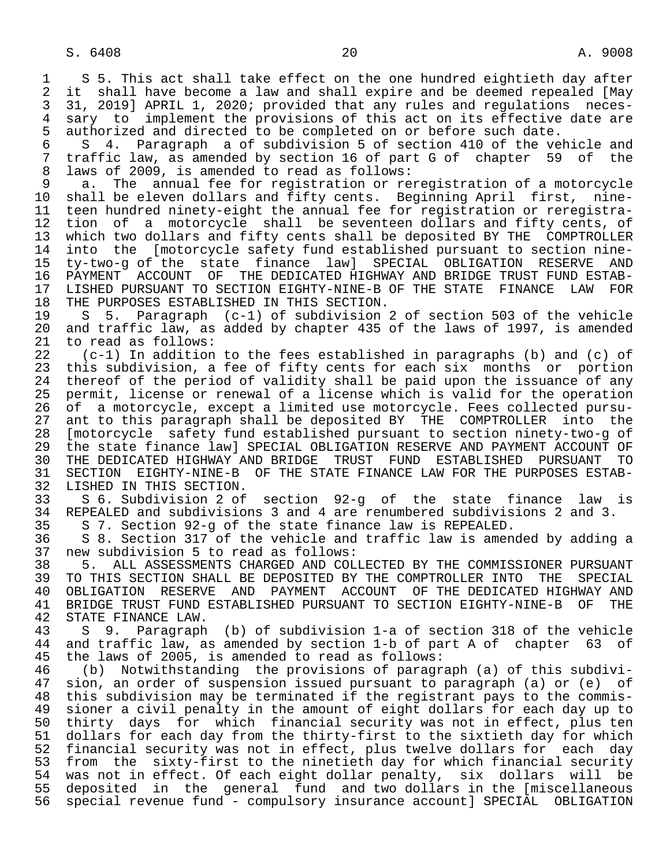1 S 5. This act shall take effect on the one hundred eightieth day after<br>2 it shall have become a law and shall expire and be deemed repealed [Mav 2 it shall have become a law and shall expire and be deemed repealed [May<br>3 31, 2019] APRIL 1, 2020; provided that any rules and regulations neces-3 31, 2019] APRIL 1, 2020; provided that any rules and regulations neces-<br>4 sary to implement the provisions of this act on its effective date are 4 sary to implement the provisions of this act on its effective date are<br>5 authorized and directed to be completed on or before such date.

5 authorized and directed to be completed on or before such date.<br>6 S 4. Paragraph a of subdivision 5 of section 410 of the ve 6 S 4. Paragraph a of subdivision 5 of section 410 of the vehicle and<br>7 traffic law, as amended by section 16 of part G of chapter 59 of the 7 traffic law, as amended by section 16 of part G of chapter 59 of the<br>8 laws of 2009, is amended to read as follows: 8 laws of 2009, is amended to read as follows:<br>9 a. The annual fee for registration or re

9 a. The annual fee for registration or reregistration of a motorcycle<br>10 shall be eleven dollars and fifty cents. Beginning April first, nine-10 shall be eleven dollars and fifty cents. Beginning April first, nine-<br>11 teen hundred ninety-eight the annual fee for registration or reregistra-11 teen hundred ninety-eight the annual fee for registration or reregistra-<br>12 tion of a motorcycle shall be seventeen dollars and fifty cents, of 12 tion of a motorcycle shall be seventeen dollars and fifty cents, of<br>13 which two dollars and fifty cents shall be deposited BY THE COMPTROLLER 13 which two dollars and fifty cents shall be deposited BY THE COMPTROLLER<br>14 into the [motorcycle safety fund established pursuant to section nineinto the [motorcycle safety fund established pursuant to section nine- 15 ty-two-g of the state finance law] SPECIAL OBLIGATION RESERVE AND 16 PAYMENT ACCOUNT OF THE DEDICATED HIGHWAY AND BRIDGE TRUST FUND ESTAB-<br>17 LISHED PURSUANT TO SECTION EIGHTY-NINE-B OF THE STATE FINANCE LAW FOR 17 LISHED PURSUANT TO SECTION EIGHTY-NINE-B OF THE STATE FINANCE LAW FOR<br>18 THE PURPOSES ESTABLISHED IN THIS SECTION. 18 THE PURPOSES ESTABLISHED IN THIS SECTION.<br>19 S 5. Paragraph (c-1) of subdivision

19 S 5. Paragraph (c-1) of subdivision 2 of section 503 of the vehicle<br>20 and traffic law, as added by chapter 435 of the laws of 1997, is amended 20 and traffic law, as added by chapter 435 of the laws of 1997, is amended 21 to read as follows: 21 to read as follows:<br>22 (c-1) In addition

 22 (c-1) In addition to the fees established in paragraphs (b) and (c) of 23 this subdivision, a fee of fifty cents for each six months or portion 24 thereof of the period of validity shall be paid upon the issuance of any<br>25 permit, license or renewal of a license which is valid for the operation permit, license or renewal of a license which is valid for the operation 26 of a motorcycle, except a limited use motorcycle. Fees collected pursu-<br>27 ant to this paragraph shall be deposited BY THE COMPTROLLER into the 27 ant to this paragraph shall be deposited BY THE COMPTROLLER into the 28 [motorcycle safety fund established pursuant to section ninety-two-g of 29 the state finance law] SPECIAL OBLIGATION RESERVE AND PAYMENT ACCOUNT OF<br>30 THE DEDICATED HIGHWAY AND BRIDGE TRUST FUND ESTABLISHED PURSUANT TO 30 THE DEDICATED HIGHWAY AND BRIDGE TRUST FUND ESTABLISHED PURSUANT TO 31 SECTION EIGHTY-NINE-B OF THE STATE FINANCE LAW FOR THE PURPOSES ESTAB- 32 LISHED IN THIS SECTION.<br>33 S 6. Subdivision 2 of

 33 S 6. Subdivision 2 of section 92-g of the state finance law is 34 REPEALED and subdivisions 3 and 4 are renumbered subdivisions 2 and 3.<br>35 S 7. Section 92-g of the state finance law is REPEALED.

35 S 7. Section 92-g of the state finance law is REPEALED.

36 S 8. Section 317 of the vehicle and traffic law is amended by adding a<br>37 new subdivision 5 to read as follows:

 37 new subdivision 5 to read as follows: 38 5. ALL ASSESSMENTS CHARGED AND COLLECTED BY THE COMMISSIONER PURSUANT<br>39 TO THIS SECTION SHALL BE DEPOSITED BY THE COMPTROLLER INTO THE SPECIAL 39 TO THIS SECTION SHALL BE DEPOSITED BY THE COMPTROLLER INTO THE SPECIAL<br>40 OBLIGATION RESERVE AND PAYMENT ACCOUNT OF THE DEDICATED HIGHWAY AND 40 OBLIGATION RESERVE AND PAYMENT ACCOUNT OF THE DEDICATED HIGHWAY AND<br>41 BRIDGE TRUST FUND ESTABLISHED PURSUANT TO SECTION EIGHTY-NINE-B OF THE 41 BRIDGE TRUST FUND ESTABLISHED PURSUANT TO SECTION EIGHTY-NINE-B OF THE 42 STATE FINANCE LAW. 42 STATE FINANCE LAW.<br>43 S 9. Paragraph

 43 S 9. Paragraph (b) of subdivision 1-a of section 318 of the vehicle 44 and traffic law, as amended by section 1-b of part A of chapter 63 of<br>45 the laws of 2005, is amended to read as follows: the laws of 2005, is amended to read as follows:

 46 (b) Notwithstanding the provisions of paragraph (a) of this subdivi- 47 sion, an order of suspension issued pursuant to paragraph (a) or (e) of 48 this subdivision may be terminated if the registrant pays to the commis- 48 this subdivision may be terminated if the registrant pays to the commis- 49 sioner a civil penalty in the amount of eight dollars for each day up to<br>50 thirty days for which financial security was not in effect, plus ten 50 thirty days for which financial security was not in effect, plus ten<br>51 dollars for each day from the thirty-first to the sixtieth day for which 51 dollars for each day from the thirty-first to the sixtieth day for which<br>52 financial security was not in effect, plus twelve dollars for each day 52 financial security was not in effect, plus twelve dollars for each day<br>53 from the sixty-first to the ninetieth day for which financial security from the sixty-first to the ninetieth day for which financial security 54 was not in effect. Of each eight dollar penalty, six dollars will be<br>55 deposited in the general fund and two dollars in the [miscellaneous 55 deposited in the general fund and two-dollars in the [miscellaneous<br>56 special revenue fund - compulsory insurance account] SPECIAL OBLIGATION 56 special revenue fund - compulsory insurance account] SPECIAL OBLIGATION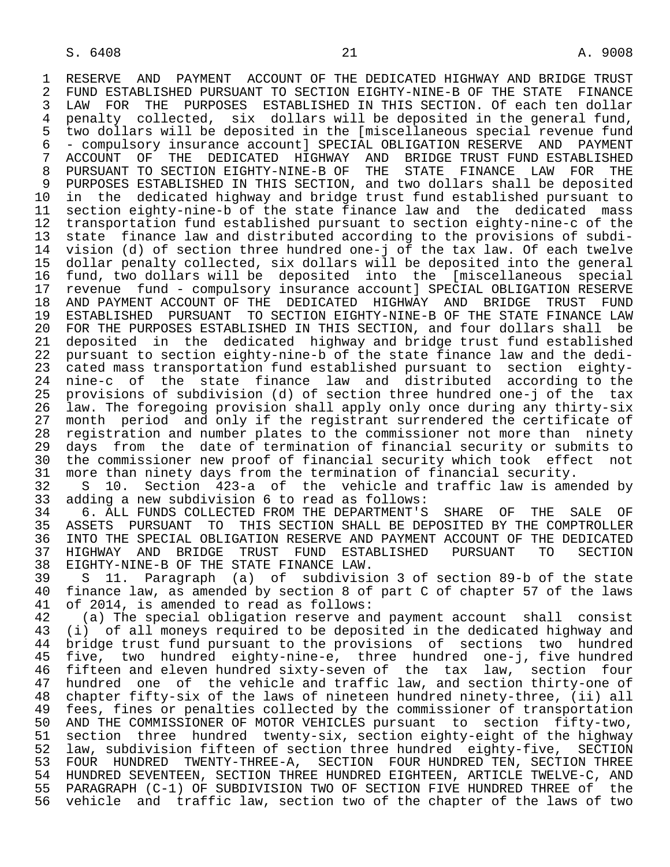1 RESERVE AND PAYMENT ACCOUNT OF THE DEDICATED HIGHWAY AND BRIDGE TRUST<br>2 FUND ESTABLISHED PURSUANT TO SECTION EIGHTY-NINE-B OF THE STATE FINANCE 2 FUND ESTABLISHED PURSUANT TO SECTION EIGHTY-NINE-B OF THE STATE FINANCE<br>3 LAW FOR THE PURPOSES ESTABLISHED IN THIS SECTION. Of each ten dollar 3 LAW FOR THE PURPOSES ESTABLISHED IN THIS SECTION. Of each ten dollar<br>4 penalty collected, six dollars will be deposited in the general fund, 4 penalty collected, six dollars will be deposited in the general fund,<br>5 two dollars will be deposited in the [miscellaneous special revenue fund 5 two dollars will be deposited in the [miscellaneous special revenue fund 6 - compulsory insurance account] SPECIAL OBLIGATION RESERVE AND PAYMENT 7 ACCOUNT OF THE DEDICATED HIGHWAY AND BRIDGE—TRUST—FUND—ESTABLISHED—<br>8 PURSUANT—TO SECTION—EIGHTY-NINE-B OF THE STATE—FINANCE—LAW—FOR—THE 8 PURSUANT TO SECTION EIGHTY-NINE-B OF THE STATE FINANCE LAW FOR THE STABLISHED IN THIS SECTION, and two dollars shall be deposited 9 PURPOSES ESTABLISHED IN THIS SECTION, and two dollars shall be deposited<br>10 in the dedicated highway and bridge trust fund established pursuant to 10 in the dedicated highway and bridge trust fund established pursuant to<br>11 section eighty-nine-b of the state finance law and the dedicated mass 11 section eighty-nine-b of the state finance law and the dedicated mass<br>12 transportation fund established pursuant to section eighty-nine-c of the 12 transportation fund established pursuant to section eighty-nine-c of the 13 state finance law and distributed according to the provisions of subdi-<br>14 vision (d) of section three hundred one-i of the tax law. Of each twelve vision (d) of section three hundred one-j of the tax law. Of each twelve 15 dollar penalty collected, six dollars will be deposited into the general<br>16 fund, two dollars will be deposited into the [miscellaneous special 16 fund, two dollars will be deposited into the [miscellaneous special 17 revenue fund - compulsory insurance account] SPECIAL OBLIGATION RESERVE<br>18 AND PAYMENT ACCOUNT OF THE DEDICATED HIGHWAY AND BRIDGE TRUST FUND 18 AND PAYMENT ACCOUNT OF THE DEDICATED HIGHWAY AND BRIDGE TRUST FUND<br>19 ESTABLISHED PURSUANT TO SECTION EIGHTY-NINE-B OF THE STATE FINANCE LAW 19 ESTABLISHED PURSUANT TO SECTION EIGHTY-NINE-B OF THE STATE FINANCE LAW<br>20 FOR THE PURPOSES ESTABLISHED IN THIS SECTION, and four dollars shall be 20 FOR THE PURPOSES ESTABLISHED IN THIS SECTION, and four dollars shall be<br>21 deposited in the dedicated highway and bridge trust fund established 21 deposited in the dedicated highway and bridge trust fund established<br>22 pursuant to section eighty-nine-b of the state finance law and the dedi-22 pursuant to section eighty-nine-b of the state finance law and the dedi-<br>23 cated mass transportation fund established pursuant to section eightycated mass transportation fund established pursuant to section eighty- 24 nine-c of the state finance law and distributed according to the 25 provisions of subdivision (d) of section three hundred one-j of the tax 26 law. The foregoing provision shall apply only once during any thirty-six 27 month period and only if the registrant surrendered the certificate of<br>28 registration and number plates to the commissioner not more than ninety 28 registration and number plates to the commissioner not more than ninety<br>29 days from the date of termination of financial security or submits to 29 days from the date of termination of financial security or submits to<br>20 the commissioner new proof of financial security which took effect not 30 the commissioner new proof of financial security which took effect not<br>31 more than ninety days from the termination of financial security. 31 more than ninety days from the termination of financial security.<br>32 S 10. Section 423-a of the vehicle and traffic law is ame 32 S 10. Section 423-a of the vehicle and traffic law is amended by<br>33 adding a new subdivision 6 to read as follows: 33 adding a new subdivision 6 to read as follows:<br>34 6. ALL FUNDS COLLECTED FROM THE DEPARTMENT'S

34 6. ALL FUNDS COLLECTED FROM THE DEPARTMENT'S SHARE OF THE SALE OF 35 ASSETS PURSUANT TO THIS SECTION SHALL BE DEPOSITED BY THE COMPTROLLER 35 ASSETS PURSUANT TO THIS SECTION SHALL BE DEPOSITED BY THE COMPTROLLER<br>36 INTO THE SPECIAL OBLIGATION RESERVE AND PAYMENT ACCOUNT OF THE DEDICATED INTO THE SPECIAL OBLIGATION RESERVE AND PAYMENT ACCOUNT OF THE DEDICATED 37 HIGHWAY AND BRIDGE TRUST FUND ESTABLISHED PURSUANT TO SECTION 38 EIGHTY-NINE-B OF THE STATE FINANCE LAW.<br>39 S. 11. Paragraph (a) of subdivisi

 39 S 11. Paragraph (a) of subdivision 3 of section 89-b of the state 40 finance law, as amended by section 8 of part C of chapter 57 of the laws<br>41 of 2014, is amended to read as follows: 41 of 2014, is amended to read as follows:<br>42 (a) The special obligation reserve an

42 (a) The special obligation reserve and payment account shall consist<br>43 (i) of all moneys required to be deposited in the dedicated highway and 43 (i) of all moneys required to be deposited in the dedicated highway and<br>44 bridge trust fund pursuant to the provisions of sections two hundred 44 bridge trust fund pursuant to the provisions of sections two hundred<br>45 five, two hundred eighty-nine-e, three hundred one-j, five hundred five, two hundred eighty-nine-e, three hundred one-j, five hundred 19 five, the manufacture of the tax law, section four<br>46 fifteen and eleven hundred sixty-seven of the tax law, section four<br>47 hundred one of the vehicle and traffic law, and section thirty-one of hundred one of the vehicle and traffic law, and section thirty-one of 48 chapter fifty-six of the laws of nineteen hundred ninety-three, (ii) all 49 fees, fines or penalties collected by the commissioner of transportation<br>50 AND THE COMMISSIONER OF MOTOR VEHICLES pursuant to section fifty-two. 50 AND THE COMMISSIONER OF MOTOR VEHICLES pursuant to section fifty-two,<br>51 section three hundred twenty-six, section eighty-eight of the highway 51 section three hundred twenty-six, section eighty-eight of the highway<br>52 law, subdivision fifteen of section three hundred eighty-five, SECTION 52 law, subdivision fifteen of section three hundred eighty-five, SECTION<br>53 FOUR HUNDRED TWENTY-THREE-A, SECTION FOUR HUNDRED TEN, SECTION THREE 53 FOUR HUNDRED TWENTY-THREE-A, SECTION FOUR-HUNDRED-TEN, SECTION-THREE<br>54 HUNDRED SEVENTEEN, SECTION-THREE HUNDRED-EIGHTEEN, ARTICLE TWELVE-C, AND 54 HUNDRED SEVENTEEN, SECTION THREE HUNDRED EIGHTEEN, ARTICLE TWELVE-C, AND<br>55 PARAGRAPH (C-1) OF SUBDIVISION TWO OF SECTION FIVE HUNDRED THREE of the 55 PARAGRAPH (C-1) OF SUBDIVISION TWO OF SECTION FIVE HUNDRED THREE of the 56 vehicle and traffic law, section two of the chapter of the laws of two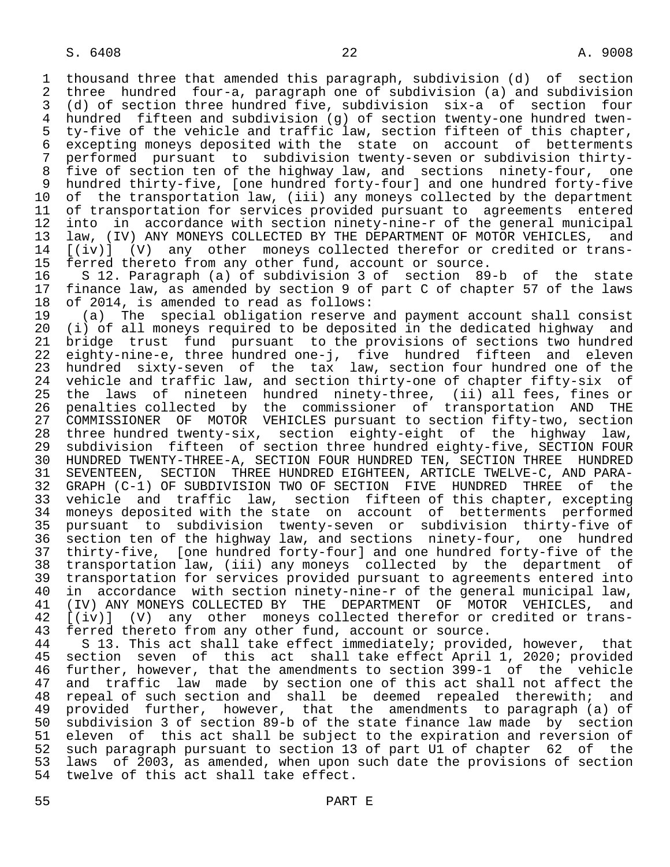1 thousand three that amended this paragraph, subdivision (d) of section 2 three hundred four-a, paragraph one of subdivision (a) and subdivision<br>3 (d) of section three hundred five, subdivision six-a of section four 3 (d) of section three hundred five, subdivision six-a of section four 4 hundred fifteen and subdivision (g) of section twenty-one hundred twen- 5 ty-five of the vehicle and traffic law, section fifteen of this chapter, 6 excepting moneys deposited with the state on account of betterments 7 performed pursuant to subdivision twenty-seven or subdivision thirty- 8 five of section ten of the highway law, and sections ninety-four, one 9 hundred thirty-five, [one hundred forty-four] and one hundred forty-five<br>10 of the transportation law, (iii) any moneys collected by the department 10 of the transportation law, (iii) any moneys collected by the department<br>11 of transportation for services provided pursuant to agreements entered 11 of transportation for services provided pursuant to agreements entered<br>12 into in accordance with section ninety-nine-r of the general municipal 12 into in accordance with section ninety-nine-r of the general municipal<br>13 law, (IV) ANY MONEYS COLLECTED BY THE DEPARTMENT OF MOTOR VEHICLES, and 13 law, (IV) ANY MONEYS COLLECTED BY THE DEPARTMENT OF MOTOR VEHICLES, and<br>14 [(iv)] (V) any other moneys collected therefor or credited or trans-14 [(iv)] (V) any other moneys collected therefor or credited or trans-<br>15 ferred thereto from any other fund, account or source.

 15 ferred thereto from any other fund, account or source. 16 S 12. Paragraph (a) of subdivision 3 of section 89-b of the state 17 finance law, as amended by section 9 of part C of chapter 57 of the laws<br>18 of 2014, is amended to read as follows:

18 of 2014, is amended to read as follows:<br>19 (a) The special obligation reserve. 19 (a) The special obligation reserve and payment account shall consist 20 (i) of all moneys required to be deposited in the dedicated highway and<br>21 bridge trust fund pursuant to the provisions of sections two hundred 21 bridge trust fund pursuant to the provisions of sections two hundred<br>22 eighty-nine-e, three hundred one-j, five hundred fifteen and eleven 22 eighty-nine-e, three hundred one-j, five hundred fifteen and eleven 23 hundred sixty-seven of the tax law, section four hundred one of the<br>24 vehicle and traffic law, and section thirty-one of chapter fifty-six of 24 vehicle and traffic law, and section thirty-one of chapter fifty-six of<br>25 the laws of nineteen hundred ninetv-three, (ii) all fees, fines or 25 the laws of nineteen hundred ninety-three, (ii) all fees, fines or 26 penalties collected by the commissioner of transportation AND THE<br>27 COMMISSIONER OF MOTOR VEHICLES pursuant to section fifty-two, section 27 COMMISSIONER OF MOTOR VEHICLES pursuant to section fifty-two, section<br>28 three hundred twenty-six, section eighty-eight of the highway law, 28 three hundred twenty-six, section eighty-eight of the highway law,<br>29 subdivision fifteen of section three hundred eighty-five, SECTION FOUR subdivision fifteen of section three hundred eighty-five, SECTION FOUR 30 HUNDRED TWENTY-THREE-A, SECTION FOUR HUNDRED TEN, SECTION THREE HUNDRED<br>31 SEVENTEEN, SECTION THREE HUNDRED EIGHTEEN, ARTICLE TWELVE-C, AND PARA-31 SEVENTEEN, SECTION THREE HUNDRED EIGHTEEN, ARTICLE TWELVE-C, AND PARA-<br>32 GRAPH (C-1) OF SUBDIVISION TWO OF SECTION FIVE HUNDRED THREE of the 32 GRAPH (C-1) OF SUBDIVISION TWO OF SECTION FIVE HUNDRED THREE<br>33 vehicle and traffic law, section fifteen of this chapter, e 33 vehicle and traffic law, section fifteen of this chapter, excepting<br>34 moneys deposited with the state on account of betterments performed 34 moneys deposited with the state on account of betterments performed<br>35 pursuant to subdivision twenty-seven or subdivision thirty-five of 35 pursuant to subdivision twenty-seven or subdivision thirty-five of section ten of the highway law, and sections ninety-four, one hundred 37 thirty-five, [one hundred forty-four] and one hundred forty-five of the 38 transportation law, (iii) any moneys collected by the department of 39 transportation for services provided pursuant to agreements entered into<br>40 in accordance with section ninety-nine-r of the general municipal law, 40 in accordance with section ninety-nine-r of the general municipal law,<br>41 (IV) ANY MONEYS COLLECTED BY THE DEPARTMENT OF MOTOR VEHICLES, and 41 (IV) ANY MONEYS COLLECTED BY THE DEPARTMENT OF MOTOR VEHICLES, and<br>42 [(iv)] (V) any other moneys collected therefor or credited or trans-42 [(iv)] (V) any other moneys collected therefor or credited or trans-<br>43 ferred thereto from any other fund, account or source.

43 ferred thereto from any other fund, account or source.<br>44 S 13. This act shall take effect immediately; provid 44 S 13. This act shall take effect immediately; provided, however, that<br>45 section seven of this act shall take effect April 1, 2020; provided section seven of this act shall take effect April 1, 2020; provided 46 further, however, that the amendments to section 399-1 of the vehicle<br>47 and traffic law made by section one of this act shall not affect the 47 and traffic law made by section one of this act shall not affect the<br>48 repeal of such section and shall be deemed repealed therewith; and 48 repeal of such section and shall be deemed repealed therewith; and<br>49 provided further, however, that the amendments to paragraph (a) of 49 provided further, however, that the amendments to paragraph (a) of<br>50 subdivision 3 of section 89-b of the state finance law made by section 50 subdivision 3 of section 89-b of the state finance law made by section<br>51 eleven of this act shall be subject to the expiration and reversion of 51 eleven of this act shall be subject to the expiration and reversion of<br>52 such paragraph pursuant to section 13 of part Ul of chapter 62 of the 52 such paragraph pursuant to section 13 of part U1 of chapter 62 of the<br>53 laws of 2003, as amended, when upon such date the provisions of section 53 laws of 2003, as amended, when upon such date the provisions of section<br>54 twelve of this act shall take effect. twelve of this act shall take effect.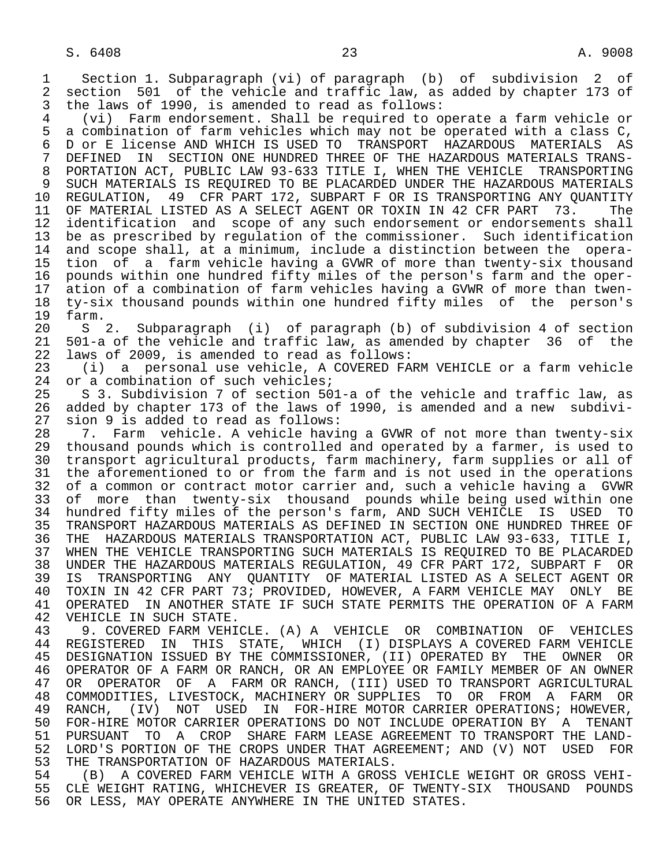1 Section 1. Subparagraph (vi) of paragraph (b) of subdivision 2 of 2 section 501 of the vehicle and traffic law, as added by chapter 173 of<br>3 the laws of 1990, is amended to read as follows: the laws of 1990, is amended to read as follows:

4 (vi) Farm endorsement. Shall be required to operate a farm vehicle or<br>5 a combination of farm vehicles which may not be operated with a class C, 5 a combination of farm vehicles which may not be operated with a class C,<br>6 D or E license AND WHICH IS USED TO TRANSPORT HAZARDOUS MATERIALS AS 6 D or E license AND WHICH IS USED TO TRANSPORT HAZARDOUS MATERIALS AS<br>7 DEFINED IN SECTION ONE HUNDRED THREE OF THE HAZARDOUS MATERIALS TRANS-7 DEFINED IN SECTION ONE HUNDRED THREE OF THE HAZARDOUS MATERIALS TRANS-<br>8 PORTATION ACT, PUBLIC LAW 93-633 TITLE I, WHEN THE VEHICLE, TRANSPORTING 8 PORTATION ACT, PUBLIC LAW 93-633 TITLE I, WHEN THE VEHICLE TRANSPORTING<br>9 SUCH MATERIALS IS REOUIRED TO BE PLACARDED UNDER THE HAZARDOUS MATERIALS 9 SUCH MATERIALS IS REQUIRED TO BE PLACARDED UNDER THE HAZARDOUS MATERIALS<br>10 REGULATION, 49 CFR PART 172, SUBPART F OR IS TRANSPORTING ANY OUANTITY 10 REGULATION, 49 CFR PART 172, SUBPART F OR IS TRANSPORTING ANY QUANTITY<br>11 OF MATERIAL LISTED AS A SELECT AGENT OR TOXIN IN 42 CFR PART 73. The 11 OF MATERIAL LISTED AS A SELECT AGENT OR TOXIN IN 42 CFR PART 73. The<br>12 identification and scope of any such endorsement or endorsements shall 12 identification and scope of any such endorsement or endorsements shall<br>13 be as prescribed by regulation of the commissioner. Such identification 13 be as prescribed by regulation of the commissioner. Such identification<br>14 and scope shall, at a minimum, include a distinction between the operaand scope shall, at a minimum, include a distinction between the opera-15 tion of a farm vehicle having a GVWR of more than twenty-six thousand<br>16 pounds within one hundred fifty miles of the person's farm and the oper-16 pounds within one hundred fifty miles of the person's farm and the oper-<br>17 ation of a combination of farm vehicles having a GVWR of more than twen-17 ation of a combination of farm vehicles having a GVWR of more than twen-<br>18 ty-six thousand pounds within one hundred fifty miles of the person's 18 ty-six thousand pounds within one hundred fifty miles of the person's

19 farm.<br>20 S 20 S 2. Subparagraph (i) of paragraph (b) of subdivision 4 of section 21 501-a of the vehicle and traffic law, as amended by chapter 36 of the<br>22 laws of 2009, is amended to read as follows: 22 laws of 2009, is amended to read as follows:<br>23 (i) a personal use vehicle, A COVERED FA

 23 (i) a personal use vehicle, A COVERED FARM VEHICLE or a farm vehicle 24 or a combination of such vehicles;<br>25 S 3. Subdivision 7 of section 50

 25 S 3. Subdivision 7 of section 501-a of the vehicle and traffic law, as 26 added by chapter 173 of the laws of 1990, is amended and a new subdivi- 27 sion 9 is added to read as follows:<br>28 17. Farm vehicle. A vehicle havi

28 7. Farm vehicle. A vehicle having a GVWR of not more than twenty-six<br>29 thousand pounds which is controlled and operated by a farmer, is used to 29 thousand pounds which is controlled and operated by a farmer, is used to<br>20 transport agricultural products, farm machinery, farm supplies or all of 30 transport agricultural products, farm machinery, farm supplies or all of 31 the aforementioned to or from the farm and is not used in the operations 31 the aforementioned to or from the farm and is not used in the operations<br>32 of a common or contract motor carrier and, such a vehicle having a GVWR 32 of a common or contract motor carrier and, such a vehicle having a GVWR<br>33 of more than twenty-six thousand pounds while being used within one 33 of more than twenty-six thousand pounds while being used within one<br>34 hundred fifty miles of the person's farm, AND SUCH VEHICLE IS USED TO 34 hundred fifty miles of the person's farm, AND SUCH VEHICLE IS USED TO<br>35 TRANSPORT HAZARDOUS MATERIALS AS DEFINED IN SECTION ONE HUNDRED THREE OF 35 TRANSPORT HAZARDOUS MATERIALS AS DEFINED IN SECTION ONE HUNDRED THREE OF<br>36 THE HAZARDOUS MATERIALS TRANSPORTATION ACT, PUBLIC LAW 93-633, TITLE I, THE HAZARDOUS MATERIALS TRANSPORTATION ACT, PUBLIC LAW 93-633, TITLE I, 37 WHEN THE VEHICLE TRANSPORTING SUCH MATERIALS IS REQUIRED TO BE PLACARDED<br>38 UNDER THE HAZARDOUS MATERIALS REGULATION, 49 CFR PART 172, SUBPART F OR 38 UNDER THE HAZARDOUS MATERIALS REGULATION, 49 CFR PART 172, SUBPART F OR 39 IS TRANSPORTING ANY QUANTITY OF MATERIAL LISTED AS A SELECT AGENT OR<br>40 TOXIN IN 42 CFR PART 73; PROVIDED, HOWEVER, A FARM VEHICLE MAY ONLY BE 40 TOXIN IN 42 CFR PART 73; PROVIDED, HOWEVER, A FARM VEHICLE MAY ONLY BE<br>41 OPERATED IN ANOTHER STATE IF SUCH STATE PERMITS THE OPERATION OF A FARM 41 OPERATED IN ANOTHER STATE IF SUCH STATE PERMITS THE OPERATION OF A FARM 42 VEHICLE IN SUCH STATE. 42 VEHICLE IN SUCH STATE.<br>43 9. COVERED FARM VEHI

43 9. COVERED FARM VEHICLE. (A) A VEHICLE OR COMBINATION OF VEHICLES<br>44 REGISTERED IN THIS STATE, WHICH (I) DISPLAYS A COVERED FARM VEHICLE 44 REGISTERED IN THIS STATE, WHICH (I) DISPLAYS A COVERED FARM VEHICLE<br>45 DESIGNATION ISSUED BY THE COMMISSIONER, (II) OPERATED BY THE OWNER OR 45 DESIGNATION ISSUED BY THE COMMISSIONER, (II) OPERATED BY THE OWNER OR 46 OPERATOR OF A FARM OR RANCH, OR AN EMPLOYEE OR FAMILY MEMBER OF AN OWNER<br>47 OR OPERATOR OF A FARM OR RANCH, (III) USED TO TRANSPORT AGRICULTURAL OR OPERATOR OF A FARM OR RANCH, (III) USED TO TRANSPORT AGRICULTURAL 48 COMMODITIES, LIVESTOCK, MACHINERY OR SUPPLIES TO OR FROM A FARM OR 49 RANCH, (IV) NOT USED IN FOR-HIRE MOTOR-CARRIER-OPERATIONS; HOWEVER,<br>50 FOR-HIRE MOTOR-CARRIER-OPERATIONS DO NOT INCLUDE OPERATION BY A TENANT 50 FOR-HIRE MOTOR CARRIER OPERATIONS DO NOT INCLUDE OPERATION BY A TENANT<br>51 PURSUANT TO A CROP SHARE FARM LEASE AGREEMENT TO TRANSPORT THE LAND-51 PURSUANT TO A CROP SHARE FARM LEASE AGREEMENT TO TRANSPORT THE LAND-<br>52 LORD'S PORTION OF THE CROPS UNDER THAT AGREEMENT; AND (V) NOT USED FOR 52 LORD'S PORTION OF THE CROPS UNDER THAT AGREEMENT; AND (V) NOT USED FOR<br>53 THE TRANSPORTATION OF HAZARDOUS MATERIALS. 53 THE TRANSPORTATION OF HAZARDOUS MATERIALS.<br>54 (B) A COVERED FARM VEHICLE WITH A GROSS

54 (B) A COVERED FARM VEHICLE WITH A GROSS VEHICLE WEIGHT OR GROSS VEHI-<br>55 CLE WEIGHT RATING, WHICHEVER IS GREATER, OF TWENTY-SIX THOUSAND POUNDS 55 CLE WEIGHT RATING, WHICHEVER IS GREATER, OF TWENTY-SIX THOUSAND POUNDS<br>56 OR LESS, MAY OPERATE ANYWHERE IN THE UNITED STATES. OR LESS, MAY OPERATE ANYWHERE IN THE UNITED STATES.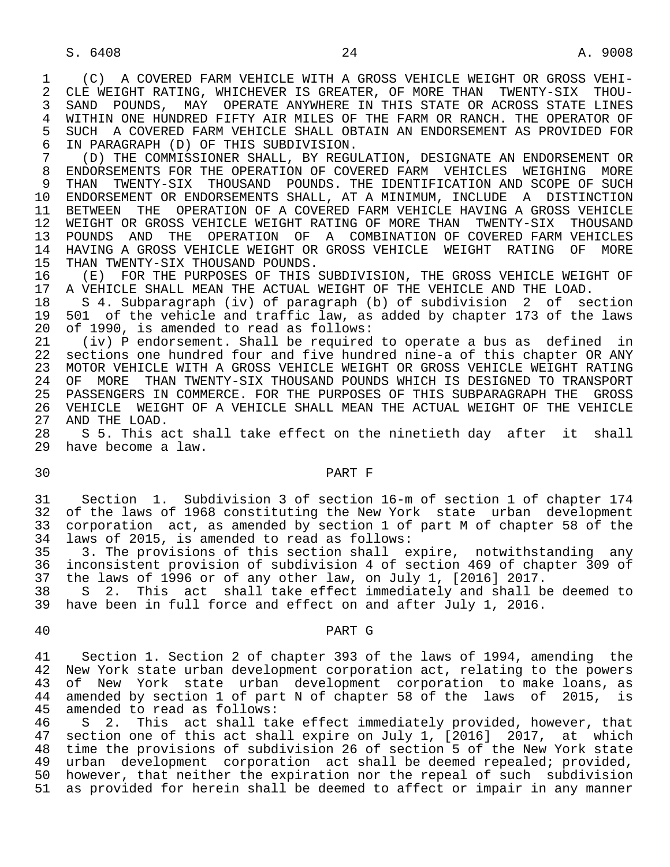1 (C) A COVERED FARM VEHICLE WITH A GROSS VEHICLE WEIGHT OR GROSS VEHI-<br>2 CLE WEIGHT RATING, WHICHEVER IS GREATER, OF MORE THAN TWENTY-SIX THOU-2 CLE WEIGHT RATING, WHICHEVER IS GREATER, OF MORE THAN TWENTY-SIX THOU-<br>3 SAND POUNDS, MAY OPERATE ANYWHERE IN THIS STATE OR ACROSS STATE LINES 3 SAND POUNDS, MAY OPERATE ANYWHERE IN THIS STATE OR ACROSS STATE LINES 4 WITHIN ONE HUNDRED FIFTY AIR MILES OF THE FARM OR RANCH. THE OPERATOR OF<br>5 SUCH A COVERED FARM VEHICLE SHALL OBTAIN AN ENDORSEMENT AS PROVIDED FOR 5 SUCH A COVERED FARM VEHICLE SHALL OBTAIN AN ENDORSEMENT AS PROVIDED FOR<br>6 IN PARAGRAPH (D) OF THIS SUBDIVISION. 6 IN PARAGRAPH (D) OF THIS SUBDIVISION.

 7 (D) THE COMMISSIONER SHALL, BY REGULATION, DESIGNATE AN ENDORSEMENT OR 8 ENDORSEMENTS FOR THE OPERATION OF COVERED FARM VEHICLES WEIGHING MORE<br>9 THAN TWENTY-SIX THOUSAND POUNDS, THE IDENTIFICATION AND SCOPE OF SUCH 9 THAN TWENTY-SIX THOUSAND POUNDS. THE IDENTIFICATION AND SCOPE OF SUCH<br>10 ENDORSEMENT OR ENDORSEMENTS SHALL, AT A MINIMUM, INCLUDE A DISTINCTION 10 ENDORSEMENT OR ENDORSEMENTS SHALL, AT A MINIMUM, INCLUDE A DISTINCTION<br>11 BETWEEN THE OPERATION OF A COVERED FARM VEHICLE HAVING A GROSS VEHICLE 11 BETWEEN THE OPERATION OF A COVERED FARM VEHICLE HAVING A GROSS VEHICLE<br>12 WEIGHT OR GROSS VEHICLE WEIGHT RATING OF MORE THAN TWENTY-SIX THOUSAND 12 WEIGHT OR GROSS VEHICLE WEIGHT RATING OF MORE THAN<br>13 POUNDS AND THE OPERATION OF A COMBINATION OF 13 POUNDS AND THE OPERATION OF A COMBINATION OF COVERED FARM VEHICLES<br>14 HAVING A GROSS VEHICLE WEIGHT OR GROSS VEHICLE WEIGHT RATING OF MORE 14 HAVING A GROSS VEHICLE WEIGHT OR GROSS VEHICLE WEIGHT RATING OF MORE<br>15 THAN TWENTY-SIX THOUSAND POUNDS.

15 THAN TWENTY-SIX THOUSAND POUNDS.<br>16 (E) FOR THE PURPOSES OF THIS 16 (E) FOR THE PURPOSES OF THIS SUBDIVISION, THE GROSS VEHICLE WEIGHT OF 17 A VEHICLE SHALL MEAN THE ACTUAL WEIGHT OF THE VEHICLE AND THE LOAD. 17 A VEHICLE SHALL MEAN THE ACTUAL WEIGHT OF THE VEHICLE AND THE LOAD.<br>18 S 4. Subparagraph (iv) of paragraph (b) of subdivision 2 of se

18 S 4. Subparagraph (iv) of paragraph (b) of subdivision 2 of section<br>19 501 of the vehicle and traffic law, as added by chapter 173 of the laws 19 501 of the vehicle and traffic law, as added by chapter 173 of the laws<br>20 of 1990, is amended to read as follows: 20 of 1990, is amended to read as follows:<br>21 (iv) P endorsement. Shall be required

 21 (iv) P endorsement. Shall be required to operate a bus as defined in 22 sections one hundred four and five hundred nine-a of this chapter OR ANY 23 MOTOR VEHICLE WITH A GROSS VEHICLE WEIGHT OR GROSS VEHICLE WEIGHT RATING<br>24 OF MORE THAN TWENTY-SIX THOUSAND POUNDS WHICH IS DESIGNED TO TRANSPORT 24 OF MORE THAN TWENTY-SIX THOUSAND POUNDS WHICH IS DESIGNED TO TRANSPORT<br>25 PASSENGERS IN COMMERCE, FOR THE PURPOSES OF THIS SUBPARAGRAPH THE GROSS 25 PASSENGERS IN COMMERCE. FOR THE PURPOSES OF THIS SUBPARAGRAPH THE GROSS 26 VEHICLE WEIGHT OF A VEHICLE SHALL MEAN THE ACTUAL WEIGHT OF THE VEHICLE 27 AND THE LOAD. 27 AND THE LOAD.<br>28 S 5. This a

28 S 5. This act shall take effect on the ninetieth day after it shall<br>29 have become a law. have become a law.

# 30 PART F

 31 Section 1. Subdivision 3 of section 16-m of section 1 of chapter 174 32 of the laws of 1968 constituting the New York state urban development<br>33 corporation act, as amended by section 1 of part M of chapter 58 of the 33 corporation act, as amended by section 1 of part M of chapter 58 of the<br>34 laws of 2015, is amended to read as follows: laws of 2015, is amended to read as follows:

 35 3. The provisions of this section shall expire, notwithstanding any 36 inconsistent provision of subdivision 4 of section 469 of chapter 309 of<br>37 the laws of 1996 or of any other law, on July 1, [2016] 2017. 37 the laws of 1996 or of any other law, on July 1, [2016] 2017.<br>38 S 2. This act shall take effect immediately and shall b

38 S 2. This act shall take effect immediately and shall be deemed to<br>39 have been in full force and effect on and after July 1, 2016. have been in full force and effect on and after July 1, 2016.

### 40 PART G

 41 Section 1. Section 2 of chapter 393 of the laws of 1994, amending the 42 New York state urban development corporation act, relating to the powers<br>43 of New York state urban development corporation to make loans, as of New York state urban development corporation to make loans, as 44 amended by section 1 of part N of chapter 58 of the laws of 2015, is 45 amended to read as follows: 45 amended to read as follows:<br>46 S 2. This act shall ta

46 S 2. This act shall take effect immediately provided, however, that<br>47 section one of this act shall expire on July 1, [2016] 2017, at which section one of this act shall expire on July 1, [2016] 2017, at which 48 time the provisions of subdivision 26 of section 5 of the New York state<br>49 urban development corporation act shall be deemed repealed; provided, urban development corporation act shall be deemed repealed; provided, 50 however, that neither the expiration nor the repeal of such subdivision 51 as provided for herein shall be deemed to affect or impair in any manner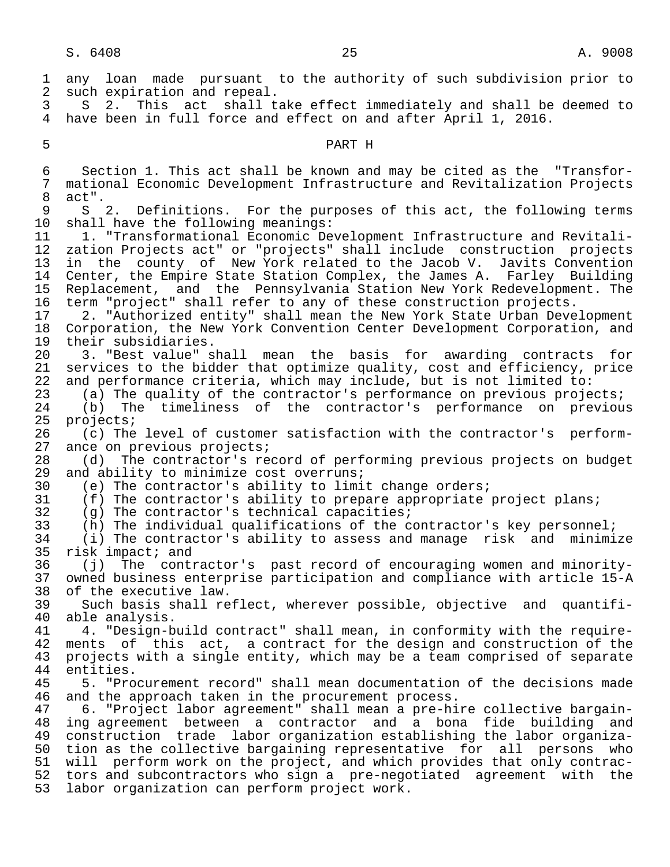1 any loan made pursuant to the authority of such subdivision prior to<br>2 such expiration and repeal. 2 such expiration and repeal.<br>3 S 2. This act shall t 3 S 2. This act shall take effect immediately and shall be deemed to 4 have been in full force and effect on and after April 1, 2016. 5 PART H 6 Section 1. This act shall be known and may be cited as the "Transfor- 7 mational Economic Development Infrastructure and Revitalization Projects<br>8 act"  $\begin{matrix} 8 & \text{act} \text{''} \\ 9 & \text{S} \end{matrix}$ 9 S 2. Definitions. For the purposes of this act, the following terms<br>10 shall have the following meanings: shall have the following meanings: 11 1. "Transformational Economic Development Infrastructure and Revitali zation Projects act" or "projects" shall include construction projects 13 in the county of New York related to the Jacob V. Javits Convention<br>14 Center, the Empire State Station Complex, the James A. Farley Building 14 Center, the Empire State Station Complex, the James A. Farley Building<br>15 Replacement, and the Pennsylvania Station New York Redevelopment. The 15 Replacement, and the Pennsylvania Station New York Redevelopment. The<br>16 term "project" shall refer to any of these construction projects. 16 term "project" shall refer to any of these construction projects.<br>17 2. "Authorized entity" shall mean the New York State Urban Deve 17 2. "Authorized entity" shall mean the New York State Urban Development<br>18 Corporation, the New York Convention Center Development Corporation, and 18 Corporation, the New York Convention Center Development Corporation, and<br>19 their subsidiaries. 19 their subsidiaries.<br>20 3. "Best value" s 20 3. "Best value" shall mean the basis for awarding contracts for<br>21 services to the bidder that optimize quality, cost and efficiency, price services to the bidder that optimize quality, cost and efficiency, price 22 and performance criteria, which may include, but is not limited to:<br>23 (a) The quality of the contractor's performance on previous proje 23 (a) The quality of the contractor's performance on previous projects;<br>24 (b) The timeliness of the contractor's performance on previou 24 (b) The timeliness of the contractor's performance on previous<br>25 projects; 25 projects;<br>26 (c) The 26 (c) The level of customer satisfaction with the contractor's perform-<br>27 ance on previous projects; 27 ance on previous projects;<br>28 (d) The contractor's re 28 (d) The contractor's record of performing previous projects on budget<br>29 and ability to minimize cost overruns; 29 and ability to minimize cost overruns;<br>30 (e) The contractor's ability to limi 30 (e) The contractor's ability to limit change orders;<br>31 (f) The contractor's ability to prepare appropriate 31 (f) The contractor's ability to prepare appropriate project plans;<br>32 (q) The contractor's technical capacities; 32 (g) The contractor's technical capacities;<br>33 (h) The individual qualifications of the c 33 (h) The individual qualifications of the contractor's key personnel;<br>34 (i) The contractor's ability to assess and manage risk and minimi 34 (i) The contractor's ability to assess and manage risk and minimize<br>35 risk impact; and 35 risk impact; and<br>36 (j) The conti 36 (j) The contractor's past record of encouraging women and minority- 37 owned business enterprise participation and compliance with article 15-A 38 of the executive law.<br>39 Such basis shall re 39 Such basis shall reflect, wherever possible, objective and quantifi- 40 able analysis.<br>41 4. "Design-b 41 4. "Design-build contract" shall mean, in conformity with the require-<br>42 ments of this act, a contract for the design and construction of the 42 ments of this act, a contract for the design and construction of the<br>43 projects with a single entity, which may be a team comprised of separate projects with a single entity, which may be a team comprised of separate 44 entities.<br>45 5. "Pro 45 5. "Procurement record" shall mean documentation of the decisions made 46 and the approach taken in the procurement process.<br>47 6. "Project labor agreement" shall mean a pre-hi 47 6. "Project labor agreement" shall mean a pre-hire collective bargain- 48 ing agreement between a contractor and a bona fide building and<br>49 construction trade labor organization establishing the labor organiza- 49 construction trade labor organization establishing the labor organiza- 50 tion as the collective bargaining representative for all persons who 51 will perform work on the project, and which provides that only contrac-<br>52 tors and subcontractors who sign a pre-negotiated agreement with the tors and subcontractors who sign a pre-negotiated agreement with the 53 labor organization can perform project work.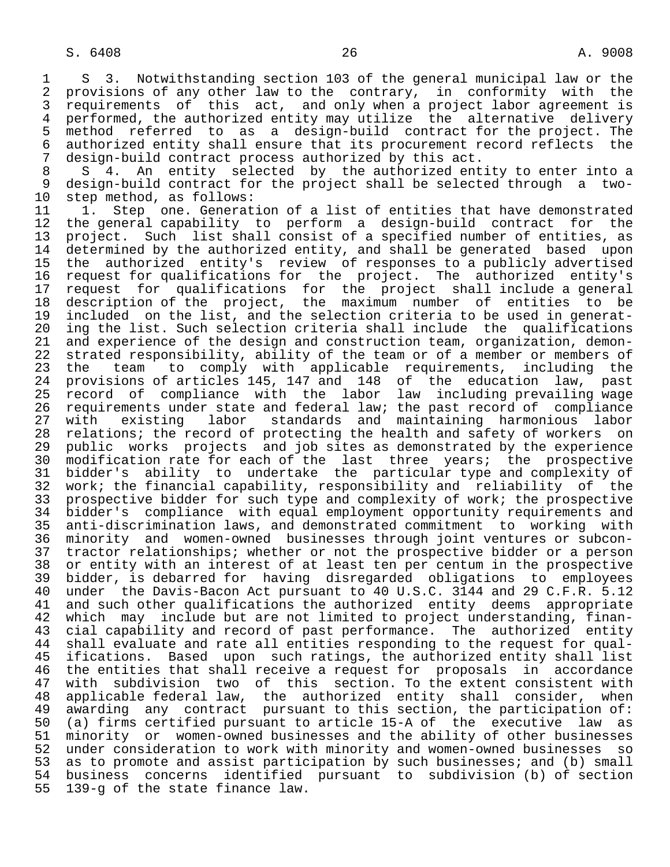7 design-build contract process authorized by this act.<br>8 S 4. An entity selected by the authorized ent 8 S 4. An entity selected by the authorized entity to enter into a<br>9 design-build contract for the project shall be selected through a two-9 design-build contract for the project shall be selected through a two-<br>10 step method, as follows: 10 step method, as follows:<br>11 1. Step one. Generat

11 1. Step one. Generation of a list of entities that have demonstrated<br>12 the general capability to perform a design-build contract for the 12 the general capability to perform a design-build contract for the 13 project. Such list shall consist of a specified number of entities, as 14 determined by the authorized entity, and shall be generated based upon 15 the authorized entity's review of responses to a publicly advertised 16 request for qualifications for the project. The authorized entity's<br>17 request for qualifications for the project shall include a general 17 request for qualifications for the project shall include a general<br>18 description of the project, the maximum number of entities to be 18 description of the project, the maximum number of entities to be<br>19 included on the list, and the selection criteria to be used in generat-19 included on the list, and the selection criteria to be used in generat-<br>20 ing the list. Such selection criteria shall include the qualifications 20 ing the list. Such selection criteria shall include the qualifications<br>21 and experience of the design and construction team, organization, demon-21 and experience of the design and construction team, organization, demon-<br>22 strated responsibility, ability of the team or of a member or members of 22 strated responsibility, ability of the team or of a member or members of<br>23 the team to comply with applicable requirements, including the 23 the team to comply with applicable requirements, including the<br>24 provisions of articles 145, 147 and 148 of the education law, past 24 provisions of articles 145, 147 and 148 of the education law, past<br>25 record of compliance with the labor law including prevailing wage record of compliance with the labor law including prevailing wage 26 requirements under state and federal law; the past record of compliance<br>27 with existing labor standards and maintaining harmonious labor 27 with existing labor standards and maintaining harmonious labor<br>28 relations; the record of protecting the health and safety of workers on 28 relations; the record of protecting the health and safety of workers on<br>29 public works projects and job sites as demonstrated by the experience public works projects and job sites as demonstrated by the experience 30 modification rate for each of the last three years; the prospective<br>31 bidder's ability to undertake the particular type and complexity of 31 bidder's ability to undertake the particular type and complexity of<br>32 work; the financial capability, responsibility and reliability of the 32 work; the financial capability, responsibility and reliability of the<br>33 prospective bidder for such type and complexity of work; the prospective 33 prospective bidder for such type and complexity of work; the prospective<br>34 bidder's compliance with equal employment opportunity requirements and 34 bidder's compliance with equal employment opportunity requirements and<br>35 anti-discrimination laws, and demonstrated commitment to working with anti-discrimination laws, and demonstrated commitment to working with 36 minority and women-owned businesses through joint ventures or subcon- 37 tractor relationships; whether or not the prospective bidder or a person 38 or entity with an interest of at least ten per centum in the prospective<br>39 bidder, is debarred for having disregarded obligations to emplovees 39 bidder, is debarred for having disregarded obligations to employees<br>40 under the Davis-Bacon Act pursuant to 40 U.S.C. 3144 and 29 C.F.R. 5.12 40 under the Davis-Bacon Act pursuant to 40 U.S.C. 3144 and 29 C.F.R. 5.12<br>41 and such other qualifications the authorized entity deems appropriate 41 and such other qualifications the authorized entity deems appropriate<br>42 which may include but are not limited to project understanding, finan-42 which may include but are not limited to project understanding, finan-<br>43 cial capability and record of past performance. The authorized entity 43 cial capability and record of past performance. The authorized entity<br>44 shall evaluate and rate all entities responding to the request for qual-44 shall evaluate and rate all entities responding to the request for qual-<br>45 ifications. Based upon such ratings, the authorized entity shall list ifications. Based upon such ratings, the authorized entity shall list 46 the entities that shall receive a request for proposals in accordance<br>47 with subdivision two of this section. To the extent consistent with 47 with subdivision two of this section. To the extent consistent with<br>48 applicable federal law, the authorized entity shall consider, when 48 applicable federal law, the authorized entity shall consider, when<br>49 awarding any contract pursuant to this section, the participation of: awarding any contract pursuant to this section, the participation of:<br>50 (a) firms certified pursuant to article 15-A of the executive law as 50 (a) firms certified pursuant to article 15-A of the executive law as 51 minority or women-owned businesses and the ability of other businesses<br>52 under consideration to work with minority and women-owned businesses so 52 under consideration to work with minority and women-owned businesses so 53 as to promote and assist participation by such businesses; and (b) small<br>54 business concerns identified pursuant to subdivision (b) of section 54 business concerns identified pursuant to subdivision (b) of section 139-g of the state finance law.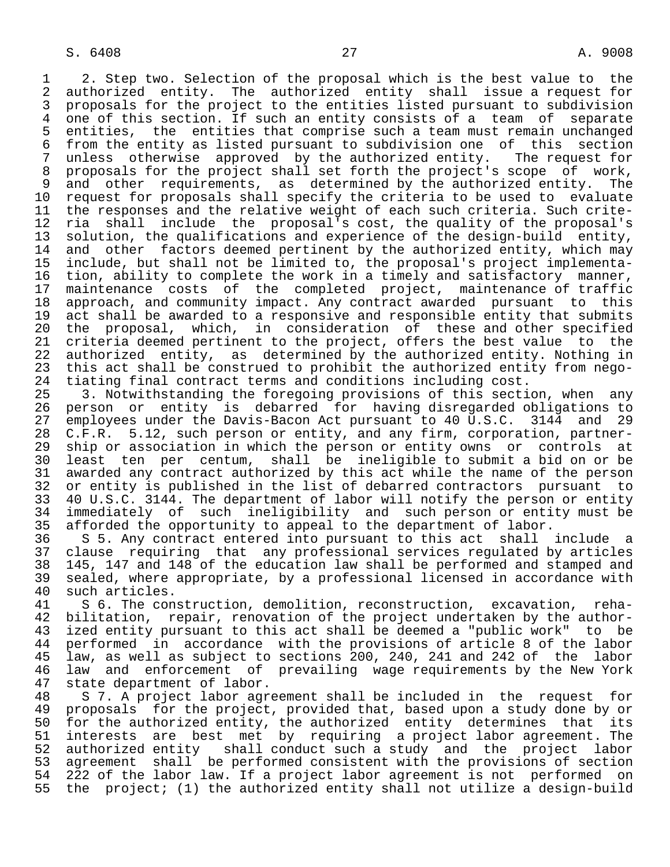1 2. Step two. Selection of the proposal which is the best value to the<br>2 authorized entity. The authorized entity shall issue a request for 2 authorized entity. The authorized entity shall issue a request for<br>3 proposals for the project to the entities listed pursuant to subdivision 3 proposals for the project to the entities listed pursuant to subdivision<br>4 one of this section. If such an entity consists of a team of separate 4 one of this section. If such an entity consists of a team of separate<br>5 entities, the entities that comprise such a team must remain unchanged 5 entities, the entities that comprise such a team must remain unchanged<br>6 from the entity as listed pursuant to subdivision one of this section 6 from the entity as listed pursuant to subdivision one of this section<br>7 unless otherwise approved by the authorized entity. The request for 7 unless otherwise approved by the authorized entity.<br>8 proposals for the project shall set forth the project's 8 proposals for the project shall set forth the project's scope of work,<br>9 and other requirements, as determined by the authorized entity. The 9 and other requirements, as determined by the authorized entity. The<br>10 request for proposals shall specify the criteria to be used to evaluate 10 request for proposals shall specify the criteria to be used to<br>11 the responses and the relative weight of each such criteria. Su 11 the responses and the relative weight of each such criteria. Such crite-<br>12 ria shall include the proposal's cost, the quality of the proposal's 12 ria shall include the proposal's cost, the quality of the proposal's<br>13 solution, the qualifications and experience of the design-build entity, 13 solution, the qualifications and experience of the design-build entity,<br>14 and other factors deemed pertinent by the authorized entity, which may and other factors deemed pertinent by the authorized entity, which may 15 include, but shall not be limited to, the proposal's project implementa- 16 tion, ability to complete the work in a timely and satisfactory manner,<br>17 maintenance costs of the completed project, maintenance of traffic 17 maintenance costs of the completed project, maintenance of traffic<br>18 approach, and community impact. Any contract awarded pursuant to this 18 approach, and community impact. Any contract awarded pursuant to this<br>19 act shall be awarded to a responsive and responsible entity that submits 19 act shall be awarded to a responsive and responsible entity that submits<br>20 the proposal, which, in consideration of these and other specified 20 the proposal, which, in consideration of these and other specified<br>21 criteria deemed pertinent to the project, offers the best value to the 21 criteria deemed pertinent to the project, offers the best value to the<br>22 authorized entity, as determined by the authorized entity. Nothing in 22 authorized entity, as determined by the authorized entity. Nothing in<br>23 this act shall be construed to prohibit the authorized entity from negothis act shall be construed to prohibit the authorized entity from nego-24 tiating final contract terms and conditions including cost.<br>25 3. Notwithstanding the foregoing provisions of this secti

3. Notwithstanding the foregoing provisions of this section, when any 26 person or entity is debarred for having-disregarded-obligations-to-<br>27 employees-under-the-Davis-Bacon-Act-pursuant-to-40-U.S.C. 3144 and-29 27 employees under the Davis-Bacon Act pursuant to 40 U.S.C. 3144 and 29<br>28 C.F.R. 5.12, such person or entity, and any firm, corporation, partner-28 C.F.R. 5.12, such person or entity, and any firm, corporation, partner-<br>29 ship or association in which the person or entity owns or controls at 29 ship or association in which the person or entity owns or controls at<br>20 least ten per centum, shall be ineligible to submit a bid on or be 30 least ten per centum, shall be ineligible to submit a bid on or be 31 awarded any contract authorized by this act while the name of the person<br>32 or entity is published in the list of debarred contractors pursuant to 32 or entity is published in the list of debarred contractors pursuant to<br>33 40 U.S.C. 3144. The department of labor will notify the person or entity 33 40 U.S.C. 3144. The department of labor will notify the person or entity<br>34 immediately of such ineligibility and such person or entity must be 34 immediately of such ineligibility and such person or entity must be 35 afforded the opportunity to appeal to the department of labor.

36 S 5. Any contract entered into pursuant to this act shall include a<br>37 clause requiring that any professional services requlated by articles 37 clause requiring that any professional services regulated by articles 38 145, 147 and 148 of the education law shall be performed and stamped and 39 sealed, where appropriate, by a professional licensed in accordance with 40 such articles.<br>41 S 6. The cons

41 S 6. The construction, demolition, reconstruction, excavation, reha-<br>42 bilitation, repair, renovation of the project undertaken by the author-42 bilitation, repair, renovation of the project undertaken by the author-<br>43 ized entity pursuant to this act shall be deemed a "public work" to be 43 ized entity pursuant to this act shall be deemed a "public work" to be<br>44 performed in accordance with the provisions of article 8 of the labor 44 performed in accordance with the provisions of article 8 of the labor<br>45 law, as well as subject to sections 200, 240, 241 and 242 of the labor 45 law, as well as subject to sections 200, 240, 241 and 242 of the labor<br>46 law, and enforcement of prevailing wage requirements by the New York 46 law and enforcement of prevailing wage requirements by the New York<br>47 state department of labor. 47 state department of labor.<br>48 S 7. A project labor agr

48 S 7. A project labor agreement shall be included in the request for<br>49 proposals for the project, provided that, based upon a study done by or 49 proposals for the project, provided that, based upon a study done by or<br>50 for the authorized entity, the authorized entity determines that its 50 for the authorized entity, the authorized entity determines that its<br>51 interests are best met by requiring a project labor agreement. The interests are best met by requiring a project labor agreement. The 52 authorized entity shall conduct such a study and the project labor<br>53 agreement shall be performed consistent with the provisions of section 53 agreement shall be performed consistent with the provisions of section<br>54 222 of the labor law. If a project labor agreement is not performed on 54 222 of the labor law. If a project labor agreement is not performed on<br>55 the project; (1) the authorized entity shall not utilize a design-build the project; (1) the authorized entity shall not utilize a design-build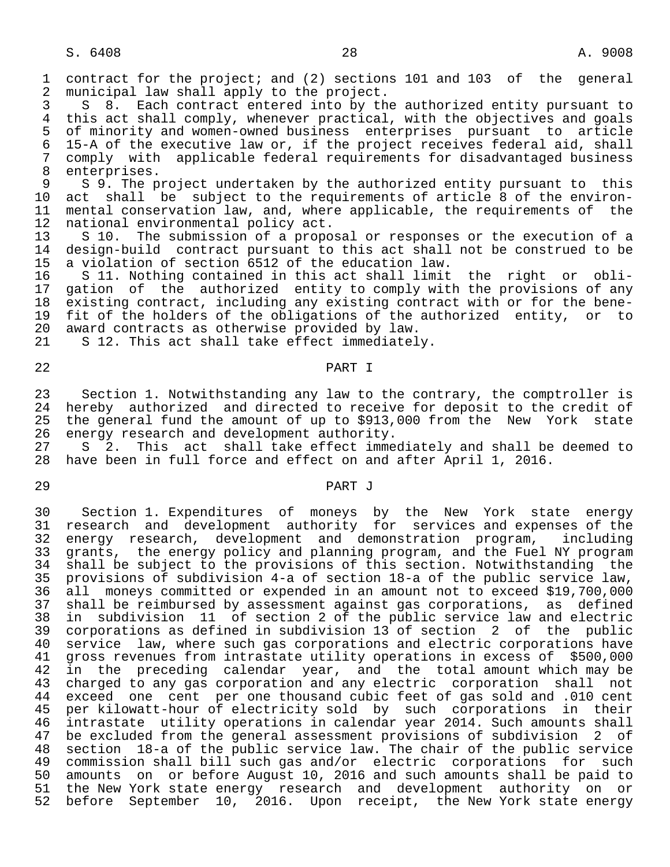1 contract for the project; and (2) sections 101 and 103 of the general<br>2 municipal law shall apply to the project. 2 municipal law shall apply to the project.<br>3 S 8. Each contract entered into by th

3 S 8. Each contract entered into by the authorized entity pursuant to<br>4 this act shall comply, whenever practical, with the objectives and goals 4 this act shall comply, whenever practical, with the objectives and goals<br>5 of minority and women-owned business enterprises pursuant to article 5 of minority and women-owned business enterprises pursuant to article<br>6 15-A of the executive law or, if the project receives federal aid, shall 6 15-A of the executive law or, if the project receives federal aid, shall 7 comply with applicable federal requirements for disadvantaged business 8 enterprises.<br>9 S 9. The p

9 S 9. The project undertaken by the authorized entity pursuant to this<br>10 act shall be subject to the requirements of article 8 of the environ-10 act shall be subject to the requirements of article 8 of the environ-<br>11 mental conservation law, and, where applicable, the requirements of the 11 mental conservation law, and, where applicable, the requirements of the 12 national environmental policy act. 12 national environmental policy act.<br>13 S 10. The submission of a propo:

13 S 10. The submission of a proposal or responses or the execution of a<br>14 design-build contract pursuant to this act shall not be construed to be design-build contract pursuant to this act shall not be construed to be 15 a violation of section 6512 of the education law.

 16 S 11. Nothing contained in this act shall limit the right or obli- 17 gation of the authorized entity to comply with the provisions of any<br>18 existing contract, including any existing contract with or for the bene-18 existing contract, including any existing contract with or for the bene-<br>19 fit of the holders of the obligations of the authorized entity, or to 19 fit of the holders of the obligations of the authorized entity, or to<br>20 award contracts as otherwise provided by law. 20 award contracts as otherwise provided by law.<br>21 S 12. This act shall take effect immediatel

S 12. This act shall take effect immediately.

## 22 PART I

 23 Section 1. Notwithstanding any law to the contrary, the comptroller is 24 hereby authorized and directed to receive for deposit to the credit of<br>25 the general fund the amount of up to \$913,000 from the New York state 25 the general fund the amount of up to \$913,000 from the New York state<br>26 energy research and development authority. 26 energy research and development authority.<br>27 S 2. This act shall take effect imme

S 2. This act shall take effect immediately and shall be deemed to 28 have been in full force and effect on and after April 1, 2016.

## 29 PART J

 30 Section 1. Expenditures of moneys by the New York state energy 31 research and development authority for services and expenses of the 32 energy research, development and demonstration program, including 33 grants, the energy policy and planning program, and the Fuel NY program 34 shall be subject to the provisions of this section. Notwithstanding the<br>35 provisions of subdivision 4-a of section 18-a of the public service law, 35 provisions of subdivision 4-a of section 18-a of the public service law, 36 all moneys committed or expended in an amount not to exceed \$19,700,000 37 shall be reimbursed by assessment against gas corporations, as defined<br>38 in subdivision 11 of section 2 of the public service law and electric 38 in subdivision 11 of section 2 of the public service law and electric 39 corporations as defined in subdivision 13 of section 2 of the public 40 service law, where such gas corporations and electric corporations have<br>41 gross revenues from intrastate utility operations in excess of \$500,000 41 gross revenues from intrastate utility operations in excess of \$500,000 42 in the preceding calendar year, and the total amount which may be<br>43 charged to any gas corporation and any electric corporation shall not charged to any gas corporation and any electric corporation shall not 44 exceed one cent per one thousand cubic feet of gas sold and .010 cent 45 per kilowatt-hour of electricity sold by such corporations in their 46 intrastate utility operations in calendar year 2014. Such amounts shall 47 be excluded from the general assessment provisions of subdivision 2 of 48 section 18-a of the public service law. The chair of the public service 49 commission shall bill such gas and/or electric corporations for such<br>50 amounts on or before August 10, 2016 and such amounts shall be paid to 50 amounts on or before August 10, 2016 and such amounts shall be paid to<br>51 the New York state energy research and development authority on or the New York state energy research and development authority on or 52 before September 10, 2016. Upon receipt, the New York state energy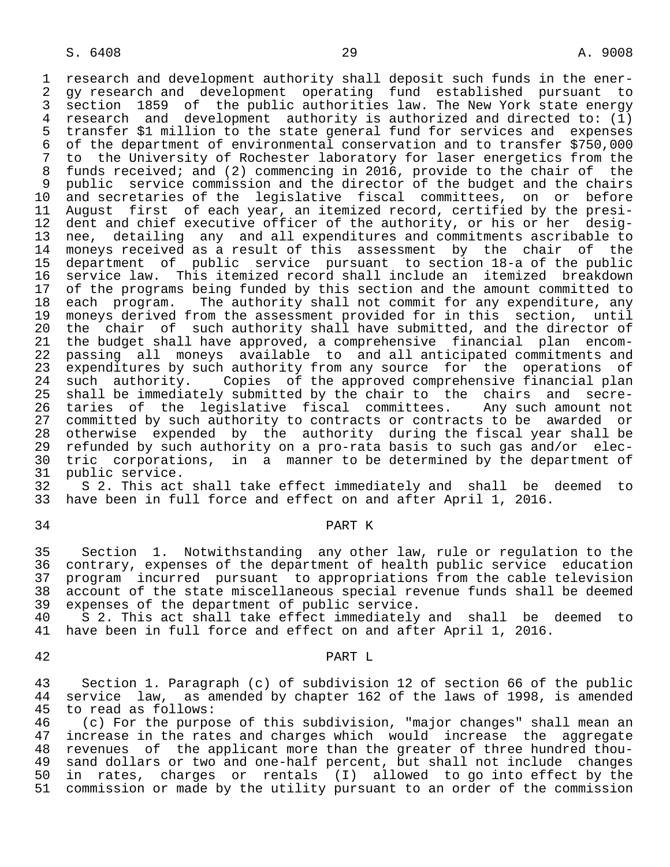1 research and development authority shall deposit such funds in the ener- 2 gy research and development operating fund established pursuant to<br>3 section 1859 of the public authorities law. The New York state energy 3 section 1859 of the public authorities law. The New York state energy<br>4 research and development authority is authorized and directed to: (1) 4 research and development authority is authorized and directed to: (1)<br>5 transfer \$1 million to the state general fund for services and expenses 5 transfer \$1 million to the state general fund for services and expenses 6 of the department of environmental conservation and to transfer \$750,000 to the University of Rochester laboratory for laser energetics from the 8 funds received; and (2) commencing in 2016, provide to the chair of the 9 public service commission and the director of the budget and the chairs<br>10 and secretaries of the legislative fiscal committees, on or before 10 and secretaries of the legislative fiscal committees, on or before<br>11 August first of each year, an itemized record, certified by the presi-11 August first of each year, an itemized record, certified by the presi-<br>12 dent and chief executive officer of the authority, or his or her desig-12 dent and chief executive officer of the authority, or his or her desig-<br>13 nee, detailing any and all expenditures and commitments ascribable to 13 nee, detailing any and all expenditures and commitments ascribable to<br>14 monevs received as a result of this assessment by the chair of the moneys received as a result of this assessment by the chair of the 15 department of public service pursuant to section 18-a of the public 16 service law. This itemized record shall include an itemized breakdown<br>17 of the programs being funded by this section and the amount committed to 17 of the programs being funded by this section and the amount committed to<br>18 each program. The authority shall not commit for any expenditure, any 18 each program. The authority shall not commit for any expenditure, any<br>19 moneys derived from the assessment provided for in this section, until 19 moneys derived from the assessment provided for in this section, until<br>20 the chair of such authority shall have submitted, and the director of 20 the chair of such authority shall have submitted, and the director of<br>21 the budget shall have approved, a comprehensive financial plan encom- 21 the budget shall have approved, a comprehensive financial plan encom- 22 passing all moneys available to and all-anticipated commitments and<br>23 expenditures by such authority from any source for the operations of 23 expenditures by such authority from any source for the operations of<br>24 such authority. Copies of the approved comprehensive financial plan 24 such authority. Copies of the approved comprehensive financial plan<br>25 shall be immediately submitted by the chair to the chairs and secreshall be immediately submitted by the chair to the chairs and secre-26 taries of the legislative fiscal committees. Any such amount not<br>27 committed by such authority to contracts or contracts to be awarded or 27 committed by such authority to contracts or contracts to be awarded or<br>28 otherwise expended by the authority during the fiscal year shall be 28 otherwise expended by the authority during the fiscal year shall be<br>29 refunded by such authority on a pro-rata basis to such gas and/or elec-29 refunded by such authority on a pro-rata basis to such gas and/or elec-<br>20 tric corporations, in a manner to be determined by the department of 30 tric corporations, in a manner to be determined by the department of 31 public service.

31 public service.<br>32 S 2. This act 32 S 2. This act shall take effect immediately and shall be deemed to<br>33 have been in full force and effect on and after April 1, 2016. have been in full force and effect on and after April 1, 2016.

### 34 PART K

 35 Section 1. Notwithstanding any other law, rule or regulation to the 36 contrary, expenses of the department of health public service education<br>37 program incurred pursuant to appropriations from the cable television 37 program incurred pursuant to appropriations from the cable television<br>38 account of the state miscellaneous special revenue funds shall be deemed 38 account of the state miscellaneous special revenue funds shall be deemed<br>39 expenses of the department of public service. 39 expenses of the department of public service.

40 S 2. This act shall take effect immediately and shall be deemed to<br>41 have been in full force and effect on and after April 1, 2016. have been in full force and effect on and after April 1, 2016.

## 42 PART L

 43 Section 1. Paragraph (c) of subdivision 12 of section 66 of the public 44 service law, as amended by chapter 162 of the laws of 1998, is amended<br>45 to read as follows: 45 to read as follows:<br>46 (c) For the purpo

46 (c) For the purpose of this subdivision, "major changes" shall mean an<br>47 increase in the rates and charges which would increase the aggregate increase in the rates and charges which would increase the aggregate 48 revenues of the applicant more than the greater of three hundred thou- 49 sand dollars or two and one-half percent, but shall not include changes<br>50 in rates, charges or rentals (I) allowed to go into effect by the 50 in rates, charges or rentals (I) allowed to go into effect by the<br>51 commission or made by the utility pursuant to an order of the commission commission or made by the utility pursuant to an order of the commission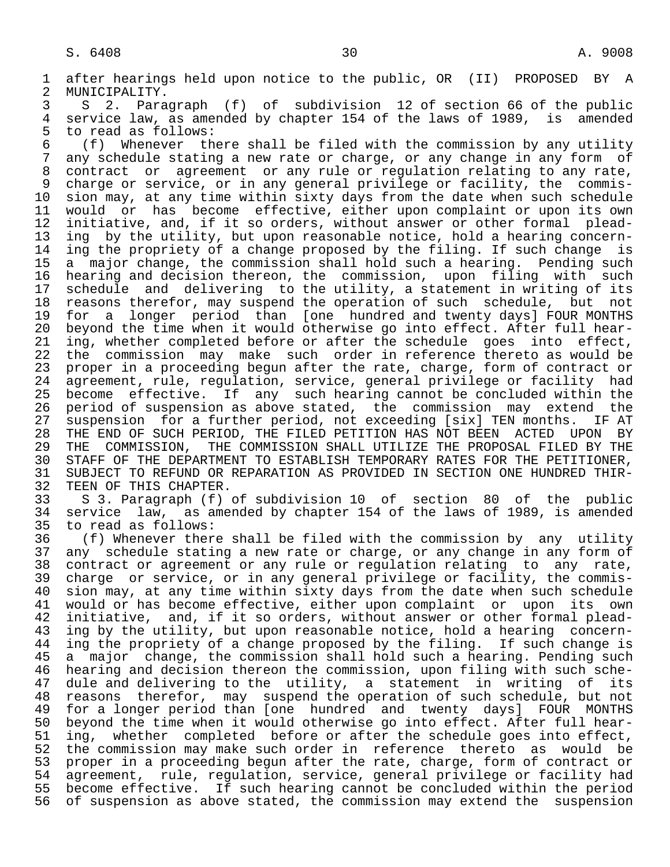1 after hearings held upon notice to the public, OR (II) PROPOSED BY A<br>2 MUNICIPALITY. 2 MUNICIPALITY.<br>3 S 2. Para

 3 S 2. Paragraph (f) of subdivision 12 of section 66 of the public 4 service law, as amended by chapter 154 of the laws of 1989, is amended<br>5 to read as follows: 5 to read as follows:<br>6 (f) Whenever th

 6 (f) Whenever there shall be filed with the commission by any utility any schedule stating a new rate or charge, or any change in any form of 8 contract or agreement or any rule or regulation relating to any rate, 9 charge or service, or in any general privilege or facility, the commis-<br>10 sion may, at any time within sixty days from the date when such schedule 10 sion may, at any time within sixty days from the date when such schedule<br>11 would or has become effective, either upon complaint or upon its own 11 would or has become effective, either upon complaint or upon its own<br>12 initiative, and, if it so orders, without answer or other formal plead-12 initiative, and, if it so orders, without answer or other formal plead-<br>13 ing by the utility, but upon reasonable notice, hold a hearing concern-13 ing by the utility, but upon reasonable notice, hold a hearing concern-<br>14 ing the propriety of a change proposed by the filing. If such change is ing the propriety of a change proposed by the filing. If such change is 15 a major change, the commission shall hold such a hearing. Pending such 16 hearing and decision thereon, the commission, upon filing with such<br>17 schedule and delivering to the utility, a statement in writing of its 17 schedule and delivering to the utility, a statement in writing of its<br>18 reasons therefor, may suspend the operation of such schedule, but not 18 reasons therefor, may suspend the operation of such schedule, but not 19 for a longer period than [one hundred and twenty days] FOUR MONTHS<br>20 beyond the time when it would otherwise go into effect. After full hear-20 beyond the time when it would otherwise go into effect. After full hear-<br>21 ing, whether completed before or after the schedule goes into effect, 21 ing, whether completed before or after the schedule goes into effect,<br>22 the commission may make such order in reference thereto as would be 22 the commission may make such order in reference thereto as would be<br>23 proper in a proceeding begun after the rate, charge, form of contract or proper in a proceeding begun after the rate, charge, form of contract or 24 agreement, rule, regulation, service, general privilege or facility had<br>25 become effective. If any such hearing cannot be concluded within the become effective. If any such hearing cannot be concluded within the 26 period of suspension as above stated, the commission may extend the<br>27 suspension for a further period, not exceeding [six] TEN months. IF AT 27 suspension for a further period, not exceeding [six] TEN months. IN<br>28 THE END OF SUCH PERIOD, THE FILED PETITION HAS NOT BEEN ACTED UPON 28 THE END OF SUCH PERIOD, THE FILED PETITION HAS NOT BEEN ACTED UPON BY<br>29 THE COMMISSION, THE COMMISSION SHALL UTILIZE THE PROPOSAL FILED BY THE 29 THE COMMISSION, THE COMMISSION SHALL UTILIZE THE PROPOSAL FILED BY THE 160 PART OF THE PERTITIONER. 30 STAFF OF THE DEPARTMENT TO ESTABLISH TEMPORARY RATES FOR THE PETITIONER,<br>31 SUBJECT TO REFUND OR REPARATION AS PROVIDED IN SECTION ONE HUNDRED THIR-31 SUBJECT TO REFUND OR REPARATION AS PROVIDED IN SECTION ONE HUNDRED THIR-<br>32 TEEN OF THIS CHAPTER.

32 TEEN OF THIS CHAPTER.<br>33 S 3. Paragraph (f) 33 S 3. Paragraph (f) of subdivision 10 of section 80 of the public 34 service law, as amended by chapter 154 of the laws of 1989, is amended<br>35 to read as follows:

35 to read as follows:<br>36 (f) Whenever ther  $(f)$  Whenever there shall be filed with the commission by any utility 37 any schedule stating a new rate or charge, or any change in any form of 38 contract or agreement or any rule or regulation relating to any rate, 38 contract or agreement or any rule or regulation relating to any rate,<br>39 charge or service, or in any general privilege or facility, the commis-39 charge or service, or in any general privilege or facility, the commis-<br>40 sion may, at any time within sixty days from the date when such schedule sion may, at any time within sixty days from the date when such schedule 41 would or has become effective, either upon complaint or upon its own<br>42 initiative, and, if it so orders, without answer or other formal plead-42 initiative, and, if it so orders, without answer or other formal plead-<br>43 ing by the utility, but upon reasonable notice, hold a hearing concern-43 ing by the utility, but upon reasonable notice, hold a hearing concern-<br>44 ing the propriety of a change proposed by the filing. If such change is 44 ing the propriety of a change proposed by the filing. If such change is<br>45 a major change, the commission shall hold such a hearing. Pending such a major change, the commission shall hold such a hearing. Pending such 46 hearing and decision thereon the commission, upon filing with such sche dule and delivering to the utility, a statement in writing of its 48 reasons therefor, may suspend the operation of such schedule, but not<br>49 for a longer period than [one hundred and twenty days] FOUR MONTHS 49 for a longer period than [one hundred and twenty days] FOUR MONTHS<br>50 bevond the time when it would otherwise go into effect. After full hear-50 beyond the time when it would otherwise go into effect. After full hear-<br>51 ing, whether completed before or after the schedule goes into effect, 51 ing, whether completed before or after the schedule goes into effect,<br>52 the commission may make such order in reference thereto as would be 52 the commission may make such order in reference thereto as would be<br>53 proper in a proceeding begun after the rate, charge, form of contract or 53 proper in a proceeding begun after the rate, charge, form of contract or<br>54 agreement, rule, regulation, service, general privilege or facility had 54 agreement, rule, regulation, service, general privilege or facility had<br>55 become effective. If such hearing cannot be concluded within the period 55 become effective. If such hearing cannot be concluded within the period<br>56 of suspension as above stated, the commission may extend the suspension 56 of suspension as above stated, the commission may extend the suspension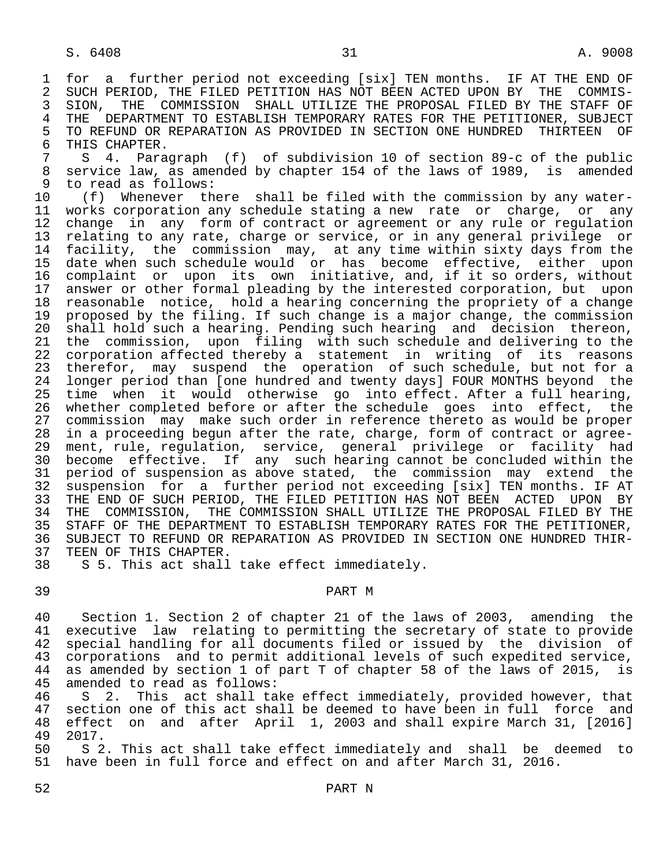S. 6408 2008 31

1 for a further period not exceeding [six] TEN months. IF AT THE END OF<br>2 SUCH PERIOD, THE FILED PETITION HAS NOT BEEN ACTED UPON BY THE COMMIS-2 SUCH PERIOD, THE FILED PETITION HAS NOT BEEN ACTED UPON BY THE COMMIS-<br>3 SION, THE COMMISSION SHALL UTILIZE THE PROPOSAL FILED BY THE STAFF OF 3 SION, THE COMMISSION SHALL UTILIZE THE PROPOSAL FILED BY THE STAFF OF 4 THE DEPARTMENT TO ESTABLISH TEMPORARY RATES FOR THE PETITIONER, SUBJECT<br>5 TO REFUND OR REPARATION AS PROVIDED IN SECTION ONE HUNDRED THIRTEEN OF 5 TO REFUND OR REPARATION AS PROVIDED IN SECTION ONE HUNDRED<br>6 THIS CHAPTER. 6 THIS CHAPTER.<br>7 S 4. Para

7 S 4. Paragraph (f) of subdivision 10 of section 89-c of the public<br>8 service law, as amended by chapter 154 of the laws of 1989, is amended 8 service law, as amended by chapter 154 of the laws of 1989, is amended<br>9 to read as follows:

9 to read as follows:<br>10 (f) Whenever th 10 (f) Whenever there shall be filed with the commission by any water-<br>11 works corporation any schedule stating a new rate or charge, or any 11 works corporation any schedule stating a new rate or charge, or any<br>12 change in any form of contract or agreement or any rule or regulation 12 change in any form of contract or agreement or any rule or regulation<br>13 relating to any rate, charge or service, or in any general privilege or 13 relating to any rate, charge or service, or in any general privilege or<br>14 facility, the commission may, at any time within sixty days from the facility, the commission may, at any time within sixty days from the 15 date when such schedule would or has become effective, either upon<br>16 complaint or upon its own initiative, and, if it so orders, without 16 complaint or upon its own initiative, and, if it so orders, without<br>17 answer or other formal pleading by the interested corporation, but upon 17 answer or other formal pleading by the interested corporation, but upon<br>18 reasonable notice, hold a hearing concerning the propriety of a change 18 reasonable notice, hold a hearing concerning the propriety of a change<br>19 proposed by the filing. If such change is a major change, the commission 19 proposed by the filing. If such change is a major change, the commission<br>20 shall hold such a hearing. Pending such hearing and decision thereon. 20 shall hold such a hearing. Pending such hearing and decision thereon,<br>21 the commission, upon filing with such schedule and delivering to the 21 the commission, upon filing with such schedule and delivering to the<br>22 corporation affected thereby a statement in writing of its reasons 22 corporation affected thereby a statement in writing of its reasons<br>23 therefor, may suspend the operation of such schedule, but not for a therefor, may suspend the operation of such schedule, but not for a 24 longer period than [one hundred and twenty days] FOUR MONTHS beyond the<br>25 time when it would otherwise go into effect. After a full hearing, time when it would otherwise go into effect. After a full hearing, 26 whether completed before or after the schedule goes into effect, the<br>27 commission may make such order in reference thereto as would be proper 27 commission may make such order in reference thereto as would be proper 28 in a proceeding begun after the rate, charge, form of contract or agree- 29 ment, rule, regulation, service, general privilege or facility had 30 become effective. If any such hearing cannot be concluded within the<br>31 period of suspension as above stated, the commission may extend the 31 period of suspension as above stated, the commission may extend the<br>32 suspension for a further period not exceeding [six] TEN months. IF AT 32 suspension for a further period not exceeding [six] TEN months. IF AT<br>33 THE END OF SUCH PERIOD, THE FILED PETITION HAS NOT BEEN ACTED UPON BY 33 THE END OF SUCH PERIOD, THE FILED PETITION HAS NOT BEEN ACTED<br>34 THE COMMISSION, THE COMMISSION SHALL UTILIZE THE PROPOSAL FIL 34 THE COMMISSION, THE COMMISSION SHALL UTILIZE THE PROPOSAL FILED BY THE 1555 STAFF OF THE PEPARTMENT TO ESTABLISH TEMPORARY RATES FOR THE PETITIONER. 35 STAFF OF THE DEPARTMENT TO ESTABLISH TEMPORARY RATES FOR THE PETITIONER,<br>36 SUBJECT TO REFUND OR REPARATION AS PROVIDED IN SECTION ONE HUNDRED THIR- 36 SUBJECT TO REFUND OR REPARATION AS PROVIDED IN SECTION ONE HUNDRED THIR- 37 TEEN OF THIS CHAPTER.<br>38 S 5. This act shall

S 5. This act shall take effect immediately.

## 39 PART M

40 Section 1. Section 2 of chapter 21 of the laws of 2003, amending the<br>41 executive law relating to permitting the secretary of state to provide 41 executive law relating to permitting the secretary of state to provide<br>42 special handling for all documents filed or issued by the division of 42 special handling for all documents filed or issued by the division of<br>43 corporations and to permit additional levels of such expedited service, 43 corporations and to permit additional levels of such expedited service,<br>44 as amended by section 1 of part T of chapter 58 of the laws of 2015, is 44 as amended by section 1 of part T of chapter 58 of the laws of 2015, is<br>45 amended to read as follows: amended to read as follows:

46 S 2. This act shall take effect immediately, provided however, that<br>47 section one of this act shall be deemed to have been in full force and 47 section one of this act shall be deemed to have been in full force and<br>48 effect on and after April 1, 2003 and shall expire March 31, [2016] 48 effect on and after April 1, 2003 and shall expire March 31, [2016] 49 2017.<br>50 S 2

50 S 2. This act shall take effect immediately and shall be deemed to<br>51 have been in full force and effect on and after March 31, 2016. have been in full force and effect on and after March 31, 2016.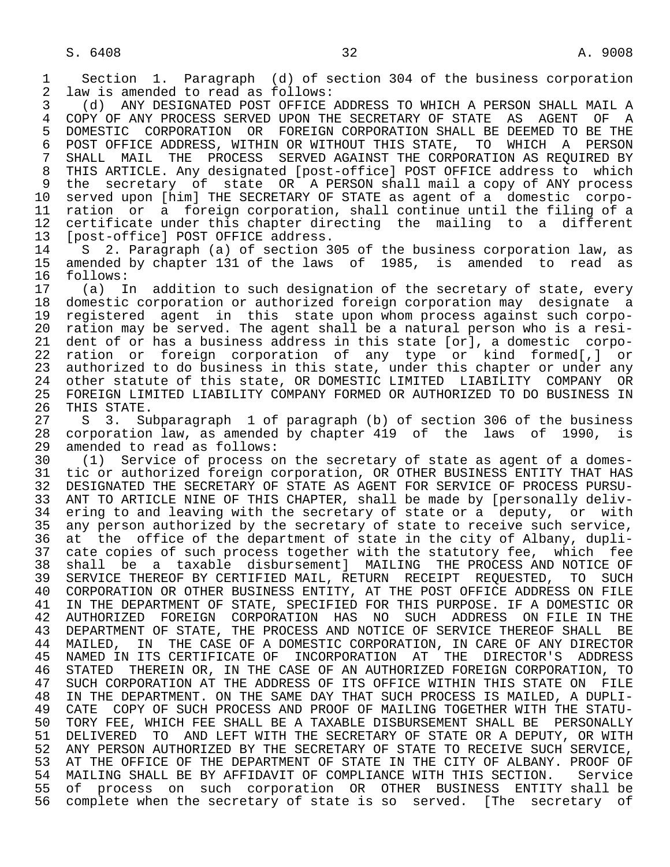1 Section 1. Paragraph (d) of section 304 of the business corporation<br>2 law is amended to read as follows: 2 law is amended to read as follows:<br>3 (d) ANY DESIGNATED POST OFFICE.

 3 (d) ANY DESIGNATED POST OFFICE ADDRESS TO WHICH A PERSON SHALL MAIL A 4 COPY OF ANY PROCESS SERVED UPON THE SECRETARY OF STATE AS AGENT OF A<br>5 DOMESTIC CORPORATION OR FOREIGN CORPORATION SHALL BE DEEMED TO BE THE 5 DOMESTIC CORPORATION OR FOREIGN CORPORATION SHALL BE DEEMED TO BE THE 5 DOMESTIC CORPORATION OR FOREIGN CORPORT THIS STATE. TO WHICH A PERSON 6 POST OFFICE ADDRESS, WITHIN OR WITHOUT THIS STATE, TO WHICH A PERSON<br>7 SHALL MAIL THE PROCESS SERVED AGAINST THE CORPORATION AS REOUIRED BY SHALL MAIL THE PROCESS SERVED AGAINST THE CORPORATION AS REQUIRED BY 8 THIS ARTICLE. Any designated [post-office] POST OFFICE address to which 9 the secretary of state OR A PERSON shall mail a copy of ANY process<br>10 served upon [him] THE SECRETARY OF STATE as agent of a domestic corpo-10 served upon [him] THE SECRETARY OF STATE as agent of a domestic corpo-<br>11 ration or a foreign corporation, shall continue until the filing of a 11 ration or a foreign corporation, shall continue until the filing of a<br>12 certificate under this chapter directing the mailing to a different 12 certificate under this chapter directing the mailing to a different<br>13 [post-office] POST OFFICE address. 13 [post-office] POST OFFICE address.<br>14 S 2. Paragraph (a) of section 3

 14 S 2. Paragraph (a) of section 305 of the business corporation law, as 15 amended by chapter 131 of the laws of 1985, is amended to read as 16 follows:<br>17 (a) I

 17 (a) In addition to such designation of the secretary of state, every 18 domestic corporation or authorized foreign corporation may designate a<br>19 registered agent in this state upon whom process against such corpo-19 registered agent in this state upon whom process against such corpo-<br>20 ration may be served. The agent shall be a natural person who is a resi-20 ration may be served. The agent shall be a natural person who is a resi-<br>21 dent of or has a business address in this state [or], a domestic corpo-21 dent of or has a business address in this state [or], a domestic corpo-<br>22 ration or foreign corporation of any type or kind formed[,] or 22 ration or foreign corporation of any type or kind formed[,] or<br>23 authorized to do business in this state, under this chapter or under any authorized to do business in this state, under this chapter or under any 24 other statute of this state, OR DOMESTIC LIMITED LIABILITY COMPANY OR<br>25 FOREIGN LIMITED LIABILITY COMPANY FORMED OR AUTHORIZED TO DO BUSINESS IN 25 FOREIGN LIMITED LIABILITY COMPANY FORMED OR AUTHORIZED TO DO BUSINESS IN 26 THIS STATE.<br>27 S 3. Su

27 S 3. Subparagraph 1 of paragraph (b) of section 306 of the business<br>28 corporation law, as amended by chapter 419 of the laws of 1990, is 28 corporation law, as amended by chapter 419 of the laws of 1990, is<br>29 amended to read as follows: 29 amended to read as follows:<br>30 (1) Service of process o

30 (1) Service of process on the secretary of state as agent of a domes-<br>31 tic or authorized foreign corporation, OR OTHER BUSINESS ENTITY THAT HAS 31 tic or authorized foreign corporation, OR OTHER BUSINESS ENTITY THAT HAS<br>32 DESIGNATED THE SECRETARY OF STATE AS AGENT FOR SERVICE OF PROCESS PURSU-32 DESIGNATED THE SECRETARY OF STATE AS AGENT FOR SERVICE OF PROCESS PURSU-<br>33 ANT TO ARTICLE NINE OF THIS CHAPTER, shall be made by [personally deliv-33 ANT TO ARTICLE NINE OF THIS CHAPTER, shall be made by [personally deliv-<br>34 ering to and leaving with the secretary of state or a deputy, or with 34 ering to and leaving with the secretary of state or a deputy, or with<br>35 any person authorized by the secretary of state to receive such service, 35 any person authorized by the secretary of state to receive such service,<br>36 at the office of the department of state in the city of Albany, dupliat the office of the department of state in the city of Albany, dupli-37 cate copies of such process together with the statutory fee, which fee<br>38 shall be a taxable disbursement] MAILING THE PROCESS AND NOTICE OF 38 shall be a taxable disbursement] MAILING<br>39 SERVICE-THEREOF-BY-CERTIFIED-MAIL, RETURN REC 39 SERVICE THEREOF BY CERTIFIED MAIL, RETURN RECEIPT REQUESTED, TO SUCH<br>40 CORPORATION OR OTHER BUSINESS ENTITY, AT THE POST OFFICE ADDRESS ON FILE 40 CORPORATION OR OTHER BUSINESS ENTITY, AT THE POST OFFICE ADDRESS ON FILE<br>41 IN THE DEPARTMENT OF STATE, SPECIFIED FOR THIS PURPOSE, IF A DOMESTIC OR 41 IN THE DEPARTMENT OF STATE, SPECIFIED FOR THIS PURPOSE. IF A DOMESTIC OR<br>42 AUTHORIZED FOREIGN CORPORATION HAS NO SUCH ADDRESS ON FILE IN THE 42 AUTHORIZED FOREIGN CORPORATION HAS NO SUCH ADDRESS ON FILE IN THE 43 DEPARTMENT OF STATE, THE PROCESS AND NOTICE OF SERVICE THEREOF SHALL BE 43 DEPARTMENT OF STATE, THE PROCESS AND NOTICE OF SERVICE THEREOF SHALL 44 MAILED, IN THE CASE OF A DOMESTIC CORPORATION, IN CARE OF ANY DIRE 44 MAILED, IN THE CASE OF A DOMESTIC CORPORATION, IN CARE OF ANY DIRECTOR<br>45 NAMED IN ITS CERTIFICATE OF INCORPORATION AT THE DIRECTOR'S ADDRESS NAMED IN ITS CERTIFICATE OF INCORPORATION AT THE 46 STATED THEREIN OR, IN THE CASE OF AN AUTHORIZED FOREIGN CORPORATION, TO<br>47 SUCH CORPORATION AT THE ADDRESS OF ITS OFFICE WITHIN THIS STATE ON FILE SUCH CORPORATION AT THE ADDRESS OF ITS OFFICE WITHIN THIS STATE ON FILE 48 IN THE DEPARTMENT. ON THE SAME DAY THAT SUCH PROCESS IS MAILED, A DUPLI- 49 CATE COPY OF SUCH PROCESS AND PROOF OF MAILING TOGETHER WITH THE STATU-<br>50 TORY FEE, WHICH FEE SHALL BE A TAXABLE DISBURSEMENT SHALL BE PERSONALLY 50 TORY FEE, WHICH FEE SHALL BE A TAXABLE DISBURSEMENT SHALL BE PERSONALLY<br>51 DELIVERED TO AND LEFT WITH THE SECRETARY OF STATE OR A DEPUTY, OR WITH 51 DELIVERED TO AND LEFT WITH THE SECRETARY OF STATE OR A DEPUTY, OR WITH 52 ANY PERSON AUTHORIZED BY THE SECRETARY OF STATE TO RECEIVE SUCH SERVICE, 52 ANY PERSON AUTHORIZED BY THE SECRETARY OF STATE TO RECEIVE SUCH SERVICE,<br>53 AT THE OFFICE OF THE DEPARTMENT OF STATE IN THE CITY OF ALBANY. PROOF OF 53 AT THE OFFICE OF THE DEPARTMENT OF STATE IN THE CITY OF ALBANY. PROOF OF<br>54 MAILING SHALL BE BY AFFIDAVIT OF COMPLIANCE WITH THIS SECTION. Service 54 MAILING SHALL BE BY AFFIDAVIT OF COMPLIANCE WITH THIS SECTION.<br>55 of process on such corporation OR OTHER BUSINESS ENTITY 55 of process on such corporation OR OTHER BUSINESS ENTITY shall be<br>56 complete when the secretary of state is so served. [The secretary of 56 complete when the secretary of state is so served. [The secretary of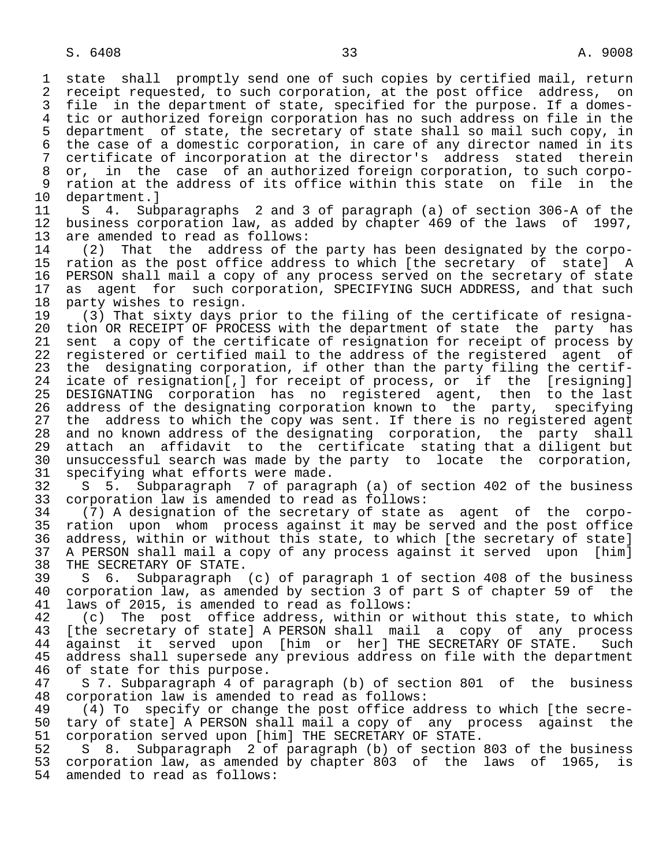1 state shall promptly send one of such copies by certified mail, return<br>2 receipt requested, to such corporation, at the post office address, on 2 receipt requested, to such corporation, at the post office address, on<br>3 file in the department of state, specified for the purpose. If a domesfile in the department of state, specified for the purpose. If a domes-4 tic or authorized foreign corporation has no such address on file in the<br>5 department of state, the secretary of state shall so mail such copy, in 5 department of state, the secretary of state shall so mail such copy, in 6 the case of a domestic corporation, in care of any director named in its 7 certificate of incorporation at the director's address stated therein 8 or, in the case of an authorized foreign corporation, to such corpo-<br>9 ration at the address of its office within this state on file in the 9 ration at the address of its office within this state on file in the<br>10 department.]

10 department.]<br>11 S 4. Sub 11 S 4. Subparagraphs 2 and 3 of paragraph (a) of section 306-A of the<br>12 business corporation law, as added by chapter 469 of the laws of 1997, business corporation law, as added by chapter 469 of the laws of 1997, 13 are amended to read as follows:<br>14 (2) That the address of th

 14 (2) That the address of the party has been designated by the corpo- 15 ration as the post office address to which [the secretary of state] A<br>16 PERSON shall mail a copy of any process served on the secretary of state 16 PERSON shall mail a copy of any process served on the secretary of state<br>17 as agent for such corporation, SPECIFYING SUCH ADDRESS, and that such 17 as agent for such corporation, SPECIFYING SUCH ADDRESS, and that such 18 party wishes to resign. 18 party wishes to resign.<br>19 (3) That sixty days p

19 (3) That sixty days prior to the filing of the certificate of resigna-<br>20 tion OR RECEIPT OF PROCESS with the department of state the party has 20 tion OR RECEIPT OF PROCESS with the department of state the party has<br>21 sent a copy of the certificate of resignation for receipt of process by 21 sent a copy of the certificate of resignation for receipt of process by<br>22 registered or certified mail to the address of the registered agent of 22 registered or certified mail to the address of the registered agent of<br>23 the designating corporation, if other than the party filing the certifthe designating corporation, if other than the party filing the certif-24 icate of resignation[,] for receipt of process, or if the [resigning]<br>25 DESIGNATING corporation has no registered agent, then to the last DESIGNATING corporation has no registered agent, then to the last 26 address of the designating corporation known to the party, specifying<br>27 the address to which the copy was sent. If there is no registered agent 27 the address to which the copy was sent. If there is no registered agent<br>28 and no known address of the designating corporation, the party shall 28 and no known address of the designating corporation, the party shall<br>29 attach an affidavit to the certificate stating that a diligent but 29 attach an affidavit to the certificate stating that a diligent but<br>30 unsuccessful search was made by the party to locate the corporation. 30 unsuccessful search was made by the party to locate the corporation, 31 specifying what efforts were made.<br>32 S 5. Subparagraph 7 of paragr

32 S 5. Subparagraph 7 of paragraph (a) of section 402 of the business<br>33 corporation law is amended to read as follows: 33 corporation law is amended to read as follows:<br>34 (7) A designation of the secretary of state

 34 (7) A designation of the secretary of state as agent of the corpo- 35 ration upon whom process against it may be served and the post office<br>36 address, within or without this state, to which [the secretary of state] address, within or without this state, to which [the secretary of state] 37 A PERSON shall mail a copy of any process against it served upon [him]<br>38 THE SECRETARY OF STATE. 38 THE SECRETARY OF STATE.<br>39 S 6. Subparagraph

 39 S 6. Subparagraph (c) of paragraph 1 of section 408 of the business 40 corporation law, as amended by section 3 of part S of chapter 59 of the 41 laws of 2015, is amended to read as follows: 41 laws of 2015, is amended to read as follows:<br>42 (c) The post office address, within or

42 (c) The post office address, within or without this state, to which<br>43 [the secretary of state] A PERSON shall mail a copy of any process 43 [the secretary of state] A PERSON shall mail a copy of any process<br>44 against it served upon [him or her] THE SECRETARY OF STATE. Such 44 against it served upon [him or her] THE SECRETARY OF STATE. Such<br>45 address shall supersede any previous address on file with the department address shall supersede any previous address on file with the department 46 of state for this purpose.<br>47 S 7. Subparagraph 4 of p

57. Subparagraph 4 of paragraph (b) of section 801 of the business 48 corporation law is amended to read as follows:

49 (4) To specify or change the post office address to which [the secre-<br>50 tary of statel A PERSON shall mail a copy of any process against the 50 tary of state] A PERSON shall mail a copy of any process against the<br>51 corporation served upon [him] THE SECRETARY OF STATE. 51 corporation served upon [him] THE SECRETARY OF STATE.<br>52 S 8. Subparagraph 2 of paragraph (b) of section

 52 S 8. Subparagraph 2 of paragraph (b) of section 803 of the business 53 corporation law, as amended by chapter 803 of the laws of 1965, is<br>54 amended to read as follows: amended to read as follows: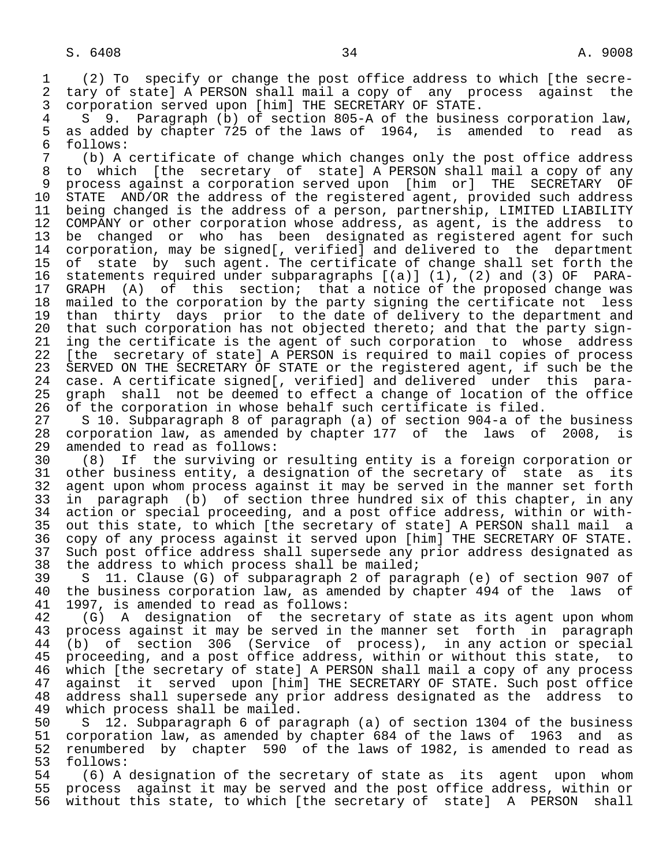1 (2) To specify or change the post office address to which [the secre- 2 tary of state] A PERSON shall mail a copy of any process against the<br>3 corporation served upon [him] THE SECRETARY OF STATE.

 3 corporation served upon [him] THE SECRETARY OF STATE. 4 S 9. Paragraph (b) of section 805-A of the business corporation law, 5 as added by chapter 725 of the laws of 1964, is amended to read as<br>6 follows: 6 follows:

 7 (b) A certificate of change which changes only the post office address 8 to which [the secretary of state] A PERSON shall mail a copy of any 9 process against a corporation served upon [him or] THE SECRETARY OF<br>10 STATE AND/OR the address of the registered agent, provided such address 10 STATE AND/OR the address of the registered agent, provided such address<br>11 being changed is the address of a person, partnership, LIMITED LIABILITY 11 being changed is the address of a person, partnership, LIMITED LIABILITY<br>12 COMPANY or other corporation whose address, as agent, is the address to 12 COMPANY or other corporation whose address, as agent, is the address to<br>13 be changed or who has been designated as registered agent for such 13 be changed or who has been designated as registered agent for such<br>14 corporation, may be signed [, verified] and delivered to the department corporation, may be signed[, verified] and delivered to the department 15 of state by such agent. The certificate of change shall set forth the<br>16 statements required under subparagraphs [(a)] (1), (2) and (3) OF PARA- 16 statements required under subparagraphs [(a)] (1), (2) and (3) OF PARA- 17 GRAPH (A) of this section; that a notice of the proposed change was<br>18 mailed to the corporation by the party signing the certificate not less 18 mailed to the corporation by the party signing the certificate not less<br>19 than thirty days prior to the date of delivery to the department and 19 than thirty days prior to the date of delivery to the department and<br>20 that such corporation has not objected thereto; and that the party sign-20 that such corporation has not objected thereto; and that the party sign-<br>21 ing the certificate is the agent of such corporation to whose address 21 ing the certificate is the agent of such corporation to whose address<br>22 [the secretary of state] A PERSON is required to mail copies of process 22 [the secretary of state] A PERSON is required to mail copies of process<br>23 SERVED ON THE SECRETARY OF STATE or the registered agent, if such be the SERVED ON THE SECRETARY OF STATE or the registered agent, if such be the 24 case. A certificate signed[, verified] and delivered under this para graph shall not be deemed to effect a change of location of the office

 26 of the corporation in whose behalf such certificate is filed. 27 S 10. Subparagraph 8 of paragraph (a) of section 904-a of the business<br>28 corporation law, as amended by chapter 177 of the laws of 2008, is 28 corporation law, as amended by chapter 177 of the laws of 2008, is<br>29 amended to read as follows: 29 amended to read as follows:<br>30 (8) If the surviving or

 30 (8) If the surviving or resulting entity is a foreign corporation or 31 other business entity, a designation of the secretary of state as its<br>32 agent upon whom process against it may be served in the manner set forth 32 agent upon whom process against it may be served in the manner set forth<br>33 in paragraph (b) of section three hundred six of this chapter, in any 33 in paragraph (b) of section three hundred six of this chapter, in any<br>34 action or special proceeding, and a post office address, within or with- 34 action or special proceeding, and a post office address, within or with- 35 out this state, to which [the secretary of state] A PERSON shall mail a<br>36 copy of any process against it served upon [him] THE SECRETARY OF STATE. copy of any process against it served upon [him] THE SECRETARY OF STATE. 37 Such post office address shall supersede any prior address designated as<br>38 the address to which process shall be mailed; 38 the address to which process shall be mailed;<br>39 S 11. Clause (G) of subparagraph 2 of para

39 S 11. Clause (G) of subparagraph 2 of paragraph (e) of section 907 of<br>40 the business corporation law, as amended by chapter 494 of the laws of 40 the business corporation law, as amended by chapter 494 of the laws of 41 1997, is amended to read as follows: 41 1997, is amended to read as follows:<br>42 (G) A designation of the secre

42 (G) A designation of the secretary of state as its agent upon whom<br>43 process against it may be served in the manner set forth in paragraph 43 process against it may be served in the manner set forth in paragraph<br>44 (b) of section 306 (Service of process), in any action or special 44 (b) of section 306 (Service of process), in any action or special<br>45 proceeding, and a post office address, within or without this state, to proceeding, and a post office address, within or without this state, to 46 which [the secretary of state] A PERSON shall mail a copy of any process<br>47 against it served upon [him] THE SECRETARY OF STATE. Such post office against it served upon [him] THE SECRETARY OF STATE. Such post office 48 address shall supersede any prior address designated as the address to<br>49 which process shall be mailed. 49 which process shall be mailed.<br>50 S 12. Subparagraph 6 of par

50 S 12. Subparagraph 6 of paragraph (a) of section 1304 of the business<br>51 corporation law, as amended by chapter 684 of the laws of 1963 and as 51 corporation law, as amended by chapter 684 of the laws of 1963 and as<br>52 renumbered by chapter 590 of the laws of 1982, is amended to read as 52 renumbered by chapter 590 of the laws of 1982, is amended to read as 53 follows: 53 follows:<br>54 (6) A

54 (6) A designation of the secretary of state as its agent upon whom<br>55 process against it may be served and the post office address, within or 55 process against it may be served and the post office address, within or<br>56 without this state, to which [the secretary of state] A PERSON shall without this state, to which [the secretary of state] A PERSON shall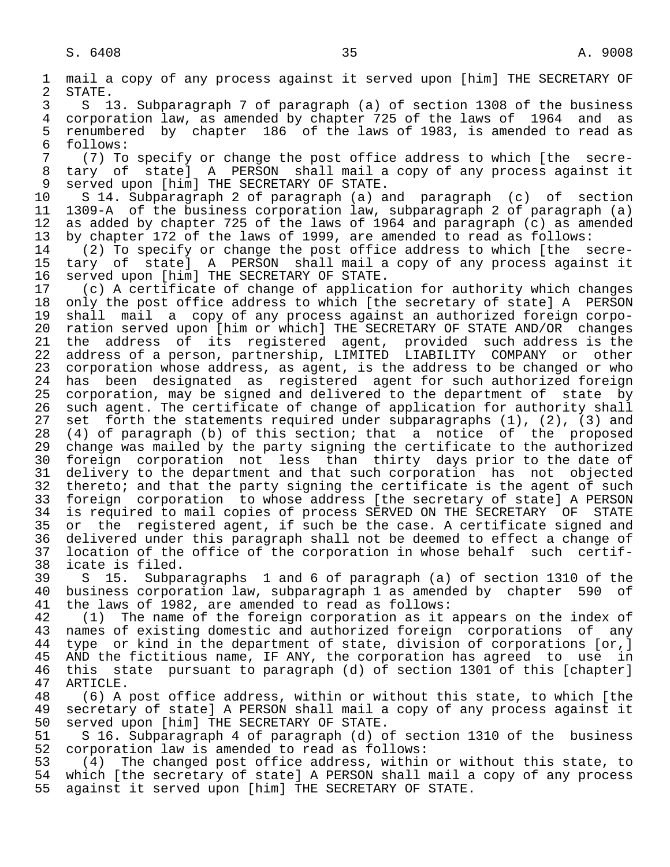1 mail a copy of any process against it served upon [him] THE SECRETARY OF<br>2 STATE. 2 STATE.<br>3 S 1 3 S 13. Subparagraph 7 of paragraph (a) of section 1308 of the business 4 corporation law, as amended by chapter 725 of the laws of 1964 and as 5 renumbered by chapter 186 of the laws of 1983, is amended to read as<br>6 follows: 6 follows:<br>7 (7) To 7 (7) To specify or change the post office address to which [the secre- 8 tary of state] A PERSON shall mail a copy of any process against it<br>9 served upon [him] THE SECRETARY OF STATE. 9 served upon [him] THE SECRETARY OF STATE.<br>10 S 14. Subparagraph 2 of paragraph (a) a 10 S 14. Subparagraph 2 of paragraph (a) and paragraph (c) of section<br>11 1309-A of the business corporation law, subparagraph 2 of paragraph (a) 11 1309-A of the business corporation law, subparagraph 2 of paragraph (a)<br>12 as added by chapter 725 of the laws of 1964 and paragraph (c) as amended as added by chapter 725 of the laws of 1964 and paragraph  $(c)$  as amended 13 by chapter 172 of the laws of 1999, are amended to read as follows:<br>14 (2) To specify or change the post office address to which [the s 14 (2) To specify or change the post office address to which [the secre- 15 tary of state] A PERSON shall mail a copy of any process against it<br>16 served upon [him] THE SECRETARY OF STATE. 16 served upon [him] THE SECRETARY OF STATE.<br>17 (c) A certificate of change of applicat 17 (c) A certificate of change of application for authority which changes<br>18 only the post office address to which [the secretary of state] A PERSON 18 only the post office address to which [the secretary of state] A PERSON<br>19 shall mail a copy of any process against an authorized foreign corpo-19 shall mail a copy of any process against an authorized foreign corpo-<br>20 ration served upon [him or which] THE SECRETARY OF STATE AND/OR changes 20 ration served upon [him or which] THE SECRETARY OF STATE AND/OR changes<br>21 the address of its registered agent, provided such address is the 21 the address of its registered agent, provided such address is the<br>22 address of a person, partnership, LIMITED LIABILITY COMPANY or other 22 address of a person, partnership, LIMITED LIABILITY COMPANY or other<br>23 corporation whose address, as agent, is the address to be changed or who corporation whose address, as agent, is the address to be changed or who 24 has been designated as registered agent for such authorized foreign<br>25 corporation, may be signed and delivered to the department of state by corporation, may be signed and delivered to the department of state by 26 such agent. The certificate of change of application for authority shall<br>27 set forth the statements required under subparagraphs (1), (2), (3) and 27 set forth the statements required under subparagraphs (1), (2), (3) and<br>28 (4) of paragraph (b) of this section; that a notice of the proposed 28 (4) of paragraph (b) of this section; that a notice of the proposed<br>29 change was mailed by the party signing the certificate to the authorized change was mailed by the party signing the certificate to the authorized 30 foreign corporation not less than thirty days prior to the date of<br>31 delivery to the department and that such corporation has not objected 31 delivery to the department and that such corporation has not objected<br>32 thereto; and that the party signing the certificate is the agent of such 32 thereto; and that the party signing the certificate is the agent of such<br>33 foreign corporation to whose address [the secretary of state] A PERSON 33 foreign corporation to whose address [the secretary of state] A PERSON<br>34 is required to mail copies of process SERVED ON THE SECRETARY OF STATE

34 is required to mail copies of process SERVED ON THE SECRETARY OF STATE<br>35 or the registered agent, if such be the case. A certificate signed and 35 or the registered agent, if such be the case. A certificate signed and<br>36 delivered under this paragraph shall not be deemed to effect a change of delivered under this paragraph shall not be deemed to effect a change of 37 location of the office of the corporation in whose behalf such certif-<br>38 icate is filed. 38 icate is filed.<br>39 S 15. Subpa

39 S 15. Subparagraphs 1 and 6 of paragraph (a) of section 1310 of the<br>40 business corporation law, subparagraph 1 as amended by chapter 590 of 40 business corporation law, subparagraph 1 as amended by chapter 590 of<br>41 the laws of 1982, are amended to read as follows: 41 the laws of 1982, are amended to read as follows:<br>42 (1) The name of the foreign corporation as it.

42 (1) The name of the foreign corporation as it appears on the index of<br>43 names of existing domestic and authorized foreign corporations of any 43 names of existing domestic and authorized foreign corporations of any<br>44 type or kind in the department of state, division of corporations [or,] 44 type or kind in the department of state, division of corporations [or,]<br>45 AND the fictitious name, IF ANY, the corporation has agreed to use in AND the fictitious name, IF ANY, the corporation has agreed to use in 46 this state pursuant to paragraph (d) of section 1301 of this [chapter]<br>47 ARTICLE. 47 ARTICLE.<br>48 (6) A

48 (6) A post office address, within or without this state, to which [the<br>49 secretary of state] A PERSON shall mail a copy of any process against it 49 secretary of state] A PERSON shall mail a copy of any process against it<br>50 served upon [him] THE SECRETARY OF STATE. 50 served upon [him] THE SECRETARY OF STATE.<br>51 S 16. Subparagraph 4 of paragraph (d) o

51 S 16. Subparagraph 4 of paragraph (d) of section 1310 of the business<br>52 corporation law is amended to read as follows: 52 corporation law is amended to read as follows:<br>53 (4) The changed post office address, within

53 (4) The changed post office address, within or without this state, to<br>54 which [the secretary of state] A PERSON shall mail a copy of any process which [the secretary of state] A PERSON shall mail a copy of any process 55 against it served upon [him] THE SECRETARY OF STATE.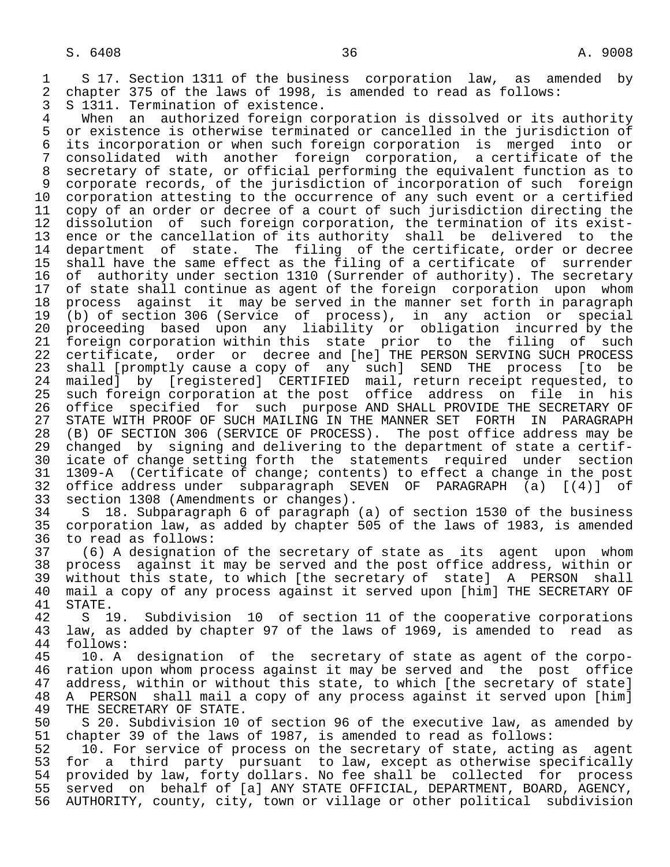1 S 17. Section 1311 of the business corporation law, as amended by<br>2 chapter 375 of the laws of 1998, is amended to read as follows: 2 chapter 375 of the laws of 1998, is amended to read as follows:<br>3 S 1311. Termination of existence.

3 S 1311. Termination of existence.<br>4 When an authorized foreign com 4 When an authorized foreign corporation is dissolved or its authority<br>5 or existence is otherwise terminated or cancelled in the jurisdiction of 5 or existence is otherwise terminated or cancelled in the jurisdiction of<br>6 its incorporation or when such foreign corporation is merged into or 6 its incorporation or when such foreign corporation is merged into or 7 consolidated with another foreign corporation, a certificate of the 8 secretary of state, or official performing the equivalent function as to<br>9 corporate records, of the jurisdiction of incorporation of such foreign 9 corporate records, of the jurisdiction of incorporation of such foreign<br>10 corporation attesting to the occurrence of any such event or a certified 10 corporation attesting to the occurrence of any such event or a certified<br>11 copy of an order or decree of a court of such jurisdiction directing the 11 copy of an order or decree of a court of such jurisdiction directing the<br>12 dissolution of such foreign corporation, the termination of its exist-12 dissolution of such foreign corporation, the termination of its exist-<br>13 ence or the cancellation of its authority shall be delivered to the 13 ence or the cancellation of its authority shall be delivered to the<br>14 department of state. The filing of the certificate, order or decree 14 department of state. The filing of the certificate, order or decree 15 shall have the same effect as the filing of a certificate of surrender<br>16 of authority under section 1310 (Surrender of authority). The secretary 16 of authority under section 1310 (Surrender of authority). The secretary<br>17 of state shall continue as agent of the foreign corporation upon whom 17 of state shall continue as agent of the foreign corporation upon whom<br>18 process against it may be served in the manner set forth in paragraph 18 process against it may be served in the manner set forth in paragraph<br>19 (b) of section 306 (Service of process), in any action or special 19 (b) of section 306 (Service of process), in any action or special 20 proceeding based upon any liability or obligation incurred by the<br>21 foreign corporation within this state prior to the filing of such 21 foreign corporation within this state prior to the filing of such<br>22 certificate, order or decree and [he] THE PERSON SERVING SUCH PROCESS 22 certificate, order or decree and [he] THE PERSON SERVING SUCH PROCESS<br>23 shall [promptly cause a copy of any such] SEND THE process [to be shall [promptly cause a copy of any such] SEND THE process 24 mailed] by [registered] CERTIFIED mail, return receipt requested, to<br>25 such foreign corporation at the post office address on file in his such foreign corporation at the post office address on file in his 26 office specified for such purpose AND SHALL PROVIDE THE SECRETARY OF<br>27 STATE WITH PROOF OF SUCH MAILING IN THE MANNER SET FORTH IN PARAGRAPH 27 STATE WITH PROOF OF SUCH MAILING IN THE MANNER SET FORTH IN PARAGRAPH<br>28 (B) OF SECTION 306 (SERVICE OF PROCESS). The post office address may be 28 (B) OF SECTION 306 (SERVICE OF PROCESS). The post office address may be 29 changed by signing and delivering to the department of state a certif-29 changed by signing and delivering to the department of state a certif-<br>20 icate of change setting forth the statements required under section 30 icate of change setting forth the statements required under section 31 1309-A (Certificate of change; contents) to effect a change in the post 32 office address under subparagraph SEVEN OF PARAGRAPH (a) [(4)] of<br>33 section 1308 (Amendments or changes).

33 section 1308 (Amendments or changes).<br>34 S 18. Subparagraph 6 of paragraph 34 S 18. Subparagraph 6 of paragraph (a) of section 1530 of the business<br>35 corporation law, as added by chapter 505 of the laws of 1983, is amended 35 corporation law, as added by chapter 505 of the laws of 1983, is amended to read as follows:

 37 (6) A designation of the secretary of state as its agent upon whom 38 process against it may be served and the post office address, within or<br>39 without this state, to which [the secretary of state] A PERSON shall 39 without this state, to which [the secretary of state] A PERSON shall<br>40 mail a copy of any process against it served upon [him] THE SECRETARY OF 40 mail a copy of any process against it served upon [him] THE SECRETARY OF 41 STATE.

41 STATE.<br>42 S 1 42 S 19. Subdivision 10 of section 11 of the cooperative corporations<br>43 law, as added by chapter 97 of the laws of 1969, is amended to read as 43 law, as added by chapter 97 of the laws of 1969, is amended to read as 44 follows: 44 follows:<br>45 10. A

10. A designation of the secretary of state as agent of the corpo-46 ration upon whom process against it may be served and the post office<br>47 address, within or without this state, to which [the secretary of state] address, within or without this state, to which [the secretary of state] 48 A PERSON shall mail a copy of any process against it served upon [him]<br>49 THE SECRETARY OF STATE. 49 THE SECRETARY OF STATE.<br>50 S 20. Subdivision 10

50 S 20. Subdivision 10 of section 96 of the executive law, as amended by<br>51 chapter 39 of the laws of 1987, is amended to read as follows: chapter 39 of the laws of 1987, is amended to read as follows:

 52 10. For service of process on the secretary of state, acting as agent 53 for a third party pursuant to law, except as otherwise specifically 54 provided by law, forty dollars. No fee shall be collected for process 55 served on behalf of [a] ANY STATE OFFICIAL, DEPARTMENT, BOARD, AGENCY,<br>56 AUTHORITY, county, city, town or village or other political subdivision 56 AUTHORITY, county, city, town or village or other political subdivision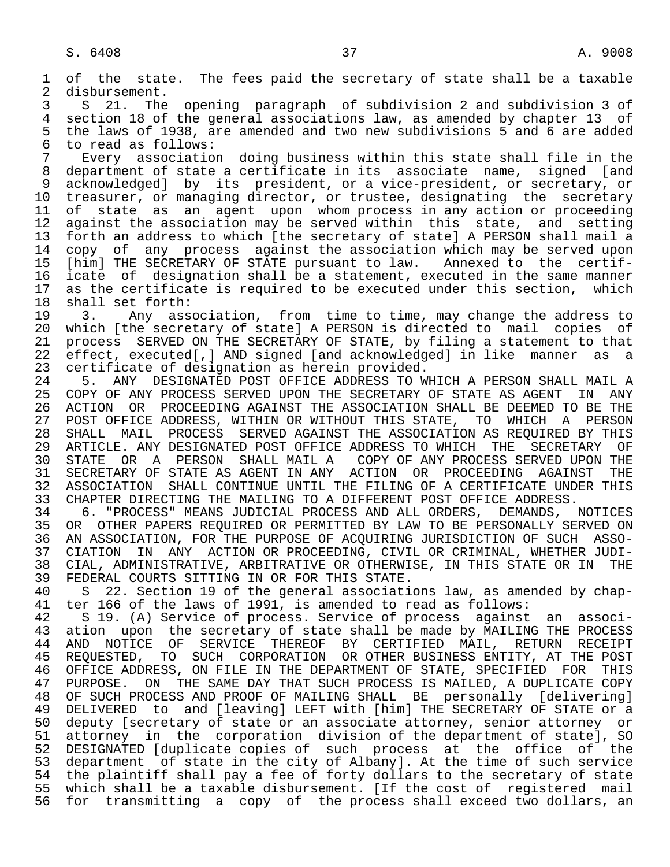1 of the state. The fees paid the secretary of state shall be a taxable 2 disbursement. 2 disbursement.<br>3 S 21. The

 3 S 21. The opening paragraph of subdivision 2 and subdivision 3 of 4 section 18 of the general associations law, as amended by chapter 13 of<br>5 the laws of 1938, are amended and two new subdivisions 5 and 6 are added 5 the laws of 1938, are amended and two new subdivisions 5 and 6 are added to read as follows: 6 to read as follows:<br>7 Every associatio

 7 Every association doing business within this state shall file in the 8 department of state a certificate in its associate name, signed [and<br>9 acknowledged] by its president, or a vice-president, or secretary, or 9 acknowledged] by its president, or a vice-president, or secretary, or<br>10 treasurer, or managing director, or trustee, designating the secretary 10 treasurer, or managing director, or trustee, designating the secretary<br>11 of state as an agent upon whom process in any action or proceeding 11 of state as an agent upon whom process in any action or proceeding<br>12 against the association may be served within this state, and setting 12 against the association may be served within this state, and setting<br>13 forth an address to which [the secretary of state] A PERSON shall mail a 13 forth an address to which [the secretary of state] A PERSON shall mail a<br>14 copy of any process against the association which may be served upon copy of any process against the association which may be served upon 15 [him] THE SECRETARY OF STATE pursuant to law. Annexed to the certif-<br>16 icate of designation shall be a statement, executed in the same manner 16 icate of designation shall be a statement, executed in the same manner<br>17 as the certificate is required to be executed under this section, which 17 as the certificate is required to be executed under this section, which<br>18 shall set forth: 18 shall set forth:<br>19 3. Any ass

19 3. Any association, from time to time, may change the address to<br>20 which [the secretary of state] A PERSON is directed to mail copies of 20 which [the secretary of state] A PERSON is directed to mail copies of<br>21 process SERVED ON THE SECRETARY OF STATE, by filing a statement to that 21 process SERVED ON THE SECRETARY OF STATE, by filing a statement to that<br>22 effect, executed[,] AND signed [and acknowledged] in like manner as a 22 effect, executed[,] AND signed [and acknowledged] in like manner as a<br>23 certificate of designation as herein provided. 23 certificate of designation as herein provided.<br>24 5. ANY DESIGNATED POST OFFICE ADDRESS TO W

24 5. ANY DESIGNATED POST OFFICE ADDRESS TO WHICH A PERSON SHALL MAIL A<br>25 COPY OF ANY PROCESS SERVED UPON THE SECRETARY OF STATE AS AGENT IN ANY 25 COPY OF ANY PROCESS SERVED UPON THE SECRETARY OF STATE AS AGENT IN ANY 26 ACTION OR PROCEEDING AGAINST THE ASSOCIATION SHALL BE DEEMED TO BE THE<br>27 POST OFFICE ADDRESS, WITHIN OR WITHOUT THIS STATE, TO WHICH A PERSON 27 POST OFFICE ADDRESS, WITHIN OR WITHOUT THIS STATE, TO WHICH A PERSON<br>28 SHALL MAIL PROCESS SERVED AGAINST THE ASSOCIATION AS REOUIRED BY THIS 28 SHALL MAIL PROCESS SERVED AGAINST THE ASSOCIATION AS REQUIRED BY THIS<br>29 ARTICLE. ANY DESIGNATED POST OFFICE ADDRESS TO WHICH THE SECRETARY OF 29 ARTICLE. ANY DESIGNATED POST OFFICE ADDRESS TO WHICH THE SECRETARY OF<br>30 STATE OR A PERSON SHALL MAIL A COPY OF ANY PROCESS SERVED UPON THE 30 STATE OR A PERSON SHALL MAIL A COPY OF ANY PROCESS SERVED UPON THE 31 SECRETARY OF STATE AS AGENT IN ANY ACTION OR PROCEEDING AGAINST THE 31 SECRETARY OF STATE AS AGENT IN ANY ACTION OR PROCEEDING AGAINST THE<br>32 ASSOCIATION SHALL CONTINUE UNTIL THE FILING OF A CERTIFICATE UNDER THIS 32 ASSOCIATION SHALL CONTINUE UNTIL THE FILING OF A CERTIFICATE UNDER THIS<br>33 CHAPTER DIRECTING THE MAILING TO A DIFFERENT POST OFFICE ADDRESS. 33 CHAPTER DIRECTING THE MAILING TO A DIFFERENT POST OFFICE ADDRESS.<br>34 6. "PROCESS" MEANS JUDICIAL PROCESS AND ALL ORDERS, DEMANDS,

 34 6. "PROCESS" MEANS JUDICIAL PROCESS AND ALL ORDERS, DEMANDS, NOTICES 35 OR OTHER PAPERS REQUIRED OR PERMITTED BY LAW TO BE PERSONALLY SERVED ON<br>36 AN ASSOCIATION, FOR THE PURPOSE OF ACOUIRING JURISDICTION OF SUCH ASSO- 36 AN ASSOCIATION, FOR THE PURPOSE OF ACQUIRING JURISDICTION OF SUCH ASSO- 37 CIATION IN ANY ACTION OR PROCEEDING, CIVIL OR CRIMINAL, WHETHER JUDI- 38 CIAL, ADMINISTRATIVE, ARBITRATIVE OR OTHERWISE, IN THIS STATE OR IN THE 39 FEDERAL COURTS SITTING IN OR FOR THIS STATE.<br>40 S 22. Section 19 of the general associati

40 S 22. Section 19 of the general associations law, as amended by chap-<br>41 ter 166 of the laws of 1991, is amended to read as follows: 41 ter 166 of the laws of 1991, is amended to read as follows:<br>42 S 19. (A) Service of process. Service of process against

42 S 19. (A) Service of process. Service of process against an associ-<br>43 ation upon the secretary of state shall be made by MAILING THE PROCESS 43 ation upon the secretary of state shall be made by MAILING THE PROCESS<br>44 AND NOTICE OF SERVICE THEREOF BY CERTIFIED MAIL, RETURN RECEIPT 44 AND NOTICE OF SERVICE THEREOF BY CERTIFIED MAIL, RETURN RECEIPT<br>45 REOUESTED, TO SUCH CORPORATION OR-OTHER-BUSINESS-ENTITY, AT-THE-POST 45 REQUESTED, TO SUCH CORPORATION OR OTHER BUSINESS ENTITY, AT THE POST 46 OFFICE ADDRESS, ON FILE IN THE DEPARTMENT OF STATE, SPECIFIED FOR THIS<br>47 PURPOSE. ON THE SAME DAY THAT SUCH PROCESS IS MAILED, A DUPLICATE COPY PURPOSE. ON THE SAME DAY THAT SUCH PROCESS IS MAILED, A DUPLICATE COPY 48 OF SUCH PROCESS AND PROOF OF MAILING SHALL BE personally [delivering] 49 DELIVERED to and [leaving] LEFT with [him] THE SECRETARY OF STATE or a<br>50 deputy [secretary of state or an associate attorney, senior attorney or 50 deputy [secretary of state or an associate attorney, senior attorney or<br>51 attorney in the corporation division of the department of state], SO attorney in the corporation division of the department of state], SO 52 DESIGNATED [duplicate copies of such process at the office of the 53 department of state in the city of Albany]. At the time of such service<br>54 the plaintiff shall pay a fee of forty dollars to the secretary of state 54 the plaintiff shall pay a fee of forty dollars to the secretary of state<br>55 which shall be a taxable disbursement. [If the cost of registered mail 55 which shall be a taxable disbursement. [If the cost of registered mail<br>56 for transmitting a copy of the process shall exceed two dollars, an for transmitting a copy of the process shall exceed two dollars, an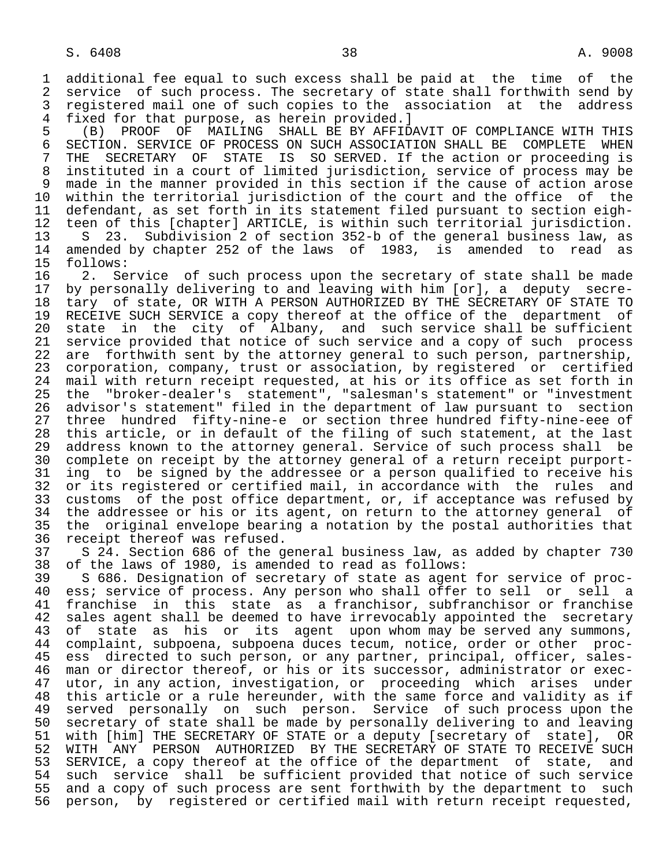1 additional fee equal to such excess shall be paid at the time of the<br>2 service of such process. The secretary of state shall forthwith send by 2 service of such process. The secretary of state shall forthwith send by<br>3 registered mail one of such copies to the association at the address 3 registered mail one of such copies to the association at the address<br>4 fixed for that purpose, as herein provided. 1

4 fixed for that purpose, as herein provided.]<br>5 (B) PROOF OF MAILING SHALL BE BY AFFID 5 (B) PROOF OF MAILING SHALL BE BY AFFIDAVIT OF COMPLIANCE WITH THIS 6 SECTION. SERVICE OF PROCESS ON SUCH ASSOCIATION SHALL BE COMPLETE WHEN<br>7 THE SECRETARY OF STATE IS SO SERVED. If the action or proceeding is THE SECRETARY OF STATE IS SO SERVED. If the action or proceeding is 8 instituted in a court of limited jurisdiction, service of process may be 9 made in the manner provided in this section if the cause of action arose<br>10 within the territorial jurisdiction of the court and the office of the 10 within the territorial jurisdiction of the court and the office of the<br>11 defendant, as set forth in its statement filed pursuant to section eigh-11 defendant, as set forth in its statement filed pursuant to section eigh-<br>12 teen of this [chapter] ARTICLE, is within such territorial jurisdiction. 12 teen of this [chapter] ARTICLE, is within such territorial jurisdiction.<br>13 S 23. Subdivision 2 of section 352-b of the general business law, as 13 S 23. Subdivision 2 of section 352-b of the general business law, as<br>14 amended by chapter 252 of the laws of 1983, is amended to read as 14 amended by chapter 252 of the laws of 1983, is amended to read as 15 follows:

15 follows:<br>16 2. Se 16 2. Service of such process upon the secretary of state shall be made<br>17 by personally delivering to and leaving with him [or], a deputy secre-17 by personally delivering to and leaving with him [or], a deputy secre-<br>18 tary of state, OR WITH A PERSON AUTHORIZED BY THE SECRETARY OF STATE TO 18 tary of state, OR WITH A PERSON AUTHORIZED BY THE SECRETARY OF STATE TO<br>19 RECEIVE SUCH SERVICE a copy thereof at the office of the department of 19 RECEIVE SUCH SERVICE a copy thereof at the office of the department of<br>20 state in the city of Albany, and such service shall be sufficient 20 state in the city of Albany, and such service shall be sufficient<br>21 service provided that notice of such service and a copy of such process 21 service provided that notice of such service and a copy of such process<br>22 are forthwith sent by the attorney general to such person, partnership, 22 are forthwith sent by the attorney general to such person, partnership,<br>23 corporation, company, trust or association, by registered or certified corporation, company, trust or association, by registered or certified 24 mail with return receipt requested, at his or its office as set forth in<br>25 the "broker-dealer's statement", "salesman's statement" or "investment 25 the "broker-dealer's statement", "salesman's statement" or "investment 26 advisor's statement" filed in the department of law pursuant to section<br>27 three hundred fifty-nine-e or section three hundred fifty-nine-eee of 27 three hundred fifty-nine-e or section three hundred fifty-nine-eee of<br>28 this article, or in default of the filing of such statement, at the last 28 this article, or in default of the filing of such statement, at the last<br>29 address known to the attorney general. Service of such process shall be 29 address known to the attorney general. Service of such process shall be<br>20 complete on receipt by the attorney general of a return receipt purport-30 complete on receipt by the attorney general of a return receipt purport-<br>31 ing to be signed by the addressee or a person qualified to receive his 31 ing to be signed by the addressee or a person qualified to receive his<br>32 or its registered or certified mail, in accordance with the rules and 32 or its registered or certified mail, in accordance with<br>33 customs of the post office department, or, if acceptanc 33 customs of the post office department, or, if acceptance was refused by<br>34 the addressee or his or its agent, on return to the attorney general of 34 the addressee or his or its agent, on return to the attorney general of<br>35 the original envelope bearing a notation by the postal authorities that 35 the original envelope bearing a notation by the postal authorities that receipt thereof was refused.

37 S 24. Section 686 of the general business law, as added by chapter 730<br>38 of the laws of 1980, is amended to read as follows: 38 of the laws of 1980, is amended to read as follows:

39 S 686. Designation of secretary of state as agent for service of proc-<br>40 ess; service of process. Any person who shall offer to sell or sell a 40 ess; service of process. Any person who shall offer to sell or sell a<br>41 franchise in this state as a franchisor, subfranchisor or franchise 41 franchise in this state as a franchisor, subfranchisor or franchise<br>42 sales agent shall be deemed to have irrevocably appointed the secretary 42 sales agent shall be deemed to have irrevocably appointed the secretary<br>43 of state as his or its agent upon whom may be served any summons, 43 of state as his or its agent upon whom may be served any summons,<br>44 complaint, subpoena, subpoena duces tecum, notice, order or other proc-44 complaint, subpoena, subpoena duces tecum, notice, order or other proc-<br>45 ess directed to such person, or any partner, principal, officer, salesess directed to such person, or any partner, principal, officer, sales-46 man or director thereof, or his or its successor, administrator or exec-<br>47 utor, in any action, investigation, or proceeding which arises under utor, in any action, investigation, or proceeding which arises under 48 this article or a rule hereunder, with the same force and validity as if<br>49 served personally on such person. Service of such process upon the 49 served personally on such person. Service of such process upon the<br>50 secretary of state shall be made by personally delivering to and leaving 50 secretary of state shall be made by personally delivering to and leaving<br>51 with [him] THE SECRETARY OF STATE or a deputy [secretary of state], OR 51 with [him] THE SECRETARY OF STATE or a deputy [secretary of state], OR<br>52 WITH ANY PERSON AUTHORIZED BY THE SECRETARY OF STATE TO RECEIVE SUCH 52 WITH ANY PERSON AUTHORIZED BY THE SECRETARY OF STATE TO RECEIVE SUCH<br>53 SERVICE, a copy thereof at the office of the department of state, and 53 SERVICE, a copy thereof at the office of the department of state, and<br>54 such service shall be sufficient provided that notice of such service 54 such service shall be sufficient provided that notice of such service<br>55 and a copy of such process are sent forthwith by the department to such 55 and a copy of such process are sent forthwith by the department to such<br>56 person, by registered or certified mail with return receipt requested, 56 person, by registered or certified mail with return receipt requested,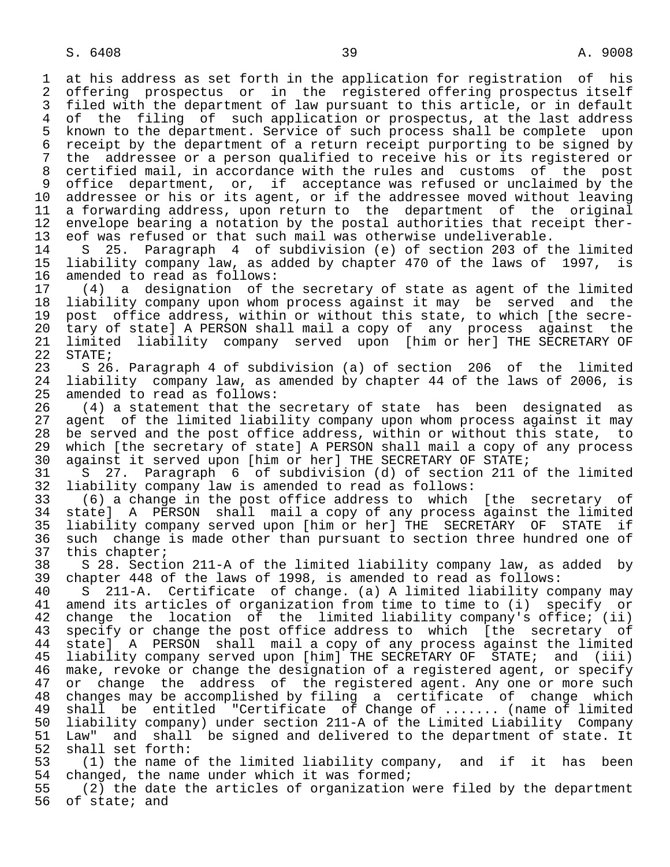1 at his address as set forth in the application for registration of his 2 offering prospectus or in the registered offering prospectus itself<br>3 filed with the department of law pursuant to this article, or in default 3 filed with the department of law pursuant to this article, or in default<br>4 of the filing of such application or prospectus, at the last address 4 of the filing of such application or prospectus, at the last address<br>5 known to the department. Service of such process shall be complete upon 5 known to the department. Service of such process shall be complete upon<br>6 receipt by the department of a return receipt purporting to be signed by 6 receipt by the department of a return receipt purporting to be signed by<br>7 the addressee or a person qualified to receive his or its registered or the addressee or a person qualified to receive his or its registered or 8 certified mail, in accordance with the rules and customs of the post 9 office department, or, if acceptance was refused or unclaimed by the 10 addressee or his or its agent, or if the addressee moved without leaving 11 a forwarding address, upon return to the department of the original<br>12 envelope bearing a notation by the postal authorities that receipt ther-12 envelope bearing a notation by the postal authorities that receipt ther-<br>13 eof was refused or that such mail was otherwise undeliverable. 13 eof was refused or that such mail was otherwise undeliverable.<br>14 S 25. Paragraph 4 of subdivision (e) of section 203 of t

 14 S 25. Paragraph 4 of subdivision (e) of section 203 of the limited 15 liability company law, as added by chapter 470 of the laws of 1997, is 16 amended to read as follows:<br>17 (4) a designation of t

 17 (4) a designation of the secretary of state as agent of the limited 18 liability company upon whom process against it may be served and the 19 post office address, within or without this state, to which [the secre-<br>20 tary of state] A PERSON shall mail a copy of any process against the 20 tary of state] A PERSON shall mail a copy of any process against the<br>21 limited liability company served upon [him or her] THE SECRETARY OF 21 limited liability company served upon [him or her] THE SECRETARY OF<br>22 STATE;

22 STATE;<br>23 S 26 S 26. Paragraph 4 of subdivision (a) of section 206 of the limited 24 liability company law, as amended by chapter 44 of the laws of 2006, is<br>25 amended to read as follows: amended to read as follows:

26 (4) a statement that the secretary of state has been designated as<br>27 agent of the limited liability company upon whom process against it may 27 agent of the limited liability company upon whom process against it may<br>28 be served and the post office address, within or without this state, to 28 be served and the post office address, within or without this state, to<br>29 which [the secretary of state] A PERSON shall mail a copy of any process 29 which [the secretary of state] A PERSON shall mail a copy of any process 20 against it served upon [him or her] THE SECRETARY OF STATE; 30 against it served upon [him or her] THE SECRETARY OF STATE;<br>31 S 27. Paragraph 6 of subdivision (d) of section 211 o

 31 S 27. Paragraph 6 of subdivision (d) of section 211 of the limited 32 liability company law is amended to read as follows:<br>33 (6) a change in the post office address to which

 33 (6) a change in the post office address to which [the secretary of 34 state] A PERSON shall mail a copy of any process against the limited<br>35 liability company served upon [him or her] THE SECRETARY OF STATE if 35 liability company served upon [him or her] THE SECRETARY OF STATE if<br>36 such change is made other than pursuant to section three hundred one of such change is made other than pursuant to section three hundred one of

37 this chapter;<br>38 S 28. Secti 38 S 28. Section 211-A of the limited liability company law, as added by<br>39 chapter 448 of the laws of 1998, is amended to read as follows: 39 chapter 448 of the laws of 1998, is amended to read as follows:<br>40 S 211-A. Certificate of change. (a) A limited liability co

 40 S 211-A. Certificate of change. (a) A limited liability company may 41 amend its articles of organization from time to time to (i) specify or<br>42 change the location of the limited liability company's office; (ii) 42 change the location of the limited liability company's office; (ii)<br>43 specify or change the post office address to which [the secretary of 43 specify or change the post office address to which [the secretary of<br>44 state] A PERSON shall mail a copy of any process against the limited 44 state] A PERSON shall mail a copy of any process against the limited<br>45 liability company served upon [him] THE SECRETARY OF STATE; and (iii) liability company served upon [him] THE SECRETARY OF STATE; and (iii) 46 make, revoke or change the designation of a registered agent, or specify<br>47 or change the address of the registered agent. Any one or more such or change the address of the registered agent. Any one or more such 48 changes may be accomplished by filing a certificate of change which 49 shall be entitled "Certificate of Change of ....... (name of limited<br>50 liability company) under section 211-A of the Limited Liability Company 50 liability company) under section 211-A of the Limited Liability Company<br>51 Law" and shall be signed and delivered to the department of state. It 51 Law" and shall be signed and delivered to the department of state. It 52 shall set forth:<br>53 (1) the name o

53 (1) the name of the limited liability company, and if it has been<br>54 changed, the name under which it was formed; 54 changed, the name under which it was formed;<br>55 (2) the date the articles of organization

55 (2) the date the articles of organization were filed by the department<br>56 of state; and of state; and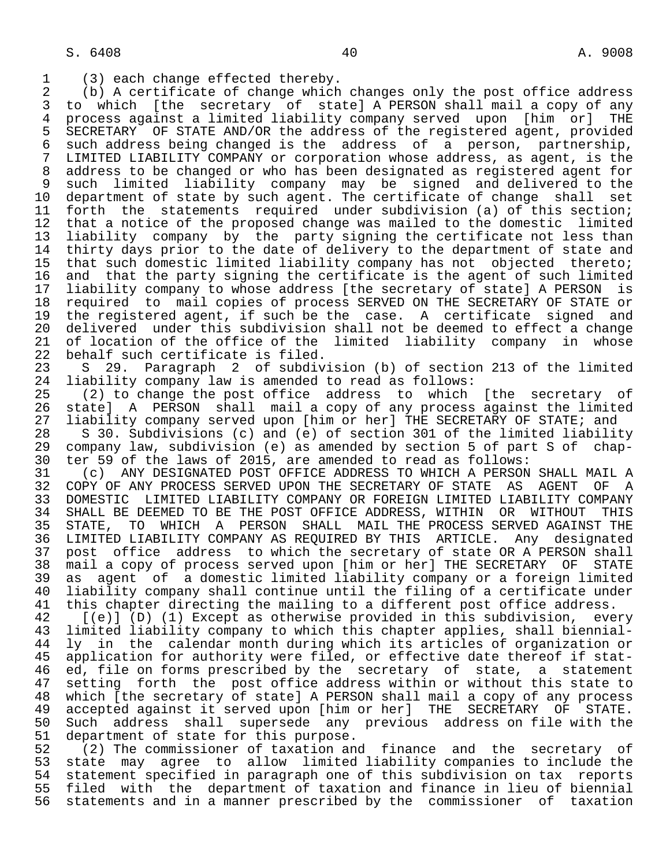1 (3) each change effected thereby.<br>2 (b) A certificate of change which 2 (b) A certificate of change which changes only the post office address 3 to which [the secretary of state] A PERSON shall mail a copy of any<br>4 process against a limited liability company served upon [him or] THE 4 process against a limited liability company served upon [him or] THE<br>5 SECRETARY OF STATE AND/OR the address of the registered agent, provided 5 SECRETARY OF STATE AND/OR the address of the registered agent, provided<br>6 such address being changed is the address of a person, partnership, 6 such address being changed is the address of a person, partnership, 7 LIMITED LIABILITY COMPANY or corporation whose address, as agent, is the 8 address to be changed or who has been designated as registered agent for<br>8 such limited liability company may be signed and delivered to the 9 such limited liability company may be signed and delivered to the 10 department of state by such agent. The certificate of change shall set 11 forth the statements required under subdivision (a) of this section;<br>12 that a notice of the proposed change was mailed to the domestic limited 12 that a notice of the proposed change was mailed to the domestic limited<br>13 liability company by the party signing the certificate not less than 13 liability company by the party signing the certificate not less than<br>14 thirty days prior to the date of delivery to the department of state and thirty days prior to the date of delivery to the department of state and 15 that such domestic limited liability company has not objected thereto;<br>16 and that the party signing the certificate is the agent of such limited 16 and that the party signing the certificate is the agent of such limited<br>17 liability company to whose address [the secretary of state] A PERSON is 17 liability company to whose address [the secretary of state] A PERSON is<br>18 required to mail copies of process SERVED ON THE SECRETARY OF STATE or 18 required to mail copies of process SERVED ON THE SECRETARY OF STATE or<br>19 the registered agent, if such be the case. A certificate signed and 19 the registered agent, if such be the case. A certificate signed and<br>20 delivered under this subdivision shall not be deemed to effect a change 20 delivered under this subdivision shall not be deemed to effect a change<br>21 of location of the office of the limited liability company in whose 21 of location of the office of the limited liability company in whose<br>22 behalf such certificate is filed. 22 behalf such certificate is filed.<br>23 S 29. Paragraph 2 of subdiv

23 S 29. Paragraph 2 of subdivision (b) of section 213 of the limited 24 liability company law is amended to read as follows: 24 liability company law is amended to read as follows:<br>25 (2) to change the post office address to which

(2) to change the post office address to which [the secretary of 26 state] A PERSON shall mail a copy of any process against the limited<br>27 liability company served upon [him or her] THE SECRETARY OF STATE; and

27 liability company served upon [him or her] THE SECRETARY OF STATE; and<br>28 S 30. Subdivisions (c) and (e) of section 301 of the limited liabilit 28 S 30. Subdivisions (c) and (e) of section 301 of the limited liability<br>29 company law, subdivision (e) as amended by section 5 of part S of chap-29 company law, subdivision (e) as amended by section 5 of part S of chap-<br>30 ter 59 of the laws of 2015, are amended to read as follows: 30 ter 59 of the laws of 2015, are amended to read as follows:

31 (c) ANY DESIGNATED POST OFFICE ADDRESS TO WHICH A PERSON SHALL MAIL A<br>32 COPY OF ANY PROCESS SERVED UPON THE SECRETARY OF STATE AS AGENT OF A 32 COPY OF ANY PROCESS SERVED UPON THE SECRETARY OF STATE AS AGENT OF A<br>33 DOMESTIC LIMITED LIABILITY COMPANY OR FOREIGN LIMITED LIABILITY COMPANY 33 DOMESTIC LIMITED LIABILITY COMPANY OR FOREIGN LIMITED LIABILITY COMPANY<br>34 SHALL BE DEEMED TO BE THE POST OFFICE ADDRESS, WITHIN OR WITHOUT THIS 34 SHALL BE DEEMED TO BE THE POST OFFICE ADDRESS, WITHIN OR WITHOUT THIS<br>35 STATE, TO WHICH A PERSON SHALL MAIL THE PROCESS SERVED AGAINST THE 35 STATE, TO WHICH A PERSON SHALL MAIL THE PROCESS SERVED AGAINST THE 36 LIMITED LIABILITY COMPANY AS REOUIRED BY THIS ARTICLE. Any designated LIMITED LIABILITY COMPANY AS REQUIRED BY THIS ARTICLE. Any designated 37 post office address to which the secretary of state OR A PERSON shall<br>38 mail a copy of process served upon [him or her] THE SECRETARY OF STATE 38 mail a copy of process served upon [him or her] THE SECRETARY<br>39 as agent of a domestic limited liability company or a forei 39 as agent of a domestic limited liability company or a foreign limited 40 liability company shall continue until the filing of a certificate under<br>41 this chapter directing the mailing to a different post office address. 41 this chapter directing the mailing to a different post office address.<br>42 [(e)] (D) (1) Except as otherwise provided in this subdivision, eve

42 [(e)] (D) (1) Except as otherwise provided in this subdivision, every<br>43 limited liability company to which this chapter applies, shall biennial-43 limited liability company to which this chapter applies, shall biennial-<br>44 ly in the calendar month during which its articles of organization or 44 ly in the calendar month during which its articles of organization or<br>45 application for authority were filed, or effective date thereof if stat-45 application for authority were filed, or effective date thereof if stat-<br>46 ed, file on forms prescribed by the secretary of state, a statement 46 ed, file on forms prescribed by the secretary of state, a statement<br>47 setting forth the post office address within or without this state to 47 setting forth the post office address within or without this state to<br>48 which (the secretary of state) A PERSON shall mail a copy of any process 48 which [the secretary of state] A PERSON shall mail a copy of any process<br>49 accepted against it served upon [him or her] THE SECRETARY OF STATE. 49 accepted against it served upon [him or her] THE SECRETARY OF STATE. 50 Such address shall supersede any previous address on file with the<br>51 department of state for this purpose. 51 department of state for this purpose.<br>52 (2) The commissioner of taxation an

52 (2) The commissioner of taxation and finance and the secretary of<br>53 state may agree to allow limited liability companies to include the 53 state may agree to allow limited liability companies to include the<br>54 statement specified in paragraph one of this subdivision on tax reports 54 statement specified in paragraph one of this subdivision on tax reports<br>55 filed with the department of taxation and finance in lieu of biennial 55 filed with the department of taxation and finance in lieu of biennial<br>56 statements and in a manner prescribed by the commissioner of taxation statements and in a manner prescribed by the commissioner of taxation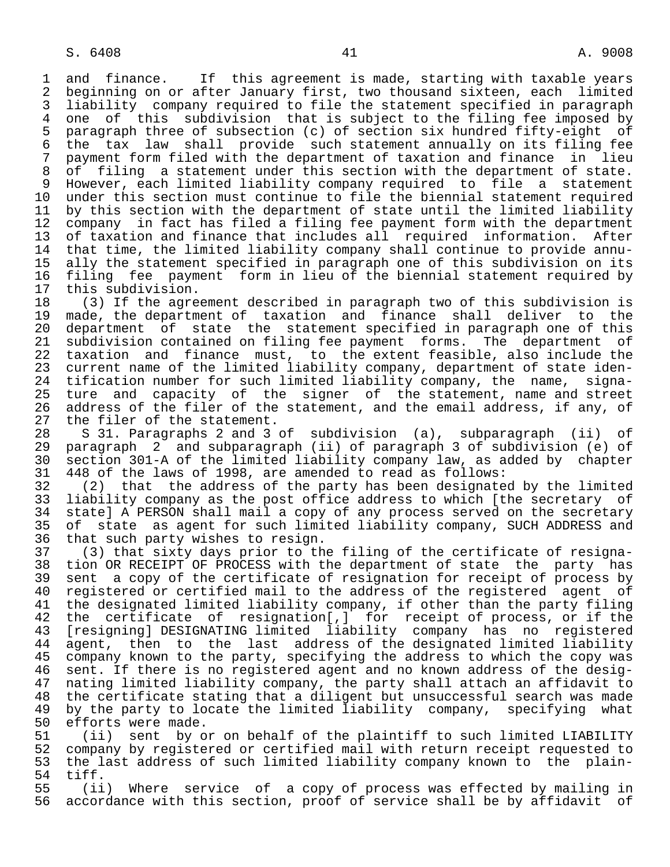1 and finance. If this agreement is made, starting with taxable years<br>2 beginning on or after January first, two thousand sixteen, each limited 2 beginning on or after January first, two thousand sixteen, each limited<br>3 liability company required to file the statement specified in paragraph 3 liability company required to file the statement specified in paragraph 4 one of this subdivision that is subject to the filing fee imposed by<br>5 paragraph three of subsection (c) of section six hundred fifty-eight of 5 paragraph three of subsection (c) of section six hundred fifty-eight of<br>6 the tax law shall provide such statement annually on its filing fee 6 the tax law shall provide such statement annually on its filing fee 7 payment form filed with the department of taxation and finance in lieu<br>8 of filing a statement under this section with the department of state. 8 of filing a statement under this section with the department of state.<br>9 However, each limited liability company required to file a statement 9 However, each limited liability company required to file a statement 10 under this section must continue to file the biennial statement required<br>11 by this section with the department of state until the limited liability 11 by this section with the department of state until the limited liability<br>12 company in fact has filed a filing fee payment form with the department 12 company in fact has filed a filing fee payment form with the department<br>13 of taxation and finance that includes all required information. After 13 of taxation and finance that includes all required information. After<br>14 that time, the limited liability company shall continue to provide annuthat time, the limited liability company shall continue to provide annu- 15 ally the statement specified in paragraph one of this subdivision on its 16 filing fee payment form in lieu of the biennial statement required by<br>17 this subdivision. 17 this subdivision.<br>18 (3) If the agre

 18 (3) If the agreement described in paragraph two of this subdivision is 19 made, the department of taxation and finance shall deliver to the<br>20 department of state the statement specified in paragraph one of this 20 department of state the statement specified in paragraph one of this<br>21 subdivision contained on filing fee payment forms. The department of 21 subdivision contained on filing fee payment forms. The department of<br>22 taxation and finance must, to the extent feasible, also include the 22 taxation and finance must, to the extent feasible, also include the<br>23 current name of the limited liability company, department of state idencurrent name of the limited liability company, department of state iden-24 tification number for such limited liability company, the name, signa-<br>25 ture and capacity of the signer of the statement, name and street ture and capacity of the signer of the statement, name and street 26 address of the filer of the statement, and the email address, if any, of 27 the filer of the statement. 27 the filer of the statement.<br>28 S 31. Paragraphs 2 and 3

 28 S 31. Paragraphs 2 and 3 of subdivision (a), subparagraph (ii) of 29 paragraph 2 and subparagraph (ii) of paragraph 3 of subdivision (e) of 30 section 301-A of the limited liability company law, as added by chapter

 31 448 of the laws of 1998, are amended to read as follows: 32 (2) that the address of the party has been designated by the limited<br>33 liability company as the post office address to which [the secretary of 33 liability company as the post office address to which [the secretary of<br>34 state] A PERSON shall mail a copy of any process served on the secretary 34 state] A PERSON shall mail a copy of any process served on the secretary<br>35 of state as agent for such limited liability company, SUCH ADDRESS and 35 of state as agent for such limited liability company, SUCH ADDRESS and<br>36 that such party wishes to resign. that such party wishes to resign.

 37 (3) that sixty days prior to the filing of the certificate of resigna- 38 tion OR RECEIPT OF PROCESS with the department of state the party has<br>39 sent a copy of the certificate of resignation for receipt of process by 39 sent a copy of the certificate of resignation for receipt of process by<br>40 registered or certified mail to the address of the registered agent of 40 registered or certified mail to the address of the registered agent of<br>41 the designated limited liability company, if other than the party filing 41 the designated limited liability company, if other than the party filing<br>42 the certificate of resignation[,] for receipt of process, or if the 42 the certificate of resignation[,] for receipt of process, or if the<br>43 [resigning] DESIGNATING limited liability company has no registered 43 [resigning] DESIGNATING limited liability company has no registered<br>44 agent, then to the last address of the designated limited liability 44 agent, then to the last address of the designated limited liability<br>45 company known to the party, specifying the address to which the copy was company known to the party, specifying the address to which the copy was 46 sent. If there is no registered agent and no known address of the desig- 47 nating limited liability company, the party shall attach an affidavit to 48 the certificate stating that a diligent but unsuccessful search was made<br>49 by the party to locate the limited liability company, specifying what 49 by the party to locate the limited liability company, specifying what<br>50 efforts were made.

50 efforts were made.<br>51 (ii) sent by o 51 (ii) sent by or on behalf of the plaintiff to such limited LIABILITY<br>52 company by registered or certified mail with return receipt requested to 52 company by registered or certified mail with return receipt requested to<br>53 the last address of such limited liability company known to the plain-53 the last address of such limited liability company known to the plain-<br>54 tiff. 54 tiff.

55 (ii) Where service of a copy of process was effected by mailing in<br>56 accordance with this section, proof of service shall be by affidavit of accordance with this section, proof of service shall be by affidavit of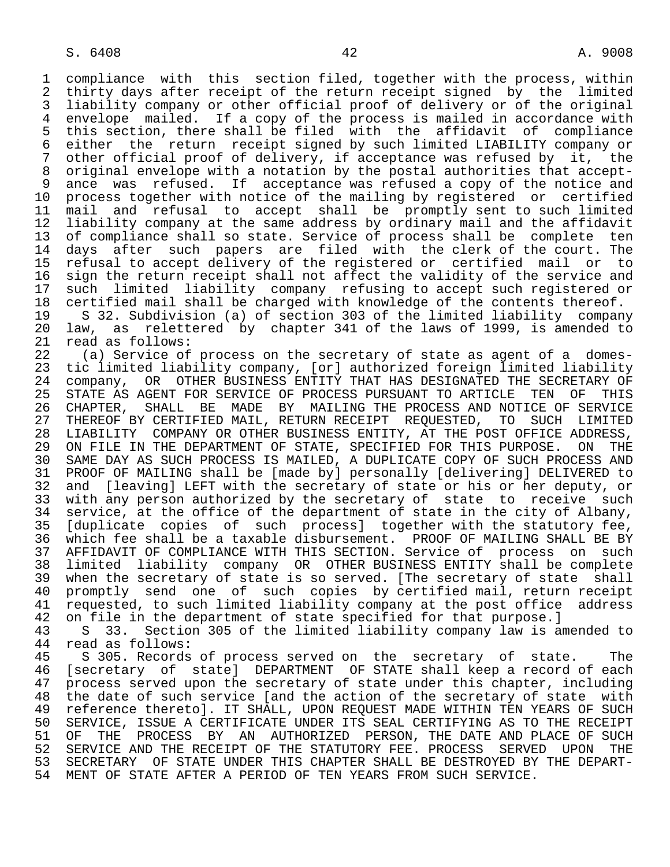1 compliance with this section filed, together with the process, within<br>2 thirty days after receipt of the return receipt signed by the limited 2 thirty days after receipt of the return receipt signed by the limited<br>3 liability company or other official proof of delivery or of the original 3 liability company or other official proof of delivery or of the original 4 envelope mailed. If a copy of the process is mailed in accordance with<br>5 this section, there shall be filed with the affidavit of compliance 5 this section, there shall be filed with the affidavit of compliance 6 either the return receipt signed by such limited LIABILITY company or other official proof of delivery, if acceptance was refused by it, the 8 original envelope with a notation by the postal authorities that accept-<br>8 ance was refused. If acceptance was refused a copy of the notice and 9 ance was refused. If acceptance was refused a copy of the notice and<br>10 process together with notice of the mailing by registered or certified 10 process together with notice of the mailing by registered or certified<br>11 mail and refusal to accept shall be promptly sent to such limited 11 mail and refusal to accept shall be promptly sent to such limited<br>12 liability company at the same address by ordinary mail and the affidavit 12 liability company at the same address by ordinary mail and the affidavit<br>13 of compliance shall so state. Service of process shall be complete ten 13 of compliance shall so state. Service of process shall be complete ten<br>14 days after such papers are filed with the clerk of the court. The days after such papers are filed with the clerk of the court. The 15 refusal to accept delivery of the registered or certified mail or to 16 sign the return receipt shall not affect the validity of the service and<br>17 such limited liability company refusing to accept such registered or 17 such limited liability company refusing to accept such registered or<br>18 certified mail shall be charged with knowledge of the contents thereof. 18 certified mail shall be charged with knowledge of the contents thereof.<br>19 S 32. Subdivision (a) of section 303 of the limited liability company 19 S 32. Subdivision (a) of section 303 of the limited liability company 20 law, as relettered by chapter 341 of the laws of 1999, is amended to

21 read as follows:<br>22 (a) Service of 22 (a) Service of process on the secretary of state as agent of a domes-<br>23 tic limited liability company, [or] authorized foreign limited liability tic limited liability company, [or] authorized foreign limited liability 24 company, OR OTHER BUSINESS ENTITY THAT HAS DESIGNATED THE SECRETARY OF<br>25 STATE AS AGENT FOR SERVICE OF PROCESS PURSUANT TO ARTICLE TEN OF THIS STATE AS AGENT FOR SERVICE OF PROCESS PURSUANT TO ARTICLE TEN OF THIS 26 CHAPTER, SHALL BE MADE BY MAILING THE PROCESS AND NOTICE OF SERVICE<br>27 THEREOF BY CERTIFIED MAIL, RETURN RECEIPT REOUESTED, TO SUCH LIMITED 27 THEREOF BY CERTIFIED MAIL, RETURN RECEIPT REQUESTED, TO SUCH LIMITED<br>28 LIABILITY COMPANY OR OTHER BUSINESS ENTITY, AT THE POST OFFICE ADDRESS, 28 LIABILITY COMPANY OR OTHER BUSINESS ENTITY, AT THE POST OFFICE ADDRESS,<br>29 ON FILE IN THE DEPARTMENT OF STATE, SPECIFIED FOR THIS PURPOSE. ON THE 29 ON FILE IN THE DEPARTMENT OF STATE, SPECIFIED FOR THIS PURPOSE. ON THE<br>20 SAME DAY AS SUCH PROCESS IS MAILED. A DUPLICATE COPY OF SUCH PROCESS AND 30 SAME DAY AS SUCH PROCESS IS MAILED, A DUPLICATE COPY OF SUCH PROCESS AND<br>31 PROOF OF MAILING shall be [made by] personally [delivering] DELIVERED to 31 PROOF OF MAILING shall be [made by] personally [delivering] DELIVERED to<br>32 and [leaving] LEFT with the secretary of state or his or her deputy, or 32 and [leaving] LEFT with the secretary of state or his or her deputy, or<br>33 with any person authorized by the secretary of state to receive such 33 with any person authorized by the secretary of state to receive such<br>34 service, at the office of the department of state in the city of Albany, 34 service, at the office of the department of state in the city of Albany,<br>35 Iduplicate copies of such processl together with the statutory fee, 35 [duplicate copies of such process] together with the statutory fee,<br>36 which fee shall be a taxable disbursement. PROOF OF MAILING SHALL BE BY which fee shall be a taxable disbursement. PROOF OF MAILING SHALL BE BY 37 AFFIDAVIT OF COMPLIANCE WITH THIS SECTION. Service of process on such<br>38 limited liability company OR OTHER BUSINESS ENTITY shall be complete 38 limited liability company OR OTHER BUSINESS ENTITY shall be complete 39 when the secretary of state is so served. [The secretary of state shall 40 promptly send one of such copies by certified mail, return receipt<br>41 requested, to such limited liability company at the post office address 41 requested, to such limited liability company at the post office address<br>42 on file in the department of state specified for that purpose. I 42 on file in the department of state specified for that purpose.]<br>43 S 33. Section 305 of the limited liability company law is a

43 S 33. Section 305 of the limited liability company law is amended to 44 read as follows: 44 read as follows:<br>45 S 305. Records

5 305. Records of process served on the secretary of state. The 46 [secretary of state] DEPARTMENT OF STATE shall keep a record of each<br>47 process served upon the secretary of state under this chapter, including 47 process served upon the secretary of state under this chapter, including 48 the date of such service [and the action of the secretary of state with<br>49 reference thereto]. IT SHALL, UPON REOUEST MADE WITHIN TEN YEARS OF SUCH 49 reference thereto]. IT SHALL, UPON REQUEST MADE WITHIN TEN YEARS OF SUCH<br>50 SERVICE, ISSUE A CERTIFICATE UNDER ITS SEAL CERTIFYING AS TO THE RECEIPT 50 SERVICE, ISSUE A CERTIFICATE UNDER ITS SEAL CERTIFYING AS TO THE RECEIPT<br>51 OF THE PROCESS BY AN AUTHORIZED PERSON, THE DATE AND PLACE OF SUCH 51 OF THE PROCESS BY AN AUTHORIZED PERSON, THE DATE AND PLACE OF SUCH 52 SERVICE AND THE RECEIPT OF THE STATUTORY FEE, PROCESS SERVED UPON THE 52 SERVICE AND THE RECEIPT OF THE STATUTORY FEE. PROCESS SERVED UPON THE<br>53 SECRETARY OF STATE UNDER THIS CHAPTER SHALL BE DESTROYED BY THE DEPART-53 SECRETARY OF STATE UNDER THIS CHAPTER SHALL BE DESTROYED BY THE DEPART-<br>54 MENT OF STATE AFTER A PERIOD OF TEN YEARS FROM SUCH SERVICE. MENT OF STATE AFTER A PERIOD OF TEN YEARS FROM SUCH SERVICE.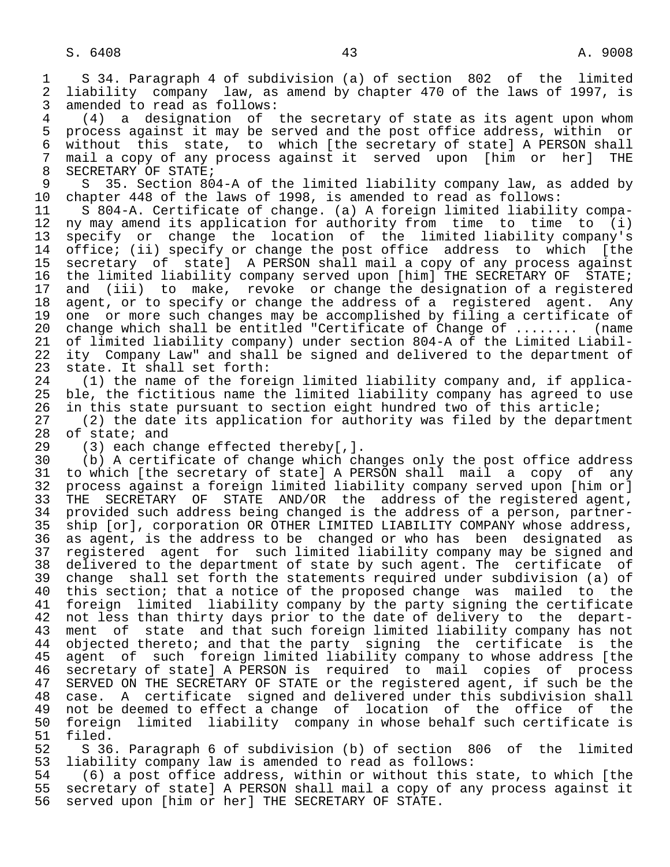1 S 34. Paragraph 4 of subdivision (a) of section 802 of the limited<br>2 liability company law, as amend by chapter 470 of the laws of 1997, is 2 liability company law, as amend by chapter 470 of the laws of 1997, is<br>3 amended to read as follows: 3 amended to read as follows:<br>4 (4) a designation of

 4 (4) a designation of the secretary of state as its agent upon whom 5 process against it may be served and the post office address, within or<br>6 without this state, to which (the secretary of state) A PERSON shall 6 without this state, to which [the secretary of state] A PERSON shall<br>7 mail a copy of any process against it served upon [him or her] THE 7 mail a copy of any process against it served upon [him or her] THE 8 SECRETARY OF STATE;<br>9 S 35, Section 80

9 S 35. Section 804-A of the limited liability company law, as added by<br>10 chapter 448 of the laws of 1998, is amended to read as follows: 10 chapter 448 of the laws of 1998, is amended to read as follows:

11 S 804-A. Certificate of change. (a) A foreign limited liability compa-<br>12 ny may amend its application for authority from time to time to (i) ny may amend its application for authority from time to time to (i) 13 specify or change the location of the limited liability company's<br>14 office; (ii) specify or change the post office address to which [the office; (ii) specify or change the post office address to which [the 15 secretary of state] A PERSON shall mail a copy of any process against<br>16 the limited liability company served upon [him] THE SECRETARY OF STATE; 16 the limited liability company served upon [him] THE SECRETARY OF STATE;<br>17 and (iii) to make, revoke or change the designation of a registered 17 and (iii) to make, revoke or change the designation of a registered<br>18 agent, or to specify or change the address of a registered agent. Any 18 agent, or to specify or change the address of a registered agent. Any<br>19 one or more such changes may be accomplished by filing a certificate of 19 one or more such changes may be accomplished by filing a certificate of<br>20 change which shall be entitled "Certificate of Change of ........ (name 20 change which shall be entitled "Certificate of Change of ........ (name<br>21 of limited liability company) under section 804-A of the Limited Liabil-21 of limited liability company) under section 804-A of the Limited Liabil-<br>22 ity Company Law" and shall be signed and delivered to the department of 22 ity Company Law" and shall be signed and delivered to the department of 23 state. It shall set forth: state. It shall set forth:

 24 (1) the name of the foreign limited liability company and, if applica ble, the fictitious name the limited liability company has agreed to use 26 in this state pursuant to section eight hundred two of this article;<br>27 (2) the date its application for authority was filed by the depart

27 (2) the date its application for authority was filed by the department<br>28 of state; and 28 of state; and<br>29 (3) each cha

29 (3) each change effected thereby[,].<br>30 (b) A certificate of change which ch

 30 (b) A certificate of change which changes only the post office address 31 to which [the secretary of state] A PERSON shall mail a copy of any<br>32 process against a foreign limited liability company served upon [him or] 32 process against a foreign limited liability company served upon [him or]<br>33 THE SECRETARY OF STATE AND/OR the address of the registered agent, 33 THE SECRETARY OF STATE AND/OR the address of the registered agent,<br>34 provided such address being changed is the address of a person, partner-34 provided such address being changed is the address of a person, partner-<br>35 ship [or], corporation OR OTHER LIMITED LIABILITY COMPANY whose address, 35 ship [or], corporation OR OTHER LIMITED LIABILITY COMPANY whose address,<br>36 as agent, is the address to be changed or who has been designated as as agent, is the address to be changed or who has been designated as 37 registered agent for such limited liability company may be signed and 38 delivered to the department of state by such agent. The certificate of<br>39 change shall set forth the statements required under subdivision (a) of 39 change shall set forth the statements required under subdivision (a) of<br>40 this section; that a notice of the proposed change was mailed to the this section; that a notice of the proposed change was mailed to the 41 foreign limited liability company by the party signing the certificate<br>42 not less than thirty days prior to the date of delivery to the depart-42 not less than thirty days prior to the date of delivery to the depart-<br>43 ment of state and that such foreign limited liability company has not 43 ment of state and that such foreign limited liability company has not<br>44 objected thereto; and that the party signing the certificate is the 44 objected thereto; and that the party signing the certificate is the<br>45 agent of such foreign limited liability company to whose address [the agent of such foreign limited liability company to whose address [the<br>secretary of state] A PERSON is required to mail copies of process 46 secretary of state] A PERSON is required to mail copies of<br>47 SERVED ON THE SECRETARY OF STATE or the registered agent, if suc SERVED ON THE SECRETARY OF STATE or the registered agent, if such be the 48 case. A certificate signed and delivered under this subdivision shall 49 not be deemed to effect a change of location of the office of the<br>50 foreign limited liability company in whose behalf such certificate is 50 foreign limited liability company in whose behalf such certificate is 51 filed.

52 S 36. Paragraph 6 of subdivision (b) of section 806 of the limited<br>53 liability company law is amended to read as follows: 53 liability company law is amended to read as follows:<br>54 (6) a post office address, within or without this

54 (6) a post office address, within or without this state, to which [the<br>55 secretary of state] A PERSON shall mail a copy of any process against it 55 secretary of state] A PERSON shall mail a copy of any process against it<br>56 served upon [him or her] THE SECRETARY OF STATE. 56 served upon [him or her] THE SECRETARY OF STATE.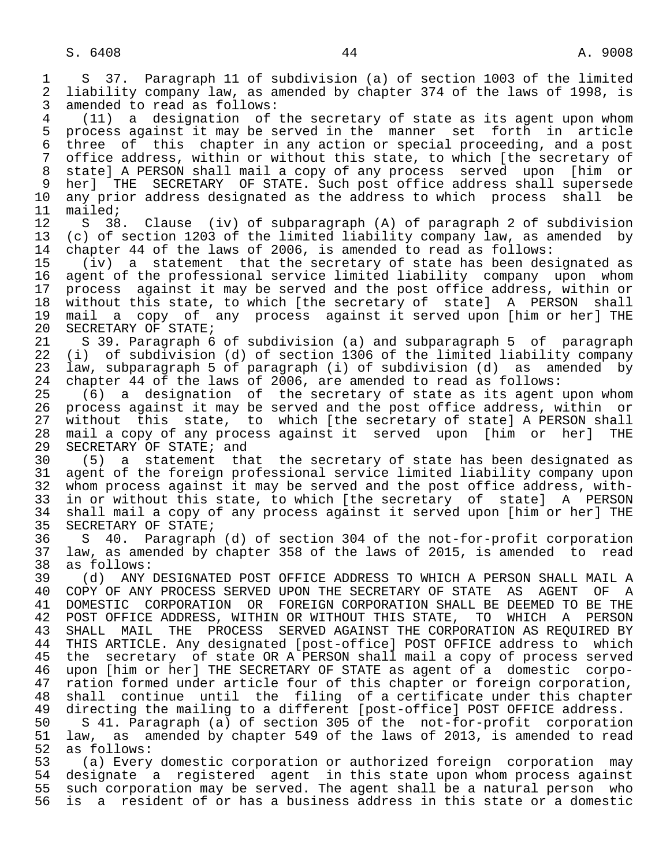1 S 37. Paragraph 11 of subdivision (a) of section 1003 of the limited<br>2 liability company law, as amended by chapter 374 of the laws of 1998, is 2 liability company law, as amended by chapter 374 of the laws of 1998, is<br>3 amended to read as follows: amended to read as follows: 4 (11) a designation of the secretary of state as its agent upon whom

5 process against it may be served in the manner set forth in article<br>6 three of this chapter in any action or special proceeding, and a post 6 three of this chapter in any action or special proceeding, and a post office address, within or without this state, to which [the secretary of 8 state] A PERSON shall mail a copy of any process served upon [him or 9 her] THE SECRETARY OF STATE. Such post office address shall supersede<br>10 any prior address designated as the address to which process shall be 10 any prior address designated as the address to which process shall be 11 mailed;

11 mailed;<br>12 S 38 12 S 38. Clause (iv) of subparagraph (A) of paragraph 2 of subdivision<br>13 (c) of section 1203 of the limited liability company law, as amended by 13 (c) of section 1203 of the limited liability company law, as amended by<br>14 chapter 44 of the laws of 2006, is amended to read as follows: chapter 44 of the laws of 2006, is amended to read as follows:

 15 (iv) a statement that the secretary of state has been designated as 16 agent of the professional service limited liability company upon whom<br>17 process against it may be served and the post office address, within or 17 process against it may be served and the post office address, within or<br>18 without this state, to which [the secretary of state] A PERSON shall 18 without this state, to which [the secretary of state] A PERSON shall<br>19 mail a copy of any process against it served upon [him or her] THE 19 mail a copy of any process against it served upon [him or her] THE 20 SECRETARY OF STATE; 20 SECRETARY OF STATE;<br>21 S 39. Paragraph 6

21 S 39. Paragraph 6 of subdivision (a) and subparagraph 5 of paragraph<br>22 (i) of subdivision (d) of section 1306 of the limited liability company 22 (i) of subdivision (d) of section 1306 of the limited liability company<br>23 law, subparagraph 5 of paragraph (i) of subdivision (d) as amended by law, subparagraph 5 of paragraph (i) of subdivision (d) as amended by 24 chapter 44 of the laws of 2006, are amended to read as follows:<br>25 (6) a designation of the secretary of state as its agent

 $(6)$  a designation of the secretary of state as its agent upon whom 26 process against it may be served and the post office address, within or<br>27 without this state, to which [the secretary of state] A PERSON shall 27 without this state, to which [the secretary of state] A PERSON shall<br>28 mail a copy of any process against it served upon [him or her] THE 28 mail a copy of any process against it served upon [him or her] THE<br>29 SECRETARY OF STATE; and 29 SECRETARY OF STATE; and<br>30 (5) a statement the

 30 (5) a statement that the secretary of state has been designated as 31 agent of the foreign professional service limited liability company upon<br>32 whom process against it may be served and the post office address, with-32 whom process against it may be served and the post office address, with-<br>33 in or without this state, to which [the secretary of state] A PERSON 33 in or without this state, to which [the secretary of state] A PERSON<br>34 shall mail a copy of any process against it served upon [him or her] THE 34 shall mail a copy of any process against it served upon [him or her] THE<br>35 SECRETARY OF STATE; 35 SECRETARY OF STATE;<br>36 S 40. Paragraph

 36 S 40. Paragraph (d) of section 304 of the not-for-profit corporation 37 law, as amended by chapter 358 of the laws of 2015, is amended to read 38 as follows:<br>39 (d) ANY

 39 (d) ANY DESIGNATED POST OFFICE ADDRESS TO WHICH A PERSON SHALL MAIL A 40 COPY OF ANY PROCESS SERVED UPON THE SECRETARY OF STATE AS AGENT OF A<br>41 DOMESTIC CORPORATION OR FOREIGN CORPORATION SHALL BE DEEMED TO BE THE 41 DOMESTIC CORPORATION OR FOREIGN CORPORATION SHALL BE DEEMED TO BE THE 42 POST OFFICE ADDRESS, WITHIN OR WITHOUT THIS STATE, TO WHICH A PERSON 42 POST OFFICE ADDRESS, WITHIN OR WITHOUT THIS STATE, TO<br>43 SHALL MAIL THE PROCESS SERVED AGAINST THE CORPORATI 43 SHALL MAIL THE PROCESS SERVED— AGAINST THE CORPORATION AS REQUIRED BY<br>44 THIS ARTICLE, Any designated [post-office] POST OFFICE address to which 44 THIS ARTICLE. Any designated [post-office] POST OFFICE address to which<br>45 the secretary of state OR A PERSON shall mail a copy of process served the secretary of state OR A PERSON shall mail a copy of process served 46 upon [him or her] THE SECRETARY OF STATE as agent of a domestic corpo-<br>47 ration formed under article four of this chapter or foreign corporation. 47 ration formed under article four of this chapter or foreign corporation,<br>48 shall continue until the filing of a certificate under this chapter 48 shall continue until the filing of a certificate under this chapter<br>49 directing the mailing to a different [post-office] POST OFFICE address. 49 directing the mailing to a different [post-office] POST OFFICE address.<br>50 S 41. Paragraph (a) of section 305 of the not-for-profit corporation

50 S 41. Paragraph (a) of section 305 of the not-for-profit corporation<br>51 law, as amended by chapter 549 of the laws of 2013, is amended to read 51 law, as amended by chapter 549 of the laws of 2013, is amended to read 52 as follows: 52 as follows:<br>53 (a) Every

 53 (a) Every domestic corporation or authorized foreign corporation may 54 designate a registered agent in this state upon whom process against<br>55 such corporation may be served. The agent shall be a natural person who 55 such corporation may be served. The agent shall be a natural person who<br>56 is a resident of or has a business address in this state or a domestic is a resident of or has a business address in this state or a domestic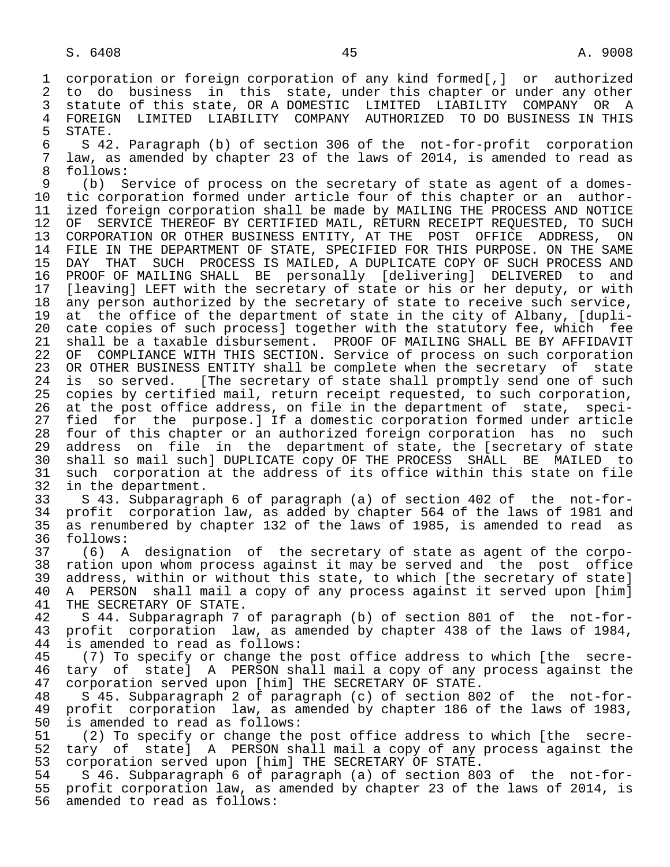1 corporation or foreign corporation of any kind formed[,] or authorized 2 to do business in this state, under this chapter or under any other<br>3 statute of this state, OR A DOMESTIC LIMITED LIABILITY COMPANY OR A statute of this state, OR A DOMESTIC LIMITED LIABILITY COMPANY OR A 4 FOREIGN LIMITED LIABILITY COMPANY AUTHORIZED TO-DO-BUSINESS IN-THIS<br>5 STATE.

5 STATE.<br>6 S 42 6 S 42. Paragraph (b) of section 306 of the not-for-profit corporation<br>7 law, as amended by chapter 23 of the laws of 2014, is amended to read as 7 law, as amended by chapter 23 of the laws of 2014, is amended to read as follows:

9 (b) Service of process on the secretary of state as agent of a domes-<br>10 tic corporation formed under article four of this chapter or an author-10 tic corporation formed under article four of this chapter or an author-<br>11 ized foreign corporation shall be made by MAILING THE PROCESS AND NOTICE ized foreign corporation shall be made by MAILING THE PROCESS AND NOTICE 12 OF SERVICE THEREOF BY CERTIFIED MAIL, RETURN RECEIPT REQUESTED, TO SUCH 13 CORPORATION OR OTHER BUSINESS ENTITY, AT THE POST OFFICE ADDRESS, ON<br>14 FILE IN THE DEPARTMENT OF STATE, SPECIFIED FOR THIS PURPOSE, ON THE SAME FILE IN THE DEPARTMENT OF STATE, SPECIFIED FOR THIS PURPOSE. ON THE SAME 15 DAY THAT SUCH PROCESS IS MAILED, A DUPLICATE COPY OF SUCH PROCESS AND<br>16 PROOF OF MAILING SHALL BE personally [delivering] DELIVERED to and 16 PROOF OF MAILING SHALL BE personally [delivering]<br>17 [leaving] LEFT with the secretary of state or his or 17 [leaving] LEFT with the secretary of state or his or her deputy, or with<br>18 any person authorized by the secretary of state to receive such service, 18 any person authorized by the secretary of state to receive such service,<br>19 at the office of the department of state in the city of Albany, [dupli-19 at the office of the department of state in the city of Albany, [dupli-<br>20 cate copies of such process] together with the statutory fee, which fee 20 cate copies of such process] together with the statutory fee, which fee<br>21 shall be a taxable disbursement. PROOF OF MAILING SHALL BE BY AFFIDAVIT 21 shall be a taxable disbursement. PROOF OF MAILING SHALL BE BY AFFIDAVIT<br>22 OF COMPLIANCE WITH THIS SECTION. Service of process on such corporation 22 OF COMPLIANCE WITH THIS SECTION. Service of process on such corporation<br>23 OR OTHER BUSINESS ENTITY shall be complete when the secretary of state OR OTHER BUSINESS ENTITY shall be complete when the secretary of state 24 is so served. [The secretary of state shall promptly send one of such<br>25 copies by certified mail, return receipt requested, to such corporation, copies by certified mail, return receipt requested, to such corporation, 26 at the post office address, on file in the department of state, speci-<br>27 fied for the purpose.] If a domestic corporation formed under article 27 fied for the purpose.] If a domestic corporation formed under article<br>28 four of this chapter or an authorized foreign corporation has no such 28 four of this chapter or an authorized foreign corporation has no such<br>29 address on file in the department of state, the [secretary of state address on file in the department of state, the [secretary of state 30 shall so mail such] DUPLICATE copy OF THE PROCESS SHALL BE MAILED to 31 such corporation at the address of its office within this state on file<br>32 in the department.

32 in the department.<br>33 S 43. Subparagra 33 S 43. Subparagraph 6 of paragraph (a) of section 402 of the not-for- 34 profit corporation law, as added by chapter 564 of the laws of 1981 and<br>35 as renumbered by chapter 132 of the laws of 1985, is amended to read as 35 as renumbered by chapter 132 of the laws of 1985, is amended to read as follows:

 37 (6) A designation of the secretary of state as agent of the corpo- 38 ration upon whom process against it may be served and the post office<br>39 address, within or without this state, to which [the secretary of state] 39 address, within or without this state, to which [the secretary of state]<br>40 A PERSON shall mail a copy of any process against it served upon [him] 40 A PERSON shall mail a copy of any process against it served upon [him]<br>41 THE SECRETARY OF STATE. 41 THE SECRETARY OF STATE.<br>42 S 44. Subparagraph 7

 42 S 44. Subparagraph 7 of paragraph (b) of section 801 of the not-for- 43 profit corporation law, as amended by chapter 438 of the laws of 1984,<br>44 is amended to read as follows: 44 is amended to read as follows:<br>45 (7) To specify or change the

 45 (7) To specify or change the post office address to which [the secre- 46 tary of state] A PERSON shall mail a copy of any process against the 47 corporation served upon [him] THE SECRETARY OF STATE. corporation served upon [him] THE SECRETARY OF STATE.

 48 S 45. Subparagraph 2 of paragraph (c) of section 802 of the not-for- 49 profit corporation law, as amended by chapter 186 of the laws of 1983,<br>50 is amended to read as follows: 50 is amended to read as follows:<br>51 (2) To specify or change the

(2) To specify or change the post office address to which [the secre- 52 tary of state] A PERSON shall mail a copy of any process against the 53 corporation served upon [him] THE SECRETARY OF STATE.<br>54 S 46. Subparagraph 6 of paragraph (a) of section 80

54 S 46. Subparagraph 6 of paragraph (a) of section 803 of the not-for-<br>55 profit corporation law, as amended by chapter 23 of the laws of 2014, is 55 profit corporation law, as amended by chapter 23 of the laws of 2014, is<br>56 amended to read as follows: amended to read as follows: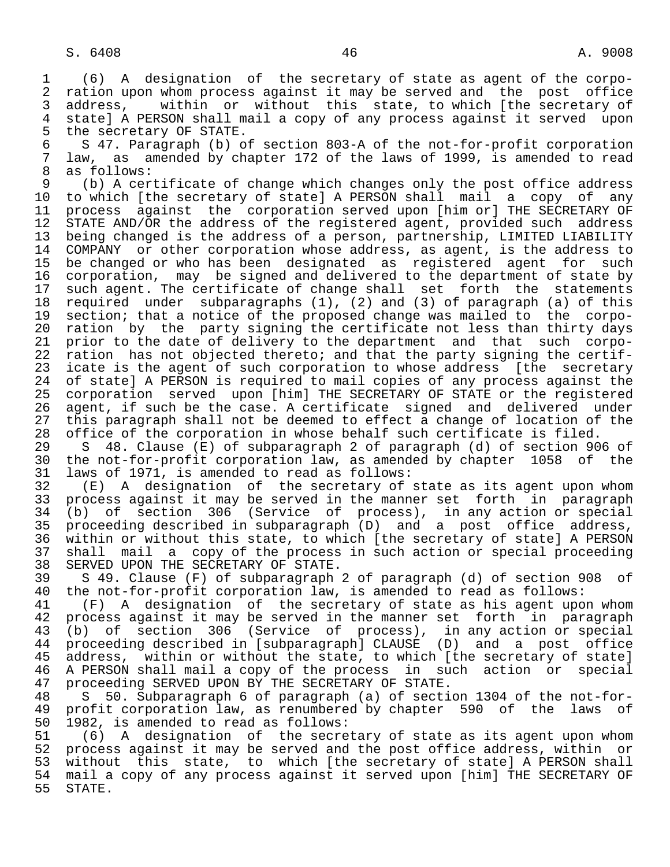1 (6) A designation of the secretary of state as agent of the corpo- 2 ration upon whom process against it may be served and the post office<br>3 address, within or without this state, to which [the secretary of 3 address, within or without this state, to which [the secretary of<br>4 statel A PERSON shall mail a copy of any process against it served upon 4 state] A PERSON shall mail a copy of any process against it served upon<br>5 the secretary OF STATE. 5 the secretary OF STATE.<br>6 S 47. Paragraph (b) o

6 S 47. Paragraph (b) of section 803-A of the not-for-profit corporation<br>7 law, as amended by chapter 172 of the laws of 1999, is amended to read 7 law, as amended by chapter 172 of the laws of 1999, is amended to read

8 as follows:<br>9 (b) A cer 9 (b) A certificate of change which changes only the post office address<br>10 to which (the secretary of state) A PERSON shall mail a copy of any 10 to which [the secretary of state] A PERSON shall mail a copy of any<br>11 process against the corporation served upon [him or] THE SECRETARY OF 11 process against the corporation served upon [him or] THE SECRETARY OF<br>12 STATE AND/OR the address of the registered agent, provided such address 12 STATE AND/OR the address of the registered agent, provided such address<br>13 being changed is the address of a person, partnership, LIMITED LIABILITY 13 being changed is the address of a person, partnership, LIMITED LIABILITY<br>14 COMPANY or other corporation whose address, as agent, is the address to COMPANY or other corporation whose address, as agent, is the address to 15 be changed or who has been designated as registered agent for such<br>16 corporation, may be signed and delivered to the department of state by 16 corporation, may be signed and delivered to the department of state by<br>17 such agent. The certificate of change shall set forth the statements 17 such agent. The certificate of change shall set forth the statements<br>18 required under subparagraphs (1), (2) and (3) of paragraph (a) of this 18 required under subparagraphs (1), (2) and (3) of paragraph (a) of this<br>19 section; that a notice of the proposed change was mailed to the corpo-19 section; that a notice of the proposed change was mailed to the corpo-<br>20 ration by the party signing the certificate not less than thirty days 20 ration by the party signing the certificate not less than thirty days<br>21 prior to the date of delivery to the department and that such corpo-21 prior to the date of delivery to the department and that such corpo-<br>22 ration has not objected thereto; and that the party signing the certif-22 ration has not objected thereto; and that the party signing the certif-<br>23 icate is the agent of such corporation to whose address [the secretary icate is the agent of such corporation to whose address [the secretary 24 of state] A PERSON is required to mail copies of any process against the<br>25 corporation served upon [him] THE SECRETARY OF STATE or the registered 25 corporation served upon [him] THE SECRETARY OF STATE or the registered 26 agent, if such be the case. A certificate signed and delivered under 27 this paragraph shall not be deemed to effect a change of location of the<br>28 office of the corporation in whose behalf such certificate is filed.

28 office of the corporation in whose behalf such certificate is filed.<br>29 S 48. Clause (E) of subparagraph 2 of paragraph (d) of section 90 29 S 48. Clause (E) of subparagraph 2 of paragraph (d) of section 906 of 30 the not-for-profit corporation law, as amended by chapter 1058 of the<br>31 laws of 1971, is amended to read as follows: 31 laws of 1971, is amended to read as follows:<br>32 (E) A designation of the secretary of

32 (E) A designation of the secretary of state as its agent upon whom<br>33 process against it may be served in the manner set forth in paragraph 33 process against it may be served in the manner set forth in paragraph<br>34 (b) of section 306 (Service of process), in any action or special 34 (b) of section 306 (Service of process), in any action or special 35 proceeding described in subparagraph (D) and a post office address, 36 within or without this state, to which [the secretary of state] A PERSON 37 shall mail a copy of the process in such action or special proceeding 38 SERVED UPON THE SECRETARY OF STATE.<br>39 S 49. Clause (F) of subparagraph

39 S 49. Clause (F) of subparagraph 2 of paragraph (d) of section 908 of<br>40 the not-for-profit corporation law, is amended to read as follows:

40 the not-for-profit corporation law, is amended to read as follows:<br>41 (F) A designation of the secretary of state as his agent upo 41 (F) A designation of the secretary of state as his agent upon whom<br>42 process against it may be served in the manner set forth in paragraph 42 process against it may be served in the manner set forth in paragraph<br>43 (b) of section 306 (Service of process), in any action or special 43 (b) of section 306 (Service of process), in any action or special<br>44 proceeding described in [subparagraph] CLAUSE (D) and a post office 44 proceeding described in [subparagraph] CLAUSE (D) and a post office<br>45 address, within or without the state, to which [the secretary of state] address, within or without the state, to which [the secretary of state] 46 A PERSON shall mail a copy of the process in such action or special<br>47 proceeding SERVED UPON BY THE SECRETARY OF STATE. 47 proceeding SERVED UPON BY THE SECRETARY OF STATE.<br>48 S 50. Subparagraph 6 of paragraph (a) of secti

 48 S 50. Subparagraph 6 of paragraph (a) of section 1304 of the not-for- 49 profit corporation law, as renumbered by chapter 590 of the laws 1982, is amended to read as follows: 50 1982, is amended to read as follows:<br>51 (6) A designation of the secre

51 (6) A designation of the secretary of state as its agent upon whom<br>52 process against it may be served and the post office address, within or 52 process against it may be served and the post office address, within or<br>53 without this state, to which [the secretary of state] A PERSON shall 53 without this state, to which [the secretary of state] A PERSON shall<br>54 mail a copy of any process against it served upon [him] THE SECRETARY OF 54 mail a copy of any process against it served upon [him] THE SECRETARY OF<br>55 STATE. STATE.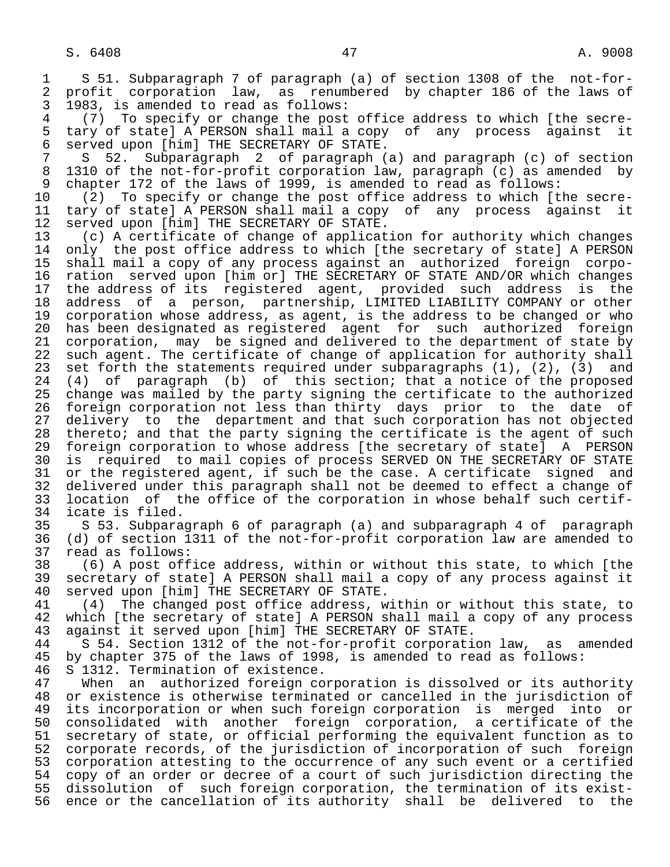1 S 51. Subparagraph 7 of paragraph (a) of section 1308 of the not-for-<br>2 profit corporation law, as renumbered by chapter 186 of the laws of 2 profit corporation law, as renumbered by chapter 186 of the laws of<br>3 1983, is amended to read as follows:

 3 1983, is amended to read as follows: 4 (7) To specify or change the post office address to which [the secre-<br>5 tary of state] A PERSON shall mail a copy of any process against it 5 tary of state] A PERSON shall mail a copy of any process against it<br>6 served upon [him] THE SECRETARY OF STATE. 6 served upon [him] THE SECRETARY OF STATE.

 7 S 52. Subparagraph 2 of paragraph (a) and paragraph (c) of section 8 1310 of the not-for-profit corporation law, paragraph (c) as amended by<br>9 chapter 172 of the laws of 1999, is amended to read as follows: 9 chapter 172 of the laws of 1999, is amended to read as follows:<br>10 (2) To specify or change the post office address to which It

10 (2) To specify or change the post office address to which [the secre-<br>11 tary of state] A PERSON shall mail a copy of any process against it 11 tary of state] A PERSON shall mail a copy of any process against it<br>12 served upon [him] THE SECRETARY OF STATE. 12 served upon [him] THE SECRETARY OF STATE.<br>13 (c) A certificate of change of applicat

 13 (c) A certificate of change of application for authority which changes only the post office address to which [the secretary of state] A PERSON 15 shall mail a copy of any process against an authorized foreign corpo- 16 ration served upon [him or] THE SECRETARY OF STATE AND/OR which changes<br>17 the address of its registered agent, provided such address is the 17 the address of its registered agent, provided such address is the<br>18 address of a person, partnership, LIMITED LIABILITY COMPANY or other 18 address of a person, partnership, LIMITED LIABILITY COMPANY or other<br>19 corporation whose address, as agent, is the address to be changed or who 19 corporation whose address, as agent, is the address to be changed or who<br>20 has been designated as registered agent for such authorized foreign 20 has been designated as registered agent for such authorized foreign<br>21 corporation, may be signed and delivered to the department of state by 21 corporation, may be signed and delivered to the department of state by<br>22 such agent. The certificate of change of application for authority shall 22 such agent. The certificate of change of application for authority shall<br>23 set forth the statements required under subparagraphs (1), (2), (3) and set forth the statements required under subparagraphs  $(1)$ ,  $(2)$ ,  $(3)$  and 24 (4) of paragraph (b) of this section; that a notice of the proposed<br>25 change was mailed by the party signing the certificate to the authorized change was mailed by the party signing the certificate to the authorized 26 foreign corporation not less than thirty days prior to the date of<br>27 delivery to the department and that such corporation has not objected 27 delivery to the department and that such corporation has not objected<br>28 thereto; and that the party signing the certificate is the agent of such 28 thereto; and that the party signing the certificate is the agent of such<br>29 foreign corporation to whose address [the secretary of state] A PERSON 29 foreign corporation to whose address [the secretary of state] A PERSON<br>20 is required to mail copies of process SERVED ON THE SECRETARY OF STATE 30 is required to mail copies of process SERVED ON THE SECRETARY OF STATE<br>31 or the registered agent, if such be the case. A certificate signed and 31 or the registered agent, if such be the case. A certificate signed and<br>32 delivered under this paragraph shall not be deemed to effect a change of 32 delivered under this paragraph shall not be deemed to effect a change of<br>33 location of the office of the corporation in whose behalf such certif-33 location of the office of the corporation in whose behalf such certif-<br>34 icate is filed.

34 icate is filed.<br>35 S 53. Subpara 35 S 53. Subparagraph 6 of paragraph (a) and subparagraph 4 of paragraph<br>36 (d) of section 1311 of the not-for-profit corporation law are amended to 36 (d) of section 1311 of the not-for-profit corporation law are amended to<br>37 read as follows: 37 read as follows:<br>38 (6) A post off

 38 (6) A post office address, within or without this state, to which [the 39 secretary of state] A PERSON shall mail a copy of any process against it<br>40 served upon [him] THE SECRETARY OF STATE. 40 served upon [him] THE SECRETARY OF STATE.<br>41 (4) The changed post office address, w

41 (4) The changed post office address, within or without this state, to<br>42 which [the secretary of state] A PERSON shall mail a copy of any process 42 which [the secretary of state] A PERSON shall mail a copy of any process<br>43 against it served upon [him] THE SECRETARY OF STATE. 43 against it served upon [him] THE SECRETARY OF STATE.<br>44 S 54. Section 1312 of the not-for-profit corporati

44 S 54. Section 1312 of the not-for-profit corporation law, as amended<br>45 by chapter 375 of the laws of 1998, is amended to read as follows: by chapter 375 of the laws of 1998, is amended to read as follows:

46 S 1312. Termination of existence.<br>47 When an authorized foreign co When an authorized foreign corporation is dissolved or its authority 48 or existence is otherwise terminated or cancelled in the jurisdiction of<br>49 its incorporation or when such foreign corporation is merged into or 49 its incorporation or when such foreign corporation is merged into or<br>50 consolidated with another foreign corporation, a certificate of the 50 consolidated with another foreign corporation, a certificate of the<br>51 secretary of state, or official performing the equivalent function as to 51 secretary of state, or official performing the equivalent function as to<br>52 corporate records, of the jurisdiction of incorporation of such foreign 52 corporate records, of the jurisdiction of incorporation of such foreign<br>53 corporation attesting to the occurrence of any such event or a certified 53 corporation attesting to the occurrence of any such event or a certified<br>54 copy of an order or decree of a court of such jurisdiction directing the 54 copy of an order or decree of a court of such jurisdiction directing the<br>55 dissolution of such foreign corporation, the termination of its exist-55 dissolution of such foreign corporation, the termination of its exist-<br>56 ence or the cancellation of its authority shall be delivered to the ence or the cancellation of its authority shall be delivered to the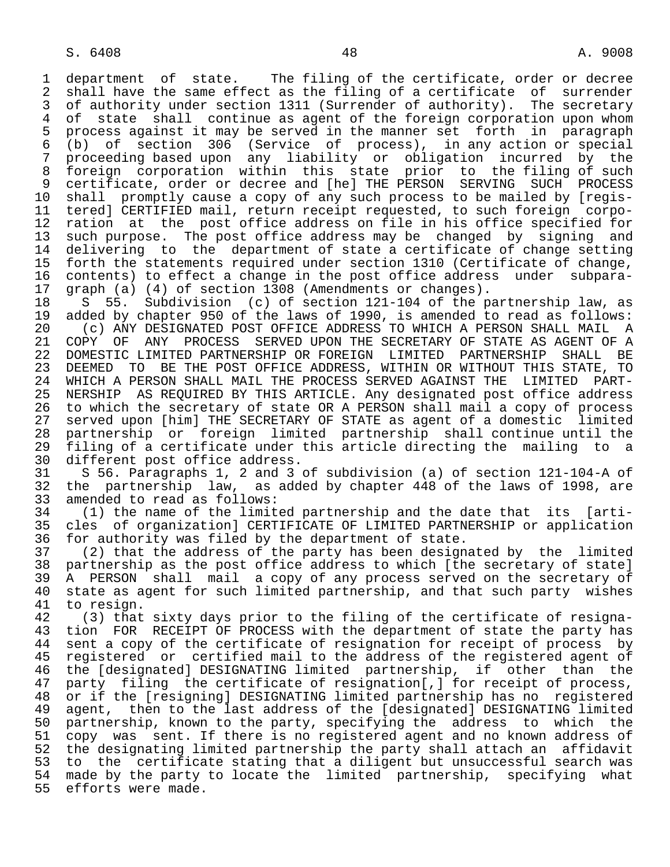1 department of state. The filing of the certificate, order or decree<br>2 shall have the same effect as the filing of a certificate of surrender 2 shall have the same effect as the filing of a certificate of surrender<br>3 of authority under section 1311 (Surrender of authority). The secretary 3 of authority under section 1311 (Surrender of authority). The secretary<br>4 of state shall continue as agent of the foreign corporation upon whom 4 of state shall continue as agent of the foreign corporation upon whom<br>5 process against it may be served in the manner set forth in paragraph 5 process against it may be served in the manner set forth in paragraph<br>6 (b) of section 306 (Service of process), in any action or special 6 (b) of section 306 (Service of process), in any action or special proceeding based upon any liability or obligation incurred by the 8 foreign corporation within this state prior to the filing of such 9 certificate, order or decree and [he] THE PERSON SERVING SUCH PROCESS<br>10 shall promptly cause a copy of any such process to be mailed by [regis-10 shall promptly cause a copy of any such process to be mailed by [regis-<br>11 tered] CERTIFIED mail, return receipt requested, to such foreign corpo-11 tered] CERTIFIED mail, return receipt requested, to such foreign corpo-<br>12 ration at the post office address on file in his office specified for 12 ration at the post office address on file in his office specified for<br>13 such purpose. The post office address may be changed by signing and 13 such purpose. The post office address may be changed by signing and<br>14 delivering to the department of state a certificate of change setting 14 delivering to the department of state a certificate of change setting 15 forth the statements required under section 1310 (Certificate of change, 16 contents) to effect a change in the post office address under subpara-<br>17 graph (a) (4) of section 1308 (Amendments or changes). 17 graph (a) (4) of section 1308 (Amendments or changes).<br>18 S 55. Subdivision (c) of section 121-104 of the p

18 S 55. Subdivision (c) of section 121-104 of the partnership law, as<br>19 added by chapter 950 of the laws of 1990, is amended to read as follows: 19 added by chapter 950 of the laws of 1990, is amended to read as follows:<br>20 (c) ANY DESIGNATED POST OFFICE ADDRESS TO WHICH A PERSON SHALL MAIL A 20 (c) ANY DESIGNATED POST OFFICE ADDRESS TO WHICH A PERSON SHALL MAIL A<br>21 COPY OF ANY PROCESS SERVED UPON THE SECRETARY OF STATE AS AGENT OF A 21 COPY OF ANY PROCESS SERVED UPON THE SECRETARY OF STATE AS AGENT OF A<br>22 DOMESTIC LIMITED PARTNERSHIP OR FOREIGN LIMITED PARTNERSHIP SHALL BE 22 DOMESTIC LIMITED PARTNERSHIP OR FOREIGN LIMITED PARTNERSHIP SHALL BE<br>23 DEEMED TO BE THE POST OFFICE ADDRESS, WITHIN OR WITHOUT THIS STATE, TO DEEMED TO BE THE POST OFFICE ADDRESS, WITHIN OR WITHOUT THIS STATE, TO 24 WHICH A PERSON SHALL MAIL THE PROCESS SERVED AGAINST THE LIMITED PART-<br>25 NERSHIP AS REOUIRED BY THIS ARTICLE. Any designated post office address NERSHIP AS REQUIRED BY THIS ARTICLE. Any designated post office address 26 to which the secretary of state OR A PERSON shall mail a copy of process 27 served upon [him] THE SECRETARY OF STATE as agent of a domestic limited<br>28 partnership or foreign limited partnership shall continue until the 28 partnership or foreign limited partnership shall continue until the 29 filing of a certificate under this article directing the mailing to a<br>30 different post office address. 30 different post office address.<br>31 S 56. Paragraphs 1, 2 and 3

 31 S 56. Paragraphs 1, 2 and 3 of subdivision (a) of section 121-104-A of 32 the partnership law, as added by chapter 448 of the laws of 1998, are 33 amended to read as follows: 33 amended to read as follows:<br>34 (1) the name of the limit

 34 (1) the name of the limited partnership and the date that its [arti- 35 cles of organization] CERTIFICATE OF LIMITED PARTNERSHIP or application<br>36 for authority was filed by the department of state. for authority was filed by the department of state.

 37 (2) that the address of the party has been designated by the limited 38 partnership as the post office address to which [the secretary of state]<br>39 A PERSON shall mail a copy of any process served on the secretary of 39 A PERSON shall mail a copy of any process served on the secretary of<br>40 state as agent for such limited partnership, and that such party wishes 40 state as agent for such limited partnership, and that such party wishes<br>41 to resign.

41 to resign.<br>42 (3) that 42 (3) that sixty days prior to the filing of the certificate of resigna-<br>43 tion FOR RECEIPT OF PROCESS with the department of state the party has 43 tion FOR RECEIPT OF PROCESS with the department of state the party has<br>44 sent a copy of the certificate of resignation for receipt of process by 44 sent a copy of the certificate of resignation for receipt of process by<br>45 registered or certified mail to the address of the registered agent of 45 registered or certified mail to the address of the registered agent of 46 the [designated] DESIGNATING limited partnership, if other than the<br>47 party filing the certificate of resignation[,] for receipt of process, party filing the certificate of resignation[,] for receipt of process, 48 or if the [resigning] DESIGNATING limited partnership has no registered 49 agent, then to the last address of the [designated] DESIGNATING limited<br>50 partnership, known to the party, specifying the address to which the 50 partnership, known to the party, specifying the address to which the<br>51 copy was sent. If there is no registered agent and no known address of 51 copy was sent. If there is no registered agent and no known address of<br>52 the designating limited partnership the party shall attach an affidavit 52 the designating limited partnership the party shall attach an affidavit<br>53 to the certificate stating that a diligent but unsuccessful search was 53 to the certificate stating that a diligent but unsuccessful search was<br>54 made by the party to locate the limited partnership, specifying what 54 made by the party to locate the limited partnership, specifying what<br>55 efforts were made. efforts were made.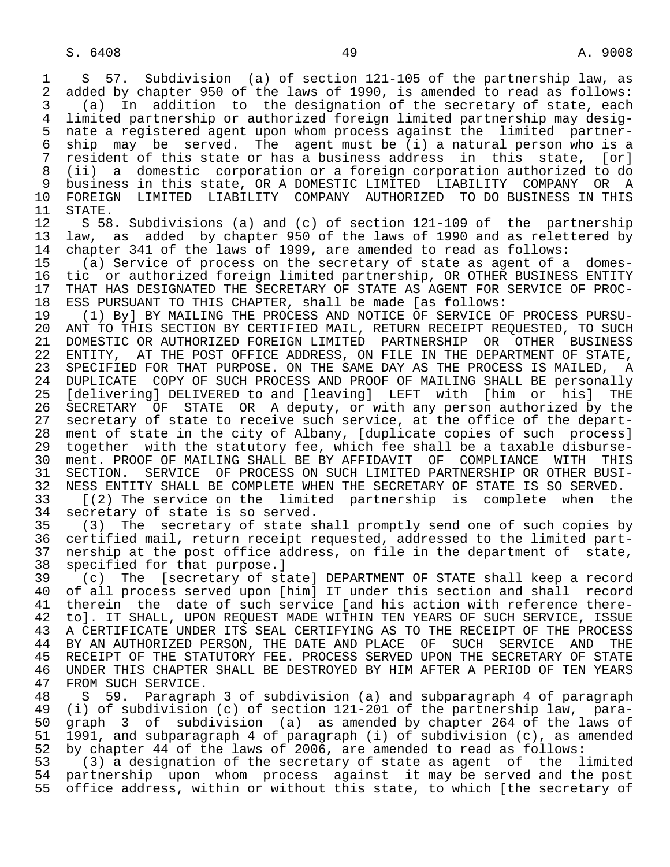1 S 57. Subdivision (a) of section 121-105 of the partnership law, as<br>2 added by chapter 950 of the laws of 1990, is amended to read as follows: 2 added by chapter 950 of the laws of 1990, is amended to read as follows:<br>3 (a) In addition to the designation of the secretary of state, each 3 (a) In addition to the designation of the secretary of state, each 4 limited partnership or authorized foreign limited partnership may desig- 5 nate a registered agent upon whom process against the limited partner- 6 ship may be served. The agent must be (i) a natural person who is a<br>7 resident of this state or has a business address in this state. [or] 7 resident of this state or has a business address in this state, [or] 8 (ii) a domestic corporation or a foreign corporation authorized to do 9 business in this state, OR A DOMESTIC LIMITED LIABILITY COMPANY OR A 10 FOREIGN LIMITED LIABILITY COMPANY AUTHORIZED TO DO BUSINESS IN THIS<br>11 STATE.

11 STATE.<br>12 S 58 12 S 58. Subdivisions (a) and (c) of section 121-109 of the partnership<br>13 law, as added by chapter 950 of the laws of 1990 and as relettered by 13 law, as added by chapter 950 of the laws of 1990 and as relettered by<br>14 chapter 341 of the laws of 1999, are amended to read as follows: chapter 341 of the laws of 1999, are amended to read as follows:

 15 (a) Service of process on the secretary of state as agent of a domes- 16 tic or authorized foreign limited partnership, OR OTHER BUSINESS ENTITY<br>17 THAT HAS DESIGNATED THE SECRETARY OF STATE AS AGENT FOR SERVICE OF PROC-17 THAT HAS DESIGNATED THE SECRETARY OF STATE AS AGENT FOR SERVICE OF PROC-<br>18 ESS PURSUANT TO THIS CHAPTER, shall be made [as follows: 18 ESS PURSUANT TO THIS CHAPTER, shall be made [as follows:

 19 (1) By] BY MAILING THE PROCESS AND NOTICE OF SERVICE OF PROCESS PURSU- 20 ANT TO THIS SECTION BY CERTIFIED MAIL, RETURN RECEIPT REQUESTED, TO SUCH<br>21 DOMESTIC OR AUTHORIZED FOREIGN LIMITED PARTNERSHIP OR OTHER BUSINESS 21 DOMESTIC OR AUTHORIZED FOREIGN LIMITED PARTNERSHIP OR OTHER BUSINESS<br>22 ENTITY, AT THE POST OFFICE ADDRESS, ON FILE IN THE DEPARTMENT OF STATE, 22 ENTITY, AT THE POST OFFICE ADDRESS, ON FILE IN THE DEPARTMENT OF STATE,<br>23 SPECIFIED FOR THAT PURPOSE. ON THE SAME DAY AS THE PROCESS IS MAILED, A SPECIFIED FOR THAT PURPOSE. ON THE SAME DAY AS THE PROCESS IS MAILED, A 24 DUPLICATE COPY OF SUCH PROCESS AND PROOF OF MAILING SHALL BE personally<br>25 [delivering] DELIVERED to and [leaving] LEFT with [him or his] THE [delivering] DELIVERED to and [leaving] LEFT with [him or his] THE 26 SECRETARY OF STATE OR A deputy, or with any person authorized by the 27 secretary of state to receive such service, at the office of the depart-<br>28 ment of state in the city of Albany, [duplicate copies of such process] 28 ment of state in the city of Albany, [duplicate copies of such process]<br>29 together with the statutory fee, which fee shall be a taxable disburse- 29 together with the statutory fee, which fee shall be a taxable disburse- 30 ment. PROOF OF MAILING SHALL BE BY AFFIDAVIT OF COMPLIANCE WITH THIS<br>31 SECTION. SERVICE OF PROCESS ON SUCH LIMITED PARTNERSHIP OR OTHER BUSI-31 SECTION. SERVICE OF PROCESS ON SUCH LIMITED PARTNERSHIP OR OTHER BUSI-<br>32 NESS ENTITY SHALL BE COMPLETE WHEN THE SECRETARY OF STATE IS SO SERVED. 32 NESS ENTITY SHALL BE COMPLETE WHEN THE SECRETARY OF STATE IS SO SERVED.<br>33 [(2) The service on the limited partnership is complete when th 33 [(2) The service on the limited partnership is complete when the 34 secretary of state is so served.

34 secretary of state is so served.<br>35 (3) The secretary of state s 35 (3) The secretary of state shall promptly send one of such copies by<br>36 certified mail, return receipt requested, addressed to the limited partcertified mail, return receipt requested, addressed to the limited part-37 nership at the post office address, on file in the department of state,<br>38 specified for that purpose.] 38 specified for that purpose.]<br>39 (c) The [secretary of st

 39 (c) The [secretary of state] DEPARTMENT OF STATE shall keep a record 40 of all process served upon [him] IT under this section and shall record 41 therein the date of such service [and his action with reference there-<br>42 to]. IT SHALL, UPON REOUEST MADE WITHIN TEN YEARS OF SUCH SERVICE, ISSUE 42 to]. IT SHALL, UPON REQUEST MADE WITHIN TEN YEARS OF SUCH SERVICE, ISSUE<br>43 A CERTIFICATE UNDER ITS SEAL CERTIFYING AS TO THE RECEIPT OF THE PROCESS 43 A CERTIFICATE UNDER ITS SEAL CERTIFYING AS TO THE RECEIPT OF THE PROCESS<br>44 BY AN AUTHORIZED PERSON, THE DATE AND PLACE OF SUCH SERVICE AND THE 44 BY AN AUTHORIZED PERSON, THE DATE AND PLACE OF SUCH SERVICE AND THE<br>45 RECEIPT OF THE STATUTORY FEE. PROCESS SERVED UPON THE SECRETARY OF STATE 45 RECEIPT OF THE STATUTORY FEE. PROCESS SERVED UPON THE SECRETARY OF STATE 46 UNDER THIS CHAPTER SHALL BE DESTROYED BY HIM AFTER A PERIOD OF TEN YEARS 47 FROM SUCH SERVICE. FROM SUCH SERVICE.

 48 S 59. Paragraph 3 of subdivision (a) and subparagraph 4 of paragraph 49 (i) of subdivision (c) of section 121-201 of the partnership law, para- 50 graph 3 of subdivision (a) as amended by chapter 264 of the laws of<br>51 1991, and subparagraph 4 of paragraph (i) of subdivision (c), as amended 51 1991, and subparagraph 4 of paragraph (i) of subdivision (c), as amended<br>52 by chapter 44 of the laws of 2006, are amended to read as follows: 52 by chapter 44 of the laws of 2006, are amended to read as follows:<br>53 (3) a designation of the secretary of state as agent of the 1

 53 (3) a designation of the secretary of state as agent of the limited 54 partnership upon whom process against it may be served and the post<br>55 office address, within or without this state, to which [the secretary of office address, within or without this state, to which [the secretary of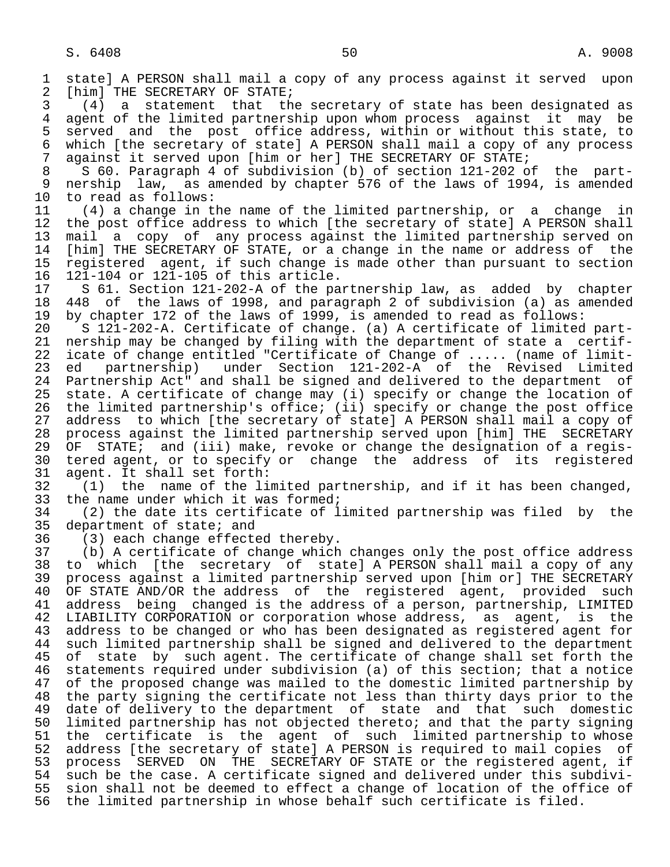1 state] A PERSON shall mail a copy of any process against it served upon<br>2 [him] THE SECRETARY OF STATE; 2 [him] THE SECRETARY OF STATE;<br>3 (4) a statement that th 3 (4) a statement that the secretary of state has been designated as 4 agent of the limited partnership upon whom process against it may be<br>5 served and the post office address, within or without this state, to 5 served and the post office address, within or without this state, to<br>6 which [the secretary of state] A PERSON shall mail a copy of any process 6 which [the secretary of state] A PERSON shall mail a copy of any process  $\overline{z}$  against it served upon [him or her] THE SECRETARY OF STATE; 7 against it served upon [him or her] THE SECRETARY OF STATE;<br>8 S 60. Paragraph 4 of subdivision (b) of section 121-202 o 8 S 60. Paragraph 4 of subdivision (b) of section 121-202 of the part-<br>9 nership law, as amended by chapter 576 of the laws of 1994, is amended 9 nership law, as amended by chapter 576 of the laws of 1994, is amended<br>10 to read as follows: 10 to read as follows:<br>11 (4) a change in t 11 (4) a change in the name of the limited partnership, or a change in<br>12 the post office address to which [the secretary of state] A PERSON shall 12 the post office address to which [the secretary of state] A PERSON shall<br>13 mail a copy of any process against the limited partnership served on 13 mail a copy of any process against the limited partnership served on<br>14 [him] THE SECRETARY OF STATE, or a change in the name or address of the [him] THE SECRETARY OF STATE, or a change in the name or address of the 15 registered agent, if such change is made other than pursuant to section<br>16 121-104 or 121-105 of this article. 16 121-104 or 121-105 of this article. 17 S 61. Section 121-202-A of the partnership law, as added by chapter<br>18 448 of the laws of 1998, and paragraph 2 of subdivision (a) as amended 18 448 of the laws of 1998, and paragraph 2 of subdivision (a) as amended<br>19 by chapter 172 of the laws of 1999, is amended to read as follows: 19 by chapter 172 of the laws of 1999, is amended to read as follows:<br>20 S 121-202-A. Certificate of change. (a) A certificate of limited 20 S 121-202-A. Certificate of change. (a) A certificate of limited part- 21 nership may be changed by filing with the department of state a certif- 22 icate of change entitled "Certificate of Change of ..... (name of limit-<br>23 ed partnership) under Section 121-202-A of the Revised Limited 23 ed partnership) under Section 121-202-A of the Revised Limited 24 Partnership Act" and shall be signed and delivered to the department of<br>25 state. A certificate of change may (i) specify or change the location of state. A certificate of change may (i) specify or change the location of 26 the limited partnership's office; (ii) specify or change the post office<br>27 address to which [the secretary of state] A PERSON shall mail a copy of 27 address to which [the secretary of state] A PERSON shall mail a copy of<br>28 process against the limited partnership served upon [him] THE SECRETARY 28 process against the limited partnership served upon [him] THE SECRETARY<br>29 OF STATE; and (iii) make, revoke or change the designation of a regis-29 OF STATE; and (iii) make, revoke or change the designation of a regis-<br>30 tered agent, or to specify or change the address of its registered 30 tered agent, or to specify or change the address of its registered<br>31 agent. It shall set forth: 31 agent. It shall set forth:<br>32 (1) the name of the li 32 (1) the name of the limited partnership, and if it has been changed,<br>33 the name under which it was formed; 33 the name under which it was formed;<br>34 (2) the date its certificate of 1 34 (2) the date its certificate of limited partnership was filed by the<br>35 department of state; and 35 department of state; and<br>36 (3) each change effecte 36 (3) each change effected thereby.<br>37 (b) A certificate of change which 37 (b) A certificate of change which changes only the post office address 38 to which [the secretary of state] A PERSON shall mail a copy of any<br>39 process against a limited partnership served upon [him or] THE SECRETARY 39 process against a limited partnership served upon [him or] THE SECRETARY<br>40 OF STATE AND/OR the address of the registered agent, provided such 40 OF STATE AND/OR the address of the registered agent, provided such<br>41 address being changed is the address of a person, partnership, LIMITED 41 address being changed is the address of a person, partnership, LIMITED<br>42 LIABILITY CORPORATION or corporation whose address, as agent, is the 42 LIABILITY CORPORATION or corporation whose address, as agent, is the<br>43 address to be changed or who has been designated as registered agent for 43 address to be changed or who has been designated as registered agent for<br>44 such limited partnership shall be signed and delivered to the department 44 such limited partnership shall be signed and delivered to the department<br>45 of state by such agent. The certificate of change shall set forth the of state by such agent. The certificate of change shall set forth the 46 statements required under subdivision (a) of this section; that a notice<br>47 of the proposed change was mailed to the domestic limited partnership by of the proposed change was mailed to the domestic limited partnership by 48 the party signing the certificate not less than thirty days prior to the<br>49 date of delivery to the department of state and that such domestic 49 date of delivery to the department of state and that such domestic<br>50 limited partnership has not objected thereto; and that the party signing 50 limited partnership has not objected thereto; and that the party signing<br>51 the certificate is the agent of such limited partnership to whose 51 the certificate is the agent of such limited partnership to whose<br>52 address [the secretary of state] A PERSON is required to mail copies of 52 address [the secretary of state] A PERSON is required to mail copies of<br>53 process SERVED ON THE SECRETARY OF STATE or the registered agent, if 53 process SERVED ON THE SECRETARY OF STATE or the registered agent, if<br>54 such be the case. A certificate signed and delivered under this subdivi-54 such be the case. A certificate signed and delivered under this subdivi-<br>55 sion shall not be deemed to effect a change of location of the office of 55 sion shall not be deemed to effect a change of location of the office of<br>56 the limited partnership in whose behalf such certificate is filed. the limited partnership in whose behalf such certificate is filed.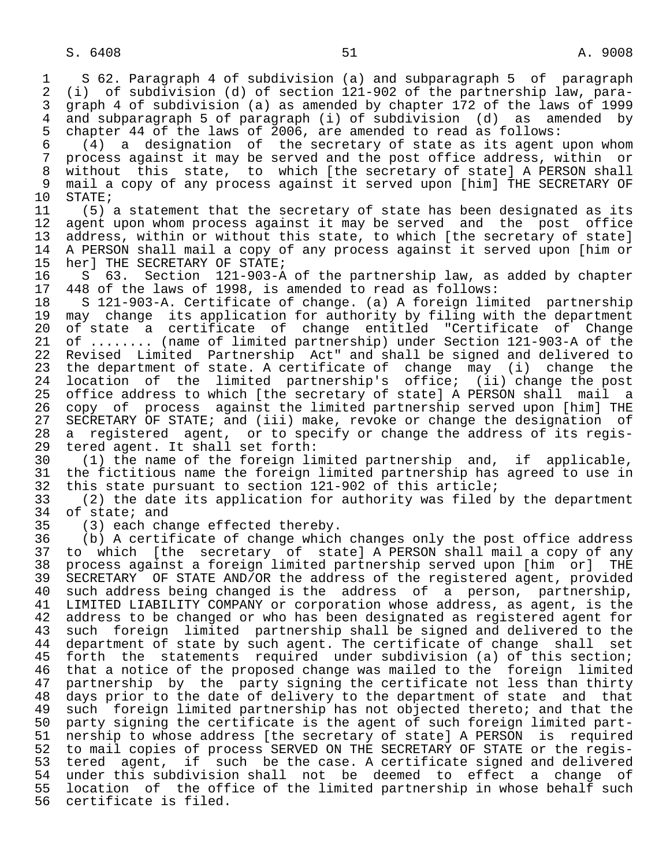1 S 62. Paragraph 4 of subdivision (a) and subparagraph 5 of paragraph<br>2 (i) of subdivision (d) of section 121-902 of the partnership law, para-2 (i) of subdivision (d) of section 121-902 of the partnership law, para-<br>3 qraph 4 of subdivision (a) as amended by chapter 172 of the laws of 1999 3 graph 4 of subdivision (a) as amended by chapter 172 of the laws of 1999<br>4 and subparagraph 5 of paragraph (i) of subdivision (d) as amended by 4 and subparagraph 5 of paragraph (i) of subdivision (d) as amended by<br>5 chapter 44 of the laws of 2006, are amended to read as follows: 5 chapter 44 of the laws of 2006, are amended to read as follows:<br>6 (4) a designation of the secretary of state as its agent 6 (4) a designation of the secretary of state as its agent upon whom 7 process against it may be served and the post office address, within or 8 without this state, to which [the secretary of state] A PERSON shall<br>9 mail a copy of any process against it served upon [him] THE SECRETARY OF 9 mail a copy of any process against it served upon [him] THE SECRETARY OF 10 STATE: 10 STATE;<br>11 (5); 11 (5) a statement that the secretary of state has been designated as its<br>12 agent upon whom process against it may be served and the post office 12 agent upon whom process against it may be served and the post office<br>13 address, within or without this state, to which [the secretary of state] 13 address, within or without this state, to which [the secretary of state]<br>14 A PERSON shall mail a copy of any process against it served upon [him or 14 A PERSON shall mail a copy of any process against it served upon [him or 15 her] THE SECRETARY OF STATE;<br>16 S 63. Section 121-903-A 16 S 63. Section 121-903-A of the partnership law, as added by chapter<br>17 448 of the laws of 1998, is amended to read as follows: 17 448 of the laws of 1998, is amended to read as follows:<br>18 S 121-903-A. Certificate of change. (a) A foreign lim 18 S 121-903-A. Certificate of change. (a) A foreign limited partnership<br>19 may change its application for authority by filing with the department 19 may change its application for authority by filing with the department<br>20 of state a certificate of change entitled "Certificate of Change 20 of state a certificate of change entitled "Certificate of Change<br>21 of ........ (name of limited partnership) under Section 121-903-A of the 21 of ........ (name of limited partnership) under Section 121-903-A of the<br>22 Revised Limited Partnership Act" and shall be signed and delivered to 22 Revised Limited Partnership Act" and shall be signed and delivered to<br>23 the department of state. A certificate of change may (i) change the 23 the department of state. A certificate of change may (i) change the 24 location of the limited partnership's office; (ii) change the post 25 office address to which [the secretary of state] A PERSON shall mail a 26 copy of process against the limited partnership served upon [him] THE<br>27 SECRETARY OF STATE; and (iii) make, revoke or change the designation of 27 SECRETARY OF STATE; and (iii) make, revoke or change the designation of<br>28 a registered agent, or to specify or change the address of its regis-28 a registered agent, or to specify or change the address of its regis-<br>29 tered agent. It shall set forth: 29 tered agent. It shall set forth:<br>30 (1) the name of the foreign li 30 (1) the name of the foreign limited partnership and, if applicable, 31 the fictitious name the foreign limited partnership has agreed to use in<br>32 this state pursuant to section 121-902 of this article; 32 this state pursuant to section 121-902 of this article;<br>33 (2) the date its application for authority was filed 33 (2) the date its application for authority was filed by the department  $34$  of state; and<br> $35$   $(3)$  each cha 35 (3) each change effected thereby.<br>36 (b) A certificate of change which (b) A certificate of change which changes only the post office address 37 to which [the secretary of state] A PERSON shall mail a copy of any 38 process against a foreign limited partnership served upon [him or]<br>39 SECRETARY OF STATE AND/OR the address of the registered agent, prov 39 SECRETARY OF STATE AND/OR the address of the registered agent, provided<br>40 such address being changed is the address of a person, partnership, such address being changed is the address of a person, partnership, 41 LIMITED LIABILITY COMPANY or corporation whose address, as agent, is the<br>42 address to be changed or who has been designated as registered agent for 42 address to be changed or who has been designated as registered agent for<br>43 such foreign limited partnership shall be signed and delivered to the 43 such foreign limited partnership shall be signed and delivered to the<br>44 department of state by such agent. The certificate of change shall set 44 department of state by such agent. The certificate of change shall set<br>45 forth the statements required under subdivision (a) of this section; forth the statements required under subdivision (a) of this section; 46 that a notice of the proposed change was mailed to the foreign limited<br>47 partnership by the party signing the certificate not less than thirty partnership by the party signing the certificate not less than thirty 48 days prior to the date of delivery to the department of state and that<br>49 such foreign limited partnership has not objected thereto; and that the 49 such foreign limited partnership has not objected thereto; and that the<br>50 party signing the certificate is the agent of such foreign limited part-50 party signing the certificate is the agent of such foreign limited part-<br>51 nership to whose address [the secretary of state] A PERSON is required 51 nership to whose address [the secretary of state] A PERSON is required<br>52 to mail copies of process SERVED ON THE SECRETARY OF STATE or the regis-52 to mail copies of process SERVED ON THE SECRETARY OF STATE or the regis-<br>53 tered agent, if such be the case. A certificate signed and delivered 53 tered agent, if such be the case. A certificate signed and delivered<br>54 under this subdivision shall not be deemed to effect a change of 54 under this subdivision shall not be deemed to effect a change of<br>55 location of the office of the limited partnership in whose behalf such 55 location of the office of the limited partnership in whose behalf such<br>56 certificate is filed. certificate is filed.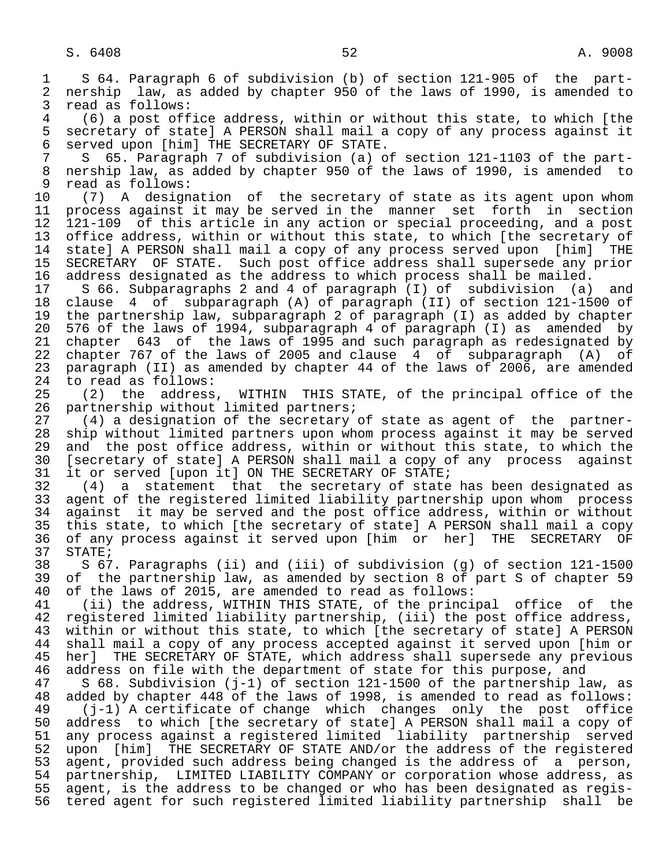1 S 64. Paragraph 6 of subdivision (b) of section 121-905 of the part-<br>2 nership law, as added by chapter 950 of the laws of 1990, is amended to 2 nership law, as added by chapter 950 of the laws of 1990, is amended to<br>3 read as follows: 3 read as follows:<br>4 (6) a post off 4 (6) a post office address, within or without this state, to which [the 5 secretary of state] A PERSON shall mail a copy of any process against it<br>6 served upon [him] THE SECRETARY OF STATE. 6 served upon [him] THE SECRETARY OF STATE. 7 S 65. Paragraph 7 of subdivision (a) of section 121-1103 of the part-<br>8 nership law, as added by chapter 950 of the laws of 1990, is amended to 8 nership law, as added by chapter 950 of the laws of 1990, is amended to<br>9 read as follows: 9 read as follows:<br>10 (7) A design 10 (7) A designation of the secretary of state as its agent upon whom<br>11 process against it may be served in the manner set forth in section 11 process against it may be served in the manner set forth in section<br>12 121-109 of this article in any action or special proceeding, and a post 12 121-109 of this article in any action or special proceeding, and a post<br>13 office address, within or without this state, to which [the secretary of 13 office address, within or without this state, to which [the secretary of<br>14 statel A PERSON shall mail a copy of any process served upon [him] THE state] A PERSON shall mail a copy of any process served upon [him] THE 15 SECRETARY OF STATE. Such post office address shall supersede any prior 16 address designated as the address to which process shall be mailed.<br>17 S 66. Subparagraphs 2 and 4 of paragraph (I) of subdivision (a) 17 S 66. Subparagraphs 2 and 4 of paragraph (I) of subdivision (a) and<br>18 clause 4 of subparagraph (A) of paragraph (II) of section 121-1500 of 18 clause 4 of subparagraph (A) of paragraph (II) of section 121-1500 of<br>19 the partnership law, subparagraph 2 of paragraph (I) as added by chapter 19 the partnership law, subparagraph 2 of paragraph (I) as added by chapter<br>20 576 of the laws of 1994, subparagraph 4 of paragraph (I) as amended by 20 576 of the laws of 1994, subparagraph 4 of paragraph (I) as amended by<br>21 chapter 643 of the laws of 1995 and such paragraph as redesignated by 21 chapter 643 of the laws of 1995 and such paragraph as redesignated by<br>22 chapter 767 of the laws of 2005 and clause 4 of subparagraph (A) of 22 chapter 767 of the laws of 2005 and clause 4 of subparagraph (A) of<br>23 paragraph (II) as amended by chapter 44 of the laws of 2006, are amended paragraph (II) as amended by chapter 44 of the laws of 2006, are amended 24 to read as follows:<br>25 (2) the address (2) the address, WITHIN THIS STATE, of the principal office of the 26 partnership without limited partners;<br>27 (4) a designation of the secretary 27 (4) a designation of the secretary of state as agent of the partner-<br>28 ship without limited partners upon whom process against it may be served 28 ship without limited partners upon whom process against it may be served<br>29 and the post office address, within or without this state, to which the 29 and the post office address, within or without this state, to which the<br>20 [secretary of state] A PERSON shall mail a copy of any process against 30 [secretary of state] A PERSON shall mail a copy of any process against<br>31 it or served [upon it] ON THE SECRETARY OF STATE; 31 it or served [upon it] ON THE SECRETARY OF STATE;<br>32 (4) a statement that the secretary of state 32 (4) a statement that the secretary of state has been designated as 33 agent of the registered limited liability partnership upon whom process<br>34 against it may be served and the post office address, within or without 34 against it may be served and the post office address, within or without<br>35 this state, to which [the secretary of state] A PERSON shall mail a copy 35 this state, to which [the secretary of state] A PERSON shall mail a copy<br>36 of any process against it served upon [him or her] THE SECRETARY OF 36 of any process against it served upon [him or her] THE SECRETARY OF 37 STATE;<br>38 S 67 38 S 67. Paragraphs (ii) and (iii) of subdivision (g) of section 121-1500 39 of the partnership law, as amended by section 8 of part S of chapter 59<br>40 of the laws of 2015, are amended to read as follows: 40 of the laws of 2015, are amended to read as follows:<br>41 (ii) the address, WITHIN THIS STATE, of the princi 41 (ii) the address, WITHIN THIS STATE, of the principal office of the<br>42 registered limited liability partnership, (iii) the post office address, 42 registered limited liability partnership, (iii) the post office address,<br>43 within or without this state, to which [the secretary of state] A PERSON 43 within or without this state, to which [the secretary of state] A PERSON<br>44 shall mail a copy of any process accepted against it served upon [him or 44 shall mail a copy of any process accepted against it served upon [him or<br>45 her] THE SECRETARY OF STATE, which address shall supersede any previous her] THE SECRETARY OF STATE, which address shall supersede any previous 46 address on file with the department of state for this purpose, and<br>47 S 68. Subdivision (j-1) of section 121-1500 of the partnership la  $568.$  Subdivision (j-1) of section 121-1500 of the partnership law, as 48 added by chapter 448 of the laws of 1998, is amended to read as follows: 49 (j-1) A certificate of change which changes only the post office 50 address to which [the secretary of state] A PERSON shall mail a copy of<br>51 any process against a registered limited liability partnership served 51 any process against a registered limited liability partnership served<br>52 upon [him] THE SECRETARY OF STATE AND/or the address of the registered 52 upon [him] THE SECRETARY OF STATE AND/or the address of the registered<br>53 agent, provided such address being changed is the address of a person, 53 agent, provided such address being changed is the address of a person,<br>54 partnership, LIMITED LIABILITY COMPANY or corporation whose address, as 54 partnership, LIMITED LIABILITY COMPANY or corporation whose address, as<br>55 agent, is the address to be changed or who has been designated as regis- 55 agent, is the address to be changed or who has been designated as regis- 56 tered agent for such registered limited liability partnership shall be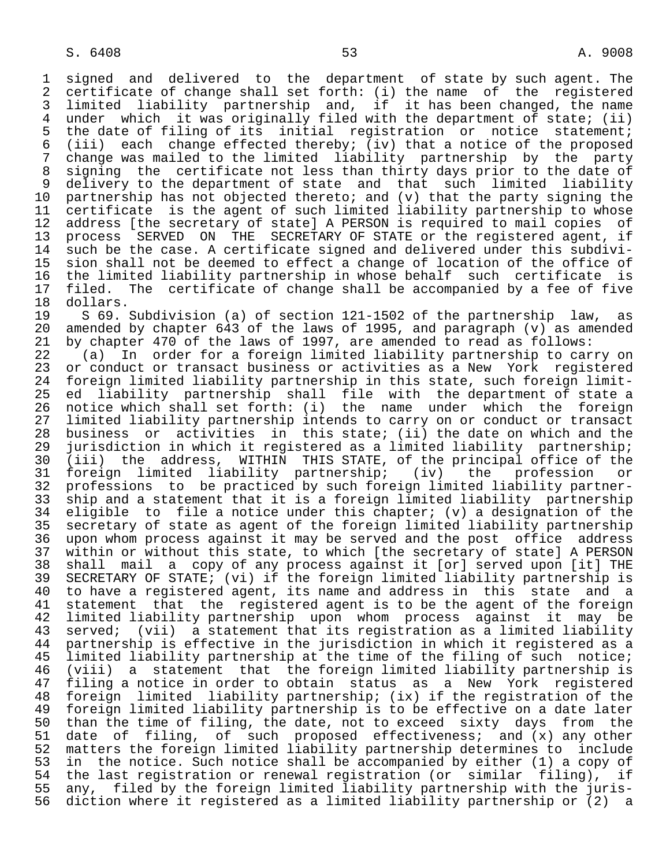1 signed and delivered to the department of state by such agent. The<br>2 certificate of change shall set forth: (i) the name of the registered 2 certificate of change shall set forth: (i) the name of the registered<br>3 limited liability partnership and, if it has been changed, the name 3 limited liability partnership and, if it has been changed, the name 4 under which it was originally filed with the department of state; (ii)<br>5 the date of filing of its initial registration or notice statement; 5 the date of filing of its initial registration or notice statement;<br>6 (iii) each change effected thereby; (iy) that a notice of the proposed 6 (iii) each change effected thereby; (iv) that a notice of the proposed 7 change was mailed to the limited liability partnership by the party 8 signing the certificate not less than thirty days prior to the date of<br>9 delivery to the department of state and that such limited liability 9 delivery to the department of state and that such limited liability<br>10 partnership has not objected thereto; and (v) that the party signing the 10 partnership has not objected thereto; and (v) that the party signing the<br>11 certificate is the agent of such limited liability partnership to whose 11 certificate is the agent of such limited liability partnership to whose<br>12 address [the secretary of state] A PERSON is required to mail copies of 12 address [the secretary of state] A PERSON is required to mail copies of<br>13 process SERVED ON THE SECRETARY OF STATE or the registered agent, if 13 process SERVED ON THE SECRETARY OF STATE or the registered agent, if<br>14 such be the case. A certificate signed and delivered under this subdivisuch be the case. A certificate signed and delivered under this subdivi-15 sion shall not be deemed to effect a change of location of the office of<br>16 the limited liability partnership in whose behalf such certificate is 16 the limited liability partnership in whose behalf such certificate is<br>17 filed. The certificate of change shall be accompanied by a fee of five 17 filed. The certificate of change shall be accompanied by a fee of five<br>18 dollars.

18 dollars.<br>19 S 69. 19 S 69. Subdivision (a) of section 121-1502 of the partnership law, as<br>20 amended by chapter 643 of the laws of 1995, and paragraph (y) as amended 20 amended by chapter 643 of the laws of 1995, and paragraph (v) as amended 21 by chapter 470 of the laws of 1997, are amended to read as follows: 21 by chapter 470 of the laws of 1997, are amended to read as follows:<br>22 (a) In order for a foreign limited liability partnership to car

22 (a) In order for a foreign limited liability partnership to carry on<br>23 or conduct or transact business or activities as a New York registered 23 or conduct or transact business or activities as a New York registered<br>24 foreign limited liability partnership in this state, such foreign limit- 24 foreign limited liability partnership in this state, such foreign limit ed liability partnership shall file with the department of state a 26 notice which shall set forth: (i) the name under which the foreign<br>27 limited liability partnership intends to carry on or conduct or transact 27 limited liability partnership intends to carry on or conduct or transact<br>28 business or activities in this state; (ii) the date on which and the 28 business or activities in this state; (ii) the date on which and the<br>29 jurisdiction in which it registered as a limited liability partnership; 29 jurisdiction in which it registered as a limited liability partnership;<br>20 (iii) the address, WITHIN THIS STATE, of the principal office of the 30 (iii) the address, WITHIN THIS STATE, of the principal office of the 31 foreign limited liability partnership; (iv) the profession or<br>32 professions to be-practiced-by-such-foreign-limited-liability-partner-32 professions to be practiced by such foreign limited liability partner-<br>33 ship and a statement that it is a foreign limited liability partnership 33 ship and a statement that it is a foreign limited liability partnership<br>34 eligible to file a notice under this chapter; (v) a designation of the 34 eligible to file a notice under this chapter; (v) a designation of the<br>35 secretary of state as agent of the foreign limited liability partnership 35 secretary of state as agent of the foreign limited liability partnership<br>36 upon whom process against it may be served and the post office address upon whom process against it may be served and the post office address 37 within or without this state, to which [the secretary of state] A PERSON<br>38 shall mail a copy of any process against it [or] served upon [it] THE 38 shall mail a copy of any process against it [or] served upon [it] THE 39 SECRETARY OF STATE; (vi) if the foreign limited liability partnership is 40 to have a registered agent, its name and address in this state and a<br>41 statement that the registered agent is to be the agent of the foreign 41 statement that the registered agent is to be the agent of the foreign<br>42 limited liability partnership upon whom process against it may be 42 limited liability partnership upon whom process against it may be<br>43 served; (vii) a statement that its registration as a limited liability 43 served; (vii) a statement that its registration as a limited liability<br>44 partnership is effective in the jurisdiction in which it registered as a 44 partnership is effective in the jurisdiction in which it registered as a<br>45 limited liability partnership at the time of the filing of such notice; limited liability partnership at the time of the filing of such notice; 46 (viii) a statement that the foreign limited liability partnership is filing a notice in order to obtain status as a New York registered 48 foreign limited liability partnership; (ix) if the registration of the 49 foreign limited liability partnership is to be effective on a date later<br>50 than the time of filing, the date, not to exceed sixty days from the 50 than the time of filing, the date, not to exceed sixty days from the<br>51 date of filing, of such proposed effectiveness; and  $(x)$  any other 51 date of filing, of such proposed effectiveness; and (x) any other<br>52 matters the foreign limited liability partnership determines to include 52 matters the foreign limited liability partnership determines to include<br>53 in the notice. Such notice shall be accompanied by either (1) a copy of 53 in the notice. Such notice shall be accompanied by either (1) a copy of<br>54 the last registration or renewal registration (or similar filing), if 54 the last registration or renewal registration (or similar filing), if<br>55 any, filed by the foreign limited liability partnership with the juris-55 any, filed by the foreign limited liability partnership with the juris-<br>56 diction where it registered as a limited liability partnership or (2) a 56 diction where it registered as a limited liability partnership or (2) a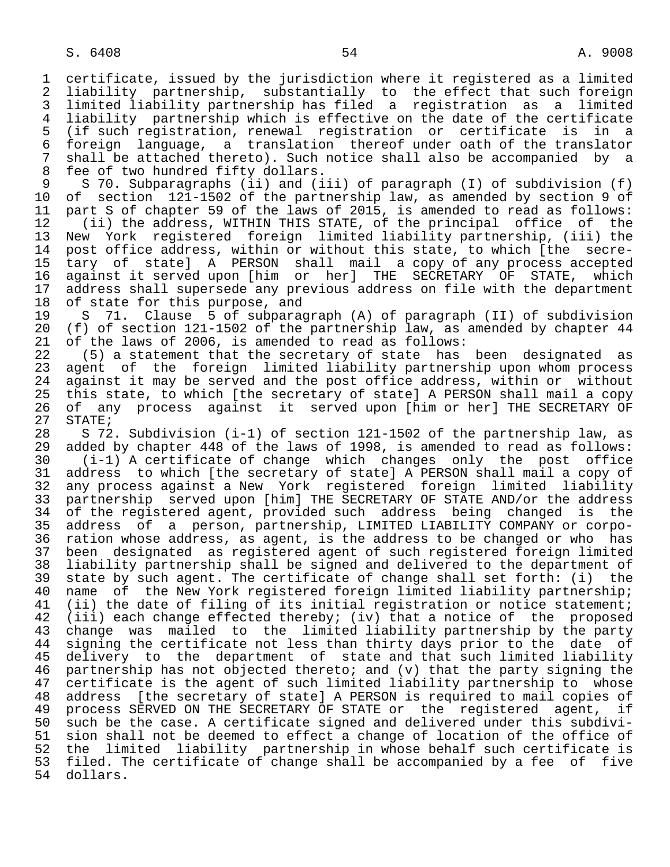1 certificate, issued by the jurisdiction where it registered as a limited 2 liability partnership, substantially to the effect that such foreign<br>3 limited liability partnership has filed a registration as a limited 3 limited liability partnership has filed a registration as a limited 4 liability partnership which is effective on the date of the certificate 5 (if such registration, renewal registration or certificate is in a 6 foreign language, a translation thereof under oath of the translator 7 shall be attached thereto). Such notice shall also be accompanied by a 8 fee of two hundred fifty dollars.<br>9 S 70. Subparagraphs (ii) and (i

9 S 70. Subparagraphs (ii) and (iii) of paragraph (I) of subdivision (f)<br>10 of section 121-1502 of the partnership law, as amended by section 9 of 10 of section 121-1502 of the partnership law, as amended by section 9 of<br>11 part S of chapter 59 of the laws of 2015, is amended to read as follows: 11 part S of chapter 59 of the laws of 2015, is amended to read as follows:<br>12 (ii) the address, WITHIN THIS STATE, of the principal office of the

 12 (ii) the address, WITHIN THIS STATE, of the principal office of the 13 New York registered foreign limited liability partnership, (iii) the<br>14 post office address, within or without this state, to which [the secrepost office address, within or without this state, to which [the secre- 15 tary of state] A PERSON shall mail a copy of any process accepted 16 against it served upon [him or her] THE SECRETARY OF STATE, which<br>17 address shall supersede any previous address on file with the department 17 address shall supersede any previous address on file with the department<br>18 of state for this purpose, and 18 of state for this purpose, and<br>19 S 71. Clause 5 of subpara

19 S 71. Clause 5 of subparagraph (A) of paragraph (II) of subdivision<br>20 (f) of section 121-1502 of the partnership law, as amended by chapter 44 20 (f) of section 121-1502 of the partnership law, as amended by chapter 44<br>21 of the laws of 2006, is amended to read as follows: 21 of the laws of 2006, is amended to read as follows:<br>22 (5) a statement that the secretary of state has

22 (5) a statement that the secretary of state has been designated as<br>23 agent of the foreign limited liability partnership upon whom process agent of the foreign limited liability partnership upon whom process 24 against it may be served and the post office address, within or without<br>25 this state, to which [the secretary of state] A PERSON shall mail a copy 25 this state, to which [the secretary of state] A PERSON shall mail a copy 26 of any process against it served upon [him or her] THE SECRETARY OF<br>27 STATE; 27 STATE;<br>28 S 72

28 S 72. Subdivision (i-1) of section 121-1502 of the partnership law, as<br>29 added by chapter 448 of the laws of 1998, is amended to read as follows: 29 added by chapter 448 of the laws of 1998, is amended to read as follows: 30 (i-1) A certificate of change which changes only the post office 31 address to which [the secretary of state] A PERSON shall mail a copy of<br>32 any process against a New York registered foreign limited liability 32 any process against a New York registered foreign limited liability<br>33 partnership served upon [him] THE SECRETARY OF STATE AND/or the address 33 partnership served upon [him] THE SECRETARY OF STATE AND/or the address<br>34 of the registered agent, provided such address being changed is the 34 of the registered agent, provided such address being changed is the<br>35 address of a person, partnership, LIMITED LIABILITY COMPANY or corpo- 35 address of a person, partnership, LIMITED LIABILITY COMPANY or corpo ration whose address, as agent, is the address to be changed or who has 37 been designated as registered agent of such registered foreign limited 38 liability partnership shall be signed and delivered to the department of<br>39 state by such agent. The certificate of change shall set forth: (i) the 39 state by such agent. The certificate of change shall set forth: (i) the<br>40 name of the New York registered foreign limited liability partnership; 40 name of the New York registered foreign limited liability partnership;<br>41 (ii) the date of filing of its initial registration or notice statement; 41 (ii) the date of filing of its initial registration or notice statement;<br>42 (iii) each change effected thereby; (iv) that a notice of the proposed 42 (iii) each change effected thereby; (iv) that a notice of the proposed<br>43 change was mailed to the limited liability partnership by the party 43 change was mailed to the limited liability partnership by the party<br>44 signing the certificate not less than thirty days prior to the date of 44 signing the certificate not less than thirty days prior to the date of<br>45 delivery to the department of state and that such limited liability delivery to the department of state and that such limited liability 46 partnership has not objected thereto; and  $(v)$  that the party signing the 47 certificate is the agent of such limited liability partnership to whose certificate is the agent of such limited liability partnership to whose 48 address [the secretary of state] A PERSON is required to mail copies of<br>49 process SERVED ON THE SECRETARY OF STATE or the registered agent, if 49 process SERVED ON THE SECRETARY OF STATE or the registered agent, if<br>50 such be the case. A certificate signed and delivered under this subdivi-50 such be the case. A certificate signed and delivered under this subdivi-<br>51 sion shall not be deemed to effect a change of location of the office of 51 sion shall not be deemed to effect a change of location of the office of<br>52 the limited liability partnership in whose behalf such certificate is 52 the limited liability partnership in whose behalf such certificate is<br>53 filed. The certificate of change shall be accompanied by a fee of five 53 filed. The certificate of change shall be accompanied by a fee of five<br>54 dollars. dollars.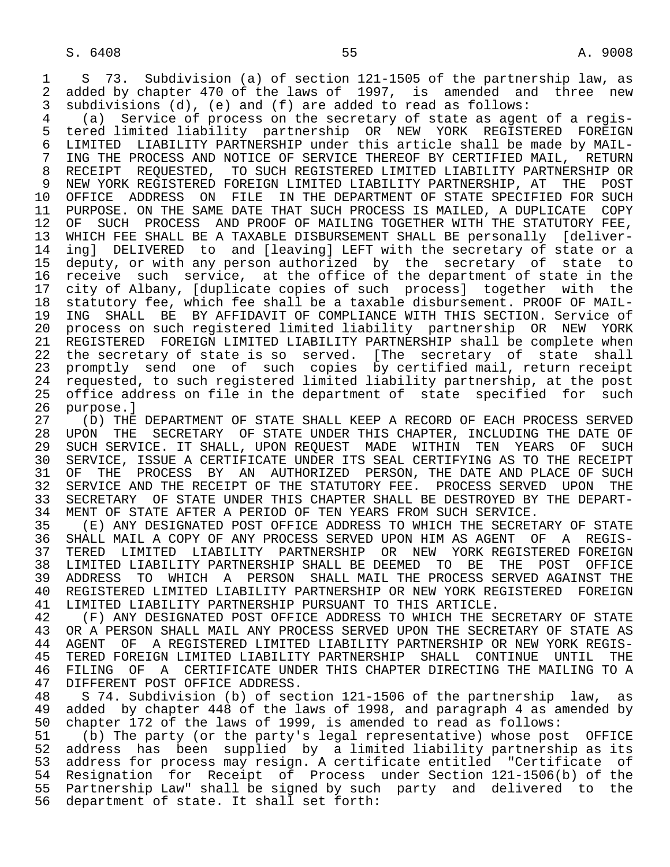1 S 73. Subdivision (a) of section 121-1505 of the partnership law, as<br>2 added by chapter 470 of the laws of 1997, is amended and three new 2 added by chapter 470 of the laws of 1997, is amended and three new<br>3 subdivisions (d), (e) and (f) are added to read as follows: subdivisions  $(d)$ ,  $(e)$  and  $(f)$  are added to read as follows:

 4 (a) Service of process on the secretary of state as agent of a regis- 5 tered limited liability partnership OR NEW YORK REGISTERED FOREIGN<br>6 LIMITED LIABILITY PARTNERSHIP under this article shall be made by MAIL-6 LIMITED LIABILITY PARTNERSHIP under this article shall be made by MAIL-<br>7 ING THE PROCESS AND NOTICE OF SERVICE THEREOF BY CERTIFIED MAIL, RETURN ING THE PROCESS AND NOTICE OF SERVICE THEREOF BY CERTIFIED MAIL, RETURN 8 RECEIPT REQUESTED, TO SUCH REGISTERED LIMITED LIABILITY PARTNERSHIP OR 9 NEW YORK REGISTERED FOREIGN LIMITED LIABILITY PARTNERSHIP, AT THE POST<br>10 OFFICE ADDRESS ON FILE IN THE DEPARTMENT OF STATE SPECIFIED FOR SUCH 10 OFFICE ADDRESS ON FILE IN THE DEPARTMENT OF STATE SPECIFIED FOR SUCH<br>11 PURPOSE. ON THE SAME DATE THAT SUCH PROCESS IS MAILED, A DUPLICATE COPY 11 PURPOSE. ON THE SAME DATE THAT SUCH PROCESS IS MAILED, A DUPLICATE COPY<br>12 OF SUCH PROCESS AND PROOF OF MAILING TOGETHER WITH THE STATUTORY FEE, 12 OF SUCH PROCESS AND PROOF OF MAILING TOGETHER WITH THE STATUTORY FEE,<br>13 WHICH FEE SHALL BE A TAXABLE DISBURSEMENT SHALL BE personally [deliver-13 WHICH FEE SHALL BE A TAXABLE DISBURSEMENT SHALL BE personally [deliver-<br>14 ingl DELIVERED to and [leaving] LEFT with the secretary of state or a ing] DELIVERED to and [leaving] LEFT with the secretary of state or a 15 deputy, or with any person authorized by the secretary of state to<br>16 receive such service, at the office of the department of state in the 16 receive such service, at the office of the department of state in the<br>17 city of Albany, Iduplicate copies of such processl together with the city of Albany, [duplicate copies of such process] together with the 18 statutory fee, which fee shall be a taxable disbursement. PROOF OF MAIL- 19 ING SHALL BE BY AFFIDAVIT OF COMPLIANCE WITH THIS SECTION. Service of<br>20 process on such registered limited liability partnership OR NEW YORK 20 process on such registered limited liability partnership OR NEW YORK<br>21 REGISTERED FOREIGN LIMITED LIABILITY PARTNERSHIP shall be complete when 21 REGISTERED FOREIGN LIMITED LIABILITY PARTNERSHIP shall be complete when<br>22 the secretary of state is so served. [The secretary of state shall the secretary of state is so served. [The secretary of state shall 23 promptly send one of such copies by certified mail, return receipt<br>24 requested, to such registered limited liability partnership, at the post requested, to such registered limited liability partnership, at the post<br>25 office address on file in the department of state specified for such 25 office address on file in the department of state specified for such

26 purpose.]<br>27 (D) THE 27 (D) THE DEPARTMENT OF STATE SHALL KEEP A RECORD OF EACH PROCESS SERVED<br>28 UPON THE SECRETARY OF STATE UNDER THIS CHAPTER, INCLUDING THE DATE OF 28 UPON THE SECRETARY OF STATE UNDER THIS CHAPTER, INCLUDING THE DATE OF<br>29 SUCH SERVICE. IT SHALL, UPON REOUEST MADE WITHIN TEN YEARS OF SUCH 29 SUCH SERVICE. IT SHALL, UPON REQUEST MADE WITHIN TEN YEARS OF SUCH<br>30 SERVICE, ISSUE A CERTIFICATE UNDER ITS SEAL CERTIFYING AS TO THE RECEIPT 30 SERVICE, ISSUE A CERTIFICATE UNDER ITS SEAL CERTIFYING AS TO THE RECEIPT<br>31 OF THE PROCESS BY AN AUTHORIZED PERSON, THE DATE AND PLACE OF SUCH 31 OF THE PROCESS BY AN AUTHORIZED PERSON, THE DATE AND PLACE OF SUCH 32 SERVICE AND THE RECEIPT OF THE STATUTORY FEE. PROCESS SERVED UPON THE 32 SERVICE AND THE RECEIPT OF THE STATUTORY FEE. PROCESS SERVED UPON THE 33 SECRETARY OF STATE UNDER THIS CHAPTER SHALL BE DESTROYED BY THE DEPART-33 SECRETARY OF STATE UNDER THIS CHAPTER SHALL BE DESTROYED BY THE DEPART-<br>34 MENT OF STATE AFTER A PERIOD OF TEN YEARS FROM SUCH SERVICE. 34 MENT OF STATE AFTER A PERIOD OF TEN YEARS FROM SUCH SERVICE.<br>35 (E) ANY DESIGNATED POST OFFICE ADDRESS TO WHICH THE SECRET

35 (E) ANY DESIGNATED POST OFFICE ADDRESS TO WHICH THE SECRETARY OF STATE<br>36 SHALL MAIL A COPY OF ANY PROCESS SERVED UPON HIM AS AGENT OF A REGIS-SHALL MAIL A COPY OF ANY PROCESS SERVED UPON HIM AS AGENT OF A REGIS- 37 TERED LIMITED LIABILITY PARTNERSHIP OR NEW YORK REGISTERED FOREIGN 38 LIMITED LIABILITY PARTNERSHIP SHALL BE DEEMED TO BE THE POST OFFICE<br>39 ADDRESS TO WHICH A PERSON SHALL MAIL THE PROCESS SERVED AGAINST THE 39 ADDRESS TO WHICH A PERSON SHALL MAIL THE PROCESS SERVED AGAINST THE 40 REGISTERED FOREIGN 40 REGISTERED LIMITED LIABILITY PARTNERSHIP OR NEW YORK REGISTERED FOREIGN<br>41 LIMITED LIABILITY PARTNERSHIP PURSUANT TO THIS ARTICLE. 41 LIMITED LIABILITY PARTNERSHIP PURSUANT TO THIS ARTICLE.<br>42 (F) ANY DESIGNATED POST OFFICE ADDRESS TO WHICH THE S

42 THE NEST ANY DESIGNATED POST OFFICE ADDRESS TO WHICH THE SECRETARY OF STATE AS<br>43 OR A PERSON SHALL MAIL ANY PROCESS SERVED UPON THE SECRETARY OF STATE AS 43 OR A PERSON SHALL MAIL ANY PROCESS SERVED UPON THE SECRETARY OF STATE AS<br>44 AGENT OF A REGISTERED LIMITED LIABILITY PARTNERSHIP OR NEW YORK REGIS-44 AGENT OF A REGISTERED LIMITED LIABILITY PARTNERSHIP OR NEW YORK REGIS-<br>45 TERED FOREIGN LIMITED LIABILITY PARTNERSHIP SHALL CONTINUE UNTIL THE TERED FOREIGN LIMITED LIABILITY PARTNERSHIP SHALL CONTINUE UNTIL 46 FILING OF A CERTIFICATE UNDER THIS CHAPTER DIRECTING THE MAILING TO A 47 DIFFERENT POST OFFICE ADDRESS. 47 DIFFERENT POST OFFICE ADDRESS.<br>48 S 74. Subdivision (b) of sec

 48 S 74. Subdivision (b) of section 121-1506 of the partnership law, as 49 added by chapter 448 of the laws of 1998, and paragraph 4 as amended by<br>50 chapter 172 of the laws of 1999, is amended to read as follows: 50 chapter 172 of the laws of 1999, is amended to read as follows:<br>51 (b) The party (or the party's legal representative) whose pos

51 (b) The party (or the party's legal representative) whose post OFFICE<br>52 address has been supplied by a limited liability partnership as its 52 address has been supplied by a limited liability partnership as its address for process may resign. A certificate entitled "Certificate of 54 Resignation for Receipt of Process under Section 121-1506(b) of the 55 Partnership Law" shall be signed by such party and delivered to the 56 department of state. It shall set forth: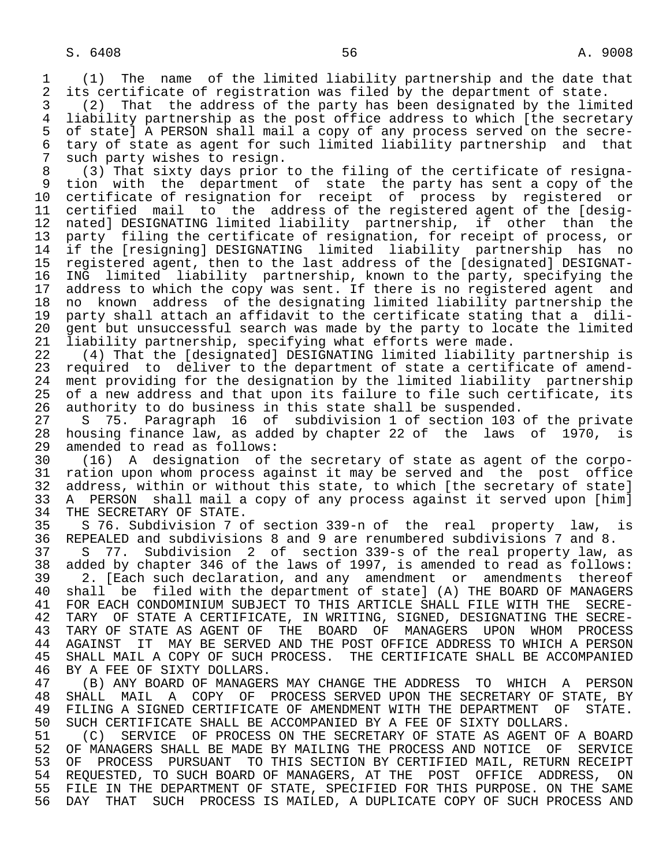1 (1) The name of the limited liability partnership and the date that 2 its certificate of registration was filed by the department of state.<br>3 (2) That the address of the party has been designated by the limi

 3 (2) That the address of the party has been designated by the limited 4 liability partnership as the post office address to which [the secretary<br>5 of state] A PERSON shall mail a copy of any process served on the secre-5 of state] A PERSON shall mail a copy of any process served on the secre-<br>6 tary of state as agent for such limited liability partnership and that 6 tary of state as agent for such limited liability partnership and that<br>7 such party wishes to resign. 7 such party wishes to resign.<br>8 (3) That sixty days prior

 8 (3) That sixty days prior to the filing of the certificate of resigna- 9 tion with the department of state the party has sent a copy of the<br>10 certificate of resignation for receipt of process by registered or 10 certificate of resignation for receipt of process by registered or<br>11 certified mail to the address of the registered agent of the Idesig-11 certified mail to the address of the registered agent of the [desig-<br>12 nated] DESIGNATING limited liability partnership, if other than the 12 nated] DESIGNATING limited liability partnership, if other than the 13 party filing the certificate of resignation, for receipt of process, or 14 if the [resigning] DESIGNATING limited liability partnership has no 15 registered agent, then to the last address of the [designated] DESIGNAT-<br>16 ING limited liability partnership, known to the party, specifying the 16 ING limited liability partnership, known to the party, specifying the<br>17 address to which the copy was sent. If there is no registered agent and 17 address to which the copy was sent. If there is no registered agent and<br>18 no known address of the designating limited liability partnership the 18 no known address of the designating limited liability partnership the<br>19 party shall attach an affidavit to the certificate stating that a dili- 19 party shall attach an affidavit to the certificate stating that a dili- 20 gent but unsuccessful search was made by the party to locate the limited<br>21 liability partnership, specifying what efforts were made. 21 liability partnership, specifying what efforts were made.<br>22 (4) That the [designated] DESIGNATING limited liability

 22 (4) That the [designated] DESIGNATING limited liability partnership is 23 required to deliver to the department of state a certificate of amend-<br>24 ment providing for the designation by the limited liability partnership 24 ment providing for the designation by the limited liability partnership<br>25 of a new address and that upon its failure to file such certificate, its of a new address and that upon its failure to file such certificate, its

26 authority to do business in this state shall be suspended.<br>27 S 75. Paragraph 16 of subdivision 1 of section 103 27 S 75. Paragraph 16 of subdivision 1 of section 103 of the private<br>28 housing finance law, as added by chapter 22 of the laws of 1970, is 28 housing finance law, as added by chapter 22 of the laws of 1970, is<br>29 amended to read as follows: 29 amended to read as follows:<br>30 (16) A designation of

 30 (16) A designation of the secretary of state as agent of the corpo- 31 ration upon whom process against it may be served and the post office<br>32 address, within or without this state, to which [the secretary of state] 32 address, within or without this state, to which [the secretary of state]<br>33 A PERSON shall mail a copy of any process against it served upon [him] 33 A PERSON shall mail a copy of any process against it served upon [him]<br>34 THE SECRETARY OF STATE. 34 THE SECRETARY OF STATE.<br>35 S 76. Subdivision 7 o

35 S 76. Subdivision 7 of section 339-n of the real property law, is<br>36 REPEALED and subdivisions 8 and 9 are renumbered subdivisions 7 and 8. 36 REPEALED and subdivisions 8 and 9 are renumbered subdivisions 7 and 8.

 37 S 77. Subdivision 2 of section 339-s of the real property law, as 38 added by chapter 346 of the laws of 1997, is amended to read as follows:<br>39 2. [Each such declaration, and any amendment or amendments thereof

39 2. [Each such declaration, and any amendment or amendments thereof<br>40 shall be filed with the department of state] (A) THE BOARD OF MANAGERS 40 shall be filed with the department of state] (A) THE BOARD OF MANAGERS<br>41 FOR EACH CONDOMINIUM SUBJECT TO THIS ARTICLE SHALL FILE WITH THE SECRE- 41 FOR EACH CONDOMINIUM SUBJECT TO THIS ARTICLE SHALL FILE WITH THE SECRE- 42 TARY OF STATE A CERTIFICATE, IN WRITING, SIGNED, DESIGNATING THE SECRE-<br>43 TARY OF STATE AS AGENT OF THE BOARD OF MANAGERS UPON WHOM PROCESS 43 TARY OF STATE AS AGENT OF THE BOARD OF MANAGERS UPON WHOM PROCESS<br>44 AGAINST IT MAY BE SERVED AND THE POST OFFICE ADDRESS TO WHICH A PERSON 44 AGAINST IT MAY BE SERVED AND THE POST OFFICE ADDRESS TO WHICH A PERSON<br>45 SHALL MAIL A COPY OF SUCH PROCESS. THE CERTIFICATE SHALL BE ACCOMPANIED THE CERTIFICATE SHALL BE ACCOMPANIED

46 BY A FEE OF SIXTY DOLLARS.<br>47 (B) ANY BOARD OF MANAGER 47 (B) ANY BOARD OF MANAGERS MAY CHANGE THE ADDRESS TO WHICH A PERSON<br>48 SHALL MAIL A COPY OF PROCESS SERVED UPON THE SECRETARY OF STATE, BY 48 SHALL MAIL A COPY OF PROCESS SERVED UPON THE SECRETARY OF STATE, BY<br>49 FILING A SIGNED CERTIFICATE OF AMENDMENT WITH THE DEPARTMENT OF STATE. 49 FILING A SIGNED CERTIFICATE OF AMENDMENT WITH THE DEPARTMENT OF STATE.<br>50 SUCH CERTIFICATE SHALL BE ACCOMPANIED BY A FEE OF SIXTY DOLLARS.

50 SUCH CERTIFICATE SHALL BE ACCOMPANIED BY A FEE OF SIXTY DOLLARS.<br>51 (C) SERVICE OF PROCESS ON THE SECRETARY OF STATE AS AGENT OF 51 (C) SERVICE OF PROCESS ON THE SECRETARY OF STATE AS AGENT OF A BOARD<br>52 OF MANAGERS SHALL BE MADE BY MAILING THE PROCESS AND NOTICE OF SERVICE OF MANAGERS SHALL BE MADE BY MAILING THE PROCESS AND NOTICE OF SERVICE 53 OF PROCESS PURSUANT TO THIS SECTION BY CERTIFIED MAIL, RETURN RECEIPT 54 REQUESTED, TO SUCH BOARD OF MANAGERS, AT THE POST OFFICE ADDRESS, ON<br>55 FILE IN THE DEPARTMENT OF STATE, SPECIFIED FOR THIS PURPOSE. ON THE SAME 55 FILE IN THE DEPARTMENT OF STATE, SPECIFIED FOR THIS PURPOSE. ON THE SAME<br>56 DAY THAT SUCH PROCESS IS MAILED, A DUPLICATE COPY OF SUCH PROCESS AND DAY THAT SUCH PROCESS IS MAILED, A DUPLICATE COPY OF SUCH PROCESS AND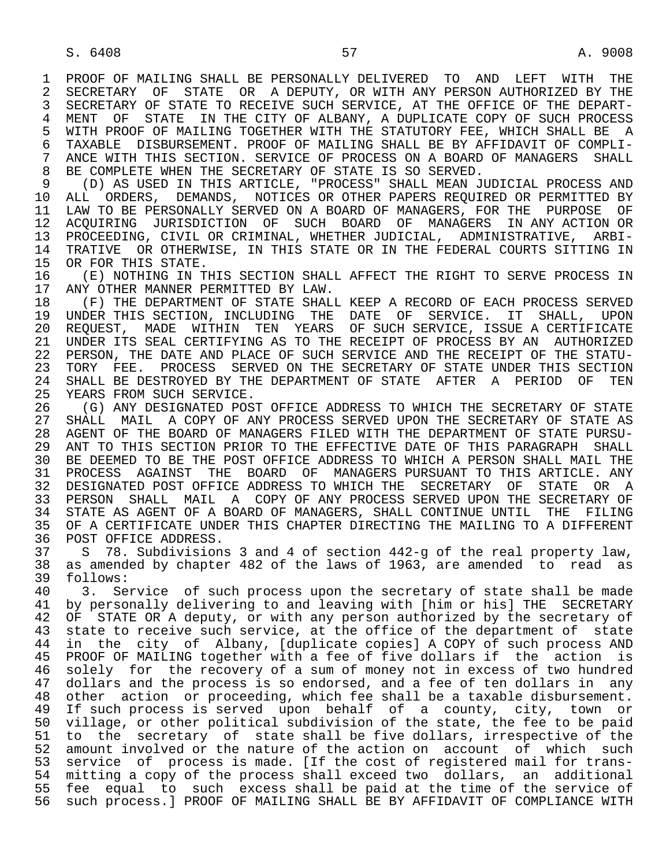1 PROOF OF MAILING SHALL BE PERSONALLY DELIVERED TO AND LEFT WITH THE 1999 SECRETARY OF STATE OR A DEPUTY, OR WITH ANY PERSON AUTHORIZED BY THE 2 SECRETARY OF STATE OR A DEPUTY, OR WITH ANY PERSON AUTHORIZED BY THE 3 SECRETARY OF STATE TO RECEIVE SUCH SERVICE. AT THE OFFICE OF THE DEPART- 3 SECRETARY OF STATE TO RECEIVE SUCH SERVICE, AT THE OFFICE OF THE DEPART- 4 MENT OF STATE IN THE CITY OF ALBANY, A DUPLICATE COPY OF SUCH PROCESS<br>5 WITH PROOF OF MAILING TOGETHER WITH THE STATUTORY FEE, WHICH SHALL BE A 5 WITH PROOF OF MAILING TOGETHER WITH THE STATUTORY FEE, WHICH SHALL BE A<br>6 TAXABLE DISBURSEMENT. PROOF OF MAILING SHALL BE BY AFFIDAVIT OF COMPLI-6 TAXABLE DISBURSEMENT. PROOF OF MAILING SHALL BE BY AFFIDAVIT OF COMPLI-<br>7 ANCE WITH THIS SECTION. SERVICE OF PROCESS ON A BOARD OF MANAGERS SHALL 7 ANCE WITH THIS SECTION. SERVICE OF PROCESS ON A BOARD OF MANAGERS SHALL

8 BE COMPLETE WHEN THE SECRETARY OF STATE IS SO SERVED.<br>9 (D) AS USED IN THIS ARTICLE, "PROCESS" SHALL MEAN J 9 (D) AS USED IN THIS ARTICLE, "PROCESS" SHALL MEAN JUDICIAL PROCESS AND<br>10 ALL ORDERS, DEMANDS, NOTICES OR OTHER PAPERS REOUIRED OR PERMITTED BY 10 ALL ORDERS, DEMANDS, NOTICES OR OTHER PAPERS REQUIRED OR PERMITTED BY<br>11 LAW TO BE PERSONALLY SERVED ON A BOARD OF MANAGERS, FOR THE PURPOSE OF 11 LAW TO BE PERSONALLY SERVED ON A BOARD OF MANAGERS, FOR THE PURPOSE OF<br>12 ACOUIRING JURISDICTION OF SUCH BOARD OF MANAGERS IN ANY ACTION OR ACOUIRING JURISDICTION OF SUCH BOARD OF MANAGERS 13 PROCEEDING, CIVIL OR CRIMINAL, WHETHER JUDICIAL, ADMINISTRATIVE, ARBI-<br>14 TRATIVE OR OTHERWISE, IN THIS STATE OR IN THE FEDERAL COURTS SITTING IN TRATIVE OR OTHERWISE, IN THIS STATE OR IN THE FEDERAL COURTS SITTING IN

15 OR FOR THIS STATE.<br>16 (E) NOTHING IN T 16 (E) NOTHING IN THIS SECTION SHALL AFFECT THE RIGHT TO SERVE PROCESS IN 17 ANY OTHER MANNER PERMITTED BY LAW. 17 ANY OTHER MANNER PERMITTED BY LAW.<br>18 (F) THE DEPARTMENT OF STATE SHAL

18 (F) THE DEPARTMENT OF STATE SHALL KEEP A RECORD OF EACH PROCESS SERVED<br>19 UNDER THIS SECTION, INCLUDING THE DATE OF SERVICE. IT SHALL, UPON 19 UNDER THIS SECTION, INCLUDING THE DATE OF SERVICE. IT SHALL, UPON<br>20 REQUEST, MADE WITHIN TEN YEARS OF SUCH-SERVICE, ISSUE A-CERTIFICATE 20 REQUEST, MADE WITHIN TEN YEARS OF SUCH SERVICE, ISSUE A CERTIFICATE<br>21 UNDER ITS SEAL CERTIFYING AS TO THE RECEIPT OF PROCESS BY AN AUTHORIZED 21 UNDER ITS SEAL CERTIFYING AS TO THE RECEIPT OF PROCESS BY AN AUTHORIZED<br>22 PERSON, THE DATE AND PLACE OF SUCH SERVICE AND THE RECEIPT OF THE STATU-22 PERSON, THE DATE AND PLACE OF SUCH SERVICE AND THE RECEIPT OF THE STATU-<br>23 TORY FEE. PROCESS SERVED ON THE SECRETARY OF STATE UNDER THIS SECTION 23 TORY FEE. PROCESS SERVED ON THE SECRETARY OF STATE UNDER THIS SECTION 24 SHALL BE DESTROYED BY THE DEPARTMENT OF STATE AFTER A PERIOD OF TEN<br>25 YEARS FROM SUCH SERVICE. YEARS FROM SUCH SERVICE.

 26 (G) ANY DESIGNATED POST OFFICE ADDRESS TO WHICH THE SECRETARY OF STATE 27 SHALL MAIL A COPY OF ANY PROCESS SERVED UPON THE SECRETARY OF STATE AS<br>28 AGENT OF THE BOARD OF MANAGERS FILED WITH THE DEPARTMENT OF STATE PURSU- 28 AGENT OF THE BOARD OF MANAGERS FILED WITH THE DEPARTMENT OF STATE PURSU- 29 ANT TO THIS SECTION PRIOR TO THE EFFECTIVE DATE OF THIS PARAGRAPH SHALL 30 BE DEEMED TO BE THE POST OFFICE ADDRESS TO WHICH A PERSON SHALL MAIL THE 31 PROCESS AGAINST THE BOARD OF MANAGERS PURSUANT TO THIS ARTICLE. ANY<br>32 DESIGNATED POST OFFICE ADDRESS TO WHICH THE SECRETARY OF STATE OR A 32 DESIGNATED POST OFFICE ADDRESS TO WHICH THE SECRETARY OF STATE OR A 33 PERSON SHALL MAIL A COPY OF ANY PROCESS SERVED UPON THE SECRETARY OF 34 STATE AS AGENT OF A BOARD OF MANAGERS, SHALL CONTINUE UNTIL THE FILING 34 STATE AS AGENT OF A BOARD OF MANAGERS, SHALL CONTINUE UNTIL THE FILING<br>35 OF A CERTIFICATE UNDER THIS CHAPTER DIRECTING THE MAILING TO A DIFFERENT 35 OF A CERTIFICATE UNDER THIS CHAPTER DIRECTING THE MAILING TO A DIFFERENT<br>36 POST OFFICE ADDRESS. POST OFFICE ADDRESS.

37 S 78. Subdivisions 3 and 4 of section 442-g of the real property law,<br>38 as amended by chapter 482 of the laws of 1963, are amended to read as 38 as amended by chapter 482 of the laws of 1963, are amended to read as 39 follows: 39 follows:<br>40 3. Se

40 3. Service of such process upon the secretary of state shall be made<br>41 by personally delivering to and leaving with [him or his] THE SECRETARY 41 by personally delivering to and leaving with [him or his] THE SECRETARY<br>42 OF STATE OR A deputy, or with any person authorized by the secretary of 42 OF STATE OR A deputy, or with any person authorized by the secretary of<br>43 state to receive such service, at the office of the department of state 43 state to receive such service, at the office of the department of state<br>44 in the city of Albany, [duplicate copies] A COPY of such process AND 44 in the city of Albany, [duplicate copies] A COPY of such process AND<br>45 PROOF OF MAILING together with a fee of five dollars if the action is PROOF OF MAILING together with a fee of five dollars if the action is 46 solely for the recovery of a sum of money not in excess of two hundred<br>47 dollars and the process is so endorsed, and a fee of ten dollars in any dollars and the process is so endorsed, and a fee of ten dollars in any 48 other action or proceeding, which fee shall be a taxable disbursement.<br>49 If such process is served upon behalf of a county, city, town or 49 If such process is served upon behalf of a county, city, town or<br>50 village, or other political subdivision of the state, the fee to be paid village, or other political subdivision of the state, the fee to be paid 51 to the secretary of state shall be five dollars, irrespective of the 52 amount involved or the nature of the action on account of which such 53 service of process is made. [If the cost of registered mail for trans- 54 mitting a copy of the process shall exceed two dollars, an additional 55 fee equal to such excess shall be paid at the time of the service of 56 such process.] PROOF OF MAILING SHALL BE BY AFFIDAVIT OF COMPLIANCE WITH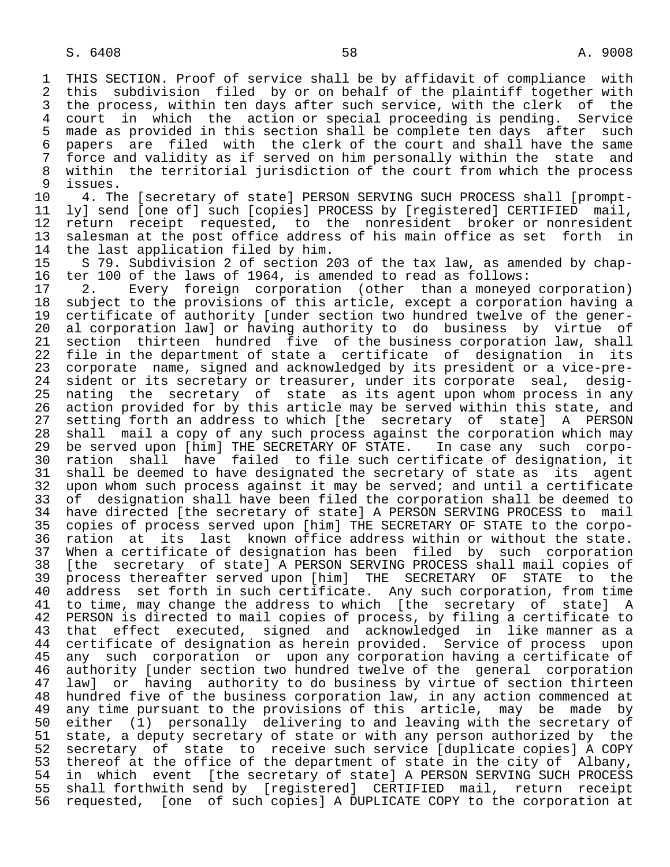1 THIS SECTION. Proof of service shall be by affidavit of compliance with<br>2 this subdivision filed by or on behalf of the plaintiff together with 2 this subdivision filed by or on behalf of the plaintiff together with<br>3 the process, within ten days after such service, with the clerk of the 3 the process, within ten days after such service, with the clerk of the<br>4 court in which the action or special proceeding is pending. Service 4 court in which the action or special proceeding is pending. Service<br>5 made as provided in this section shall be complete ten days after such 5 made as provided in this section shall be complete ten days after such<br>6 papers are filed with the clerk of the court and shall have the same 6 papers are filed with the clerk of the court and shall have the same<br>7 force and validity as if served on him personally within the state and 7 force and validity as if served on him personally within the state and<br>8 within the territorial jurisdiction of the court from which the process 8 within the territorial jurisdiction of the court from which the process<br>9 issues.

9 issues.<br>10 4. Th 10 4. The [secretary of state] PERSON SERVING SUCH PROCESS shall [prompt-<br>11 ly] send [one of] such [copies] PROCESS by [reqistered] CERTIFIED mail, 11 ly] send [one of] such [copies] PROCESS by [registered] CERTIFIED mail,<br>12 return receipt requested, to the nonresident broker or nonresident 12 return receipt requested, to the nonresident broker or nonresident<br>13 salesman at the post office address of his main office as set forth in 13 salesman at the post office address of his main office as set forth in<br>14 the last application filed by him. 14 the last application filed by him.<br>15 S 79. Subdivision 2 of section 2

15 S 79. Subdivision 2 of section 203 of the tax law, as amended by chap-<br>16 ter 100 of the laws of 1964, is amended to read as follows: 16 ter 100 of the laws of 1964, is amended to read as follows:<br>17 2. Every foreign corporation (other than a moneved

17 2. Every foreign corporation (other than a moneyed corporation)<br>18 subject to the provisions of this article, except a corporation having a 18 subject to the provisions of this article, except a corporation having a<br>19 certificate of authority [under section two hundred twelve of the gener-19 certificate of authority [under section two hundred twelve of the gener-<br>20 al corporation law] or having authority to do business by virtue of 20 al corporation law] or having authority to do business by virtue of<br>21 section thirteen hundred five of the business corporation law, shall 21 section thirteen hundred five of the business corporation law, shall<br>22 file in the department of state a certificate of designation in its 22 file in the department of state a certificate of designation in its<br>23 corporate name, signed and acknowledged by its president or a vice-pre-23 corporate name, signed and acknowledged by its president or a vice-pre-<br>24 sident or its secretary or treasurer, under its corporate seal, desig- 24 sident or its secretary or treasurer, under its corporate seal, desig nating the secretary of state as its agent upon whom process in any 26 action provided for by this article may be served within this state, and<br>27 setting forth an address to which [the secretary of state] A PERSON 27 setting forth an address to which [the secretary of state] A PERSON<br>28 shall mail a copy of any such process against the corporation which may 28 shall mail a copy of any such process against the corporation which may<br>29 be served upon [him] THE SECRETARY OF STATE. In case any such corpo-29 be served upon [him] THE SECRETARY OF STATE. In case any such corpo-<br>30 ration shall have failed to file such certificate of designation, it 30 ration shall have failed to file such certificate of designation, it 31 shall be deemed to have designated the secretary of state as its agent<br>32 upon whom such process against it may be served; and until a certificate 32 upon whom such process against it may be served; and until a certificate<br>33 of designation shall have been filed the corporation shall be deemed to 33 of designation shall have been filed the corporation shall be deemed to<br>34 have directed [the secretary of state] A PERSON SERVING PROCESS to mail 34 have directed [the secretary of state] A PERSON SERVING PROCESS to mail<br>35 copies of process served upon [him] THE SECRETARY OF STATE to the corpo-35 copies of process served upon [him] THE SECRETARY OF STATE to the corpo-<br>36 ration at its last known office address within or without the state. ration at its last known office address within or without the state. 37 When a certificate of designation has been filed by such corporation<br>38 [the secretary of state] A PERSON SERVING PROCESS shall mail copies of 38 [the secretary of state] A PERSON SERVING PROCESS shall mail copies of<br>39 process thereafter served upon [him] THE SECRETARY OF STATE to the 39 process thereafter served upon [him] THE SECRETARY OF STATE<br>40 address set forth in such certificate. Any such corporation, f address set forth in such certificate. Any such corporation, from time 41 to time, may change the address to which [the secretary of state] A<br>42 PERSON is directed to mail copies of process, by filing a certificate to 42 PERSON is directed to mail copies of process, by filing a certificate to<br>43 that effect executed, signed and acknowledged in like manner as a 43 that effect executed, signed and acknowledged in like-manner as a<br>44 certificate of designation as herein provided. Service of process upon 44 certificate of designation as herein provided. Service of process upon<br>45 any such corporation or upon any corporation having a certificate of any such corporation or upon any corporation having a certificate of 46 authority [under section two hundred twelve of the general corporation<br>47 lawl or having authority to do business by virtue of section thirteen 47 law] or having authority to do business by virtue of section thirteen<br>48 hundred five of the business corporation law, in any action commenced at 48 hundred five of the business corporation law, in any action commenced at<br>49 any time pursuant to the provisions of this article, may be made by 49 any time pursuant to the provisions of this article, may be made by<br>50 either (1) personally delivering to and leaving with the secretary of 50 either (1) personally delivering to and leaving with the secretary of<br>51 state, a deputy secretary of state or with any person authorized by the 51 state, a deputy secretary of state or with any person authorized by the<br>52 secretary of state to receive such service [duplicate copies] A COPY 52 secretary of state to receive such service [duplicate copies] A COPY<br>53 thereof at the office of the department of state in the city of Albany, 53 thereof at the office of the department of state in the city of Albany,<br>54 in which event [the secretary of state] A PERSON SERVING SUCH PROCESS 54 in which event [the secretary of state] A PERSON SERVING SUCH PROCESS<br>55 shall forthwith send by [registered] CERTIFIED mail, return receipt 55 shall forthwith send by [registered] CERTIFIED mail, return receipt<br>56 requested, [one of such copies] A DUPLICATE COPY to the corporation at 56 requested, [one of such copies] A DUPLICATE COPY to the corporation at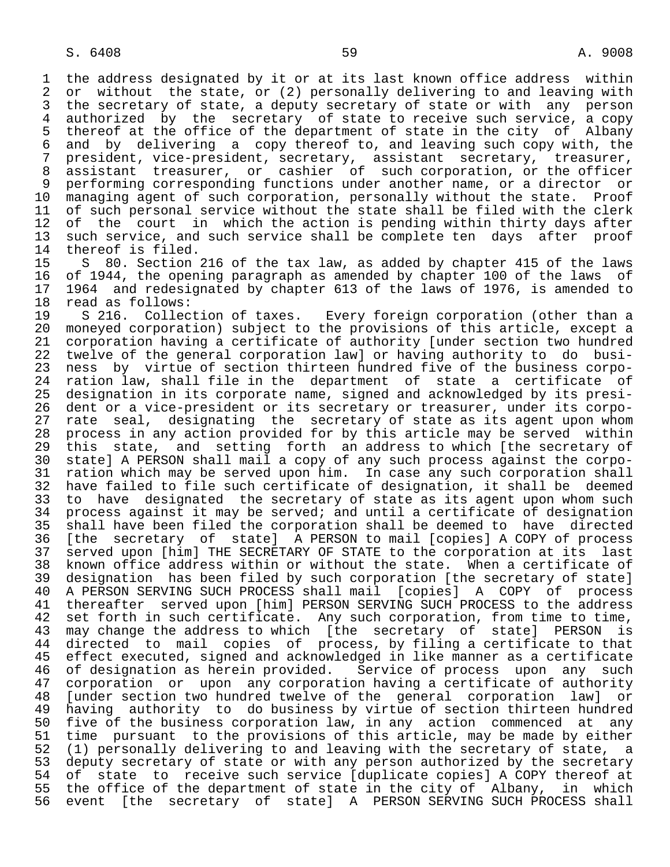1 the address designated by it or at its last known office address within<br>2 or without the state, or (2) personally delivering to and leaving with 2 or without the state, or (2) personally delivering to and leaving with<br>3 the secretary of state, a deputy secretary of state or with any person 3 the secretary of state, a deputy secretary of state or with any person<br>4 authorized by the secretary of state to receive such service, a copy 4 authorized by the secretary of state to receive such service, a copy<br>5 thereof at the office of the department of state in the city of Albany 5 thereof at the office of the department of state in the city of Albany<br>6 and by delivering a copy thereof to, and leaving such copy with, the 6 and by delivering a copy-thereof to, and leaving such copy-with, the 6 and proving the control of the copy with, the 7 president. 7 president, vice-president, secretary, assistant secretary, treasurer, 8 assistant treasurer, or cashier of such corporation, or the officer<br>9 performing corresponding functions under another name, or a director or 9 performing corresponding functions under another name, or a director or<br>10 managing agent of such corporation, personally without the state. Proof 10 managing agent of such corporation, personally without the state.<br>11 of such personal service without the state shall be filed with the 11 of such personal service without the state shall be filed with the clerk<br>12 of the court in which the action is pending within thirty days after 12 of the court in which the action is pending within thirty days after<br>13 such service, and such service shall be complete ten days after proof 13 such service, and such service shall be complete ten days after proof<br>14 thereof is filed.

14 thereof is filed.<br>15 S 80. Section 15 S 80. Section 216 of the tax law, as added by chapter 415 of the laws<br>16 of 1944, the opening paragraph as amended by chapter 100 of the laws of 16 of 1944, the opening paragraph as amended by chapter 100 of the laws of 17 1964 and redesignated by chapter 613 of the laws of 1976, is amended to<br>18 read as follows: 18 read as follows:<br>19 S 216. Collection of taxes.

19 S 216. Collection of taxes. Every foreign corporation (other than a<br>20 moneved corporation) subject to the provisions of this article, except a 20 moneyed corporation) subject to the provisions of this article, except a<br>21 corporation having a certificate of authority [under section two hundred 21 corporation having a certificate of authority [under section two hundred<br>22 twelve of the general corporation law] or having authority to do busi-22 twelve of the general corporation law] or having authority to do busi-<br>23 ness by virtue of section thirteen hundred five of the business corpo-23 ness by virtue of section thirteen hundred five of the business corpo-<br>24 ration law, shall file in the department of state a certificate of 24 ration law, shall file in the department of state a certificate of<br>25 designation in its corporate name, signed and acknowledged by its presidesignation in its corporate name, signed and acknowledged by its presi- 26 dent or a vice-president or its secretary or treasurer, under its corpo- 27 rate seal, designating the secretary of state as its agent upon whom<br>28 process in any action provided for by this article may be served within 28 process in any action provided for by this article may be served within<br>29 this state, and setting forth an address to which [the secretary of 29 this state, and setting forth an address to which [the secretary of 30 state] A PERSON shall mail a copy of any such process against the corpo- 30 state] A PERSON shall mail a copy of any such process against the corpo- 31 ration which may be served upon him. In case any such corporation shall<br>32 have failed to file such certificate of designation, it shall be deemed 32 have failed to file such certificate of designation, it shall be deemed<br>33 to have designated the secretary of state as its agent upon whom such 33 to have designated the secretary of state as its agent upon whom such<br>34 process against it may be served; and until a certificate of designation 34 process against it may be served; and until a certificate of designation<br>35 shall have been filed the corporation shall be deemed to have directed 35 shall have been filed the corporation shall be deemed to have directed<br>36 [the secretary of state] A PERSON to mail [copies] A COPY of process [the secretary of state] A PERSON to mail [copies] A COPY of process 37 served upon [him] THE SECRETARY OF STATE to the corporation at its last 38 known office address within or without the state. When a certificate of<br>39 designation has been filed by such corporation [the secretary of state] 39 designation has been filed by such corporation [the secretary of state]<br>40 A PERSON SERVING SUCH PROCESS shall mail [copies] A COPY of process 40 A PERSON SERVING SUCH PROCESS shall mail [copies] A COPY of process<br>41 thereafter served upon [him] PERSON SERVING SUCH PROCESS to the address 41 thereafter served upon [him] PERSON SERVING SUCH PROCESS to the address<br>42 set forth in such certificate. Any such corporation, from time to time, 42 set forth in such certificate. Any such corporation, from time to time,<br>43 may change the address to which [the secretary of state] PERSON is 43 may change the address to which [the secretary of state] PERSON is<br>44 directed to mail copies of process, by filing a certificate to that 44 directed to mail copies of process, by filing a certificate to that<br>45 effect executed, signed and acknowledged in like manner as a certificate effect executed, signed and acknowledged in like manner as a certificate 46 of designation as herein provided. Service of process upon any such<br>47 corporation or upon any corporation having a certificate of authority 47 corporation or upon any corporation having a certificate of authority 48 [under section two hundred twelve of the general corporation law] or<br>49 having authority to do business by virtue of section thirteen hundred 49 having authority to do business by virtue of section thirteen hundred<br>50 five of the business corporation law, in any action commenced at any 50 five of the business corporation law, in any action commenced at any<br>51 time pursuant to the provisions of this article, may be made by either 51 time pursuant to the provisions of this article, may be made by either<br>52 (1) personally delivering to and leaving with the secretary of state, a 52 (1) personally delivering to and leaving with the secretary of state, a<br>53 deputy secretary of state or with any person authorized by the secretary 53 deputy secretary of state or with any person authorized by the secretary<br>54 of state to receive such service [duplicate copies] A COPY thereof at 54 of state to receive such service [duplicate copies] A COPY thereof at<br>55 the office of the department of state in the city of Albany, in which 55 the office of the department of state in the city of Albany, in which<br>56 event [the secretary of state] A PERSON SERVING SUCH PROCESS shall event [the secretary of state] A PERSON SERVING SUCH PROCESS shall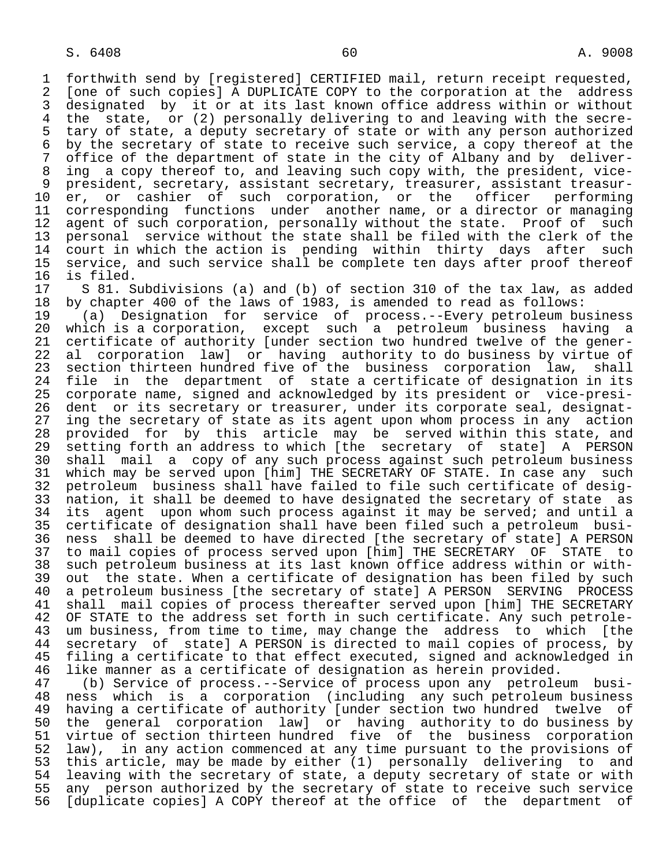1 forthwith send by [registered] CERTIFIED mail, return receipt requested,<br>2 [one of such copies] A DUPLICATE COPY to the corporation at the address 2 [one of such copies] A DUPLICATE COPY to the corporation at the address<br>3 designated by it or at its last known office address within or without 3 designated by it or at its last known office address within or without<br>4 the state, or (2) personally delivering to and leaving with the secre-4 the state, or (2) personally delivering to and leaving with the secre-<br>5 tary of state, a deputy secretary of state or with any person authorized 5 tary of state, a deputy secretary of state or with any person authorized<br>6 by the secretary of state to receive such service, a copy thereof at the 6 by the secretary of state to receive such service, a copy thereof at the<br>7 office of the department of state in the city of Albany and by deliveroffice of the department of state in the city of Albany and by deliver- 8 ing a copy thereof to, and leaving such copy with, the president, vice- 9 president, secretary, assistant secretary, treasurer, assistant treasur-<br>10 er, or cashier of such corporation, or the officer performing 10 er, or cashier of such corporation, or the<br>11 corresponding functions under another name, or 11 corresponding functions under another name, or a director or managing<br>12 agent of such corporation, personally without the state. Proof of such 12 agent of such corporation, personally without the state. Proof of such<br>13 personal service without the state shall be filed with the clerk of the 13 personal service without the state shall be filed with the clerk of the<br>14 court in which the action is pending within thirty days after such 14 court in which the action is pending within thirty days after such<br>15 service, and such service shall be complete ten days after proof thereof 15 service, and such service shall be complete ten days after proof thereof<br>16 is filed. 16 is filed.<br>17 S 81. S

17 S 81. Subdivisions (a) and (b) of section 310 of the tax law, as added<br>18 by chapter 400 of the laws of 1983, is amended to read as follows:

18 by chapter 400 of the laws of 1983, is amended to read as follows:<br>19 (a) Designation for service of process.--Every petroleum bu 19 (a) Designation for service of process.--Every petroleum business 20 which is a corporation, except such a petroleum business having a 21 certificate of authority [under section two hundred twelve of the gener-<br>22 al corporation law] or having authority to do business by virtue of 22 al corporation law] or having authority to do business by virtue of<br>23 section thirteen hundred five of the business corporation law, shall 23 section thirteen hundred five of the business corporation law, shall<br>24 file in the department of state a certificate of designation in its 24 file in the department of state a certificate of designation in its<br>25 corporate name, signed and acknowledged by its president or vice-presi- 25 corporate name, signed and acknowledged by its president or vice-presi- 26 dent or its secretary or treasurer, under its corporate seal, designat-<br>27 ing the secretary of state as its agent upon whom process in any action 27 ing the secretary of state as its agent upon whom process in any action<br>28 provided for by this article may be served within this state, and 28 provided for by this article may be served within this state, and<br>29 setting forth an address to which [the secretary of state] A PERSON 29 setting forth an address to which [the secretary of state] A PERSON<br>30 shall mail a copy of any such process against such petroleum business 30 shall mail a copy of any such process against such petroleum business 31 which may be served upon [him] THE SECRETARY OF STATE. In case any such<br>32 petroleum business shall have failed to file such certificate of desig-32 petroleum business shall have failed to file such certificate of desig-<br>33 nation, it shall be deemed to have designated the secretary of state as 33 nation, it shall be deemed to have designated the secretary of state as<br>34 its agent upon whom such process against it may be served; and until a 34 its agent upon whom such process against it may be served; and until a<br>35 certificate of designation shall have been filed such a petroleum busi-35 certificate of designation shall have been filed such a petroleum busi-<br>36 ness shall be deemed to have directed [the secretary of state] A PERSON ness shall be deemed to have directed [the secretary of state] A PERSON 37 to mail copies of process served upon [him] THE SECRETARY OF STATE to<br>38 such petroleum business at its last known office address within or with- 38 such petroleum business at its last known office address within or with- 39 out the state. When a certificate of designation has been filed by such<br>40 a petroleum business [the secretary of state] A PERSON SERVING PROCESS 40 a petroleum business [the secretary of state] A PERSON SERVING PROCESS<br>41 shall mail copies of process thereafter served upon [him] THE SECRETARY 41 shall mail copies of process thereafter served upon [him] THE SECRETARY<br>42 OF STATE to the address set forth in such certificate. Any such petrole-42 OF STATE to the address set forth in such certificate. Any such petrole-<br>43 um business, from time to time, may change the address to which [the 43 um business, from time to time, may change the address to which [the<br>44 secretary of state] A PERSON is directed to mail copies of process, by 44 secretary of state] A PERSON is directed to mail copies of process, by<br>45 filing a certificate to that effect executed, signed and acknowledged in filing a certificate to that effect executed, signed and acknowledged in

46 like manner as a certificate of designation as herein provided.<br>47 (b) Service of process.--Service of process upon any petrole 47 (b) Service of process.--Service of process upon any petroleum busi- 48 ness which is a corporation (including any such petroleum business 49 having a certificate of authority [under section two hundred twelve of<br>50 the general corporation lawl or having authority to do business by 50 the general corporation law] or having authority to do business by<br>51 virtue of section thirteen hundred five of the business corporation 51 virtue of section thirteen hundred five of the business corporation<br>52 law), in any action commenced at any time pursuant to the provisions of 52 law), in any action commenced at any time pursuant to the provisions of<br>53 this article, may be made by either (1) personally delivering to and 53 this article, may be made by either (1) personally delivering to and<br>54 leaving with the secretary of state, a deputy secretary of state or with 54 leaving with the secretary of state, a deputy secretary of state or with<br>55 any person authorized by the secretary of state to receive such service 55 any person authorized by the secretary of state to receive such service<br>56 [duplicate copies] A COPY thereof at the office of the department of [duplicate copies] A COPY thereof at the office of the department of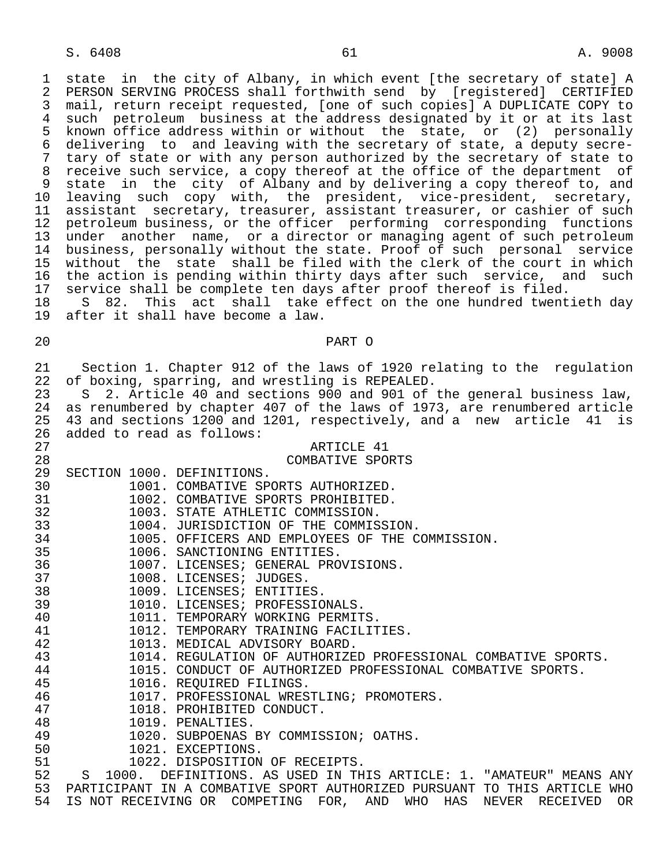1 state in the city of Albany, in which event [the secretary of state] A<br>2 PERSON SERVING PROCESS shall forthwith send by [registered] CERTIFIED 2 PERSON SERVING PROCESS shall forthwith send by [registered] CERTIFIED<br>3 mail, return receipt requested, [one of such copies] A DUPLICATE COPY to 3 mail, return receipt requested, [one of such copies] A DUPLICATE COPY to 4 such petroleum business at the address designated by it or at its last<br>5 known office address within or without the state, or (2) personally 5 known office address within or without the state, or (2) personally<br>6 delivering to and leaving with the secretary of state, a deputy secre-6 delivering to and leaving with the secretary of state, a deputy secre-<br>7 tary of state or with any person authorized by the secretary of state to 7 tary of state or with any person authorized by the secretary of state to<br>8 receive such service, a copy thereof at the office of the department of 8 receive such service, a copy thereof at the office of the department of<br>8 state in the city of Albany and by delivering a copy thereof to, and 9 state in the city of Albany and by delivering a copy thereof to, and<br>10 leaving such copy with, the president, vice-president, secretary, 10 leaving such copy with, the president, vice-president, secretary,<br>11 assistant secretary, treasurer, assistant-treasurer, or-cashier-of-such assistant secretary, treasurer, assistant treasurer, or cashier of such 12 petroleum business, or the officer performing corresponding functions<br>13 under another name, or a director or managing agent of such petroleum under another name, or a director or managing agent of such petroleum 14 business, personally without the state. Proof of such personal service 15 without the state shall be filed with the clerk of the court in which 16 the action is pending within thirty days after such service, and such 17 service shall be complete ten days after proof thereof is filed.<br>18 S 82. This act shall take effect on the one hundred twent 18 S 82. This act shall take effect on the one hundred twentieth day<br>19 after it shall have become a law.

after it shall have become a law.

## 20 PART O

21 Section 1. Chapter 912 of the laws of 1920 relating to the regulation<br>22 of boxing, sparring, and wrestling is REPEALED. 22 of boxing, sparring, and wrestling is REPEALED.<br>23 S 2. Article 40 and sections 900 and 901 of 23 S 2. Article 40 and sections 900 and 901 of the general business law,<br>24 as renumbered by chapter 407 of the laws of 1973, are renumbered article 24 as renumbered by chapter 407 of the laws of 1973, are renumbered article<br>25 43 and sections 1200 and 1201, respectively, and a new article 41 is 25 43 and sections 1200 and 1201, respectively, and a new article 41 is<br>26 added to read as follows: 26 added to read as follows: 27 ARTICLE 41 28 COMBATIVE SPORTS<br>29 SECTION 1000. DEFINITIONS. 29 SECTION 1000. DEFINITIONS.<br>30 1001. COMBATIVE SP 30 1001. COMBATIVE SPORTS AUTHORIZED.<br>31 1002. COMBATIVE SPORTS PROHIBITED. 31 1002. COMBATIVE SPORTS PROHIBITED.<br>32 1003. STATE ATHLETIC COMMISSION. 32 1003. STATE ATHLETIC COMMISSION.<br>33 1004. JURISDICTION OF THE COMMIS 33 1004. JURISDICTION OF THE COMMISSION.<br>34 1005. OFFICERS AND EMPLOYEES OF THE C 34 1005. OFFICERS AND EMPLOYEES OF THE COMMISSION.<br>35 1006. SANCTIONING ENTITIES. 35 1006. SANCTIONING ENTITIES.<br>36 1007. LICENSES; GENERAL PRC 36 1007. LICENSES; GENERAL PROVISIONS.<br>37 1008. LICENSES; JUDGES. 37 1008. LICENSES; JUDGES.<br>38 1009. LICENSES; ENTITIE 38 1009. LICENSES; ENTITIES.<br>39 1010. LICENSES; PROFESSIC 39 1010. LICENSES; PROFESSIONALS.<br>40 1011. TEMPORARY WORKING PERMIT 40 1011. TEMPORARY WORKING PERMITS.<br>41 1012. TEMPORARY TRAINING FACILIT 41 1012. TEMPORARY TRAINING FACILITIES.<br>42 1013. MEDICAL ADVISORY BOARD. 42 1013. MEDICAL ADVISORY BOARD.<br>43 1014. REGULATION OF AUTHORIZE 43 1014. REGULATION OF AUTHORIZED PROFESSIONAL COMBATIVE SPORTS.<br>44 1015. CONDUCT OF AUTHORIZED PROFESSIONAL COMBATIVE SPORTS. 44 1015. CONDUCT OF AUTHORIZED PROFESSIONAL COMBATIVE SPORTS.<br>45 1016. REOUIRED FILINGS.

- 1016. REOUIRED FILINGS.
- 46 1017. PROFESSIONAL WRESTLING; PROMOTERS.<br>47 1018. PROHIBITED CONDUCT.
- 47 1018. PROHIBITED CONDUCT.<br>48 1019. PENALTIES.
- 48 1019. PENALTIES.<br>49 1020. SUBPOENAS
- 49 1020. SUBPOENAS BY COMMISSION; OATHS.<br>50 1021. EXCEPTIONS.
- 50 1021. EXCEPTIONS.<br>51 1022. DISPOSITION
	-

51 1022. DISPOSITION OF RECEIPTS.<br>52 S 1000. DEFINITIONS. AS USED IN TH 52 S 1000. DEFINITIONS. AS USED IN THIS ARTICLE: 1. "AMATEUR" MEANS ANY<br>53 PARTICIPANT IN A COMBATIVE SPORT AUTHORIZED PURSUANT TO THIS ARTICLE WHO 53 PARTICIPANT IN A COMBATIVE SPORT AUTHORIZED PURSUANT TO THIS ARTICLE WHO<br>54 IS NOT RECEIVING OR COMPETING FOR, AND WHO HAS NEVER RECEIVED OR IS NOT RECEIVING OR COMPETING FOR, AND WHO HAS NEVER RECEIVED OR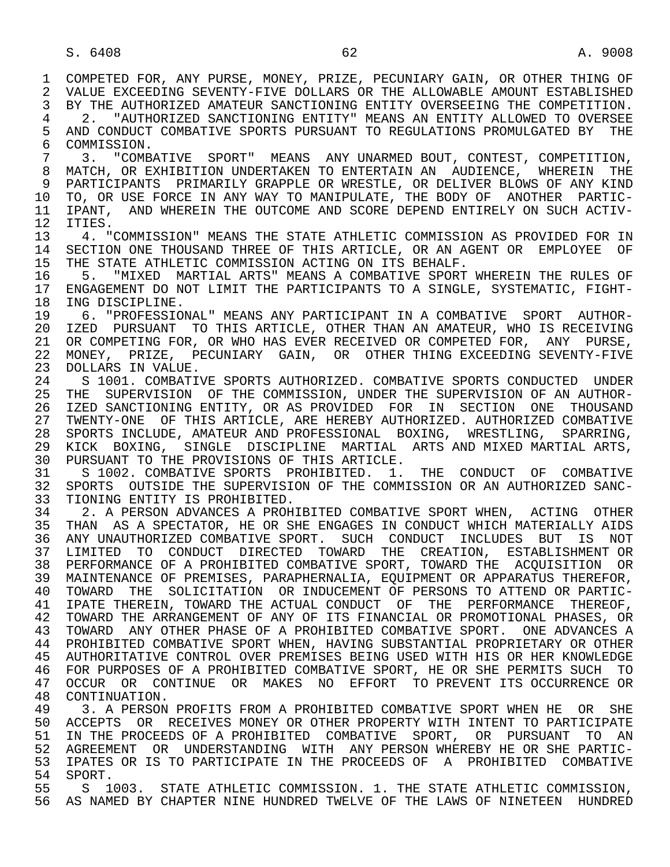1 COMPETED FOR, ANY PURSE, MONEY, PRIZE, PECUNIARY GAIN, OR OTHER THING OF<br>2 VALUE EXCEEDING SEVENTY-FIVE DOLLARS OR THE ALLOWABLE AMOUNT ESTABLISHED 2 VALUE EXCEEDING SEVENTY-FIVE DOLLARS OR THE ALLOWABLE AMOUNT ESTABLISHED<br>3 BY THE AUTHORIZED AMATEUR SANCTIONING ENTITY OVERSEEING THE COMPETITION. BY THE AUTHORIZED AMATEUR SANCTIONING ENTITY OVERSEEING THE COMPETITION. 4 2. "AUTHORIZED SANCTIONING ENTITY" MEANS AN ENTITY ALLOWED TO OVERSEE<br>5 AND CONDUCT COMBATIVE SPORTS PURSUANT TO REGULATIONS PROMULGATED BY THE 5 AND CONDUCT COMBATIVE SPORTS PURSUANT TO REGULATIONS PROMULGATED BY THE 6 COMMISSION. 6 COMMISSION.<br>7 3 "COMB 7 3. "COMBATIVE SPORT" MEANS ANY UNARMED BOUT, CONTEST, COMPETITION, 8 MATCH, OR EXHIBITION UNDERTAKEN TO ENTERTAIN AN AUDIENCE, WHEREIN THE 9 PARTICIPANTS PRIMARILY GRAPPLE OR WRESTLE, OR DELIVER BLOWS OF ANY KIND<br>10 TO, OR USE FORCE IN ANY WAY TO MANIPULATE, THE BODY OF ANOTHER PARTIC-10 TO, OR USE FORCE IN ANY WAY TO MANIPULATE, THE BODY OF ANOTHER PARTIC-<br>11 IPANT, AND WHEREIN THE OUTCOME AND SCORE DEPEND ENTIRELY ON SUCH ACTIV-11 IPANT, AND WHEREIN THE OUTCOME AND SCORE DEPEND ENTIRELY ON SUCH ACTIV-<br>12 ITIES. 12 ITIES.<br>13 4. " 13 4. "COMMISSION" MEANS THE STATE ATHLETIC COMMISSION AS PROVIDED FOR IN<br>14 SECTION ONE THOUSAND THREE OF THIS ARTICLE. OR AN AGENT OR EMPLOYEE OF 14 SECTION ONE THOUSAND THREE OF THIS ARTICLE, OR AN AGENT OR EMPLOYEE OF<br>15 THE STATE ATHLETIC COMMISSION ACTING ON ITS BEHALF. 15 THE STATE ATHLETIC COMMISSION ACTING ON ITS BEHALF.<br>16 5. "MIXED MARTIAL ARTS" MEANS A COMBATIVE SPORT 16 5. "MIXED MARTIAL ARTS" MEANS A COMBATIVE SPORT WHEREIN THE RULES OF<br>17 ENGAGEMENT DO NOT LIMIT THE PARTICIPANTS TO A SINGLE, SYSTEMATIC, FIGHT-17 ENGAGEMENT DO NOT LIMIT THE PARTICIPANTS TO A SINGLE, SYSTEMATIC, FIGHT-<br>18 ING DISCIPLINE. 18 ING DISCIPLINE.<br>19 6. "PROFESSIO 19 6. "PROFESSIONAL" MEANS ANY PARTICIPANT IN A COMBATIVE SPORT AUTHOR- 20 IZED PURSUANT TO THIS ARTICLE, OTHER THAN AN AMATEUR, WHO IS RECEIVING<br>21 OR COMPETING FOR, OR WHO HAS EVER RECEIVED OR COMPETED FOR, ANY PURSE, 21 OR COMPETING FOR, OR WHO HAS EVER RECEIVED OR COMPETED FOR, ANY PURSE,<br>22 MONEY, PRIZE, PECUNIARY GAIN, OR OTHER THING EXCEEDING SEVENTY-FIVE 22 MONEY, PRIZE, PECUNIARY GAIN, OR OTHER THING EXCEEDING SEVENTY-FIVE<br>23 DOLLARS IN VALUE. 23 DOLLARS IN VALUE. 24 S 1001. COMBATIVE SPORTS AUTHORIZED. COMBATIVE SPORTS CONDUCTED UNDER<br>25 THE SUPERVISION OF THE COMMISSION, UNDER THE SUPERVISION OF AN AUTHOR- 25 THE SUPERVISION OF THE COMMISSION, UNDER THE SUPERVISION OF AN AUTHOR- 26 IZED SANCTIONING ENTITY, OR AS PROVIDED FOR IN SECTION ONE THOUSAND<br>27 TWENTY-ONE OF THIS ARTICLE, ARE HEREBY AUTHORIZED. AUTHORIZED COMBATIVE 27 TWENTY-ONE OF THIS ARTICLE, ARE HEREBY AUTHORIZED. AUTHORIZED COMBATIVE<br>28 SPORTS INCLUDE, AMATEUR AND PROFESSIONAL BOXING, WRESTLING, SPARRING, 28 SPORTS INCLUDE, AMATEUR AND PROFESSIONAL BOXING, WRESTLING, SPARRING, 29 KICK BOXING, SINGLE DISCIPLINE MARTIAL ARTS AND MIXED MARTIAL ARTS,<br>30 PURSUANT TO THE PROVISIONS OF THIS ARTICLE. 30 PURSUANT TO THE PROVISIONS OF THIS ARTICLE.<br>31 S 1002. COMBATIVE SPORTS PROHIBITED. 1. 31 S 1002. COMBATIVE SPORTS PROHIBITED. 1. THE CONDUCT OF COMBATIVE 32 SPORTS OUTSIDE THE SUPERVISION OF THE COMMISSION OR AN AUTHORIZED SANC-32 SPORTS OUTSIDE THE SUPERVISION OF THE COMMISSION OR AN AUTHORIZED SANC-<br>33 TIONING ENTITY IS PROHIBITED. 33 TIONING ENTITY IS PROHIBITED.<br>34 2. A PERSON ADVANCES A PROH 34 2. A PERSON ADVANCES A PROHIBITED COMBATIVE SPORT WHEN, ACTING OTHER<br>35 THAN AS A SPECTATOR, HE OR SHE ENGAGES IN CONDUCT WHICH MATERIALLY AIDS THAN AS A SPECTATOR, HE OR SHE ENGAGES IN CONDUCT WHICH MATERIALLY AIDS 36 ANY UNAUTHORIZED COMBATIVE SPORT. SUCH CONDUCT INCLUDES BUT IS NOT 37 LIMITED TO CONDUCT DIRECTED TOWARD THE CREATION, ESTABLISHMENT OR 38 PERFORMANCE OF A PROHIBITED COMBATIVE SPORT, TOWARD THE ACQUISITION OR 39 MAINTENANCE OF PREMISES, PARAPHERNALIA, EQUIPMENT OR APPARATUS THEREFOR, 40 TOWARD THE SOLICITATION OR INDUCEMENT OF PERSONS TO ATTEND OR PARTIC- 41 IPATE THEREIN, TOWARD THE ACTUAL CONDUCT OF THE PERFORMANCE THEREOF,<br>42 TOWARD THE ARRANGEMENT OF ANY OF ITS FINANCIAL OR PROMOTIONAL PHASES, OR 42 TOWARD THE ARRANGEMENT OF ANY OF ITS FINANCIAL OR PROMOTIONAL PHASES, OR<br>43 TOWARD ANY OTHER PHASE OF A PROHIBITED COMBATIVE SPORT. ONE ADVANCES A 43 TOWARD ANY OTHER PHASE OF A PROHIBITED COMBATIVE SPORT. ONE ADVANCES A 44 PROHIBITED COMBATIVE SPORT WHEN, HAVING SUBSTANTIAL PROPRIETARY OR OTHER 45 AUTHORITATIVE CONTROL OVER PREMISES BEING USED WITH HIS OR HER KNOWLEDGE 46 FOR PURPOSES OF A PROHIBITED COMBATIVE SPORT, HE OR SHE PERMITS SUCH TO 47 OCCURRENCE OR 47 OCCUR OR CONTINUE OR MAKES NO EFFORT TO PREVENT ITS OCCURRENCE OR<br>48 CONTINUATION. 48 CONTINUATION.<br>49 3. A PERSON 49 3. A PERSON PROFITS FROM A PROHIBITED COMBATIVE SPORT WHEN HE OR SHE<br>50 ACCEPTS OR RECEIVES MONEY OR OTHER PROPERTY WITH INTENT TO PARTICIPATE 50 ACCEPTS OR RECEIVES MONEY OR OTHER PROPERTY WITH INTENT TO PARTICIPATE<br>51 IN THE PROCEEDS OF A PROHIBITED COMBATIVE SPORT, OR PURSUANT TO AN IN THE PROCEEDS OF A PROHIBITED COMBATIVE SPORT, OR PURSUANT TO AN

52 AGREEMENT OR UNDERSTANDING WITH ANY—PERSON-WHEREBY—HE OR SHE PARTIC-<br>53 IPATES OR IS TO PARTICIPATE IN THE PROCEEDS OF A PROHIBITED COMBATIVE 53 IPATES OR IS TO PARTICIPATE IN THE PROCEEDS OF A PROHIBITED COMBATIVE<br>54 SPORT 54 SPORT.<br>55 S 1

 55 S 1003. STATE ATHLETIC COMMISSION. 1. THE STATE ATHLETIC COMMISSION, 56 AS NAMED BY CHAPTER NINE HUNDRED TWELVE OF THE LAWS OF NINETEEN HUNDRED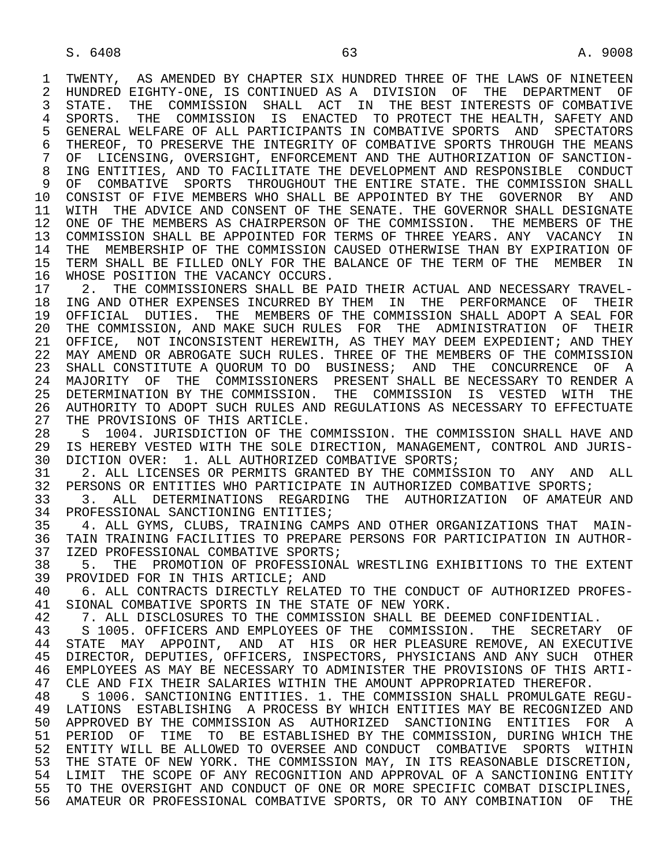1 TWENTY, AS AMENDED BY CHAPTER SIX HUNDRED THREE OF THE LAWS OF NINETEEN<br>2 HUNDRED EIGHTY-ONE, IS CONTINUED AS A DIVISION OF THE DEPARTMENT OF 2 HUNDRED EIGHTY-ONE, IS CONTINUED AS A DIVISION OF THE DEPARTMENT OF<br>3 STATE. THE COMMISSION SHALL ACT IN THE BEST INTERESTS OF COMBATIVE 3 STATE. THE COMMISSION SHALL ACT IN THE BEST INTERESTS OF COMBATIVE 4 SPORTS. THE COMMISSION IS ENACTED TO PROTECT THE HEALTH, SAFETY AND<br>5 GENERAL WELFARE OF ALL PARTICIPANTS IN COMBATIVE SPORTS AND SPECTATORS 5 GENERAL WELFARE OF ALL PARTICIPANTS IN COMBATIVE SPORTS AND SPECTATORS<br>6 THEREOF, TO PRESERVE THE INTEGRITY OF COMBATIVE SPORTS THROUGH THE MEANS 6 THEREOF, TO PRESERVE THE INTEGRITY OF COMBATIVE SPORTS THROUGH THE MEANS<br>7 OF LICENSING, OVERSIGHT, ENFORCEMENT AND THE AUTHORIZATION OF SANCTION-OF LICENSING, OVERSIGHT, ENFORCEMENT AND THE AUTHORIZATION OF SANCTION-8 ING ENTITIES, AND TO FACILITATE THE DEVELOPMENT AND RESPONSIBLE CONDUCT<br>9 OF COMBATIVE SPORTS THROUGHOUT THE ENTIRE STATE. THE COMMISSION SHALL 9 OF COMBATIVE SPORTS THROUGHOUT THE ENTIRE STATE. THE COMMISSION SHALL<br>10 CONSIST OF FIVE MEMBERS WHO SHALL BE APPOINTED BY THE GOVERNOR BY AND 10 CONSIST OF FIVE MEMBERS WHO SHALL BE APPOINTED BY THE GOVERNOR BY AND<br>11 WITH THE ADVICE AND CONSENT OF THE SENATE. THE GOVERNOR SHALL DESIGNATE 11 WITH THE ADVICE AND CONSENT OF THE SENATE. THE GOVERNOR SHALL DESIGNATE<br>12 ONE OF THE MEMBERS AS CHAIRPERSON OF THE COMMISSION. THE MEMBERS OF THE 12 ONE OF THE MEMBERS AS CHAIRPERSON OF THE COMMISSION. THE MEMBERS OF THE 13 COMMISSION SHALL BE APPOINTED FOR TERMS OF THREE YEARS. ANY VACANCY IN 13 COMMISSION SHALL BE APPOINTED FOR TERMS OF THREE YEARS. ANY VACANCY IN<br>14 THE MEMBERSHIP OF THE COMMISSION CAUSED OTHERWISE THAN BY EXPIRATION OF THE MEMBERSHIP OF THE COMMISSION CAUSED OTHERWISE THAN BY EXPIRATION OF 15 TERM SHALL BE FILLED ONLY FOR THE BALANCE OF THE TERM OF THE MEMBER IN<br>16 WHOSE POSITION THE VACANCY OCCURS. 16 WHOSE POSITION THE VACANCY OCCURS.<br>17 2. THE COMMISSIONERS SHALL BE P.

17 2. THE COMMISSIONERS SHALL BE PAID THEIR ACTUAL AND NECESSARY TRAVEL-<br>18 ING AND OTHER EXPENSES INCURRED BY THEM IN THE PERFORMANCE OF THEIR 18 ING AND OTHER EXPENSES INCURRED BY THEM IN THE PERFORMANCE OF THEIR<br>19 OFFICIAL DUTIES. THE MEMBERS OF THE COMMISSION SHALL ADOPT A SEAL FOR 19 OFFICIAL DUTIES. THE MEMBERS OF THE COMMISSION SHALL ADOPT A SEAL FOR<br>20 THE COMMISSION, AND MAKE SUCH RULES FOR THE ADMINISTRATION OF THEIR 20 THE COMMISSION, AND MAKE SUCH RULES FOR THE ADMINISTRATION OF THEIR<br>21 OFFICE, NOT INCONSISTENT HEREWITH, AS THEY MAY DEEM EXPEDIENT; AND THEY OFFICE, NOT INCONSISTENT HEREWITH, AS THEY MAY DEEM EXPEDIENT; AND THEY 22 MAY AMEND OR ABROGATE SUCH RULES. THREE OF THE MEMBERS OF THE COMMISSION<br>23 SHALL CONSTITUTE A OUORUM TO DO BUSINESS; AND THE CONCURRENCE OF A 23 SHALL CONSTITUTE A QUORUM TO DO BUSINESS; AND THE CONCURRENCE OF A 24 MAJORITY OF THE COMMISSIONERS PRESENT-SHALL BE NECESSARY TO RENDER A 25 DETERMINATION BY THE COMMISSION. THE COMMISSION THE COMMISSION 25 DETERMINATION BY THE COMMISSION. THE COMMISSION IS VESTED WITH THE 26 AUTHORITY TO ADOPT SUCH RULES AND REGULATIONS AS NECESSARY TO EFFECTUATE 27 THE PROVISIONS OF THIS ARTICLE. 27 THE PROVISIONS OF THIS ARTICLE.<br>28 S 1004. JURISDICTION OF THE

28 S 1004. JURISDICTION OF THE COMMISSION. THE COMMISSION SHALL HAVE AND<br>29 IS HEREBY VESTED WITH THE SOLE DIRECTION, MANAGEMENT, CONTROL AND JURIS-29 IS HEREBY VESTED WITH THE SOLE DIRECTION, MANAGEMENT, CONTROL AND JURIS-<br>30 DICTION OVER: 1. ALL AUTHORIZED COMBATIVE SPORTS; 30 DICTION OVER: 1. ALL AUTHORIZED COMBATIVE SPORTS;<br>31 3. ALL LICENSES OR PERMITS GRANTED BY THE COMMIS

31 2. ALL LICENSES OR PERMITS GRANTED BY THE COMMISSION TO ANY AND ALL<br>32 PERSONS OR ENTITIES WHO PARTICIPATE IN AUTHORIZED COMBATIVE SPORTS; 32 PERSONS OR ENTITIES WHO PARTICIPATE IN AUTHORIZED COMBATIVE SPORTS;<br>33 3. ALL DETERMINATIONS REGARDING THE AUTHORIZATION OF AMATEU

33 3. ALL DETERMINATIONS REGARDING THE AUTHORIZATION OF AMATEURAND<br>34 PROFESSIONAL SANCTIONING ENTITIES; 34 PROFESSIONAL SANCTIONING ENTITIES;<br>35 4. ALL GYMS, CLUBS, TRAINING CAM

35 4. ALL GYMS, CLUBS, TRAINING CAMPS AND OTHER ORGANIZATIONS THAT MAIN-<br>36 TAIN TRAINING FACILITIES TO PREPARE PERSONS FOR PARTICIPATION IN AUTHOR-TAIN TRAINING FACILITIES TO PREPARE PERSONS FOR PARTICIPATION IN AUTHOR-37 IZED PROFESSIONAL COMBATIVE SPORTS;<br>38 5. THE PROMOTION OF PROFESSIONAL

38 5. THE PROMOTION OF PROFESSIONAL WRESTLING EXHIBITIONS TO THE EXTENT<br>39 PROVIDED FOR IN THIS ARTICLE; AND 39 PROVIDED FOR IN THIS ARTICLE; AND<br>40 6. ALL CONTRACTS DIRECTLY RELATI

40 6. ALL CONTRACTS DIRECTLY RELATED TO THE CONDUCT OF AUTHORIZED PROFES-<br>41 SIONAL COMBATIVE SPORTS IN THE STATE OF NEW YORK. 41 SIONAL COMBATIVE SPORTS IN THE STATE OF NEW YORK.<br>42 17. ALL DISCLOSURES TO THE COMMISSION SHALL BE D

42 1. ALL DISCLOSURES TO THE COMMISSION SHALL BE DEEMED CONFIDENTIAL.<br>43 5 1005, OFFICERS AND EMPLOYEES OF THE COMMISSION, THE SECRETARY

43 S 1005. OFFICERS AND EMPLOYEES OF THE COMMISSION. THE SECRETARY OF 44 STATE MAY APPOINT. AND AT HIS OR HER PLEASURE REMOVE. AN EXECUTIVE 44 STATE MAY APPOINT, AND AT HIS OR HER PLEASURE REMOVE, AN EXECUTIVE 45 DIRECTOR, DEPUTIES, OFFICERS, INSPECTORS, PHYSICIANS AND ANY SUCH OTHER 45 DIRECTOR, DEPUTIES, OFFICERS, INSPECTORS, PHYSICIANS AND ANY SUCH OTHER 46 EMPLOYEES AS MAY BE NECESSARY TO ADMINISTER THE PROVISIONS OF THIS ARTI-<br>47 CLE AND FIX THEIR SALARIES WITHIN THE AMOUNT APPROPRIATED THEREFOR 47 CLE AND FIX THEIR SALARIES WITHIN THE AMOUNT APPROPRIATED THEREFOR.<br>48 S 1006, SANCTIONING ENTITIES, 1, THE COMMISSION SHALL PROMULGATE B

 48 S 1006. SANCTIONING ENTITIES. 1. THE COMMISSION SHALL PROMULGATE REGU- 49 LATIONS ESTABLISHING A PROCESS BY WHICH ENTITIES MAY BE RECOGNIZED AND<br>50 APPROVED BY THE COMMISSION AS AUTHORIZED SANCTIONING ENTITIES FOR A 50 APPROVED BY THE COMMISSION AS AUTHORIZED SANCTIONING ENTITIES FOR A<br>51 PERIOD OF TIME TO BE ESTABLISHED BY THE COMMISSION, DURING WHICH THE 51 PERIOD OF TIME TO BE ESTABLISHED BY THE COMMISSION, DURING WHICH THE 52 ENTITY WILL BE ALLOWED TO OVERSEE AND CONDUCT COMBATIVE SPORTS WITHIN<br>53 THE STATE OF NEW YORK. THE COMMISSION MAY, IN ITS REASONABLE DISCRETION, 53 THE STATE OF NEW YORK. THE COMMISSION MAY, IN ITS REASONABLE DISCRETION,<br>54 IJIMIT, THE SCOPE OF ANY RECOGNITION AND APPROVAL OF A SANCTIONING ENTITY 54 LIMIT THE SCOPE OF ANY RECOGNITION AND APPROVAL OF A SANCTIONING ENTITY<br>55 TO THE OVERSIGHT AND CONDUCT OF ONE OR MORE SPECIFIC COMBAT DISCIPLINES. TO THE OVERSIGHT AND CONDUCT OF ONE OR MORE SPECIFIC COMBAT DISCIPLINES, 56 AMATEUR OR PROFESSIONAL COMBATIVE SPORTS, OR TO ANY COMBINATION OF THE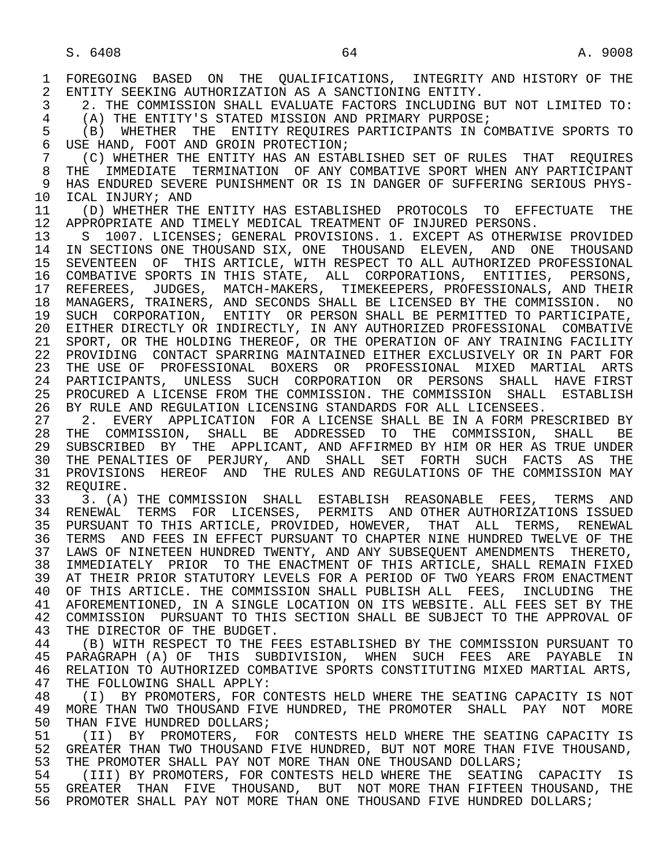1 FOREGOING BASED ON THE QUALIFICATIONS, INTEGRITY AND HISTORY OF THE 2 ENTITY SEEKING AUTHORIZATION AS A SANCTIONING ENTITY. 2 ENTITY SEEKING AUTHORIZATION AS A SANCTIONING ENTITY.<br>3 2. THE COMMISSION SHALL EVALUATE FACTORS INCLUDING 1

 3 2. THE COMMISSION SHALL EVALUATE FACTORS INCLUDING BUT NOT LIMITED TO: 4 (A) THE ENTITY'S STATED MISSION AND PRIMARY PURPOSE;<br>5 (B) WHETHER THE ENTITY REOUIRES PARTICIPANTS IN CO

5 (B) WHETHER THE ENTITY REQUIRES PARTICIPANTS IN COMBATIVE SPORTS TO<br>6 USE HAND, FOOT AND GROIN PROTECTION; 6 USE HAND, FOOT AND GROIN PROTECTION;<br>7 (C) WHETHER THE ENTITY HAS AN ESTA

7 (C) WHETHER THE ENTITY HAS AN ESTABLISHED SET OF RULES THAT REQUIRES<br>8 THE IMMEDIATE TERMINATION OF ANY COMBATIVE SPORT WHEN ANY PARTICIPANT 8 THE IMMEDIATE TERMINATION OF ANY COMBATIVE SPORT WHEN ANY PARTICIPANT<br>9 HAS ENDURED SEVERE PUNISHMENT OR IS IN DANGER OF SUFFERING SERIOUS PHYS-9 HAS ENDURED SEVERE PUNISHMENT OR IS IN DANGER OF SUFFERING SERIOUS PHYS-<br>10 ICAL INJURY; AND 10 ICAL INJURY; AND<br>11 (D) WHETHER THI

11 (D) WHETHER THE ENTITY HAS ESTABLISHED PROTOCOLS TO EFFECTUATE THE 12 APPROPRIATE AND TIMELY MEDICAL TREATMENT OF INJURED PERSONS. 12 APPROPRIATE AND TIMELY MEDICAL TREATMENT OF INJURED PERSONS.<br>13 S 1007. LICENSES; GENERAL PROVISIONS. 1. EXCEPT AS OTHERW

13 S 1007. LICENSES; GENERAL PROVISIONS. 1. EXCEPT AS OTHERWISE PROVIDED<br>14 IN SECTIONS ONE THOUSAND SIX. ONE THOUSAND ELEVEN. AND ONE THOUSAND 14 IN SECTIONS ONE THOUSAND SIX, ONE THOUSAND ELEVEN, AND ONE THOUSAND 15 SEVENTEEN OF THIS ARTICLE, WITH RESPECT TO ALL AUTHORIZED PROFESSIONAL 16 COMBATIVE SPORTS IN THIS STATE, ALL CORPORATIONS, ENTITIES, PERSONS, 17 REFEREES, JUDGES, MATCH-MAKERS, TIMEKEEPERS, PROFESSIONALS, AND THEIR 18 MANAGERS, TRAINERS, AND SECONDS SHALL BE LICENSED BY THE COMMISSION. NO 19 SUCH CORPORATION, ENTITY OR PERSON SHALL BE PERMITTED TO PARTICIPATE, 20 EITHER DIRECTLY OR INDIRECTLY, IN ANY AUTHORIZED PROFESSIONAL COMBATIVE 21 SPORT, OR THE HOLDING THEREOF, OR THE OPERATION OF ANY TRAINING FACILITY 22 PROVIDING CONTACT SPARRING MAINTAINED EITHER EXCLUSIVELY OR IN PART FOR 23 THE USE OF PROFESSIONAL BOXERS OR PROFESSIONAL MIXED MARTIAL ARTS 24 PARTICIPANTS, UNLESS SUCH CORPORATION OR PERSONS SHALL HAVE FIRST<br>25 PROCURED A LICENSE FROM THE COMMISSION. THE COMMISSION SHALL ESTABLISH 25 PROCURED A LICENSE FROM THE COMMISSION. THE COMMISSION SHALL ESTABLISH

 26 BY RULE AND REGULATION LICENSING STANDARDS FOR ALL LICENSEES. 27 2. EVERY APPLICATION FOR A LICENSE SHALL BE IN A FORM PRESCRIBED BY<br>28 THE COMMISSION, SHALL BE ADDRESSED TO THE COMMISSION, SHALL BE 28 THE COMMISSION, SHALL BE ADDRESSED TO THE COMMISSION, SHALL BE<br>29 SUBSCRIBED BY THE APPLICANT, AND AFFIRMED BY HIM OR HER AS TRUE UNDER 29 SUBSCRIBED BY THE APPLICANT, AND AFFIRMED BY HIM OR HER AS TRUE UNDER 30 THE PENALTIES OF PERJURY, AND SHALL SET FORTH SUCH FACTS AS THE 31 PROVISIONS HEREOF AND THE RULES AND REGULATIONS OF THE COMMISSION MAY 32 REQUIRE.<br>33 3. (A)

 33 3. (A) THE COMMISSION SHALL ESTABLISH REASONABLE FEES, TERMS AND 34 RENEWAL TERMS FOR LICENSES, PERMITS AND OTHER AUTHORIZATIONS ISSUED 35 PURSUANT TO THIS ARTICLE, PROVIDED, HOWEVER, THAT ALL TERMS, RENEWAL 36 TERMS AND FEES IN EFFECT PURSUANT TO CHAPTER NINE HUNDRED TWELVE OF THE 37 LAWS OF NINETEEN HUNDRED TWENTY, AND ANY SUBSEQUENT AMENDMENTS THERETO, 38 IMMEDIATELY PRIOR TO THE ENACTMENT OF THIS ARTICLE, SHALL REMAIN FIXED<br>39 AT THEIR PRIOR STATUTORY LEVELS FOR A PERIOD OF TWO YEARS FROM ENACTMENT AT THEIR PRIOR STATUTORY LEVELS FOR A PERIOD OF TWO YEARS FROM ENACTMENT 40 OF THIS ARTICLE. THE COMMISSION SHALL PUBLISH ALL FEES, INCLUDING THE 41 AFOREMENTIONED, IN A SINGLE LOCATION ON ITS WEBSITE. ALL FEES SET BY THE 42 COMMISSION PURSUANT TO THIS SECTION SHALL BE SUBJECT TO THE APPROVAL OF 42 COMMISSION PURSUANT TO THIS SECTION SHALL BE SUBJECT TO THE APPROVAL OF 43 THE DIRECTOR OF THE BUDGET. 43 THE DIRECTOR OF THE BUDGET.<br>44 (B) WITH RESPECT TO THE F

44 (B) WITH RESPECT TO THE FEES ESTABLISHED BY THE COMMISSION PURSUANT TO 45 PARAGRAPH (A) OF THIS SUBDIVISION, WHEN SUCH FEES ARE PAYABLE IN PARAGRAPH (A) OF THIS SUBDIVISION, WHEN SUCH FEES ARE PAYABLE IN 46 RELATION TO AUTHORIZED COMBATIVE SPORTS CONSTITUTING MIXED MARTIAL ARTS,<br>47 THE FOLLOWING SHALL APPLY: 47 THE FOLLOWING SHALL APPLY:<br>48 (I) BY PROMOTERS, FOR CO

48 (I) BY PROMOTERS, FOR CONTESTS HELD WHERE THE SEATING CAPACITY IS NOT<br>49 MORE THAN TWO THOUSAND FIVE HUNDRED, THE PROMOTER SHALL PAY NOT MORE 49 MORE THAN TWO THOUSAND FIVE HUNDRED, THE PROMOTER SHALL PAY NOT MORE<br>50 THAN FIVE HUNDRED DOLLARS; 50 THAN FIVE HUNDRED DOLLARS;<br>51 (II) BY PROMOTERS, FOI

51 (II) BY PROMOTERS, FOR CONTESTS HELD WHERE THE SEATING CAPACITY IS<br>52 GREATER THAN TWO THOUSAND FIVE HUNDRED, BUT NOT MORE THAN FIVE THOUSAND, 52 GREATER THAN TWO THOUSAND FIVE HUNDRED, BUT NOT MORE THAN FIVE THOUSAND,<br>53 THE PROMOTER SHALL PAY NOT MORE THAN ONE THOUSAND DOLLARS; 53 THE PROMOTER SHALL PAY NOT MORE THAN ONE THOUSAND DOLLARS;<br>54 (TTT) BY PROMOTERS, FOR CONTESTS HELD WHERE THE SEATING

 54 (III) BY PROMOTERS, FOR CONTESTS HELD WHERE THE SEATING CAPACITY IS 55 GREATER THAN FIVE THOUSAND, BUT NOT MORE THAN FIFTEEN THOUSAND, THE 56 PROMOTER SHALL PAY NOT MORE THAN ONE THOUSAND FIVE HUNDRED DOLLARS;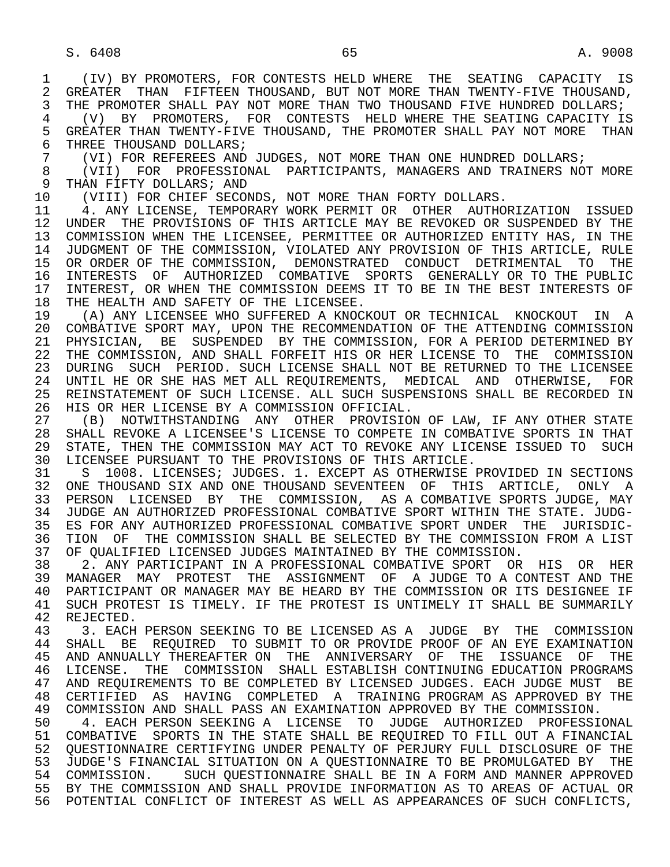1 (IV) BY PROMOTERS, FOR CONTESTS HELD WHERE THE SEATING CAPACITY IS 2 GREATER THAN FIFTEEN THOUSAND, BUT NOT MORE THAN TWENTY-FIVE THOUSAND,<br>3 THE PROMOTER SHALL PAY NOT MORE THAN TWO THOUSAND FIVE HUNDRED DOLLARS; THE PROMOTER SHALL PAY NOT MORE THAN TWO THOUSAND FIVE HUNDRED DOLLARS; 4 (V) BY PROMOTERS, FOR CONTESTS HELD WHERE THE SEATING CAPACITY IS 5 GREATER THAN TWENTY-FIVE THOUSAND, THE PROMOTER SHALL PAY NOT MORE THAN<br>6 THREE THOUSAND DOLLARS; 6 THREE THOUSAND DOLLARS;<br>7 (VI) FOR REFEREES AND 7 (VI) FOR REFEREES AND JUDGES, NOT MORE THAN ONE HUNDRED DOLLARS;<br>8 (VII) FOR PROFESSIONAL PARTICIPANTS, MANAGERS AND TRAINERS NOT 8 (VII) FOR PROFESSIONAL PARTICIPANTS, MANAGERS AND TRAINERS NOT MORE<br>9 THAN FIFTY DOLLARS; AND 9 THAN FIFTY DOLLARS; AND<br>10 (VIII) FOR CHIEF SECON 10 (VIII) FOR CHIEF SECONDS, NOT MORE THAN FORTY DOLLARS.<br>11 4. ANY LICENSE, TEMPORARY WORK PERMIT OR OTHER AUTHO 11 4. ANY LICENSE, TEMPORARY WORK PERMIT OR OTHER AUTHORIZATION ISSUED<br>12 UNDER THE PROVISIONS OF THIS ARTICLE MAY BE REVOKED OR SUSPENDED BY THE 12 UNDER THE PROVISIONS OF THIS ARTICLE MAY BE REVOKED OR SUSPENDED BY THE 13 COMMISSION WHEN THE LICENSEE, PERMITTEE OR AUTHORIZED ENTITY HAS, IN THE<br>14 JUDGMENT OF THE COMMISSION, VIOLATED ANY PROVISION OF THIS ARTICLE, RULE 14 JUDGMENT OF THE COMMISSION, VIOLATED ANY PROVISION OF THIS ARTICLE, RULE 15 OR ORDER OF THE COMMISSION, DEMONSTRATED CONDUCT DETRIMENTAL TO THE<br>16 INTERESTS OF AUTHORIZED COMBATIVE SPORTS GENERALLY OR TO THE PUBLIC 16 INTERESTS OF AUTHORIZED COMBATIVE SPORTS GENERALLY OR TO THE PUBLIC<br>17 INTEREST, OR WHEN THE COMMISSION DEEMS IT TO BE IN THE BEST INTERESTS OF 17 INTEREST, OR WHEN THE COMMISSION DEEMS IT TO BE IN THE BEST INTERESTS OF 18 THE HEALTH AND SAFETY OF THE LICENSEE. 18 THE HEALTH AND SAFETY OF THE LICENSEE.<br>19 (A) ANY LICENSEE WHO SUFFERED A KNOCI 19 (A) ANY LICENSEE WHO SUFFERED A KNOCKOUT OR TECHNICAL KNOCKOUT IN A<br>20 COMBATIVE SPORT MAY, UPON THE RECOMMENDATION OF THE ATTENDING COMMISSION 20 COMBATIVE SPORT MAY, UPON THE RECOMMENDATION OF THE ATTENDING COMMISSION<br>21 PHYSICIAN, BE SUSPENDED BY THE COMMISSION, FOR A PERIOD DETERMINED BY 21 PHYSICIAN, BE SUSPENDED BY THE COMMISSION, FOR A PERIOD DETERMINED BY<br>22 THE COMMISSION, AND SHALL FORFEIT HIS OR HER LICENSE TO THE COMMISSION 22 THE COMMISSION, AND SHALL FORFEIT HIS OR HER LICENSE TO THE COMMISSION<br>23 DURING SUCH PERIOD. SUCH LICENSE SHALL NOT BE RETURNED TO THE LICENSEE 23 DURING SUCH PERIOD. SUCH LICENSE SHALL NOT BE RETURNED TO THE LICENSEE 24 UNTIL HE OR SHE HAS MET ALL REQUIREMENTS, MEDICAL AND OTHERWISE, FOR<br>25 REINSTATEMENT OF SUCH LICENSE, ALL SUCH SUSPENSIONS SHALL BE RECORDED IN REINSTATEMENT OF SUCH LICENSE. ALL SUCH SUSPENSIONS SHALL BE RECORDED IN 26 HIS OR HER LICENSE BY A COMMISSION OFFICIAL. 27 (B) NOTWITHSTANDING ANY OTHER PROVISION OF LAW, IF ANY OTHER STATE<br>28 SHALL REVOKE A LICENSEE'S LICENSE TO COMPETE IN COMBATIVE SPORTS IN THAT 28 SHALL REVOKE A LICENSEE'S LICENSE TO COMPETE IN COMBATIVE SPORTS IN THAT<br>29 STATE, THEN THE COMMISSION MAY ACT TO REVOKE ANY LICENSE ISSUED TO SUCH 29 STATE, THEN THE COMMISSION MAY ACT TO REVOKE ANY LICENSE ISSUED TO SUCH<br>30 LICENSEE PURSUANT TO THE PROVISIONS OF THIS ARTICLE. 30 LICENSEE PURSUANT TO THE PROVISIONS OF THIS ARTICLE.<br>31 S 1008. LICENSES; JUDGES. 1. EXCEPT AS OTHERWISE I 31 S 1008. LICENSES; JUDGES. 1. EXCEPT AS OTHERWISE PROVIDED IN SECTIONS<br>32 ONE THOUSAND SIX AND ONE THOUSAND SEVENTEEN OF THIS ARTICLE, ONLY A 32 ONE THOUSAND SIX AND ONE THOUSAND SEVENTEEN OF THIS ARTICLE, ONLY A<br>33 PERSON LICENSED BY THE COMMISSION, AS A COMBATIVE SPORTS JUDGE, MAY 33 PERSON LICENSED BY THE COMMISSION, AS A COMBATIVE SPORTS JUDGE, MAY<br>34 JUDGE AN AUTHORIZED PROFESSIONAL COMBATIVE SPORT WITHIN THE STATE. JUDG-34 JUDGE AN AUTHORIZED PROFESSIONAL COMBATIVE SPORT WITHIN THE STATE. JUDG-<br>35 ES FOR ANY AUTHORIZED PROFESSIONAL COMBATIVE SPORT UNDER THE JURISDIC-35 ES FOR ANY AUTHORIZED PROFESSIONAL COMBATIVE SPORT UNDER THE JURISDIC-<br>36 TION OF THE COMMISSION SHALL BE SELECTED BY THE COMMISSION FROM A LIST TION OF THE COMMISSION SHALL BE SELECTED BY THE COMMISSION FROM A LIST 37 OF QUALIFIED LICENSED JUDGES MAINTAINED BY THE COMMISSION.<br>38 2. ANY PARTICIPANT IN A PROFESSIONAL COMBATIVE SPORT OR 38 2. ANY PARTICIPANT IN A PROFESSIONAL COMBATIVE SPORT OR HIS OR HER<br>39 MANAGER MAY PROTEST THE ASSIGNMENT OF A JUDGE TO A CONTEST AND THE 39 MANAGER MAY PROTEST THE ASSIGNMENT OF A JUDGE TO A CONTEST AND THE 40 PARTICIPANT OR MANAGER MAY BE HEARD BY THE COMMISSION OR ITS DESIGNEE IF 40 PARTICIPANT OR MANAGER MAY BE HEARD BY THE COMMISSION OR ITS DESIGNEE IF<br>41 SUCH PROTEST IS TIMELY, IF THE PROTEST IS UNTIMELY IT SHALL BE SUMMARILY 41 SUCH PROTEST IS TIMELY. IF THE PROTEST IS UNTIMELY IT SHALL BE SUMMARILY<br>42 REJECTED. 42 REJECTED.<br>43 3 FACH 43 3. EACH PERSON SEEKING TO BE LICENSED AS A JUDGE BY THE COMMISSION<br>44 SHALL BE REOUIRED TO SUBMIT TO OR PROVIDE PROOF OF AN EYE EXAMINATION 44 SHALL BE REQUIRED TO SUBMIT TO OR PROVIDE PROOF OF AN EYE EXAMINATION<br>45 AND ANNUALLY THEREAFTER ON THE ANNIVERSARY OF THE ISSUANCE OF THE 45 AND ANNUALLY THEREAFTER ON THE ANNIVERSARY OF THE ISSUANCE OF THE 46 LICENSE. THE COMMISSION SHALL ESTABLISH CONTINUING EDUCATION PROGRAMS<br>47 AND REOUIREMENTS TO BE COMPLETED BY LICENSED JUDGES. EACH JUDGE MUST BE 47 AND REQUIREMENTS TO BE COMPLETED BY LICENSED JUDGES. EACH JUDGE MUST BE<br>48 CERTIFIED AS HAVING COMPLETED A TRAINING PROGRAM AS APPROVED BY THE 48 CERTIFIED AS HAVING COMPLETED A TRAINING PROGRAM AS APPROVED BY THE 49 COMMISSION AND SHALL PASS AN EXAMINATION APPROVED BY THE COMMISSION. 49 COMMISSION AND SHALL PASS AN EXAMINATION APPROVED BY THE COMMISSION.<br>50 4. EACH PERSON SEEKING A LICENSE TO JUDGE AUTHORIZED PROFESSI 50 4. EACH PERSON SEEKING A LICENSE TO JUDGE AUTHORIZED PROFESSIONAL<br>51 COMBATIVE SPORTS IN THE STATE SHALL BE REOUIRED TO FILL OUT A FINANCIAL 51 COMBATIVE SPORTS IN THE STATE SHALL BE REQUIRED TO FILL OUT A FINANCIAL 52 QUESTIONNAIRE CERTIFYING UNDER PENALTY OF PERJURY FULL DISCLOSURE OF THE<br>53 JUDGE'S FINANCIAL SITUATION ON A OUESTIONNAIRE TO BE PROMULGATED BY THE 53 JUDGE'S FINANCIAL SITUATION ON A QUESTIONNAIRE TO BE PROMULGATED BY THE<br>54 COMMISSION, SUCH OUESTIONNAIRE SHALL BE IN A FORM AND MANNER APPROVED 54 COMMISSION. SUCH QUESTIONNAIRE SHALL BE IN A FORM AND MANNER APPROVED 55 BY THE COMMISSION AND SHALL PROVIDE INFORMATION AS TO AREAS OF ACTUAL OR 56 POTENTIAL CONFLICT OF INTEREST AS WELL AS APPEARANCES OF SUCH CONFLICTS,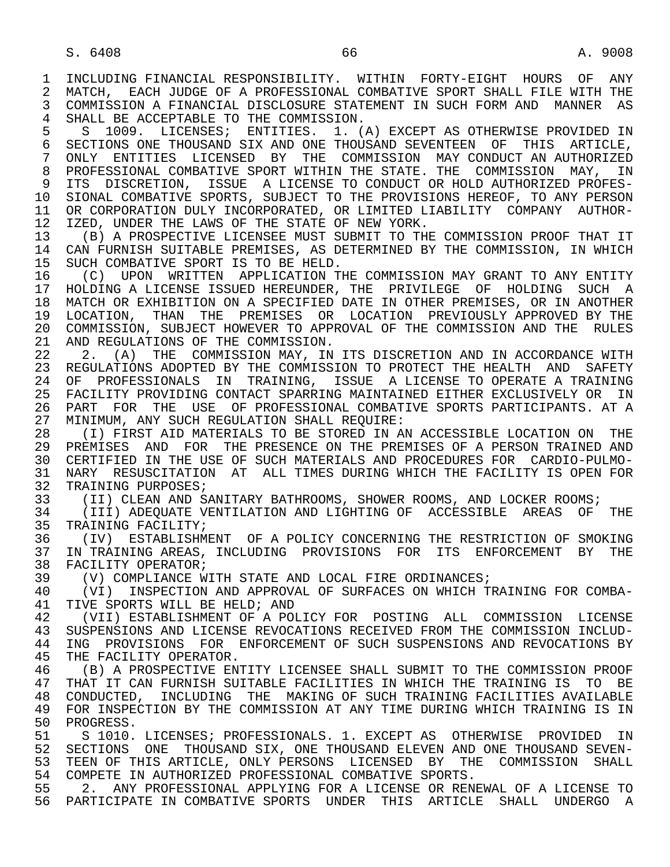$S. 6408$  66 A. 9008 1 INCLUDING FINANCIAL RESPONSIBILITY. WITHIN FORTY-EIGHT HOURS OF ANY<br>2 MATCH, EACH JUDGE OF A PROFESSIONAL COMBATIVE SPORT SHALL FILE WITH THE 2 MATCH, EACH JUDGE OF A PROFESSIONAL COMBATIVE SPORT SHALL FILE WITH THE<br>3 COMMISSION A FINANCIAL DISCLOSURE STATEMENT IN SUCH FORM AND MANNER AS 3 COMMISSION A FINANCIAL DISCLOSURE STATEMENT IN SUCH FORM AND MANNER AS 4 SHALL BE ACCEPTABLE TO THE COMMISSION.<br>5 S 1009. LICENSES; ENTITIES. 1. (1 5 S 1009. LICENSES; ENTITIES. 1. (A) EXCEPT AS OTHERWISE PROVIDED IN<br>6 SECTIONS ONE THOUSAND SIX AND ONE THOUSAND SEVENTEEN OF THIS ARTICLE. 6 SECTIONS ONE THOUSAND SIX AND ONE THOUSAND SEVENTEEN OF THIS ARTICLE,<br>7 ONLY ENTITIES LICENSED BY THE COMMISSION MAY CONDUCT AN AUTHORIZED 7 ONLY ENTITIES LICENSED BY THE COMMISSION MAY-CONDUCT AN-AUTHORIZED 8 PROFESSIONAL COMBATIVE SPORT WITHIN THE STATE. THE COMMISSION MAY, IN 8 PROFESSIONAL COMBATIVE SPORT WITHIN THE STATE. THE COMMISSION MAY, IN<br>9 ITS DISCRETION, ISSUE A LICENSE TO CONDUCT OR HOLD AUTHORIZED PROFES-9 ITS DISCRETION, ISSUE A LICENSE TO CONDUCT OR HOLD AUTHORIZED PROFES-<br>10 SIONAL COMBATIVE SPORTS, SUBJECT TO THE PROVISIONS HEREOF, TO ANY PERSON 10 SIONAL COMBATIVE SPORTS, SUBJECT TO THE PROVISIONS HEREOF, TO ANY PERSON<br>11 OR CORPORATION DULY INCORPORATED, OR LIMITED LIABILITY COMPANY AUTHOR-11 OR CORPORATION DULY INCORPORATED, OR LIMITED LIABILITY COMPANY AUTHOR-<br>12 IZED, UNDER THE LAWS OF THE STATE OF NEW YORK. 12 IZED, UNDER THE LAWS OF THE STATE OF NEW YORK.<br>13 (B) A PROSPECTIVE LICENSEE MUST SUBMIT TO THE 13 (B) A PROSPECTIVE LICENSEE MUST SUBMIT TO THE COMMISSION PROOF THAT IT<br>14 CAN FURNISH SUITABLE PREMISES, AS DETERMINED BY THE COMMISSION, IN WHICH CAN FURNISH SUITABLE PREMISES, AS DETERMINED BY THE COMMISSION, IN WHICH 15 SUCH COMBATIVE SPORT IS TO BE HELD.<br>16 (C) UPON WRITTEN APPLICATION T 16 (C) UPON WRITTEN APPLICATION THE COMMISSION MAY GRANT TO ANY ENTITY<br>17 HOLDING A LICENSE ISSUED HEREUNDER, THE PRIVILEGE OF HOLDING SUCH A 17 HOLDING A LICENSE ISSUED HEREUNDER, THE PRIVILEGE OF HOLDING SUCH A<br>18 MATCH OR EXHIBITION ON A SPECIFIED DATE IN OTHER PREMISES, OR IN ANOTHER 18 MATCH OR EXHIBITION ON A SPECIFIED DATE IN OTHER PREMISES, OR IN ANOTHER<br>19 LOCATION, THAN THE PREMISES OR LOCATION PREVIOUSLY APPROVED BY THE 19 LOCATION, THAN THE PREMISES OR LOCATION PREVIOUSLY APPROVED BY THE 20 COMMISSION. SUBJECT HOWEVER TO APPROVAL OF THE COMMISSION AND THE RULES 20 COMMISSION, SUBJECT HOWEVER TO APPROVAL OF THE COMMISSION AND THE RULES<br>21 AND REGULATIONS OF THE COMMISSION. 21 AND REGULATIONS OF THE COMMISSION.<br>22 2. (A) THE COMMISSION MAY, IN 22 2. (A) THE COMMISSION MAY, IN ITS DISCRETION AND IN ACCORDANCE WITH<br>23 REGULATIONS ADOPTED BY THE COMMISSION TO PROTECT THE HEALTH AND SAFETY 23 REGULATIONS ADOPTED BY THE COMMISSION TO PROTECT THE HEALTH AND SAFETY 24 OF PROFESSIONALS IN TRAINING, ISSUE A LICENSE TO OPERATE A TRAINING<br>25 FACILITY PROVIDING CONTACT SPARRING MAINTAINED EITHER EXCLUSIVELY OR IN 25 FACILITY PROVIDING CONTACT SPARRING MAINTAINED EITHER EXCLUSIVELY OR IN 26 PART FOR THE USE OF PROFESSIONAL COMBATIVE SPORTS PARTICIPANTS. AT A 27 MINIMUM, ANY SUCH REGULATION SHALL REQUIRE: 27 MINIMUM, ANY SUCH REGULATION SHALL REQUIRE:<br>28 (I) FIRST AID MATERIALS TO BE STORED IN A 28 THE REST AND MATERIALS TO BE STORED IN AN ACCESSIBLE LOCATION ON THE 29 PREMISES AND FOR THE PRESENCE ON THE PREMISES OF A PERSON TRAINED AND 29 PREMISES AND FOR THE PRESENCE ON THE PREMISES OF A PERSON TRAINED AND 20 CERTIFIED IN THE USE OF SUCH MATERIALS AND PROCEDURES FOR CARDIO-PULMO- 30 CERTIFIED IN THE USE OF SUCH MATERIALS AND PROCEDURES FOR CARDIO-PULMO- 31 NARY RESUSCITATION AT ALL TIMES DURING WHICH THE FACILITY IS OPEN FOR<br>32 TRAINING PURPOSES; 32 TRAINING PURPOSES;<br>33 (II) CLEAN AND S. 33 (II) CLEAN AND SANITARY BATHROOMS, SHOWER ROOMS, AND LOCKER ROOMS;<br>34 (III) ADEOUATE VENTILATION AND LIGHTING OF ACCESSIBLE AREAS OF 34 (III) ADEQUATE VENTILATION AND LIGHTING OF ACCESSIBLE AREAS OF THE 35 TRAINING FACILITY; 35 TRAINING FACILITY;<br>36 (IV) ESTABLISHME

36 (IV) ESTABLISHMENT OF A POLICY CONCERNING THE RESTRICTION OF SMOKING<br>37 IN TRAINING AREAS, INCLUDING PROVISIONS FOR ITS ENFORCEMENT BY THE 37 IN TRAINING AREAS, INCLUDING PROVISIONS FOR ITS ENFORCEMENT BY THE 38 FACILITY OPERATOR; 38 FACILITY OPERATOR;<br>39 (V) COMPLIANCE W

39 (V) COMPLIANCE WITH STATE AND LOCAL FIRE ORDINANCES;<br>40 (VI) INSPECTION AND APPROVAL OF SURFACES ON WHICH T

40 (VI) INSPECTION AND APPROVAL OF SURFACES ON WHICH TRAINING FOR COMBA-<br>41 TIVE SPORTS WILL BE HELD; AND 41 TIVE SPORTS WILL BE HELD; AND<br>42 (VII) ESTABLISHMENT OF A PO

42 (VII) ESTABLISHMENT OF A POLICY FOR POSTING ALL COMMISSION LICENSE<br>43 SUSPENSIONS AND LICENSE REVOCATIONS RECEIVED FROM THE COMMISSION INCLUD-43 SUSPENSIONS AND LICENSE REVOCATIONS RECEIVED FROM THE COMMISSION INCLUD-<br>44 ING PROVISIONS FOR ENFORCEMENT OF SUCH SUSPENSIONS AND REVOCATIONS BY 44 ING PROVISIONS FOR ENFORCEMENT OF SUCH SUSPENSIONS AND REVOCATIONS BY<br>45 THE FACILITY OPERATOR. THE FACILITY OPERATOR.

46 (B) A PROSPECTIVE ENTITY LICENSEE SHALL SUBMIT TO THE COMMISSION PROOF<br>47 THAT IT CAN FURNISH SUITABLE FACILITIES IN WHICH THE TRAINING IS TO BE 47 THAT IT CAN FURNISH SUITABLE FACILITIES IN WHICH THE TRAINING IS TO BE 48 CONDUCTED. INCLUDING THE MAKING OF SUCH TRAINING FACILITIES AVAILABLE 48 CONDUCTED, INCLUDING THE MAKING OF SUCH TRAINING FACILITIES AVAILABLE<br>49 FOR INSPECTION BY THE COMMISSION AT ANY TIME DURING WHICH TRAINING IS IN 49 FOR INSPECTION BY THE COMMISSION AT ANY TIME DURING WHICH TRAINING IS IN 50 PROGRESS. 50 PROGRESS.<br>51 S 1010.

51 S 1010. LICENSES; PROFESSIONALS. 1. EXCEPT AS OTHERWISE PROVIDED IN<br>52 SECTIONS ONE THOUSAND SIX, ONE THOUSAND ELEVEN AND ONE THOUSAND SEVEN-52 SECTIONS ONE THOUSAND SIX, ONE THOUSAND ELEVEN AND ONE THOUSAND SEVEN-<br>53 TEEN OF THIS ARTICLE, ONLY PERSONS LICENSED BY THE COMMISSION SHALL 53 TEEN OF THIS ARTICLE, ONLY PERSONS LICENSED BY THE COMMISSION SHALL<br>54 COMPETE IN AUTHORIZED PROFESSIONAL COMBATIVE SPORTS 54 COMPETE IN AUTHORIZED PROFESSIONAL COMBATIVE SPORTS.<br>55 2. ANY PROFESSIONAL APPLYING FOR A LICENSE OR RENE

 55 2. ANY PROFESSIONAL APPLYING FOR A LICENSE OR RENEWAL OF A LICENSE TO 56 PARTICIPATE IN COMBATIVE SPORTS UNDER THIS ARTICLE SHALL UNDERGO A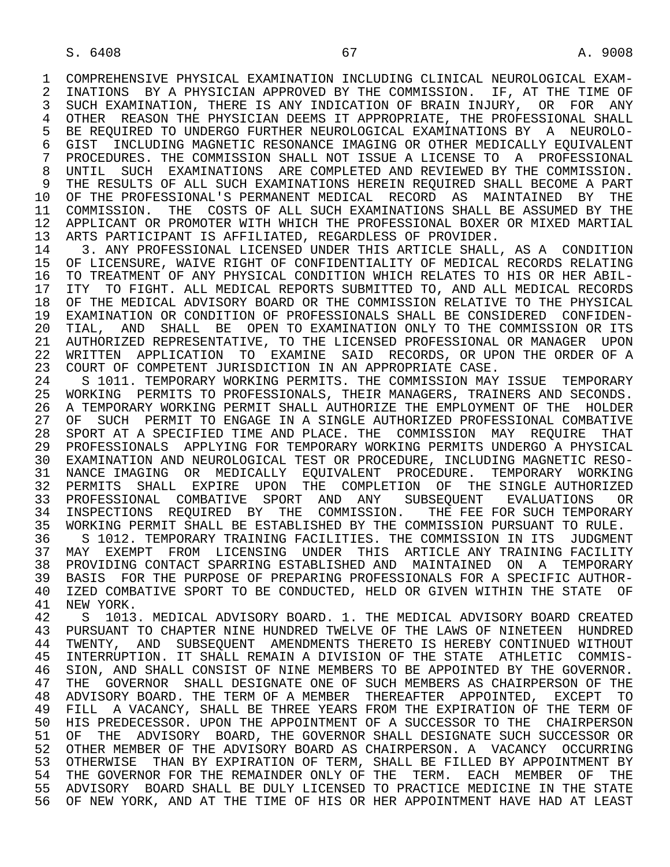1 COMPREHENSIVE PHYSICAL EXAMINATION INCLUDING CLINICAL NEUROLOGICAL EXAM-<br>2 INATIONS BY A PHYSICIAN APPROVED BY THE COMMISSION. IF, AT THE TIME OF 2 INATIONS BY A PHYSICIAN APPROVED BY THE COMMISSION. IF, AT THE TIME OF<br>3 SUCH EXAMINATION, THERE IS ANY INDICATION OF BRAIN INJURY, OR FOR ANY 3 SUCH EXAMINATION, THERE IS ANY INDICATION OF BRAIN INJURY, OR FOR ANY 4 OTHER REASON THE PHYSICIAN DEEMS IT APPROPRIATE, THE PROFESSIONAL SHALL<br>5 BE REOUIRED TO UNDERGO FURTHER NEUROLOGICAL EXAMINATIONS BY A NEUROLO-5 BE REQUIRED TO UNDERGO FURTHER NEUROLOGICAL EXAMINATIONS BY A NEUROLO-<br>6 GIST INCLUDING MAGNETIC RESONANCE IMAGING OR OTHER MEDICALLY EOUIVALENT 6 GIST INCLUDING MAGNETIC RESONANCE IMAGING OR OTHER MEDICALLY EQUIVALENT<br>7 PROCEDURES. THE COMMISSION SHALL NOT ISSUE A LICENSE TO A PROFESSIONAL 7 PROCEDURES. THE COMMISSION SHALL NOT ISSUE A LICENSE TO A PROFESSIONAL<br>8 UNTIL SUCH EXAMINATIONS ARE COMPLETED AND REVIEWED BY THE COMMISSION. 8 UNTIL SUCH EXAMINATIONS ARE COMPLETED AND REVIEWED BY THE COMMISSION.<br>9 THE RESULTS OF ALL SUCH EXAMINATIONS HEREIN REOUIRED SHALL BECOME A PART 9 THE RESULTS OF ALL SUCH EXAMINATIONS HEREIN REQUIRED SHALL BECOME A PART<br>10 OF THE PROFESSIONAL'S PERMANENT MEDICAL RECORD AS MAINTAINED BY THE 10 OF THE PROFESSIONAL'S PERMANENT MEDICAL RECORD AS MAINTAINED BY THE<br>11 COMMISSION. THE COSTS OF ALL SUCH EXAMINATIONS SHALL BE ASSUMED BY THE 11 COMMISSION. THE COSTS OF ALL SUCH EXAMINATIONS SHALL BE ASSUMED BY THE 12 APPLICANT OR PROMOTER WITH WHICH THE PROFESSIONAL BOXER OR MIXED MARTIAL 12 APPLICANT OR PROMOTER WITH WHICH THE PROFESSIONAL BOXER OR MIXED MARTIAL<br>13 ARTS PARTICIPANT IS AFFILIATED, REGARDLESS OF PROVIDER. 13 ARTS PARTICIPANT IS AFFILIATED, REGARDLESS OF PROVIDER.<br>14 3. ANY PROFESSIONAL LICENSED UNDER THIS ARTICLE SHALL

14 3. ANY PROFESSIONAL LICENSED UNDER THIS ARTICLE SHALL, AS A CONDITION<br>15 OF LICENSURE, WAIVE RIGHT OF CONFIDENTIALITY OF MEDICAL RECORDS RELATING 15 OF LICENSURE, WAIVE RIGHT OF CONFIDENTIALITY OF MEDICAL RECORDS RELATING<br>16 TO TREATMENT OF ANY PHYSICAL CONDITION WHICH RELATES TO HIS OR HER ABIL-16 TO TREATMENT OF ANY PHYSICAL CONDITION WHICH RELATES TO HIS OR HER ABIL-<br>17 ITY TO FIGHT, ALL MEDICAL REPORTS SUBMITTED TO, AND ALL MEDICAL RECORDS 17 ITY TO FIGHT. ALL MEDICAL REPORTS SUBMITTED TO, AND ALL MEDICAL RECORDS<br>18 OF THE MEDICAL ADVISORY BOARD OR THE COMMISSION RELATIVE TO THE PHYSICAL 18 OF THE MEDICAL ADVISORY BOARD OR THE COMMISSION RELATIVE TO THE PHYSICAL<br>19 EXAMINATION OR CONDITION OF PROFESSIONALS SHALL BE CONSIDERED CONFIDEN-19 EXAMINATION OR CONDITION OF PROFESSIONALS SHALL BE CONSIDERED CONFIDEN-<br>20 TIAL, AND SHALL BE OPEN TO EXAMINATION ONLY TO THE COMMISSION OR ITS 20 TIAL, AND SHALL BE OPEN TO EXAMINATION ONLY TO THE COMMISSION OR ITS<br>21 AUTHORIZED REPRESENTATIVE, TO THE LICENSED PROFESSIONAL OR MANAGER UPON 21 AUTHORIZED REPRESENTATIVE, TO THE LICENSED PROFESSIONAL OR MANAGER UPON<br>22 WRITTEN APPLICATION TO EXAMINE SAID RECORDS, OR UPON THE ORDER OF A 22 WRITTEN APPLICATION TO EXAMINE SAID RECORDS, OR UPON THE ORDER OF A<br>23 COURT OF COMPETENT JURISDICTION IN AN APPROPRIATE CASE. 23 COURT OF COMPETENT JURISDICTION IN AN APPROPRIATE CASE.<br>24 S 1011. TEMPORARY WORKING PERMITS. THE COMMISSION MAY

24 S 1011. TEMPORARY WORKING PERMITS. THE COMMISSION MAY ISSUE TEMPORARY<br>25 WORKING PERMITS TO PROFESSIONALS, THEIR MANAGERS, TRAINERS AND SECONDS. 25 WORKING PERMITS TO PROFESSIONALS, THEIR MANAGERS, TRAINERS AND SECONDS. 26 A TEMPORARY WORKING PERMIT SHALL AUTHORIZE THE EMPLOYMENT OF THE HOLDER<br>27 OF SUCH PERMIT TO ENGAGE IN A SINGLE AUTHORIZED PROFESSIONAL COMBATIVE 27 OF SUCH PERMIT TO ENGAGE IN A SINGLE AUTHORIZED PROFESSIONAL COMBATIVE<br>28 SPORT AT A SPECIFIED TIME AND PLACE. THE COMMISSION MAY REOUIRE THAT 28 SPORT AT A SPECIFIED TIME AND PLACE. THE COMMISSION MAY REQUIRE THAT<br>29 PROFESSIONALS APPLYING FOR TEMPORARY WORKING PERMITS UNDERGO A PHYSICAL 29 PROFESSIONALS APPLYING FOR TEMPORARY WORKING PERMITS UNDERGO A PHYSICAL 30 EXAMINATION AND NEUROLOGICAL TEST OR PROCEDURE, INCLUDING MAGNETIC RESO- 31 NANCE IMAGING OR MEDICALLY EQUIVALENT PROCEDURE. TEMPORARY WORKING 32 PERMITS SHALL EXPIRE UPON THE COMPLETION OF THE SINGLE AUTHORIZED 33 PROFESSIONAL COMBATIVE SPORT AND ANY SUBSEQUENT EVALUATIONS OR<br>34 INSPECTIONS REOUIRED BY THE COMMISSION. THE FEE FOR SUCH TEMPORARY 34 INSPECTIONS REQUIRED BY THE COMMISSION. THE FEE FOR SUCH TEMPORARY<br>35 WORKING PERMIT SHALL BE ESTABLISHED BY THE COMMISSION PURSUANT TO RULE. 35 WORKING PERMIT SHALL BE ESTABLISHED BY THE COMMISSION PURSUANT TO RULE.<br>36 S 1012. TEMPORARY TRAINING FACILITIES. THE COMMISSION IN ITS JUDGMENT 36 S 1012. TEMPORARY TRAINING FACILITIES. THE COMMISSION IN ITS JUDGMENT<br>37 MAY EXEMPT FROM LICENSING UNDER THIS ARTICLE ANY TRAINING FACILITY 37 MAY EXEMPT FROM LICENSING UNDER THIS ARTICLE ANY TRAINING FACILITY 38 PROVIDING CONTACT SPARRING ESTABLISHED AND MAINTAINED ON A TEMPORARY<br>39 BASIS FOR THE PURPOSE OF PREPARING PROFESSIONALS FOR A SPECIFIC AUTHOR-

39 BASIS FOR THE PURPOSE OF PREPARING PROFESSIONALS FOR A SPECIFIC AUTHOR-<br>40 IZED COMBATIVE SPORT TO BE CONDUCTED, HELD OR GIVEN WITHIN THE STATE OF 40 IZED COMBATIVE SPORT TO BE CONDUCTED, HELD OR GIVEN WITHIN THE STATE OF 41 NEW YORK. 41 NEW YORK.<br>42 S 1013

42 S 1013. MEDICAL ADVISORY BOARD. 1. THE MEDICAL ADVISORY BOARD CREATED<br>43 PURSUANT TO CHAPTER NINE HUNDRED TWELVE OF THE LAWS OF NINETEEN HUNDRED 43 PURSUANT TO CHAPTER NINE HUNDRED TWELVE OF THE LAWS OF NINETEEN HUNDRED<br>44 TWENTY, AND SUBSEOUENT AMENDMENTS THERETO IS HEREBY CONTINUED WITHOUT 44 TWENTY, AND SUBSEQUENT AMENDMENTS THERETO IS HEREBY CONTINUED WITHOUT<br>45 INTERRUPTION. IT SHALL REMAIN A DIVISION OF THE STATE ATHLETIC COMMIS- 45 INTERRUPTION. IT SHALL REMAIN A DIVISION OF THE STATE ATHLETIC COMMIS- 46 SION, AND SHALL CONSIST OF NINE MEMBERS TO BE APPOINTED BY THE GOVERNOR.<br>47 THE GOVERNOR SHALL DESIGNATE ONE OF SUCH MEMBERS AS CHAIRPERSON OF THE 47 THE GOVERNOR SHALL DESIGNATE ONE OF SUCH MEMBERS AS CHAIRPERSON OF THE 48 ADVISORY BOARD. THE TERM OF A MEMBER THEREAFTER APPOINTED. EXCEPT TO 48 ADVISORY BOARD. THE TERM OF A MEMBER THEREAFTER APPOINTED, EXCEPT TO 49 FILL A VACANCY, SHALL BE THREE YEARS FROM THE EXPIRATION OF THE TERM OF 49 FILL A VACANCY, SHALL BE THREE YEARS FROM THE EXPIRATION OF THE TERM OF 50 HIS PREDECESSOR. UPON THE APPOINTMENT OF A SUCCESSOR TO THE CHAIRPERSON 50 HIS PREDECESSOR. UPON THE APPOINTMENT OF A SUCCESSOR TO THE CHAIRPERSON<br>51 OF THE ADVISORY BOARD, THE GOVERNOR SHALL DESIGNATE SUCH SUCCESSOR OR 51 OF THE ADVISORY BOARD, THE GOVERNOR SHALL DESIGNATE SUCH SUCCESSOR OR<br>52 OTHER MEMBER OF THE ADVISORY BOARD AS CHAIRPERSON. A VACANCY OCCURRING 52 OTHER MEMBER OF THE ADVISORY BOARD AS CHAIRPERSON. A VACANCY OCCURRING<br>53 OTHERWISE THAN BY EXPIRATION OF TERM, SHALL BE FILLED BY APPOINTMENT BY 53 OTHERWISE THAN BY EXPIRATION OF TERM, SHALL BE FILLED BY APPOINTMENT BY<br>54 THE GOVERNOR FOR THE REMAINDER ONLY OF THE TERM. FACH MEMBER OF THE 54 THE GOVERNOR FOR THE REMAINDER ONLY OF THE TERM. EACH MEMBER OF THE<br>55 ADVISORY BOARD SHALL BE DULY LICENSED TO PRACTICE MEDICINE IN THE STATE 55 ADVISORY BOARD SHALL BE DULY LICENSED TO PRACTICE MEDICINE IN THE STATE 56 OF NEW YORK, AND AT THE TIME OF HIS OR HER APPOINTMENT HAVE HAD AT LEAST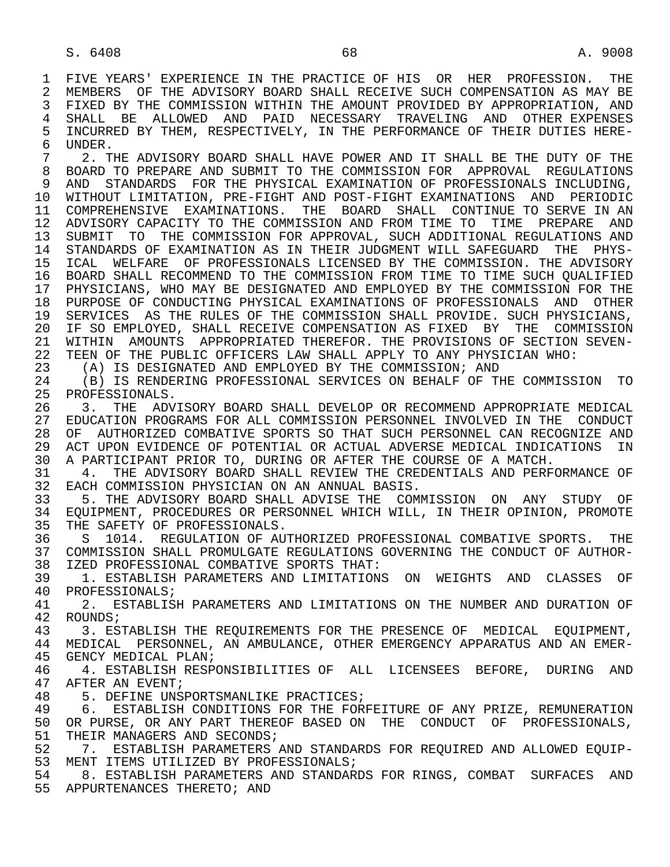1 FIVE YEARS' EXPERIENCE IN THE PRACTICE OF HIS OR HER PROFESSION. THE<br>2 MEMBERS OF THE ADVISORY BOARD SHALL RECEIVE SUCH COMPENSATION AS MAY BE 2 MEMBERS OF THE ADVISORY BOARD SHALL RECEIVE SUCH COMPENSATION AS MAY BE<br>3 FIXED BY THE COMMISSION WITHIN THE AMOUNT PROVIDED BY APPROPRIATION, AND 3 FIXED BY THE COMMISSION WITHIN THE AMOUNT PROVIDED BY APPROPRIATION, AND 4 SHALL BE ALLOWED AND PAID NECESSARY TRAVELING AND OTHER-EXPENSES<br>5 INCURRED-BY-THEM, RESPECTIVELY, IN-THE-PERFORMANCE-OF-THEIR-DUTIES-HERE-5 INCURRED BY THEM, RESPECTIVELY, IN THE PERFORMANCE OF THEIR DUTIES HERE-<br>6 UNDER. 6 UNDER.<br>7 2. T

 7 2. THE ADVISORY BOARD SHALL HAVE POWER AND IT SHALL BE THE DUTY OF THE 8 BOARD TO PREPARE AND SUBMIT TO THE COMMISSION FOR APPROVAL REGULATIONS<br>9 AND STANDARDS FOR THE PHYSICAL EXAMINATION OF PROFESSIONALS INCLUDING. 9 AND STANDARDS FOR THE PHYSICAL EXAMINATION OF PROFESSIONALS INCLUDING, 10 WITHOUT LIMITATION, PRE-FIGHT AND POST-FIGHT EXAMINATIONS AND PERIODIC<br>11 COMPREHENSIVE EXAMINATIONS. THE BOARD SHALL CONTINUE TO SERVE IN AN 11 COMPREHENSIVE EXAMINATIONS. THE BOARD SHALL CONTINUE TO SERVE IN AN 12 ADVISORY CAPACITY TO THE COMMISSION AND FROM TIME TO TIME PREPARE AND<br>13 SUBMIT TO THE COMMISSION FOR APPROVAL, SUCH ADDITIONAL REGULATIONS AND 13 SUBMIT TO THE COMMISSION FOR APPROVAL, SUCH ADDITIONAL REGULATIONS AND<br>14 STANDARDS OF EXAMINATION AS IN THEIR JUDGMENT WILL SAFEGUARD THE PHYS- 14 STANDARDS OF EXAMINATION AS IN THEIR JUDGMENT WILL SAFEGUARD THE PHYS- 15 ICAL WELFARE OF PROFESSIONALS LICENSED BY THE COMMISSION. THE ADVISORY 16 BOARD SHALL RECOMMEND TO THE COMMISSION FROM TIME TO TIME SUCH QUALIFIED<br>17 PHYSICIANS, WHO MAY BE DESIGNATED AND EMPLOYED BY THE COMMISSION FOR THE 17 PHYSICIANS, WHO MAY BE DESIGNATED AND EMPLOYED BY THE COMMISSION FOR THE 18 PURPOSE OF CONDUCTING PHYSICAL EXAMINATIONS OF PROFESSIONALS AND OTHER<br>19 SERVICES AS THE RULES OF THE COMMISSION SHALL PROVIDE. SUCH PHYSICIANS. 19 SERVICES AS THE RULES OF THE COMMISSION SHALL PROVIDE. SUCH PHYSICIANS,<br>20 IF SO EMPLOYED, SHALL RECEIVE COMPENSATION AS FIXED BY THE COMMISSION 20 IF SO EMPLOYED, SHALL RECEIVE COMPENSATION AS FIXED BY THE COMMISSION<br>21 WITHIN AMOUNTS APPROPRIATED THEREFOR. THE PROVISIONS OF SECTION SEVEN-21 WITHIN AMOUNTS APPROPRIATED THEREFOR. THE PROVISIONS OF SECTION SEVEN-<br>22 TEEN OF THE PUBLIC OFFICERS LAW SHALL APPLY TO ANY PHYSICIAN WHO: 22 TEEN OF THE PUBLIC OFFICERS LAW SHALL APPLY TO ANY PHYSICIAN WHO:<br>23 (A) IS DESIGNATED AND EMPLOYED BY THE COMMISSION; AND

23 (A) IS DESIGNATED AND EMPLOYED BY THE COMMISSION; AND 24 (B) IS RENDERING PROFESSIONAL SERVICES ON BEHALF OF TI

24 (B) IS RENDERING PROFESSIONAL SERVICES ON BEHALF OF THE COMMISSION TO 25 PROFESSIONALS. PROFESSIONALS.

 26 3. THE ADVISORY BOARD SHALL DEVELOP OR RECOMMEND APPROPRIATE MEDICAL 27 EDUCATION PROGRAMS FOR ALL COMMISSION PERSONNEL INVOLVED IN THE CONDUCT<br>28 OF AUTHORIZED COMBATIVE SPORTS SO THAT SUCH PERSONNEL CAN RECOGNIZE AND 28 OF AUTHORIZED COMBATIVE SPORTS SO THAT SUCH PERSONNEL CAN RECOGNIZE AND<br>29 ACT UPON EVIDENCE OF POTENTIAL OR ACTUAL ADVERSE MEDICAL INDICATIONS IN 29 ACT UPON EVIDENCE OF POTENTIAL OR ACTUAL ADVERSE MEDICAL INDICATIONS IN<br>30 A PARTICIPANT PRIOR TO DURING OR AFTER THE COURSE OF A MATCH 30 A PARTICIPANT PRIOR TO, DURING OR AFTER THE COURSE OF A MATCH.<br>31 G 4. THE ADVISORY BOARD SHALL REVIEW THE CREDENTIALS AND PERF

31 4. THE ADVISORY BOARD SHALL REVIEW THE CREDENTIALS AND PERFORMANCE OF 32 EACH COMMISSION PHYSICIAN ON AN ANNUAL BASIS. 32 EACH COMMISSION PHYSICIAN ON AN ANNUAL BASIS.<br>33 5. THE ADVISORY BOARD SHALL ADVISE THE COM

33 5. THE ADVISORY BOARD SHALL ADVISE THE COMMISSION ON ANY STUDY OF 34 EOUIPMENT, PROCEDURES OR PERSONNEL WHICH WILL, IN THEIR OPINION, PROMOTE 34 EQUIPMENT, PROCEDURES OR PERSONNEL WHICH WILL, IN THEIR OPINION, PROMOTE<br>35 THE SAFETY OF PROFESSIONALS. 35 THE SAFETY OF PROFESSIONALS.<br>36 S 1014. REGULATION OF AUT

 36 S 1014. REGULATION OF AUTHORIZED PROFESSIONAL COMBATIVE SPORTS. THE 37 COMMISSION SHALL PROMULGATE REGULATIONS GOVERNING THE CONDUCT OF AUTHOR- 38 IZED PROFESSIONAL COMBATIVE SPORTS THAT:

39 1. ESTABLISH PARAMETERS AND LIMITATIONS ON WEIGHTS AND CLASSES OF 40 PROFESSIONALS; 40 PROFESSIONALS;<br>41 2 ESTABLIS

41 2. ESTABLISH PARAMETERS AND LIMITATIONS ON THE NUMBER AND DURATION OF 42 ROUNDS; 42 ROUNDS;<br>43 3 ES

43 3. ESTABLISH THE REQUIREMENTS FOR THE PRESENCE OF MEDICAL EQUIPMENT,<br>44 MEDICAL PERSONNEL, AN AMBULANCE, OTHER EMERGENCY APPARATUS AND AN EMER-44 MEDICAL PERSONNEL, AN AMBULANCE, OTHER EMERGENCY APPARATUS AND AN EMER-45 GENCY MEDICAL PLAN; GENCY MEDICAL PLAN;

46 4. ESTABLISH RESPONSIBILITIES OF ALL LICENSEES BEFORE, DURING AND 47 AFTER AN EVENT: 47 AFTER AN EVENT;<br>48 5. DEFINE UNS

48 5. DEFINE UNSPORTSMANLIKE PRACTICES;<br>49 6. ESTABLISH CONDITIONS FOR THE FOR 49 6. ESTABLISH CONDITIONS FOR THE FORFEITURE OF ANY PRIZE, REMUNERATION<br>50 OR PURSE, OR ANY PART THEREOF BASED ON THE CONDUCT OF PROFESSIONALS, 50 OR PURSE, OR ANY PART THEREOF BASED ON THE CONDUCT OF PROFESSIONALS, 51 THEIR MANAGERS AND SECONDS; 51 THEIR MANAGERS AND SECONDS;<br>52 7. ESTABLISH PARAMETERS ;

 52 7. ESTABLISH PARAMETERS AND STANDARDS FOR REQUIRED AND ALLOWED EQUIP- 53 MENT ITEMS UTILIZED BY PROFESSIONALS;

 54 8. ESTABLISH PARAMETERS AND STANDARDS FOR RINGS, COMBAT SURFACES AND 55 APPURTENANCES THERETO; AND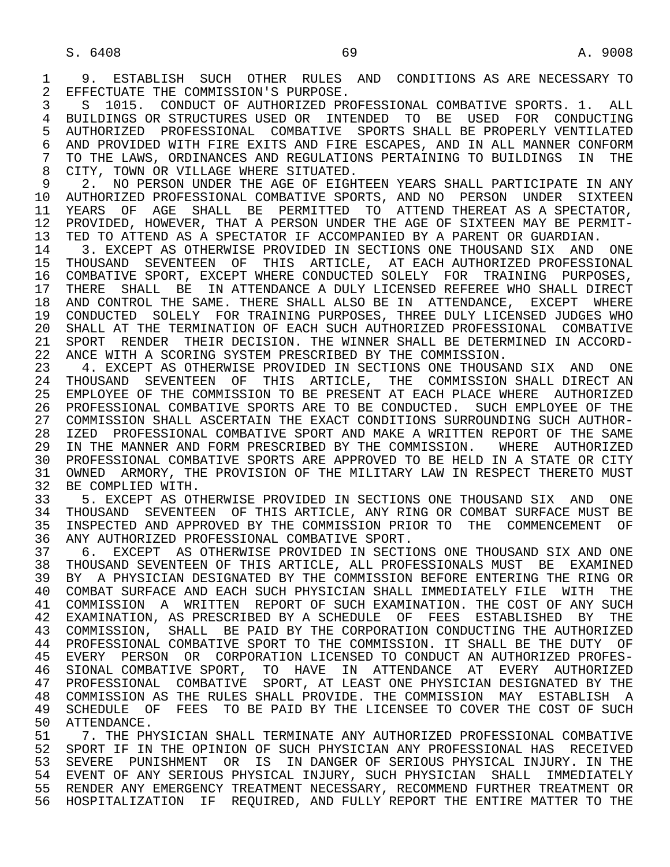3 S 1015. CONDUCT OF AUTHORIZED PROFESSIONAL COMBATIVE SPORTS. 1. ALL<br>4 BUILDINGS OR STRUCTURES USED OR INTENDED. TO BE USED FOR CONDUCTING 4 BUILDINGS OR STRUCTURES USED OR INTENDED TO BE USED FOR CONDUCTING<br>5 AUTHORIZED PROFESSIONAL COMBATIVE SPORTS SHALL BE PROPERLY VENTILATED 5 AUTHORIZED PROFESSIONAL COMBATIVE SPORTS-SHALL- BE PROPERLY VENTILATED<br>6 AND PROVIDED WITH FIRE EXITS AND FIRE ESCAPES, AND IN ALL MANNER CONFORM 6 AND PROVIDED WITH FIRE EXITS AND FIRE ESCAPES, AND IN ALL MANNER CONFORM<br>7 TO THE LAWS, ORDINANCES AND REGULATIONS PERTAINING TO BUILDINGS IN THE 7 TO THE LAWS, ORDINANCES AND REGULATIONS PERTAINING TO BUILDINGS IN THE 3 CITY. TOWN OR VILLAGE WHERE SITUATED. 8 CITY, TOWN OR VILLAGE WHERE SITUATED.<br>9 2. NO PERSON UNDER THE AGE OF EIGH

9 2. NO PERSON UNDER THE AGE OF EIGHTEEN YEARS SHALL PARTICIPATE IN ANY<br>10 AUTHORIZED PROFESSIONAL COMBATIVE SPORTS, AND NO PERSON UNDER SIXTEEN 10 AUTHORIZED PROFESSIONAL COMBATIVE SPORTS, AND NO PERSON UNDER SIXTEEN<br>11 YEARS OF AGE SHALL BE PERMITTED TO ATTEND-THEREAT AS A-SPECTATOR. 11 YEARS OF AGE SHALL BE PERMITTED TO ATTEND THEREAT AS A SPECTATOR,<br>12 PROVIDED, HOWEVER, THAT A PERSON UNDER THE AGE OF SIXTEEN MAY BE PERMIT-12 PROVIDED, HOWEVER, THAT A PERSON UNDER THE AGE OF SIXTEEN MAY BE PERMIT-<br>13 TED TO ATTEND AS A SPECTATOR IF ACCOMPANIED BY A PARENT OR GUARDIAN. 13 TED TO ATTEND AS A SPECTATOR IF ACCOMPANIED BY A PARENT OR GUARDIAN.<br>14 3. EXCEPT AS OTHERWISE PROVIDED IN SECTIONS ONE THOUSAND SIX AND

14 13. EXCEPT AS OTHERWISE PROVIDED IN SECTIONS ONE THOUSAND SIX AND ONE 15 THOUSAND SEVENTEEN OF THIS ARTICLE, AT EACH AUTHORIZED PROFESSIONAL 15 THOUSAND SEVENTEEN OF THIS ARTICLE, AT EACH-AUTHORIZED-PROFESSIONAL<br>16 COMBATIVE SPORT, EXCEPT-WHERE-CONDUCTED-SOLELY FOR TRAINING PURPOSES, 16 COMBATIVE SPORT, EXCEPT WHERE CONDUCTED SOLELY FOR TRAINING PURPOSES,<br>17 THERE SHALL BE IN ATTENDANCE A DULY LICENSED REFEREE WHO SHALL DIRECT 17 THERE SHALL BE IN ATTENDANCE A DULY LICENSED REFEREE WHO SHALL DIRECT<br>18 AND CONTROL THE SAME. THERE SHALL ALSO BE IN ATTENDANCE, EXCEPT WHERE 18 AND CONTROL THE SAME. THERE SHALL ALSO BE IN ATTENDANCE, EXCEPT WHERE<br>19 CONDUCTED SOLELY FOR TRAINING PURPOSES, THREE DULY LICENSED JUDGES WHO 19 CONDUCTED SOLELY FOR TRAINING PURPOSES, THREE DULY LICENSED JUDGES WHO<br>20 SHALL AT THE TERMINATION OF EACH SUCH AUTHORIZED PROFESSIONAL COMBATIVE 20 SHALL AT THE TERMINATION OF EACH SUCH AUTHORIZED PROFESSIONAL COMBATIVE<br>21 SPORT RENDER THEIR DECISION. THE WINNER SHALL BE DETERMINED IN ACCORD-21 SPORT RENDER THEIR DECISION. THE WINNER SHALL BE DETERMINED IN ACCORD-<br>22 ANCE WITH A SCORING SYSTEM PRESCRIBED BY THE COMMISSION. 22 ANCE WITH A SCORING SYSTEM PRESCRIBED BY THE COMMISSION.<br>23 4. EXCEPT AS OTHERWISE PROVIDED IN SECTIONS ONE THOUSAL

23 4. EXCEPT AS OTHERWISE PROVIDED IN SECTIONS ONE THOUSAND SIX AND ONE 24 THOUSAND SEVENTEEN OF THIS ARTICLE, THE COMMISSION SHALL DIRECT AN 24 THOUSAND SEVENTEEN OF THIS ARTICLE, THE COMMISSION SHALL DIRECT AN 25 EMPLOYEE OF THE COMMISSION TO BE PRESENT AT EACH PLACE WHERE AUTHORIZED 25 EMPLOYEE OF THE COMMISSION TO BE PRESENT AT EACH PLACE WHERE AUTHORIZED 26 PROFESSIONAL COMBATIVE SPORTS ARE TO BE CONDUCTED. SUCH EMPLOYEE OF THE 27 COMMISSION SHALL ASCERTAIN THE EXACT CONDITIONS SURROUNDING SUCH AUTHOR-<br>28 IZED PROFESSIONAL COMBATIVE SPORT AND MAKE A WRITTEN REPORT OF THE SAME 28 IZED PROFESSIONAL COMBATIVE SPORT AND MAKE A WRITTEN REPORT OF THE SAME<br>29 IN THE MANNER AND FORM PRESCRIBED BY THE COMMISSION. WHERE AUTHORIZED 29 IN THE MANNER AND FORM PRESCRIBED BY THE COMMISSION. WHERE AUTHORIZED 30 PROFESSIONAL COMBATIVE SPORTS ARE APPROVED TO BE HELD IN A STATE OR CITY 31 OWNED ARMORY, THE PROVISION OF THE MILITARY LAW IN RESPECT THERETO MUST<br>32 BE COMPLIED WITH. 32 BE COMPLIED WITH.<br>33 5. EXCEPT AS OT

33 5. EXCEPT AS OTHERWISE PROVIDED IN SECTIONS ONE THOUSAND SIX AND ONE 34 THOUSAND SEVENTEEN OF THIS ARTICLE, ANY RING OR COMBAT SURFACE MUST BE 34 THOUSAND SEVENTEEN OF THIS ARTICLE, ANY RING OR COMBAT SURFACE MUST BE<br>35 INSPECTED AND APPROVED BY THE COMMISSION PRIOR TO THE COMMENCEMENT OF 35 INSPECTED AND APPROVED BY THE COMMISSION PRIOR TO THE COMMENCEMENT OF<br>36 ANY AUTHORIZED PROFESSIONAL COMBATIVE SPORT. 36 ANY AUTHORIZED PROFESSIONAL COMBATIVE SPORT.

 37 6. EXCEPT AS OTHERWISE PROVIDED IN SECTIONS ONE THOUSAND SIX AND ONE 38 THOUSAND SEVENTEEN OF THIS ARTICLE, ALL PROFESSIONALS MUST BE EXAMINED<br>39 BY A PHYSICIAN DESIGNATED BY THE COMMISSION BEFORE ENTERING THE RING OR 39 BY A PHYSICIAN DESIGNATED BY THE COMMISSION BEFORE ENTERING THE RING OR<br>40 COMBAT SURFACE AND EACH SUCH PHYSICIAN SHALL IMMEDIATELY FILE WITH THE 40 COMBAT SURFACE AND EACH SUCH PHYSICIAN SHALL IMMEDIATELY FILE WITH THE 41 COMMISSION A WRITTEN REPORT OF SUCH EXAMINATION. THE COST OF ANY SUCH 42 EXAMINATION, AS PRESCRIBED BY A SCHEDULE OF FEES ESTABLISHED BY THE 43 COMMISSION, SHALL BE PAID BY THE CORPORATION CONDUCTING THE AUTHORIZED 44 PROFESSIONAL COMBATIVE SPORT TO THE COMMISSION. IT SHALL BE THE DUTY OF 45 EVERY PERSON OR CORPORATION LICENSED TO CONDUCT AN AUTHORIZED PROFES- 46 SIONAL COMBATIVE SPORT, TO HAVE IN ATTENDANCE AT EVERY AUTHORIZED 47 PROFESSIONAL COMBATIVE SPORT, AT LEAST ONE PHYSICIAN DESIGNATED BY THE 48 COMMISSION AS THE RULES SHALL PROVIDE. THE COMMISSION MAY ESTABLISH A<br>49 SCHEDULE OF FEES TO BE PAID BY THE LICENSEE TO COVER THE COST OF SUCH 49 SCHEDULE OF FEES TO BE PAID BY THE LICENSEE TO COVER THE COST OF SUCH 50 ATTENDANCE. 50 ATTENDANCE.<br>51 7. THE PH

51 51 7. THE PHYSICIAN SHALL TERMINATE ANY AUTHORIZED PROFESSIONAL COMBATIVE<br>52 SPORT IF IN THE OPINION OF SUCH PHYSICIAN ANY PROFESSIONAL HAS RECEIVED 52 SPORT IF IN THE OPINION OF SUCH PHYSICIAN ANY PROFESSIONAL HAS RECEIVED<br>53 SEVERE PUNISHMENT OR IS IN DANGER OF SERIOUS PHYSICAL INJURY. IN THE 53 SEVERE PUNISHMENT OR IS IN DANGER OF SERIOUS PHYSICAL INJURY. IN THE<br>54 EVENT OF ANY SERIOUS PHYSICAL INJURY, SUCH PHYSICIAN SHALL, IMMEDIATELY 54 EVENT OF ANY SERIOUS PHYSICAL INJURY, SUCH PHYSICIAN SHALL IMMEDIATELY 55 RENDER ANY EMERGENCY TREATMENT NECESSARY, RECOMMEND FURTHER TREATMENT OR 56 HOSPITALIZATION IF REQUIRED, AND FULLY REPORT THE ENTIRE MATTER TO THE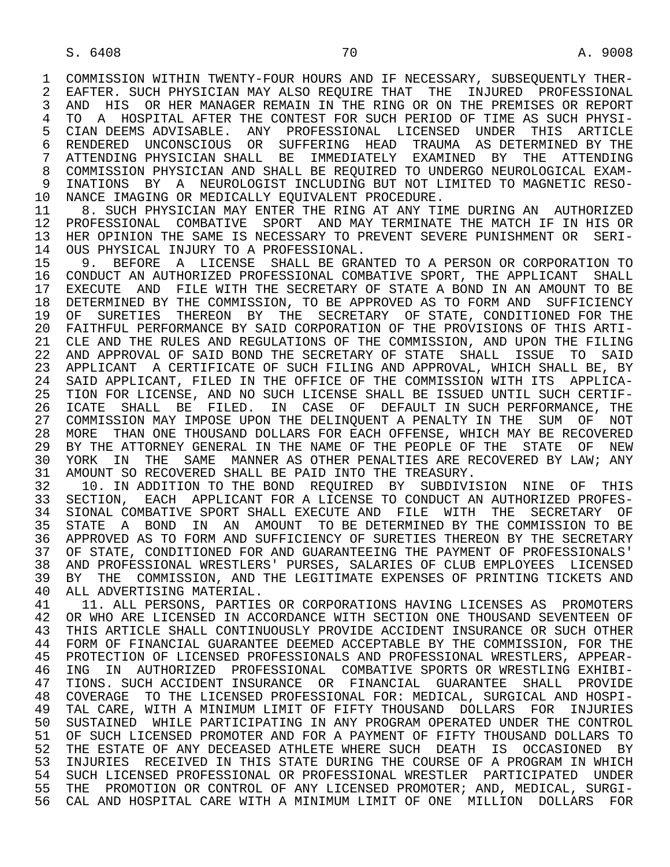1 COMMISSION WITHIN TWENTY-FOUR HOURS AND IF NECESSARY, SUBSEQUENTLY THER-<br>2 EAFTER, SUCH PHYSICIAN MAY ALSO REOUIRE THAT THE INJURED PROFESSIONAL 2 EAFTER. SUCH PHYSICIAN MAY ALSO REQUIRE THAT THE INJURED PROFESSIONAL<br>3 AND HIS OR HER MANAGER REMAIN IN THE RING OR ON THE PREMISES OR REPORT 3 AND HIS OR HER MANAGER REMAIN IN THE RING OR ON THE PREMISES OR REPORT 4 TO A HOSPITAL AFTER THE CONTEST FOR SUCH PERIOD OF TIME AS SUCH PHYSI-<br>5 CIAN DEEMS ADVISABLE. ANY PROFESSIONAL LICENSED UNDER THIS ARTICLE 5 CIAN DEEMS ADVISABLE. ANY PROFESSIONAL LICENSED UNDER THIS ARTICLE 6 RENDERED UNCONSCIOUS OR SUFFERING HEAD TRAUMA AS DETERMINED BY THE 7 ATTENDING PHYSICIAN SHALL BE IMMEDIATELY EXAMINED BY THE ATTENDING<br>8 COMMISSION PHYSICIAN AND SHALL BE REQUIRED TO UNDERGO NEUROLOGICAL EXAM- 8 COMMISSION PHYSICIAN AND SHALL BE REQUIRED TO UNDERGO NEUROLOGICAL EXAM- 9 INATIONS BY A NEUROLOGIST INCLUDING BUT NOT LIMITED TO MAGNETIC RESO-<br>10 NANCE IMAGING OR MEDICALLY EOUIVALENT PROCEDURE.

10 NANCE IMAGING OR MEDICALLY EQUIVALENT PROCEDURE.<br>11 8. SUCH PHYSICIAN MAY ENTER THE RING AT ANY TI 11 8. SUCH PHYSICIAN MAY ENTER THE RING AT ANY TIME DURING AN AUTHORIZED<br>12 PROFESSIONAL COMBATIVE SPORT AND MAY TERMINATE THE MATCH IF IN HIS OR 12 PROFESSIONAL COMBATIVE SPORT AND MAY TERMINATE THE MATCH IF IN HIS OR<br>13 HER OPINION THE SAME IS NECESSARY TO PREVENT SEVERE PUNISHMENT OR SERI-13 HER OPINION THE SAME IS NECESSARY TO PREVENT SEVERE PUNISHMENT OR SERI-<br>14 OUS PHYSICAL INJURY TO A PROFESSIONAL 14 OUS PHYSICAL INJURY TO A PROFESSIONAL.<br>15 9. BEFORE A LICENSE SHALL BE GRAI

15 9. BEFORE A LICENSE SHALL BE GRANTED TO A PERSON OR CORPORATION TO 16 CONDUCT AN AUTHORIZED PROFESSIONAL COMBATIVE SPORT, THE APPLICANT SHALL 16 CONDUCT AN AUTHORIZED PROFESSIONAL COMBATIVE SPORT, THE APPLICANT SHALL<br>17 EXECUTE AND FILE WITH THE SECRETARY OF STATE A BOND IN AN AMOUNT TO BE 17 EXECUTE AND FILE WITH THE SECRETARY OF STATE A BOND IN AN AMOUNT TO BE 18 DETERMINED BY THE COMMISSION, TO BE APPROVED AS TO FORM AND SUFFICIENCY 18 DETERMINED BY THE COMMISSION, TO BE APPROVED AS TO FORM AND SUFFICIENCY<br>19 OF SURETIES THEREON BY THE SECRETARY OF STATE, CONDITIONED FOR THE 19 OF SURETIES THEREON BY THE SECRETARY OF STATE, CONDITIONED FOR THE 20 FAITHFUL PERFORMANCE BY SAID CORPORATION OF THE PROVISIONS OF THIS ARTI-20 FAITHFUL PERFORMANCE BY SAID CORPORATION OF THE PROVISIONS OF THIS ARTI-<br>21 CLE AND THE RULES AND REGULATIONS OF THE COMMISSION, AND UPON THE FILING CLE AND THE RULES AND REGULATIONS OF THE COMMISSION, AND UPON THE FILING 22 AND APPROVAL OF SAID BOND THE SECRETARY OF STATE SHALL ISSUE TO SAID 23 APPLICANT A CERTIFICATE OF SUCH FILING AND APPROVAL, WHICH SHALL BE, BY<br>24 SAID APPLICANT, FILED IN THE OFFICE OF THE COMMISSION WITH ITS APPLICA-24 SAID APPLICANT, FILED IN THE OFFICE OF THE COMMISSION WITH ITS APPLICA-<br>25 TION FOR LICENSE, AND NO SUCH LICENSE SHALL BE ISSUED UNTIL SUCH CERTIF-TION FOR LICENSE, AND NO SUCH LICENSE SHALL BE ISSUED UNTIL SUCH CERTIF-26 ICATE SHALL BE FILED. IN CASE OF DEFAULT IN SUCH PERFORMANCE, THE<br>27 COMMISSION MAY IMPOSE UPON THE DELINOUENT A PENALTY IN THE SUM OF NOT 27 COMMISSION MAY IMPOSE UPON THE DELINQUENT A PENALTY IN THE SUM OF NOT<br>28 MORE THAN ONE THOUSAND DOLLARS FOR EACH OFFENSE, WHICH MAY BE RECOVERED 28 MORE THAN ONE THOUSAND DOLLARS FOR EACH OFFENSE, WHICH MAY BE RECOVERED<br>29 BY THE ATTORNEY GENERAL IN THE NAME OF THE PEOPLE OF THE STATE OF NEW 29 BY THE ATTORNEY GENERAL IN THE NAME OF THE PEOPLE OF THE STATE OF NEW<br>30 YORK IN THE SAME MANNER AS OTHER PENALTIES ARE RECOVERED BY LAW; ANY 30 YORK IN THE SAME MANNER AS OTHER PENALTIES ARE RECOVERED BY LAW; ANY ANY SALLER PAID INTO THE TREASURY. 31 AMOUNT SO RECOVERED SHALL BE PAID INTO THE TREASURY.<br>32 10. IN ADDITION TO THE BOND REOUIRED BY SUBDIVI.

32 10. IN ADDITION TO THE BOND REQUIRED BY SUBDIVISION NINE OF THIS<br>33 SECTION. EACH APPLICANT FOR A LICENSE TO CONDUCT AN AUTHORIZED PROFES-33 SECTION, EACH APPLICANT FOR A LICENSE TO CONDUCT AN AUTHORIZED PROFES-<br>34 SIONAL COMBATIVE SPORT SHALL EXECUTE AND FILE WITH THE SECRETARY OF 34 SIONAL COMBATIVE SPORT SHALL EXECUTE AND FILE WITH THE SECRETARY OF<br>35 STATE A BOND IN AN AMOUNT TO BE DETERMINED BY THE COMMISSION TO BE 35 STATE A BOND IN AN AMOUNT TO BE DETERMINED BY THE COMMISSION TO BE 36 APPROVED AS TO FORM AND SUFFICIENCY OF SURETIES THEREON BY THE SECRETARY 36 APPROVED AS TO FORM AND SUFFICIENCY OF SURETIES THEREON BY THE SECRETARY 37 OF STATE, CONDITIONED FOR AND GUARANTEEING THE PAYMENT OF PROFESSIONALS'<br>38 AND PROFESSIONAL WRESTLERS' PURSES, SALARIES OF CLUB EMPLOYEES LICENSED 38 AND PROFESSIONAL WRESTLERS' PURSES, SALARIES OF CLUB EMPLOYEES LICENSED<br>39 BY THE COMMISSION, AND THE LEGITIMATE EXPENSES OF PRINTING TICKETS AND 39 BY THE COMMISSION, AND THE LEGITIMATE EXPENSES OF PRINTING TICKETS AND 40 ALL ADVERTISING MATERIAL. 40 ALL ADVERTISING MATERIAL.<br>41 11 ALL PERSONS, PARTIES

41 11. ALL PERSONS, PARTIES OR CORPORATIONS HAVING LICENSES AS PROMOTERS<br>42 OR WHO ARE LICENSED IN ACCORDANCE WITH SECTION ONE THOUSAND SEVENTEEN OF 42 OR WHO ARE LICENSED IN ACCORDANCE WITH SECTION ONE THOUSAND SEVENTEEN OF 43 THIS ARTICLE SHALL CONTINUOUSLY PROVIDE ACCIDENT INSURANCE OR SUCH OTHER 43 THIS ARTICLE SHALL CONTINUOUSLY PROVIDE ACCIDENT INSURANCE OR SUCH OTHER<br>44 FORM OF FINANCIAL GUARANTEE DEEMED ACCEPTABLE BY THE COMMISSION, FOR THE 44 FORM OF FINANCIAL GUARANTEE DEEMED ACCEPTABLE BY THE COMMISSION, FOR THE 45 PROTECTION OF LICENSED PROFESSIONALS AND PROFESSIONAL WRESTLERS, APPEAR-PROTECTION OF LICENSED PROFESSIONALS AND PROFESSIONAL WRESTLERS, APPEAR-46 ING IN AUTHORIZED PROFESSIONAL COMBATIVE SPORTS OR WRESTLING EXHIBI-<br>47 TIONS, SUCH ACCIDENT INSURANCE OR FINANCIAL GUARANTEE SHALL PROVIDE 47 TIONS. SUCH ACCIDENT INSURANCE OR FINANCIAL GUARANTEE SHALL PROVIDE<br>48 COVERAGE TO THE LICENSED PROFESSIONAL FOR: MEDICAL, SURGICAL AND HOSPI-48 COVERAGE TO THE LICENSED PROFESSIONAL FOR: MEDICAL, SURGICAL AND HOSPI-<br>49 TAL CARE, WITH A MINIMUM LIMIT OF FIFTY THOUSAND DOLLARS FOR INJURIES 49 TAL CARE, WITH A MINIMUM LIMIT OF FIFTY THOUSAND DOLLARS FOR INJURIES<br>50 SUSTAINED WHILE PARTICIPATING IN ANY PROGRAM OPERATED UNDER THE CONTROL 50 SUSTAINED WHILE PARTICIPATING IN ANY PROGRAM OPERATED UNDER THE CONTROL<br>51 OF SUCH LICENSED PROMOTER AND FOR A PAYMENT OF FIFTY THOUSAND DOLLARS TO 51 OF SUCH LICENSED PROMOTER AND FOR A PAYMENT OF FIFTY THOUSAND DOLLARS TO<br>52 THE ESTATE OF ANY DECEASED ATHLETE WHERE SUCH DEATH IS OCCASIONED BY 52 THE ESTATE OF ANY DECEASED ATHLETE WHERE SUCH DEATH IS OCCASIONED BY<br>53 INJURIES RECEIVED IN THIS STATE DURING THE COURSE OF A PROGRAM IN WHICH 53 INJURIES RECEIVED IN THIS STATE DURING THE COURSE OF A PROGRAM IN WHICH<br>54 SUCH LICENSED PROFESSIONAL OR PROFESSIONAL WRESTLER PARTICIPATED UNDER 54 SUCH LICENSED PROFESSIONAL OR PROFESSIONAL WRESTLER PARTICIPATED UNDER<br>55 THE PROMOTION OR CONTROL OF ANY LICENSED PROMOTER; AND, MEDICAL, SURGI-55 THE PROMOTION OR CONTROL OF ANY LICENSED PROMOTER; AND, MEDICAL, SURGI-<br>56 CAL AND HOSPITAL CARE WITH A MINIMUM LIMIT OF ONE MILLION DOLLARS FOR CAL AND HOSPITAL CARE WITH A MINIMUM LIMIT OF ONE MILLION DOLLARS FOR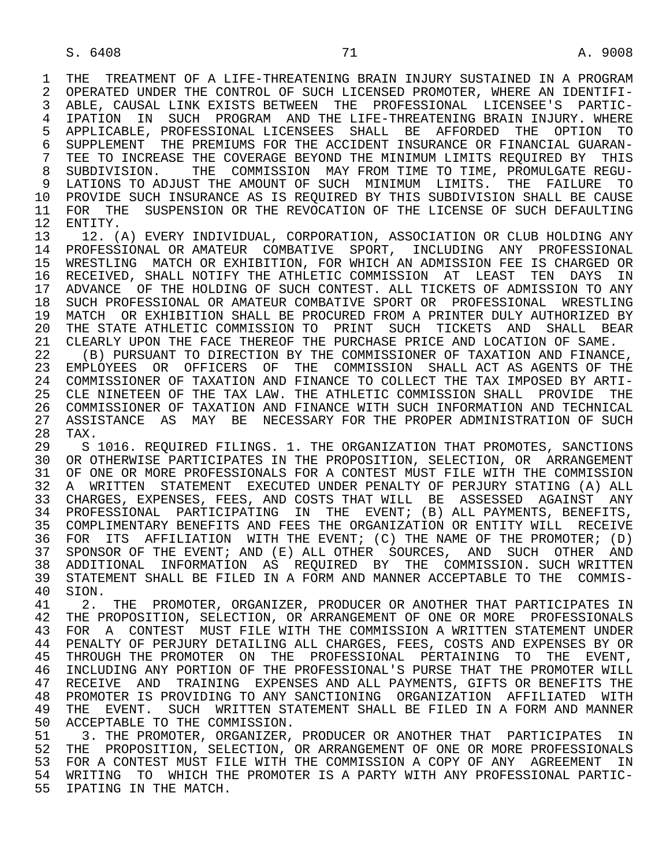1 THE TREATMENT OF A LIFE-THREATENING BRAIN INJURY SUSTAINED IN A PROGRAM<br>2 OPERATED UNDER THE CONTROL OF SUCH LICENSED PROMOTER, WHERE AN IDENTIFI-2 OPERATED UNDER THE CONTROL OF SUCH LICENSED PROMOTER, WHERE AN IDENTIFI-<br>3 ABLE, CAUSAL LINK EXISTS BETWEEN THE PROFESSIONAL LICENSEE'S PARTIC- 3 ABLE, CAUSAL LINK EXISTS BETWEEN THE PROFESSIONAL LICENSEE'S PARTIC- 4 IPATION IN SUCH PROGRAM AND THE LIFE-THREATENING BRAIN INJURY. WHERE<br>5 APPLICABLE, PROFESSIONAL LICENSEES SHALL BE AFFORDED THE OPTION TO 5 APPLICABLE, PROFESSIONAL LICENSEES SHALL BE AFFORDED THE OPTION TO<br>6 SUPPLEMENT THE PREMIUMS FOR THE ACCIDENT INSURANCE OR FINANCIAL GUARAN-6 SUPPLEMENT THE PREMIUMS FOR THE ACCIDENT INSURANCE OR FINANCIAL GUARAN-<br>7 TEE TO INCREASE THE COVERAGE BEYOND THE MINIMUM LIMITS REOUIRED BY THIS 7 TEE TO INCREASE THE COVERAGE BEYOND THE MINIMUM LIMITS REQUIRED BY THIS<br>8 SUBDIVISION. THE COMMISSION MAY FROM TIME TO TIME. PROMULGATE REGU-8 SUBDIVISION. THE COMMISSION MAY FROM TIME TO TIME, PROMULGATE REGU-<br>9 LATIONS TO ADJUST THE AMOUNT OF SUCH MINIMUM LIMITS. THE FAILURE TO 9 LATIONS TO ADJUST THE AMOUNT OF SUCH MINIMUM LIMITS. THE FAILURE TO<br>10 PROVIDE SUCH INSURANCE AS IS REOUIRED BY THIS SUBDIVISION SHALL BE CAUSE 10 PROVIDE SUCH INSURANCE AS IS REQUIRED BY THIS SUBDIVISION SHALL BE CAUSE<br>11 FOR THE SUSPENSION OR THE REVOCATION OF THE LICENSE OF SUCH DEFAULTING 11 FOR THE SUSPENSION OR THE REVOCATION OF THE LICENSE OF SUCH DEFAULTING 12 ENTITY.

12 ENTITY.<br>13 12. (1 13 12. (A) EVERY INDIVIDUAL, CORPORATION, ASSOCIATION OR CLUB HOLDING ANY 14 PROFESSIONAL 14 PROFESSIONAL OR AMATEUR COMBATIVE SPORT, INCLUDING ANY PROFESSIONAL 15 WRESTLING MATCH OR EXHIBITION, FOR WHICH AN ADMISSION FEE IS CHARGED OR 16 RECEIVED, SHALL NOTIFY THE ATHLETIC COMMISSION AT LEAST TEN DAYS IN<br>17 ADVANCE OF THE HOLDING OF SUCH CONTEST. ALL TICKETS OF ADMISSION TO ANY 17 ADVANCE OF THE HOLDING OF SUCH CONTEST. ALL TICKETS OF ADMISSION TO ANY<br>18 SUCH PROFESSIONAL OR AMATEUR COMBATIVE SPORT OR PROFESSIONAL WRESTLING 18 SUCH PROFESSIONAL OR AMATEUR COMBATIVE SPORT OR PROFESSIONAL WRESTLING<br>19 MATCH OR EXHIBITION SHALL BE PROCURED FROM A PRINTER DULY AUTHORIZED BY 19 MATCH OR EXHIBITION SHALL BE PROCURED FROM A PRINTER DULY AUTHORIZED BY<br>20 THE STATE ATHLETIC COMMISSION TO PRINT SUCH TICKETS AND SHALL BEAR 20 THE STATE ATHLETIC COMMISSION TO PRINT SUCH TICKETS AND SHALL BEAR<br>21 CLEARLY UPON THE FACE THEREOF THE PURCHASE PRICE AND LOCATION OF SAME. 21 CLEARLY UPON THE FACE THEREOF THE PURCHASE PRICE AND LOCATION OF SAME.<br>22 (B) PURSUANT TO DIRECTION BY THE COMMISSIONER OF TAXATION AND FINANC

(B) PURSUANT TO DIRECTION BY THE COMMISSIONER OF TAXATION AND FINANCE, 23 EMPLOYEES OR OFFICERS OF THE COMMISSION SHALL ACT AS AGENTS OF THE 24 COMMISSIONER OF TAXATION AND FINANCE TO COLLECT THE TAX IMPOSED BY ARTI-<br>25 CLE NINETEEN OF THE TAX LAW. THE ATHLETIC COMMISSION SHALL PROVIDE THE 25 CLE NINETEEN OF THE TAX LAW. THE ATHLETIC COMMISSION SHALL PROVIDE THE 26 COMMISSIONER OF TAXATION AND FINANCE WITH SUCH INFORMATION AND TECHNICAL<br>27 ASSISTANCE AS MAY BE NECESSARY FOR THE PROPER ADMINISTRATION OF SUCH 27 ASSISTANCE AS MAY BE NECESSARY FOR THE PROPER ADMINISTRATION OF SUCH 28 TAX. 28 TAX.<br>29 S

29 S 1016. REQUIRED FILINGS. 1. THE ORGANIZATION THAT PROMOTES, SANCTIONS<br>30 OR OTHERWISE PARTICIPATES IN THE PROPOSITION. SELECTION, OR ARRANGEMENT 30 OR OTHERWISE PARTICIPATES IN THE PROPOSITION, SELECTION, OR ARRANGEMENT<br>31 OF ONE OR MORE PROFESSIONALS FOR A CONTEST MUST FILE WITH THE COMMISSION 31 OF ONE OR MORE PROFESSIONALS FOR A CONTEST MUST FILE WITH THE COMMISSION<br>32 A WRITTEN STATEMENT EXECUTED UNDER PENALTY OF PERJURY STATING (A) ALL 32 A WRITTEN STATEMENT EXECUTED UNDER PENALTY OF PERJURY STATING (A) ALL<br>33 CHARGES, EXPENSES, FEES, AND COSTS THAT WILL BE ASSESSED AGAINST ANY 33 CHARGES, EXPENSES, FEES, AND COSTS THAT WILL BE ASSESSED AGAINST ANY<br>34 PROFESSIONAL PARTICIPATING IN THE EVENT; (B) ALL PAYMENTS, BENEFITS, 34 PROFESSIONAL PARTICIPATING IN THE EVENT; (B) ALL PAYMENTS, BENEFITS,<br>35 COMPLIMENTARY BENEFITS AND FEES THE ORGANIZATION OR ENTITY WILL RECEIVE COMPLIMENTARY BENEFITS AND FEES THE ORGANIZATION OR ENTITY WILL RECEIVE 36 FOR ITS AFFILIATION WITH THE EVENT; (C) THE NAME OF THE PROMOTER; (D) 37 SPONSOR OF THE EVENT; AND (E) ALL OTHER SOURCES, AND SUCH OTHER AND 38 ADDITIONAL INFORMATION AS REQUIRED BY THE COMMISSION. SUCH WRITTEN 39 STATEMENT SHALL BE FILED IN A FORM AND MANNER ACCEPTABLE TO THE COMMIS-40 SION. 40 SION.<br>41 2.

41 2. THE PROMOTER, ORGANIZER, PRODUCER OR ANOTHER THAT PARTICIPATES IN<br>42 THE PROPOSITION, SELECTION, OR ARRANGEMENT OF ONE OR MORE PROFESSIONALS 42 THE PROPOSITION, SELECTION, OR ARRANGEMENT OF ONE OR MORE PROFESSIONALS<br>43 FOR A CONTEST MUST FILE WITH THE COMMISSION A WRITTEN STATEMENT UNDER 43 FOR A CONTEST MUST FILE WITH THE COMMISSION A WRITTEN STATEMENT UNDER<br>44 PENALTY OF PERJURY DETAILING ALL CHARGES, FEES, COSTS AND EXPENSES BY OR 44 PENALTY OF PERJURY DETAILING ALL CHARGES, FEES, COSTS AND EXPENSES BY OR<br>45 THROUGH THE PROMOTER ON THE PROFESSIONAL PERTAINING TO THE EVENT, THROUGH THE PROMOTER ON THE PROFESSIONAL PERTAINING TO THE EVENT, 46 INCLUDING ANY PORTION OF THE PROFESSIONAL'S PURSE THAT THE PROMOTER WILL<br>47 RECEIVE AND TRAINING EXPENSES AND ALL PAYMENTS, GIFTS OR BENEFITS THE 47 RECEIVE AND TRAINING EXPENSES AND ALL PAYMENTS, GIFTS OR BENEFITS THE 48 PROMOTER IS PROVIDING TO ANY SANCTIONING ORGANIZATION AFFILIATED WITH 48 PROMOTER IS PROVIDING TO ANY SANCTIONING ORGANIZATION AFFILIATED WITH<br>49 THE EVENT. SUCH WRITTEN STATEMENT SHALL BE FILED IN A FORM AND MANNER 49 THE EVENT. SUCH WRITTEN STATEMENT SHALL BE FILED IN A FORM AND MANNER<br>50 ACCEPTABLE TO THE COMMISSION. 50 ACCEPTABLE TO THE COMMISSION.<br>51 3. THE PROMOTER, ORGANIZER,

51 3. THE PROMOTER, ORGANIZER, PRODUCER OR ANOTHER THAT PARTICIPATES IN<br>52 THE PROPOSITION, SELECTION, OR ARRANGEMENT OF ONE OR MORE PROFESSIONALS 52 THE PROPOSITION, SELECTION, OR ARRANGEMENT OF ONE OR MORE PROFESSIONALS<br>53 FOR A CONTEST MUST FILE WITH THE COMMISSION A COPY OF ANY AGREEMENT IN 53 FOR A CONTEST MUST FILE WITH THE COMMISSION A COPY OF ANY AGREEMENT IN<br>54 WRITING TO WHICH THE PROMOTER IS A PARTY WITH ANY PROFESSIONAL PARTIC-WRITING TO WHICH THE PROMOTER IS A PARTY WITH ANY PROFESSIONAL PARTIC-55 IPATING IN THE MATCH.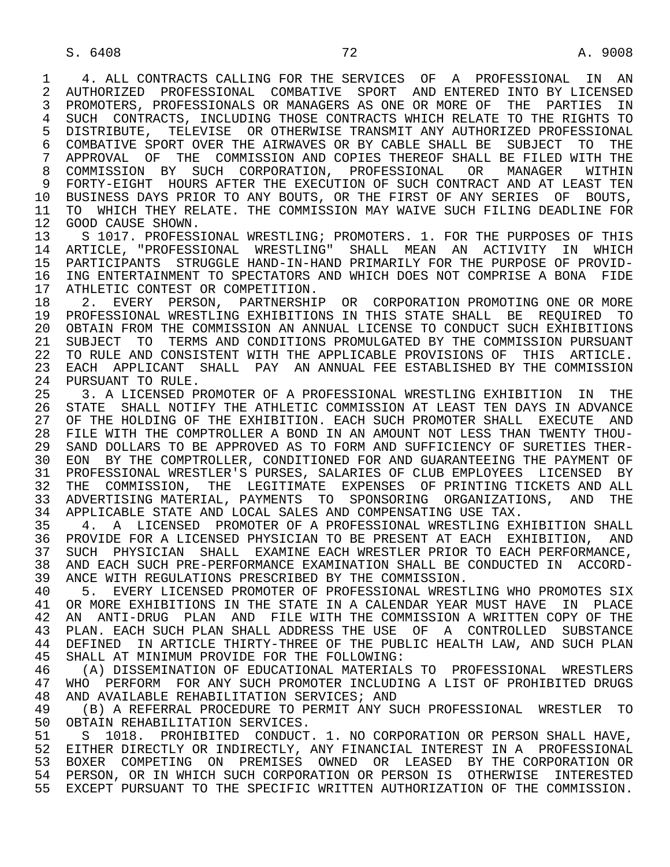1 4. ALL CONTRACTS CALLING FOR THE SERVICES OF A PROFESSIONAL IN AN 12 AUTHORIZED PROFESSIONAL COMBATIVE SPORT AND ENTERED INTO BY LICENSED 2 AUTHORIZED PROFESSIONAL COMBATIVE SPORT AND ENTERED INTO BY LICENSED<br>3 PROMOTERS, PROFESSIONALS OR MANAGERS AS ONE OR MORE OF THE PARTIES IN 3 PROMOTERS, PROFESSIONALS OR MANAGERS AS ONE OR MORE OF THE PARTIES IN 4 SUCH CONTRACTS, INCLUDING THOSE CONTRACTS WHICH RELATE TO THE RIGHTS TO<br>5 DISTRIBUTE, TELEVISE OR OTHERWISE TRANSMIT ANY AUTHORIZED PROFESSIONAL 5 DISTRIBUTE, TELEVISE OR OTHERWISE TRANSMIT ANY AUTHORIZED PROFESSIONAL<br>6 COMBATIVE SPORT OVER THE AIRWAVES OR BY CABLE SHALL BE SUBJECT TO THE 6 COMBATIVE SPORT OVER THE AIRWAVES OR BY CABLE SHALL BE SUBJECT TO THE 7 APPROVAL OF THE COMMISSION AND COPIES THEREOF SHALL BE FILED WITH THE 7 APPROVAL OF THE COMMISSION AND COPIES THEREOF SHALL BE FILED WITH THE 8 COMMISSION BY SUCH CORPORATION, PROFESSIONAL OR MANAGER WITHIN<br>9 FORTY-EIGHT HOURS-AFTER-THE-EXECUTION-OF-SUCH-CONTRACT-AND-AT-LEAST-TEN 9 FORTY-EIGHT HOURS AFTER THE EXECUTION OF SUCH CONTRACT AND AT LEAST TEN<br>10 BUSINESS DAYS PRIOR TO ANY BOUTS, OR THE FIRST OF ANY SERIES OF BOUTS, 10 BUSINESS DAYS PRIOR TO ANY BOUTS, OR THE FIRST OF ANY SERIES OF BOUTS,<br>11 TO WHICH THEY RELATE. THE COMMISSION MAY WAIVE SUCH FILING DEADLINE FOR 11 TO WHICH THEY RELATE. THE COMMISSION MAY WAIVE SUCH FILING DEADLINE FOR 12 GOOD CAUSE SHOWN.

12 GOOD CAUSE SHOWN.<br>13 S 1017. PROFESS 13 S 1017. PROFESSIONAL WRESTLING; PROMOTERS. 1. FOR THE PURPOSES OF THIS<br>14 ARTICLE, "PROFESSIONAL WRESTLING" SHALL MEAN AN ACTIVITY IN WHICH 14 ARTICLE, "PROFESSIONAL WRESTLING" SHALL MEAN AN ACTIVITY IN WHICH 15 PARTICIPANTS STRUGGLE HAND-IN-HAND PRIMARILY FOR THE PURPOSE OF PROVID-<br>16 ING ENTERTAINMENT TO SPECTATORS AND WHICH DOES NOT COMPRISE A BONA FIDE 16 ING ENTERTAINMENT TO SPECTATORS AND WHICH DOES NOT COMPRISE A BONA FIDE<br>17 ATHLETIC CONTEST OR COMPETITION. 17 ATHLETIC CONTEST OR COMPETITION.<br>18 2. EVERY PERSON, PARTNERSHII

 18 2. EVERY PERSON, PARTNERSHIP OR CORPORATION PROMOTING ONE OR MORE 19 PROFESSIONAL WRESTLING EXHIBITIONS IN THIS STATE SHALL BE REQUIRED TO 20 OBTAIN FROM THE COMMISSION AN ANNUAL LICENSE TO CONDUCT SUCH EXHIBITIONS<br>21 SUBJECT TO TERMS AND CONDITIONS PROMULGATED BY THE COMMISSION PURSUANT 21 SUBJECT TO TERMS AND CONDITIONS PROMULGATED BY THE COMMISSION PURSUANT<br>22 TO RULE AND CONSISTENT WITH THE APPLICABLE PROVISIONS OF THIS ARTICLE. 22 TO RULE AND CONSISTENT WITH THE APPLICABLE PROVISIONS OF THIS ARTICLE. 23 EACH APPLICANT SHALL PAY AN ANNUAL FEE ESTABLISHED BY THE COMMISSION<br>24 PURSUANT TO RULE. 24 PURSUANT TO RULE.<br>25 3 A LICENSED PE

 25 3. A LICENSED PROMOTER OF A PROFESSIONAL WRESTLING EXHIBITION IN THE 26 STATE SHALL NOTIFY THE ATHLETIC COMMISSION AT LEAST TEN DAYS IN ADVANCE<br>27 OF THE HOLDING OF THE EXHIBITION. EACH SUCH PROMOTER SHALL EXECUTE AND 27 OF THE HOLDING OF THE EXHIBITION. EACH SUCH PROMOTER SHALL EXECUTE AND<br>28 FILE WITH THE COMPTROLLER A BOND IN AN AMOUNT NOT LESS THAN TWENTY THOU-28 FILE WITH THE COMPTROLLER A BOND IN AN AMOUNT NOT LESS THAN TWENTY THOU-<br>29 SAND DOLLARS TO BE APPROVED AS TO FORM AND SUFFICIENCY OF SURETIES THER-SAND DOLLARS TO BE APPROVED AS TO FORM AND SUFFICIENCY OF SURETIES THER- 30 EON BY THE COMPTROLLER, CONDITIONED FOR AND GUARANTEEING THE PAYMENT OF 31 PROFESSIONAL WRESTLER'S PURSES, SALARIES OF CLUB EMPLOYEES LICENSED BY<br>32 THE COMMISSION, THE LEGITIMATE EXPENSES OF PRINTING TICKETS AND ALL THE COMMISSION, THE LEGITIMATE EXPENSES OF PRINTING TICKETS AND ALL 33 ADVERTISING MATERIAL, PAYMENTS TO SPONSORING ORGANIZATIONS, AND THE 34 APPLICABLE STATE AND LOCAL SALES AND COMPENSATING USE TAX.<br>35 4. A LICENSED PROMOTER OF A PROFESSIONAL WRESTLING EX

35 4. A LICENSED PROMOTER OF A PROFESSIONAL WRESTLING EXHIBITION SHALL<br>36 PROVIDE FOR A LICENSED PHYSICIAN TO BE PRESENT AT EACH EXHIBITION, AND 36 PROVIDE FOR A LICENSED PHYSICIAN TO BE PRESENT AT EACH EXHIBITION, AND 37 SUCH PHYSICIAN SHALL EXAMINE EACH WRESTLER PRIOR TO EACH PERFORMANCE,<br>38 AND EACH SUCH PRE-PERFORMANCE EXAMINATION SHALL BE CONDUCTED IN ACCORD-38 AND EACH SUCH PRE-PERFORMANCE EXAMINATION SHALL BE CONDUCTED IN ACCORD-<br>39 ANCE WITH REGULATIONS PRESCRIBED BY THE COMMISSION. 39 ANCE WITH REGULATIONS PRESCRIBED BY THE COMMISSION.<br>40 5. EVERY LICENSED PROMOTER OF PROFESSIONAL WREST

40 5. EVERY LICENSED PROMOTER OF PROFESSIONAL WRESTLING WHO PROMOTES SIX<br>41 OR MORE EXHIBITIONS IN THE STATE IN A CALENDAR YEAR MUST HAVE IN PLACE 41 OR MORE EXHIBITIONS IN THE STATE IN A CALENDAR YEAR MUST HAVE IN PLACE<br>42 AN ANTI-DRUG PLAN AND FILE WITH THE COMMISSION A WRITTEN COPY OF THE 42 AN ANTI-DRUG PLAN AND FILE WITH THE COMMISSION A WRITTEN COPY OF THE 43 PLAN FACH SUCH PLAN SHALL ADDRESS THE USE OF A CONTROLLED SUBSTANCE 43 PLAN. EACH SUCH PLAN SHALL ADDRESS THE USE OF A CONTROLLED SUBSTANCE<br>44 DEFINED IN ARTICLE THIRTY-THREE OF THE PUBLIC HEALTH LAW, AND SUCH PLAN 44 DEFINED IN ARTICLE THIRTY-THREE OF THE PUBLIC HEALTH LAW, AND SUCH PLAN<br>45 SHALL AT MINIMUM PROVIDE FOR THE FOLLOWING: SHALL AT MINIMUM PROVIDE FOR THE FOLLOWING:

46 (A) DISSEMINATION OF EDUCATIONAL MATERIALS TO PROFESSIONAL WRESTLERS<br>47 WHO PERFORM FOR ANY SUCH PROMOTER INCLUDING A LIST OF PROHIBITED DRUGS 47 WHO PERFORM FOR ANY SUCH PROMOTER INCLUDING A LIST OF PROHIBITED DRUGS<br>48 AND AVAILABLE REHABILITATION SERVICES; AND 48 AND AVAILABLE REHABILITATION SERVICES; AND<br>49 (B) A REFERRAL PROCEDURE TO PERMIT ANY SI

49 (B) A REFERRAL PROCEDURE TO PERMIT ANY SUCH PROFESSIONAL WRESTLER TO 150 OBTAIN REHABILITATION SERVICES. 50 OBTAIN REHABILITATION SERVICES.<br>51 S 1018. PROHIBITED CONDUCT

 51 S 1018. PROHIBITED CONDUCT. 1. NO CORPORATION OR PERSON SHALL HAVE, 52 EITHER DIRECTLY OR INDIRECTLY, ANY FINANCIAL INTEREST IN A PROFESSIONAL 53 BOXER COMPETING ON PREMISES OWNED OR LEASED BY THE CORPORATION OR<br>54 PERSON, OR IN WHICH SUCH CORPORATION OR PERSON IS OTHERWISE INTERESTED 54 PERSON, OR IN WHICH SUCH CORPORATION OR PERSON IS OTHERWISE INTERESTED 55 EXCEPT PURSUANT TO THE SPECIFIC WRITTEN AUTHORIZATION OF THE COMMISSION.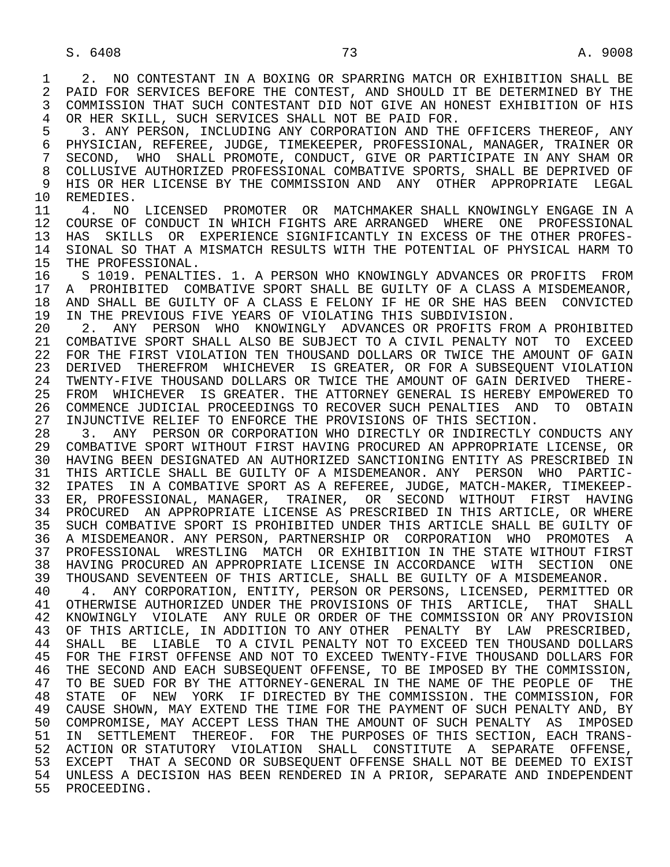1 2. NO CONTESTANT IN A BOXING OR SPARRING MATCH OR EXHIBITION SHALL BE<br>2 PAID FOR SERVICES BEFORE THE CONTEST. AND SHOULD IT BE DETERMINED BY THE 2 PAID FOR SERVICES BEFORE THE CONTEST, AND SHOULD IT BE DETERMINED BY THE<br>3 COMMISSION THAT SUCH CONTESTANT DID NOT GIVE AN HONEST EXHIBITION OF HIS 3 COMMISSION THAT SUCH CONTESTANT DID NOT GIVE AN HONEST EXHIBITION OF HIS 4 OR HER SKILL, SUCH SERVICES SHALL NOT BE PAID FOR.<br>5 3. ANY PERSON, INCLUDING ANY CORPORATION AND THE 5 3. ANY PERSON, INCLUDING ANY CORPORATION AND THE OFFICERS THEREOF, ANY<br>6 PHYSICIAN, REFEREE, JUDGE, TIMEKEEPER, PROFESSIONAL, MANAGER, TRAINER OR 6 PHYSICIAN, REFEREE, JUDGE, TIMEKEEPER, PROFESSIONAL, MANAGER, TRAINER OR<br>7 SECOND, WHO SHALL PROMOTE, CONDUCT, GIVE OR PARTICIPATE IN ANY SHAM OR 7 SECOND, WHO SHALL PROMOTE, CONDUCT, GIVE OR PARTICIPATE IN ANY SHAM OR<br>8 COLLUSIVE AUTHORIZED PROFESSIONAL COMBATIVE SPORTS, SHALL BE DEPRIVED OF 8 COLLUSIVE AUTHORIZED PROFESSIONAL COMBATIVE SPORTS, SHALL BE DEPRIVED OF<br>9 HIS OR HER LICENSE BY THE COMMISSION AND ANY OTHER APPROPRIATE LEGAL 9 HIS OR HER LICENSE BY THE COMMISSION AND ANY OTHER APPROPRIATE LEGAL 10 REMEDIES. 10 REMEDIES.<br>11 4. NO 11 4. NO LICENSED PROMOTER OR MATCHMAKER SHALL KNOWINGLY ENGAGE IN A<br>12 COURSE OF CONDUCT IN WHICH FIGHTS ARE ARRANGED WHERE ONE PROFESSIONAL 12 COURSE OF CONDUCT IN WHICH FIGHTS ARE ARRANGED WHERE ONE PROFESSIONAL<br>13 HAS SKILLS OR EXPERIENCE SIGNIFICANTLY IN EXCESS OF THE OTHER PROFES-13 HAS SKILLS OR EXPERIENCE SIGNIFICANTLY IN EXCESS OF THE OTHER PROFES-<br>14 SIONAL SO THAT A MISMATCH RESULTS WITH THE POTENTIAL OF PHYSICAL HARM TO 14 SIONAL SO THAT A MISMATCH RESULTS WITH THE POTENTIAL OF PHYSICAL HARM TO 15 THE PROFESSIONAL. 15 THE PROFESSIONAL.<br>16 S 1019. PENALTI 16 S 1019. PENALTIES. 1. A PERSON WHO KNOWINGLY ADVANCES OR PROFITS FROM<br>17 A PROHIBITED COMBATIVE SPORT SHALL BE GUILTY OF A CLASS A MISDEMEANOR, 17 A PROHIBITED COMBATIVE SPORT SHALL BE GUILTY OF A CLASS A MISDEMEANOR,<br>18 AND SHALL BE GUILTY OF A CLASS E FELONY IF HE OR SHE HAS BEEN CONVICTED 18 AND SHALL BE GUILTY OF A CLASS E FELONY IF HE OR SHE HAS BEEN CONVICTED<br>19 IN THE PREVIOUS FIVE YEARS OF VIOLATING THIS SUBDIVISION. 19 IN THE PREVIOUS FIVE YEARS OF VIOLATING THIS SUBDIVISION.<br>20 2. ANY PERSON WHO KNOWINGLY ADVANCES OR PROFITS FR 20 2. ANY PERSON WHO KNOWINGLY ADVANCES OR PROFITS FROM A PROHIBITED<br>21 COMBATIVE SPORT SHALL ALSO BE SUBJECT TO A CIVIL PENALTY NOT TO EXCEED 21 COMBATIVE SPORT SHALL ALSO BE SUBJECT TO A CIVIL PENALTY NOT TO EXCEED<br>22 FOR THE FIRST VIOLATION TEN THOUSAND DOLLARS OR TWICE THE AMOUNT OF GAIN 22 FOR THE FIRST VIOLATION TEN THOUSAND DOLLARS OR TWICE THE AMOUNT OF GAIN<br>23 DERIVED THEREFROM WHICHEVER IS GREATER, OR FOR A SUBSEOUENT VIOLATION 23 DERIVED THEREFROM WHICHEVER IS GREATER, OR FOR A SUBSEQUENT VIOLATION<br>24 TWENTY-FIVE THOUSAND DOLLARS OR TWICE THE AMOUNT OF GAIN DERIVED THERE-24 TWENTY-FIVE THOUSAND DOLLARS OR TWICE THE AMOUNT OF GAIN DERIVED THERE-<br>25 FROM WHICHEVER IS GREATER. THE ATTORNEY GENERAL IS HEREBY EMPOWERED TO 25 FROM WHICHEVER IS GREATER. THE ATTORNEY GENERAL IS HEREBY EMPOWERED TO 26 COMMENCE JUDICIAL PROCEEDINGS TO RECOVER SUCH PENALTIES AND TO OBTAIN<br>27 INJUNCTIVE RELIEF TO ENFORCE THE PROVISIONS OF THIS SECTION. 27 INJUNCTIVE RELIEF TO ENFORCE THE PROVISIONS OF THIS SECTION.<br>28 3. ANY PERSON OR CORPORATION WHO DIRECTLY OR INDIRECTLY 28 3. ANY PERSON OR CORPORATION WHO DIRECTLY OR INDIRECTLY CONDUCTS ANY<br>29 COMBATIVE SPORT WITHOUT FIRST HAVING PROCURED AN APPROPRIATE LICENSE, OR 29 COMBATIVE SPORT WITHOUT FIRST HAVING PROCURED AN APPROPRIATE LICENSE, OR 30 HAVING BEEN DESIGNATED AN AUTHORIZED SANCTIONING ENTITY AS PRESCRIBED IN<br>31 THIS ARTICLE SHALL BE GUILTY OF A MISDEMEANOR. ANY PERSON WHO PARTIC-31 THIS ARTICLE SHALL BE GUILTY OF A MISDEMEANOR. ANY PERSON WHO PARTIC-<br>32 IPATES IN A COMBATIVE SPORT AS A REFEREE, JUDGE, MATCH-MAKER, TIMEKEEP-32 IPATES IN A COMBATIVE SPORT AS A REFEREE, JUDGE, MATCH-MAKER, TIMEKEEP-<br>33 ER, PROFESSIONAL, MANAGER, TRAINER, OR SECOND WITHOUT FIRST HAVING 33 ER, PROFESSIONAL, MANAGER, TRAINER, OR SECOND WITHOUT FIRST HAVING 34 PROCURED AN APPROPRIATE LICENSE AS PRESCRIBED IN THIS ARTICLE, OR WHERE<br>35 SUCH COMBATIVE SPORT IS PROHIBITED UNDER THIS ARTICLE SHALL BE GUILTY OF 35 SUCH COMBATIVE SPORT IS PROHIBITED UNDER THIS ARTICLE SHALL BE GUILTY OF 36 A MISDEMEANOR. ANY PERSON, PARTNERSHIP OR CORPORATION WHO PROMOTES A 37 PROFESSIONAL WRESTLING MATCH OR EXHIBITION IN THE STATE WITHOUT FIRST 38 HAVING PROCURED AN APPROPRIATE LICENSE IN ACCORDANCE WITH SECTION ONE 39 THOUSAND SEVENTEEN OF THIS ARTICLE, SHALL BE GUILTY OF A MISDEMEANOR.<br>40 4. ANY CORPORATION, ENTITY, PERSON OR PERSONS, LICENSED, PERMITTED 4. ANY CORPORATION, ENTITY, PERSON OR PERSONS, LICENSED, PERMITTED OR 41 OTHERWISE AUTHORIZED UNDER THE PROVISIONS OF THIS ARTICLE, THAT SHALL<br>42 KNOWINGLY VIOLATE ANY RULE OR ORDER OF THE COMMISSION OR ANY PROVISION 42 KNOWINGLY VIOLATE ANY RULE OR ORDER OF THE COMMISSION OR ANY PROVISION 43 OF THIS ARTICLE, IN ADDITION TO ANY OTHER PENALTY BY LAW PRESCRIBED, 43 OF THIS ARTICLE, IN ADDITION TO ANY OTHER PENALTY BY LAW PRESCRIBED,<br>44 SHALL BE LIABLE TO A CIVIL PENALTY NOT TO EXCEED TEN THOUSAND DOLLARS 44 SHALL BE LIABLE TO A CIVIL PENALTY NOT TO EXCEED TEN THOUSAND DOLLARS<br>45 FOR THE FIRST OFFENSE AND NOT TO EXCEED TWENTY-FIVE THOUSAND DOLLARS FOR 45 FOR THE FIRST OFFENSE AND NOT TO EXCEED TWENTY-FIVE THOUSAND DOLLARS FOR 46 THE SECOND AND EACH SUBSEQUENT OFFENSE, TO BE IMPOSED BY THE COMMISSION,<br>47 TO BE SUED FOR BY THE ATTORNEY-GENERAL IN THE NAME OF THE PEOPLE OF THE 47 TO BE SUED FOR BY THE ATTORNEY-GENERAL IN THE NAME OF THE PEOPLE OF THE THE THE STATE OF THE THE THE COMMISSION. FOR 48 STATE OF NEW YORK IF DIRECTED BY THE COMMISSION. THE COMMISSION, FOR 49 CAUSE SHOWN, MAY EXTEND THE TIME FOR THE PAYMENT OF SUCH PENALTY AND, BY 50 COMPROMISE, MAY ACCEPT LESS THAN THE AMOUNT OF SUCH PENALTY AS IMPOSED 51 IN SETTLEMENT THEREOF. FOR THE PURPOSES OF THIS SECTION, EACH TRANS- 52 ACTION OR STATUTORY VIOLATION SHALL CONSTITUTE A SEPARATE OFFENSE, 53 EXCEPT THAT A SECOND OR SUBSEQUENT OFFENSE SHALL NOT BE DEEMED TO EXIST 54 UNLESS A DECISION HAS BEEN RENDERED IN A PRIOR, SEPARATE AND INDEPENDENT 55 PROCEEDING.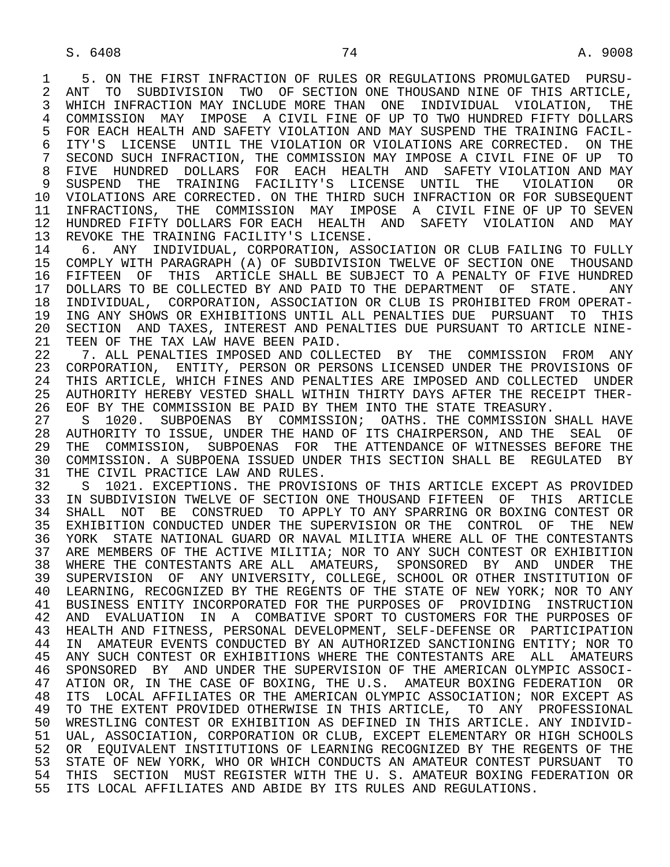1 5. ON THE FIRST INFRACTION OF RULES OR REGULATIONS PROMULGATED PURSU-<br>2 ANT TO SUBDIVISION TWO OF SECTION ONE THOUSAND NINE OF THIS ARTICLE. 2 ANT TO SUBDIVISION TWO OF SECTION ONE THOUSAND NINE OF THIS ARTICLE,<br>3 WHICH INFRACTION MAY INCLUDE MORE THAN ONE INDIVIDUAL VIOLATION, THE WHICH INFRACTION MAY INCLUDE MORE THAN ONE INDIVIDUAL VIOLATION, THE 4 COMMISSION MAY IMPOSE A CIVIL FINE OF UP TO TWO HUNDRED FIFTY DOLLARS<br>5 FOR EACH HEALTH AND SAFETY VIOLATION AND MAY SUSPEND THE TRAINING FACIL-5 FOR EACH HEALTH AND SAFETY VIOLATION AND MAY SUSPEND THE TRAINING FACIL-<br>6 ITY'S LICENSE UNTIL THE VIOLATION OR VIOLATIONS ARE CORRECTED. ON THE 6 ITY'S LICENSE UNTIL THE VIOLATION OR VIOLATIONS ARE CORRECTED. ON THE 7 SECOND SUCH INFRACTION, THE COMMISSION MAY IMPOSE A CIVIL FINE OF UP TO 7 SECOND SUCH INFRACTION, THE COMMISSION MAY IMPOSE A CIVIL FINE OF UP TO<br>8 FIVE HUNDRED DOLLARS FOR FACH HEALTH AND SAFETY VIOLATION AND MAY 8 FIVE HUNDRED DOLLARS FOR EACH HEALTH AND SAFETY-VIOLATION-AND-MAY<br>9 SUSPEND THE TRAINING FACILITY'S LICENSE UNTIL THE VIOLATION OR 9 SUSPEND THE TRAINING FACILITY'S LICENSE UNTIL THE VIOLATION OR<br>10 VIOLATIONS ARE CORRECTED. ON THE THIRD SUCH INFRACTION OR FOR SUBSEOUENT 10 VIOLATIONS ARE CORRECTED. ON THE THIRD SUCH INFRACTION OR FOR SUBSEQUENT<br>11 INFRACTIONS, THE COMMISSION MAY IMPOSE A CIVIL FINE OF UP TO SEVEN 11 INFRACTIONS, THE COMMISSION MAY IMPOSE A CIVIL FINE OF UP TO SEVEN 12 HUNDRED FIFTY DOLLARS FOR EACH HEALTH AND SAFETY VIOLATION AND MAY<br>13 REVOKE THE TRAINING FACILITY'S LICENSE. 13 REVOKE THE TRAINING FACILITY'S LICENSE.<br>14 6. ANY INDIVIDUAL, CORPORATION, ASS.

14 6. ANY INDIVIDUAL, CORPORATION, ASSOCIATION OR CLUB FAILING TO FULLY<br>15 COMPLY WITH PARAGRAPH (A) OF SUBDIVISION TWELVE OF SECTION ONE THOUSAND 15 COMPLY WITH PARAGRAPH (A) OF SUBDIVISION TWELVE OF SECTION ONE THOUSAND<br>16 FIFTEEN OF THIS ARTICLE SHALL BE SUBJECT TO A PENALTY OF FIVE HUNDRED 16 FIFTEEN OF THIS ARTICLE SHALL BE SUBJECT TO A PENALTY OF FIVE HUNDRED<br>17 DOLLARS TO BE COLLECTED BY AND PAID TO THE DEPARTMENT OF STATE. ANY 17 DOLLARS TO BE COLLECTED BY AND PAID TO THE DEPARTMENT OF STATE. ANY<br>18 INDIVIDUAL, CORPORATION, ASSOCIATION OR CLUB IS PROHIBITED FROM OPERAT-18 INDIVIDUAL, CORPORATION, ASSOCIATION OR CLUB IS PROHIBITED FROM OPERAT-<br>19 ING ANY SHOWS OR EXHIBITIONS UNTIL ALL PENALTIES DUE PURSUANT TO THIS 19 ING ANY SHOWS OR EXHIBITIONS UNTIL ALL PENALTIES DUE PURSUANT TO THIS<br>20 SECTION AND TAXES, INTEREST AND PENALTIES DUE PURSUANT TO ARTICLE NINE-20 SECTION AND TAXES, INTEREST AND PENALTIES DUE PURSUANT TO ARTICLE NINE-<br>21 TEEN OF THE TAX LAW HAVE BEEN PAID. 21 TEEN OF THE TAX LAW HAVE BEEN PAID.<br>22 T. ALL PENALTIES IMPOSED AND COLL

22 7. ALL PENALTIES IMPOSED AND COLLECTED BY THE COMMISSION FROM ANY<br>23 CORPORATION, ENTITY, PERSON OR PERSONS LICENSED UNDER THE PROVISIONS OF 23 CORPORATION, ENTITY, PERSON OR PERSONS LICENSED UNDER THE PROVISIONS OF 24 THIS ARTICLE, WHICH FINES AND PENALTIES ARE IMPOSED AND COLLECTED UNDER<br>25 AUTHORITY HEREBY VESTED SHALL WITHIN THIRTY DAYS AFTER THE RECEIPT THER-AUTHORITY HEREBY VESTED SHALL WITHIN THIRTY DAYS AFTER THE RECEIPT THER-26 EOF BY THE COMMISSION BE PAID BY THEM INTO THE STATE TREASURY.<br>27 S 1020. SUBPOENAS BY COMMISSION; OATHS. THE COMMISSION

27 S 1020. SUBPOENAS BY COMMISSION; OATHS. THE COMMISSION SHALL HAVE<br>28 AUTHORITY TO ISSUE, UNDER THE HAND OF ITS CHAIRPERSON, AND THE SEAL OF 28 AUTHORITY TO ISSUE, UNDER THE HAND OF ITS CHAIRPERSON, AND THE SEAL OF<br>29 THE COMMISSION, SUBPOENAS FOR THE ATTENDANCE OF WITNESSES BEFORE THE 29 THE COMMISSION, SUBPOENAS FOR THE ATTENDANCE OF WITNESSES BEFORE THE 100 COMMISSION. A SUBPOENA ISSUED INVER THIS SECTION SHALL BE REGULATED BY 30 COMMISSION. A SUBPOENA ISSUED UNDER THIS SECTION SHALL BE REGULATED BY<br>31 THE CIVIL PRACTICE LAW AND RULES. 31 THE CIVIL PRACTICE LAW AND RULES.<br>32 S 1021. EXCEPTIONS. THE PROVISE

32 S 1021. EXCEPTIONS. THE PROVISIONS OF THIS ARTICLE EXCEPT AS PROVIDED<br>33 IN SUBDIVISION TWELVE OF SECTION ONE THOUSAND FIFTEEN OF THIS ARTICLE 33 IN SUBDIVISION TWELVE OF SECTION ONE THOUSAND FIFTEEN OF THIS ARTICLE<br>34 SHALL NOT BE CONSTRUED TO APPLY TO ANY SPARRING OR BOXING CONTEST OR 34 SHALL NOT BE CONSTRUED TO APPLY TO ANY SPARRING OR BOXING CONTEST OR<br>35 EXHIBITION CONDUCTED UNDER THE SUPERVISION OR THE CONTROL OF THE NEW 35 EXHIBITION CONDUCTED UNDER THE SUPERVISION OR THE CONTROL OF THE NEW<br>36 YORK STATE NATIONAL GUARD OR NAVAL MILITIA WHERE ALL OF THE CONTESTANTS 36 YORK STATE NATIONAL GUARD OR NAVAL MILITIA WHERE ALL OF THE CONTESTANTS 37 ARE MEMBERS OF THE ACTIVE MILITIA; NOR TO ANY SUCH CONTEST OR EXHIBITION 38 WHERE THE CONTESTANTS ARE ALL AMATEURS, SPONSORED BY AND UNDER THE 39 SUPERVISION OF ANY UNIVERSITY, COLLEGE, SCHOOL OR OTHER INSTITUTION OF 40 LEARNING, RECOGNIZED BY THE REGENTS OF THE STATE OF NEW YORK; NOR TO ANY 41 BUSINESS ENTITY INCORPORATED FOR THE PURPOSES OF PROVIDING INSTRUCTION<br>42 AND EVALUATION IN A COMBATIVE SPORT TO CUSTOMERS FOR THE PURPOSES OF 42 AND EVALUATION IN A COMBATIVE SPORT TO CUSTOMERS FOR THE PURPOSES OF 43 HEALTH AND FITNESS, PERSONAL DEVELOPMENT, SELF-DEFENSE OR PARTICIPATION 43 HEALTH AND FITNESS, PERSONAL DEVELOPMENT, SELF-DEFENSE OR PARTICIPATION<br>44 IN AMATEUR EVENTS CONDUCTED BY AN AUTHORIZED SANCTIONING ENTITY; NOR TO 44 IN AMATEUR EVENTS CONDUCTED BY AN AUTHORIZED SANCTIONING ENTITY; NOR TO<br>45 ANY SUCH CONTEST OR EXHIBITIONS WHERE THE CONTESTANTS ARE ALL AMATEURS ANY SUCH CONTEST OR EXHIBITIONS WHERE THE CONTESTANTS ARE ALL AMATEURS 46 SPONSORED BY AND UNDER THE SUPERVISION OF THE AMERICAN OLYMPIC ASSOCI-<br>47 ATION OR, IN THE CASE OF BOXING, THE U.S. AMATEUR BOXING FEDERATION OR 47 ATION OR, IN THE CASE OF BOXING, THE U.S. AMATEUR BOXING FEDERATION OR<br>48 ITS LOCAL AFFILIATES OR THE AMERICAN OLYMPIC ASSOCIATION; NOR EXCEPT AS 48 ITS LOCAL AFFILIATES OR THE AMERICAN OLYMPIC ASSOCIATION; NOR EXCEPT AS<br>49 TO THE EXTENT PROVIDED OTHERWISE IN THIS ARTICLE, TO ANY PROFESSIONAL 49 TO THE EXTENT PROVIDED OTHERWISE IN THIS ARTICLE, TO ANY PROFESSIONAL 50 WRESTLING CONTEST OR EXHIBITION AS DEFINED IN THIS ARTICLE. ANY INDIVID- 51 UAL, ASSOCIATION, CORPORATION OR CLUB, EXCEPT ELEMENTARY OR HIGH SCHOOLS<br>52 OR EOUIVALENT INSTITUTIONS OF LEARNING RECOGNIZED BY THE REGENTS OF THE 52 OR EQUIVALENT INSTITUTIONS OF LEARNING RECOGNIZED BY THE REGENTS OF THE<br>53 STATE OF NEW YORK, WHO OR WHICH CONDUCTS AN AMATEUR CONTEST PURSUANT TO 53 STATE OF NEW YORK, WHO OR WHICH CONDUCTS AN AMATEUR CONTEST PURSUANT TO<br>54 THIS SECTION MUST REGISTER WITH THE U.S. AMATEUR BOXING FEDERATION OR 54 THIS SECTION MUST REGISTER WITH THE U.S. AMATEUR BOXING FEDERATION OR<br>55 ITS LOCAL AFFILIATES AND ABIDE BY ITS RULES AND REGULATIONS. ITS LOCAL AFFILIATES AND ABIDE BY ITS RULES AND REGULATIONS.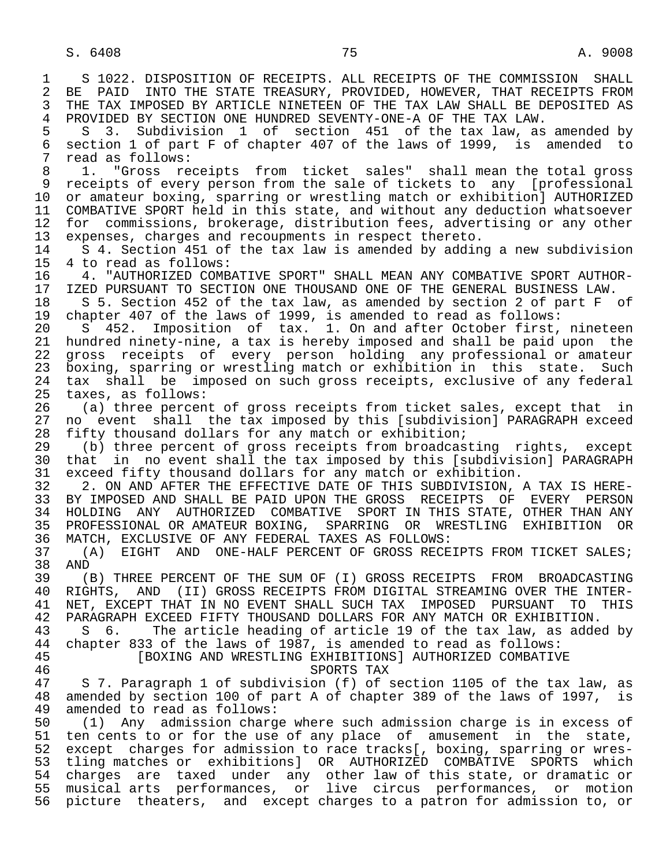1 S 1022. DISPOSITION OF RECEIPTS. ALL RECEIPTS OF THE COMMISSION SHALL<br>2 BE PAID INTO THE STATE TREASURY, PROVIDED, HOWEVER, THAT RECEIPTS FROM 2 BE PAID INTO THE STATE TREASURY, PROVIDED, HOWEVER, THAT RECEIPTS FROM<br>3 THE TAX IMPOSED BY ARTICLE NINETEEN OF THE TAX LAW SHALL BE DEPOSITED AS 3 THE TAX IMPOSED BY ARTICLE NINETEEN OF THE TAX LAW SHALL BE DEPOSITED AS<br>4 PROVIDED BY SECTION ONE HUNDRED SEVENTY-ONE-A OF THE TAX LAW 4 PROVIDED BY SECTION ONE HUNDRED SEVENTY-ONE-A OF THE TAX LAW.<br>5 S 3. Subdivision 1 of section 451 of the tax law, as 5 S 3. Subdivision 1 of section 451 of the tax law, as amended by<br>6 section 1 of part F of chapter 407 of the laws of 1999, is amended to 6 section 1 of part F of chapter 407 of the laws of 1999, is amended to<br>7 read as follows: 7 read as follows:<br>8 1. "Gross re 8 1. "Gross receipts from ticket sales" shall mean the total gross<br>9 receipts of every person from the sale of tickets to any [professional 9 receipts of every person from the sale of tickets to any [professional<br>10 or amateur boxing, sparring or wrestling match or exhibition] AUTHORIZED 10 or amateur boxing, sparring or wrestling match or exhibition] AUTHORIZED<br>11 COMBATIVE SPORT held in this state, and without any deduction whatsoever 11 COMBATIVE SPORT held in this state, and without any deduction whatsoever<br>12 for commissions, brokerage, distribution fees, advertising or any other 12 for commissions, brokerage, distribution fees, advertising or any other<br>13 expenses, charges and recoupments in respect thereto. 13 expenses, charges and recoupments in respect thereto.<br>14 5.4 Section 451 of the tax law is amended by addin 14 S 4. Section 451 of the tax law is amended by adding a new subdivision<br>15 4 to read as follows: 15 4 to read as follows:<br>16 4. "AUTHORIZED COMB 16 4. "AUTHORIZED COMBATIVE SPORT" SHALL MEAN ANY COMBATIVE SPORT AUTHOR-<br>17 IZED PURSUANT TO SECTION ONE THOUSAND ONE OF THE GENERAL BUSINESS LAW. 17 IZED PURSUANT TO SECTION ONE THOUSAND ONE OF THE GENERAL BUSINESS LAW.<br>18 S 5. Section 452 of the tax law, as amended by section 2 of part F 18 S 5. Section 452 of the tax law, as amended by section 2 of part F of<br>19 chapter 407 of the laws of 1999, is amended to read as follows: 19 chapter 407 of the laws of 1999, is amended to read as follows:<br>20 S 452. Imposition of tax. 1. On and after October first. 20 S 452. Imposition of tax. 1. On and after October first, nineteen<br>21 hundred ninety-nine, a tax is hereby imposed and shall be paid upon the 21 hundred ninety-nine, a tax is hereby imposed and shall be paid upon the<br>22 gross receipts of every person holding any professional or amateur 22 gross receipts of every person holding any professional or amateur<br>23 boxing, sparring or wrestling match or exhibition in this state. Such boxing, sparring or wrestling match or exhibition in this state. Such 24 tax shall be imposed on such gross receipts, exclusive of any federal<br>25 taxes, as follows: taxes, as follows: 26 (a) three percent of gross receipts from ticket sales, except that in<br>27 no event shall the tax imposed by this [subdivision] PARAGRAPH exceed 27 no event shall the tax imposed by this [subdivision] PARAGRAPH exceed<br>28 fifty thousand dollars for any match or exhibition; 28 fifty thousand dollars for any match or exhibition;<br>29 (b) three percent of gross receipts from broadcas 29 (b) three percent of gross receipts from broadcasting rights, except 30 that in no event shall the tax imposed by this [subdivision] PARAGRAPH 31 exceed fifty thousand dollars for any match or exhibition. 31 exceed fifty thousand dollars for any match or exhibition.<br>32 3. ON AND AFTER THE EFFECTIVE DATE OF THIS SUBDIVISION. 32 2. ON AND AFTER THE EFFECTIVE DATE OF THIS SUBDIVISION, A TAX IS HERE-<br>33 BY IMPOSED AND SHALL BE PAID UPON THE GROSS RECEIPTS OF EVERY PERSON 33 BY IMPOSED AND SHALL BE PAID UPON THE GROSS RECEIPTS OF EVERY PERSON<br>34 HOLDING ANY AUTHORIZED COMBATIVE SPORT IN THIS STATE, OTHER THAN ANY 34 HOLDING ANY AUTHORIZED COMBATIVE SPORT INTHIS STATE, OTHER THAN ANY<br>35 PROFESSIONAL ORAMATEUR BOXING, SPARRING OR WRESTLING EXHIBITION OR 35 PROFESSIONAL OR AMATEUR BOXING, SPARRING OR WRESTLING EXHIBITION OR 36 MATCH, EXCLUSIVE OF ANY FEDERAL TAXES AS FOLLOWS: 37 (A) EIGHT AND ONE-HALF PERCENT OF GROSS RECEIPTS FROM TICKET SALES; 38 AND<br>39 () 39 (B) THREE PERCENT OF THE SUM OF (I) GROSS RECEIPTS FROM BROADCASTING 40 RIGHTS, AND (II) GROSS RECEIPTS FROM DIGITAL STREAMING OVER THE INTER-<br>41 NET, EXCEPT THAT IN NO EVENT SHALL SUCH TAX IMPOSED PURSUANT TO THIS 41 NET, EXCEPT THAT IN NO EVENT SHALL SUCH TAX IMPOSED PURSUANT TO THIS<br>42 PARAGRAPH EXCEED FIFTY THOUSAND DOLLARS FOR ANY MATCH OR EXHIBITION. 42 PARAGRAPH EXCEED FIFTY THOUSAND DOLLARS FOR ANY MATCH OR EXHIBITION.<br>43 S 6. The article heading of article 19 of the tax law, as adde 43 S 6. The article heading of article 19 of the tax law, as added by<br>44 chapter 833 of the laws of 1987, is amended to read as follows: 44 chapter 833 of the laws of 1987, is amended to read as follows: 45 [BOXING AND WRESTLING EXHIBITIONS] AUTHORIZED COMBATIVE 46 Example 16<br>17 S 7. Paragraph 1 of subdivision (f) of s 5 7. Paragraph 1 of subdivision (f) of section 1105 of the tax law, as 48 amended by section 100 of part A of chapter 389 of the laws of 1997, is<br>49 amended to read as follows: 49 amended to read as follows:<br>50 (1) Any admission charge 50 (1) Any admission charge where such admission charge is in excess of<br>51 ten cents to or for the use of any place of amusement in the state, 51 ten cents to or for the use of any place of amusement in the state,<br>52 except charges for admission to race tracks[, boxing, sparring or wres-52 except charges for admission to race tracks[, boxing, sparring or wres-<br>53 tling matches or exhibitions] OR AUTHORIZED COMBATIVE SPORTS which 53 tling matches or exhibitions] OR AUTHORIZED COMBATIVE SPORTS which<br>54 charges are taxed under any other law of this state, or dramatic or 54 charges are taxed under any other law of this state, or dramatic or<br>55 musical arts performances, or live circus performances, or motion 55 musical arts performances, or live circus performances, or motion<br>56 picture theaters, and except charges to a patron for admission to, or 56 picture theaters, and except charges to a patron for admission to, or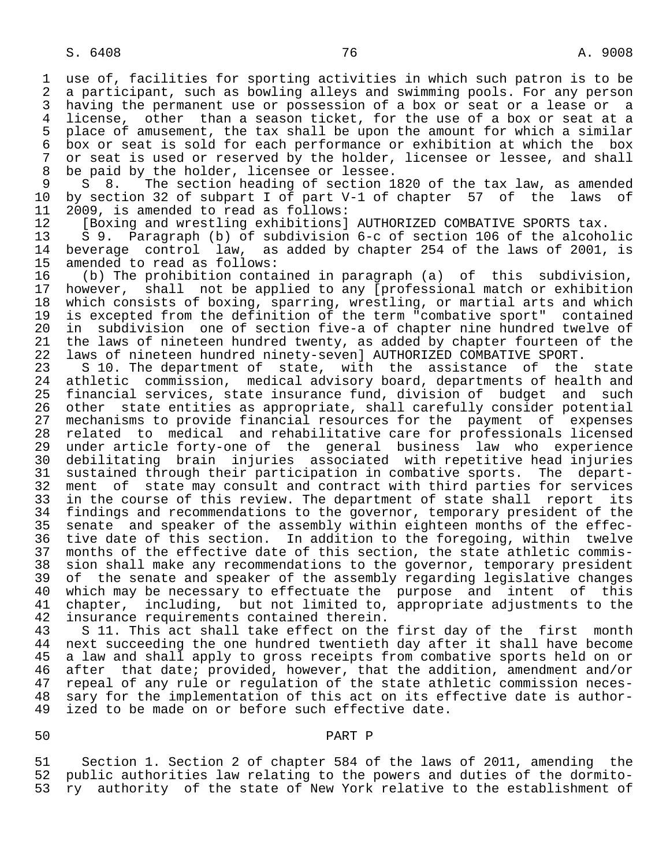1 use of, facilities for sporting activities in which such patron is to be 2 a participant, such as bowling alleys and swimming pools. For any person<br>3 having the permanent use or possession of a box or seat or a lease or a 3 having the permanent use or possession of a box or seat or a lease or a<br>4 license, other than a season ticket, for the use of a box or seat at a 4 license, other than a season ticket, for the use of a box or seat at a<br>5 place of amusement, the tax shall be upon the amount for which a similar 5 place of amusement, the tax shall be upon the amount for which a similar<br>6 box or seat is sold for each performance or exhibition at which the box 6 box or seat is sold for each performance or exhibition at which the box<br>7 or seat is used or reserved by the holder, licensee or lessee, and shall 7 or seat is used or reserved by the holder, licensee or lessee, and shall<br>8 be paid by the holder, licensee or lessee.

8 be paid by the holder, licensee or lessee.<br>9 S 8. The section heading of section 1 9 S 8. The section heading of section 1820 of the tax law, as amended<br>10 by section 32 of subpart I of part V-1 of chapter 57 of the laws of 10 by section 32 of subpart I of part V-1 of chapter 57 of the laws of 11 2009, is amended to read as follows: 11 2009, is amended to read as follows:<br>12 [Boxing and wrestling exhibitions]

12 [Boxing and wrestling exhibitions] AUTHORIZED COMBATIVE SPORTS tax.<br>13 S 9. Paragraph (b) of subdivision 6-c of section 106 of the alcoho

 13 S 9. Paragraph (b) of subdivision 6-c of section 106 of the alcoholic beverage control law, as added by chapter 254 of the laws of 2001, is

15 amended to read as follows:<br>16 (b) The prohibition conta 16 (b) The prohibition contained in paragraph (a) of this subdivision, 17 however, shall not be applied to any [professional match or exhibition<br>18 which consists of boxing, sparring, wrestling, or martial arts and which 18 which consists of boxing, sparring, wrestling, or martial arts and which<br>19 is excepted from the definition of the term "combative sport" contained 19 is excepted from the definition of the term "combative sport" contained<br>20 in subdivision one of section five-a of chapter nine hundred twelve of 20 in subdivision one of section five-a of chapter nine hundred twelve of<br>21 the laws of nineteen hundred twenty, as added by chapter fourteen of the 21 the laws of nineteen hundred twenty, as added by chapter fourteen of the<br>22 laws of nineteen hundred ninety-seven] AUTHORIZED COMBATIVE SPORT. 22 laws of nineteen hundred ninety-seven] AUTHORIZED COMBATIVE SPORT.<br>23 S 10. The department of state, with the assistance of the

23 S 10. The department of state, with the assistance of the state<br>24 athletic commission, medical advisory board, departments of health and 24 athletic commission, medical advisory board, departments of health and<br>25 financial services, state insurance fund, division of budget and such 25 financial services, state insurance fund, division of budget and such 26 other state entities as appropriate, shall carefully consider potential 27 mechanisms to provide financial resources for the payment of expenses<br>28 related to medical and rehabilitative care for professionals licensed 28 related to medical and rehabilitative care for professionals licensed<br>29 under article forty-one of the general business law who experience 29 under article forty-one of the general business law who experience 30 debilitating brain injuries associated with repetitive head injuries<br>31 sustained through their participation in combative sports. The depart-31 sustained through their participation in combative sports.<br>32 ment of state may consult and contract with third parties 32 ment of state may consult and contract with third parties for services<br>33 in the course of this review. The department of state shall report its 33 in the course of this review. The department of state shall report its<br>34 findings and recommendations to the governor, temporary president of the 34 findings and recommendations to the governor, temporary president of the<br>35 senate and speaker of the assembly within eighteen months of the effec-35 senate and speaker of the assembly within eighteen months of the effec-<br>36 tive date of this section. In addition to the foregoing, within twelve tive date of this section. In addition to the foregoing, within twelve 37 months of the effective date of this section, the state athletic commis- 38 sion shall make any recommendations to the governor, temporary president<br>39 of the senate and speaker of the assembly regarding legislative changes 39 of the senate and speaker of the assembly regarding legislative changes<br>40 which may be necessary to effectuate the purpose and intent of this 40 which may be necessary to effectuate the purpose and intent of this<br>41 chapter, including, but not limited to, appropriate adjustments to the 41 chapter, including, but not limited to, appropriate adjustments to the<br>42 insurance requirements contained therein. 42 insurance requirements contained therein.<br>43 S 11. This act shall take effect on the

43 S 11. This act shall take effect on the first day of the first month<br>44 next succeeding the one hundred twentieth day after it shall have become 44 next succeeding the one hundred twentieth day after it shall have become<br>45 a law and shall apply to gross receipts from combative sports held on or a law and shall apply to gross receipts from combative sports held on or 46 after that date; provided, however, that the addition, amendment and/or<br>47 repeal of any rule or regulation of the state athletic commission necesrepeal of any rule or regulation of the state athletic commission neces-48 sary for the implementation of this act on its effective date is author-<br>49 ized to be made on or before such effective date. ized to be made on or before such effective date.

## 50 PART P

 51 Section 1. Section 2 of chapter 584 of the laws of 2011, amending the public authorities law relating to the powers and duties of the dormito-53 ry authority of the state of New York relative to the establishment of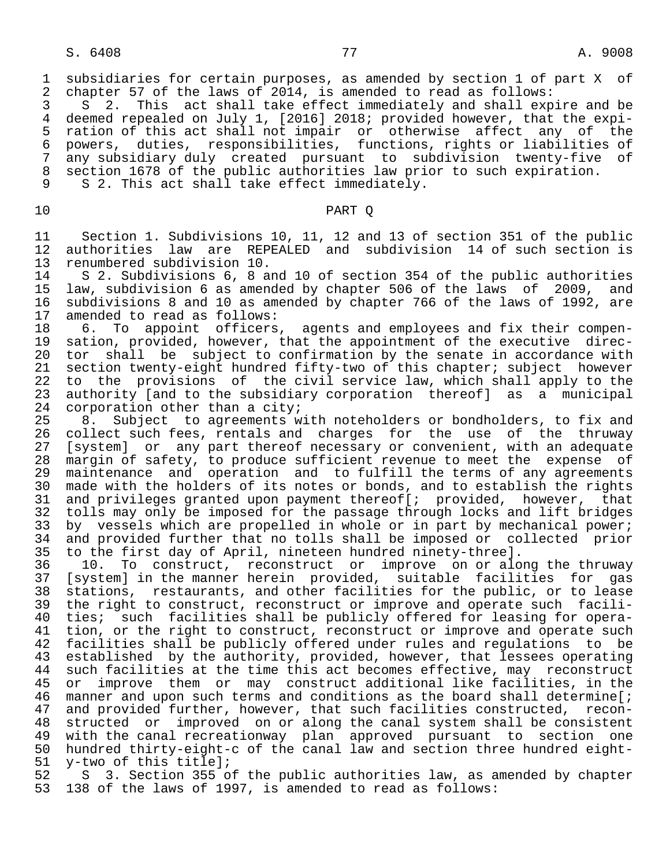1 subsidiaries for certain purposes, as amended by section 1 of part X of 2 chapter 57 of the laws of 2014, is amended to read as follows: 2 chapter 57 of the laws of 2014, is amended to read as follows:<br>3 S 2. This act shall take effect immediately and shall exp

3 S 2. This act shall take effect immediately and shall expire and be<br>4 deemed repealed on July 1, [2016] 2018; provided however, that the expi-4 deemed repealed on July 1, [2016] 2018; provided however, that the expi-<br>5 ration of this act shall not impair or otherwise affect any of the 5 ration of this act shall not impair or otherwise affect any of the<br>6 powers, duties, responsibilities, functions, rights or liabilities of 6 powers, duties, responsibilities, functions, rights or liabilities of 7 any subsidiary duly created pursuant to subdivision twenty-five of 8 section 1678 of the public authorities law prior to such expiration.<br>9 S 2. This act shall take effect immediately.

S 2. This act shall take effect immediately.

## 10 PART Q

11 Section 1. Subdivisions 10, 11, 12 and 13 of section 351 of the public<br>12 authorities law are REPEALED and subdivision 14 of such section is 12 authorities law are REPEALED and subdivision 14 of such section is<br>13 renumbered subdivision 10. 13 renumbered subdivision 10.

14 S 2. Subdivisions 6, 8 and 10 of section 354 of the public authorities<br>15 law, subdivision 6 as amended by chapter 506 of the laws of 2009, and 15 law, subdivision 6 as amended by chapter 506 of the laws of 2009, and 16 subdivisions 8 and 10 as amended by chapter 766 of the laws of 1992, are 17 amended to read as follows: 17 amended to read as follows:<br>18 6. To appoint officers

18 6. To appoint officers, agents and employees and fix their compen-<br>19 sation, provided, however, that the appointment of the executive direc-19 sation, provided, however, that the appointment of the executive direc-<br>20 tor shall be subject to confirmation by the senate in accordance with 20 tor shall be subject to confirmation by the senate in accordance with<br>21 section twenty-eight hundred fifty-two of this chapter; subject however section twenty-eight hundred fifty-two of this chapter; subject however 22 to the provisions of the civil service law, which shall apply to the<br>23 authority [and to the subsidiary corporation thereof] as a municipal 23 authority [and to the subsidiary corporation thereof] as a municipal<br>24 corporation other than a city;

24 corporation other than a city;<br>25  $8.$  Subject to agreements w 25 8. Subject to agreements with noteholders or bondholders, to fix and<br>26 collect such fees, rentals and charges for the use of the thruway 26 collect such fees, rentals and charges for the use of the thruway<br>27 [system] or any part thereof necessary or convenient, with an adequate 27 [system] or any part thereof necessary or convenient, with an adequate<br>28 margin of safety, to produce sufficient revenue to meet the expense of 28 margin of safety, to produce sufficient revenue to meet the expense of<br>29 maintenance and operation and to fulfill the terms of any agreements 29 maintenance and operation and to fulfill the terms of any agreements<br>30 made with the holders of its notes or bonds, and to establish the rights 30 made with the holders of its notes or bonds, and to establish the rights<br>31 and privileges granted upon payment thereof [; provided, however, that 31 and privileges granted upon payment thereof[; provided, however, that<br>32 tolls may only be imposed for the passage through locks and lift bridges 32 tolls may only be imposed for the passage through locks and lift bridges<br>33 by vessels which are propelled in whole or in part by mechanical power; 33 by vessels which are propelled in whole or in part by mechanical power;<br>34 and provided further that no tolls shall be imposed or collected prior and provided further that no tolls shall be imposed or collected prior 35 to the first day of April, nineteen hundred ninety-three].

 36 10. To construct, reconstruct or improve on or along the thruway 37 [system] in the manner herein provided, suitable facilities for gas 38 stations, restaurants, and other facilities for the public, or to lease<br>39 the right to construct, reconstruct or improve and operate such facili-39 the right to construct, reconstruct or improve and operate such facili-<br>40 ties; such facilities shall be publicly offered for leasing for opera-40 ties; such facilities shall be publicly offered for leasing for opera-<br>41 tion, or the right to construct, reconstruct or improve and operate such 41 tion, or the right to construct, reconstruct or improve and operate such<br>42 facilities shall be publicly offered under rules and requlations to be 42 facilities shall be publicly offered under rules and regulations to be<br>43 established by the authority, provided, however, that lessees operating 43 established by the authority, provided, however, that lessees operating<br>44 such facilities at the time this act becomes effective, may reconstruct 44 such facilities at the time this act becomes effective, may reconstruct<br>45 or improve them or may construct additional like facilities, in the or improve them or may construct additional like facilities, in the 46 manner and upon such terms and conditions as the board shall determine[;<br>47 and provided further, however, that such facilities constructed, recon-47 and provided further, however, that such facilities constructed, recon-<br>48 structed or improved on or along the canal system shall be consistent 48 structed or improved on or along the canal system shall be consistent<br>49 with the canal recreationway plan approved pursuant to section one 49 with the canal recreationway plan approved pursuant to section one<br>50 hundred thirty-eight-c of the canal law and section three hundred eight-50 hundred thirty-eight-c of the canal law and section three hundred eight-<br>51 y-two of this title];

51 y-two of this title];<br>52 S 3. Section 355 o 52 S 3. Section 355 of the public authorities law, as amended by chapter<br>53 138 of the laws of 1997, is amended to read as follows: 138 of the laws of 1997, is amended to read as follows: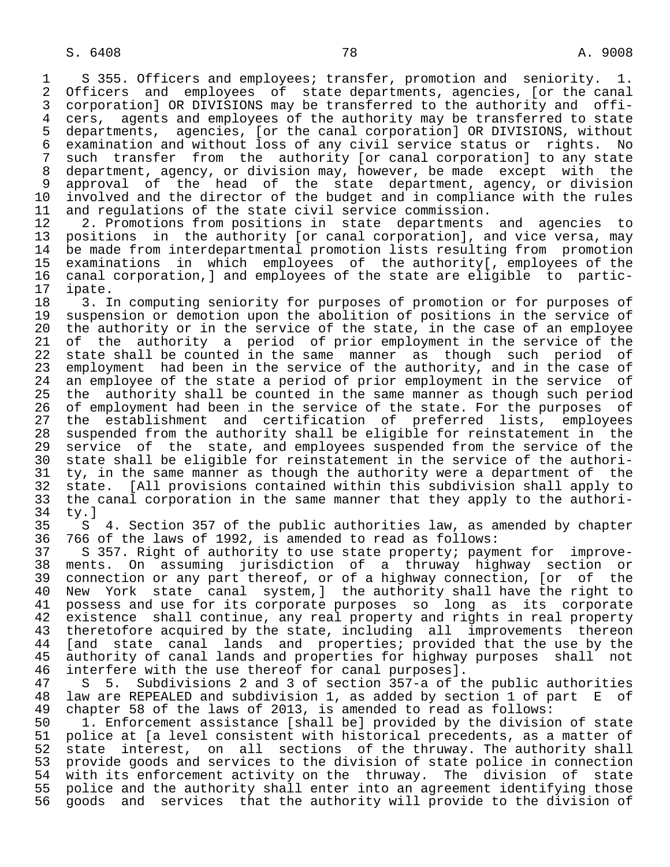1 S 355. Officers and employees; transfer, promotion and seniority. 1.<br>2 Officers and employees of state departments, agencies, for the canal 2 Officers and employees of state departments, agencies, [or the canal<br>3 corporation] OR DIVISIONS may be transferred to the authority and offi-3 corporation] OR DIVISIONS may be transferred to the authority and offi-<br>4 cers, agents and employees of the authority may be transferred to state 4 cers, agents and employees of the authority may be transferred to state<br>5 departments, agencies, [or the canal corporation] OR DIVISIONS, without 5 departments, agencies, [or the canal corporation] OR DIVISIONS, without 6 examination and without loss of any civil service status or rights. No 7 such transfer from the authority [or canal corporation] to any state<br>8 department, agency, or division may, however, be made except with the 8 department, agency, or division may, however, be made except with the<br>9 approval of the head of the state department, agency, or division 9 approval of the head of the state department, agency, or division<br>10 involved and the director of the budget and in compliance with the rules 10 involved and the director of the budget and in compliance with the rules<br>11 and requlations of the state civil service commission.

11 and regulations of the state civil service commission.<br>12 2. Promotions from positions in state departments 12 2. Promotions from positions in state departments and agencies to<br>13 positions in the authority (or canal corporation), and vice versa, may 13 positions in the authority [or canal corporation], and vice versa, may<br>14 be made from interdepartmental promotion lists resulting from promotion be made from interdepartmental promotion lists resulting from promotion 15 examinations in which employees of the authority[, employees of the 16 canal corporation,] and employees of the state are eligible to partic-

17 ipate.<br>18 3. I 18 3. In computing seniority for purposes of promotion or for purposes of<br>19 suspension or demotion upon the abolition of positions in the service of 19 suspension or demotion upon the abolition of positions in the service of<br>20 the authority or in the service of the state, in the case of an employee 20 the authority or in the service of the state, in the case of an employee<br>21 of the authority a period of prior employment in the service of the 21 of the authority a period of prior employment in the service of the<br>22 state shall be counted in the same manner as though such period of 22 state shall be counted in the same manner as though such period of<br>23 employment had been in the service of the authority, and in the case of 23 employment had been in the service of the authority, and in the case of<br>24 an employee of the state a period of prior employment in the service of 24 an employee of the state a period of prior employment in the service of<br>25 the authority shall be counted in the same manner as though such period the authority shall be counted in the same manner as though such period 26 of employment had been in the service of the state. For the purposes of<br>27 the establishment and certification of preferred lists, employees 27 the establishment and certification of preferred lists, employees<br>28 suspended from the authority shall be eligible for reinstatement in the 28 suspended from the authority shall be eligible for reinstatement in the<br>29 service of the state, and employees suspended from the service of the 29 service of the state, and employees suspended from the service of the<br>30 state shall be eligible for reinstatement in the service of the authori-30 state shall be eligible for reinstatement in the service of the authori-<br>31 ty, in the same manner as though the authority were a department of the 31 ty, in the same manner as though the authority were a department of the<br>32 state. [All provisions contained within this subdivision shall apply to 32 state. [All provisions contained within this subdivision shall apply to<br>33 the canal corporation in the same manner that they apply to the authori-33 the canal corporation in the same manner that they apply to the authori-<br>34 ty.]  $34$  ty.]<br>35 S

35 S 4. Section 357 of the public authorities law, as amended by chapter<br>36 766 of the laws of 1992, is amended to read as follows: 36 766 of the laws of 1992, is amended to read as follows:

 37 S 357. Right of authority to use state property; payment for improve- 38 ments. On assuming jurisdiction of a thruway highway section or 39 connection or any part thereof, or of a highway connection, [or of the 40 New York state canal system, ] the authority shall have the right to<br>41 possess and use for its corporate purposes so long as its corporate 41 possess and use for its corporate purposes so long as its corporate<br>42 existence shall continue, any real property and rights in real property 42 existence shall continue, any real property and rights in real property<br>43 theretofore acquired by the state, including all improvements thereon 43 theretofore acquired by the state, including all improvements thereon<br>44 [and state canal lands and properties; provided that the use by the 44 [and state canal lands and properties; provided that the use by the<br>45 authority of canal lands and properties for highway purposes shall not authority of canal lands and properties for highway purposes shall not 46 interfere with the use thereof for canal purposes].<br>47 S 5. Subdivisions 2 and 3 of section 357-a of t

5. Subdivisions 2 and 3 of section 357-a of the public authorities 48 law are REPEALED and subdivision 1, as added by section 1 of part E of 49 chapter 58 of the laws of 2013, is amended to read as follows:

50 1. Enforcement assistance [shall be] provided by the division of state<br>51 police at [a level consistent with historical precedents, as a matter of 51 police at [a level consistent with historical precedents, as a matter of<br>52 state interest, on all sections of the thruway. The authority shall 52 state interest, on all sections of the thruway. The authority shall<br>53 provide goods and services to the division of state police in connection 53 provide goods and services to the division of state police in connection<br>54 with its enforcement activity on the thruway. The division of state 54 with its enforcement activity on the thruway. The division of state<br>55 police and the authority shall enter into an agreement identifying those 55 police and the authority shall enter into an agreement identifying those<br>56 goods and services that the authority will provide to the division of 56 goods and services that the authority will provide to the division of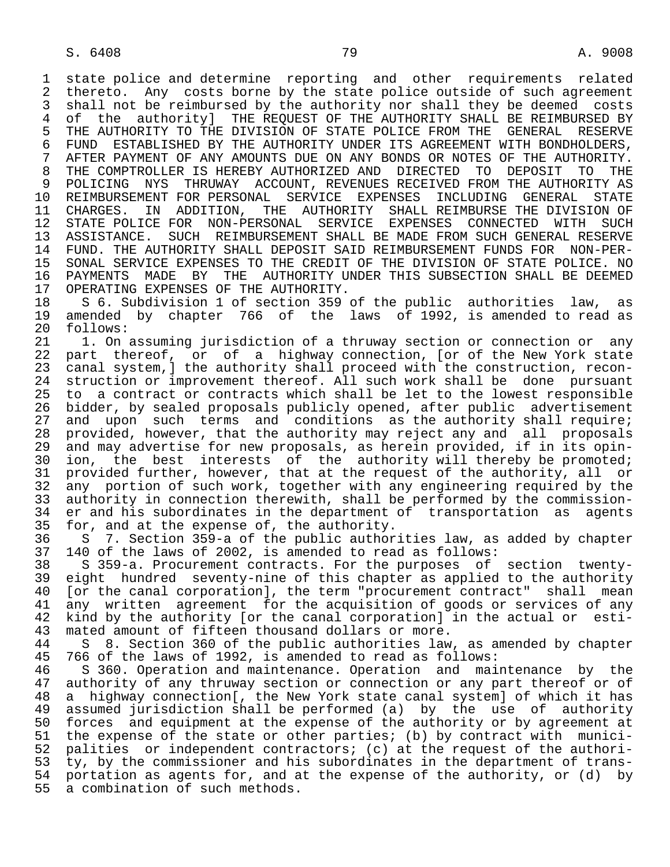1 state police and determine reporting and other requirements related<br>2 thereto, Any costs borne by the state police outside of such agreement 2 thereto. Any costs borne by the state police outside of such agreement<br>3 shall not be reimbursed by the authority nor shall they be deemed costs 3 shall not be reimbursed by the authority nor shall they be deemed costs<br>4 of the authorityl THE REOUEST OF THE AUTHORITY SHALL BE REIMBURSED BY 4 of the authority] THE REQUEST OF THE AUTHORITY SHALL BE REIMBURSED BY<br>5 THE AUTHORITY TO THE DIVISION OF STATE POLICE FROM THE GENERAL RESERVE 5 THE AUTHORITY TO THE DIVISION OF STATE POLICE FROM THE GENERAL RESERVE<br>6 FUND ESTABLISHED BY THE AUTHORITY UNDER ITS AGREEMENT WITH BONDHOLDERS. 6 FUND ESTABLISHED BY THE AUTHORITY UNDER ITS AGREEMENT WITH BONDHOLDERS,<br>7 AFTER PAYMENT OF ANY AMOUNTS DUE ON ANY BONDS OR NOTES OF THE AUTHORITY. 7 AFTER PAYMENT OF ANY AMOUNTS DUE ON ANY BONDS OR NOTES OF THE AUTHORITY. 8 THE COMPTROLLER IS HEREBY AUTHORIZED AND DIRECTED TO DEPOSIT TO THE 811 PHE AUTHORITY AS 9 POLICING NYS THRUWAY ACCOUNT, REVENUES RECEIVED FROM THE AUTHORITY AS<br>10 REIMBURSEMENT FOR PERSONAL SERVICE EXPENSES INCLUDING GENERAL STATE 10 REIMBURSEMENT FOR PERSONAL SERVICE EXPENSES<br>11 CHARGES. IN ADDITION, THE AUTHORITY SHALI 11 CHARGES. IN ADDITION, THE AUTHORITY SHALL-REIMBURSE THE DIVISION OF 12 STATE POLICE FOR NON-PERSONAL SERVICE EXPENSES CONNECTED WITH SUCH STATE POLICE FOR NON-PERSONAL SERVICE EXPENSES CONNECTED WITH SUCH 13 ASSISTANCE. SUCH REIMBURSEMENT SHALL BE MADE FROM SUCH GENERAL RESERVE<br>14 FUND. THE AUTHORITY SHALL DEPOSIT SAID REIMBURSEMENT FUNDS FOR NON-PER- 14 FUND. THE AUTHORITY SHALL DEPOSIT SAID REIMBURSEMENT FUNDS FOR NON-PER- 15 SONAL SERVICE EXPENSES TO THE CREDIT OF THE DIVISION OF STATE POLICE. NO<br>16 PAYMENTS MADE BY THE AUTHORITY UNDER THIS SUBSECTION SHALL BE DEEMED 16 PAYMENTS MADE BY THE AUTHORITY UNDER THIS SUBSECTION SHALL BE DEEMED<br>17 OPERATING EXPENSES OF THE AUTHORITY.

17 OPERATING EXPENSES OF THE AUTHORITY.<br>18 S 6. Subdivision 1 of section 359 18 S 6. Subdivision 1 of section 359 of the public authorities law, as<br>19 amended by chapter 766 of the laws of 1992, is amended to read as 19 amended by chapter 766 of the laws of 1992, is amended to read as 20 follows:

20 follows:<br>21 1. On 21 1. On assuming jurisdiction of a thruway section or connection or any<br>22 part thereof, or of a highway connection, [or of the New York state 22 part thereof, or of a highway connection, [or of the New York state<br>23 canal system,] the authority shall proceed with the construction, reconcanal system, ] the authority shall proceed with the construction, recon-24 struction or improvement thereof. All such work shall be done pursuant<br>25 to a contract or contracts which shall be let to the lowest responsible 25 to a contract or contracts which shall be let to the lowest responsible 26 bidder, by sealed proposals publicly opened, after public advertisement<br>27 and upon such terms and conditions as the authority shall require; 27 and upon such terms and conditions as the authority shall require;<br>28 provided, however, that the authority may reject any and all proposals 28 provided, however, that the authority may reject any and all proposals<br>29 and may advertise for new proposals, as herein provided, if in its opin-29 and may advertise for new proposals, as herein provided, if in its opin-<br>30 ion, the best interests of the authority will thereby be promoted; 30 ion, the best interests of the authority will thereby be promoted;<br>31 provided further, however, that at the request of the authority, all or 31 provided further, however, that at the request of the authority, all or<br>32 any portion of such work, together with any engineering required by the 32 any portion of such work, together with any engineering required by the<br>33 authority in connection therewith, shall be performed by the commission-33 authority in connection therewith, shall be performed by the commission-<br>34 er and his subordinates in the department of transportation as agents 34 er and his subordinates in the department of transportation as agents<br>35 for, and at the expense of, the authority. 35 for, and at the expense of, the authority.<br>36 S 7. Section 359-a of the public author

36 S 7. Section 359-a of the public authorities law, as added by chapter<br>37 140 of the laws of 2002, is amended to read as follows:

 37 140 of the laws of 2002, is amended to read as follows: 38 S 359-a. Procurement contracts. For the purposes of section twenty-<br>39 eight hundred seventy-nine of this chapter as applied to the authority 39 eight hundred seventy-nine of this chapter as applied to the authority<br>40 [or the canal corporation], the term "procurement contract" shall mean 40 [or the canal corporation], the term "procurement contract" shall mean<br>41 any written agreement for the acquisition of goods or services of any 41 any written agreement for the acquisition of goods or services of any<br>42 kind by the authority (or the canal corporation) in the actual or esti-42 kind by the authority [or the canal corporation] in the actual or esti-<br>43 mated amount of fifteen thousand dollars or more. 43 mated amount of fifteen thousand dollars or more.<br>44 S 8. Section 360 of the public authorities law

44 S 8. Section 360 of the public authorities law, as amended by chapter<br>45 766 of the laws of 1992, is amended to read as follows: 766 of the laws of 1992, is amended to read as follows:

46 S 360. Operation and maintenance. Operation and maintenance by the<br>47 authority of any thruway section or connection or any part thereof or of authority of any thruway section or connection or any part thereof or of 48 a highway connection[, the New York state canal system] of which it has 49 assumed jurisdiction shall be performed (a) by the use of authority<br>50 forces and equipment at the expense of the authority or by agreement at 50 forces and equipment at the expense of the authority or by agreement at<br>51 the expense of the state or other parties; (b) by contract with munici-51 the expense of the state or other parties; (b) by contract with munici-<br>52 palities or independent contractors; (c) at the request of the authori-52 palities or independent contractors; (c) at the request of the authori-<br>53 ty, by the commissioner and his subordinates in the department of trans-53 ty, by the commissioner and his subordinates in the department of trans-<br>54 portation as agents for, and at the expense of the authority, or (d) by 54 portation as agents for, and at the expense of the authority, or (d) by<br>55 a combination of such methods. a combination of such methods.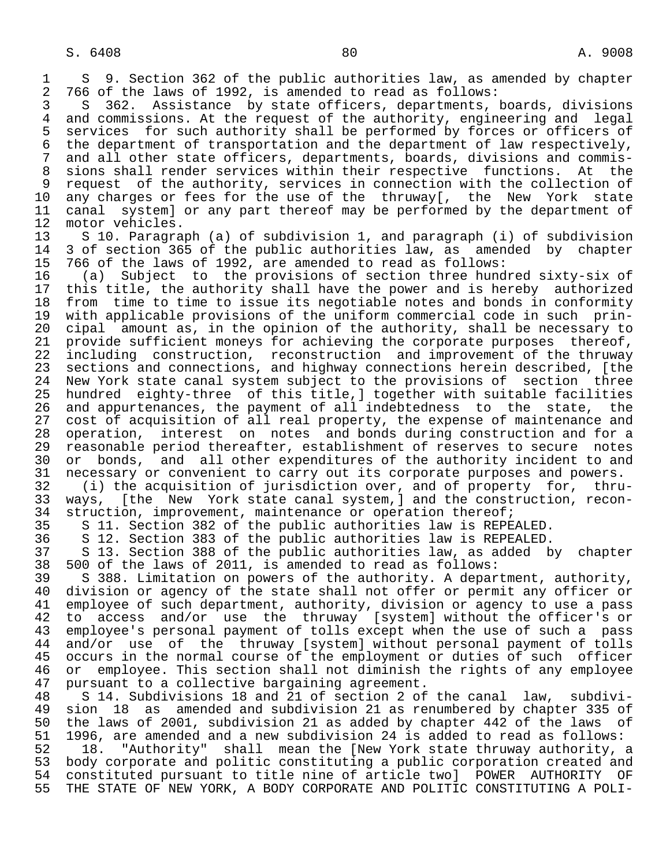1 S 9. Section 362 of the public authorities law, as amended by chapter<br>2 766 of the laws of 1992, is amended to read as follows: 2 766 of the laws of 1992, is amended to read as follows:<br>3 S 362. Assistance by state officers, departments,

3 S 362. Assistance by state officers, departments, boards, divisions<br>4 and commissions. At the request of the authority, engineering and legal 4 and commissions. At the request of the authority, engineering and legal<br>5 services for such authority shall be performed by forces or officers of 5 services for such authority shall be performed by forces or officers of<br>6 the department of transportation and the department of law respectively. 6 the department of transportation and the department of law respectively,<br>7 and all other state officers, departments, boards, divisions and commis-7 and all other state officers, departments, boards, divisions and commis-<br>8 sions shall render services within their respective functions. At the 8 sions shall render services within their respective functions. At the<br>9 request of the authority, services in connection with the collection of 9 request of the authority, services in connection with the collection of<br>10 any charges or fees for the use of the thruway[, the New York state 10 any charges or fees for the use of the thruway[, the New York state<br>11 canal system] or any part thereof may be performed by the department of 11 canal system] or any part thereof may be performed by the department of 12 motor vehicles. 12 motor vehicles.<br>13 S 10. Paragra

13 S 10. Paragraph (a) of subdivision 1, and paragraph (i) of subdivision<br>14 3 of section 365 of the public authorities law, as amended by chapter 14 3 of section 365 of the public authorities law, as amended by chapter<br>15 766 of the laws of 1992, are amended to read as follows:

 15 766 of the laws of 1992, are amended to read as follows: 16 (a) Subject to the provisions of section three hundred sixty-six of 17 this title, the authority shall have the power and is hereby authorized<br>18 from time to time to issue its negotiable notes and bonds in conformity 18 from time to time to issue its negotiable notes and bonds in conformity<br>19 with applicable provisions of the uniform commercial code in such prin-19 with applicable provisions of the uniform commercial code in such prin-<br>20 cipal amount as, in the opinion of the authority, shall be necessary to 20 cipal amount as, in the opinion of the authority, shall be necessary to<br>21 provide sufficient moneys for achieving the corporate purposes thereof, 21 provide sufficient moneys for achieving the corporate purposes<br>22 including construction, reconstruction and improvement of th 22 including construction, reconstruction and improvement of the thruway<br>23 sections and connections, and highway connections herein described, [the 23 sections and connections, and highway connections herein described, [the<br>24 New York state canal system subject to the provisions of section three 24 New York state canal system subject to the provisions of section three<br>25 hundred eighty-three of this title, cogether with suitable facilities hundred eighty-three of this title, ] together with suitable facilities 26 and appurtenances, the payment of all indebtedness to the state, the<br>27 cost of acquisition of all real property, the expense of maintenance and 27 cost of acquisition of all real property, the expense of maintenance and<br>28 operation, interest on notes and bonds during construction and for a 28 operation, interest on notes and bonds during construction and for a<br>29 reasonable period thereafter, establishment of reserves to secure notes 29 reasonable period thereafter, establishment of reserves to secure notes<br>20 or bonds, and all other expenditures of the authority incident to and 30 or bonds, and all other expenditures of the authority incident to and<br>31 necessary or convenient to carry out its corporate purposes and powers. 31 necessary or convenient to carry out its corporate purposes and powers.<br>32 (i) the acquisition of jurisdiction over, and of property for, thru

 32 (i) the acquisition of jurisdiction over, and of property for, thru- 33 ways, [the New York state canal system,] and the construction, recon-<br>34 struction, improvement, maintenance or operation thereof; 34 struction, improvement, maintenance or operation thereof;<br>35 S 11, Section 382 of the public authorities law is REPE

35 S 11. Section 382 of the public authorities law is REPEALED.<br>36 S 12. Section 383 of the public authorities law is REPEALED.

36 S 12. Section 383 of the public authorities law is REPEALED.

37 S 13. Section 388 of the public authorities law, as added by chapter<br>38 500 of the laws of 2011, is amended to read as follows: 38 500 of the laws of 2011, is amended to read as follows:

39 S 388. Limitation on powers of the authority. A department, authority,<br>40 division or agency of the state shall not offer or permit any officer or 40 division or agency of the state shall not offer or permit any officer or<br>41 employee of such department, authority, division or agency to use a pass 41 employee of such department, authority, division or agency to use a pass<br>42 to access and/or use the thruway [system] without the officer's or 42 to access and/or use the thruway [system] without the officer's or<br>43 employee's personal payment of tolls except when the use of such a pass 43 employee's personal payment of tolls except when the use of such a pass<br>44 and/or use of the thruway [system] without personal payment of tolls 44 and/or use of the thruway [system] without personal payment of tolls<br>45 occurs in the normal course of the employment or duties of such officer occurs in the normal course of the employment or duties of such officer 46 or employee. This section shall not diminish the rights of any employee<br>47 pursuant to a collective bargaining agreement. 47 pursuant to a collective bargaining agreement.<br>48 S 14. Subdivisions 18 and 21 of section 2 of

 48 S 14. Subdivisions 18 and 21 of section 2 of the canal law, subdivi- 49 sion 18 as amended and subdivision 21 as renumbered by chapter 335 of<br>50 the laws of 2001, subdivision 21 as added by chapter 442 of the laws of 50 the laws of 2001, subdivision 21 as added by chapter 442 of the laws of<br>51 1996, are amended and a new subdivision 24 is added to read as follows: 51 1996, are amended and a new subdivision 24 is added to read as follows:

52 18. "Authority" shall mean the [New York state thruway authority, a<br>53 body corporate and politic constituting a public corporation created and 53 body corporate and politic constituting a public corporation created and<br>54 constituted pursuant to title nine of article two] POWER AUTHORITY OF 54 constituted pursuant to title nine of article two] POWER AUTHORITY OF<br>55 THE STATE OF NEW YORK, A BODY CORPORATE AND POLITIC CONSTITUTING A POLI-THE STATE OF NEW YORK, A BODY CORPORATE AND POLITIC CONSTITUTING A POLI-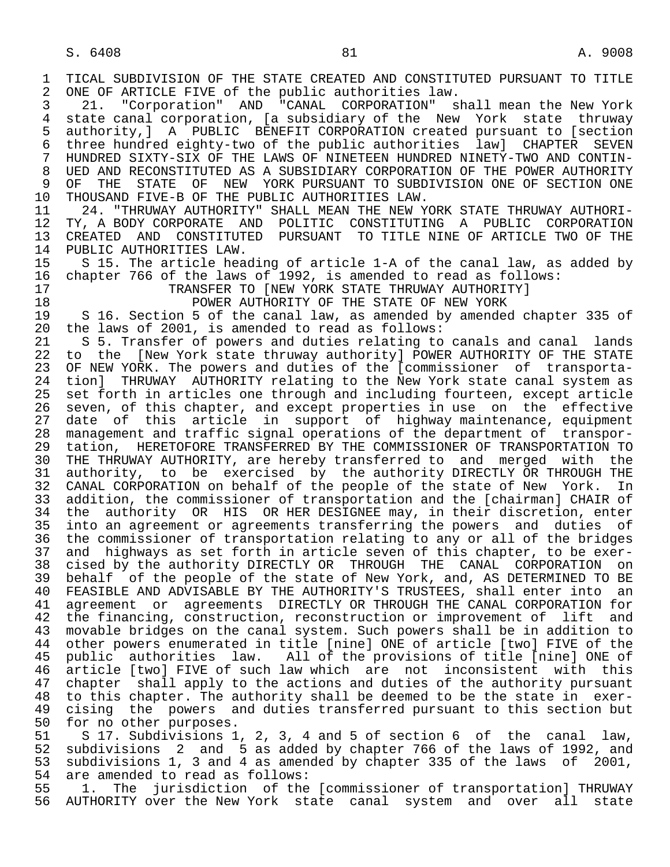1 TICAL SUBDIVISION OF THE STATE CREATED AND CONSTITUTED PURSUANT TO TITLE<br>2 ONE OF ARTICLE FIVE of the public authorities law. 2 ONE OF ARTICLE FIVE of the public authorities law.<br>3 21. "Corporation" AND "CANAL CORPORATION" s 3 21. "Corporation" AND "CANAL CORPORATION" shall mean the New York<br>4 state canal corporation. [a subsidiary of the New York state thruway 4 state canal corporation, [a subsidiary of the New York state thruway<br>5 authority, ] A PUBLIC BENEFIT CORPORATION created pursuant to [section 5 authority,] A PUBLIC BENEFIT CORPORATION created pursuant to [section 6 three hundred eighty-two of the public authorities law] CHAPTER SEVEN 7 HUNDRED SIXTY-SIX OF THE LAWS OF NINETEEN HUNDRED NINETY-TWO AND CONTIN- 8 UED AND RECONSTITUTED AS A SUBSIDIARY CORPORATION OF THE POWER AUTHORITY<br>9 OF THE STATE OF NEW YORK PURSUANT TO SUBDIVISION ONE OF SECTION ONE 9 OF THE STATE OF NEW YORK PURSUANT TO SUBDIVISION ONE OF SECTION ONE 10 THOUSAND FIVE-B OF THE PUBLIC AUTHORITIES LAW. 10 THOUSAND FIVE-B OF THE PUBLIC AUTHORITIES LAW.<br>11 24. "THRUWAY AUTHORITY" SHALL MEAN THE NEW Y 11 24. "THRUWAY AUTHORITY" SHALL MEAN THE NEW YORK STATE THRUWAY AUTHORI-<br>12 TY, A BODY CORPORATE AND POLITIC CONSTITUTING A PUBLIC CORPORATION 12 TY, A BODY CORPORATE AND POLITIC CONSTITUTING A PUBLIC CORPORATION<br>13 CREATED AND CONSTITUTED PURSUANT TO TITLE NINE OF ARTICLE TWO OF THE 13 CREATED AND CONSTITUTED PURSUANT TO TITLE NINE OF ARTICLE TWO OF THE 14 PUBLIC AUTHORITIES LAW. 14 PUBLIC AUTHORITIES LAW.<br>15 S 15. The article hea 15 S 15. The article heading of article 1-A of the canal law, as added by<br>16 chapter 766 of the laws of 1992, is amended to read as follows: 16 chapter 766 of the laws of 1992, is amended to read as follows: 17 TRANSFER TO [NEW YORK STATE THRUWAY AUTHORITY]<br>18 DOWER AUTHORITY OF THE STATE OF NEW YORK 18 **POWER AUTHORITY OF THE STATE OF NEW YORK**<br>19 S 16. Section 5 of the canal law, as amended by amended 19 S 16. Section 5 of the canal law, as amended by amended chapter 335 of 2001. is amended to read as follows: 20 the laws of 2001, is amended to read as follows:<br>21 S 5. Transfer of powers and duties relating to 21 S 5. Transfer of powers and duties relating to canals and canal lands<br>22 to the [New York state thruway authority] POWER AUTHORITY OF THE STATE 22 to the [New York state thruway authority] POWER AUTHORITY OF THE STATE<br>23 OF NEW YORK. The powers and duties of the [commissioner of transporta-23 OF NEW YORK. The powers and duties of the [commissioner of transporta-<br>24 tion] THRUWAY AUTHORITY relating to the New York state canal system as 24 tion] THRUWAY AUTHORITY relating to the New York state canal system as<br>25 set forth in articles one through and including fourteen, except article set forth in articles one through and including fourteen, except article 26 seven, of this chapter, and except properties in use on the effective<br>27 date of this article in support of highway-maintenance, equipment 27 date of this article in support of highway maintenance, equipment<br>28 management and traffic signal operations of the department of transpor-28 management and traffic signal operations of the department of transpor-<br>29 tation, HERETOFORE TRANSFERRED BY THE COMMISSIONER OF TRANSPORTATION TO 29 tation, HERETOFORE TRANSFERRED BY THE COMMISSIONER OF TRANSPORTATION TO<br>20 THE THRUWAY AUTHORITY, are hereby transferred to and merged with the THE THRUWAY AUTHORITY, are hereby transferred to and merged with the 31 authority, to be exercised by the authority DIRECTLY OR THROUGH THE<br>32 CANAL CORPORATION on behalf of the people of the state of New York. In 32 CANAL CORPORATION on behalf of the people of the state of New York.<br>33 addition, the commissioner of transportation and the [chairman] CHAIR 33 addition, the commissioner of transportation and the [chairman] CHAIR of<br>34 the authority OR HIS OR HER DESIGNEE may, in their discretion, enter 34 the authority OR HIS OR HER DESIGNEE may, in their discretion, enter<br>35 into an agreement or agreements transferring the powers and duties of 35 into an agreement or agreements transferring the powers and duties of<br>36 the commissioner of transportation relating to any or all of the bridges the commissioner of transportation relating to any or all of the bridges 37 and highways as set forth in article seven of this chapter, to be exer-<br>38 cised by the authority DIRECTLY OR THROUGH THE CANAL CORPORATION on 38 cised by the authority DIRECTLY OR THROUGH THE CANAL CORPORATION on<br>39 behalf of the people of the state of New York, and, AS DETERMINED TO BE 39 behalf of the people of the state of New York, and, AS DETERMINED TO BE<br>40 FEASIBLE AND ADVISABLE BY THE AUTHORITY'S TRUSTEES, shall enter into an 40 FEASIBLE AND ADVISABLE BY THE AUTHORITY'S TRUSTEES, shall enter into an<br>41 agreement or agreements DIRECTLY OR THROUGH THE CANAL CORPORATION for 41 agreement or agreements DIRECTLY OR THROUGH THE CANAL CORPORATION for<br>42 the financing, construction, reconstruction or improvement of lift and 42 the financing, construction, reconstruction or improvement of lift and<br>43 movable bridges on the canal system. Such powers shall be in addition to 43 movable bridges on the canal system. Such powers shall be in addition to<br>44 other powers enumerated in title [nine] ONE of article [two] FIVE of the 44 other powers enumerated in title [nine] ONE of article [two] FIVE of the<br>45 public authorities law. All of the provisions of title [nine] ONE of 45 public authorities law. All of the provisions of title [nine] ONE of 46 article [two] FIVE of such law which are not inconsistent with this<br>47 chapter shall apply to the actions and duties of the authority pursuant 47 chapter shall apply to the actions and duties of the authority pursuant<br>48 to this chapter. The authority shall be deemed to be the state in exer-48 to this chapter. The authority shall be deemed to be the state in exer-<br>49 cising the powers and duties transferred pursuant to this section but 49 cising the powers and duties transferred pursuant to this section but<br>50 for no other purposes. 50 for no other purposes.<br>51 S 17. Subdivisions 1 51 S 17. Subdivisions 1, 2, 3, 4 and 5 of section 6 of the canal law,<br>52 subdivisions 2 and 5 as added by chapter 766 of the laws of 1992, and 52 subdivisions 2 and 5 as added by chapter 766 of the laws of 1992, and<br>53 subdivisions 1, 3 and 4 as amended by chapter 335 of the laws of 2001, 53 subdivisions 1, 3 and 4 as amended by chapter 335 of the laws of 2001,<br>54 are amended to read as follows:

54 are amended to read as follows:<br>55 1. The jurisdiction of the 55 1. The jurisdiction of the [commissioner of transportation] THRUWAY<br>56 AUTHORITY over the New York state canal system and over all state AUTHORITY over the New York state canal system and over all state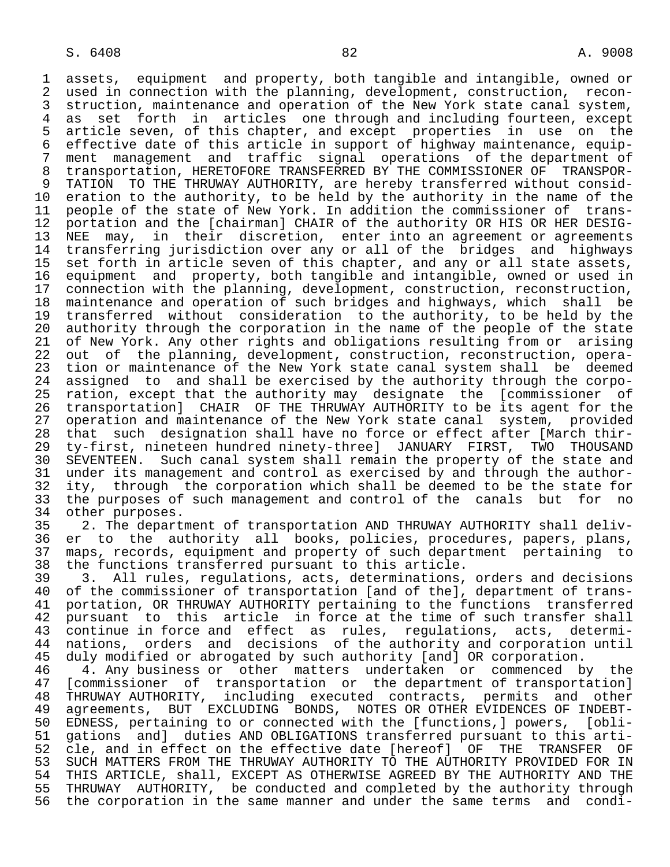1 assets, equipment and property, both tangible and intangible, owned or 2 used in connection with the planning, development, construction, recon-<br>3 struction, maintenance and operation of the New York state canal system, 3 struction, maintenance and operation of the New York state canal system,<br>4 as set forth in articles one through and including fourteen, except 4 as set forth in articles one-through-and-including-fourteen, except<br>5 article-seven, of this-chapter, and-except properties in use on the 5 article seven, of this chapter, and except properties in use on the 6 effective date of this article in support of highway maintenance, equip-<br>7 ment management and traffic signal operations of the department of 7 ment management and traffic signal operations of the department of<br>8 transportation, HERETOFORE TRANSFERRED BY THE COMMISSIONER OF TRANSPOR-8 transportation, HERETOFORE TRANSFERRED BY THE COMMISSIONER OF TRANSPOR-<br>9 TATION TO THE THRUWAY AUTHORITY, are hereby transferred without consid- 9 TATION TO THE THRUWAY AUTHORITY, are hereby transferred without consid- 10 eration to the authority, to be held by the authority in the name of the<br>11 people of the state of New York. In addition the commissioner of trans-11 people of the state of New York. In addition the commissioner of trans-<br>12 portation and the [chairman] CHAIR of the authority OR HIS OR HER DESIG-12 portation and the [chairman] CHAIR of the authority OR HIS OR HER DESIG-<br>13 NEE may, in their discretion, enter into an agreement or agreements 13 NEE may, in their discretion, enter into an agreement or agreements<br>14 transferring jurisdiction over any or all of the bridges and highways transferring jurisdiction over any or all of the bridges and highways 15 set forth in article seven of this chapter, and any or all state assets, 16 equipment and property, both tangible and intangible, owned or used in<br>17 connection with the planning, development, construction, reconstruction, 17 connection with the planning, development, construction, reconstruction,<br>18 maintenance and operation of such bridges and highways, which shall be 18 maintenance and operation of such bridges and highways, which shall be<br>19 transferred without consideration to the authority, to be held by the 19 transferred without consideration to the authority, to be held by the<br>20 authority through the corporation in the name of the people of the state 20 authority through the corporation in the name of the people of the state<br>21 of New York. Any other rights and obligations resulting from or arising 21 of New York. Any other rights and obligations resulting from or arising<br>22 out of the planning, development, construction, reconstruction, opera-22 out of the planning, development, construction, reconstruction, opera-<br>23 tion or maintenance of the New York state canal system shall be deemed 23 tion or maintenance of the New York state canal system shall be deemed<br>24 assigned to and shall be exercised by the authority through the corpo-24 assigned to and shall be exercised by the authority through the corpo-<br>25 ration, except that the authority may designate the [commissioner of ration, except that the authority may designate the [commissioner of 26 transportation] CHAIR OF THE THRUWAY AUTHORITY to be its agent for the<br>27 operation and maintenance of the New York state canal system, provided 27 operation and maintenance of the New York state canal system, provided<br>28 that such designation shall have no force or effect after [March thir-28 that such designation shall have no force or effect after [March thir-<br>29 ty-first, nineteen hundred ninety-three] JANUARY FIRST, TWO THOUSAND 29 ty-first, nineteen hundred ninety-three] JANUARY FIRST, TWO THOUSAND 30 SEVENTEEN. Such canal system shall remain the property of the state and<br>31 under its management and control as exercised by and through the author-31 under its management and control as exercised by and through the author-<br>32 ity, through the corporation which shall be deemed to be the state for 32 ity, through the corporation which shall be deemed to be the state for<br>33 the purposes of such management and control of the canals but for no 33 the purposes of such management and control of the canals but for 34 other purposes.

34 other purposes.<br>35 2. The depart 35 2. The department of transportation AND THRUWAY AUTHORITY shall deliv-<br>36 er to the authority all books, policies, procedures, papers, plans, er to the authority all books, policies, procedures, papers, plans, 37 maps, records, equipment and property of such department pertaining to<br>38 the functions transferred pursuant to this article. 38 the functions transferred pursuant to this article.<br>39 3. All rules, regulations, acts, determinations,

39 3. All rules, regulations, acts, determinations, orders and decisions<br>40 of the commissioner of transportation [and of the], department of trans-40 of the commissioner of transportation [and of the], department of trans-<br>41 portation, OR THRUWAY AUTHORITY pertaining to the functions transferred 41 portation, OR THRUWAY AUTHORITY pertaining to the functions transferred<br>42 pursuant to this article in force at the time of such transfer shall 42 pursuant to this article in force at the time of such transfer shall<br>43 continue in force and effect as rules, regulations, acts, determi-43 continue in force and effect as rules, regulations, acts, determi-<br>44 nations, orders and decisions of the authority and corporation until 44 nations, orders and decisions of the authority and corporation until<br>45 duly modified or abrogated by such authority [and] OR corporation. duly modified or abrogated by such authority [and] OR corporation.

46 the Any business or other matters undertaken or commenced by the<br>47 [commissioner of transportation or the department of transportation] 47 [commissioner of transportation or the department of transportation]<br>48 THRUWAY AUTHORITY, including executed contracts, permits and other 48 THRUWAY AUTHORITY, including executed contracts, permits and other 49 agreements, BUT EXCLUDING BONDS, NOTES OR OTHER EVIDENCES OF INDEBT-<br>50 EDNESS, pertaining to or connected with the [functions, ] powers, [obli-50 EDNESS, pertaining to or connected with the [functions,] powers, [obli-<br>51 gations and] duties AND OBLIGATIONS transferred pursuant to this arti-51 gations and] duties AND OBLIGATIONS transferred pursuant to this arti-<br>52 cle, and in effect on the effective date [hereof] OF THE TRANSFER OF 52 cle, and in effect on the effective date [hereof] OF THE TRANSFER OF<br>53 SUCH MATTERS FROM THE THRUWAY AUTHORITY TO THE AUTHORITY PROVIDED FOR IN 53 SUCH MATTERS FROM THE THRUWAY AUTHORITY TO THE AUTHORITY PROVIDED FOR IN<br>54 THIS ARTICLE, shall, EXCEPT AS OTHERWISE AGREED BY THE AUTHORITY AND THE 54 THIS ARTICLE, shall, EXCEPT AS OTHERWISE AGREED BY THE AUTHORITY AND THE<br>55 THRUWAY AUTHORITY, be conducted and completed by the authority through 55 THRUWAY AUTHORITY, be conducted and completed by the authority through<br>56 the corporation in the same manner and under the same terms and condithe corporation in the same manner and under the same terms and condi-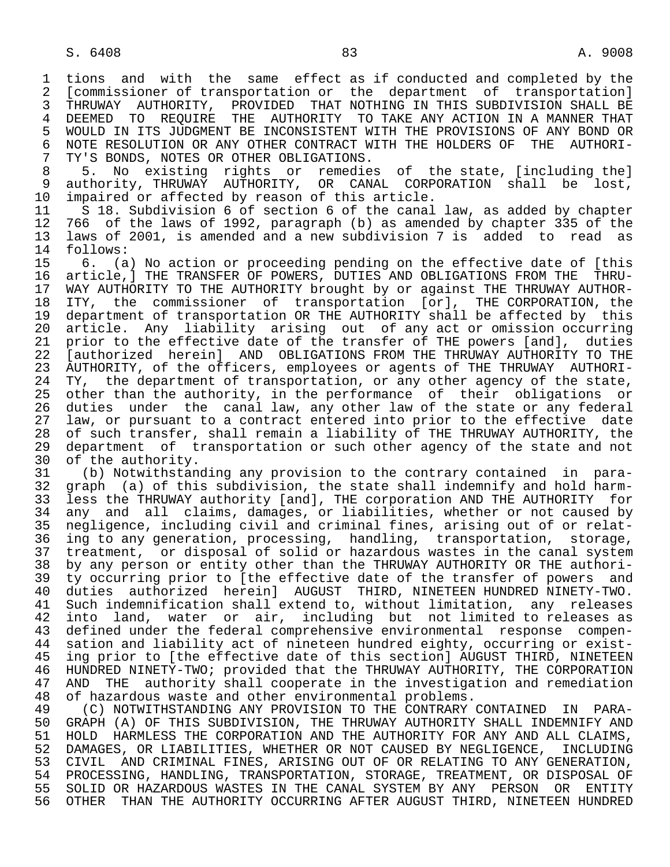1 tions and with the same effect as if conducted and completed by the<br>2 [commissioner of transportation or the department of transportation] 2 [commissioner of transportation or the department of transportation]<br>3 THRUWAY AUTHORITY, PROVIDED THAT NOTHING IN THIS SUBDIVISION SHALL BE 3 THRUWAY AUTHORITY, PROVIDED THAT NOTHING IN THIS SUBDIVISION SHALL BE 4 DEEMED TO REQUIRE THE AUTHORITY TO TAKE ANY ACTION IN A MANNER THAT<br>5 WOULD IN ITS JUDGMENT BE INCONSISTENT WITH THE PROVISIONS OF ANY BOND OR 5 WOULD IN ITS JUDGMENT BE INCONSISTENT WITH THE PROVISIONS OF ANY BOND OR<br>6 NOTE RESOLUTION OR ANY OTHER CONTRACT WITH THE HOLDERS OF THE AUTHORI-6 NOTE RESOLUTION OR ANY OTHER CONTRACT WITH THE HOLDERS OF THE AUTHORI-<br>7 TY'S BONDS, NOTES OR OTHER OBLIGATIONS. 7 TY'S BONDS, NOTES OR OTHER OBLIGATIONS.<br>8 5. No existing rights or remedie

8 5. No existing rights or remedies of the state, [including the]<br>9 authority. THRUWAY AUTHORITY. OR CANAL CORPORATION shall be lost. 9 authority, THRUWAY AUTHORITY, OR CANAL CORPORATION shall be lost,<br>10 impaired or affected by reason of this article. 10 impaired or affected by reason of this article.<br>11 S 18. Subdivision 6 of section 6 of the canal

11 S 18. Subdivision 6 of section 6 of the canal law, as added by chapter<br>12 766 of the laws of 1992, paragraph (b) as amended by chapter 335 of the 12 766 of the laws of 1992, paragraph (b) as amended by chapter 335 of the<br>13 laws of 2001, is amended and a new subdivision 7 is added to read as 13 laws of 2001, is amended and a new subdivision 7 is added to read as follows:

15 6. (a) No action or proceeding pending on the effective date of [this<br>16 article,] THE TRANSFER OF POWERS, DUTIES AND OBLIGATIONS FROM THE THRU- 16 article,] THE TRANSFER OF POWERS, DUTIES AND OBLIGATIONS FROM THE THRU- 17 WAY AUTHORITY TO THE AUTHORITY brought by or against THE THRUWAY AUTHOR-<br>18 ITY, the commissioner of transportation [or], THE CORPORATION, the 18 ITY, the commissioner of transportation [or], THE CORPORATION, the<br>19 department of transportation OR THE AUTHORITY shall be affected by this 19 department of transportation OR THE AUTHORITY shall be affected by this<br>20 article. Any liability arising out of any act or omission occurring 20 article. Any liability arising out of any act or omission occurring<br>21 prior to the effective date of the transfer of THE powers [and], duties 21 prior to the effective date of the transfer of THE powers [and], duties<br>22 [authorized herein] AND OBLIGATIONS FROM THE THRUWAY AUTHORITY TO THE 22 [authorized herein] AND OBLIGATIONS FROM THE THRUWAY AUTHORITY TO THE<br>23 AUTHORITY, of the officers, employees or agents of THE THRUWAY AUTHORI-AUTHORITY, of the officers, employees or agents of THE THRUWAY AUTHORI-24 TY, the department of transportation, or any other agency of the state,<br>25 other than the authority, in the performance of their obligations or 25 other than the authority, in the performance of their obligations or 26 duties under the canal law, any other law of the state or any federal<br>27 law, or pursuant to a contract entered into prior to the effective date 27 law, or pursuant to a contract entered into prior to the effective date<br>28 of such transfer, shall remain a liability of THE THRUWAY AUTHORITY, the 28 of such transfer, shall remain a liability of THE THRUWAY AUTHORITY, the<br>29 department of transportation or such other agency of the state and not 29 department of transportation or such other agency of the state and not<br>30 of the authority. 30 of the authority.<br>31 (b) Notwithstan

 31 (b) Notwithstanding any provision to the contrary contained in para- 32 graph (a) of this subdivision, the state shall indemnify and hold harm-<br>33 less the THRUWAY authority [and], THE corporation AND THE AUTHORITY for 33 less the THRUWAY authority [and], THE corporation AND THE AUTHORITY for<br>34 any and all claims, damages, or liabilities, whether or not caused by 34 any and all claims, damages, or liabilities, whether or not caused by<br>35 negligence, including civil and criminal fines, arising out of or relat-<sup>11</sup> and including civil and criminal fines, arising out of or relat-<br>36 ing to any generation, processing, handling, transportation, storage, ing to any generation, processing, handling, transportation, storage, 37 treatment, or disposal of solid or hazardous wastes in the canal system<br>38 by any person or entity other than the THRUWAY AUTHORITY OR THE authori-38 by any person or entity other than the THRUWAY AUTHORITY OR THE authori-<br>39 ty occurring prior to [the effective date of the transfer of powers and 39 ty occurring prior to [the effective date of the transfer of powers and<br>40 duties authorized herein] AUGUST THIRD, NINETEEN HUNDRED NINETY-TWO. 40 duties authorized herein] AUGUST THIRD, NINETEEN HUNDRED NINETY-TWO. 41 Such indemnification shall extend to, without limitation, any releases<br>42 into land, water or air, including but not limited to releases as 42 into land, water or air, including but not limited to releases as<br>43 defined under the federal comprehensive environmental response compen-43 defined under the federal comprehensive environmental response compen-<br>44 sation and liability act of nineteen hundred eighty, occurring or exist-44 sation and liability act of nineteen hundred eighty, occurring or exist-<br>45 ing prior to [the effective date of this section] AUGUST THIRD, NINETEEN ing prior to [the effective date of this section] AUGUST THIRD, NINETEEN 46 HUNDRED NINETY-TWO; provided that the THRUWAY AUTHORITY, THE CORPORATION<br>47 AND THE authority shall cooperate in the investigation and remediation AND THE authority shall cooperate in the investigation and remediation 48 of hazardous waste and other environmental problems.<br>49 (C) NOTWITHSTANDING ANY PROVISION TO THE CONTRARY

49 (C) NOTWITHSTANDING ANY PROVISION TO THE CONTRARY CONTAINED IN PARA-<br>50 GRAPH (A) OF THIS SUBDIVISION, THE THRUWAY AUTHORITY SHALL INDEMNIFY AND 50 GRAPH (A) OF THIS SUBDIVISION, THE THRUWAY AUTHORITY SHALL INDEMNIFY AND<br>51 HOLD HARMLESS THE CORPORATION AND THE AUTHORITY FOR ANY AND ALL CLAIMS, 51 HOLD HARMLESS THE CORPORATION AND THE AUTHORITY FOR ANY AND ALL CLAIMS,<br>52 DAMAGES, OR LIABILITIES, WHETHER OR NOT CAUSED BY NEGLIGENCE, INCLUDING 52 DAMAGES, OR LIABILITIES, WHETHER OR NOT CAUSED BY NEGLIGENCE, INCLUDING<br>53 CIVIL AND CRIMINAL FINES, ARISING OUT OF OR RELATING TO ANY GENERATION, 53 CIVIL AND CRIMINAL FINES, ARISING OUT OF OR RELATING TO ANY GENERATION,<br>54 PROCESSING, HANDLING, TRANSPORTATION, STORAGE, TREATMENT, OR DISPOSAL OF 54 PROCESSING, HANDLING, TRANSPORTATION, STORAGE, TREATMENT, OR DISPOSAL OF<br>55 SOLID OR HAZARDOUS WASTES IN THE CANAL SYSTEM BY ANY PERSON OR ENTITY 55 SOLID OR HAZARDOUS WASTES IN THE CANAL SYSTEM BY ANY PERSON OR ENTITY<br>56 OTHER THAN THE AUTHORITY OCCURRING AFTER AUGUST THIRD, NINETEEN HUNDRED 56 OTHER THAN THE AUTHORITY OCCURRING AFTER AUGUST THIRD, NINETEEN HUNDRED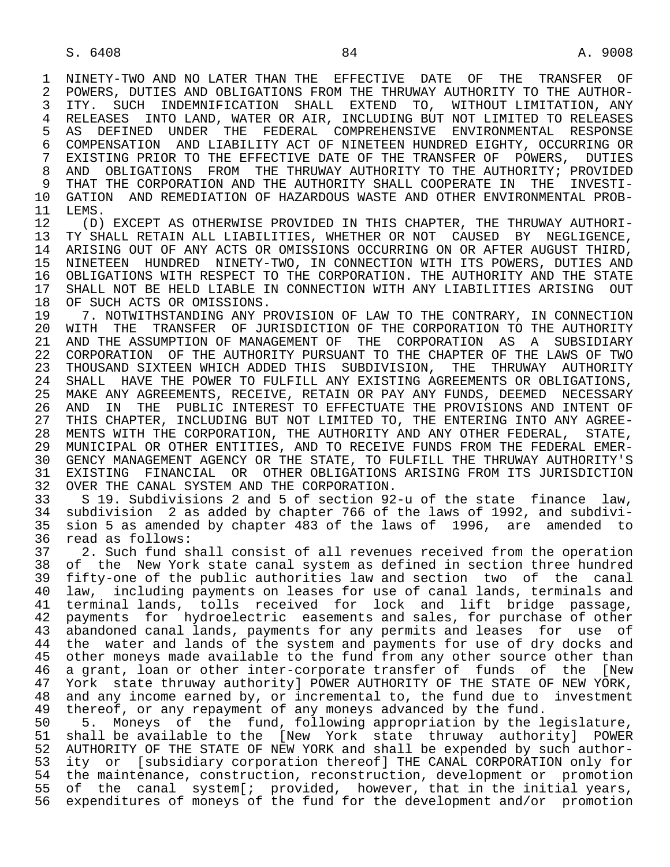1 NINETY-TWO AND NO LATER THAN THE EFFECTIVE DATE OF THE TRANSFER OF<br>2 POWERS, DUTIES AND OBLIGATIONS FROM THE THRUWAY AUTHORITY TO THE AUTHOR-2 POWERS, DUTIES AND OBLIGATIONS FROM THE THRUWAY AUTHORITY TO THE AUTHOR-<br>3 ITY. SUCH INDEMNIFICATION SHALL EXTEND TO, WITHOUT LIMITATION, ANY 3 ITY. SUCH INDEMNIFICATION SHALL EXTEND TO, WITHOUT LIMITATION, ANY<br>4 RELEASES INTO LAND, WATER OR AIR, INCLUDING BUT NOT LIMITED TO RELEASES 4 RELEASES INTO LAND, WATER OR AIR, INCLUDING BUT NOT LIMITED TO RELEASES<br>5 AS DEFINED UNDER THE FEDERAL COMPREHENSIVE ENVIRONMENTAL RESPONSE 5 AS DEFINED UNDER THE FEDERAL COMPREHENSIVE ENVIRONMENTAL RESPONSE<br>6 COMPENSATION AND LIABILITY ACT OF NINETEEN HUNDRED EIGHTY, OCCURRING OR 6 COMPENSATION AND LIABILITY ACT OF NINETEEN HUNDRED EIGHTY, OCCURRING OR<br>7 EXISTING PRIOR TO THE EFFECTIVE DATE OF THE TRANSFER OF POWERS, DUTIES 7 EXISTING PRIOR TO THE EFFECTIVE DATE OF THE TRANSFER OF POWERS, DUTIES<br>8 AND OBLIGATIONS FROM THE THRUWAY AUTHORITY TO THE AUTHORITY; PROVIDED 8 AND OBLIGATIONS FROM THE THRUWAY AUTHORITY TO THE AUTHORITY; PROVIDED<br>9 THAT THE CORPORATION AND THE AUTHORITY SHALL COOPERATE IN THE INVESTI-9 THAT THE CORPORATION AND THE AUTHORITY SHALL COOPERATE IN THE INVESTI-<br>10 GATION AND REMEDIATION OF HAZARDOUS WASTE AND OTHER ENVIRONMENTAL PROB-10 GATION AND REMEDIATION OF HAZARDOUS WASTE AND OTHER ENVIRONMENTAL PROB-<br>11 LEMS. 11 LEMS.<br>12 (D)

12 (D) EXCEPT AS OTHERWISE PROVIDED IN THIS CHAPTER, THE THRUWAY AUTHORI-<br>13 TY SHALL RETAIN ALL LIABILITIES, WHETHER OR NOT CAUSED BY NEGLIGENCE, 13 TY SHALL RETAIN ALL LIABILITIES, WHETHER OR NOT CAUSED BY NEGLIGENCE,<br>14 ARISING OUT OF ANY ACTS OR OMISSIONS OCCURRING ON OR AFTER AUGUST THIRD. 14 ARISING OUT OF ANY ACTS OR OMISSIONS OCCURRING ON OR AFTER AUGUST THIRD,<br>15 NINETEEN HUNDRED NINETY-TWO, IN CONNECTION WITH ITS POWERS, DUTIES AND 15 NINETEEN HUNDRED NINETY-TWO, IN CONNECTION WITH ITS POWERS, DUTIES AND 16 OBLIGATIONS WITH RESPECT TO THE CORPORATION. THE AUTHORITY AND THE STATE<br>17 SHALL NOT BE HELD LIABLE IN CONNECTION WITH ANY LIABILITIES ARISING OUT 17 SHALL NOT BE HELD LIABLE IN CONNECTION WITH ANY LIABILITIES ARISING OUT 18 OF SUCH ACTS OR OMISSIONS. 18 OF SUCH ACTS OR OMISSIONS.<br>19 7. NOTWITHSTANDING ANY P

19 1. NOTWITHSTANDING ANY PROVISION OF LAW TO THE CONTRARY, IN CONNECTION<br>20 WITH THE TRANSFER OF JURISDICTION OF THE CORPORATION TO THE AUTHORITY 20 WITH THE TRANSFER OF JURISDICTION OF THE CORPORATION TO THE AUTHORITY<br>21 AND THE ASSUMPTION OF MANAGEMENT OF THE CORPORATION AS A SUBSIDIARY 21 AND THE ASSUMPTION OF MANAGEMENT OF THE CORPORATION AS A SUBSIDIARY<br>22 CORPORATION OF THE AUTHORITY PURSUANT TO THE CHAPTER OF THE LAWS OF TWO 22 CORPORATION OF THE AUTHORITY PURSUANT TO THE CHAPTER OF THE LAWS OF TWO<br>23 THOUSAND SIXTEEN WHICH ADDED THIS SUBDIVISION, THE THRUWAY AUTHORITY 23 THOUSAND SIXTEEN WHICH ADDED THIS SUBDIVISION, THE THRUWAY AUTHORITY 24 SHALL HAVE THE POWER TO FULFILL ANY EXISTING AGREEMENTS OR OBLIGATIONS, 25 MAKE ANY AGREEMENTS, RECEIVE, RETAIN OR PAY ANY FUNDS, DEEMED NECESSARY 26 AND IN THE PUBLIC INTEREST TO EFFECTUATE THE PROVISIONS AND INTENT OF<br>27 THIS CHAPTER, INCLUDING BUT NOT LIMITED TO, THE ENTERING INTO ANY AGREE-THIS CHAPTER, INCLUDING BUT NOT LIMITED TO, THE ENTERING INTO ANY AGREE- 28 MENTS WITH THE CORPORATION, THE AUTHORITY AND ANY OTHER FEDERAL, STATE, 29 MUNICIPAL OR OTHER ENTITIES, AND TO RECEIVE FUNDS FROM THE FEDERAL EMER- 30 GENCY MANAGEMENT AGENCY OR THE STATE, TO FULFILL THE THRUWAY AUTHORITY'S 31 EXISTING FINANCIAL OR OTHER OBLIGATIONS ARISING FROM ITS JURISDICTION 32 OVER THE CANAL SYSTEM AND THE CORPORATION.<br>33 S 19. Subdivisions 2 and 5 of section 92

 33 S 19. Subdivisions 2 and 5 of section 92-u of the state finance law, 34 subdivision 2 as added by chapter 766 of the laws of 1992, and subdivi- 35 sion 5 as amended by chapter 483 of the laws of 1996, are amended to 36 read as follows:<br>37 2. Such fund s

37 2. Such fund shall consist of all revenues received from the operation<br>38 of the New York state canal system as defined in section three hundred 38 of the New York state canal system as defined in section three hundred<br>39 fifty-one of the public authorities law and section two of the canal 39 fifty-one of the public authorities law and section two of the canal<br>40 law, including payments on leases for use of canal lands, terminals and 40 law, including payments on leases for use of canal lands, terminals and<br>41 terminal lands, tolls received for lock and lift bridge passage, 41 terminal lands, tolls received for lock and lift bridge passage,<br>42 payments for hydroelectric easements and sales, for purchase of other 42 payments for hydroelectric easements and sales, for purchase of other<br>43 abandoned canal lands, payments for any permits and leases for use of 43 abandoned canal lands, payments for any permits and leases for use of<br>44 the water and lands of the system and payments for use of dry docks and the water and lands of the system and payments for use of dry docks and 45 other moneys made available to the fund from any other source other than 46 a grant, loan or other inter-corporate transfer of funds of the [New<br>47 York state thruway authority] POWER AUTHORITY OF THE STATE OF NEW YORK, 47 York state thruway authority] POWER AUTHORITY OF THE STATE OF NEW YORK,<br>48 and any income earned by, or incremental to, the fund due to investment 48 and any income earned by, or incremental to, the fund due to investment<br>49 thereof, or any repayment of any moneys advanced by the fund. 49 thereof, or any repayment of any moneys advanced by the fund.<br>50 5. Moneys of the fund, following appropriation by the l

50 5. Moneys of the fund, following appropriation by the legislature,<br>51 shall be available to the [New York state thruway authority] POWER shall be available to the [New York state thruway authority] POWER 52 AUTHORITY OF THE STATE OF NEW YORK and shall be expended by such author- 53 ity or [subsidiary corporation thereof] THE CANAL CORPORATION only for 54 the maintenance, construction, reconstruction, development or promotion 55 of the canal system[; provided, however, that in the initial years,<br>56 expenditures of moneys of the fund for the development and/or promotion expenditures of moneys of the fund for the development and/or promotion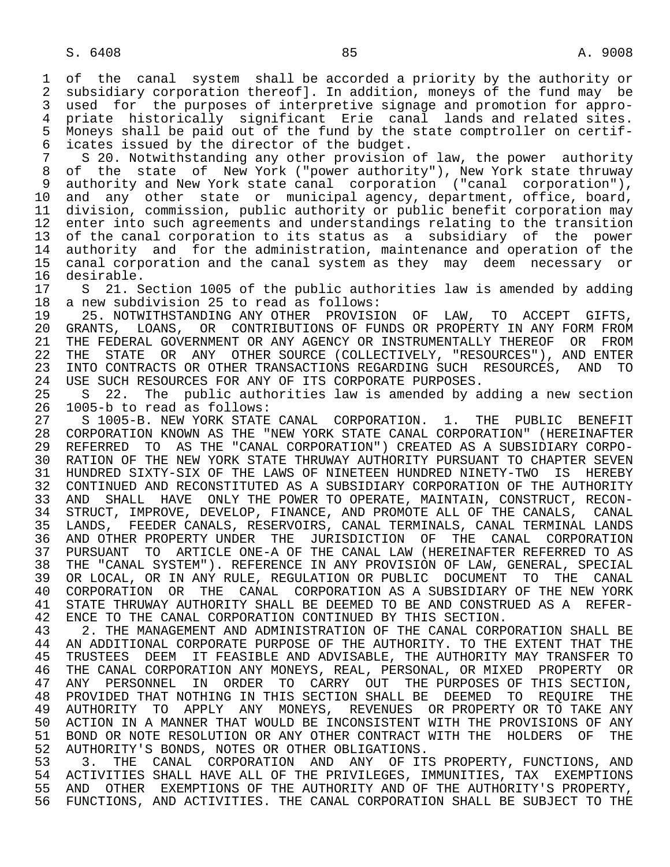1 of the canal system shall be accorded a priority by the authority or<br>2 subsidiary corporation thereofl. In addition, moneys of the fund may be 2 subsidiary corporation thereof]. In addition, moneys of the fund may be<br>3 used for the purposes of interpretive signage and promotion for approused for the purposes of interpretive signage and promotion for appro- 4 priate historically significant Erie canal lands and related sites. 5 Moneys shall be paid out of the fund by the state comptroller on certif-<br>6 icates issued by the director of the budget. 6 icates issued by the director of the budget.<br>7 S 20. Notwithstanding any other provision

7 S 20. Notwithstanding any other provision of law, the power authority<br>8 of the state of New York ("power authority"), New York state thruway of the state of New York ("power authority"), New York state thruway 9 authority and New York state canal corporation ("canal corporation"), 10 and any other state or municipal agency, department, office, board,<br>11 division, commission, public authority or public benefit corporation may 11 division, commission, public authority or public benefit corporation may<br>12 enter into such agreements and understandings relating to the transition 12 enter into such agreements and understandings relating to the transition<br>13 of the canal corporation to its status as a subsidiary of the power 13 of the canal corporation to its status as a subsidiary of the power<br>14 authority and for the administration, maintenance and operation of the authority and for the administration, maintenance and operation of the 15 canal corporation and the canal system as they may deem necessary or 16 desirable.<br>17 S 21. S

17 S 21. Section 1005 of the public authorities law is amended by adding<br>18 a new subdivision 25 to read as follows: 18 a new subdivision 25 to read as follows:<br>19 25. NOTWITHSTANDING ANY OTHER PROVISI

19 25. NOTWITHSTANDING ANY OTHER PROVISION OF LAW, TO ACCEPT GIFTS,<br>20 GRANTS. LOANS. OR CONTRIBUTIONS OF FUNDS OR PROPERTY IN ANY FORM FROM 20 GRANTS, LOANS, OR CONTRIBUTIONS OF FUNDS OR PROPERTY IN ANY FORM FROM<br>21 THE FEDERAL GOVERNMENT OR ANY AGENCY OR INSTRUMENTALLY THEREOF OR FROM 21 THE FEDERAL GOVERNMENT OR ANY AGENCY OR INSTRUMENTALLY THEREOF OR FROM<br>22 THE STATE OR ANY OTHER SOURCE (COLLECTIVELY, "RESOURCES"), AND ENTER 22 THE STATE OR ANY OTHER SOURCE (COLLECTIVELY, "RESOURCES"), AND ENTER<br>23 INTO CONTRACTS OR OTHER TRANSACTIONS REGARDING SUCH RESOURCES, AND TO 23 INTO CONTRACTS OR OTHER TRANSACTIONS REGARDING SUCH RESOURCES, AND TO 24 USE SUCH RESOURCES FOR ANY OF ITS CORPORATE PURPOSES.<br>25 S 22. The public authorities law is amended by a

 25 S 22. The public authorities law is amended by adding a new section 26 1005-b to read as follows:

27 S 1005-B. NEW YORK STATE CANAL CORPORATION. 1. THE PUBLIC BENEFIT<br>28 CORPORATION KNOWN AS THE "NEW YORK STATE CANAL CORPORATION" (HEREINAFTER 28 CORPORATION KNOWN AS THE "NEW YORK STATE CANAL CORPORATION" (HEREINAFTER<br>29 REFERRED TO AS THE "CANAL CORPORATION") CREATED AS A SUBSIDIARY CORPO-29 REFERRED TO AS THE "CANAL CORPORATION") CREATED AS A SUBSIDIARY CORPO-<br>30 RATION OF THE NEW YORK STATE THRUWAY AUTHORITY PURSUANT TO CHAPTER SEVEN 30 RATION OF THE NEW YORK STATE THRUWAY AUTHORITY PURSUANT TO CHAPTER SEVEN<br>31 HUNDRED SIXTY-SIX OF THE LAWS OF NINETEEN HUNDRED NINETY-TWO IS HEREBY 31 HUNDRED SIXTY-SIX OF THE LAWS OF NINETEEN HUNDRED NINETY-TWO IS HEREBY<br>32 CONTINUED AND RECONSTITUTED AS A SUBSIDIARY CORPORATION OF THE AUTHORITY 32 CONTINUED AND RECONSTITUTED AS A SUBSIDIARY CORPORATION OF THE AUTHORITY<br>33 AND SHALL HAVE ONLY THE POWER TO OPERATE, MAINTAIN, CONSTRUCT, RECON-AND SHALL HAVE ONLY THE POWER TO OPERATE, MAINTAIN, CONSTRUCT, RECON-34 STRUCT, IMPROVE, DEVELOP, FINANCE, AND PROMOTE ALL OF THE CANALS, CANAL<br>35 LANDS, FEEDER CANALS, RESERVOIRS, CANAL TERMINALS, CANAL TERMINAL LANDS 35 LANDS, FEEDER CANALS, RESERVOIRS, CANAL TERMINALS, CANAL TERMINAL LANDS<br>36 AND OTHER PROPERTY UNDER THE JURISDICTION OF THE CANAL CORPORATION 36 AND OTHER PROPERTY UNDER THE JURISDICTION OF THE CANAL CORPORATION 37 PURSUANT TO ARTICLE ONE-A OF THE CANAL LAW (HEREINAFTER REFERRED TO AS<br>38 THE "CANAL SYSTEM"). REFERENCE IN ANY PROVISION OF LAW, GENERAL, SPECIAL 38 THE "CANAL SYSTEM"). REFERENCE IN ANY PROVISION OF LAW, GENERAL, SPECIAL<br>39 OR LOCAL, OR IN ANY RULE, REGULATION OR PUBLIC DOCUMENT TO THE CANAL 39 OR LOCAL, OR IN ANY RULE, REGULATION OR PUBLIC DOCUMENT TO THE CANAL<br>40 CORPORATION OR THE CANAL CORPORATION AS A SUBSIDIARY OF THE NEW YORK 40 CORPORATION OR THE CANAL CORPORATION AS A SUBSIDIARY OF THE NEW YORK<br>41 STATE THRUWAY AUTHORITY SHALL BE DEEMED TO BE AND CONSTRUED AS A REFER-41 STATE THRUWAY AUTHORITY SHALL BE DEEMED TO BE AND CONSTRUED AS A REFER-<br>42 ENCE TO THE CANAL CORPORATION CONTINUED BY THIS SECTION. 42 ENCE TO THE CANAL CORPORATION CONTINUED BY THIS SECTION.<br>43 2. THE MANAGEMENT AND ADMINISTRATION OF THE CANAL CORP

43 2. THE MANAGEMENT AND ADMINISTRATION OF THE CANAL CORPORATION SHALL BE<br>44 AN ADDITIONAL CORPORATE PURPOSE OF THE AUTHORITY. TO THE EXTENT THAT THE 44 AN ADDITIONAL CORPORATE PURPOSE OF THE AUTHORITY. TO THE EXTENT THAT THE 45 TRUSTEES DEEM IT FEASIBLE AND ADVISABLE, THE AUTHORITY MAY TRANSFER TO 45 TRUSTEES DEEM IT FEASIBLE AND ADVISABLE, THE AUTHORITY MAY TRANSFER TO 46 THE CANAL CORPORATION ANY MONEYS, REAL, PERSONAL, OR MIXED PROPERTY OR<br>47 ANY PERSONNEL IN ORDER TO CARRY OUT THE PURPOSES OF THIS SECTION. ANY PERSONNEL IN ORDER TO CARRY OUT THE PURPOSES OF THIS SECTION, 48 PROVIDED THAT NOTHING IN THIS SECTION SHALL BE DEEMED TO REQUIRE THE 49 AUTHORITY TO APPLY ANY MONEYS, REVENUES OR PROPERTY OR TO TAKE ANY<br>50 ACTION IN A MANNER THAT WOULD BE INCONSISTENT WITH THE PROVISIONS OF ANY 50 ACTION IN A MANNER THAT WOULD BE INCONSISTENT WITH THE PROVISIONS OF ANY<br>51 BOND OR NOTE RESOLUTION OR ANY OTHER CONTRACT WITH THE HOLDERS OF THE 51 BOND OR NOTE RESOLUTION OR ANY OTHER CONTRACT WITH THE HOLDERS OF THE 52 AUTHORITY'S BONDS, NOTES OR OTHER OBLIGATIONS. 52 AUTHORITY'S BONDS, NOTES OR OTHER OBLIGATIONS.<br>53 3. THE CANAL CORPORATION AND ANY OF IT

53 THE CANAL CORPORATION AND ANY OF ITS PROPERTY, FUNCTIONS, AND 54 ACTIVITIES SHALL HAVE ALL OF THE PRIVILEGES, IMMUNITIES, TAX EXEMPTIONS 54 ACTIVITIES SHALL HAVE ALL OF THE PRIVILEGES, IMMUNITIES, TAX EXEMPTIONS<br>55 AND OTHER EXEMPTIONS OF THE AUTHORITY AND OF THE AUTHORITY'S PROPERTY, 55 AND OTHER EXEMPTIONS OF THE AUTHORITY AND OF THE AUTHORITY'S PROPERTY,<br>56 FUNCTIONS, AND ACTIVITIES. THE CANAL CORPORATION SHALL BE SUBJECT TO THE 56 FUNCTIONS, AND ACTIVITIES. THE CANAL CORPORATION SHALL BE SUBJECT TO THE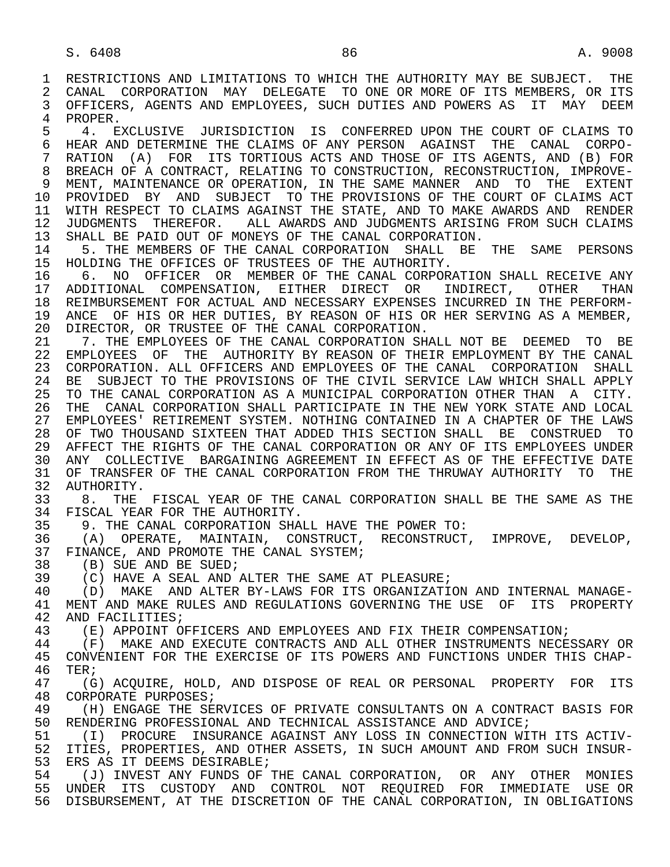1 RESTRICTIONS AND LIMITATIONS TO WHICH THE AUTHORITY MAY BE SUBJECT. THE 2 CANAL CORPORATION MAY DELEGATE TO ONE OR MORE OF ITS MEMBERS, OR ITS 2 CANAL CORPORATION MAY DELEGATE TO ONE OR MORE OF ITS MEMBERS, OR ITS<br>3 OFFICERS, AGENTS AND EMPLOYEES, SUCH DUTIES AND POWERS AS IT MAY DEEM OFFICERS, AGENTS AND EMPLOYEES, SUCH DUTIES AND POWERS AS IT MAY DEEM 4 PROPER.<br>5 4. E

5 4. EXCLUSIVE JURISDICTION IS CONFERRED UPON THE COURT OF CLAIMS TO<br>6 HEAR AND DETERMINE THE CLAIMS OF ANY PERSON AGAINST THE CANAL CORPO-6 HEAR AND DETERMINE THE CLAIMS OF ANY PERSON AGAINST THE CANAL CORPO-<br>7 RATION (A) FOR ITS TORTIOUS ACTS AND THOSE OF ITS AGENTS, AND (B) FOR RATION (A) FOR ITS TORTIOUS ACTS AND THOSE OF ITS AGENTS, AND (B) FOR 8 BREACH OF A CONTRACT, RELATING TO CONSTRUCTION, RECONSTRUCTION, IMPROVE-<br>9 MENT, MAINTENANCE OR OPERATION, IN THE SAME MANNER AND TO THE EXTENT 9 MENT, MAINTENANCE OR OPERATION, IN THE SAME MANNER AND TO THE EXTENT<br>10 PROVIDED BY AND SUBJECT TO THE PROVISIONS OF THE COURT OF CLAIMS ACT 10 PROVIDED BY AND SUBJECT TO THE PROVISIONS OF THE COURT OF CLAIMS ACT<br>11 WITH RESPECT TO CLAIMS AGAINST THE STATE, AND TO MAKE AWARDS AND RENDER 11 WITH RESPECT TO CLAIMS AGAINST THE STATE, AND TO MAKE AWARDS AND RENDER<br>12 JUDGMENTS THEREFOR. ALL AWARDS AND JUDGMENTS ARISING FROM SUCH CLAIMS 12 JUDGMENTS THEREFOR. ALL AWARDS AND JUDGMENTS ARISING FROM SUCH CLAIMS 13 SHALL BE PAID OUT OF MONEYS OF THE CANAL CORPORATION.<br>14 5 THE MEMBERS OF THE CANAL CORPORATION SHALL BE

5. THE MEMBERS OF THE CANAL CORPORATION SHALL BE THE SAME PERSONS 15 HOLDING THE OFFICES OF TRUSTEES OF THE AUTHORITY.<br>16 6. NO OFFICER OR MEMBER OF THE CANAL CORPORI

16 6. NO OFFICER OR MEMBER OF THE CANAL CORPORATION SHALL RECEIVE ANY<br>17 ADDITIONAL COMPENSATION, EITHER DIRECT OR INDIRECT, OTHER THAN 17 ADDITIONAL COMPENSATION, EITHER DIRECT OR INDIRECT, OTHER THAN<br>18 REIMBURSEMENT FOR ACTUAL AND NECESSARY EXPENSES INCURRED IN THE PERFORM-18 REIMBURSEMENT FOR ACTUAL AND NECESSARY EXPENSES INCURRED IN THE PERFORM-<br>19 ANCE OF HIS OR HER DUTIES, BY REASON OF HIS OR HER SERVING AS A MEMBER. 19 ANCE OF HIS OR HER DUTIES, BY REASON OF HIS OR HER SERVING AS A MEMBER, 20 DIRECTOR, OR TRUSTEE OF THE CANAL CORPORATION. 20 DIRECTOR, OR TRUSTEE OF THE CANAL CORPORATION.<br>21 7. THE EMPLOYEES OF THE CANAL CORPORATION SH

21 7. THE EMPLOYEES OF THE CANAL CORPORATION SHALL NOT BE DEEMED TO BE 22 EMPLOYEES OF THE AUTHORITY BY REASON OF THEIR EMPLOYMENT BY THE CANAL 22 EMPLOYEES OF THE AUTHORITY BY REASON OF THEIR EMPLOYMENT BY THE CANAL 23 CORPORATION. ALL OFFICERS AND EMPLOYEES OF THE CANAL CORPORATION SHALL 24 BE SUBJECT TO THE PROVISIONS OF THE CIVIL SERVICE LAW WHICH SHALL APPLY<br>25 TO THE CANAL CORPORATION AS A MUNICIPAL CORPORATION OTHER THAN A CITY. 25 TO THE CANAL CORPORATION AS A MUNICIPAL CORPORATION OTHER THAN A CITY. 26 THE CANAL CORPORATION SHALL PARTICIPATE IN THE NEW YORK STATE AND LOCAL<br>27 EMPLOYEES' RETIREMENT SYSTEM. NOTHING CONTAINED IN A CHAPTER OF THE LAWS 27 EMPLOYEES' RETIREMENT SYSTEM. NOTHING CONTAINED IN A CHAPTER OF THE LAWS<br>28 OF TWO THOUSAND SIXTEEN THAT ADDED THIS SECTION SHALL BE CONSTRUED TO OF TWO THOUSAND SIXTEEN THAT ADDED THIS SECTION SHALL BE CONSTRUED TO 29 AFFECT THE RIGHTS OF THE CANAL CORPORATION OR ANY OF ITS EMPLOYEES UNDER 30 ANY COLLECTIVE BARGAINING AGREEMENT IN EFFECT AS OF THE EFFECTIVE DATE 31 OF TRANSFER OF THE CANAL CORPORATION FROM THE THRUWAY AUTHORITY TO THE 32 AUTHORITY. 32 AUTHORITY.<br>33 8. THE

33 8. THE FISCAL YEAR OF THE CANAL CORPORATION SHALL BE THE SAME AS THE 34 FISCAL YEAR FOR THE AUTHORITY. 34 FISCAL YEAR FOR THE AUTHORITY.<br>35 9. THE CANAL CORPORATION SHA

35 9. THE CANAL CORPORATION SHALL HAVE THE POWER TO:<br>36 (A) OPERATE, MAINTAIN, CONSTRUCT, RECONSTRUCT,

(A) OPERATE, MAINTAIN, CONSTRUCT, RECONSTRUCT, IMPROVE, DEVELOP, 37 FINANCE, AND PROMOTE THE CANAL SYSTEM;<br>38 (B) SUE AND BE SUED;

38 (B) SUE AND BE SUED;<br>39 (C) HAVE A SEAL AND

39 (C) HAVE A SEAL AND ALTER THE SAME AT PLEASURE;<br>40 (D) MAKE AND ALTER BY-LAWS FOR ITS ORGANIZATI 40 (D) MAKE AND ALTER BY-LAWS FOR ITS ORGANIZATION AND INTERNAL MANAGE-<br>41 MENT AND MAKE RULES AND REGULATIONS GOVERNING THE USE. OF ITS PROPERTY 41 MENT AND MAKE RULES AND REGULATIONS GOVERNING THE USE OF ITS PROPERTY 42 AND FACILITIES; 42 AND FACILITIES;<br>43 (F.) APPOINT O

43 (E) APPOINT OFFICERS AND EMPLOYEES AND FIX THEIR COMPENSATION;<br>44 (F) MAKE AND EXECUTE CONTRACTS AND ALL OTHER INSTRUMENTS NECE

44 (F) MAKE AND EXECUTE CONTRACTS AND ALL OTHER INSTRUMENTS NECESSARY OR<br>45 CONVENIENT FOR THE EXERCISE OF ITS POWERS AND FUNCTIONS UNDER THIS CHAP- 45 CONVENIENT FOR THE EXERCISE OF ITS POWERS AND FUNCTIONS UNDER THIS CHAP- 46 TER;<br>47 (G)

47 (G) ACQUIRE, HOLD, AND DISPOSE OF REAL OR PERSONAL PROPERTY FOR ITS<br>48 CORPORATE PURPOSES; 48 CORPORATE PURPOSES;<br>49 (H) ENGAGE THE SE

49 (H) ENGAGE THE SERVICES OF PRIVATE CONSULTANTS ON A CONTRACT BASIS FOR<br>50 RENDERING PROFESSIONAL AND TECHNICAL ASSISTANCE AND ADVICE; 50 RENDERING PROFESSIONAL AND TECHNICAL ASSISTANCE AND ADVICE;<br>51 (I) PROCURE INSURANCE AGAINST ANY LOSS IN CONNECTION WI

51 (I) PROCURE INSURANCE AGAINST ANY LOSS IN CONNECTION WITH ITS ACTIV-<br>52 ITIES, PROPERTIES, AND OTHER ASSETS, IN SUCH AMOUNT AND FROM SUCH INSUR-52 ITIES, PROPERTIES, AND OTHER ASSETS, IN SUCH AMOUNT AND FROM SUCH INSUR-<br>53 ERS AS IT DEEMS DESIRABLE; 53 ERS AS IT DEEMS DESIRABLE;<br>54 (J) INVEST ANY FUNDS OF

54 (J) INVEST ANY FUNDS OF THE CANAL CORPORATION, OR ANY OTHER MONIES<br>55 UNDER ITS CUSTODY AND CONTROL NOT REOUIRED FOR IMMEDIATE USE. OR 55 UNDER ITS CUSTODY AND CONTROL NOT REQUIRED FOR IMMEDIATE USE OR 56 DISBURSEMENT, AT THE DISCRETION OF THE CANAL CORPORATION, IN OBLIGATIONS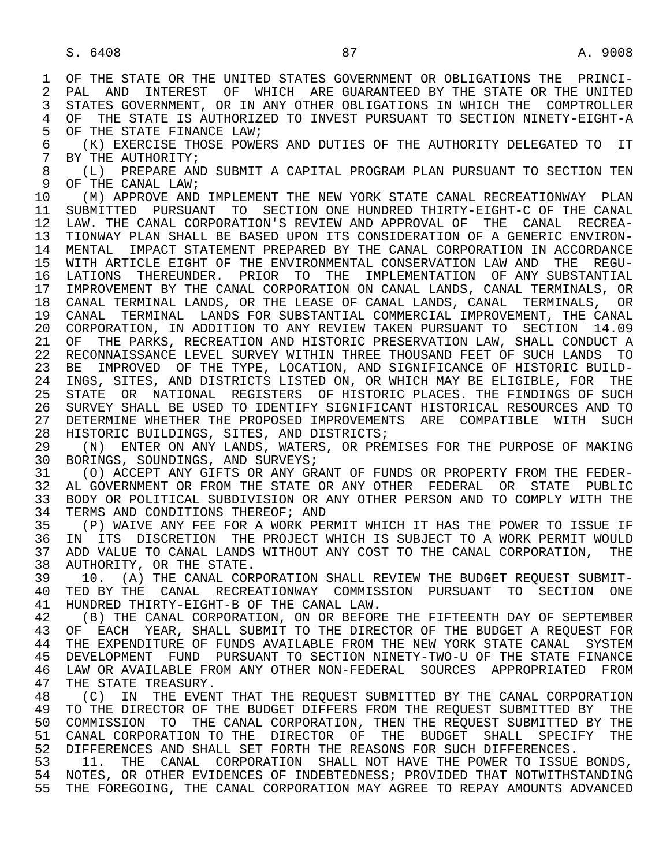6 (K) EXERCISE THOSE POWERS AND DUTIES OF THE AUTHORITY DELEGATED TO IT<br>7 BY THE AUTHORITY; 7 BY THE AUTHORITY;<br>8 (L) PREPARE AN

8 (L) PREPARE AND SUBMIT A CAPITAL PROGRAM PLAN PURSUANT TO SECTION TEN<br>9 OF THE CANAL LAW; 9 OF THE CANAL LAW;<br>10 (M) APPROVE AND

10 (M) APPROVE AND IMPLEMENT THE NEW YORK STATE CANAL RECREATIONWAY PLAN<br>11 SUBMITTED PURSUANT TO SECTION ONE HUNDRED THIRTY-EIGHT-C OF THE CANAL 11 SUBMITTED PURSUANT TO SECTION ONE HUNDRED THIRTY-EIGHT-C OF THE CANAL<br>12 LAW. THE CANAL CORPORATION'S REVIEW AND APPROVAL OF THE CANAL RECREA-12 LAW. THE CANAL CORPORATION'S REVIEW AND APPROVAL OF THE CANAL RECREA-<br>13 TIONWAY PLAN SHALL BE BASED UPON ITS CONSIDERATION OF A GENERIC ENVIRON- 13 TIONWAY PLAN SHALL BE BASED UPON ITS CONSIDERATION OF A GENERIC ENVIRON- 14 MENTAL IMPACT STATEMENT PREPARED BY THE CANAL CORPORATION IN ACCORDANCE 15 WITH ARTICLE EIGHT OF THE ENVIRONMENTAL CONSERVATION LAW AND THE REGU- 16 LATIONS THEREUNDER. PRIOR TO THE IMPLEMENTATION OF ANY SUBSTANTIAL<br>17 IMPROVEMENT BY THE CANAL CORPORATION ON CANAL LANDS. CANAL TERMINALS. OR 17 IMPROVEMENT BY THE CANAL CORPORATION ON CANAL LANDS, CANAL TERMINALS, OR 18 CANAL TERMINAL LANDS, OR THE LEASE OF CANAL LANDS, CANAL TERMINALS, OR 19 CANAL TERMINAL LANDS FOR SUBSTANTIAL COMMERCIAL IMPROVEMENT, THE CANAL 20 CORPORATION, IN ADDITION TO ANY REVIEW TAKEN PURSUANT TO SECTION 14.09<br>21 OF THE PARKS, RECREATION AND HISTORIC PRESERVATION LAW, SHALL CONDUCT A 21 OF THE PARKS, RECREATION AND HISTORIC PRESERVATION LAW, SHALL CONDUCT A<br>22 RECONNAISSANCE LEVEL SURVEY WITHIN THREE THOUSAND FEET OF SUCH LANDS TO 22 RECONNAISSANCE LEVEL SURVEY WITHIN THREE THOUSAND FEET OF SUCH LANDS TO<br>23 BE IMPROVED OF THE TYPE, LOCATION, AND SIGNIFICANCE OF HISTORIC BUILD-23 BE IMPROVED OF THE TYPE, LOCATION, AND SIGNIFICANCE OF HISTORIC BUILD-<br>24 INGS, SITES, AND DISTRICTS LISTED ON, OR WHICH MAY BE ELIGIBLE, FOR THE 24 INGS, SITES, AND DISTRICTS LISTED ON, OR WHICH MAY BE ELIGIBLE, FOR THE<br>25 STATE OR NATIONAL REGISTERS OF HISTORIC PLACES. THE FINDINGS OF SUCH STATE OR NATIONAL REGISTERS OF HISTORIC PLACES. THE FINDINGS OF SUCH 26 SURVEY SHALL BE USED TO IDENTIFY SIGNIFICANT HISTORICAL RESOURCES AND TO 27 DETERMINE WHETHER THE PROPOSED IMPROVEMENTS ARE COMPATIBLE WITH SUCH 28 HISTORIC BUILDINGS, SITES, AND DISTRICTS;

28 HISTORIC BUILDINGS, SITES, AND DISTRICTS;<br>29 (N) ENTER ON ANY LANDS, WATERS, OR PREI 29 (N) ENTER ON ANY LANDS, WATERS, OR PREMISES FOR THE PURPOSE OF MAKING<br>30 BORINGS, SOUNDINGS, AND SURVEYS; 30 BORINGS, SOUNDINGS, AND SURVEYS;<br>31 (O) ACCEPT ANY GIFTS OR ANY GR

31 (O) ACCEPT ANY GIFTS OR ANY GRANT OF FUNDS OR PROPERTY FROM THE FEDER-<br>32 AL GOVERNMENT OR FROM THE STATE OR ANY OTHER FEDERAL OR STATE PUBLIC 32 AL GOVERNMENT OR FROM THE STATE OR ANY OTHER FEDERAL OR STATE PUBLIC<br>33 BODY OR POLITICAL SUBDIVISION OR ANY OTHER PERSON AND TO COMPLY WITH THE 33 BODY OR POLITICAL SUBDIVISION OR ANY OTHER PERSON AND TO COMPLY WITH THE 34 TERMS AND CONDITIONS THEREOF; AND 34 TERMS AND CONDITIONS THEREOF; AND<br>35 (P) WAIVE ANY FEE FOR A WORK PEI

35 (P) WAIVE ANY FEE FOR A WORK PERMIT WHICH IT HAS THE POWER TO ISSUE IF<br>36 IN ITS DISCRETION THE PROJECT WHICH IS SUBJECT TO A WORK PERMIT WOULD IN ITS DISCRETION THE PROJECT WHICH IS SUBJECT TO A WORK PERMIT WOULD 37 ADD VALUE TO CANAL LANDS WITHOUT ANY COST TO THE CANAL CORPORATION, THE 38 AUTHORITY, OR THE STATE. 38 AUTHORITY, OR THE STATE.<br>39 10. (A) THE CANAL COR

39 10. (A) THE CANAL CORPORATION SHALL REVIEW THE BUDGET REQUEST SUBMIT-<br>40 TED BY THE CANAL RECREATIONWAY COMMISSION PURSUANT TO SECTION ONE 40 TED BY THE CANAL RECREATIONWAY COMMISSION PURSUANT TO SECTION ONE 41 HUNDRED THIRTY-RIGHT-B OF THE CANAL LAW 41 HUNDRED THIRTY-EIGHT-B OF THE CANAL LAW.<br>42 (B) THE CANAL CORPORATION, ON OR BEFOR

42 (B) THE CANAL CORPORATION, ON OR BEFORE THE FIFTEENTH DAY OF SEPTEMBER<br>43 OF EACH YEAR, SHALL SUBMIT TO THE DIRECTOR OF THE BUDGET A REOUEST FOR 43 OF EACH YEAR, SHALL SUBMIT TO THE DIRECTOR OF THE BUDGET A REQUEST FOR<br>44 THE EXPENDITURE OF FUNDS AVAILABLE FROM THE NEW YORK STATE CANAL SYSTEM 44 THE EXPENDITURE OF FUNDS AVAILABLE FROM THE NEW YORK STATE CANAL SYSTEM<br>45 DEVELOPMENT FUND PURSUANT TO SECTION NINETY-TWO-U OF THE STATE FINANCE 45 DEVELOPMENT FUND PURSUANT TO SECTION NINETY-TWO-U OF THE STATE FINANCE 46 LAW OR AVAILABLE FROM ANY OTHER NON-FEDERAL SOURCES APPROPRIATED FROM<br>47 THE STATE TREASURY. 47 THE STATE TREASURY.<br>48 (C) IN THE EVENT

48 (C) IN THE EVENT THAT THE REQUEST SUBMITTED BY THE CANAL CORPORATION<br>49 TO THE DIRECTOR OF THE BUDGET DIFFERS FROM THE REOUEST SUBMITTED BY THE 49 TO THE DIRECTOR OF THE BUDGET DIFFERS FROM THE REQUEST SUBMITTED BY THE 50 COMMISSION TO THE CANAL CORPORATION. THEN THE REQUEST SUBMITTED BY THE 50 COMMISSION TO THE CANAL CORPORATION, THEN THE REQUEST SUBMITTED BY THE 51 CANAL CORPORATION TO THE DIRECTOR OF THE BUDGET SHALL SPECIFY THE 51 CANAL CORPORATION TO THE DIRECTOR OF THE BUDGET SHALL SPECIFY THE 52 DIFFERENCES. 52 DIFFERENCES AND SHALL SET FORTH THE REASONS FOR SUCH DIFFERENCES.<br>53 11. THE CANAL CORPORATION SHALL NOT HAVE THE POWER TO ISSUE

11. THE CANAL CORPORATION SHALL NOT HAVE THE POWER TO ISSUE BONDS, 54 NOTES, OR OTHER EVIDENCES OF INDEBTEDNESS; PROVIDED THAT NOTWITHSTANDING 55 THE FOREGOING, THE CANAL CORPORATION MAY AGREE TO REPAY AMOUNTS ADVANCED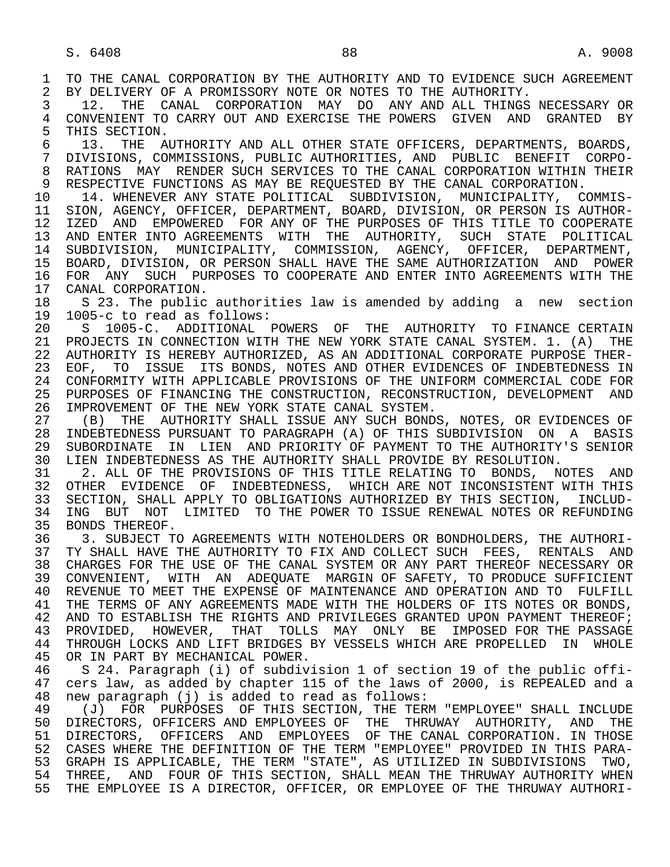1 TO THE CANAL CORPORATION BY THE AUTHORITY AND TO EVIDENCE SUCH AGREEMENT<br>2 BY DELIVERY OF A PROMISSORY NOTE OR NOTES TO THE AUTHORITY. 2 BY DELIVERY OF A PROMISSORY NOTE OR NOTES TO THE AUTHORITY.<br>3 12. THE CANAL CORPORATION MAY DO ANY AND ALL THINGS 3 12. THE CANAL CORPORATION MAY DO ANY AND ALL THINGS NECESSARY OR 4 CONVENIENT TO CARRY OUT AND EXERCISE THE POWERS GIVEN AND GRANTED BY<br>5 THIS SECTION. 5 THIS SECTION.<br>6 13. THE A 6 13. THE AUTHORITY AND ALL OTHER STATE OFFICERS, DEPARTMENTS, BOARDS,<br>7 DIVISIONS, COMMISSIONS, PUBLIC AUTHORITIES, AND PUBLIC BENEFIT CORPO- 7 DIVISIONS, COMMISSIONS, PUBLIC AUTHORITIES, AND PUBLIC BENEFIT CORPO- 8 RATIONS MAY RENDER SUCH SERVICES TO THE CANAL CORPORATION WITHIN THEIR<br>9 RESPECTIVE FUNCTIONS AS MAY BE REOUESTED BY THE CANAL CORPORATION. 9 RESPECTIVE FUNCTIONS AS MAY BE REQUESTED BY THE CANAL CORPORATION.<br>10 14. WHENEVER ANY STATE POLITICAL SUBDIVISION. MUNICIPALITY. C 10 14. WHENEVER ANY STATE POLITICAL SUBDIVISION, MUNICIPALITY, COMMIS-<br>11 SION, AGENCY, OFFICER, DEPARTMENT, BOARD, DIVISION, OR PERSON IS AUTHOR-11 SION, AGENCY, OFFICER, DEPARTMENT, BOARD, DIVISION, OR PERSON IS AUTHOR-<br>12 IZED AND EMPOWERED FOR ANY OF THE PURPOSES OF THIS TITLE TO COOPERATE 12 IZED AND EMPOWERED FOR ANY OF THE PURPOSES OF THIS TITLE TO COOPERATE<br>13 AND ENTER INTO AGREEMENTS WITH THE AUTHORITY, SUCH STATE POLITICAL 13 AND ENTER INTO AGREEMENTS WITH THE AUTHORITY, SUCH STATE POLITICAL 14 SUBDIVISION, MUNICIPALITY, COMMISSION, AGENCY, OFFICER, DEPARTMENT, 15 BOARD, DIVISION, OR PERSON SHALL HAVE THE SAME AUTHORIZATION AND POWER<br>16 FOR ANY SUCH PURPOSES TO COOPERATE AND ENTER INTO AGREEMENTS WITH THE 16 FOR ANY SUCH PURPOSES TO COOPERATE AND ENTER INTO AGREEMENTS WITH THE 17 CANAL CORPORATION. 17 CANAL CORPORATION.<br>18 S 23. The public 18 S 23. The public authorities law is amended by adding a new section<br>19 1005-c to read as follows: 19 1005-c to read as follows: 20 S 1005-C. ADDITIONAL POWERS OF THE AUTHORITY TO FINANCE CERTAIN<br>21 PROJECTS IN CONNECTION WITH THE NEW YORK STATE CANAL SYSTEM. 1. (A) THE 21 PROJECTS IN CONNECTION WITH THE NEW YORK STATE CANAL SYSTEM. 1. (A) THE 22 AUTHORITY IS HERESY AUTHORIZED. AS AN ADDITIONAL CORPORATE PURPOSE THER-22 AUTHORITY IS HEREBY AUTHORIZED, AS AN ADDITIONAL CORPORATE PURPOSE THER-<br>23 EOF, TO ISSUE ITS BONDS, NOTES AND OTHER EVIDENCES OF INDEBTEDNESS IN 23 EOF, TO ISSUE ITS BONDS, NOTES AND OTHER EVIDENCES OF INDEBTEDNESS IN<br>24 CONFORMITY WITH APPLICABLE PROVISIONS OF THE UNIFORM COMMERCIAL CODE FOR 24 CONFORMITY WITH APPLICABLE PROVISIONS OF THE UNIFORM COMMERCIAL CODE FOR<br>25 PURPOSES OF FINANCING THE CONSTRUCTION, RECONSTRUCTION, DEVELOPMENT AND PURPOSES OF FINANCING THE CONSTRUCTION, RECONSTRUCTION, DEVELOPMENT AND 26 IMPROVEMENT OF THE NEW YORK STATE CANAL SYSTEM.<br>27 (B) THE AUTHORITY SHALL ISSUE ANY SUCH BOND. 27 (B) THE AUTHORITY SHALL ISSUE ANY SUCH BONDS, NOTES, OR EVIDENCES OF<br>28 INDEBTEDNESS PURSUANT TO PARAGRAPH (A) OF THIS SUBDIVISION ON A BASIS 28 INDEBTEDNESS PURSUANT TO PARAGRAPH (A) OF THIS SUBDIVISION ON A BASIS 29 SUBORDINATE IN LIEN AND PRIORITY OF PAYMENT TO THE AUTHORITY'S SENIOR<br>30 LIEN INDEBTEDNESS AS THE AUTHORITY SHALL PROVIDE BY RESOLUTION. 30 LIEN INDEBTEDNESS AS THE AUTHORITY SHALL PROVIDE BY RESOLUTION.<br>31 12. ALL OF THE PROVISIONS OF THIS TITLE RELATING TO BONDS. N 31 2. ALL OF THE PROVISIONS OF THIS TITLE RELATING TO BONDS, NOTES AND<br>32 OTHER EVIDENCE OF INDEBTEDNESS, WHICH ARE NOT INCONSISTENT WITH THIS 32 OTHER EVIDENCE OF INDEBTEDNESS, WHICH ARE NOT INCONSISTENT WITH THIS<br>33 SECTION, SHALL APPLY TO OBLIGATIONS AUTHORIZED BY THIS SECTION, INCLUD-33 SECTION, SHALL APPLY TO OBLIGATIONS AUTHORIZED BY THIS SECTION, INCLUD-<br>34 ING BUT NOT LIMITED TO THE POWER TO ISSUE RENEWAL NOTES OR REFUNDING 34 ING BUT NOT LIMITED TO THE POWER TO ISSUE RENEWAL NOTES OR REFUNDING<br>35 BONDS THEREOF. 35 BONDS THEREOF.<br>36 3. SUBJECT TO 36 3. SUBJECT TO AGREEMENTS WITH NOTEHOLDERS OR BONDHOLDERS, THE AUTHORI- 37 TY SHALL HAVE THE AUTHORITY TO FIX AND COLLECT SUCH FEES, RENTALS AND 38 CHARGES FOR THE USE OF THE CANAL SYSTEM OR ANY PART THEREOF NECESSARY OR 38 CHARGES FOR THE USE OF THE CANAL SYSTEM OR ANY PART THEREOF NECESSARY OR 39 CONVENIENT, WITH AN ADEQUATE MARGIN OF SAFETY, TO PRODUCE SUFFICIENT 40 REVENUE TO MEET THE EXPENSE OF MAINTENANCE AND OPERATION AND TO FULFILL<br>41 THE TERMS OF ANY AGREEMENTS MADE WITH THE HOLDERS OF ITS NOTES OR BONDS. 41 THE TERMS OF ANY AGREEMENTS MADE WITH THE HOLDERS OF ITS NOTES OR BONDS, 42 AND TO ESTABLISH THE RIGHTS AND PRIVILEGES GRANTED UPON PAYMENT THEREOF; 42 AND TO ESTABLISH THE RIGHTS AND PRIVILEGES GRANTED UPON PAYMENT THEREOF;<br>43 PROVIDED, HOWEVER, THAT TOLLS MAY ONLY BE IMPOSED FOR THE PASSAGE 43 PROVIDED, HOWEVER, THAT TOLLS MAY ONLY BE IMPOSED—FOR THE PASSAGE 44 THROUGH LOCKS AND LIFT BRIDGES BY VESSELS WHICH ARE PROPELLED IN WHOLE 44 THROUGH LOCKS AND LIFT BRIDGES BY VESSELS WHICH ARE PROPELLED IN WHOLE 45 OR IN PART BY MECHANICAL POWER. OR IN PART BY MECHANICAL POWER. 46 S 24. Paragraph (i) of subdivision 1 of section 19 of the public offi-<br>47 cers law, as added by chapter 115 of the laws of 2000, is REPEALED and a 47 cers law, as added by chapter 115 of the laws of 2000, is REPEALED and a 48 new paragraph (i) is added to read as follows: 48 new paragraph (j) is added to read as follows: 49 (J) FOR PURPOSES OF THIS SECTION, THE TERM "EMPLOYEE" SHALL INCLUDE<br>50 DIRECTORS, OFFICERS AND EMPLOYEES OF THE THRUWAY AUTHORITY, AND THE 50 DIRECTORS, OFFICERS AND EMPLOYEES OF THE THRUWAY AUTHORITY, AND THE 51 DIRECTORS, OFFICERS AND EMPLOYEES OF THE CANAL CORPORATION. IN THOSE 51 DIRECTORS, OFFICERS AND EMPLOYEES OF THE CANAL CORPORATION. IN THOSE 52 CASES WHERE THE DEFINITION OF THE TERM "EMPLOYEE" PROVIDED IN THIS PARA- 53 GRAPH IS APPLICABLE, THE TERM "STATE", AS UTILIZED IN SUBDIVISIONS TWO, 54 THREE, AND FOUR OF THIS SECTION, SHALL MEAN THE THRUWAY AUTHORITY WHEN 55 THE EMPLOYEE IS A DIRECTOR, OFFICER, OR EMPLOYEE OF THE THRUWAY AUTHORI-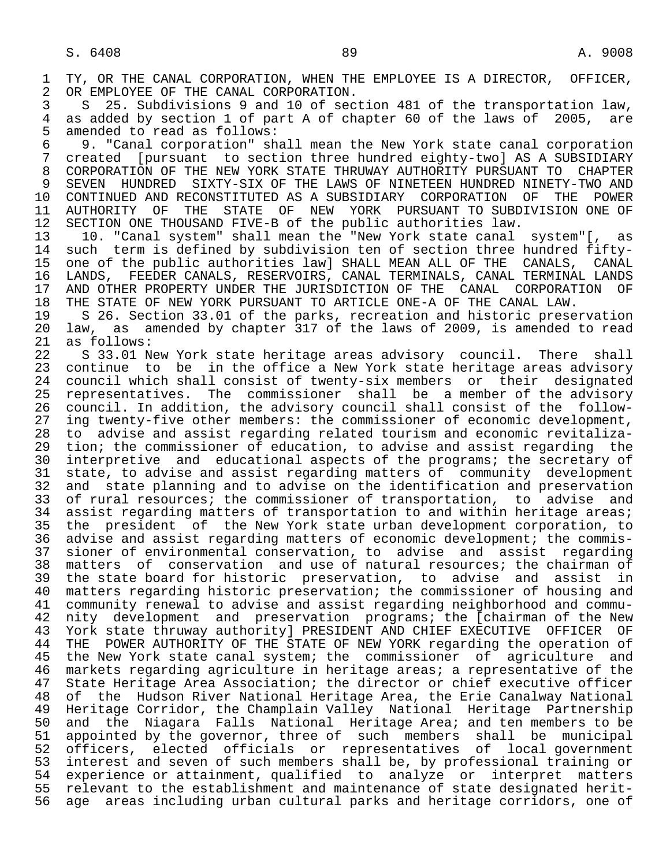1 TY, OR THE CANAL CORPORATION, WHEN THE EMPLOYEE IS A DIRECTOR, OFFICER,<br>2 OR EMPLOYEE OF THE CANAL CORPORATION. 2 OR EMPLOYEE OF THE CANAL CORPORATION.<br>3 S 25. Subdivisions 9 and 10 of sec

 3 S 25. Subdivisions 9 and 10 of section 481 of the transportation law, 4 as added by section 1 of part A of chapter 60 of the laws of 2005, are<br>5 amended to read as follows: 5 amended to read as follows:<br>6 9. "Canal corporation" sh

 6 9. "Canal corporation" shall mean the New York state canal corporation 7 created [pursuant to section three hundred eighty-two] AS A SUBSIDIARY 8 CORPORATION OF THE NEW YORK STATE THRUWAY AUTHORITY PURSUANT TO CHAPTER 9 SEVEN HUNDRED SIXTY-SIX OF THE LAWS OF NINETEEN HUNDRED NINETY-TWO AND<br>10 CONTINUED AND RECONSTITUTED AS A SUBSIDIARY CORPORATION OF THE POWER 10 CONTINUED AND RECONSTITUTED AS A SUBSIDIARY CORPORATION OF<br>11 AUTHORITY OF THE STATE OF NEW YORK PURSUANT TO SUBDIV 11 AUTHORITY OF THE STATE OF NEW YORK PURSUANT TO SUBDIVISION ONE OF<br>12 SECTION ONE THOUSAND FIVE-B of the public authorities law. 12 SECTION ONE THOUSAND FIVE-B of the public authorities law.<br>13 10. "Canal system" shall mean the "New York state canal

13 10. "Canal system" shall mean the "New York state canal system"[, as<br>14 such term is defined by subdivision ten of section three hundred fiftysuch term is defined by subdivision ten of section three hundred fifty-15 one of the public authorities law] SHALL MEAN ALL OF THE CANALS, CANAL<br>16 LANDS, FEEDER CANALS, RESERVOIRS, CANAL TERMINALS, CANAL TERMINAL LANDS 16 LANDS, FEEDER CANALS, RESERVOIRS, CANAL TERMINALS, CANAL TERMINAL LANDS<br>17 AND OTHER PROPERTY UNDER THE JURISDICTION OF THE CANAL CORPORATION OF 17 AND OTHER PROPERTY UNDER THE JURISDICTION OF THE CANAL CORPORATION OF<br>18 THE STATE OF NEW YORK PURSUANT TO ARTICLE ONE-A OF THE CANAL LAW. 18 THE STATE OF NEW YORK PURSUANT TO ARTICLE ONE-A OF THE CANAL LAW.<br>19 S 26. Section 33.01 of the parks, recreation and historic prese

19 S 26. Section 33.01 of the parks, recreation and historic preservation<br>20 law, as amended by chapter 317 of the laws of 2009, is amended to read 20 law, as amended by chapter 317 of the laws of 2009, is amended to read 21 as follows:

22 S 33.01 New York state heritage areas advisory council. There shall<br>23 continue to be in the office a New York state heritage areas advisory continue to be in the office a New York state heritage areas advisory 24 council which shall consist of twenty-six members or their designated<br>25 representatives. The commissioner shall be a member of the advisory 25 representatives. The commissioner shall be a member of the advisory 26 council. In addition, the advisory council shall consist of the follow-<br>27 ing twenty-five other members: the commissioner of economic development, 27 ing twenty-five other members: the commissioner of economic development,<br>28 to advise and assist regarding related tourism and economic revitaliza-28 to advise and assist regarding related tourism and economic revitaliza-<br>29 tion; the commissioner of education, to advise and assist regarding the 29 tion; the commissioner of education, to advise and assist regarding the<br>20 interpretive and educational aspects of the programs; the secretary of 30 interpretive and educational aspects of the programs; the secretary of 31 state, to advise and assist regarding matters of community development 31 state, to advise and assist regarding matters of community development<br>32 and state planning and to advise on the identification and preservation 32 and state planning and to advise on the identification and preservation<br>33 of rural resources; the commissioner of transportation, to advise and 33 of rural resources; the commissioner of transportation, to advise and<br>34 assist regarding matters of transportation to and within heritage areas; 34 assist regarding matters of transportation to and within heritage areas;<br>35 the president of the New York state urban development corporation, to 35 the president of the New York state urban development corporation, to<br>36 advise and assist regarding matters of economic development; the commisadvise and assist regarding matters of economic development; the commis- 37 sioner of environmental conservation, to advise and assist regarding 38 matters of conservation and use of natural resources; the chairman of<br>39 the state board for historic preservation, to advise and assist in 39 the state board for historic preservation, to advise and assist in<br>40 matters regarding historic preservation; the commissioner of housing and 40 matters regarding historic preservation; the commissioner of housing and<br>41 community renewal to advise and assist regarding neighborhood and commu-41 community renewal to advise and assist regarding neighborhood and commu-<br>42 nity development and preservation programs; the [chairman of the New 42 nity development and preservation programs; the [chairman of the New<br>43 York state thruway authority] PRESIDENT AND CHIEF EXECUTIVE OFFICER OF 43 York state thruway authority] PRESIDENT AND CHIEF EXECUTIVE OFFICER OF<br>44 THE POWER AUTHORITY OF THE STATE OF NEW YORK regarding the operation of 44 THE POWER AUTHORITY OF THE STATE OF NEW YORK regarding the operation of<br>45 the New York state canal system; the commissioner of agriculture and the New York state canal system; the commissioner of agriculture and 46 markets regarding agriculture in heritage areas; a representative of the<br>47 State Heritage Area Association; the director or chief executive officer 47 State Heritage Area Association; the director or chief executive officer<br>48 of the Hudson River National Heritage Area, the Erie Canalway National 48 of the Hudson River National Heritage Area, the Erie Canalway National 49 Heritage Corridor, the Champlain Valley National Heritage Partnership<br>50 and the Niagara Falls National Heritage Area; and ten members to be 50 and the Niagara Falls National Heritage Area; and ten members to be<br>51 appointed by the governor, three of such members shall be municipal appointed by the governor, three of such members shall be municipal 52 officers, elected officials or representatives of local government<br>53 interest and seven of such members shall be, by professional training or 53 interest and seven of such members shall be, by professional training or<br>54 experience or attainment, qualified to analyze or interpret matters 54 experience or attainment, qualified to analyze or interpret matters<br>55 relevant to the establishment and maintenance of state designated herit-55 relevant to the establishment and maintenance of state designated herit-<br>56 age areas including urban cultural parks and heritage corridors, one of age areas including urban cultural parks and heritage corridors, one of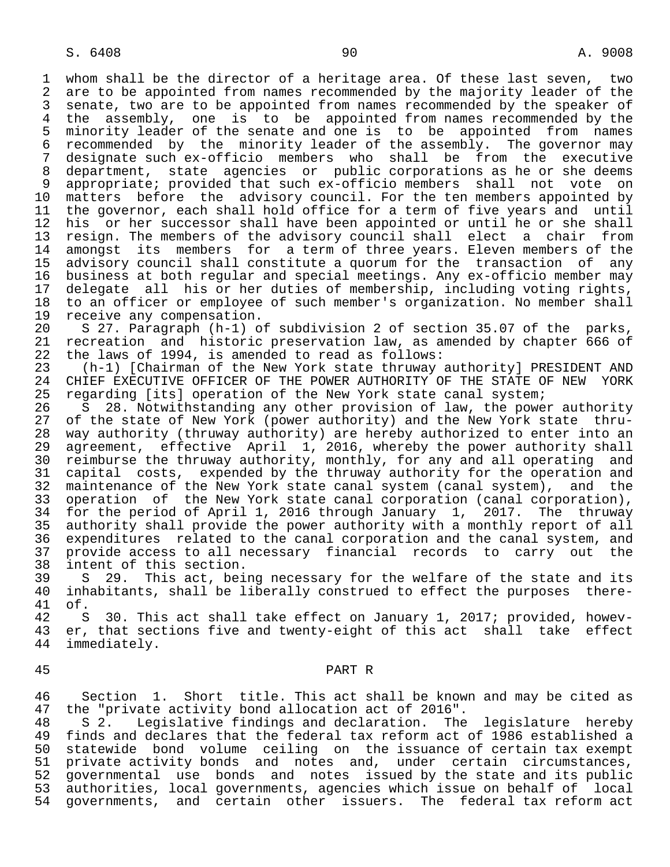1 whom shall be the director of a heritage area. Of these last seven, two<br>2 are to be appointed from names recommended by the majority leader of the 2 are to be appointed from names recommended by the majority leader of the<br>3 senate, two are to be appointed from names recommended by the speaker of 3 senate, two are to be appointed from names recommended by the speaker of<br>4 the assembly, one is to be appointed from names recommended by the 4 the assembly, one is to be appointed from names recommended by the<br>5 minority leader of the senate and one is to be appointed from names 5 minority leader of the senate and one is to be appointed from names<br>6 recommended by the minority leader of the assembly. The governor may 6 recommended by the minority leader of the assembly. The governor may<br>7 designate such ex-officio members who shall be from the executive 7 designate such ex-officio members who shall be from the executive<br>8 department, state agencies or public corporations as he or she deems 8 department, state agencies or public corporations as he or she deems<br>9 appropriate; provided that such ex-officio members shall not vote on 9 appropriate; provided that such ex-officio members shall not vote on<br>10 matters before the advisory council. For the ten members appointed by 10 matters before the advisory council. For the ten members appointed by<br>11 the governor, each shall hold office for a term of five years and until 11 the governor, each shall hold office for a term of five years and until<br>12 his or her successor shall have been appointed or until he or she shall 12 his or her successor shall have been appointed or until he or she shall<br>13 resign. The members of the advisory council shall elect a chair from 13 resign. The members of the advisory council shall elect a chair from<br>14 amongst its members for a term of three years. Eleven members of the amongst its members for a term of three years. Eleven members of the 15 advisory council shall constitute a quorum for the transaction of any<br>16 business at both reqular and special meetings. Any ex-officio member may 16 business at both regular and special meetings. Any ex-officio member may<br>17 delegate all his or her duties of membership, including voting rights, 17 delegate all his or her duties of membership, including voting rights,<br>18 to an officer or employee of such member's organization. No member shall 18 to an officer or employee of such member's organization. No member shall<br>19 receive any compensation.

19 receive any compensation.<br>20 S 27. Paragraph (h-1) o 20 S 27. Paragraph (h-1) of subdivision 2 of section 35.07 of the parks,<br>21 recreation and historic preservation law, as amended by chapter 666 of 21 recreation and historic preservation law, as amended by chapter 666 of<br>22 the laws of 1994, is amended to read as follows: 22 the laws of 1994, is amended to read as follows:<br>23 (h-1) [Chairman of the New York state thruway

 23 (h-1) [Chairman of the New York state thruway authority] PRESIDENT AND 24 CHIEF EXECUTIVE OFFICER OF THE POWER AUTHORITY OF THE STATE OF NEW YORK<br>25 regarding [its] operation of the New York state canal system; regarding [its] operation of the New York state canal system;

26 S 28. Notwithstanding any other provision of law, the power authority<br>27 of the state of New York (power authority) and the New York state thru-27 of the state of New York (power authority) and the New York state thru-<br>28 way authority (thruway authority) are hereby authorized to enter into an 28 way authority (thruway authority) are hereby authorized to enter into an<br>29 agreement, effective April 1, 2016, whereby the power authority shall 29 agreement, effective April 1, 2016, whereby the power authority shall<br>20 reimburse the thruway authority, monthly, for any and all operating and 30 reimburse the thruway authority, monthly, for any and all operating and<br>31 capital costs, expended by the thruway authority for the operation and 31 capital costs, expended by the thruway authority for the operation and<br>32 maintenance of the New York state canal system (canal system), and the 32 maintenance of the New York state canal system (canal system), and the<br>33 operation of the New York state canal corporation (canal corporation), 33 operation of the New York state canal corporation (canal corporation),<br>34 for the period of April 1, 2016 through January 1, 2017. The thruway 34 for the period of April 1, 2016 through January 1, 2017. The thruway<br>35 authority shall provide the power authority with a monthly report of all 35 authority shall provide the power authority with a monthly report of all<br>36 expenditures related to the canal corporation and the canal system, and expenditures related to the canal corporation and the canal system, and 37 provide access to all necessary financial records to carry out the<br>38 intent of this section. 38 intent of this section.<br>39 S 29. This act, bei

39 S 29. This act, being necessary for the welfare of the state and its<br>40 inhabitants, shall be liberally construed to effect the purposes there-40 inhabitants, shall be liberally construed to effect the purposes there-<br>41 of. 41 of.

42 S 30. This act shall take effect on January 1, 2017; provided, howev-<br>43 er, that sections five and twentv-eight of this act shall take effect 43 er, that sections five and twenty-eight of this act shall take effect<br>44 immediately. immediately.

## 45 PART R

46 Section 1. Short title. This act shall be known and may be cited as<br>47 the "private activity bond allocation act of 2016". 47 the "private activity bond allocation act of 2016".<br>48 S 2. Legislative findings and declaration. The

48 S 2. Legislative findings and declaration. The legislature hereby<br>49 finds and declares that the federal tax reform act of 1986 established a finds and declares that the federal tax reform act of 1986 established a 50 statewide bond volume ceiling on the issuance of certain tax exempt 51 private activity bonds and notes and, under certain circumstances,<br>52 governmental use bonds and notes issued by the state and its public 52 governmental use bonds and notes issued by the state and its public<br>53 authorities, local governments, agencies which issue on behalf of local authorities, local governments, agencies which issue on behalf of local 54 governments, and certain other issuers. The federal tax reform act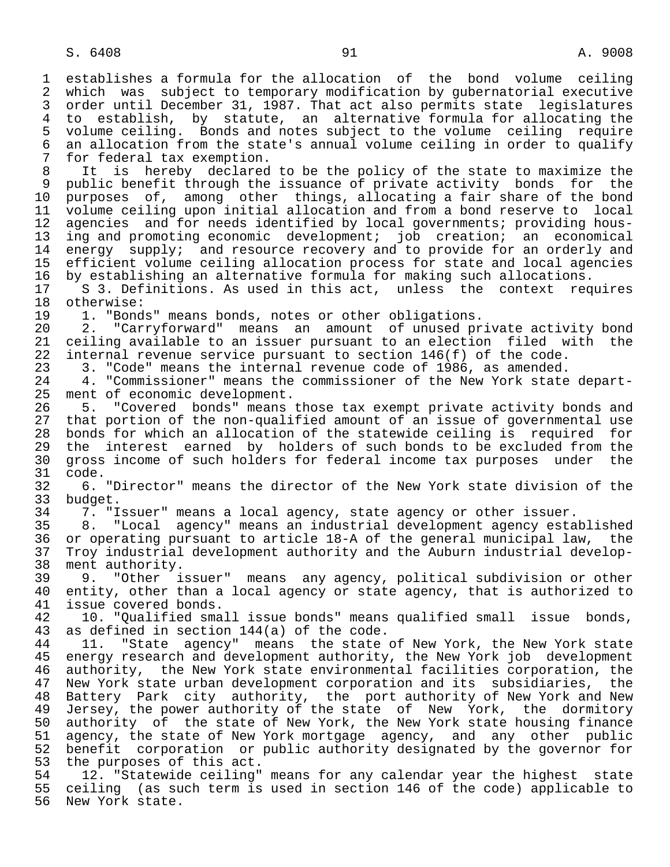1 establishes a formula for the allocation of the bond volume ceiling<br>2 which was subject to temporary modification by qubernatorial executive 2 which was subject to temporary modification by gubernatorial executive<br>3 order until December 31, 1987, That act also permits state legislatures order until December 31, 1987. That act also permits state legislatures 4 to establish, by statute, an alternative formula for allocating the 5 volume ceiling. Bonds and notes subject to the volume ceiling require<br>6 an allocation from the state's annual volume ceiling in order to qualify 6 an allocation from the state's annual volume ceiling in order to qualify<br>7 for federal tax exemption. 7 for federal tax exemption.<br>8 It is hereby declared 8 It is hereby declared to be the policy of the state to maximize the<br>9 public benefit through the issuance of private activity bonds for the 9 public benefit through the issuance of private activity bonds for the<br>10 purposes of, among other things, allocating a fair share of the bond 10 purposes of, among other things, allocating a fair share of the bond<br>11 yolume ceiling upon initial allocation and from a bond reserve to local 11 volume ceiling upon initial allocation and from a bond reserve to local<br>12 agencies and for needs identified by local governments; providing hous-12 agencies and for needs identified by local governments; providing hous-<br>13 ing and promoting economic development; iob creation; an economical 13 ing and promoting economic development; job creation; an economical<br>14 energy supply; and resource recovery and to provide for an orderly and energy supply; and resource recovery and to provide for an orderly and 15 efficient volume ceiling allocation process for state and local agencies<br>16 by establishing an alternative formula for making such allocations. 16 by establishing an alternative formula for making such allocations.<br>17 S 3. Definitions. As used in this act, unless the context req 17 S 3. Definitions. As used in this act, unless the context requires<br>18 otherwise: 18 otherwise:<br>19 1. "Bond 19 1. "Bonds" means bonds, notes or other obligations.<br>20 2. "Carryforward" means an amount of unused pr 20 2. "Carryforward" means an amount of unused private activity bond<br>21 ceiling available to an issuer pursuant to an election filed with the 21 ceiling available to an issuer pursuant to an election filed with the<br>22 internal revenue service pursuant to section 146(f) of the code. 22 internal revenue service pursuant to section 146(f) of the code.<br>23 3. "Code" means the internal revenue code of 1986, as amended. 23 3. "Code" means the internal revenue code of 1986, as amended.<br>24 3. "Commissioner" means the commissioner of the New York state 24 4. "Commissioner" means the commissioner of the New York state depart-<br>25 ment of economic development. ment of economic development. 26 5. "Covered bonds" means those tax exempt private activity bonds and<br>27 that portion of the non-qualified amount of an issue of governmental use 27 that portion of the non-qualified amount of an issue of governmental use<br>28 bonds for which an allocation of the statewide ceiling is required for 28 bonds for which an allocation of the statewide ceiling is required for<br>29 the interest earned by holders of such bonds to be excluded from the 29 the interest earned by holders of such bonds to be excluded from the<br>30 gross income of such holders for federal income tax purposes under the 30 gross income of such holders for federal income tax purposes under the<br>31 code. 31 code.<br>32 6. 32 6. "Director" means the director of the New York state division of the 33 budget.<br>34 7. "I 34 7. "Issuer" means a local agency, state agency or other issuer. 35 8. "Local agency" means an industrial development agency established<br>36 or operating pursuant to article 18-A of the general municipal law. the or operating pursuant to article 18-A of the general municipal law, the 37 Troy industrial development authority and the Auburn industrial develop- 38 ment authority.<br>39 9. "Other i 39 9. "Other issuer" means any agency, political subdivision or other<br>40 entity, other than a local agency or state agency, that is authorized to 40 entity, other than a local agency or state agency, that is authorized to 41 issue covered bonds. 41 issue covered bonds.<br>42 10. "Oualified sma 42 10. "Qualified small issue bonds" means qualified small issue bonds,<br>43 as defined in section 144(a) of the code. 43 as defined in section 144(a) of the code.<br>44 11. "State agency" means the state 44 11. "State agency" means the state of New York, the New York state<br>45 energy research and development authority, the New York job development 45 energy research and development authority, the New York job development 46 authority, the New York state environmental facilities corporation, the<br>47 New York state urban development corporation and its subsidiaries, the New York state urban development corporation and its subsidiaries, the 48 Battery Park city authority, the port-authority of New York and New<br>49 Jersey, the power-authority of the state of New York, the dormitory 49 Jersey, the power authority of the state of New York, the dormitory<br>50 authority of the state of New York, the New York state housing finance 50 authority of the state of New York, the New York state housing finance<br>51 agency, the state of New York mortgage agency, and any other public 51 agency, the state of New York mortgage agency, and any other public<br>52 benefit corporation or public authority designated by the governor for 52 benefit corporation or public authority designated by the governor for<br>53 the purposes of this act. 53 the purposes of this act.<br>54 12. "Statewide ceiling" 54 12. "Statewide ceiling" means for any calendar year the highest state<br>55 ceiling (as such term is used in section 146 of the code) applicable to 55 ceiling (as such term is used in section 146 of the code) applicable to<br>56 New York state.

New York state.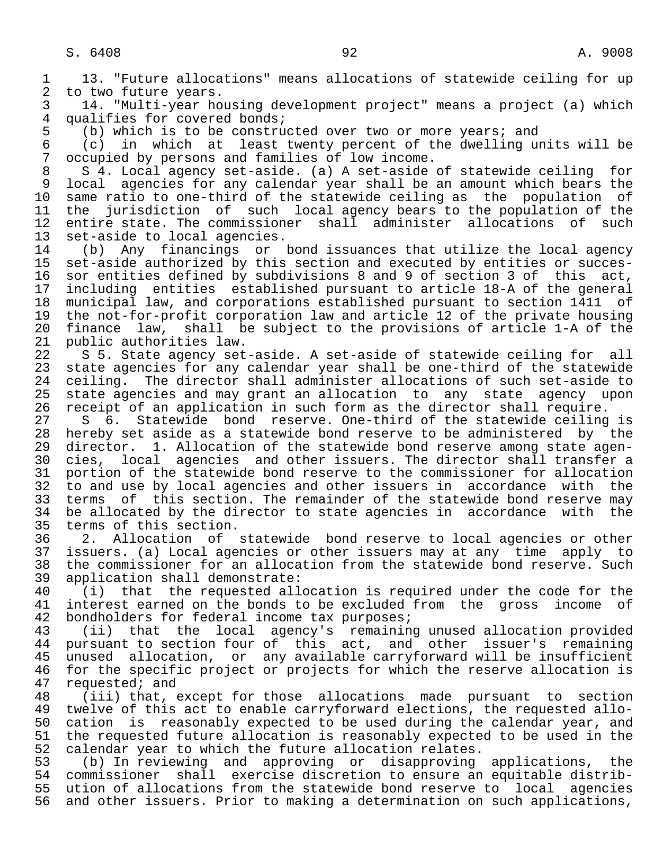1 13. "Future allocations" means allocations of statewide ceiling for up<br>2 to two future vears. 2 to two future years.<br>3 14. "Multi-year ho

 3 14. "Multi-year housing development project" means a project (a) which 4 qualifies for covered bonds;<br>5 (b) which is to be constru

5 (b) which is to be constructed over two or more years; and<br>6 (c) in which at least twenty percent of the dwelling up

6 (c) in which at least twenty percent of the dwelling units will be 6 coupled by persons and families of low income. 7 occupied by persons and families of low income.<br>8 S 4. Local agency set-aside. (a) A set-aside

 8 S 4. Local agency set-aside. (a) A set-aside of statewide ceiling for 9 local agencies for any calendar year shall be an amount which bears the<br>10 same ratio to one-third of the statewide ceiling as the population of 10 same ratio to one-third of the statewide ceiling as the population of<br>11 the jurisdiction of such local agency bears to the population of the 11 the jurisdiction of such local agency bears to the population of the<br>12 entire state. The commissioner shall administer allocations of such 12 entire state. The commissioner shall administer allocations of such<br>13 set-aside to local agencies.

13 set-aside to local agencies.<br>14 (b) Any financings or 14 (b) Any financings or bond issuances that utilize the local agency<br>15 set-aside authorized by this section and executed by entities or succes- 15 set-aside authorized by this section and executed by entities or succes- 16 sor entities defined by subdivisions 8 and 9 of section 3 of<br>17 including entities established pursuant to article 18-A of 17 including entities established pursuant to article 18-A of the general<br>18 municipal law, and corporations established pursuant to section 1411 of 18 municipal law, and corporations established pursuant to section 1411 of<br>19 the not-for-profit corporation law and article 12 of the private housing 19 the not-for-profit corporation law and article 12 of the private housing<br>20 finance law, shall be subject to the provisions of article 1-A of the 20 finance law, shall be subject to the provisions of article 1-A of the<br>21 public authorities law. 21 public authorities law.<br>22 S 5. State agency set

22 S 5. State agency set-aside. A set-aside of statewide ceiling for all<br>23 state agencies for any calendar year shall be one-third of the statewide state agencies for any calendar year shall be one-third of the statewide 24 ceiling. The director shall administer allocations of such set-aside to<br>25 state agencies and may grant an allocation to any state agency upon state agencies and may grant an allocation to any state agency upon

 26 receipt of an application in such form as the director shall require. 27 S 6. Statewide bond reserve. One-third of the statewide ceiling is<br>28 hereby set aside as a statewide bond reserve to be administered by the 28 hereby set aside as a statewide bond reserve to be administered by the<br>29 director. 1. Allocation of the statewide bond reserve among state agen-29 director. 1. Allocation of the statewide bond reserve among state agen-<br>20 cies, local agencies and other issuers. The director shall transfer a 30 cies, local agencies and other issuers. The director shall transfer a<br>31 portion of the statewide bond reserve to the commissioner for allocation 31 portion of the statewide bond reserve to the commissioner for allocation<br>32 to and use by local agencies and other issuers in accordance with the 32 to and use by local agencies and other issuers in accordance with the<br>33 terms of this section. The remainder of the statewide bond reserve may 33 terms of this section. The remainder of the statewide bond reserve may<br>34 be allocated by the director to state agencies in accordance with the 34 be allocated by the director to state agencies in accordance with the<br>35 terms of this section.

35 terms of this section.<br>36 2. Allocation of 2. Allocation of statewide bond reserve to local agencies or other 37 issuers. (a) Local agencies or other issuers may at any time apply to 38 the commissioner for an allocation from the statewide bond reserve. Such<br>39 application shall demonstrate: 39 application shall demonstrate:<br>40 (i) that the requested all

40 (i) that the requested allocation is required under the code for the<br>41 interest earned on the bonds to be excluded from the gross income of 41 interest earned on the bonds to be excluded from the gross income of 42 bondholders for federal income tax purposes; 42 bondholders for federal income tax purposes;<br>43 (ii) that the local agency's remaining

43 (ii) that the local agency's remaining unused allocation provided<br>44 pursuant to section four of this act, and other issuer's remaining 44 pursuant to section four of this act, and other issuer's remaining<br>45 unused allocation, or any available carryforward will be insufficient unused allocation, or any available carryforward will be insufficient 46 for the specific project or projects for which the reserve allocation is<br>47 requested; and 47 requested; and<br>48 (iii) that,

48 (iii) that, except for those allocations made pursuant to section<br>49 twelve of this act to enable carryforward elections, the requested allo-49 twelve of this act to enable carryforward elections, the requested allo-<br>50 cation is reasonably expected to be used during the calendar year, and 50 cation is reasonably expected to be used during the calendar year, and<br>51 the requested future allocation is reasonably expected to be used in the 51 the requested future allocation is reasonably expected to be used in the<br>52 calendar year to which the future allocation relates. 52 calendar year to which the future allocation relates.<br>53 (b) In reviewing and approving or disapproving

 53 (b) In reviewing and approving or disapproving applications, the 54 commissioner shall exercise discretion to ensure an equitable distrib-<br>55 ution of allocations from the statewide bond reserve to local agencies 55 ution of allocations from the statewide bond reserve to local agencies<br>56 and other issuers. Prior to making a determination on such applications, and other issuers. Prior to making a determination on such applications,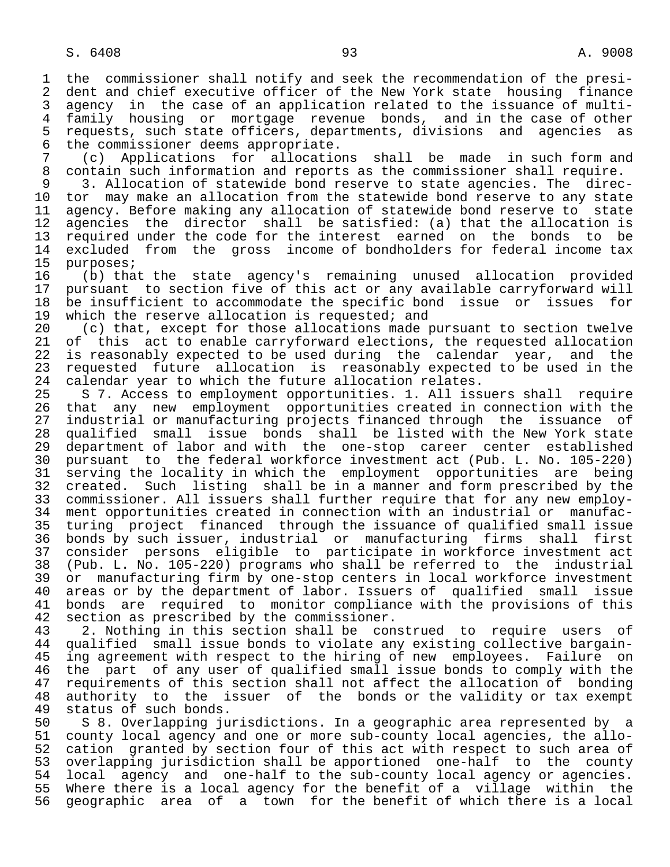1 the commissioner shall notify and seek the recommendation of the presi-<br>2 dent and chief executive officer of the New York state housing finance 2 dent and chief executive officer of the New York state housing finance<br>3 agency in the case of an application related to the issuance of multi-3 agency in the case of an application related to the issuance of multi-<br>4 family housing or mortgage revenue bonds, and in the case of other 4 family housing or mortgage revenue bonds, and in the case of other 5 requests, such state officers, departments, divisions and agencies as<br>6 the commissioner deems appropriate.

6 the commissioner deems appropriate.<br>7 (c) Applications for allocatio 7 (c) Applications for allocations shall be made in such form and<br>8 contain such information and reports as the commissioner shall require. 8 contain such information and reports as the commissioner shall require.<br>8 3. Allocation of statewide bond reserve to state agencies. The direc

 9 3. Allocation of statewide bond reserve to state agencies. The direc- 10 tor may make an allocation from the statewide bond reserve to any state<br>11 agency. Before making any allocation of statewide bond reserve to state 11 agency. Before making any allocation of statewide bond reserve to state<br>12 agencies the director shall be satisfied: (a) that the allocation is 12 agencies the director shall be satisfied: (a) that the allocation is<br>13 required under the code for the interest earned on the bonds to be 13 required under the code for the interest earned on the bonds to be<br>14 excluded from the gross income of bondholders for federal income tax 14 excluded from the gross income of bondholders for federal income tax<br>15 purposes;

15 purposes;<br>16 (b) tha 16 (b) that the state agency's remaining unused allocation provided 17 pursuant to section five of this act or any available carryforward will<br>18 be insufficient to accommodate the specific bond issue or issues for 18 be insufficient to accommodate the specific bond issue or issues for<br>19 which the reserve allocation is requested; and 19 which the reserve allocation is requested; and<br>20 (c) that, except for those allocations made t

20 (c) that, except for those allocations made pursuant to section twelve<br>21 of this act to enable carryforward elections, the requested allocation 21 of this act to enable carryforward elections, the requested allocation<br>22 is reasonably expected to be used during the calendar year, and the 22 is reasonably expected to be used during the calendar year, and the<br>23 requested future allocation is reasonably expected to be used in the 23 requested future allocation is reasonably expected to be used in the<br>24 calendar vear to which the future allocation relates. 24 calendar year to which the future allocation relates.<br>25 S 7. Access to employment opportunities. 1. All iss

 25 S 7. Access to employment opportunities. 1. All issuers shall require 26 that any new employment opportunities created in connection with the<br>27 industrial or manufacturing projects financed through the issuance of 27 industrial or manufacturing projects financed through the issuance of<br>28 qualified small issue bonds shall be listed with the New York state 28 qualified small issue bonds shall be listed with the New York state<br>29 department of labor and with the one-stop career center established 29 department of labor and with the one-stop career center established<br>30 pursuant to the federal workforce investment act (Pub. L. No. 105-220) 30 pursuant to the federal workforce investment act (Pub. L. No. 105-220) 31 serving the locality in which the employment opportunities are being<br>32 created. Such listing shall be in a manner and form prescribed by the 32 created. Such listing shall be in a manner and form prescribed by the<br>33 commissioner. All issuers shall further require that for any new employ-33 commissioner. All issuers shall further require that for any new employ-<br>34 ment opportunities created in connection with an industrial or manufac- 34 ment opportunities created in connection with an industrial or manufac- 35 turing project financed through the issuance of qualified small issue<br>36 bonds by such issuer, industrial or manufacturing firms shall first 36 bonds by such issuer, industrial or manufacturing firms shall first 37 consider persons eligible to participate in workforce investment act 38 (Pub. L. No. 105-220) programs who shall be referred to the industrial 39 or manufacturing firm by one-stop centers in local workforce investment<br>40 areas or by the department of labor. Issuers of qualified small issue 40 areas or by the department of labor. Issuers of qualified small issue<br>41 bonds are required to monitor compliance with the provisions of this 41 bonds are required to monitor compliance with the provisions of this<br>42 section as prescribed by the commissioner. 42 section as prescribed by the commissioner.<br>43 2. Nothing in this section shall be con

43 2. Nothing in this section shall be construed to require users of<br>44 qualified small issue bonds to violate any existing collective bargain-44 qualified small issue bonds to violate any existing collective bargain-<br>45 ing agreement with respect to the hiring of new employees. Failure on ing agreement with respect to the hiring of new employees. Failure on 46 the part of any user of qualified small issue bonds to comply with the<br>47 requirements of this section shall not affect the allocation of bonding 47 requirements of this section shall not affect the allocation of bonding<br>48 authority to the issuer of the bonds or the validity or tax exempt 48 authority to the issuer of the bonds or the validity or tax exempt<br>49 status of such bonds. 49 status of such bonds.<br>50 S 8. Overlapping ju

50 S 8. Overlapping jurisdictions. In a geographic area represented by a<br>51 county local agency and one or more sub-county local agencies, the allo-51 county local agency and one or more sub-county local agencies, the allo-<br>52 cation granted by section four of this act with respect to such area of 52 cation granted by section four of this act with respect to such area of<br>53 overlapping jurisdiction shall be apportioned one-half to the county 53 overlapping jurisdiction shall be apportioned one-half to the county<br>54 local agency and one-half to the sub-county local agency or agencies. 54 local agency and one-half to the sub-county local agency or agencies.<br>55 Where there is a local agency for the benefit of a village within the 55 Where there is a local agency for the benefit of a village within the<br>56 geographic area of a town for the benefit of which there is a local geographic area of a town for the benefit of which there is a local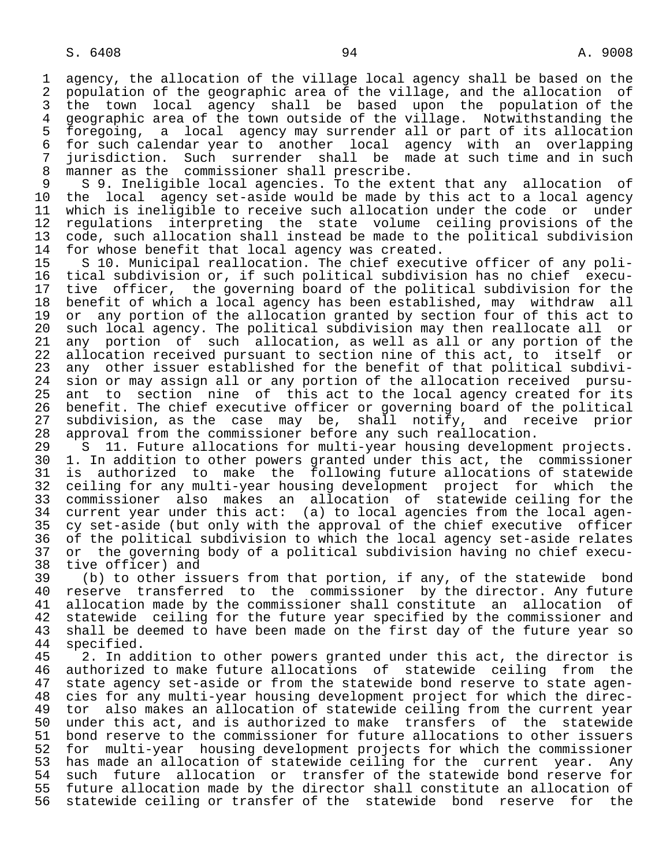1 agency, the allocation of the village local agency shall be based on the<br>2 population of the geographic area of the village, and the allocation of 2 population of the geographic area of the village, and the allocation of<br>3 the town local agency shall be based upon the population of the 3 the town local agency shall be based upon the population of the 4 geographic area of the town outside of the village. Notwithstanding the<br>5 foregoing, a local agency may surrender all or part of its allocation 5 foregoing, a local agency may surrender all or part of its allocation<br>6 for such calendar year to another local agency with an overlapping of the such calendar year to another local agency with an overlapping<br>7 iurisdiction. Such surrender shall be made at such time and in such 7 jurisdiction. Such surrender shall be made at such time and in such 8 manner as the commissioner shall prescribe.<br>9 S 9. Ineligible local agencies. To the ext

9 S 9. Ineligible local agencies. To the extent that any allocation of<br>10 the local agency set-aside would be made by this act to a local agency 10 the local agency set-aside would be made by this act to a local agency<br>11 which is ineligible to receive such allocation under the code or under 11 which is ineligible to receive such allocation under the code or under<br>12 regulations interpreting the state volume ceiling provisions of the 12 regulations interpreting the state volume ceiling provisions of the<br>13 code, such allocation shall instead be made to the political subdivision 13 code, such allocation shall instead be made to the political subdivision<br>14 for whose benefit that local agency was created. 14 for whose benefit that local agency was created.<br>15 S 10. Municipal reallocation. The chief execut

15 S 10. Municipal reallocation. The chief executive officer of any poli-<br>16 tical subdivision or, if such political subdivision has no chief execu- 16 tical subdivision or, if such political subdivision has no chief execu- 17 tive officer, the governing board of the political subdivision for the<br>18 benefit of which a local agency has been established, may withdraw all 18 benefit of which a local agency has been established, may withdraw all<br>19 or any portion of the allocation granted by section four of this act to 19 or any portion of the allocation granted by section four of this act to<br>20 such local agency. The political subdivision may then reallocate all or 20 such local agency. The political subdivision may then reallocate all or<br>21 any portion of such allocation, as well as all or any portion of the 21 any portion of such allocation, as well as all or any portion of the<br>22 allocation received pursuant to section nine of this act, to itself or 22 allocation received pursuant to section nine of this act, to itself or<br>23 any other issuer established for the benefit of that political subdivi-23 any other issuer established for the benefit of that political subdivi-<br>24 sion or may assign all or any portion of the allocation received pursu-24 sion or may assign all or any portion of the allocation received pursu-<br>25 ant to section nine of this act to the local agency created for its ant to section nine of this act to the local agency created for its 26 benefit. The chief executive officer or governing board of the political<br>27 subdivision, as the case may be, shall notify, and receive prior 27 subdivision, as the case may be, shall notify, and receive prior 28 approval from the commissioner before any such reallocation.

29 S 11. Future allocations for multi-year housing development projects.<br>20 1. In addition to other powers granted under this act, the commissioner 30 1. In addition to other powers granted under this act, the commissioner<br>31 is authorized to make the following future allocations of statewide 31 is authorized to make the following future allocations of statewide<br>32 ceiling for any multi-year housing development project for which the 32 ceiling for any multi-year housing development project for which the<br>33 commissioner also makes an allocation of statewide ceiling for the 33 commissioner also makes an allocation of statewide ceiling for the<br>34 current year under this act: (a) to local agencies from the local agen-34 current year under this act: (a) to local agencies from the local agen-<br>35 cy set-aside (but only with the approval of the chief executive officer 35 cy set-aside (but only with the approval of the chief executive officer<br>36 of the political subdivision to which the local agency set-aside relates 36 of the political subdivision to which the local agency set-aside relates<br>37 or the governing body of a political subdivision having no chief execu- 37 or the governing body of a political subdivision having no chief execu- 38 tive officer) and<br>39 (b) to other is:

39 (b) to other issuers from that portion, if any, of the statewide bond<br>40 reserve transferred to the commissioner by the director. Any future 40 reserve transferred to the commissioner by the director. Any future<br>41 allocation made by the commissioner shall constitute an allocation of 41 allocation made by the commissioner shall constitute an allocation of<br>42 statewide ceiling for the future year specified by the commissioner and 42 statewide ceiling for the future year specified by the commissioner and<br>43 shall be deemed to have been made on the first day of the future year so 43 shall be deemed to have been made on the first day of the future year so<br>44 specified. 44 specified.<br>45 2. In ad

2. In addition to other powers granted under this act, the director is 46 authorized to make future allocations of statewide ceiling from the state agency set-aside or from the statewide bond reserve to state agen- 48 cies for any multi-year housing development project for which the direc- 49 tor also makes an allocation of statewide ceiling from the current year<br>50 under this act, and is authorized to make transfers of the statewide 50 under this act, and is authorized to make transfers of the statewide<br>51 bond reserve to the commissioner for future allocations to other issuers 51 bond reserve to the commissioner for future allocations to other issuers<br>52 for multi-year housing development projects for which the commissioner 52 for multi-year housing development projects for which the commissioner<br>53 has made an allocation of statewide ceiling for the current year. Any 53 has made an allocation of statewide ceiling for the current year. Any<br>54 such future allocation or transfer of the statewide bond reserve for 54 such future allocation or transfer of the statewide bond reserve for<br>55 future allocation made by the director shall constitute an allocation of 55 future allocation made by the director shall constitute an allocation of<br>56 statewide ceiling or transfer of the statewide bond reserve for the statewide ceiling or transfer of the statewide bond reserve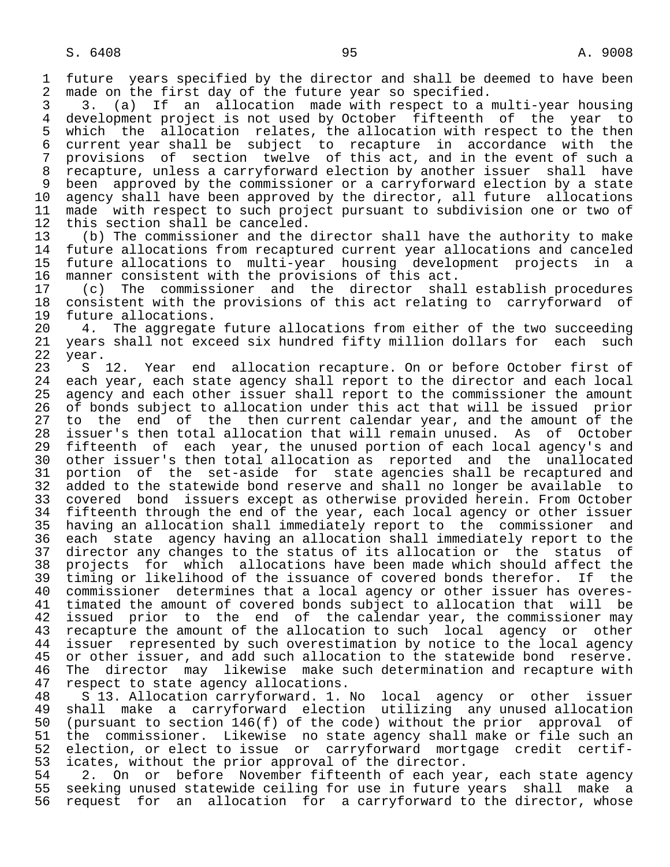1 future years specified by the director and shall be deemed to have been<br>2 made on the first day of the future year so specified. 2 made on the first day of the future year so specified.<br>3 3. (a) If an allocation made with respect to a

3 3. (a) If an allocation made with respect to a multi-year housing<br>4 development project is not used by October fifteenth of the year to 4 development project is not used by October fifteenth of the year to<br>5 which the allocation relates, the allocation with respect to the then 5 which the allocation relates, the allocation with respect to the then<br>6 current year shall be subject to recapture in accordance with the 6 current year shall be subject to recapture in accordance with the 7 provisions of section twelve of this act, and in the event of such a 8 recapture, unless a carryforward election by another issuer shall have 9 been approved by the commissioner or a carryforward election by a state<br>10 agency shall have been approved by the director, all future allocations 10 agency shall have been approved by the director, all future allocations<br>11 made with respect to such project pursuant to subdivision one or two of 11 made with respect to such project pursuant to subdivision one or two of 12 this section shall be canceled. 12 this section shall be canceled.<br>13 (b) The commissioner and the

 13 (b) The commissioner and the director shall have the authority to make future allocations from recaptured current year allocations and canceled 15 future allocations to multi-year housing development projects in a<br>16 manner consistent with the provisions of this act. 16 manner consistent with the provisions of this act.<br>17 (c) The commissioner and the director shal

 17 (c) The commissioner and the director shall establish procedures 18 consistent with the provisions of this act relating to carryforward of<br>19 future allocations. 19 future allocations.<br>20 4. The aggregate

20 4. The aggregate future allocations from either of the two succeeding<br>21 years shall not exceed six hundred fifty million dollars for each such 21 years shall not exceed six hundred fifty million dollars for each such<br>22 year. 22 year.

23 S 12. Year end allocation recapture. On or before October first of 24 each vear, each state agency shall report to the director and each local 24 each year, each state agency shall report to the director and each local<br>25 agency and each other issuer shall report to the commissioner the amount agency and each other issuer shall report to the commissioner the amount 26 of bonds subject to allocation under this act that will be issued prior<br>27 to the end of the then current calendar year, and the amount of the 27 to the end of the then current calendar year, and the amount of the<br>28 issuer's then total allocation that will remain unused. As of October 28 issuer's then total allocation that will remain unused. As of October<br>29 fifteenth of each year, the unused portion of each local agency's and 29 fifteenth of each year, the unused portion of each local agency's and<br>30 other issuer's then total allocation as reported and the unallocated 30 other issuer's then total allocation as reported and the unallocated<br>31 portion of the set-aside for state agencies shall be recaptured and 31 portion of the set-aside for state agencies shall be recaptured and<br>32 added to the statewide bond reserve and shall no longer be available to 32 added to the statewide bond reserve and shall no longer be available to<br>33 covered bond issuers except as otherwise provided herein. From October covered bond issuers except as otherwise provided herein. From October 34 fifteenth through the end of the year, each local agency or other issuer 35 having an allocation shall immediately report to the commissioner and 36 each state agency having an allocation shall immediately report to the 37 director any changes to the status of its allocation or the status of<br>38 projects for which allocations have been made which should affect the 38 projects for which allocations have been made which should affect the<br>39 timing or likelihood of the issuance of covered bonds therefor. If the 39 timing or likelihood of the issuance of covered bonds therefor.<br>40 commissioner determines that a local agency or other issuer has 40 commissioner determines that a local agency or other issuer has overes-<br>41 timated the amount of covered bonds subject to allocation that will be 41 timated the amount of covered bonds subject to allocation that will be<br>42 issued prior to the end of the calendar year, the commissioner may 42 issued prior to the end of the calendar year, the commissioner may<br>43 recapture the amount of the allocation to such local agency or other 43 recapture the amount of the allocation to such local agency or other<br>44 issuer represented by such overestimation by notice to the local agency 44 issuer represented by such overestimation by notice to the local agency<br>45 or other issuer, and add such allocation to the statewide bond reserve. or other issuer, and add such allocation to the statewide bond reserve. 46 The director may likewise make such determination and recapture with<br>47 respect to state agency allocations. 47 respect to state agency allocations.<br>48 S 13. Allocation carryforward. 1.

 48 S 13. Allocation carryforward. 1. No local agency or other issuer 49 shall make a carryforward election utilizing any unused allocation<br>50 (pursuant to section 146(f) of the code) without the prior approval of 50 (pursuant to section 146(f) of the code) without the prior approval of<br>51 the commissioner. Likewise no state agency shall make or file such an 51 the commissioner. Likewise no state agency shall make or file such an<br>52 election, or elect to issue or carryforward mortgage credit certif-52 election, or elect to issue or carryforward mortgage credit certif-<br>53 icates, without the prior approval of the director. 53 icates, without the prior approval of the director.<br>54 2. On or before November fifteenth of each ve

54 2. On or before November fifteenth of each year, each state agency<br>55 seeking unused statewide ceiling for use in future years shall make a 55 seeking unused statewide ceiling for use in future years shall make a<br>56 request for an allocation for a carryforward to the director, whose request for an allocation for a carryforward to the director, whose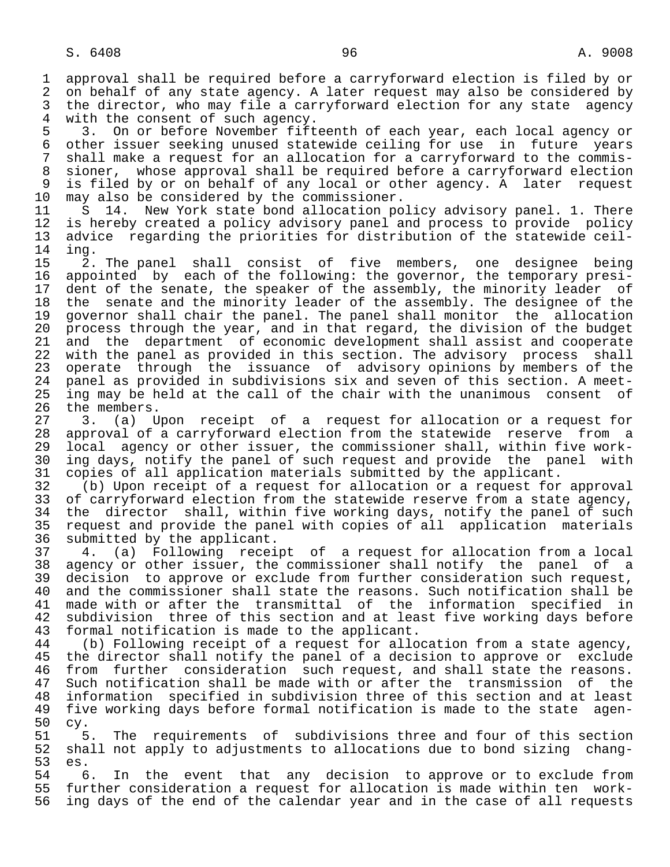1 approval shall be required before a carryforward election is filed by or 2 on behalf of any state agency. A later request may also be considered by<br>3 the director, who may file a carryforward election for any state agency 3 the director, who may file a carryforward election for any state agency<br>4 with the consent of such agency. 4 with the consent of such agency.<br>5 3. On or before November fift

5 3. On or before November fifteenth of each year, each local agency or<br>6 other issuer seeking unused statewide ceiling for use in future years 6 other issuer seeking unused statewide ceiling for use in future years shall make a request for an allocation for a carryforward to the commis- 8 sioner, whose approval shall be required before a carryforward election 9 is filed by or on behalf of any local or other agency. A later request<br>10 may also be considered by the commissioner. 10 may also be considered by the commissioner.<br>11 S 14. New York state bond allocation po

11 S 14. New York state bond allocation policy advisory panel. 1. There<br>12 is hereby created a policy advisory panel and process to provide policy 12 is hereby created a policy advisory panel and process to provide policy<br>13 advice regarding the priorities for distribution of the statewide ceil-13 advice regarding the priorities for distribution of the statewide ceil-<br>14 ing. 14 ing.<br>15 2.

15 2. The panel shall consist of five members, one designee being<br>16 appointed by each of the following: the governor, the temporary presi-16 appointed by each of the following: the governor, the temporary presi-<br>17 dent of the senate, the speaker of the assembly, the minority leader of 17 dent of the senate, the speaker of the assembly, the minority leader of<br>18 the senate and the minority leader of the assembly. The designee of the 18 the senate and the minority leader of the assembly. The designee of the<br>19 qovernor shall chair the panel. The panel shall monitor the allocation 19 governor shall chair the panel. The panel shall monitor the allocation<br>20 process through the year, and in that regard, the division of the budget 20 process through the year, and in that regard, the division of the budget<br>21 and the department of economic development shall assist and cooperate 21 and the department of economic development shall assist and cooperate<br>22 with the panel as provided in this section. The advisory process shall 22 with the panel as provided in this section. The advisory process shall<br>23 operate through the issuance of advisory opinions by members of the operate through the issuance of advisory opinions by members of the 24 panel as provided in subdivisions six and seven of this section. A meet-<br>25 ing may be held at the call of the chair with the unanimous consent of ing may be held at the call of the chair with the unanimous consent of

26 the members.<br>27 3. (a) U 27 3. (a) Upon receipt of a request for allocation or a request for<br>28 approval of a carryforward election from the statewide reserve from a 28 approval of a carryforward election from the statewide reserve from a<br>29 local agency or other issuer, the commissioner shall, within five work-29 local agency or other issuer, the commissioner shall, within five work-<br>20 ing days, notify the panel of such request and provide the panel with 30 ing days, notify the panel of such request and provide the panel with<br>31 copies of all application materials submitted by the applicant. 31 copies of all application materials submitted by the applicant.<br>32 (b) Upon receipt of a request for allocation or a request for

32 (b) Upon receipt of a request for allocation or a request for approval<br>33 of carryforward election from the statewide reserve from a state agency, 33 of carryforward election from the statewide reserve from a state agency,<br>34 the director shall, within five working days, notify the panel of such 34 the director shall, within five working days, notify the panel of such<br>35 request and provide the panel with copies of all application materials 35 request and provide the panel with copies of all application materials<br>36 submitted by the applicant. submitted by the applicant.

 37 4. (a) Following receipt of a request for allocation from a local 38 agency or other issuer, the commissioner shall notify the panel of a<br>39 decision to approve or exclude from further consideration such request. 39 decision to approve or exclude from further consideration such request,<br>40 and the commissioner shall state the reasons. Such notification shall be 40 and the commissioner shall state the reasons. Such notification shall be 41 made with or after the transmittal of the information specified in 41 made with or after the transmittal of the information specified in<br>42 subdivision three of this section and at least five working days before 42 subdivision three of this section and at least five working days before<br>43 formal notification is made to the applicant. 43 formal notification is made to the applicant.<br>44 (b) Following receipt of a request for allo

44 (b) Following receipt of a request for allocation from a state agency,<br>45 the director shall notify the panel of a decision to approve or exclude the director shall notify the panel of a decision to approve or exclude 46 from further consideration such request, and shall state the reasons.<br>47 Such notification shall be made with or after the transmission of the Such notification shall be made with or after the transmission of the 48 information specified in subdivision three of this section and at least 49 five working days before formal notification is made to the state agen-<br>50 cy. 50 cy.

51 5. The requirements of subdivisions three and four of this section<br>52 shall not apply to adjustments to allocations due to bond sizing changshall not apply to adjustments to allocations due to bond sizing chang-53 es.

54 6. In the event that any decision to approve or to exclude from<br>55 further consideration a request for allocation is made within ten work-55 further consideration a request for allocation is made within ten work-<br>56 ing days of the end of the calendar year and in the case of all requests ing days of the end of the calendar year and in the case of all requests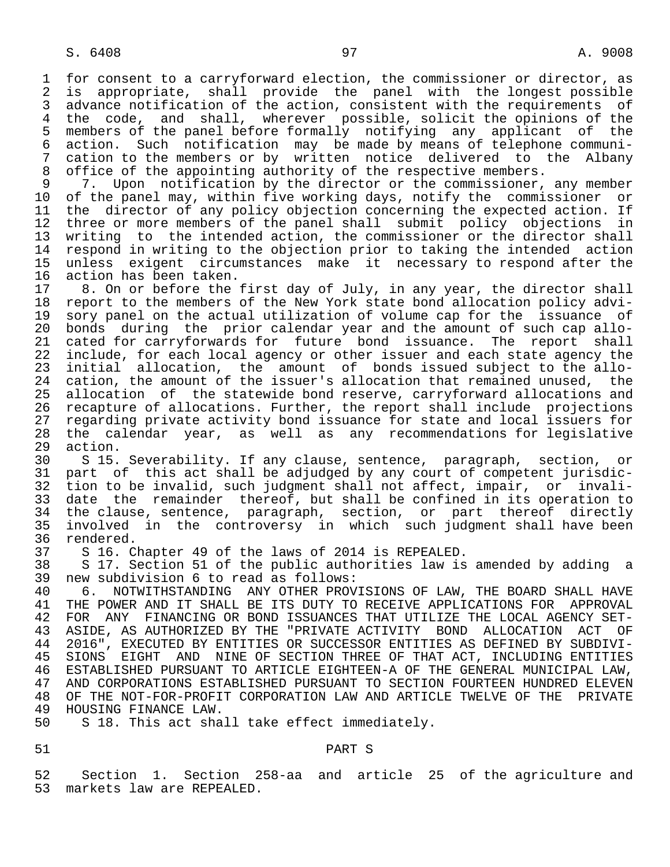1 for consent to a carryforward election, the commissioner or director, as<br>2 is appropriate, shall provide the panel with the longest possible 2 is appropriate, shall provide the panel with the longest possible<br>3 advance notification of the action, consistent with the requirements of 3 advance notification of the action, consistent with the requirements of<br>4 the code, and shall, wherever possible, solicit the opinions of the 4 the code, and shall, wherever possible, solicit the opinions of the<br>5 members of the panel before formally notifying any applicant of the 5 members of the panel before formally notifying any applicant of the 6 action. Such notification may be made by means of telephone communi- 7 cation to the members or by written notice delivered to the Albany<br>8 office of the appointing authority of the respective members.

8 office of the appointing authority of the respective members.<br>9 7. Upon notification by the director or the commissioner. 9 7. Upon notification by the director or the commissioner, any member<br>10 of the panel may, within five working days, notify the commissioner or 10 of the panel may, within five working days, notify the commissioner or<br>11 the director of any policy objection concerning the expected action. If 11 the director of any policy objection concerning the expected action. If<br>12 three or more members of the panel shall submit policy objections in 12 three or more members of the panel shall submit policy objections in<br>13 writing to the intended action, the commissioner or the director shall 13 writing to the intended action, the commissioner or the director shall<br>14 respond in writing to the objection prior to taking the intended action respond in writing to the objection prior to taking the intended action 15 unless exigent circumstances make it necessary to respond after the 16 action has been taken.<br>17 8. On or before the

17 8. On or before the first day of July, in any year, the director shall<br>18 report to the members of the New York state bond allocation policy advi-18 report to the members of the New York state bond allocation policy advi-<br>19 sory panel on the actual utilization of volume cap for the issuance of 19 sory panel on the actual utilization of volume cap for the issuance of<br>20 bonds during the prior calendar year and the amount of such cap allo-20 bonds during the prior calendar year and the amount of such cap allo-<br>21 cated for carryforwards for future bond issuance. The report shall 21 cated for carryforwards for future bond issuance. The report shall<br>22 include, for each local agency or other issuer and each state agency the 22 include, for each local agency or other issuer and each state agency the<br>23 initial allocation, the amount of bonds issued subject to the alloinitial allocation, the amount of bonds issued subject to the allo-24 cation, the amount of the issuer's allocation that remained unused, the<br>25 allocation of the statewide bond reserve, carryforward allocations and allocation of the statewide bond reserve, carryforward allocations and 26 recapture of allocations. Further, the report shall include projections<br>27 regarding private activity bond issuance for state and local issuers for 27 regarding private activity bond issuance for state and local issuers for<br>28 the calendar vear, as well as any recommendations for legislative 28 the calendar year, as well as any recommendations for legislative

29 action.<br>30 S 15. 30 S 15. Severability. If any clause, sentence, paragraph, section, or 31 part of this act shall be adjudged by any court of competent jurisdic-<br>32 tion to be invalid, such judgment shall not affect, impair, or invali-32 tion to be invalid, such judgment shall not affect, impair, or invali-<br>33 date the remainder thereof, but shall be confined in its operation to 33 date the remainder thereof, but shall be confined in its operation to<br>34 the clause, sentence, paragraph, section, or part thereof directly 34 the clause, sentence, paragraph, section, or part thereof directly<br>35 involved in the controversy in which such judgment shall have been 35 involved in the controversy in which such judgment shall have been<br>36 rendered. 36 rendered.<br>37 S 16. C

37 S 16. Chapter 49 of the laws of 2014 is REPEALED.

38 S 17. Section 51 of the public authorities law is amended by adding a<br>39 new subdivision 6 to read as follows: 39 new subdivision 6 to read as follows:<br>40 6. NOTWITHSTANDING ANY OTHER PROV

40 6. NOTWITHSTANDING ANY OTHER PROVISIONS OF LAW, THE BOARD SHALL HAVE<br>41 THE POWER AND IT SHALL BE ITS DUTY TO RECEIVE APPLICATIONS FOR APPROVAL 41 THE POWER AND IT SHALL BE ITS DUTY TO RECEIVE APPLICATIONS FOR APPROVAL<br>42 FOR ANY FINANCING OR BOND ISSUANCES THAT UTILIZE THE LOCAL AGENCY SET-42 FOR ANY FINANCING OR BOND ISSUANCES THAT UTILIZE THE LOCAL AGENCY SET-<br>43 ASIDE, AS AUTHORIZED BY THE "PRIVATE ACTIVITY BOND ALLOCATION ACT OF 43 ASIDE, AS AUTHORIZED BY THE "PRIVATE ACTIVITY BOND ALLOCATION ACT OF<br>44 2016", EXECUTED BY ENTITIES OR SUCCESSOR ENTITIES AS DEFINED BY SUBDIVI-44 2016", EXECUTED BY ENTITIES OR SUCCESSOR ENTITIES AS DEFINED BY SUBDIVI-<br>45 SIONS EIGHT AND NINE OF SECTION THREE OF THAT ACT, INCLUDING ENTITIES 45 SIONS EIGHT AND NINE OF SECTION THREE OF THAT ACT, INCLUDING ENTITIES 46 ESTABLISHED PURSUANT TO ARTICLE EIGHTEEN-A OF THE GENERAL MUNICIPAL LAW, 47 AND CORPORATIONS ESTABLISHED PURSUANT TO SECTION FOURTEEN HUNDRED ELEVEN 48 OF THE NOT-FOR-PROFIT CORPORATION LAW AND ARTICLE TWELVE OF THE PRIVATE 49 HOUSING FINANCE LAW. 49 HOUSING FINANCE LAW.<br>50 S 18. This act sha

S 18. This act shall take effect immediately.

## 51 PART S

 52 Section 1. Section 258-aa and article 25 of the agriculture and markets law are REPEALED.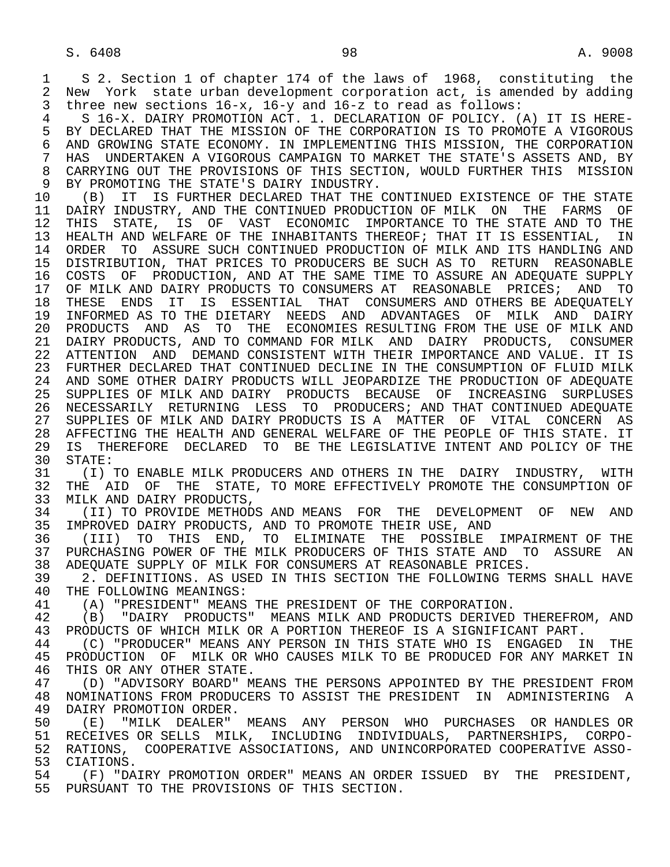1 S 2. Section 1 of chapter 174 of the laws of 1968, constituting the<br>2 New York state urban development corporation act, is amended by adding 2 New York state urban development corporation act, is amended by adding<br>3 three new sections 16-x, 16-y and 16-z to read as follows: three new sections  $16-x$ ,  $16-y$  and  $16-z$  to read as follows:

4 S 16-X. DAIRY PROMOTION ACT. 1. DECLARATION OF POLICY. (A) IT IS HERE-<br>5 BY DECLARED THAT THE MISSION OF THE CORPORATION IS TO PROMOTE A VIGOROUS 5 BY DECLARED THAT THE MISSION OF THE CORPORATION IS TO PROMOTE A VIGOROUS<br>6 AND GROWING STATE ECONOMY, IN IMPLEMENTING THIS MISSION, THE CORPORATION 6 AND GROWING STATE ECONOMY. IN IMPLEMENTING THIS MISSION, THE CORPORATION<br>7 HAS UNDERTAKEN A VIGOROUS CAMPAIGN TO MARKET THE STATE'S ASSETS AND, BY HAS UNDERTAKEN A VIGOROUS CAMPAIGN TO MARKET THE STATE'S ASSETS AND, BY 8 CARRYING OUT THE PROVISIONS OF THIS SECTION, WOULD FURTHER THIS MISSION<br>9 BY PROMOTING THE STATE'S DAIRY INDUSTRY. 9 BY PROMOTING THE STATE'S DAIRY INDUSTRY.<br>10 (B) IT IS FURTHER DECLARED THAT THE

10 (B) IT IS FURTHER DECLARED THAT THE CONTINUED EXISTENCE OF THE STATE<br>11 DAIRY INDUSTRY, AND THE CONTINUED PRODUCTION OF MILK ON THE FARMS OF 11 DAIRY INDUSTRY, AND THE CONTINUED PRODUCTION OF MILK ON THE FARMS OF<br>12 THIS STATE, IS OF VAST ECONOMIC IMPORTANCE TO THE STATE AND TO THE THIS STATE, IS OF VAST ECONOMIC IMPORTANCE TO THE STATE AND TO THE 13 HEALTH AND WELFARE OF THE INHABITANTS THEREOF; THAT IT IS ESSENTIAL, IN<br>14 ORDER TO ASSURE SUCH CONTINUED PRODUCTION OF MILK AND ITS HANDLING AND 14 ORDER TO ASSURE SUCH CONTINUED PRODUCTION OF MILK AND ITS HANDLING AND 15 DISTRIBUTION, THAT PRICES TO PRODUCERS BE SUCH AS TO RETURN REASONABLE<br>16 COSTS OF PRODUCTION, AND AT THE SAME TIME TO ASSURE AN ADEOUATE SUPPLY 16 COSTS OF PRODUCTION, AND AT THE SAME TIME TO ASSURE AN ADEQUATE SUPPLY<br>17 OF MILK AND DAIRY PRODUCTS TO CONSUMERS AT REASONABLE PRICES; AND TO 17 OF MILK AND DAIRY PRODUCTS TO CONSUMERS AT REASONABLE PRICES; AND TO<br>18 THESE ENDS IT IS ESSENTIAL THAT CONSUMERS AND OTHERS BE ADEOUATELY 18 THESE ENDS IT IS ESSENTIAL THAT CONSUMERS AND OTHERS BE ADEQUATELY<br>19 INFORMED AS TO THE DIETARY NEEDS AND ADVANTAGES OF MILK AND DAIRY 19 INFORMED AS TO THE DIETARY NEEDS AND ADVANTAGES OF MILK AND DAIRY 20 PRODUCTS AND AS TO THE ECONOMIES RESULTING FROM THE USE OF MILK AND 21 DAIRY PRODUCTS, AND TO COMMAND FOR MILK AND DAIRY PRODUCTS, CONSUMER 22 ATTENTION AND DEMAND CONSISTENT WITH THEIR IMPORTANCE AND VALUE. IT IS 23 FURTHER DECLARED THAT CONTINUED DECLINE IN THE CONSUMPTION OF FLUID MILK 24 AND SOME OTHER DAIRY PRODUCTS WILL JEOPARDIZE THE PRODUCTION OF ADEQUATE<br>25 SUPPLIES OF MILK AND DAIRY PRODUCTS BECAUSE OF INCREASING SURPLUSES 25 SUPPLIES OF MILK AND DAIRY PRODUCTS BECAUSE OF INCREASING SURPLUSES 26 NECESSARILY RETURNING LESS TO PRODUCERS; AND THAT CONTINUED ADEQUATE 27 SUPPLIES OF MILK AND DAIRY PRODUCTS IS A MATTER OF VITAL CONCERN AS<br>28 AFFECTING THE HEALTH AND GENERAL WELFARE OF THE PEOPLE OF THIS STATE. IT 28 AFFECTING THE HEALTH AND GENERAL WELFARE OF THE PEOPLE OF THIS STATE. IT<br>29 IS THEREFORE DECLARED TO BE THE LEGISLATIVE INTENT AND POLICY OF THE 29 IS THEREFORE DECLARED TO BE THE LEGISLATIVE INTENT AND POLICY OF THE 30 STATE:

30 STATE:<br>31 (I) 31 (I) TO ENABLE MILK PRODUCERS AND OTHERS IN THE DAIRY INDUSTRY, WITH<br>32 THE AID OF THE STATE, TO MORE EFFECTIVELY PROMOTE THE CONSUMPTION OF 32 THE AID OF THE STATE, TO MORE EFFECTIVELY PROMOTE THE CONSUMPTION OF 33 MILK AND DAIRY PRODUCTS. 33 MILK AND DAIRY PRODUCTS,<br>34 (II) TO PROVIDE METHODS

34 (II) TO PROVIDE METHODS AND MEANS FOR THE DEVELOPMENT OF NEW AND<br>35 IMPROVED DAIRY PRODUCTS, AND TO PROMOTE THEIR USE, AND 35 IMPROVED DAIRY PRODUCTS, AND TO PROMOTE THEIR USE, AND 36 (III) TO THIS END. TO ELIMINATE THE POSSIBLE

36 (III) TO THIS END, TO ELIMINATE THE POSSIBLE IMPAIRMENT\_OF\_THE<br>37 PURCHASING POWER OF\_THE\_MILK PRODUCERS OF\_THIS\_STATE\_AND\_\_TO\_\_ASSURE\_\_AN 37 PURCHASING POWER OF THE MILK PRODUCERS OF THIS STATE AND TO ASSURE AN<br>38 ADEOUATE SUPPLY OF MILK FOR CONSUMERS AT REASONABLE PRICES. 38 ADEQUATE SUPPLY OF MILK FOR CONSUMERS AT REASONABLE PRICES.<br>39 12. DEFINITIONS, AS USED IN THIS SECTION THE FOLLOWING TER

39 2. DEFINITIONS. AS USED IN THIS SECTION THE FOLLOWING TERMS SHALL HAVE 40 THE FOLLOWING MEANINGS: 40 THE FOLLOWING MEANINGS:<br>41 (A) "PRESIDENT" MEANS

41 (A) "PRESIDENT" MEANS THE PRESIDENT OF THE CORPORATION.<br>42 (B) "DAIRY PRODUCTS" MEANS MILK AND PRODUCTS DERIVED

42 (B) "DAIRY PRODUCTS" MEANS MILK AND PRODUCTS DERIVED THEREFROM, AND 43 PRODUCTS OF WHICH MILK OR A PORTION THERECT IS A SIGNIFICANT PART. 43 PRODUCTS OF WHICH MILK OR A PORTION THEREOF IS A SIGNIFICANT PART.<br>44 (C) "PRODUCER" MEANS ANY PERSON IN THIS STATE WHO IS ENGAGED II

44 (C) "PRODUCER" MEANS ANY PERSON IN THIS STATE WHO IS ENGAGED IN THE 45 PRODUCTION OF MILK OR WHO CAUSES MILK TO BE PRODUCED FOR ANY MARKET IN 45 PRODUCTION OF MILK OR WHO CAUSES MILK TO BE PRODUCED FOR ANY MARKET IN 46 THIS OR ANY OTHER STATE.<br>47 (D) "ADVISORY BOARD" M

47 (D) "ADVISORY BOARD" MEANS THE PERSONS APPOINTED BY THE PRESIDENT FROM<br>48 NOMINATIONS FROM PRODUCERS TO ASSIST THE PRESIDENT IN ADMINISTERING A 48 NOMINATIONS FROM PRODUCERS TO ASSIST THE PRESIDENT IN ADMINISTERING A<br>49 DAIRY PROMOTION ORDER. 49 DAIRY PROMOTION ORDER.<br>50 (E) "MILK DEALER"

50 (E) "MILK DEALER" MEANS ANY PERSON WHO PURCHASES OR<sup>HANDLES</sup> OR HANDLES OR SELLS MILK, INCLUDING INDIVIDUALS, PARTNERSHIPS, CORPO-51 RECEIVES OR SELLS MILK, INCLUDING INDIVIDUALS, PARTNERSHIPS, CORPO-<br>52 RATIONS, COOPERATIVE ASSOCIATIONS, AND UNINCORPORATED COOPERATIVE ASSO-52 RATIONS, COOPERATIVE ASSOCIATIONS, AND UNINCORPORATED COOPERATIVE ASSO-<br>53 CIATIONS. 53 CIATIONS.<br>54 (F) "DA

54 (F) "DAIRY PROMOTION ORDER" MEANS AN ORDER ISSUED BY THE PRESIDENT,<br>55 PURSUANT TO THE PROVISIONS OF THIS SECTION. PURSUANT TO THE PROVISIONS OF THIS SECTION.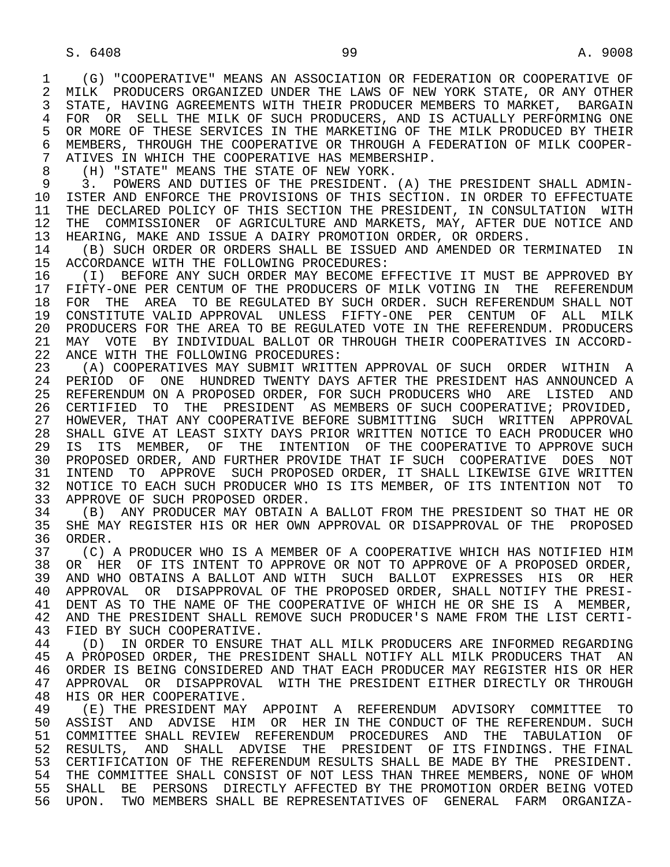1 (G) "COOPERATIVE" MEANS AN ASSOCIATION OR FEDERATION OR COOPERATIVE OF<br>2 MILK PRODUCERS ORGANIZED UNDER THE LAWS OF NEW YORK STATE, OR ANY OTHER 2 MILK PRODUCERS ORGANIZED UNDER THE LAWS OF NEW YORK STATE, OR ANY OTHER<br>3 STATE, HAVING AGREEMENTS WITH THEIR PRODUCER MEMBERS TO MARKET, BARGAIN 3 STATE, HAVING AGREEMENTS WITH THEIR PRODUCER MEMBERS TO MARKET, BARGAIN 4 FOR OR SELL THE MILK OF SUCH PRODUCERS, AND IS ACTUALLY PERFORMING ONE<br>5 OR MORE OF THESE SERVICES IN THE MARKETING OF THE MILK PRODUCED BY THEIR 5 OR MORE OF THESE SERVICES IN THE MARKETING OF THE MILK PRODUCED BY THEIR<br>6 MEMBERS, THROUGH THE COOPERATIVE OR THROUGH A FEDERATION OF MILK COOPER-6 MEMBERS, THROUGH THE COOPERATIVE OR THROUGH A FEDERATION OF MILK COOPER-<br>7 ATIVES IN WHICH THE COOPERATIVE HAS MEMBERSHIP. 7 ATIVES IN WHICH THE COOPERATIVE HAS MEMBERSHIP.<br>8 (H) "STATE" MEANS THE STATE OF NEW YORK.

8 (H) "STATE" MEANS THE STATE OF NEW YORK.<br>9 3. POWERS AND DUTIES OF THE PRESIDENT.

9 3. POWERS AND DUTIES OF THE PRESIDENT. (A) THE PRESIDENT SHALL ADMIN-<br>10 ISTER AND ENFORCE THE PROVISIONS OF THIS SECTION. IN ORDER TO EFFECTUATE 10 ISTER AND ENFORCE THE PROVISIONS OF THIS SECTION. IN ORDER TO EFFECTUATE<br>11 THE DECLARED POLICY OF THIS SECTION THE PRESIDENT, IN CONSULTATION WITH 11 THE DECLARED POLICY OF THIS SECTION THE PRESIDENT, IN CONSULTATION WITH<br>12 THE COMMISSIONER OF AGRICULTURE AND MARKETS, MAY, AFTER DUE NOTICE AND 12 THE COMMISSIONER OF AGRICULTURE AND MARKETS, MAY, AFTER DUE NOTICE AND<br>13 HEARING, MAKE AND ISSUE A DAIRY PROMOTION ORDER, OR ORDERS. 13 HEARING, MAKE AND ISSUE A DAIRY PROMOTION ORDER, OR ORDERS.<br>14 The Such order or orders shall be issued and amended or t

14 (B) SUCH ORDER OR ORDERS SHALL BE ISSUED AND AMENDED OR TERMINATED IN<br>15 ACCORDANCE WITH THE FOLLOWING PROCEDURES: 15 ACCORDANCE WITH THE FOLLOWING PROCEDURES:<br>16 (I) BEFORE ANY SUCH ORDER MAY BECOME EI

16 TH SERORE ANY SUCH ORDER MAY BECOME EFFECTIVE IT MUST BE APPROVED BY 17 FIFTY-ONE PER CENTUM OF THE PRODUCERS OF MILK VOTING IN THE REFERENDUM 17 FIFTY-ONE PER CENTUM OF THE PRODUCERS OF MILK VOTING IN THE REFERENDUM<br>18 FOR THE AREA TO BE REGULATED BY SUCH ORDER. SUCH REFERENDUM SHALL NOT 18 FOR THE AREA TO BE REGULATED BY SUCH ORDER. SUCH REFERENDUM SHALL NOT<br>19 CONSTITUTE VALID APPROVAL UNLESS FIFTY-ONE PER CENTUM OF ALL MILK 19 CONSTITUTE VALID APPROVAL UNLESS FIFTY-ONE PER CENTUM OF ALL MILK 20 PRODUCERS FOR THE AREA TO BE REGULATED VOTE IN THE REFERENDUM. PRODUCERS<br>21 MAY VOTE BY INDIVIDUAL BALLOT OR THROUGH THEIR COOPERATIVES IN ACCORD-21 MAY VOTE BY INDIVIDUAL BALLOT OR THROUGH THEIR COOPERATIVES IN ACCORD-<br>22 ANCE WITH THE FOLLOWING PROCEDURES: 22 ANCE WITH THE FOLLOWING PROCEDURES:<br>23 (A) COOPERATIVES MAY SUBMIT WRITT

23 (A) COOPERATIVES MAY SUBMIT WRITTEN APPROVAL OF SUCH ORDER WITHIN A<br>24 PERIOD OF ONE HUNDRED TWENTY DAYS AFTER THE PRESIDENT HAS ANNOUNCED A 24 PERIOD OF ONE HUNDRED TWENTY DAYS AFTER THE PRESIDENT HAS ANNOUNCED A<br>25 REFERENDUM ON A PROPOSED ORDER, FOR SUCH PRODUCERS WHO ARE LISTED AND 25 REFERENDUM ON A PROPOSED ORDER, FOR SUCH PRODUCERS WHO ARE LISTED AND 26 CERTIFIED TO THE PRESIDENT AS MEMBERS OF SUCH COOPERATIVE; PROVIDED, 27 HOWEVER, THAT ANY COOPERATIVE BEFORE SUBMITTING SUCH WRITTEN APPROVAL<br>28 SHALL GIVE AT LEAST SIXTY DAYS PRIOR WRITTEN NOTICE TO EACH PRODUCER WHO 28 SHALL GIVE AT LEAST SIXTY DAYS PRIOR WRITTEN NOTICE TO EACH PRODUCER WHO<br>29 IS ITS MEMBER, OF THE INTENTION OF THE COOPERATIVE TO APPROVE SUCH IS ITS MEMBER, OF THE INTENTION OF THE COOPERATIVE TO APPROVE SUCH 30 PROPOSED ORDER, AND FURTHER PROVIDE THAT IF SUCH COOPERATIVE DOES NOT<br>31 INTEND TO APPROVE SUCH PROPOSED ORDER, IT SHALL LIKEWISE GIVE WRITTEN 31 INTEND TO APPROVE SUCH PROPOSED ORDER, IT SHALL LIKEWISE GIVE WRITTEN 32 NOTICE TO EACH SUCH PRODUCER WHO IS ITS MEMBER, OF ITS INTENTION NOT TO 33 APPROVE OF SUCH PROPOSED ORDER. 33 APPROVE OF SUCH PROPOSED ORDER.<br>34 (B) ANY PRODUCER MAY OBTAIN A

34 (B) ANY PRODUCER MAY OBTAIN A BALLOT FROM THE PRESIDENT SO THAT HE OR<br>35 SHE MAY REGISTER HIS OR HER OWN APPROVAL OR DISAPPROVAL OF THE PROPOSED 35 SHE MAY REGISTER HIS OR HER OWN APPROVAL OR DISAPPROVAL OF THE PROPOSED<br>36 ORDER. 36 ORDER.<br>37 (C)

37 (C) A PRODUCER WHO IS A MEMBER OF A COOPERATIVE WHICH HAS NOTIFIED HIM<br>38 OR HER OF ITS INTENT TO APPROVE OR NOT TO APPROVE OF A PROPOSED ORDER, 38 OR HER OF ITS INTENT TO APPROVE OR NOT TO APPROVE OF A PROPOSED ORDER,<br>39 AND WHO OBTAINS A BALLOT AND WITH SUCH BALLOT EXPRESSES HIS OR HER 39 AND WHO OBTAINS A BALLOT AND WITH SUCH BALLOT EXPRESSES HIS OR HER<br>40 APPROVAL OR DISAPPROVAL OF THE PROPOSED ORDER, SHALL NOTIFY THE PRESI- 40 APPROVAL OR DISAPPROVAL OF THE PROPOSED ORDER, SHALL NOTIFY THE PRESI- 41 DENT AS TO THE NAME OF THE COOPERATIVE OF WHICH HE OR SHE IS A MEMBER,<br>42 AND THE PRESIDENT SHALL REMOVE SUCH PRODUCER'S NAME FROM THE LIST CERTI-42 AND THE PRESIDENT SHALL REMOVE SUCH PRODUCER'S NAME FROM THE LIST CERTI-<br>43 FIED BY SUCH COOPERATIVE 43 FIED BY SUCH COOPERATIVE.<br>44 (D) IN ORDER TO ENSURE

44 (D) IN ORDER TO ENSURE THAT ALL MILK PRODUCERS ARE INFORMED REGARDING<br>45 A PROPOSED ORDER, THE PRESIDENT SHALL NOTIFY ALL MILK PRODUCERS THAT AN 45 A PROPOSED ORDER, THE PRESIDENT SHALL NOTIFY ALL MILK PRODUCERS THAT AN 46 ORDER IS BEING CONSIDERED AND THAT EACH PRODUCER MAY REGISTER HIS OR HER<br>47 APPROVAL, OR, DISAPPROVAL, WITH THE PRESIDENT EITHER DIRECTLY OR THROUGH 47 APPROVAL OR DISAPPROVAL WITH THE PRESIDENT EITHER DIRECTLY OR THROUGH 48 HIS OR HER COOPERATIVE.

48 HIS OR HER COOPERATIVE.<br>49 (E) THE PRESIDENT MAY 49 (E) THE PRESIDENT MAY APPOINT A REFERENDUM ADVISORY COMMITTEE TO<br>50 ASSIST AND ADVISE HIM OR HER IN THE CONDUCT OF THE REFERENDUM. SUCH 50 ASSIST AND ADVISE HIM OR HER IN THE CONDUCT OF THE REFERENDUM. SUCH 51 COMMITTEE SHALL REVIEW REFERENDUM PROCEDURES AND THE TABULATION OF 51 COMMITTEE SHALL REVIEW REFERENDUM PROCEDURES AND THE TABULATION OF 52 RESULTS, AND SHALL ADVISE THE PRESIDENT OF ITS FINDINGS. THE FINAL 53 CERTIFICATION OF THE REFERENDUM RESULTS SHALL BE MADE BY THE PRESIDENT.<br>54 THE COMMITTEE SHALL CONSIST OF NOT LESS THAN THREE MEMBERS. NONE OF WHOM 54 THE COMMITTEE SHALL CONSIST OF NOT LESS THAN THREE MEMBERS, NONE OF WHOM<br>55 SHALL BE PERSONS DIRECTLY AFFECTED BY THE PROMOTION ORDER BEING VOTED 55 SHALL BE PERSONS DIRECTLY AFFECTED BY THE PROMOTION ORDER BEING VOTED 56 UPON. TWO MEMBERS SHALL BE REPRESENTATIVES OF GENERAL FARM ORGANIZA-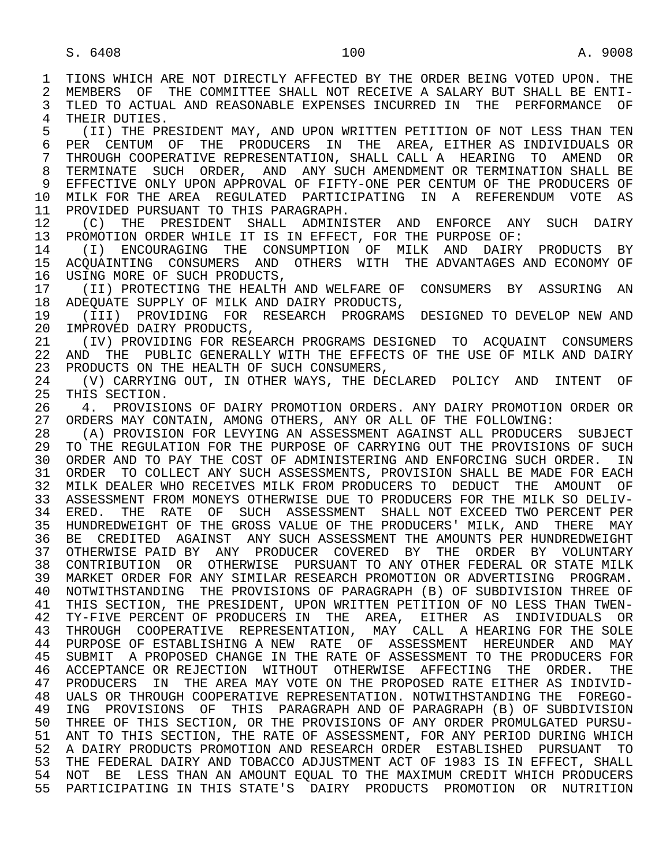1 TIONS WHICH ARE NOT DIRECTLY AFFECTED BY THE ORDER BEING VOTED UPON. THE 2 MEMBERS OF THE COMMITTEE SHALL NOT RECEIVE A SALARY BUT SHALL BE ENTI-2 MEMBERS OF THE COMMITTEE SHALL NOT RECEIVE A SALARY BUT SHALL BE ENTI-<br>3 TLED TO ACTUAL AND REASONABLE EXPENSES INCURRED IN THE PERFORMANCE OF TLED TO ACTUAL AND REASONABLE EXPENSES INCURRED IN THE PERFORMANCE OF 4 THEIR DUTIES.<br>5 (II) THE PR 5 THE PRESIDENT MAY, AND UPON WRITTEN PETITION OF NOT LESS THAN TEN SANDIDIDENT MAY, AND UPON WRITTEN PETITION OF NOT LESS THAN TEN 6 PER CENTUM OF THE PRODUCERS IN THE AREA, EITHER—AS INDIVIDUALS OR<br>7 THROUGH-COOPERATIVE-REPRESENTATION, SHALL CALL A HEARING TO AMEND OR 7 THROUGH COOPERATIVE REPRESENTATION, SHALL CALL A HEARING TO AMEND OR 8 TERMINATE SUCH ORDER, AND ANY SUCH AMENDMENT OR TERMINATION SHALL BE 9 EFFECTIVE ONLY UPON APPROVAL OF FIFTY-ONE PER CENTUM OF THE PRODUCERS OF<br>10 MILK FOR THE AREA REGULATED PARTICIPATING IN A REFERENDUM VOTE AS 10 MILK FOR THE AREA REGULATED PARTICIPATING IN A REFERENDUM VOTE AS<br>11 PROVIDED PURSUANT TO THIS PARAGRAPH. 11 PROVIDED PURSUANT TO THIS PARAGRAPH.<br>12 (C) THE PRESIDENT SHALL ADMINI 12 (C) THE PRESIDENT SHALL ADMINISTER AND ENFORCE ANY SUCH DAIRY<br>13 PROMOTION ORDER WHILE IT IS IN EFFECT, FOR THE PURPOSE OF: 13 PROMOTION ORDER WHILE IT IS IN EFFECT, FOR THE PURPOSE OF:<br>14 (I) ENCOURAGING THE CONSUMPTION OF MILK AND DAIRY 14 (I) ENCOURAGING THE CONSUMPTION OF MILK AND DAIRY PRODUCTS BY 15 ACQUAINTING CONSUMERS AND OTHERS WITH THE ADVANTAGES AND ECONOMY OF 16 USING MORE OF SUCH PRODUCTS, 16 USING MORE OF SUCH PRODUCTS,<br>17 (II) PROTECTING THE HEALTH 17 (II) PROTECTING THE HEALTH AND WELFARE OF CONSUMERS BY ASSURING AN 18 ADEOUATE SUPPLY OF MILK AND DAIRY PRODUCTS, 18 ADEQUATE SUPPLY OF MILK AND DAIRY PRODUCTS,<br>19 (TTT) PROVIDING FOR RESEARCH PROGRAMS 19 (III) PROVIDING FOR RESEARCH PROGRAMS DESIGNED TO DEVELOP NEW AND<br>20 IMPROVED DAIRY PRODUCTS. 20 IMPROVED DAIRY PRODUCTS,<br>21 (IV) PROVIDING FOR RES 21 (IV) PROVIDING FOR RESEARCH PROGRAMS DESIGNED TO ACQUAINT CONSUMERS<br>22 AND THE PUBLIC GENERALLY WITH THE EFFECTS OF THE USE OF MILK AND DAIRY 22 AND THE PUBLIC GENERALLY WITH THE EFFECTS OF THE USE OF MILK AND DAIRY<br>23 PRODUCTS ON THE HEALTH OF SUCH CONSUMERS, PRODUCTS ON THE HEALTH OF SUCH CONSUMERS, 24 (V) CARRYING OUT, IN OTHER WAYS, THE DECLARED POLICY AND INTENT OF 25 THIS SECTION. THIS SECTION. 26 The PROVISIONS OF DAIRY PROMOTION ORDERS. ANY DAIRY PROMOTION ORDER OR 27 ORDERS MAY CONTAIN, AMONG OTHERS, ANY OR ALL OF THE FOLLOWING: 27 ORDERS MAY CONTAIN, AMONG OTHERS, ANY OR ALL OF THE FOLLOWING:<br>28 (A) PROVISION FOR LEVYING AN ASSESSMENT AGAINST ALL PRODUCER 28 (A) PROVISION FOR LEVYING AN ASSESSMENT AGAINST ALL PRODUCERS SUBJECT<br>29 TO THE REGULATION FOR THE PURPOSE OF CARRYING OUT THE PROVISIONS OF SUCH 29 TO THE REGULATION FOR THE PURPOSE OF CARRYING OUT THE PROVISIONS OF SUCH 30 ORDER AND TO PAY THE COST OF ADMINISTERING AND ENFORCING SUCH ORDER. IN<br>31 ORDER TO COLLECT ANY SUCH ASSESSMENTS, PROVISION SHALL BE MADE FOR EACH 31 ORDER TO COLLECT ANY SUCH ASSESSMENTS, PROVISION SHALL BE MADE FOR EACH<br>32 MILK DEALER WHO RECEIVES MILK FROM PRODUCERS TO DEDUCT THE AMOUNT OF 32 MILK DEALER WHO RECEIVES MILK FROM PRODUCERS TO DEDUCT THE AMOUNT OF<br>33 ASSESSMENT FROM MONEYS OTHERWISE DUE TO PRODUCERS FOR THE MILK SO DELIV-33 ASSESSMENT FROM MONEYS OTHERWISE DUE TO PRODUCERS FOR THE MILK SO DELIV-<br>34 ERED. THE RATE OF SUCH ASSESSMENT SHALL NOT EXCEED TWO PERCENT PER 34 ERED. THE RATE OF SUCH ASSESSMENT SHALL NOT EXCEED TWO PERCENT PER<br>35 HUNDREDWEIGHT OF THE GROSS VALUE OF THE PRODUCERS' MILK, AND THERE MAY 35 HUNDREDWEIGHT OF THE GROSS VALUE OF THE PRODUCERS' MILK, AND THERE MAY<br>36 BE CREDITED AGAINST ANY SUCH ASSESSMENT THE AMOUNTS PER HUNDREDWEIGHT BE CREDITED AGAINST ANY SUCH ASSESSMENT THE AMOUNTS PER HUNDREDWEIGHT 37 OTHERWISE PAID BY ANY PRODUCER COVERED BY THE ORDER BY VOLUNTARY<br>38 CONTRIBUTION OR OTHERWISE PURSUANT TO ANY OTHER FEDERAL OR STATE MILK 38 CONTRIBUTION OR OTHERWISE PURSUANT TO ANY OTHER FEDERAL OR STATE MILK<br>39 MARKET ORDER FOR ANY SIMILAR RESEARCH PROMOTION OR ADVERTISING PROGRAM. 39 MARKET ORDER FOR ANY SIMILAR RESEARCH PROMOTION OR ADVERTISING PROGRAM.<br>40 NOTWITHSTANDING THE PROVISIONS OF PARAGRAPH (B) OF SUBDIVISION THREE OF 40 NOTWITHSTANDING THE PROVISIONS OF PARAGRAPH (B) OF SUBDIVISION THREE OF 41 THIS SECTION, THE PRESIDENT, UPON WRITTEN PETITION OF NO LESS THAN TWEN-<br>42 TY-FIVE PERCENT OF PRODUCERS IN THE AREA, EITHER AS INDIVIDUALS OR 42 TY-FIVE PERCENT OF PRODUCERS IN THE AREA, EITHER AS INDIVIDUALS OR<br>43 THROUGH COOPERATIVE REPRESENTATION, MAY CALL, A HEARING FOR THE SOLE 43 THROUGH COOPERATIVE REPRESENTATION, MAY CALL A-HEARING-FOR-THE-SOLE<br>44 PURPOSE OF ESTABLISHING-A-NEW RATE OF ASSESSMENT HEREUNDER AND MAY 44 PURPOSE OF ESTABLISHING A NEW RATE OF ASSESSMENT HEREUNDER AND MAY<br>45 SUBMIT A PROPOSED CHANGE IN THE RATE OF ASSESSMENT TO THE PRODUCERS FOR 45 SUBMIT A PROPOSED CHANGE IN THE RATE OF ASSESSMENT TO THE PRODUCERS FOR 46 ACCEPTANCE OR REJECTION WITHOUT OTHERWISE AFFECTING THE ORDER. THE 17 PRODUCERS IN THE AREA MAY VOTE ON THE PROPOSED RATE EITHER AS INDIVID- 47 PRODUCERS IN THE AREA MAY VOTE ON THE PROPOSED RATE EITHER AS INDIVID- 48 UALS OR THROUGH COOPERATIVE REPRESENTATION. NOTWITHSTANDING THE FOREGO- 49 ING PROVISIONS OF THIS PARAGRAPH AND OF PARAGRAPH (B) OF SUBDIVISION<br>50 THREE OF THIS SECTION, OR THE PROVISIONS OF ANY ORDER PROMULGATED PURSU-THREE OF THIS SECTION, OR THE PROVISIONS OF ANY ORDER PROMULGATED PURSU- 51 ANT TO THIS SECTION, THE RATE OF ASSESSMENT, FOR ANY PERIOD DURING WHICH 52 A DAIRY PRODUCTS PROMOTION AND RESEARCH ORDER ESTABLISHED PURSUANT TO<br>53 THE FEDERAL DAIRY AND TOBACCO ADJUSTMENT ACT OF 1983 IS IN EFFECT, SHALL 53 THE FEDERAL DAIRY AND TOBACCO ADJUSTMENT ACT OF 1983 IS IN EFFECT, SHALL<br>54 NOT BE LESS THAN AN AMOUNT EOUAL TO THE MAXIMUM CREDIT WHICH PRODUCERS 54 NOT BE LESS THAN AN AMOUNT EQUAL TO THE MAXIMUM CREDIT WHICH PRODUCERS<br>55 PARTICIPATING IN THIS STATE'S DAIRY PRODUCTS PROMOTION OR NUTRITION 55 PARTICIPATING IN THIS STATE'S DAIRY PRODUCTS PROMOTION OR NUTRITION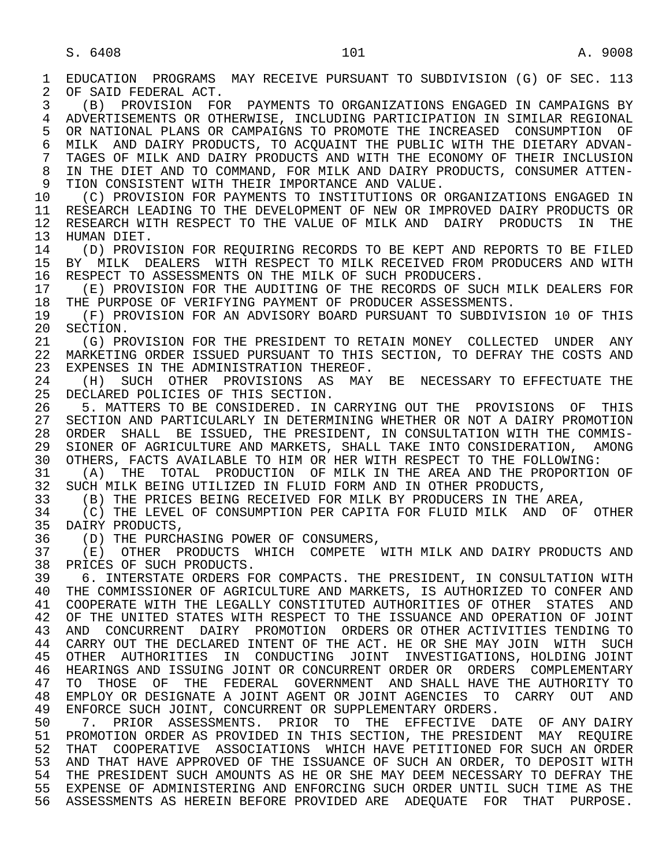1 EDUCATION PROGRAMS MAY RECEIVE PURSUANT TO SUBDIVISION (G) OF SEC. 113<br>2 OF SAID FEDERAL ACT. 2 OF SAID FEDERAL ACT.<br>3 (B) PROVISION FO 3 (B) PROVISION FOR PAYMENTS TO ORGANIZATIONS ENGAGED IN CAMPAIGNS BY 4 ADVERTISEMENTS OR OTHERWISE, INCLUDING PARTICIPATION IN SIMILAR REGIONAL<br>5 OR NATIONAL PLANS OR CAMPAIGNS TO PROMOTE THE INCREASED CONSUMPTION OF 5 OR NATIONAL PLANS OR CAMPAIGNS TO PROMOTE THE INCREASED CONSUMPTION OF<br>6 MILK AND DAIRY PRODUCTS, TO ACOUAINT THE PUBLIC WITH THE DIETARY ADVAN-6 MILK AND DAIRY PRODUCTS, TO ACQUAINT THE PUBLIC WITH THE DIETARY ADVAN-<br>7 TAGES OF MILK AND DAIRY PRODUCTS AND WITH THE ECONOMY OF THEIR INCLUSION 7 TAGES OF MILK AND DAIRY PRODUCTS AND WITH THE ECONOMY OF THEIR INCLUSION 8 IN THE DIET AND TO COMMAND, FOR MILK AND DAIRY PRODUCTS, CONSUMER ATTEN-<br>9 TION CONSISTENT WITH THEIR IMPORTANCE AND VALUE. 9 TION CONSISTENT WITH THEIR IMPORTANCE AND VALUE.<br>10 (C) PROVISION FOR PAYMENTS TO INSTITUTIONS OR 10 (C) PROVISION FOR PAYMENTS TO INSTITUTIONS OR ORGANIZATIONS ENGAGED IN<br>11 RESEARCH LEADING TO THE DEVELOPMENT OF NEW OR IMPROVED DAIRY PRODUCTS OR 11 RESEARCH LEADING TO THE DEVELOPMENT OF NEW OR IMPROVED DAIRY PRODUCTS OR<br>12 RESEARCH WITH RESPECT TO THE VALUE OF MILK AND DAIRY PRODUCTS IN THE 12 RESEARCH WITH RESPECT TO THE VALUE OF MILK AND DAIRY PRODUCTS IN THE 13 HUMAN DIET. 13 HUMAN DIET.<br>14 (D) PROVI 14 (D) PROVISION FOR REQUIRING RECORDS TO BE KEPT AND REPORTS TO BE FILED<br>15 BY MILK DEALERS WITH RESPECT TO MILK RECEIVED FROM PRODUCERS AND WITH 15 BY MILK DEALERS WITH RESPECT TO MILK RECEIVED FROM PRODUCERS AND WITH 16 RESPECT TO ASSESSMENTS ON THE MILK OF SUCH PRODUCERS. 16 RESPECT TO ASSESSMENTS ON THE MILK OF SUCH PRODUCERS.<br>17 (E) PROVISION FOR THE AUDITING OF THE RECORDS OF SU 17 (E) PROVISION FOR THE AUDITING OF THE RECORDS OF SUCH MILK DEALERS FOR<br>18 THE PURPOSE OF VERIFYING PAYMENT OF PRODUCER ASSESSMENTS. 18 THE PURPOSE OF VERIFYING PAYMENT OF PRODUCER ASSESSMENTS.<br>19 (F) PROVISION FOR AN ADVISORY BOARD PURSUANT TO SUBDIVI 19 (F) PROVISION FOR AN ADVISORY BOARD PURSUANT TO SUBDIVISION 10 OF THIS<br>20 SECTION. 20 SECTION.<br>21 (G) PR 21 (G) PROVISION FOR THE PRESIDENT TO RETAIN MONEY COLLECTED UNDER ANY<br>22 MARKETING ORDER ISSUED PURSUANT TO THIS SECTION. TO DEFRAY THE COSTS AND 22 MARKETING ORDER ISSUED PURSUANT TO THIS SECTION, TO DEFRAY THE COSTS AND 23 EXPENSES IN THE ADMINISTRATION THEREOF. 23 EXPENSES IN THE ADMINISTRATION THEREOF.<br>24 (H) SUCH OTHER PROVISIONS AS MAY 24 (H) SUCH OTHER PROVISIONS AS MAY BE NECESSARY TO EFFECTUATE THE 25 DECLARED POLICIES OF THIS SECTION. DECLARED POLICIES OF THIS SECTION. 26 The Sundert State of the Consident Conductor Constructor Constructors Of This<br>27 SECTION AND PARTICULARLY IN DETERMINING WHETHER OR NOT A DAIRY PROMOTION 27 SECTION AND PARTICULARLY IN DETERMINING WHETHER OR NOT A DAIRY PROMOTION<br>28 ORDER SHALL BE ISSUED, THE PRESIDENT, IN CONSULTATION WITH THE COMMIS-28 ORDER SHALL BE ISSUED, THE PRESIDENT, IN CONSULTATION WITH THE COMMIS-<br>29 SIONER OF AGRICULTURE AND MARKETS, SHALL TAKE INTO CONSIDERATION, AMONG 29 SIONER OF AGRICULTURE AND MARKETS, SHALL TAKE INTO CONSIDERATION, AMONG<br>30 OTHERS, FACTS AVAILABLE TO HIM OR HER WITH RESPECT TO THE FOLLOWING: 30 OTHERS, FACTS AVAILABLE TO HIM OR HER WITH RESPECT TO THE FOLLOWING:<br>31 (A) THE TOTAL PRODUCTION OF MILK IN THE AREA AND THE PROPORTION 31 (A) THE TOTAL PRODUCTION OF MILK IN THE AREA AND THE PROPORTION OF 32 SUCH MILK BEING UTILIZED IN FLUID FORM AND IN OTHER PRODUCTS. 32 SUCH MILK BEING UTILIZED IN FLUID FORM AND IN OTHER PRODUCTS,<br>33 (B) THE PRICES BEING RECEIVED FOR MILK BY PRODUCERS IN THE 33 (B) THE PRICES BEING RECEIVED FOR MILK BY PRODUCERS IN THE AREA,<br>34 (C) THE LEVEL OF CONSUMPTION PER CAPITA FOR FLUID MILK AND OF 34 (C) THE LEVEL OF CONSUMPTION PER CAPITA FOR FLUID MILK AND OF OTHER<br>35 DAIRY PRODUCTS. 35 DAIRY PRODUCTS,<br>36 (D) THE PURCH 36 (D) THE PURCHASING POWER OF CONSUMERS,<br>37 (E) OTHER PRODUCTS WHICH COMPETE 37 (E) OTHER PRODUCTS WHICH COMPETE WITH MILK AND DAIRY PRODUCTS AND 38 PRICES OF SUCH PRODUCTS . 38 PRICES OF SUCH PRODUCTS.<br>39 6. INTERSTATE ORDERS F 39 6. INTERSTATE ORDERS FOR COMPACTS. THE PRESIDENT, IN CONSULTATION WITH 40 THE COMMISSIONER OF AGRICULTURE AND MARKETS, IS AUTHORIZED TO CONFER AND 40 THE COMMISSIONER OF AGRICULTURE AND MARKETS, IS AUTHORIZED TO CONFER AND<br>41 COOPERATE WITH THE LEGALLY CONSTITUTED AUTHORITIES OF OTHER STATES AND 41 COOPERATE WITH THE LEGALLY CONSTITUTED AUTHORITIES OF OTHER STATES AND 42 OF THE UNITED STATES WITH RESPECT TO THE ISSUANCE AND OPERATION OF JOINT 42 OF THE UNITED STATES WITH RESPECT TO THE ISSUANCE AND OPERATION OF JOINT<br>43 AND CONCURRENT DAIRY PROMOTION ORDERS OR OTHER ACTIVITIES TENDING TO 43 AND CONCURRENT DAIRY PROMOTION ORDERS OR OTHER ACTIVITIES TENDING TO 44 CARRY OUT THE DECLARED INTENT OF THE ACT. HE OR SHE MAY JOIN WITH SUCH<br>45 OTHER AUTHORITIES IN CONDUCTING JOINT INVESTIGATIONS, HOLDING JOINT 45 OTHER AUTHORITIES IN CONDUCTING JOINT INVESTIGATIONS, HOLDING JOINT 46 HEARINGS AND ISSUING JOINT OR CONCURRENT ORDER OR ORDERS COMPLEMENTARY<br>47 TO THOSE OF THE FEDERAL GOVERNMENT AND SHALL HAVE THE AUTHORITY TO 47 TO THOSE OF THE FEDERAL GOVERNMENT AND SHALL HAVE THE AUTHORITY TO 48 EMPLOY OR DESIGNATE A JOINT AGENT OR JOINT AGENCIES TO CARRY OUT AND 48 EMPLOY OR DESIGNATE A JOINT AGENT OR JOINT AGENCIES TO CARRY OUT AND 49 ENFORCE SUCH JOINT, CONCURRENT OR SUPPLEMENTARY ORDERS.<br>50 7. PRIOR ASSESSMENTS. PRIOR TO THE EFFECTIVE D 50 7. PRIOR ASSESSMENTS. PRIOR TO THE EFFECTIVE DATE OF ANY DAIRY<br>51 PROMOTION ORDER AS PROVIDED IN THIS SECTION, THE PRESIDENT MAY REOUIRE 51 PROMOTION ORDER AS PROVIDED IN THIS SECTION, THE PRESIDENT MAY REQUIRE<br>52 THAT COOPERATIVE ASSOCIATIONS WHICH HAVE PETITIONED FOR SUCH AN ORDER 52 THAT COOPERATIVE ASSOCIATIONS WHICH HAVE PETITIONED FOR SUCH AN ORDER<br>53 AND THAT HAVE APPROVED OF THE ISSUANCE OF SUCH AN ORDER. TO DEPOSIT WITH 53 AND THAT HAVE APPROVED OF THE ISSUANCE OF SUCH AN ORDER, TO DEPOSIT WITH 54 THE PRESIDENT SUCH AMOUNTS AS HE OR SHE MAY DEEM NECESSARY TO DEFRAY THE THE PRESIDENT SUCH AMOUNTS AS HE OR SHE MAY DEEM NECESSARY TO DEFRAY THE 55 EXPENSE OF ADMINISTERING AND ENFORCING SUCH ORDER UNTIL SUCH TIME AS THE 56 ASSESSMENTS AS HEREIN BEFORE PROVIDED ARE ADEQUATE FOR THAT PURPOSE.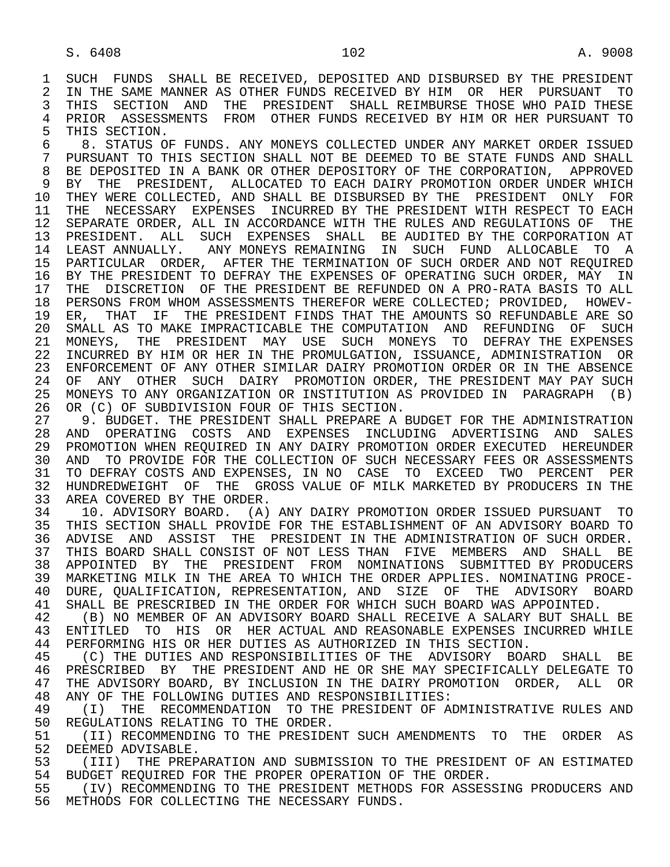1 SUCH FUNDS SHALL BE RECEIVED, DEPOSITED AND DISBURSED BY THE PRESIDENT<br>2 IN THE SAME MANNER AS OTHER FUNDS RECEIVED BY HIM OR HER PURSUANT TO 2 IN THE SAME MANNER AS OTHER FUNDS RECEIVED BY HIM OR HER PURSUANT TO<br>3 THIS SECTION AND THE PRESIDENT SHALL REIMBURSE THOSE WHO PAID THESE 3 THIS SECTION AND THE PRESIDENT SHALL REIMBURSE THOSE WHO PAID THESE<br>4 PRIOR ASSESSMENTS FROM OTHER FUNDS RECEIVED BY HIM OR HER PURSUANT TO 4 PRIOR ASSESSMENTS FROM OTHER FUNDS RECEIVED BY HIM OR HER PURSUANT TO<br>5 THIS SECTION. 5 THIS SECTION.<br>6 8. STATUS O

 6 8. STATUS OF FUNDS. ANY MONEYS COLLECTED UNDER ANY MARKET ORDER ISSUED 7 PURSUANT TO THIS SECTION SHALL NOT BE DEEMED TO BE STATE FUNDS AND SHALL 8 BE DEPOSITED IN A BANK OR OTHER DEPOSITORY OF THE CORPORATION, APPROVED<br>9 BY THE PRESIDENT, ALLOCATED TO EACH DAIRY PROMOTION ORDER UNDER WHICH 9 BY THE PRESIDENT, ALLOCATED TO EACH DAIRY PROMOTION ORDER UNDER WHICH<br>10 THEY WERE COLLECTED, AND SHALL BE DISBURSED BY THE PRESIDENT ONLY FOR 10 THEY WERE COLLECTED, AND SHALL BE DISBURSED BY THE PRESIDENT ONLY FOR<br>11 THE NECESSARY EXPENSES INCURRED BY THE PRESIDENT WITH RESPECT TO EACH 11 THE NECESSARY EXPENSES INCURRED BY THE PRESIDENT WITH RESPECT TO EACH<br>12 SEPARATE ORDER, ALL IN ACCORDANCE WITH THE RULES AND REGULATIONS OF THE SEPARATE ORDER, ALL IN ACCORDANCE WITH THE RULES AND REGULATIONS OF THE 13 PRESIDENT. ALL SUCH EXPENSES SHALL BE AUDITED BY THE CORPORATION AT 14 I.EAST ANNUALLY. ANY MONEYS REMAINING IN SUCH FUND ALLOCABLE TO A 14 LEAST ANNUALLY. ANY MONEYS REMAINING IN SUCH FUND ALLOCABLE TO A 15 PARTICULAR ORDER, AFTER THE TERMINATION OF SUCH ORDER AND NOT REQUIRED<br>16 BY THE PRESIDENT TO DEFRAY THE EXPENSES OF OPERATING SUCH ORDER, MAY IN 16 BY THE PRESIDENT TO DEFRAY THE EXPENSES OF OPERATING SUCH ORDER, MAY IN<br>17 THE DISCRETION OF THE PRESIDENT BE REFUNDED ON A PRO-RATA BASIS TO ALL 17 THE DISCRETION OF THE PRESIDENT BE REFUNDED ON A PRO-RATA BASIS TO ALL<br>18 PERSONS FROM WHOM ASSESSMENTS THEREFOR WERE COLLECTED; PROVIDED, HOWEV-18 PERSONS FROM WHOM ASSESSMENTS THEREFOR WERE COLLECTED; PROVIDED, HOWEV-<br>19 ER. THAT IF THE PRESIDENT FINDS THAT THE AMOUNTS SO REFUNDABLE ARE SO 19 ER, THAT IF THE PRESIDENT FINDS THAT THE AMOUNTS SO REFUNDABLE ARE SO<br>20 SMALL AS TO MAKE IMPRACTICABLE THE COMPUTATION AND REFUNDING OF SUCH 20 SMALL AS TO MAKE IMPRACTICABLE THE COMPUTATION AND REFUNDING OF SUCH 21 MONEYS, THE PRESIDENT MAY USE SUCH MONEYS TO DEFRAY THE EXPENSES 21 MONEYS, THE PRESIDENT MAY USE SUCH MONEYS TO DEFRAY-THE-EXPENSES<br>22 INCURRED BY HIM OR HER IN THE PROMULGATION, ISSUANCE, ADMINISTRATION OR 22 INCURRED BY HIM OR HER IN THE PROMULGATION, ISSUANCE, ADMINISTRATION OR<br>23 ENFORCEMENT OF ANY OTHER SIMILAR DAIRY PROMOTION ORDER OR IN THE ABSENCE 23 ENFORCEMENT OF ANY OTHER SIMILAR DAIRY PROMOTION ORDER OR IN THE ABSENCE 24 OF ANY OTHER SUCH DAIRY PROMOTION ORDER, THE PRESIDENT MAY PAY SUCH<br>25 MONEYS TO ANY ORGANIZATION OR INSTITUTION AS PROVIDED IN PARAGRAPH (B) 25 MONEYS TO ANY ORGANIZATION OR INSTITUTION AS PROVIDED IN PARAGRAPH (B) 26 OR (C) OF SUBDIVISION FOUR OF THIS SECTION.<br>27 9. BUDGET. THE PRESIDENT SHALL PREPARE A I

27 9. BUDGET. THE PRESIDENT SHALL PREPARE A BUDGET FOR THE ADMINISTRATION<br>28 AND OPERATING COSTS AND EXPENSES INCLUDING ADVERTISING AND SALES 28 AND OPERATING COSTS AND EXPENSES INCLUDING ADVERTISING AND SALES<br>29 PROMOTION—WHEN REOUIRED IN ANY DAIRY PROMOTION ORDER EXECUTED HEREUNDER 29 PROMOTION WHEN REQUIRED IN ANY DAIRY PROMOTION ORDER EXECUTED HEREUNDER<br>30 AND TO PROVIDE FOR THE COLLECTION OF SUCH NECESSARY FEES OR ASSESSMENTS 30 AND TO PROVIDE FOR THE COLLECTION OF SUCH NECESSARY FEES OR ASSESSMENTS<br>31 TO DEFRAY COSTS AND EXPENSES, IN NO CASE TO EXCEED TWO PERCENT PER 31 TO DEFRAY COSTS AND EXPENSES, IN NO CASE TO EXCEED TWO PERCENT PER<br>32 HUNDREDWEIGHT OF THE GROSS VALUE OF MILK MARKETED BY PRODUCERS IN THE 32 HUNDREDWEIGHT OF THE GROSS VALUE OF MILK MARKETED BY PRODUCERS IN THE 33 AREA COVERED BY THE ORDER. 33 AREA COVERED BY THE ORDER.<br>34 10. ADVISORY BOARD. (A)

34 10. ADVISORY BOARD. (A) ANY DAIRY PROMOTION ORDER ISSUED PURSUANT TO<br>35 THIS SECTION SHALL PROVIDE FOR THE ESTABLISHMENT OF AN ADVISORY BOARD TO 35 THIS SECTION SHALL PROVIDE FOR THE ESTABLISHMENT OF AN ADVISORY BOARD TO<br>36 ADVISE AND ASSIST THE PRESIDENT IN THE ADMINISTRATION OF SUCH ORDER. 36 ADVISE AND ASSIST THE PRESIDENT IN THE ADMINISTRATION OF SUCH ORDER. 37 THIS BOARD SHALL CONSIST OF NOT LESS THAN FIVE MEMBERS AND SHALL BE<br>38 APPOINTED BY THE PRESIDENT FROM NOMINATIONS SUBMITTED BY PRODUCERS 38 APPOINTED BY THE PRESIDENT FROM NOMINATIONS SUBMITTED BY PRODUCERS<br>39 MARKETING MILK IN THE AREA TO WHICH THE ORDER APPLIES. NOMINATING PROCE-39 MARKETING MILK IN THE AREA TO WHICH THE ORDER APPLIES. NOMINATING PROCE-<br>40 DURE, OUALIFICATION, REPRESENTATION, AND SIZE OF THE ADVISORY BOARD 40 DURE, QUALIFICATION, REPRESENTATION, AND SIZE OF THE ADVISORY BOARD<br>41 SHALL BE PRESCRIBED IN THE ORDER FOR WHICH SUCH BOARD WAS APPOINTED. 41 SHALL BE PRESCRIBED IN THE ORDER FOR WHICH SUCH BOARD WAS APPOINTED.<br>42 (B) NO MEMBER OF AN ADVISORY BOARD SHALL RECEIVE A SALARY BUT SHALL

42 (B) NO MEMBER OF AN ADVISORY BOARD SHALL RECEIVE A SALARY BUT SHALL BE<br>43 ENTITLED TO HIS OR HER ACTUAL AND REASONABLE EXPENSES INCURRED WHILE 43 ENTITLED TO HIS OR HER—ACTUAL AND REASONABLE EXPENSES INCURRED WHILE<br>44 PERFORMING HIS OR HER DUTIES AS AUTHORIZED IN THIS SECTION. 44 PERFORMING HIS OR HER DUTIES AS AUTHORIZED IN THIS SECTION.<br>45 (C) THE DUTIES AND RESPONSIBILITIES OF THE ADVISORY BOA

(C) THE DUTIES AND RESPONSIBILITIES OF THE ADVISORY BOARD SHALL BE 46 PRESCRIBED BY THE PRESIDENT AND HE OR SHE MAY SPECIFICALLY DELEGATE TO 47 THE ADVISORY BOARD, BY INCLUSION IN THE DAIRY PROMOTION ORDER, ALL OR 47 THE ADVISORY BOARD, BY INCLUSION IN THE DAIRY PROMOTION ORDER, ALL OR<br>48 ANY OF THE FOLLOWING DUTIES AND RESPONSIBILITIES: 48 ANY OF THE FOLLOWING DUTIES AND RESPONSIBILITIES:<br>49 (I) THE RECOMMENDATION TO THE PRESIDENT OF A

49 (I) THE RECOMMENDATION TO THE PRESIDENT OF ADMINISTRATIVE RULES AND<br>50 REGULATIONS RELATING TO THE ORDER. 50 REGULATIONS RELATING TO THE ORDER.<br>51 (II) RECOMMENDING TO THE PRESIDE

51 (II) RECOMMENDING TO THE PRESIDENT SUCH AMENDMENTS TO THE ORDER AS<br>52 DEEMED ADVISABLE. 52 DEEMED ADVISABLE.<br>53 (III) THE PREP.

53 (III) THE PREPARATION AND SUBMISSION TO THE PRESIDENT OF AN ESTIMATED<br>54 BUDGET REOUIRED FOR THE PROPER OPERATION OF THE ORDER 54 BUDGET REQUIRED FOR THE PROPER OPERATION OF THE ORDER.<br>55 (IV) RECOMMENDING TO THE PRESIDENT METHODS FOR ASSES.

(IV) RECOMMENDING TO THE PRESIDENT METHODS FOR ASSESSING PRODUCERS AND 56 METHODS FOR COLLECTING THE NECESSARY FUNDS.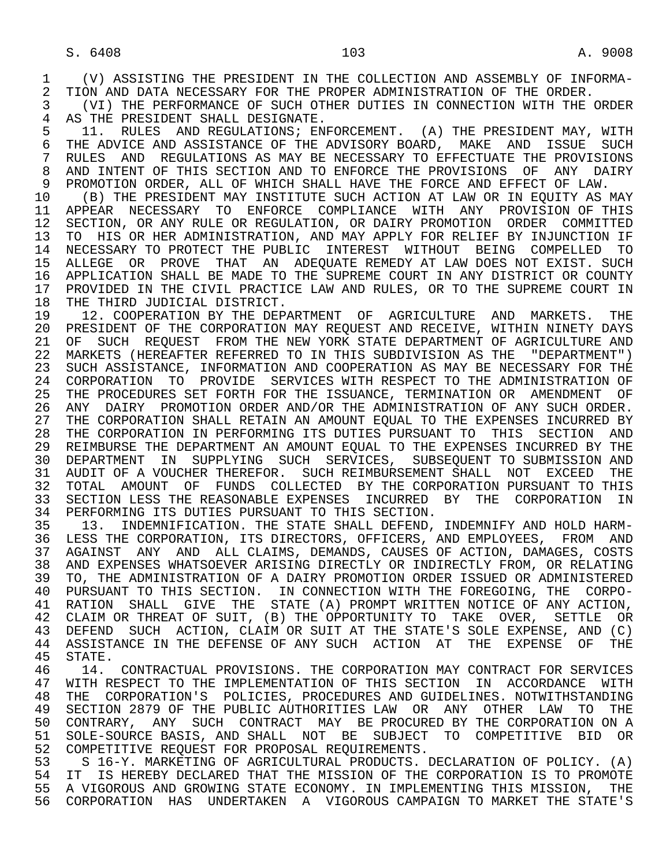3 (VI) THE PERFORMANCE OF SUCH OTHER DUTIES IN CONNECTION WITH THE ORDER<br>4 AS THE PRESIDENT SHALL DESIGNATE.

4 AS THE PRESIDENT SHALL DESIGNATE.<br>5 11. RULES AND REGULATIONS; EN 5 11. RULES AND REGULATIONS; ENFORCEMENT. (A) THE PRESIDENT MAY, WITH<br>6 THE ADVICE AND ASSISTANCE OF THE ADVISORY BOARD, MAKE AND ISSUE SUCH 6 THE ADVICE AND ASSISTANCE OF THE ADVISORY BOARD, MAKE AND ISSUE SUCH<br>7 RULES AND REGULATIONS AS MAY BE NECESSARY TO EFFECTUATE THE PROVISIONS 7 RULES AND REGULATIONS AS MAY BE NECESSARY TO EFFECTUATE THE PROVISIONS (3) AND TNTENT OF THIS SECTION AND TO ENFORCE THE PROVISIONS OF ANY DAIRY 8 AND INTENT OF THIS SECTION AND TO ENFORCE THE PROVISIONS OF ANY DAIRY<br>9 PROMOTION ORDER, ALL OF WHICH SHALL HAVE THE FORCE AND EFFECT OF LAW. 9 PROMOTION ORDER, ALL OF WHICH SHALL HAVE THE FORCE AND EFFECT OF LAW.<br>10 (B) THE PRESIDENT MAY INSTITUTE SUCH ACTION AT LAW OR IN EOUITY AS

10 (B) THE PRESIDENT MAY INSTITUTE SUCH ACTION AT LAW OR IN EQUITY AS MAY<br>11 APPEAR NECESSARY TO ENFORCE COMPLIANCE WITH ANY PROVISION OF THIS 11 APPEAR NECESSARY TO ENFORCE COMPLIANCE WITH ANY PROVISION OF THIS<br>12 SECTION, OR ANY RULE OR REGULATION, OR DAIRY PROMOTION ORDER COMMITTED SECTION, OR ANY RULE OR REGULATION, OR DAIRY PROMOTION ORDER COMMITTED 13 TO HIS OR HER ADMINISTRATION, AND MAY APPLY FOR RELIEF BY INJUNCTION IF<br>14 NECESSARY TO PROTECT THE PUBLIC INTEREST WITHOUT BEING COMPELLED TO 14 NECESSARY TO PROTECT THE PUBLIC INTEREST WITHOUT BEING COMPELLED TO 15 ALLEGE OR PROVE THAT AN ADEQUATE REMEDY AT LAW DOES NOT EXIST. SUCH<br>16 APPLICATION SHALL BE MADE TO THE SUPREME COURT IN ANY DISTRICT OR COUNTY 16 APPLICATION SHALL BE MADE TO THE SUPREME COURT IN ANY DISTRICT OR COUNTY<br>17 PROVIDED IN THE CIVIL PRACTICE LAW AND RULES, OR TO THE SUPREME COURT IN 17 PROVIDED IN THE CIVIL PRACTICE LAW AND RULES, OR TO THE SUPREME COURT IN 18 THE THIRD JUDICIAL DISTRICT. 18 THE THIRD JUDICIAL DISTRICT.<br>19 12. COOPERATION BY THE DEP

19 12. COOPERATION BY THE DEPARTMENT OF AGRICULTURE AND MARKETS. THE 20 PRESIDENT OF THE CORPORATION MAY REOUEST AND RECEIVE. WITHIN NINETY DAYS 20 PRESIDENT OF THE CORPORATION MAY REQUEST AND RECEIVE, WITHIN NINETY DAYS<br>21 OF SUCH REOUEST FROM THE NEW YORK STATE DEPARTMENT OF AGRICULTURE AND 21 OF SUCH REQUEST FROM THE NEW YORK STATE DEPARTMENT OF AGRICULTURE AND<br>22 MARKETS (HEREAFTER REFERRED TO IN THIS SUBDIVISION AS THE "DEPARTMENT") 22 MARKETS (HEREAFTER REFERRED TO IN THIS SUBDIVISION AS THE "DEPARTMENT")<br>23 SUCH ASSISTANCE, INFORMATION AND COOPERATION AS MAY BE NECESSARY FOR THE SUCH ASSISTANCE, INFORMATION AND COOPERATION AS MAY BE NECESSARY FOR THE 24 CORPORATION TO PROVIDE SERVICES WITH RESPECT TO THE ADMINISTRATION OF 25 THE PROCEDURES SET FORTH FOR THE ISSUANCE, TERMINATION OR AMENDMENT OF 25 THE PROCEDURES SET FORTH FOR THE ISSUANCE, TERMINATION OR AMENDMENT OF 26 ANY DAIRY PROMOTION ORDER AND/OR THE ADMINISTRATION OF ANY SUCH ORDER.<br>27 THE CORPORATION SHALL RETAIN AN AMOUNT EOUAL TO THE EXPENSES INCURRED BY 27 THE CORPORATION SHALL RETAIN AN AMOUNT EQUAL TO THE EXPENSES INCURRED BY<br>28 THE CORPORATION IN PERFORMING ITS DUTIES PURSUANT TO THIS SECTION AND 28 THE CORPORATION IN PERFORMING ITS DUTIES PURSUANT TO THIS SECTION AND<br>29 REIMBURSE THE DEPARTMENT AN AMOUNT EOUAL TO THE EXPENSES INCURRED BY THE 29 REIMBURSE THE DEPARTMENT AN AMOUNT EQUAL TO THE EXPENSES INCURRED BY THE 30 DEPARTMENT IN SUPPLYING SUCH SERVICES, SUBSEQUENT—TO-SUBMISSION AND 31 AUDIT OF A VOUCHER THEREFOR. SUCH REIMBURSEMENT SHALL NOT EXCEED THE 31 AUDIT OF A VOUCHER THEREFOR. SUCH REIMBURSEMENT SHALL NOT EXCEED THE<br>32 TOTAL AMOUNT OF FUNDS COLLECTED BY THE CORPORATION PURSUANT TO THIS 32 TOTAL AMOUNT OF FUNDS COLLECTED BY THE CORPORATION PURSUANT TO THIS<br>33 SECTION LESS THE REASONABLE EXPENSES INCURRED BY THE CORPORATION IN 33 SECTION LESS THE REASONABLE EXPENSES INCURRED BY THE CORPORATION IN<br>34 PERFORMING ITS DUTIES PURSUANT TO THIS SECTION. 34 PERFORMING ITS DUTIES PURSUANT TO THIS SECTION.<br>35 13. INDEMNIFICATION. THE STATE SHALL DEFEND,

35 13. INDEMNIFICATION. THE STATE SHALL DEFEND, INDEMNIFY AND HOLD HARM-<br>36 LESS THE CORPORATION, ITS DIRECTORS, OFFICERS, AND EMPLOYEES, FROM AND LESS THE CORPORATION, ITS DIRECTORS, OFFICERS, AND EMPLOYEES, FROM AND 37 AGAINST ANY AND ALL CLAIMS, DEMANDS, CAUSES OF ACTION, DAMAGES, COSTS<br>38 AND EXPENSES WHATSOEVER ARISING DIRECTLY OR INDIRECTLY FROM, OR RELATING 38 AND EXPENSES WHATSOEVER ARISING DIRECTLY OR INDIRECTLY FROM, OR RELATING<br>39 TO, THE ADMINISTRATION OF A DAIRY PROMOTION ORDER ISSUED OR ADMINISTERED 39 TO, THE ADMINISTRATION OF A DAIRY PROMOTION ORDER ISSUED OR ADMINISTERED<br>40 PURSUANT TO THIS SECTION. IN CONNECTION WITH THE FOREGOING, THE CORPO-40 PURSUANT TO THIS SECTION. IN CONNECTION WITH THE FOREGOING, THE CORPO-<br>41 RATION SHALL GIVE THE STATE (A) PROMPT WRITTEN NOTICE OF ANY ACTION. 41 RATION SHALL GIVE THE STATE (A) PROMPT\_WRITTEN\_NOTICE\_OF\_ANY\_ACTION,<br>42 CLAIM\_OR\_THREAT\_OF\_SUIT, (B)\_THE\_OPPORTUNITY\_TO\_\_TAKE\_\_OVER,\_\_SETTLE\_\_OR 42 CLAIM OR THREAT OF SUIT, (B) THE OPPORTUNITY TO TAKE OVER, SETTLE OR<br>43 DEFEND SUCH ACTION, CLAIM OR SUIT AT THE STATE'S SOLE EXPENSE, AND (C) 43 DEFEND SUCH ACTION, CLAIM OR SUIT AT THE STATE'S SOLE EXPENSE, AND (C)<br>44 ASSISTANCE IN THE DEFENSE OF ANY SUCH ACTION AT THE EXPENSE OF THE 44 ASSISTANCE IN THE DEFENSE OF ANY SUCH ACTION AT THE EXPENSE OF THE STATE.

46 14. CONTRACTUAL PROVISIONS. THE CORPORATION MAY CONTRACT FOR SERVICES<br>47 WITH RESPECT TO THE IMPLEMENTATION OF THIS SECTION IN ACCORDANCE WITH WITH RESPECT TO THE IMPLEMENTATION OF THIS SECTION IN ACCORDANCE WITH 48 THE CORPORATION'S POLICIES, PROCEDURES AND GUIDELINES. NOTWITHSTANDING<br>49 SECTION 2879 OF THE PUBLIC AUTHORITIES LAW OR ANY OTHER LAW TO THE 49 SECTION 2879 OF THE PUBLIC AUTHORITIES LAW OR ANY OTHER LAW TO THE 50 CONTRARY, ANY SUCH CONTRACT MAY BE PROCURED BY THE CORPORATION ON A 50 CONTRARY, ANY SUCH CONTRACT MAY BE PROCURED BY THE CORPORATION ON A<br>51 SOLE-SOURCE BASIS, AND SHALL NOT BE SUBJECT TO COMPETITIVE BID OR 51 SOLE-SOURCE BASIS, AND SHALL NOT BE SUBJECT TO COMPETITIVE BID OR<br>52 COMPETITIVE REOUEST FOR PROPOSAL REOUIREMENTS. 52 COMPETITIVE REQUEST FOR PROPOSAL REQUIREMENTS.

 53 S 16-Y. MARKETING OF AGRICULTURAL PRODUCTS. DECLARATION OF POLICY. (A) 54 IT IS HEREBY DECLARED THAT THE MISSION OF THE CORPORATION IS TO PROMOTE<br>55 A VIGOROUS AND GROWING STATE ECONOMY. IN IMPLEMENTING THIS MISSION, THE 55 A VIGOROUS AND GROWING STATE ECONOMY. IN IMPLEMENTING THIS MISSION, THE<br>56 CORPORATION HAS UNDERTAKEN A VIGOROUS CAMPAIGN TO MARKET THE STATE'S 56 CORPORATION HAS UNDERTAKEN A VIGOROUS CAMPAIGN TO MARKET THE STATE'S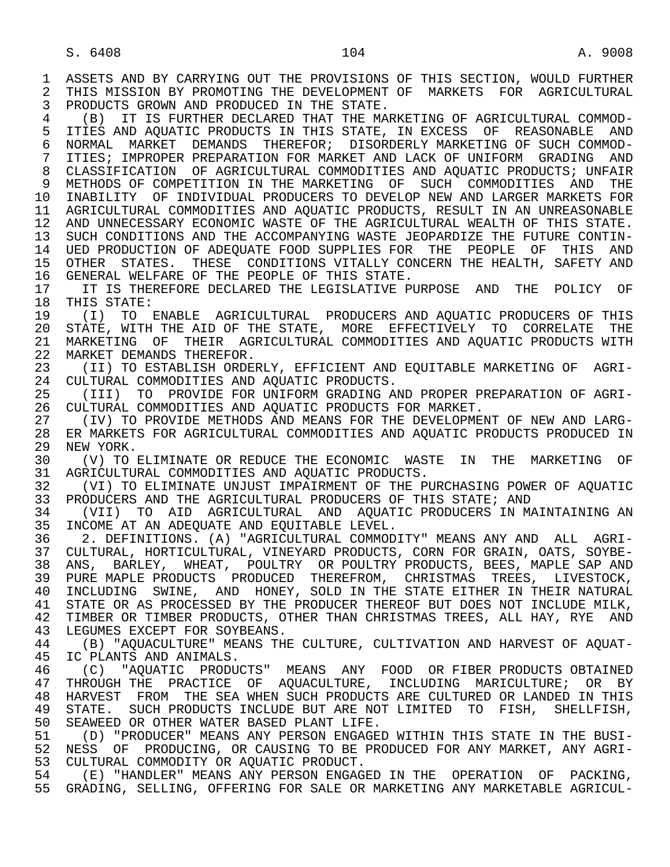1 ASSETS AND BY CARRYING OUT THE PROVISIONS OF THIS SECTION, WOULD FURTHER<br>2 THIS MISSION BY PROMOTING THE DEVELOPMENT OF MARKETS FOR AGRICULTURAL 2 THIS MISSION BY PROMOTING THE DEVELOPMENT OF MARKETS FOR AGRICULTURAL<br>3 PRODUCTS GROWN AND PRODUCED IN THE STATE. PRODUCTS GROWN AND PRODUCED IN THE STATE.

4 (B) IT IS FURTHER DECLARED THAT THE MARKETING OF AGRICULTURAL COMMOD-<br>5 ITIES AND AOUATIC PRODUCTS IN THIS STATE, IN EXCESS OF REASONABLE AND 5 ITIES AND AQUATIC PRODUCTS IN THIS STATE, IN EXCESS OF REASONABLE AND<br>6 NORMAL MARKET DEMANDS THEREFOR; DISORDERLY MARKETING OF SUCH COMMOD- 6 NORMAL MARKET DEMANDS THEREFOR; DISORDERLY MARKETING OF SUCH COMMOD- 7 ITIES; IMPROPER PREPARATION FOR MARKET AND LACK OF UNIFORM GRADING AND 8 CLASSIFICATION OF AGRICULTURAL COMMODITIES AND AQUATIC PRODUCTS; UNFAIR 9 METHODS OF COMPETITION IN THE MARKETING OF SUCH COMMODITIES AND THE<br>10 INABILITY OF INDIVIDUAL PRODUCERS TO DEVELOP NEW AND LARGER MARKETS FOR 10 INABILITY OF INDIVIDUAL PRODUCERS TO DEVELOP NEW AND LARGER MARKETS FOR<br>11 AGRICULTURAL COMMODITIES AND AOUATIC PRODUCTS, RESULT IN AN UNREASONABLE AGRICULTURAL COMMODITIES AND AQUATIC PRODUCTS, RESULT IN AN UNREASONABLE 12 AND UNNECESSARY ECONOMIC WASTE OF THE AGRICULTURAL WEALTH OF THIS STATE. 13 SUCH CONDITIONS AND THE ACCOMPANYING WASTE JEOPARDIZE THE FUTURE CONTIN-<br>14 UED PRODUCTION OF ADEOUATE FOOD SUPPLIES FOR THE PEOPLE. OF THIS AND UED PRODUCTION OF ADEOUATE FOOD SUPPLIES FOR THE PEOPLE OF THIS AND 15 OTHER STATES. THESE CONDITIONS VITALLY CONCERN THE HEALTH, SAFETY AND<br>16 GENERAL WELFARE OF THE PEOPLE OF THIS STATE.

16 GENERAL WELFARE OF THE PEOPLE OF THIS STATE.<br>17 TI IS THEREFORE DECLARED THE LEGISLATIVE P 17 IT IS THEREFORE DECLARED THE LEGISLATIVE PURPOSE AND THE POLICY OF 18 THIS STATE: 18 THIS STATE:<br>19 (I) TO

19 (I) TO ENABLE AGRICULTURAL PRODUCERS AND AQUATIC PRODUCERS OF THIS<br>20 STATE WITH THE AID OF THE STATE MORE EFFECTIVELY TO CORRELATE THE 20 STATE, WITH THE AID OF THE STATE, MORE EFFECTIVELY TO CORRELATE THE 21 MARKETING OF THEIR AGRICULTURAL COMMODITIES AND AOUATIC PRODUCTS WITH 21 MARKETING OF THEIR AGRICULTURAL COMMODITIES AND AQUATIC PRODUCTS WITH 22 MARKET DEMANDS THEREFOR. 22 MARKET DEMANDS THEREFOR.<br>23 (II) TO ESTABLISH ORDE

(II) TO ESTABLISH ORDERLY, EFFICIENT AND EOUITABLE MARKETING OF AGRI-24 CULTURAL COMMODITIES AND AQUATIC PRODUCTS.<br>25 (III) TO PROVIDE FOR UNIFORM GRADING AL

 25 (III) TO PROVIDE FOR UNIFORM GRADING AND PROPER PREPARATION OF AGRI- 26 CULTURAL COMMODITIES AND AQUATIC PRODUCTS FOR MARKET.<br>27 (IV) TO PROVIDE METHODS AND MEANS FOR THE DEVELOPME

27 (IV) TO PROVIDE METHODS AND MEANS FOR THE DEVELOPMENT OF NEW AND LARG-<br>28 ER MARKETS FOR AGRICULTURAL COMMODITIES AND AOUATIC PRODUCTS PRODUCED IN 28 ER MARKETS FOR AGRICULTURAL COMMODITIES AND AQUATIC PRODUCTS PRODUCED IN 29 NEW YORK.<br>30 (V) TO

30 (V) TO ELIMINATE OR REDUCE THE ECONOMIC WASTE IN THE MARKETING OF 31 AGRICULTURAL COMMODITIES AND AOUATIC PRODUCTS. 31 AGRICULTURAL COMMODITIES AND AQUATIC PRODUCTS.<br>32 (VI) TO ELIMINATE UNJUST IMPAIRMENT OF THE PU

32 (VI) TO ELIMINATE UNJUST IMPAIRMENT OF THE PURCHASING POWER OF AQUATIC<br>33 PRODUCERS AND THE AGRICULTURAL PRODUCERS OF THIS STATE; AND 33 PRODUCERS AND THE AGRICULTURAL PRODUCERS OF THIS STATE; AND 34 (VII) TO AID AGRICULTURAL AND AOUATIC PRODUCERS IN MA

34 (VII) TO AID AGRICULTURAL AND AQUATIC PRODUCERS IN MAINTAINING AN<br>35 INCOME AT AN ADEOUATE AND EOUITABLE LEVEL. 35 INCOME AT AN ADEQUATE AND EQUITABLE LEVEL.<br>36 2. DEFINITIONS. (A) "AGRICULTURAL COMMOD

 36 2. DEFINITIONS. (A) "AGRICULTURAL COMMODITY" MEANS ANY AND ALL AGRI- 37 CULTURAL, HORTICULTURAL, VINEYARD PRODUCTS, CORN FOR GRAIN, OATS, SOYBE- 38 ANS, BARLEY, WHEAT, POULTRY OR POULTRY PRODUCTS, BEES, MAPLE SAP AND<br>39 PURE MAPLE PRODUCTS PRODUCED THEREFROM, CHRISTMAS TREES, LIVESTOCK, 39 PURE MAPLE PRODUCTS PRODUCED THEREFROM, CHRISTMAS TREES, LIVESTOCK,<br>40 INCLUDING SWINE, AND HONEY, SOLD IN THE STATE EITHER IN THEIR NATURAL 40 INCLUDING SWINE, AND HONEY, SOLD IN THE STATE EITHER IN THEIR NATURAL 41 STATE OR AS PROCESSED BY THE PRODUCER THEREOF BUT DOES NOT INCLUDE MILK,<br>42 TIMBER OR TIMBER PRODUCTS, OTHER THAN CHRISTMAS TREES, ALL HAY, RYE AND 42 TIMBER OR TIMBER PRODUCTS, OTHER THAN CHRISTMAS TREES, ALL HAY, RYE AND 43 LEGIMES EXCEPT FOR SOYBEANS 43 LEGUMES EXCEPT FOR SOYBEANS.<br>44 (B) "AOUACULTURE" MEANS TH

 44 (B) "AQUACULTURE" MEANS THE CULTURE, CULTIVATION AND HARVEST OF AQUAT- IC PLANTS AND ANIMALS.

46 (C) "AQUATIC PRODUCTS" MEANS ANY FOOD OR FIBER PRODUCTS OBTAINED<br>47 THROUGH THE PRACTICE OF AOUACULTURE, INCLUDING MARICULTURE; OR BY THROUGH THE PRACTICE OF AOUACULTURE, INCLUDING MARICULTURE; OR BY 48 HARVEST FROM THE SEA WHEN SUCH PRODUCTS ARE CULTURED OR LANDED IN THIS<br>49 STATE. SUCH PRODUCTS INCLUDE BUT ARE NOT LIMITED TO FISH, SHELLFISH, 49 STATE. SUCH PRODUCTS INCLUDE BUT ARE NOT LIMITED TO FISH, SHELLFISH,<br>50 SEAWEED OR OTHER WATER BASED PLANT LIFE. 50 SEAWEED OR OTHER WATER BASED PLANT LIFE.<br>51 (D) "PRODUCER" MEANS ANY PERSON ENGAGE

51 (D) "PRODUCER" MEANS ANY PERSON ENGAGED WITHIN THIS STATE IN THE BUSI-<br>52 NESS OF PRODUCING, OR CAUSING TO BE PRODUCED FOR ANY MARKET, ANY AGRI-52 NESS OF PRODUCING, OR CAUSING TO BE PRODUCED FOR ANY MARKET, ANY AGRI-<br>53 CULTURAL COMMODITY OR AOUATIC PRODUCT. 53 CULTURAL COMMODITY OR AQUATIC PRODUCT.<br>54 (E) "HANDLER" MEANS ANY PERSON ENGAG

54 (E) "HANDLER" MEANS ANY PERSON ENGAGED IN THE OPERATION OF PACKING,<br>55 GRADING, SELLING, OFFERING FOR SALE OR MARKETING ANY MARKETABLE AGRICUL-55 GRADING, SELLING, OFFERING FOR SALE OR MARKETING ANY MARKETABLE AGRICUL-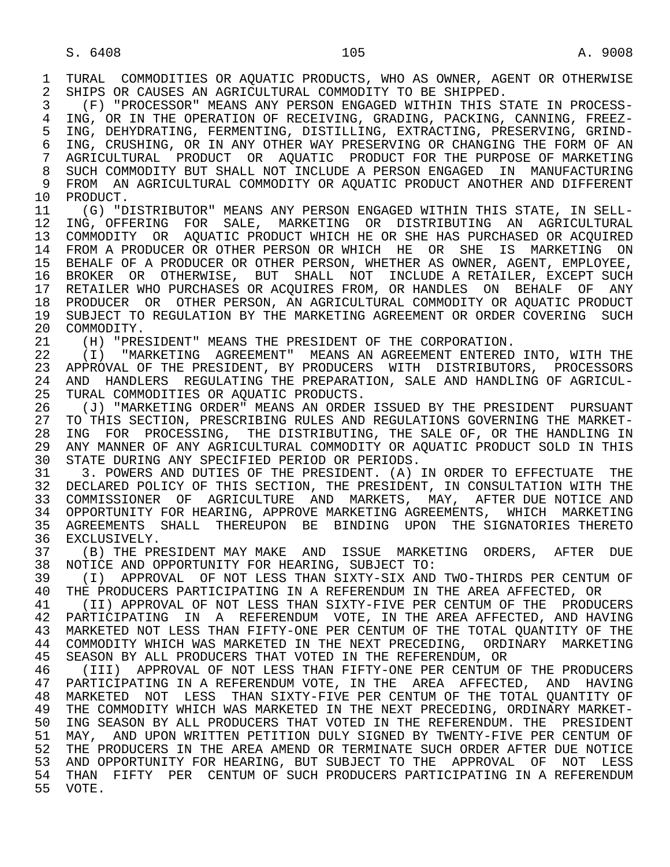1 TURAL COMMODITIES OR AQUATIC PRODUCTS, WHO AS OWNER, AGENT OR OTHERWISE<br>2 SHIPS OR CAUSES AN AGRICULTURAL COMMODITY TO BE SHIPPED. 2 SHIPS OR CAUSES AN AGRICULTURAL COMMODITY TO BE SHIPPED.<br>3 (F) "PROCESSOR" MEANS ANY PERSON ENGAGED WITHIN THIS S

 3 (F) "PROCESSOR" MEANS ANY PERSON ENGAGED WITHIN THIS STATE IN PROCESS- 4 ING, OR IN THE OPERATION OF RECEIVING, GRADING, PACKING, CANNING, FREEZ-<br>5 ING, DEHYDRATING, FERMENTING, DISTILLING, EXTRACTING, PRESERVING, GRIND-5 ING, DEHYDRATING, FERMENTING, DISTILLING, EXTRACTING, PRESERVING, GRIND-<br>6 ING, CRUSHING, OR IN ANY OTHER WAY PRESERVING OR CHANGING THE FORM OF AN 6 ING, CRUSHING, OR IN ANY OTHER WAY PRESERVING OR CHANGING THE FORM OF AN<br>7 AGRICULTURAL PRODUCT OR AOUATIC PRODUCT FOR THE PURPOSE OF MARKETING 7 AGRICULTURAL PRODUCT OR AQUATIC PRODUCT FOR THE PURPOSE OF MARKETING 8 SUCH COMMODITY BUT SHALL NOT INCLUDE A PERSON ENGAGED IN MANUFACTURING<br>9 FROM AN AGRICULTURAL COMMODITY OR AOUATIC PRODUCT ANOTHER AND DIFFERENT 9 FROM AN AGRICULTURAL COMMODITY OR AQUATIC PRODUCT ANOTHER AND DIFFERENT 10 PRODUCT. 10 PRODUCT.<br>11 (G) "D

11 (G) "DISTRIBUTOR" MEANS ANY PERSON ENGAGED WITHIN THIS STATE, IN SELL-<br>12 ING, OFFERING FOR SALE, MARKETING OR DISTRIBUTING AN AGRICULTURAL 12 ING, OFFERING FOR SALE, MARKETING OR DISTRIBUTING AN AGRICULTURAL 13 COMMODITY OR AQUATIC PRODUCT WHICH HE OR SHE HAS PURCHASED OR ACQUIRED<br>14 FROM A PRODUCER OR OTHER PERSON OR WHICH HE. OR SHE, IS MARKETING ON FROM A PRODUCER OR OTHER PERSON OR WHICH HE OR SHE IS MARKETING ON 15 BEHALF OF A PRODUCER OR OTHER PERSON, WHETHER AS OWNER, AGENT, EMPLOYEE, 16 BROKER OR OTHERWISE, BUT SHALL NOT INCLUDE A RETAILER, EXCEPT SUCH 16 BROKER OR OTHERWISE, BUT SHALL NOT INCLUDE<sup>ARETAILER, EXCEPT SUCH</sup><br>17 RETAILER WHO PURCHASES OR ACOUIRES FROM, OR HANDLES ON BEHALF OF ANY RETAILER WHO PURCHASES OR ACQUIRES FROM, OR HANDLES ON BEHALF OF ANY 18 PRODUCER OR OTHER PERSON, AN AGRICULTURAL COMMODITY OR AQUATIC PRODUCT<br>19 SUBJECT TO REGULATION BY THE MARKETING AGREEMENT OR ORDER COVERING SUCH 19 SUBJECT TO REGULATION BY THE MARKETING AGREEMENT OR ORDER COVERING SUCH 20 COMMODITY. 20 COMMODITY.<br>21 (H) "PRE

21 (H) "PRESIDENT" MEANS THE PRESIDENT OF THE CORPORATION.<br>22 (I) "MARKETING AGREEMENT" MEANS AN AGREEMENT ENTERED

22 (I) "MARKETING AGREEMENT" MEANS AN AGREEMENT ENTERED INTO, WITH THE 23 APPROVAL OF THE PRESIDENT, BY PRODUCERS WITH DISTRIBUTORS, PROCESSORS 23 APPROVAL OF THE PRESIDENT, BY PRODUCERS WITH DISTRIBUTORS, PROCESSORS 24 AND HANDLERS REGULATING THE PREPARATION, SALE AND HANDLING OF AGRICUL-<br>25 TURAL COMMODITIES OR AOUATIC PRODUCTS. TURAL COMMODITIES OR AOUATIC PRODUCTS.

 26 (J) "MARKETING ORDER" MEANS AN ORDER ISSUED BY THE PRESIDENT PURSUANT 27 TO THIS SECTION, PRESCRIBING RULES AND REGULATIONS GOVERNING THE MARKET-<br>28 ING FOR PROCESSING, THE DISTRIBUTING, THE SALE OF, OR THE HANDLING IN 28 ING FOR PROCESSING, THE DISTRIBUTING, THE SALE OF, OR THE HANDLING IN<br>29 ANY MANNER OF ANY AGRICULTURAL COMMODITY OR AOUATIC PRODUCT SOLD IN THIS 29 ANY MANNER OF ANY AGRICULTURAL COMMODITY OR AQUATIC PRODUCT SOLD IN THIS<br>30 STATE DURING ANY SPECIFIED PERIOD OR PERIODS. 30 STATE DURING ANY SPECIFIED PERIOD OR PERIODS.<br>31 3. POWERS AND DUTIES OF THE PRESIDENT. (A)

31 3. POWERS AND DUTIES OF THE PRESIDENT. (A) IN ORDER TO EFFECTUATE THE 32 DECLARED POLICY OF THIS SECTION. THE PRESIDENT. IN CONSULTATION WITH THE 32 DECLARED POLICY OF THIS SECTION, THE PRESIDENT, IN CONSULTATION WITH THE 33 COMMISSIONER OF AGRICULTURE AND MARKETS, MAY, AFTER DUE NOTICE AND 33 COMMISSIONER OF AGRICULTURE AND MARKETS, MAY, AFTER DUE NOTICE AND 34 OPPORTUNITY FOR HEARING, APPROVE MARKETING AGREEMENTS, WHICH MARKETING 35 AGREEMENTS SHALL THEREUPON BE BINDING UPON THE SIGNATORIES THERETO<br>36 EXCLUSIVELY. 36 EXCLUSIVELY.<br>37 (B) THE PR

37 (B) THE PRESIDENT MAY MAKE AND ISSUE MARKETING ORDERS, AFTER DUE<br>38 NOTICE AND OPPORTUNITY FOR HEARING, SUBJECT TO: 38 NOTICE AND OPPORTUNITY FOR HEARING, SUBJECT TO:

 39 (I) APPROVAL OF NOT LESS THAN SIXTY-SIX AND TWO-THIRDS PER CENTUM OF 40 THE PRODUCERS PARTICIPATING IN A REFERENDUM IN THE AREA AFFECTED, OR<br>41 TIL APPROVAL OF NOT LESS THAN SIXTY-FIVE PER CENTUM OF THE PRODUC

41 (II) APPROVAL OF NOT LESS THAN SIXTY-FIVE PER CENTUM OF THE PRODUCERS<br>42 PARTICIPATING IN A REFERENDUM VOTE, IN THE AREA AFFECTED, AND HAVING 42 PARTICIPATING IN A REFERENDUM VOTE, IN THE AREA AFFECTED, AND HAVING<br>43 MARKETED NOT LESS THAN FIFTY-ONE PER CENTUM OF THE TOTAL OUANTITY OF THE 43 MARKETED NOT LESS THAN FIFTY-ONE PER CENTUM OF THE TOTAL QUANTITY OF THE 44 COMMODITY WHICH WAS MARKETED IN THE NEXT PRECEDING, ORDINARY MARKETING<br>45 SEASON BY ALL PRODUCERS THAT VOTED IN THE REFERENDUM, OR 45 SEASON BY ALL PRODUCERS THAT VOTED IN THE REFERENDUM, OR

46 (III) APPROVAL OF NOT LESS THAN FIFTY-ONE PER CENTUM OF THE PRODUCERS<br>47 PARTICIPATING IN A REFERENDUM VOTE, IN THE AREA AFFECTED, AND HAVING 47 PARTICIPATING IN A REFERENDUM VOTE, IN THE AREA AFFECTED, AND HAVING<br>48 MARKETED NOT LESS THAN SIXTY-FIVE PER CENTUM OF THE TOTAL OUANTITY OF 48 MARKETED NOT LESS THAN SIXTY-FIVE PER CENTUM OF THE TOTAL QUANTITY OF 49 THE COMMODITY WHICH WAS MARKETED IN THE NEXT PRECEDING, ORDINARY MARKET-49 THE COMMODITY WHICH WAS MARKETED IN THE NEXT PRECEDING, ORDINARY MARKET-<br>50 ING SEASON BY ALL PRODUCERS THAT VOTED IN THE REFERENDUM. THE PRESIDENT ING SEASON BY ALL PRODUCERS THAT VOTED IN THE REFERENDUM. THE PRESIDENT 51 MAY, AND UPON WRITTEN PETITION DULY SIGNED BY TWENTY-FIVE PER CENTUM OF<br>52 THE PRODUCERS IN THE AREA AMEND OR TERMINATE SUCH ORDER AFTER DUE NOTICE THE PRODUCERS IN THE AREA AMEND OR TERMINATE SUCH ORDER AFTER DUE NOTICE 53 AND OPPORTUNITY FOR HEARING, BUT SUBJECT TO THE APPROVAL OF NOT LESS<br>54 THAN FIFTY PER CENTUM OF SUCH PRODUCERS PARTICIPATING IN A REFERENDUM THAN FIFTY PER CENTUM OF SUCH PRODUCERS PARTICIPATING IN A REFERENDUM 55 VOTE.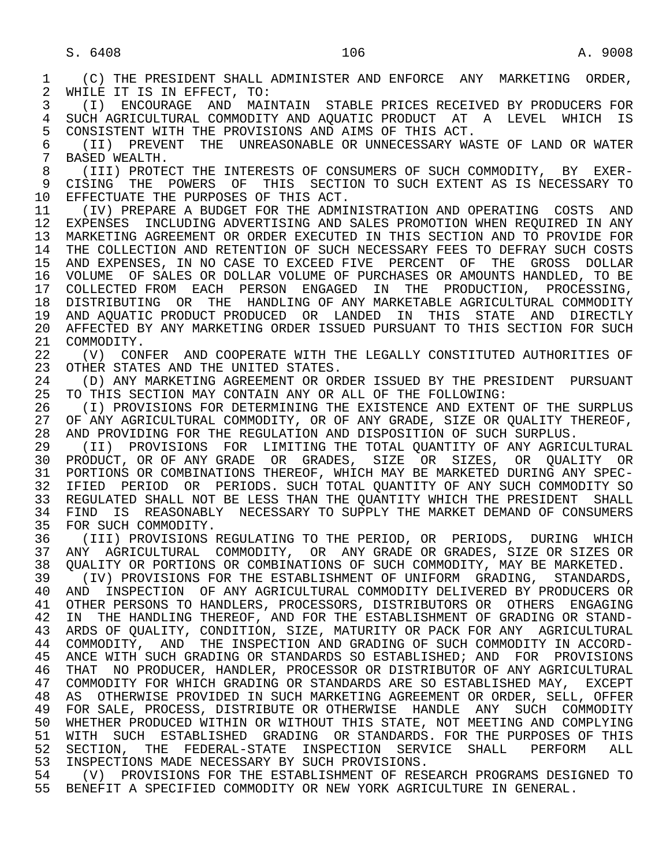1 (C) THE PRESIDENT SHALL ADMINISTER AND ENFORCE ANY MARKETING ORDER,<br>2 WHILE IT IS IN EFFECT, TO: 2 WHILE IT IS IN EFFECT, TO:<br>3 (I) ENCOURAGE AND MAI 3 (I) ENCOURAGE AND MAINTAIN STABLE PRICES RECEIVED BY PRODUCERS FOR 4 SUCH AGRICULTURAL COMMODITY AND AQUATIC PRODUCT AT A LEVEL WHICH IS<br>5 CONSISTENT WITH THE PROVISIONS AND AIMS OF THIS ACT. 5 CONSISTENT WITH THE PROVISIONS AND AIMS OF THIS ACT.<br>6 (II) PREVENT THE UNREASONABLE OR UNNECESSARY WA 6 (II) PREVENT THE UNREASONABLE OR UNNECESSARY WASTE OF LAND OR WATER BASED WEALTH. 8 (III) PROTECT THE INTERESTS OF CONSUMERS OF SUCH COMMODITY, BY EXER-<br>9 CISING THE POWERS OF THIS SECTION TO SUCH EXTENT AS IS NECESSARY TO 9 CISING THE POWERS OF THIS SECTION TO SUCH EXTENT AS IS NECESSARY TO 10 EFFECTUATE THE PURPOSES OF THIS ACT. 10 EFFECTUATE THE PURPOSES OF THIS ACT.<br>11 (IV) PREPARE A BUDGET FOR THE ADMI 11 (IV) PREPARE A BUDGET FOR THE ADMINISTRATION AND OPERATING COSTS AND<br>12 EXPENSES INCLUDING ADVERTISING AND SALES PROMOTION WHEN REOUIRED IN ANY EXPENSES INCLUDING ADVERTISING AND SALES PROMOTION WHEN REQUIRED IN ANY 13 MARKETING AGREEMENT OR ORDER EXECUTED IN THIS SECTION AND TO PROVIDE FOR<br>14 THE COLLECTION AND RETENTION OF SUCH NECESSARY FEES TO DEFRAY SUCH COSTS THE COLLECTION AND RETENTION OF SUCH NECESSARY FEES TO DEFRAY SUCH COSTS 15 AND EXPENSES, IN NO CASE TO EXCEED FIVE PERCENT OF THE GROSS DOLLAR<br>16 VOLUME OF SALES OR DOLLAR VOLUME OF PURCHASES OR AMOUNTS HANDLED, TO BE 16 VOLUME OF SALES OR DOLLAR VOLUME OF PURCHASES OR AMOUNTS HANDLED, TO BE 17 COLLECTED FROM EACH PERSON ENGAGED IN THE PRODUCTION. PROCESSING. 17 COLLECTED FROM EACH PERSON ENGAGED IN THE PRODUCTION, PROCESSING, 18 DISTRIBUTING OR THE HANDLING OF ANY MARKETABLE AGRICULTURAL COMMODITY 19 AND AQUATIC PRODUCT PRODUCED OR LANDED IN THIS STATE AND DIRECTLY<br>20 AFFECTED BY ANY MARKETING ORDER ISSUED PURSUANT TO THIS SECTION FOR SUCH 20 AFFECTED BY ANY MARKETING ORDER ISSUED PURSUANT TO THIS SECTION FOR SUCH 21 COMMODITY. 21 COMMODITY.<br>22 (V) CON 22 (V) CONFER AND COOPERATE WITH THE LEGALLY CONSTITUTED AUTHORITIES OF 23 OTHER STATES AND THE UNITED STATES. OTHER STATES AND THE UNITED STATES. 24 (D) ANY MARKETING AGREEMENT OR ORDER ISSUED BY THE PRESIDENT PURSUANT<br>25 TO THIS SECTION MAY CONTAIN ANY OR ALL OF THE FOLLOWING: 25 TO THIS SECTION MAY CONTAIN ANY OR ALL OF THE FOLLOWING: 26 (I) PROVISIONS FOR DETERMINING THE EXISTENCE AND EXTENT OF THE SURPLUS<br>27 OF ANY AGRICULTURAL COMMODITY, OR OF ANY GRADE, SIZE OR OUALITY THEREOF, 27 OF ANY AGRICULTURAL COMMODITY, OR OF ANY GRADE, SIZE OR QUALITY THEREOF, 28 AND PROVIDING FOR THE REGULATION AND DISPOSITION OF SUCH SURPLUS. 28 AND PROVIDING FOR THE REGULATION AND DISPOSITION OF SUCH SURPLUS.<br>29 (II) PROVISIONS FOR LIMITING THE TOTAL OUANTITY OF ANY AGRIC 29 (II) PROVISIONS FOR LIMITING THE TOTAL QUANTITY OF ANY AGRICULTURAL<br>30 PRODUCT, OR OF ANY GRADE OR GRADES, SIZE OR SIZES, OR OUALITY OR 30 PRODUCT, OR OF ANY GRADE OR GRADES, SIZE OR SIZES, OR QUALITY OR<br>31 PORTIONS OR COMBINATIONS THEREOF, WHICH MAY BE MARKETED DURING ANY SPEC-31 PORTIONS OR COMBINATIONS THEREOF, WHICH MAY BE MARKETED DURING ANY SPEC-<br>32 IFIED PERIOD OR PERIODS, SUCH TOTAL OUANTITY OF ANY SUCH COMMODITY SO 32 IFIED PERIOD OR PERIODS. SUCH TOTAL QUANTITY OF ANY SUCH COMMODITY SO<br>33 REGULATED SHALL NOT BE LESS THAN THE OUANTITY WHICH THE PRESIDENT SHALL 33 REGULATED SHALL NOT BE LESS THAN THE QUANTITY WHICH THE PRESIDENT SHALL<br>34 FIND IS REASONABLY NECESSARY TO SUPPLY THE MARKET DEMAND OF CONSUMERS 34 FIND IS REASONABLY NECESSARY TO SUPPLY THE MARKET DEMAND OF CONSUMERS<br>35 FOR SUCH COMMODITY. 35 FOR SUCH COMMODITY.<br>36 (III) PROVISIONS R (III) PROVISIONS REGULATING TO THE PERIOD, OR PERIODS, DURING WHICH 37 ANY AGRICULTURAL COMMODITY, OR ANY GRADE OR GRADES, SIZE OR SIZES OR 38 QUALITY OR PORTIONS OR COMBINATIONS OF SUCH COMMODITY, MAY BE MARKETED.<br>39 (IV) PROVISIONS FOR THE ESTABLISHMENT OF UNIFORM GRADING. STANDARDS 39 (IV) PROVISIONS FOR THE ESTABLISHMENT OF UNIFORM GRADING, STANDARDS, 40 AND INSPECTION OF ANY AGRICULTURAL COMMODITY DELIVERED BY PRODUCERS OR 41 OTHER PERSONS TO HANDLERS, PROCESSORS, DISTRIBUTORS OR OTHERS ENGAGING<br>42 IN THE HANDLING THEREOF, AND FOR THE ESTABLISHMENT OF GRADING OR STAND-42 IN THE HANDLING THEREOF, AND FOR THE ESTABLISHMENT OF GRADING OR STAND-<br>43 ARDS OF OUALITY, CONDITION, SIZE, MATURITY OR PACK FOR ANY AGRICULTURAL 43 ARDS OF QUALITY, CONDITION, SIZE, MATURITY OR PACK FOR ANY AGRICULTURAL<br>44 COMMODITY, AND THE INSPECTION AND GRADING OF SUCH COMMODITY IN ACCORD-44 COMMODITY, AND THE INSPECTION AND GRADING OF SUCH COMMODITY IN ACCORD-<br>45 ANCE WITH SUCH GRADING OR STANDARDS SO ESTABLISHED; AND FOR PROVISIONS 45 ANCE WITH SUCH GRADING OR STANDARDS SO ESTABLISHED; AND FOR PROVISIONS 46 THAT NO PRODUCER, HANDLER, PROCESSOR OR DISTRIBUTOR OF ANY AGRICULTURAL<br>47 COMMODITY FOR WHICH GRADING OR STANDARDS ARE SO ESTABLISHED MAY, EXCEPT 47 COMMODITY FOR WHICH GRADING OR STANDARDS ARE SO ESTABLISHED MAY, EXCEPT 48 AS OTHERWISE PROVIDED IN SUCH MARKETING AGREEMENT OR ORDER, SELL, OFFER 49 FOR SALE, PROCESS, DISTRIBUTE OR OTHERWISE HANDLE ANY SUCH COMMODITY<br>50 WHETHER PRODUCED WITHIN OR WITHOUT THIS STATE, NOT MEETING AND COMPLYING 50 WHETHER PRODUCED WITHIN OR WITHOUT THIS STATE, NOT MEETING AND COMPLYING<br>51 WITH SUCH ESTABLISHED GRADING OR STANDARDS. FOR THE PURPOSES OF THIS 51 WITH SUCH ESTABLISHED GRADING OR STANDARDS. FOR THE PURPOSES OF THIS<br>52 SECTION, THE FEDERAL-STATE INSPECTION SERVICE SHALL PERFORM ALL 52 SECTION, THE FEDERAL-STATE INSPECTION SERVICE SHALL PERFORM ALL<br>53 INSPECTIONS—MADE—NECESSARY—BY SUCH—PROVISIONS. 53 INSPECTIONS MADE NECESSARY BY SUCH PROVISIONS.<br>54 (V) PROVISIONS FOR THE ESTABLISHMENT OF RES 54 (V) PROVISIONS FOR THE ESTABLISHMENT OF RESEARCH PROGRAMS DESIGNED TO<br>55 BENEFIT A SPECIFIED COMMODITY OR NEW YORK AGRICULTURE IN GENERAL. 55 BENEFIT A SPECIFIED COMMODITY OR NEW YORK AGRICULTURE IN GENERAL.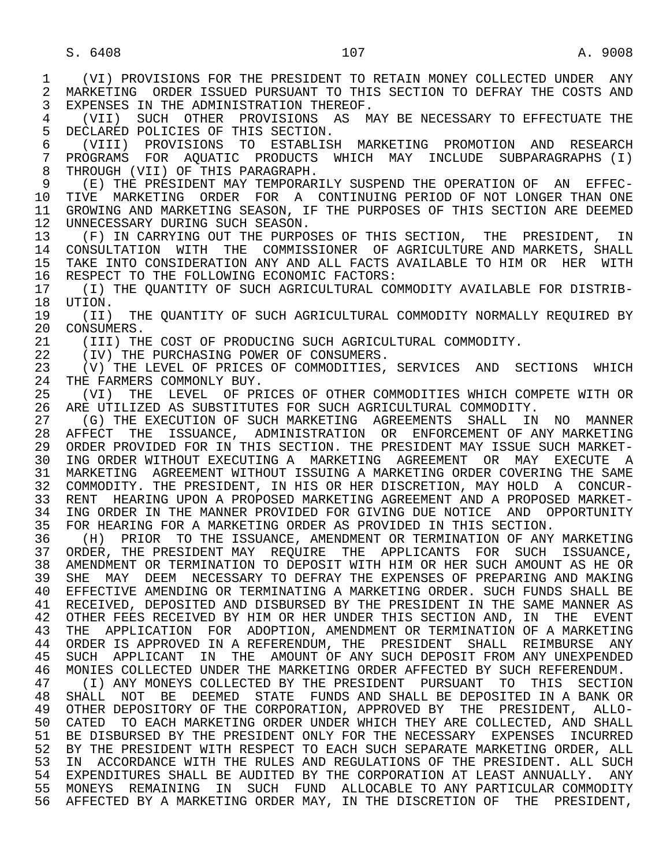S. 6408 107 A. 9008

 1 (VI) PROVISIONS FOR THE PRESIDENT TO RETAIN MONEY COLLECTED UNDER ANY 2 MARKETING ORDER ISSUED PURSUANT TO THIS SECTION TO DEFRAY THE COSTS AND<br>3 EXPENSES IN THE ADMINISTRATION THEREOF. EXPENSES IN THE ADMINISTRATION THEREOF. 4 (VII) SUCH OTHER PROVISIONS AS MAY BE NECESSARY TO EFFECTUATE THE 5 DECLARED POLICIES OF THIS SECTION. 5 DECLARED POLICIES OF THIS SECTION.<br>6 (VIII) PROVISIONS TO ESTABLISE 6 (VIII) PROVISIONS TO ESTABLISH MARKETING PROMOTION AND RESEARCH 7 PROGRAMS FOR AQUATIC PRODUCTS WHICH MAY INCLUDE SUBPARAGRAPHS (I)<br>8 THROUGH (VII) OF THIS PARAGRAPH 8 THROUGH (VII) OF THIS PARAGRAPH.<br>9 (E) THE PRESIDENT MAY TEMPORARI 9 (E) THE PRESIDENT MAY TEMPORARILY SUSPEND THE OPERATION OF AN EFFEC- 10 TIVE MARKETING ORDER FOR A CONTINUING PERIOD OF NOT LONGER THAN ONE<br>11 GROWING AND MARKETING SEASON, IF THE PURPOSES OF THIS SECTION ARE DEEMED 11 GROWING AND MARKETING SEASON, IF THE PURPOSES OF THIS SECTION ARE DEEMED 12 UNNECESSARY DURING SUCH SEASON. 12 UNNECESSARY DURING SUCH SEASON.<br>13 (F) IN CARRYING OUT THE PURPOS 13 (F) IN CARRYING OUT THE PURPOSES OF THIS SECTION, THE PRESIDENT, IN<br>14 CONSULTATION WITH THE COMMISSIONER OF AGRICULTURE AND MARKETS, SHALL 14 CONSULTATION WITH THE COMMISSIONER OF AGRICULTURE AND MARKETS, SHALL 15 TAKE INTO CONSIDERATION ANY AND ALL FACTS AVAILABLE TO HIM OR HER WITH 16 RESPECT TO THE FOLLOWING ECONOMIC FACTORS: 16 RESPECT TO THE FOLLOWING ECONOMIC FACTORS:<br>17 (I) THE OUANTITY OF SUCH AGRICULTURAL COM 17 (I) THE QUANTITY OF SUCH AGRICULTURAL COMMODITY AVAILABLE FOR DISTRIB- 18 UTION.<br>19 (TT) 19 (II) THE QUANTITY OF SUCH AGRICULTURAL COMMODITY NORMALLY REQUIRED BY<br>20 CONSUMERS. 20 CONSUMERS.<br>21 (III) TH 21 (III) THE COST OF PRODUCING SUCH AGRICULTURAL COMMODITY.<br>22 (IV) THE PURCHASING POWER OF CONSUMERS. 22 (IV) THE PURCHASING POWER OF CONSUMERS.<br>23 (V) THE LEVEL OF PRICES OF COMMODITIES, 23 (V) THE LEVEL OF PRICES OF COMMODITIES, SERVICES AND SECTIONS WHICH 24 THE FARMERS COMMONLY BUY. 24 THE FARMERS COMMONLY BUY.<br>25 (VI) THE LEVEL OF PR 25 (VI) THE LEVEL OF PRICES OF OTHER COMMODITIES WHICH COMPETE WITH OR 26 ARE UTILIZED AS SUBSTITUTES FOR SUCH AGRICULTURAL COMMODITY.<br>27 (G) THE EXECUTION OF SUCH MARKETING AGREEMENTS SHALL IN 27 (G) THE EXECUTION OF SUCH MARKETING AGREEMENTS SHALL IN NO MANNER 28 AFFECT THE ISSUANCE, ADMINISTRATION OR ENFORCEMENT OF ANY MARKETING<br>29 ORDER PROVIDED FOR IN THIS SECTION. THE PRESIDENT MAY ISSUE SUCH MARKET-ORDER PROVIDED FOR IN THIS SECTION. THE PRESIDENT MAY ISSUE SUCH MARKET- 30 ING ORDER WITHOUT EXECUTING A MARKETING AGREEMENT OR MAY EXECUTE A 31 MARKETING AGREEMENT WITHOUT ISSUING A MARKETING ORDER COVERING THE SAME<br>32 COMMODITY. THE PRESIDENT, IN HIS OR HER DISCRETION, MAY HOLD A CONCUR- 32 COMMODITY. THE PRESIDENT, IN HIS OR HER DISCRETION, MAY HOLD A CONCUR- 33 RENT HEARING UPON A PROPOSED MARKETING AGREEMENT AND A PROPOSED MARKET-<br>34 ING ORDER IN THE MANNER PROVIDED FOR GIVING DUE NOTICE AND OPPORTUNITY 34 ING ORDER IN THE MANNER PROVIDED FOR GIVING DUE NOTICE AND OPPORTUNITY<br>35 FOR HEARING FOR A MARKETING ORDER AS PROVIDED IN THIS SECTION. 35 FOR HEARING FOR A MARKETING ORDER AS PROVIDED IN THIS SECTION.<br>36 (H) PRIOR TO THE ISSUANCE, AMENDMENT OR TERMINATION OF ANY 36 (H) PRIOR TO THE ISSUANCE, AMENDMENT OR TERMINATION OF ANY MARKETING 37 ORDER, THE PRESIDENT MAY REQUIRE THE APPLICANTS FOR SUCH ISSUANCE,<br>38 AMENDMENT OR TERMINATION TO DEPOSIT WITH HIM OR HER SUCH AMOUNT AS HE OR 38 AMENDMENT OR TERMINATION TO DEPOSIT WITH HIM OR HER SUCH AMOUNT AS HE OR<br>39 SHE MAY DEEM NECESSARY TO DEFRAY THE EXPENSES OF PREPARING AND MAKING 39 SHE MAY DEEM NECESSARY TO DEFRAY THE EXPENSES OF PREPARING AND MAKING<br>40 EFFECTIVE AMENDING OR TERMINATING A MARKETING ORDER. SUCH FUNDS SHALL BE 40 EFFECTIVE AMENDING OR TERMINATING A MARKETING ORDER. SUCH FUNDS SHALL BE 41 RECEIVED, DEPOSITED AND DISBURSED BY THE PRESIDENT IN THE SAME MANNER AS 42 OTHER FEES RECEIVED BY HIM OR HER UNDER THIS SECTION AND, IN THE EVENT 43 THE FORM FOR ADOPTION FOR ANDER AND ANDER THE STREET THAT THE APPLICATION FOR ADOPTION, AMENDMENT OR TERMINATION OF A MARKETING 44 ORDER IS APPROVED IN A REFERENDUM, THE PRESIDENT SHALL REIMBURSE ANY<br>45 SUCH APPLICANT IN THE AMOUNT OF ANY SUCH DEPOSIT FROM ANY UNEXPENDED 45 SUCH APPLICANT IN THE AMOUNT OF ANY SUCH DEPOSIT FROM ANY UNEXPENDED 46 MONIES COLLECTED UNDER THE MARKETING ORDER AFFECTED BY SUCH REFERENDUM.<br>47 (I) ANY MONEYS COLLECTED BY THE PRESIDENT PURSUANT TO THIS SECTION 47 (I) ANY MONEYS COLLECTED BY THE PRESIDENT PURSUANT TO THIS SECTION<br>48 SHALL NOT BE DEEMED STATE FUNDS AND SHALL BE DEPOSITED IN A BANK OR 48 SHALL NOT BE DEEMED STATE FUNDS AND SHALL BE DEPOSITED IN A BANK OR<br>49 OTHER DEPOSITORY OF THE CORPORATION, APPROVED BY THE PRESIDENT, ALLO-49 OTHER DEPOSITORY OF THE CORPORATION, APPROVED BY THE PRESIDENT, ALLO-<br>50 CATED TO EACH MARKETING ORDER UNDER WHICH THEY ARE COLLECTED. AND SHALL 50 CATED TO EACH MARKETING ORDER UNDER WHICH THEY ARE COLLECTED, AND SHALL<br>51 BE DISBURSED BY THE PRESIDENT ONLY FOR THE NECESSARY EXPENSES INCURRED BE DISBURSED BY THE PRESIDENT ONLY FOR THE NECESSARY EXPENSES INCURRED 52 BY THE PRESIDENT WITH RESPECT TO EACH SUCH SEPARATE MARKETING ORDER, ALL<br>53 IN ACCORDANCE WITH THE RULES AND REGULATIONS OF THE PRESIDENT. ALL SUCH 53 IN ACCORDANCE WITH THE RULES AND REGULATIONS OF THE PRESIDENT. ALL SUCH<br>54 EXPENDITURES SHALL BE AUDITED BY THE CORPORATION AT LEAST ANNUALLY. ANY 54 EXPENDITURES SHALL BE AUDITED BY THE CORPORATION AT LEAST ANNUALLY. ANY 55 MONEYS REMAINING IN SUCH FUND ALLOCABLE TO ANY PARTICULAR COMMODITY 56 AFFECTED BY A MARKETING ORDER MAY, IN THE DISCRETION OF THE PRESIDENT,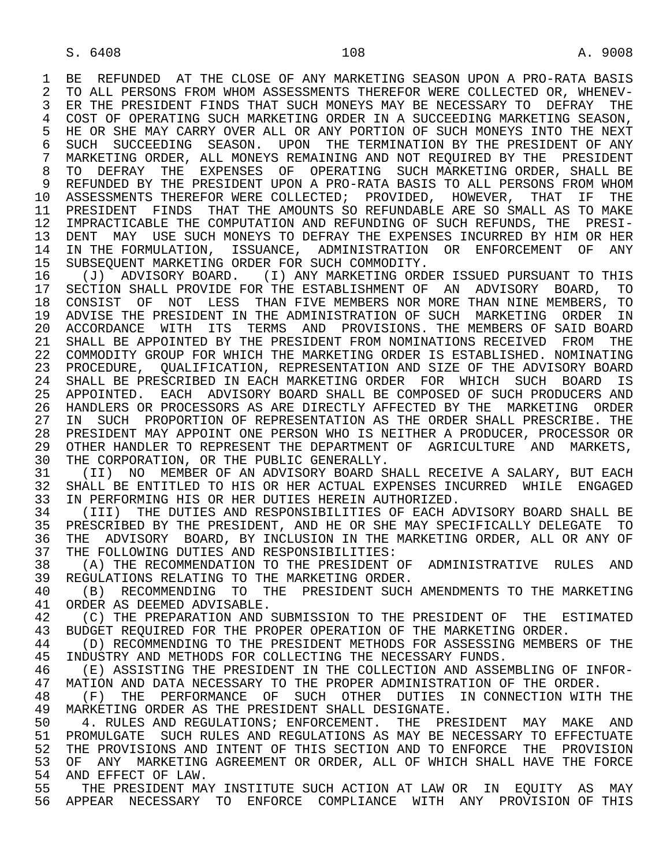1 BE REFUNDED AT THE CLOSE OF ANY MARKETING SEASON UPON A PRO-RATA BASIS<br>2 TO ALL PERSONS FROM WHOM ASSESSMENTS THEREFOR WERE COLLECTED OR, WHENEV-2 TO ALL PERSONS FROM WHOM ASSESSMENTS THEREFOR WERE COLLECTED OR, WHENEV-<br>3 ER THE PRESIDENT FINDS THAT SUCH MONEYS MAY BE NECESSARY TO DEFRAY THE ER THE PRESIDENT FINDS THAT SUCH MONEYS MAY BE NECESSARY TO DEFRAY THE 4 COST OF OPERATING SUCH MARKETING ORDER IN A SUCCEEDING MARKETING SEASON,<br>5 HE OR SHE MAY CARRY OVER ALL OR ANY PORTION OF SUCH MONEYS INTO THE NEXT 5 HE OR SHE MAY CARRY OVER ALL OR ANY PORTION OF SUCH MONEYS INTO THE NEXT<br>6 SUCH SUCCEEDING SEASON. UPON THE TERMINATION BY THE PRESIDENT OF ANY 6 SUCH SUCCEEDING SEASON. UPON THE TERMINATION BY THE PRESIDENT OF ANY<br>7 MARKETING ORDER, ALL MONEYS REMAINING AND NOT REOUIRED BY THE PRESIDENT 7 MARKETING ORDER, ALL MONEYS REMAINING AND NOT REQUIRED BY THE PRESIDENT 8 TO DEFRAY THE EXPENSES OF OPERATING SUCH-MARKETING-ORDER, SHALL BE 8 8 2011 FOR THE PRESIDENT UPON A PRO-RATA BASIS TO ALL PERSONS FROM WHOM 9 REFUNDED BY THE PRESIDENT UPON A PRO-RATA BASIS TO ALL PERSONS FROM WHOM<br>10 ASSESSMENTS THEREFOR WERE COLLECTED; PROVIDED, HOWEVER, THAT IF THE 10 ASSESSMENTS THEREFOR WERE COLLECTED; PROVIDED, HOWEVER, THAT IF THE THE<br>11 PRESIDENT FINDS THAT THE AMOUNTS SO REFUNDABLE ARE SO SMALL AS TO MAKE 11 PRESIDENT FINDS THAT THE AMOUNTS SO REFUNDABLE ARE SO SMALL AS TO MAKE<br>12 IMPRACTICABLE THE COMPUTATION AND REFUNDING OF SUCH REFUNDS, THE PRESI- 12 IMPRACTICABLE THE COMPUTATION AND REFUNDING OF SUCH REFUNDS, THE PRESI- 13 DENT MAY USE SUCH MONEYS TO DEFRAY THE EXPENSES INCURRED BY HIM OR HER<br>14 IN THE FORMULATION, ISSUANCE, ADMINISTRATION OR ENFORCEMENT OF ANY IN THE FORMULATION, ISSUANCE, ADMINISTRATION OR ENFORCEMENT OF ANY

15 SUBSEQUENT MARKETING ORDER FOR SUCH COMMODITY.<br>16 (J) ADVISORY BOARD. (I) ANY MARKETING ORD 16 (J) ADVISORY BOARD. (I) ANY MARKETING ORDER ISSUED PURSUANT TO THIS<br>17 SECTION SHALL PROVIDE FOR THE ESTABLISHMENT OF AN ADVISORY BOARD, TO 17 SECTION SHALL PROVIDE FOR THE ESTABLISHMENT OF AN ADVISORY BOARD, TO<br>18 CONSIST OF NOT LESS THAN FIVE MEMBERS NOR MORE THAN NINE MEMBERS, TO 18 CONSIST OF NOT LESS THAN FIVE MEMBERS NOR MORE THAN NINE MEMBERS, TO<br>19 ADVISE THE PRESIDENT IN THE ADMINISTRATION OF SUCH MARKETING ORDER IN 19 ADVISE THE PRESIDENT IN THE ADMINISTRATION OF SUCH MARKETING ORDER IN<br>20 ACCORDANCE WITH ITS TERMS AND PROVISIONS. THE MEMBERS OF SAID BOARD 20 ACCORDANCE WITH ITS TERMS AND PROVISIONS. THE MEMBERS OF SAID BOARD<br>21 SHALL BE APPOINTED BY THE PRESIDENT FROM NOMINATIONS RECEIVED FROM THE 21 SHALL BE APPOINTED BY THE PRESIDENT FROM NOMINATIONS RECEIVED FROM THE<br>22 COMMODITY GROUP FOR WHICH THE MARKETING ORDER IS ESTABLISHED. NOMINATING 22 COMMODITY GROUP FOR WHICH THE MARKETING ORDER IS ESTABLISHED. NOMINATING<br>23 PROCEDURE, OUALIFICATION, REPRESENTATION AND SIZE OF THE ADVISORY BOARD 23 PROCEDURE, QUALIFICATION, REPRESENTATION AND SIZE OF THE ADVISORY BOARD 24 SHALL BE PRESCRIBED IN EACH MARKETING ORDER FOR WHICH SUCH BOARD IS<br>25 APPOINTED. EACH ADVISORY BOARD SHALL BE COMPOSED OF SUCH PRODUCERS AND 25 APPOINTED. EACH ADVISORY BOARD SHALL BE COMPOSED OF SUCH PRODUCERS AND 26 HANDLERS OR PROCESSORS AS ARE DIRECTLY AFFECTED BY THE MARKETING ORDER 27 IN SUCH PROPORTION OF REPRESENTATION AS THE ORDER SHALL PRESCRIBE. THE 28 PRESTIDENT MAY APPOINT ONE PERSON WHO IS NEITHER A PRODUCER, PROCESSOR OR 28 PRESIDENT MAY APPOINT ONE PERSON WHO IS NEITHER A PRODUCER, PROCESSOR OR 29 OTHER HANDLER TO REPRESENT THE DEPARTMENT OF AGRICULTURE AND MARKETS,<br>30 THE CORPORATION, OR THE PUBLIC GENERALLY 30 THE CORPORATION, OR THE PUBLIC GENERALLY.<br>31 (II) NO MEMBER OF AN ADVISORY BOARD S

31 (II) NO MEMBER OF AN ADVISORY BOARD SHALL RECEIVE A SALARY, BUT EACH<br>32 SHALL BE ENTITLED TO HIS OR HER ACTUAL EXPENSES INCURRED WHILE ENGAGED 32 SHALL BE ENTITLED TO HIS OR HER ACTUAL EXPENSES INCURRED WHILE ENGAGED<br>33 IN PERFORMING HIS OR HER DUTIES HEREIN AUTHORIZED. 33 IN PERFORMING HIS OR HER DUTIES HEREIN AUTHORIZED.<br>34 (III) THE DUTIES AND RESPONSIBILITIES OF EACH A

34 (III) THE DUTIES AND RESPONSIBILITIES OF EACH ADVISORY BOARD SHALL BE<br>35 PRESCRIBED BY THE PRESIDENT, AND HE OR SHE MAY SPECIFICALLY DELEGATE TO 35 PRESCRIBED BY THE PRESIDENT, AND HE OR SHE MAY SPECIFICALLY DELEGATE TO<br>36 THE ADVISORY BOARD, BY INCLUSION IN THE MARKETING ORDER, ALL OR ANY OF THE ADVISORY BOARD, BY INCLUSION IN THE MARKETING ORDER, ALL OR ANY OF 37 THE FOLLOWING DUTIES AND RESPONSIBILITIES:<br>38 (A) THE RECOMMENDATION TO THE PRESIDENT (

38 (A) THE RECOMMENDATION TO THE PRESIDENT OF ADMINISTRATIVE RULES AND<br>39 REGULATIONS RELATING TO THE MARKETING ORDER. 39 REGULATIONS RELATING TO THE MARKETING ORDER.<br>40 (B) RECOMMENDING TO THE PRESIDENT SUCH

40 (B) RECOMMENDING TO THE PRESIDENT SUCH AMENDMENTS TO THE MARKETING<br>41 ORDER AS DEEMED ADVISABLE. 41 ORDER AS DEEMED ADVISABLE.<br>42 (C) THE PREPARATION AND

42 (C) THE PREPARATION AND SUBMISSION TO THE PRESIDENT OF THE ESTIMATED<br>43 BUDGET REQUIRED FOR THE PROPER OPERATION OF THE MARKETING ORDER 43 BUDGET REQUIRED FOR THE PROPER OPERATION OF THE MARKETING ORDER.<br>44 (D) RECOMMENDING TO THE PRESIDENT METHODS FOR ASSESSING MEMBER

44 (D) RECOMMENDING TO THE PRESIDENT METHODS FOR ASSESSING MEMBERS OF THE 45 INDUSTRY AND METHODS FOR COLLECTING THE NECESSARY FUNDS. 45 INDUSTRY AND METHODS FOR COLLECTING THE NECESSARY FUNDS.

46 (E) ASSISTING THE PRESIDENT IN THE COLLECTION AND ASSEMBLING OF INFOR-<br>47 MATION AND DATA NECESSARY TO THE PROPER ADMINISTRATION OF THE ORDER 47 MATION AND DATA NECESSARY TO THE PROPER ADMINISTRATION OF THE ORDER.<br>48 (F) THE PERFORMANCE OF SUCH OTHER DUTIES IN CONNECTION WITH

 48 (F) THE PERFORMANCE OF SUCH OTHER DUTIES IN CONNECTION WITH THE 49 MARKETING ORDER AS THE PRESIDENT SHALL DESIGNATE.<br>50 4. RULES AND REGULATIONS; ENFORCEMENT. THE PR

50 1. RULES AND REGULATIONS; ENFORCEMENT. THE PRESIDENT MAY MAKE AND<br>51 PROMULGATE SUCH RULES AND REGULATIONS AS MAY BE NECESSARY TO EFFECTUATE 51 PROMULGATE SUCH RULES AND REGULATIONS AS MAY BE NECESSARY TO EFFECTUATE<br>52 THE PROVISIONS AND INTENT OF THIS SECTION AND TO ENFORCE THE PROVISION 52 THE PROVISIONS AND INTENT OF THIS SECTION AND TO ENFORCE THE PROVISION<br>53 OF ANY MARKETING AGREEMENT OR ORDER, ALL OF WHICH SHALL HAVE THE FORCE 53 OF ANY MARKETING AGREEMENT OR ORDER, ALL OF WHICH SHALL HAVE THE FORCE<br>54 AND EFFECT OF LAW 54 AND EFFECT OF LAW.<br>55 THE PRESIDENT MAY

55 THE PRESIDENT MAY INSTITUTE SUCH ACTION AT LAW OR IN EQUITY AS MAY<br>56 APPEAR NECESSARY TO ENFORCE COMPLIANCE WITH ANY PROVISION OF THIS 56 APPEAR NECESSARY TO ENFORCE COMPLIANCE WITH ANY PROVISION OF THIS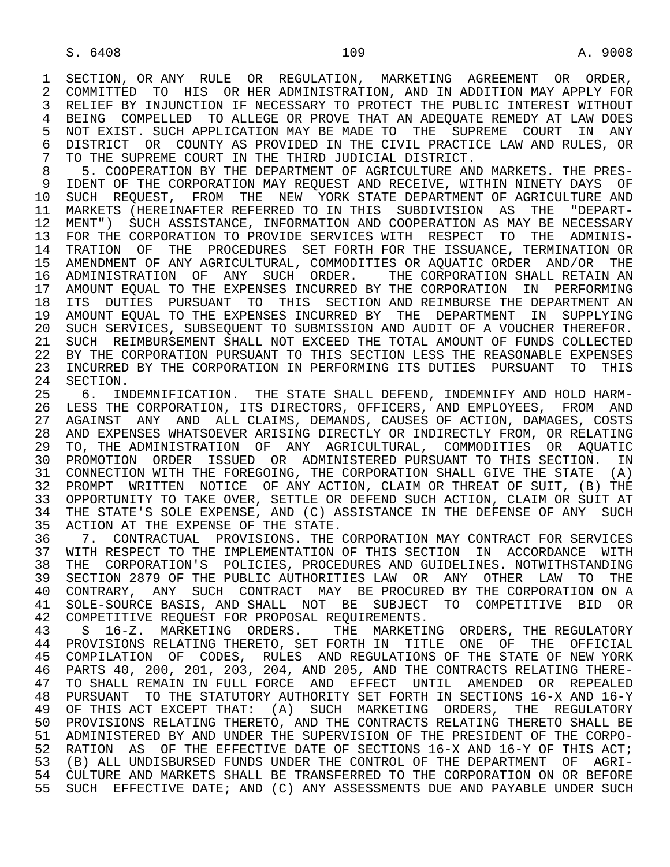1 SECTION, OR ANY RULE OR REGULATION, MARKETING AGREEMENT OR ORDER,<br>2 COMMITTED TO HIS OR HER ADMINISTRATION, AND IN ADDITION MAY APPLY FOR 2 COMMITTED TO HIS OR HER ADMINISTRATION, AND IN ADDITION MAY APPLY FOR<br>3 RELIEF BY INJUNCTION IF NECESSARY TO PROTECT THE PUBLIC INTEREST WITHOUT RELIEF BY INJUNCTION IF NECESSARY TO PROTECT THE PUBLIC INTEREST WITHOUT 4 BEING COMPELLED TO ALLEGE OR PROVE THAT AN ADEQUATE REMEDY AT LAW DOES<br>5 NOT EXIST. SUCH APPLICATION MAY BE MADE TO THE SUPREME COURT IN ANY 5 NOT EXIST. SUCH APPLICATION MAY BE MADE TO THE SUPREME COURT IN ANY<br>6 DISTRICT OR COUNTY AS PROVIDED IN THE CIVIL PRACTICE LAW AND RULES, OR 6 DISTRICT OR COUNTY AS PROVIDED IN THE CIVIL PRACTICE LAW AND RULES, OR<br>7 TO THE SUPREME COURT IN THE THIRD JUDICIAL DISTRICT. 7 TO THE SUPREME COURT IN THE THIRD JUDICIAL DISTRICT.<br>8 5. COOPERATION BY THE DEPARTMENT OF AGRICULTURE AND

8 5. COOPERATION BY THE DEPARTMENT OF AGRICULTURE AND MARKETS. THE PRES-<br>9 IDENT OF THE CORPORATION MAY REOUEST AND RECEIVE, WITHIN NINETY DAYS OF 9 IDENT OF THE CORPORATION MAY REQUEST AND RECEIVE, WITHIN NINETY DAYS OF<br>10 SUCH REOUEST, FROM THE NEW YORK STATE DEPARTMENT OF AGRICULTURE AND 10 SUCH REQUEST, FROM THE NEW YORK STATE DEPARTMENT OF AGRICULTURE AND<br>11 MARKETS (HEREINAFTER REFERRED TO IN THIS SUBDIVISION AS THE "DEPART-11 MARKETS (HEREINAFTER REFERRED TO IN THIS SUBDIVISION AS THE "DEPART-<br>12 MENT") SUCH ASSISTANCE, INFORMATION AND COOPERATION AS MAY BE NECESSARY 12 MENT") SUCH ASSISTANCE, INFORMATION AND COOPERATION AS MAY BE NECESSARY<br>13 FOR THE CORPORATION TO PROVIDE SERVICES WITH RESPECT TO THE ADMINIS-13 FOR THE CORPORATION TO PROVIDE SERVICES WITH RESPECT TO THE ADMINIS-<br>14 TRATION OF THE PROCEDURES SET FORTH FOR THE ISSUANCE, TERMINATION OR TRATION OF THE PROCEDURES SET FORTH FOR THE ISSUANCE, TERMINATION OR 15 AMENDMENT OF ANY AGRICULTURAL, COMMODITIES OR AQUATIC ORDER AND/OR THE 16 ADMINISTRATION OF ANY SUCH ORDER. THE CORPORATION SHALL RETAIN AN<br>17 AMOUNT EOUAL TO THE EXPENSES INCURRED BY THE CORPORATION IN PERFORMING 17 AMOUNT EQUAL TO THE EXPENSES INCURRED BY THE CORPORATION IN PERFORMING<br>18 ITS DUTIES PURSUANT TO THIS SECTION AND REIMBURSE THE DEPARTMENT AN ITS DUTIES PURSUANT TO THIS SECTION AND REIMBURSE THE DEPARTMENT AN 19 AMOUNT EQUAL TO THE EXPENSES INCURRED BY THE DEPARTMENT IN SUPPLYING 20 SUCH SERVICES, SUBSEQUENT TO SUBMISSION AND AUDIT OF A VOUCHER THEREFOR.<br>21 SUCH REIMBURSEMENT SHALL NOT EXCEED THE TOTAL AMOUNT OF FUNDS COLLECTED 21 SUCH REIMBURSEMENT SHALL NOT EXCEED THE TOTAL AMOUNT OF FUNDS COLLECTED<br>22 BY THE CORPORATION PURSUANT TO THIS SECTION LESS THE REASONABLE EXPENSES 22 BY THE CORPORATION PURSUANT TO THIS SECTION LESS THE REASONABLE EXPENSES<br>23 INCURRED BY THE CORPORATION IN PERFORMING ITS DUTIES PURSUANT TO THIS 23 INCURRED BY THE CORPORATION IN PERFORMING ITS DUTIES PURSUANT TO THIS<br>24 SECTION. 24 SECTION.<br>25 6. IND

 25 6. INDEMNIFICATION. THE STATE SHALL DEFEND, INDEMNIFY AND HOLD HARM- 26 LESS THE CORPORATION, ITS DIRECTORS, OFFICERS, AND EMPLOYEES, FROM AND<br>27 AGAINST ANY AND ALL CLAIMS, DEMANDS, CAUSES OF ACTION, DAMAGES, COSTS 27 AGAINST ANY AND ALL CLAIMS, DEMANDS, CAUSES OF ACTION, DAMAGES, COSTS<br>28 AND EXPENSES WHATSOEVER ARISING DIRECTLY OR INDIRECTLY FROM, OR RELATING 28 AND EXPENSES WHATSOEVER ARISING DIRECTLY OR INDIRECTLY FROM, OR RELATING<br>29 TO, THE ADMINISTRATION OF ANY AGRICULTURAL, COMMODITIES OR AOUATIC 29 TO, THE ADMINISTRATION OF ANY AGRICULTURAL, COMMODITIES OR AQUATIC 30 PROMOTION ORDER ISSUED OR ADMINISTERED PURSUANT TO THIS SECTION. IN 31 CONNECTION WITH THE FOREGOING, THE CORPORATION SHALL GIVE THE STATE (A)<br>32 PROMPT WRITTEN NOTICE OF ANY ACTION, CLAIM OR THREAT OF SUIT, (B) THE 32 PROMPT WRITTEN NOTICE OF ANY ACTION, CLAIM OR THREAT OF SUIT, (B) THE 33 OPPORTUNITY TO TAKE OVER. SETTLE OR DEFEND SUCH ACTION. CLAIM OR SUIT AT 33 OPPORTUNITY TO TAKE OVER, SETTLE OR DEFEND SUCH ACTION, CLAIM OR SUIT AT 34 THE STATE'S SOLE EXPENSE, AND (C) ASSISTANCE IN THE DEFENSE OF ANY SUCH 34 THE STATE'S SOLE EXPENSE, AND (C) ASSISTANCE IN THE DEFENSE OF ANY SUCH 35 ACTION AT THE EXPENSE OF THE STATE. 35 ACTION AT THE EXPENSE OF THE STATE.<br>36 7. CONTRACTUAL PROVISIONS. THE C

36 T. CONTRACTUAL PROVISIONS. THE CORPORATION MAY CONTRACT FOR SERVICES<br>37 WITH RESPECT TO THE IMPLEMENTATION OF THIS SECTION IN ACCORDANCE WITH 37 WITH RESPECT TO THE IMPLEMENTATION OF THIS SECTION IN ACCORDANCE WITH<br>38 THE CORPORATION'S POLICIES, PROCEDURES AND GUIDELINES. NOTWITHSTANDING 38 THE CORPORATION'S POLICIES, PROCEDURES AND GUIDELINES. NOTWITHSTANDING<br>39 SECTION 2879 OF THE PUBLIC AUTHORITIES LAW OR ANY OTHER LAW TO THE 39 SECTION 2879 OF THE PUBLIC AUTHORITIES LAW OR ANY OTHER LAW TO THE 40 CONTRARY, ANY SUCH CONTRACT MAY BE PROCURED BY THE CORPORATION ON A 40 CONTRARY, ANY SUCH CONTRACT MAY BE PROCURED BY THE CORPORATION ON A<br>41 SOLE-SOURCE BASIS, AND SHALL NOT BE SUBJECT TO COMPETITIVE BID OR 41 SOLE-SOURCE BASIS, AND SHALL NOT BE SUBJECT TO COMPETITIVE BID OR<br>42 COMPETITIVE REOUEST FOR PROPOSAL REOUIREMENTS. 42 COMPETITIVE REQUEST FOR PROPOSAL REQUIREMENTS.<br>43 S. 16-Z. MARKETING ORDERS. THE MARKETII

 43 S 16-Z. MARKETING ORDERS. THE MARKETING ORDERS, THE REGULATORY 44 PROVISIONS RELATING THERETO, SET FORTH IN TITLE ONE OF THE OFFICIAL<br>45 COMPILATION OF CODES, RULES AND REGULATIONS OF THE STATE OF NEW YORK 45 COMPILATION OF CODES, RULES AND REGULATIONS OF THE STATE OF NEW YORK 46 PARTS 40, 200, 201, 203, 204, AND 205, AND THE CONTRACTS RELATING THERE- 47 TO SHALL REMAIN IN FULL FORCE AND EFFECT UNTIL AMENDED OR REPEALED<br>48 PURSUANT TO THE STATUTORY AUTHORITY SET FORTH IN SECTIONS 16-X AND 16-Y 48 PURSUANT TO THE STATUTORY AUTHORITY SET FORTH IN SECTIONS 16-X AND 16-Y<br>49 OF THIS ACT EXCEPT THAT: (A) SUCH MARKETING ORDERS, THE REGULATORY 49 OF THIS ACT EXCEPT THAT: (A) SUCH MARKETING ORDERS, THE REGULATORY<br>50 PROVISIONS RELATING THERETO, AND THE CONTRACTS RELATING THERETO SHALL BE 50 PROVISIONS RELATING THERETO, AND THE CONTRACTS RELATING THERETO SHALL BE<br>51 ADMINISTERED BY AND UNDER THE SUPERVISION OF THE PRESIDENT OF THE CORPO-51 ADMINISTERED BY AND UNDER THE SUPERVISION OF THE PRESIDENT OF THE CORPO-<br>52 RATION AS OF THE EFFECTIVE DATE OF SECTIONS 16-X AND 16-Y OF THIS ACT; 52 RATION AS OF THE EFFECTIVE DATE OF SECTIONS 16-X AND 16-Y OF THIS ACT; 53 (B) ALL UNDISBURSED FUNDS UNDER THE CONTROL OF THE DEPARTMENT OF AGRI-<br>54 CULTURE AND MARKETS SHALL BE TRANSFERRED TO THE CORPORATION ON OR BEFORE 54 CULTURE AND MARKETS SHALL BE TRANSFERRED TO THE CORPORATION ON OR BEFORE<br>55 SUCH EFFECTIVE DATE; AND (C) ANY ASSESSMENTS DUE AND PAYABLE UNDER SUCH 55 SUCH EFFECTIVE DATE; AND (C) ANY ASSESSMENTS DUE AND PAYABLE UNDER SUCH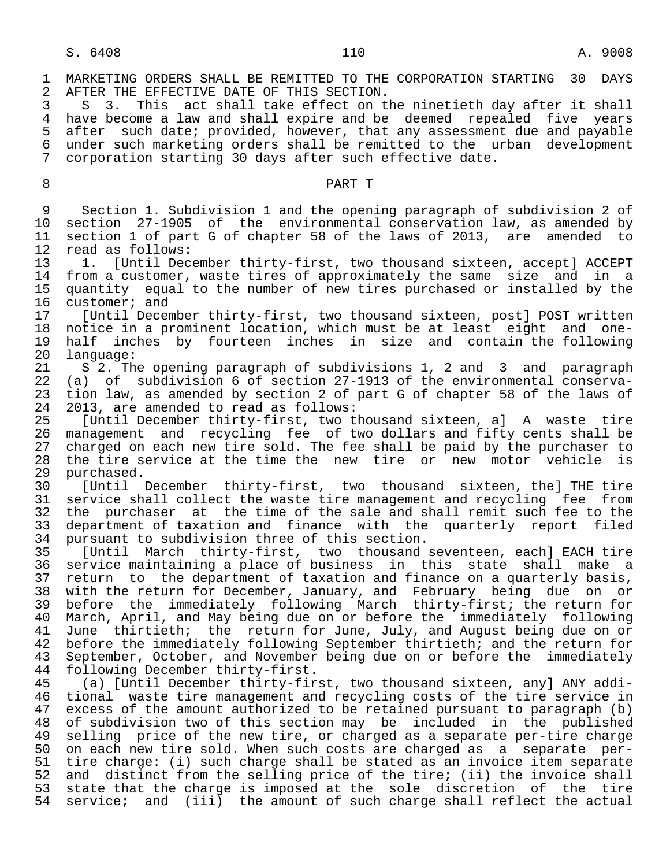1 MARKETING ORDERS SHALL BE REMITTED TO THE CORPORATION STARTING 30 DAYS<br>2 AFTER THE EFFECTIVE DATE OF THIS SECTION. 2 AFTER THE EFFECTIVE DATE OF THIS SECTION.<br>3 S 3. This act shall take effect on t

3 S 3. This act shall take effect on the ninetieth day after it shall<br>4 have become a law and shall expire and be deemed repealed five vears 4 have become a law and shall expire and be deemed repealed five years<br>5 after such date; provided, however, that any assessment due and payable 5 after such date; provided, however, that any assessment due and payable 6 under such marketing orders shall be remitted to the urban development 7 corporation starting 30 days after such effective date.

## 8 PART T

9 Section 1. Subdivision 1 and the opening paragraph of subdivision 2 of<br>10 section 27-1905 of the environmental conservation law, as amended by 10 section 27-1905 of the environmental conservation law, as amended by<br>11 section 1 of part G of chapter 58 of the laws of 2013, are amended to 11 section 1 of part G of chapter 58 of the laws of 2013, are amended to 12 read as follows: 12 read as follows:<br>13 1. [Until Dec

13 1. [Until December thirty-first, two thousand sixteen, accept] ACCEPT<br>14 from a customer, waste tires of approximately the same size and in a 14 from a customer, waste tires of approximately the same size and in a<br>15 quantity equal to the number of new tires purchased or installed by the 15 quantity equal to the number of new tires purchased or installed by the<br>16 customer; and 16 customer; and<br>17 [Until Decen

 17 [Until December thirty-first, two thousand sixteen, post] POST written 18 notice in a prominent location, which must be at least eight and one-<br>19 half inches by fourteen inches in size and contain the following 19 half inches by fourteen inches in size and contain the following<br>20 language: 20 language:<br>21 S 2. Th

 21 S 2. The opening paragraph of subdivisions 1, 2 and 3 and paragraph 22 (a) of subdivision 6 of section 27-1913 of the environmental conserva-<br>23 tion law, as amended by section 2 of part G of chapter 58 of the laws of 23 tion law, as amended by section 2 of part G of chapter 58 of the laws of 24 2013, are amended to read as follows: 24 2013, are amended to read as follows:<br>25 [Until December thirty-first, two t

 25 [Until December thirty-first, two thousand sixteen, a] A waste tire 26 management and recycling fee of two dollars and fifty cents shall be<br>27 charged on each new tire sold. The fee shall be paid by the purchaser to 27 charged on each new tire sold. The fee shall be paid by the purchaser to 28 the tire service at the time the new tire or new motor vehicle is 28 the tire service at the time the new tire or new motor vehicle is<br>29 purchased. 29 purchased.<br>30 [Until

30 [Until December thirty-first, two thousand sixteen, the] THE tire<br>31 service shall collect the waste tire management and recycling fee from 31 service shall collect the waste tire management and recycling fee from<br>32 the purchaser at the time of the sale and shall remit such fee to the 32 the purchaser at the time of the sale and shall remit such fee to the<br>33 department of taxation and finance with the quarterly report filed 33 department of taxation and finance with the quarterly report filed<br>34 pursuant to subdivision three of this section. 34 pursuant to subdivision three of this section.<br>35 [Until March thirty-first, two thousand

 35 [Until March thirty-first, two thousand seventeen, each] EACH tire 36 service maintaining a place of business in this state shall make a<br>37 return to the department of taxation and finance on a quarterly basis. 37 return to the department of taxation and finance on a quarterly basis,<br>38 with the return for December, January, and February being due on or 38 with the return for December, January, and February being due on or<br>39 before the immediately following March thirty-first; the return for 39 before the immediately following March thirty-first; the return for<br>40 March, April, and May being due on or before the immediately following 40 March, April, and May being due on or before the immediately following<br>41 June thirtieth; the return for June, July, and August being due on or 41 June thirtieth; the return for June, July, and August being due on or<br>42 before the immediately following September thirtieth; and the return for 42 before the immediately following September thirtieth; and the return for<br>43 September, October, and November being due on or before the immediately September, October, and November being due on or before the immediately 44 following December thirty-first.<br>45 (a) [Until December thirty-fir

(a) [Until December thirty-first, two thousand sixteen, any] ANY addi-46 tional waste tire management and recycling costs of the tire service in<br>47 excess of the amount authorized to be retained pursuant to paragraph (b) 47 excess of the amount authorized to be retained pursuant to paragraph (b)<br>48 of subdivision two of this section may be included in the published 48 of subdivision two of this section may be included in the published<br>49 selling price of the new tire, or charged as a separate per-tire charge 49 selling price of the new tire, or charged as a separate per-tire charge<br>50 on each new tire sold. When such costs are charged as a separate per-50 on each new tire sold. When such costs are charged as a separate per-<br>51 tire charge: (i) such charge shall be stated as an invoice item separate 51 tire charge: (i) such charge shall be stated as an invoice item separate<br>52 and distinct from the selling price of the tire; (ii) the invoice shall 52 and distinct from the selling price of the tire; (ii) the invoice shall<br>53 state that the charge is imposed at the sole discretion of the tire 53 state that the charge is imposed at the sole discretion of the tire<br>54 service; and (iii) the amount of such charge shall reflect the actual service; and (iii) the amount of such charge shall reflect the actual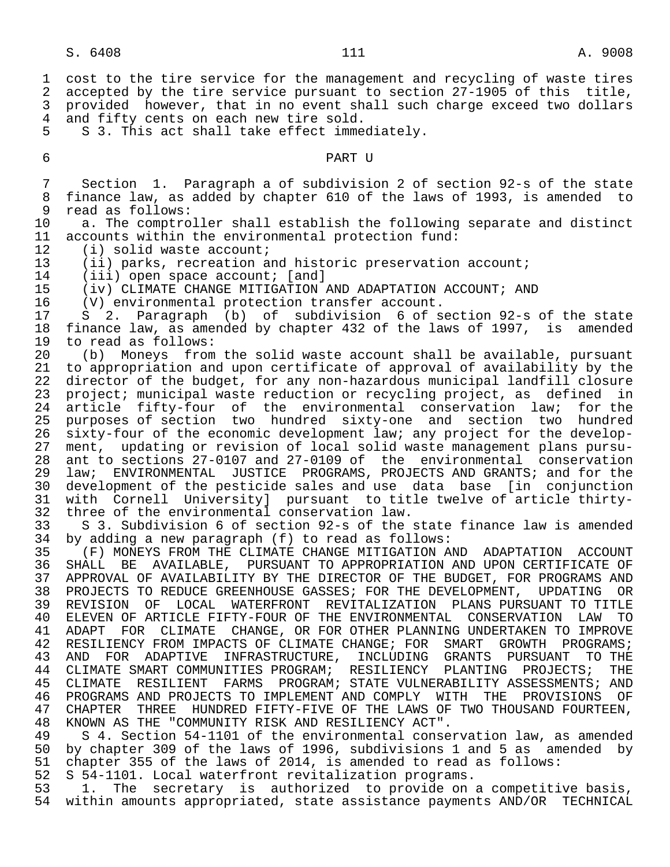1 cost to the tire service for the management and recycling of waste tires<br>2 accepted by the tire service pursuant to section 27-1905 of this title. 2 accepted by the tire service pursuant to section 27-1905 of this title,<br>3 provided however, that in no event shall such charge exceed two dollars provided however, that in no event shall such charge exceed two dollars 4 and fifty cents on each new tire sold.<br>5 S 3. This act shall take effect imme 5 S 3. This act shall take effect immediately. 6 PART U 7 Section 1. Paragraph a of subdivision 2 of section 92-s of the state 8 finance law, as added by chapter 610 of the laws of 1993, is amended to<br>9 read as follows: 9 read as follows:<br>10 a. The comptro a. The comptroller shall establish the following separate and distinct 11 accounts within the environmental protection fund:<br>12 (i) solid waste account; 12 (i) solid waste account;<br>13 (ii) parks, recreation a 13 (ii) parks, recreation and historic preservation account;<br>14 (iii) open space account; [and] 14 (iii) open space account; [and]<br>15 (iv) CLIMATE CHANGE MITIGATION 15 (iv) CLIMATE CHANGE MITIGATION AND ADAPTATION ACCOUNT; AND 16 (V) environmental protection transfer account. 16 (V) environmental protection transfer account. 17 S 2. Paragraph (b) of subdivision 6 of section 92-s of the state 18 finance law, as amended by chapter 432 of the laws of 1997, is amended<br>19 to read as follows: 19 to read as follows:<br>20 (b) Moneys from 20 (b) Moneys from the solid waste account shall be available, pursuant<br>21 to appropriation and upon certificate of approval of availability by the to appropriation and upon certificate of approval of availability by the 22 director of the budget, for any non-hazardous municipal landfill closure<br>23 project; municipal waste reduction or recycling project, as defined in 23 project; municipal waste reduction or recycling project, as defined in<br>24 article fifty-four of the environmental conservation law; for the 24 article fifty-four of the environmental conservation law;<br>25 purposes-of-section two hundred sixty-one and section two 25 purposes of section two hundred sixty-one and section two hundred<br>26 sixty-four of the economic development law; any project for the develop-26 sixty-four of the economic development law; any project for the develop-<br>27 ment, updating or revision of local solid waste management plans pursu-27 ment, updating or revision of local solid waste management plans pursu-<br>28 ant to sections 27-0107 and 27-0109 of the environmental conservation 28 ant to sections 27-0107 and 27-0109 of the environmental conservation<br>29 law; ENVIRONMENTAL, JUSTICE PROGRAMS, PROJECTS AND GRANTS; and for the 29 law; ENVIRONMENTAL JUSTICE PROGRAMS, PROJECTS AND GRANTS; and for the<br>30 development of the pesticide sales and use data base [in conjunction 30 development of the pesticide sales and use data base [in conjunction 31 with Cornell University] pursuant to title twelve of article thirty- 32 three of the environmental conservation law.<br>33 S 3. Subdivision 6 of section 92-s of the 33 S 3. Subdivision 6 of section 92-s of the state finance law is amended<br>34 by adding a new paragraph (f) to read as follows: by adding a new paragraph (f) to read as follows: 35 (F) MONEYS FROM THE CLIMATE CHANGE MITIGATION AND ADAPTATION ACCOUNT<br>36 SHALL BE AVAILABLE, PURSUANT TO APPROPRIATION AND UPON CERTIFICATE OF 36 SHALL BE AVAILABLE, PURSUANT TO APPROPRIATION AND UPON CERTIFICATE OF 37 APPROVAL OF AVAILABILITY BY THE DIRECTOR OF THE BUDGET, FOR PROGRAMS AND<br>38 PROJECTS TO REDUCE GREENHOUSE GASSES; FOR THE DEVELOPMENT, UPDATING OR 38 PROJECTS TO REDUCE GREENHOUSE GASSES; FOR THE DEVELOPMENT, UPDATING OR<br>39 REVISION OF LOCAL WATERFRONT REVITALIZATION PLANS PURSUANT TO TITLE 39 REVISION OF LOCAL WATERFRONT REVITALIZATION PLANS PURSUANT TO TITLE<br>40 ELEVEN OF ARTICLE FIFTY-FOUR OF THE ENVIRONMENTAL CONSERVATION LAW TO 40 ELEVEN OF ARTICLE FIFTY-FOUR OF THE ENVIRONMENTAL CONSERVATION LAW TO<br>41 ADAPT FOR CLIMATE CHANGE, OR FOR OTHER PLANNING UNDERTAKEN TO IMPROVE 41 ADAPT FOR CLIMATE CHANGE, OR FOR OTHER PLANNING UNDERTAKEN TO IMPROVE<br>42 RESILIENCY FROM IMPACTS OF CLIMATE CHANGE; FOR SMART GROWTH PROGRAMS; 42 RESILIENCY FROM IMPACTS OF CLIMATE CHANGE; FOR SMART GROWTH PROGRAMS;<br>43 AND FOR ADAPTIVE INFRASTRUCTURE, INCLUDING GRANTS PURSUANT TO THE AND FOR ADAPTIVE INFRASTRUCTURE, INCLUDING GRANTS PURSUANT 44 CLIMATE SMART COMMUNITIES PROGRAM; RESILIENCY PLANTING PROJECTS; THE<br>45 CLIMATE RESILIENT FARMS PROGRAM; STATE VULNERABILITY ASSESSMENTS; AND CLIMATE RESILIENT FARMS PROGRAM; STATE VULNERABILITY ASSESSMENTS; AND 46 PROGRAMS AND PROJECTS TO IMPLEMENT AND COMPLY WITH THE PROVISIONS OF<br>47 CHAPTER THREE HUNDRED FIFTY-FIVE OF THE LAWS OF TWO THOUSAND FOURTEEN, 47 CHAPTER THREE HUNDRED FIFTY-FIVE OF THE LAWS OF TWO THOUSAND FOURTEEN,<br>48 KNOWN AS THE "COMMUNITY RISK AND RESILIENCY ACT". 48 KNOWN AS THE "COMMUNITY RISK AND RESILIENCY ACT".<br>49 S 4. Section 54-1101 of the environmental conse 49 S 4. Section 54-1101 of the environmental conservation law, as amended 50 by chapter 309 of the laws of 1996, subdivisions 1 and 5 as amended by<br>51 chapter 355 of the laws of 2014, is amended to read as follows: 51 chapter 355 of the laws of 2014, is amended to read as follows:<br>52 S 54-1101. Local waterfront revitalization programs. 52 S 54-1101. Local waterfront revitalization programs.<br>53 1. The secretary is authorized to provide on 53 1. The secretary is authorized to provide on a competitive basis,<br>54 within amounts appropriated, state assistance payments AND/OR TECHNICAL within amounts appropriated, state assistance payments AND/OR TECHNICAL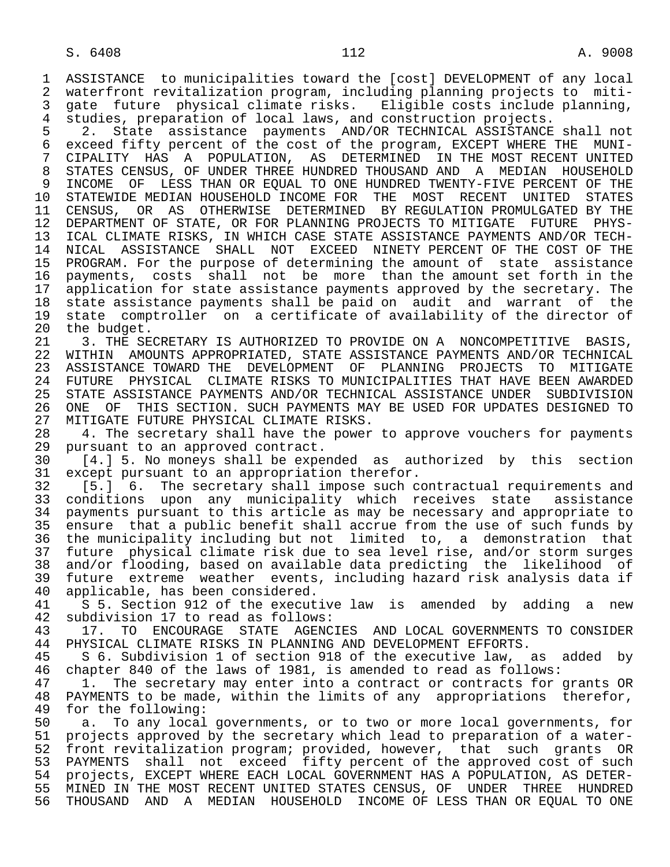1 ASSISTANCE to municipalities toward the [cost] DEVELOPMENT of any local 2 waterfront revitalization program, including planning projects to miti-<br>3 gate future physical climate risks. Eligible costs include planning. gate future physical climate risks. Eligible costs include planning, 4 studies, preparation of local laws, and construction projects.

5 2. State assistance payments AND/OR TECHNICAL ASSISTANCE shall not<br>6 exceed fifty percent of the cost of the program, EXCEPT WHERE THE MUNI-6 exceed fifty percent of the cost of the program, EXCEPT WHERE THE MUNI-<br>7 CIPALITY HAS A POPULATION, AS DETERMINED IN THE MOST RECENT UNITED 7 CIPALITY HAS A POPULATION, AS DETERMINED IN THE MOST RECENT UNITED 8 STATES CENSUS, OF UNDER THREE HUNDRED THOUSAND AND A MEDIAN HOUSEHOLD 9 INCOME OF LESS THAN OR EQUAL TO ONE HUNDRED TWENTY-FIVE PERCENT OF THE<br>10 STATEWIDE MEDIAN HOUSEHOLD INCOME FOR THE MOST RECENT UNITED STATES 10 STATEWIDE MEDIAN HOUSEHOLD INCOME FOR THE MOST RECENT UNITED STATES<br>11 CENSUS, OR AS OTHERWISE DETERMINED BY REGULATION PROMULGATED BY THE 11 CENSUS, OR AS OTHERWISE DETERMINED BY REGULATION PROMULGATED BY THE<br>12 DEPARTMENT OF STATE, OR FOR PLANNING PROJECTS TO MITIGATE FUTURE PHYS- 12 DEPARTMENT OF STATE, OR FOR PLANNING PROJECTS TO MITIGATE FUTURE PHYS- 13 ICAL CLIMATE RISKS, IN WHICH CASE STATE ASSISTANCE PAYMENTS AND/OR TECH-<br>14 NICAL ASSISTANCE SHALL NOT EXCEED NINETY PERCENT OF THE COST OF THE 14 NICAL ASSISTANCE SHALL NOT EXCEED NINETY PERCENT OF THE COST OF THE 15 PROGRAM. For the purpose of determining the amount of state assistance<br>16 payments, costs shall not be more than the amount set forth in the 16 payments, costs shall not be more than the amount set forth in the<br>17 application for state assistance payments approved by the secretary. The 17 application for state assistance payments approved by the secretary. The<br>18 state assistance payments shall be paid on audit and warrant of the 18 state assistance payments shall be paid on audit and warrant of the 19 state comptroller on a certificate of availability of the director of 20 the budget. 20 the budget.<br>21 3. THE SE

21 3. THE SECRETARY IS AUTHORIZED TO PROVIDE ON A NONCOMPETITIVE BASIS,<br>22 WITHIN AMOUNTS APPROPRIATED, STATE ASSISTANCE PAYMENTS AND/OR TECHNICAL 22 WITHIN AMOUNTS APPROPRIATED, STATE ASSISTANCE PAYMENTS AND/OR TECHNICAL<br>23 ASSISTANCE TOWARD THE DEVELOPMENT OF PLANNING PROJECTS TO MITIGATE 23 ASSISTANCE TOWARD THE DEVELOPMENT OF PLANNING PROJECTS TO MITIGATE 24 FUTURE PHYSICAL CLIMATE RISKS TO MUNICIPALITIES THAT HAVE BEEN AWARDED<br>25 STATE ASSISTANCE PAYMENTS AND/OR TECHNICAL ASSISTANCE UNDER SUBDIVISION 25 STATE ASSISTANCE PAYMENTS AND/OR TECHNICAL ASSISTANCE UNDER SUBDIVISION 26 ONE OF THIS SECTION. SUCH PAYMENTS MAY BE USED FOR UPDATES DESIGNED TO 27 MITIGATE FUTURE PHYSICAL CLIMATE RISKS. 27 MITIGATE FUTURE PHYSICAL CLIMATE RISKS.<br>28 – 4. The secretary shall have the power

28 4. The secretary shall have the power to approve vouchers for payments<br>29 pursuant to an approved contract. 29 pursuant to an approved contract.<br>30 [4.] 5. No moneys shall be expe

30 [4.] 5. No moneys shall be expended as authorized by this section<br>31 except pursuant to an appropriation therefor. 31 except pursuant to an appropriation therefor.<br>32 [5.] 6. The secretary shall impose such c

32 [5.] 6. The secretary shall impose such contractual requirements and<br>33 conditions upon any municipality which receives state assistance 33 conditions upon any municipality which receives state assistance<br>34 payments pursuant to this article as may be necessary and appropriate to 34 payments pursuant to this article as may be necessary and appropriate to<br>35 ensure that a public benefit shall accrue from the use of such funds by 35 ensure that a public benefit shall accrue from the use of such funds by<br>36 the municipality including but not limited to, a demonstration that the municipality including but not limited to, a demonstration that 37 future physical climate risk due to sea level rise, and/or storm surges<br>38 and/or flooding, based on available data predicting the likelihood of 38 and/or flooding, based on available data predicting the likelihood of 39 future extreme weather events, including hazard risk analysis data if 40 applicable, has been considered.<br>41 5 5. Section 912 of the execut

41 S 5. Section 912 of the executive law is amended by adding a new 42 subdivision 17 to read as follows: 42 subdivision 17 to read as follows:<br>43 17. TO ENCOURAGE STATE AGENC

43 17. TO ENCOURAGE STATE AGENCIES AND LOCAL GOVERNMENTS TO CONSIDER<br>44 PHYSICAL CLIMATE RISKS IN PLANNING AND DEVELOPMENT EFFORTS. 44 PHYSICAL CLIMATE RISKS IN PLANNING AND DEVELOPMENT EFFORTS.<br>45 S 6. Subdivision 1 of section 918 of the executive law,

 45 S 6. Subdivision 1 of section 918 of the executive law, as added by 46 chapter 840 of the laws of 1981, is amended to read as follows:<br>47 1. The secretary may enter into a contract or contracts for

1. The secretary may enter into a contract or contracts for grants OR 48 PAYMENTS to be made, within the limits of any appropriations therefor,<br>49 for the following: 49 for the following:<br>50 a. To any local

50 a. To any local governments, or to two or more local governments, for<br>51 projects approved by the secretary which lead to preparation of a waterprojects approved by the secretary which lead to preparation of a water- 52 front revitalization program; provided, however, that such grants OR 53 PAYMENTS shall not exceed fifty percent of the approved cost of such<br>54 projects, EXCEPT WHERE EACH LOCAL GOVERNMENT HAS A POPULATION, AS DETER-54 projects, EXCEPT WHERE EACH LOCAL GOVERNMENT HAS A POPULATION, AS DETER-<br>55 MINED IN THE MOST RECENT UNITED STATES CENSUS, OF UNDER THREE HUNDRED 55 MINED IN THE MOST RECENT UNITED STATES CENSUS, OF UNDER THREE HUNDRED<br>56 THOUSAND AND A MEDIAN HOUSEHOLD INCOME OF LESS THAN OR EOUAL TO ONE 56 THOUSAND AND A MEDIAN HOUSEHOLD INCOME OF LESS THAN OR EQUAL TO ONE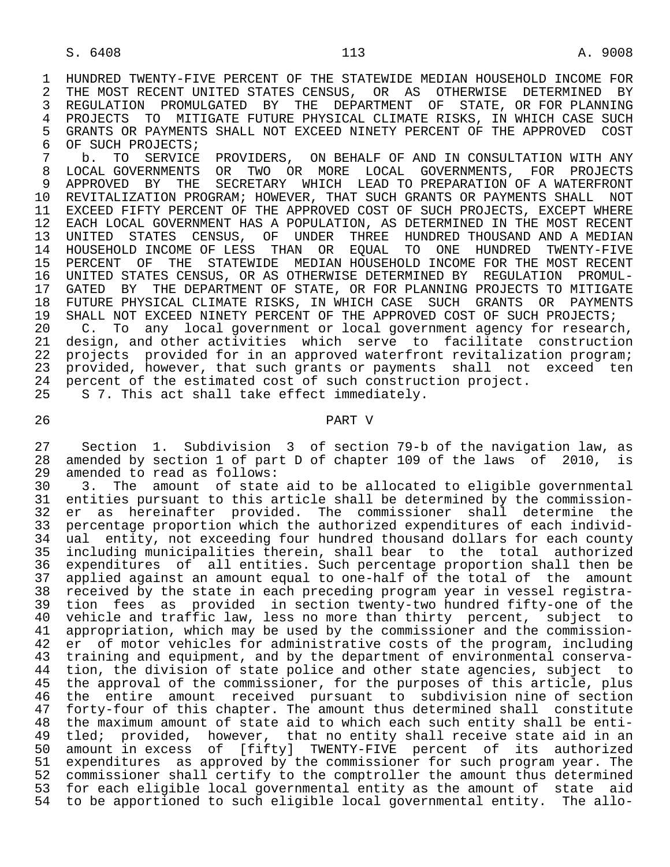1 HUNDRED TWENTY-FIVE PERCENT OF THE STATEWIDE MEDIAN HOUSEHOLD INCOME FOR<br>2 THE MOST RECENT UNITED STATES CENSUS. OR AS OTHERWISE DETERMINED BY 2 THE MOST RECENT UNITED STATES CENSUS, OR AS OTHERWISE DETERMINED BY<br>3 REGULATION PROMULGATED BY THE DEPARTMENT OF STATE, OR FOR PLANNING 3 REGULATION PROMULGATED BY<br>4 PROJECTS TO MITIGATE–FUTUE 4 PROJECTS TO MITIGATE FUTURE PHYSICAL CLIMATE RISKS, IN WHICH CASE SUCH<br>5 GRANTS OR PAYMENTS SHALL NOT EXCEED NINETY PERCENT OF THE APPROVED COST 5 GRANTS OR PAYMENTS SHALL NOT EXCEED NINETY PERCENT OF THE APPROVED COST<br>6 OF SUCH PROJECTS; 6 OF SUCH PROJECTS;<br>7 b. TO SERVICE

<sup>7</sup> b. TO SERVICE PROVIDERS, ON BEHALF OF AND IN CONSULTATION WITH ANY<br>8 LOCAL GOVERNMENTS OR TWO OR MORE LOCAL GOVERNMENTS. FOR PROJECTS 8 LOCAL GOVERNMENTS OR TWO OR MORE LOCAL GOVERNMENTS, FOR PROJECTS<br>9 APPROVED BY THE SECRETARY WHICH LEAD TO PREPARATION OF A WATERFRONT 9 APPROVED BY THE SECRETARY WHICH LEAD TO PREPARATION OF A WATERFRONT<br>10 REVITALIZATION PROGRAM; HOWEVER, THAT SUCH GRANTS OR PAYMENTS SHALL NOT 10 REVITALIZATION PROGRAM; HOWEVER, THAT SUCH GRANTS OR PAYMENTS SHALL NOT<br>11 EXCEED FIFTY PERCENT OF THE APPROVED COST OF SUCH PROJECTS, EXCEPT WHERE 11 EXCEED FIFTY PERCENT OF THE APPROVED COST OF SUCH PROJECTS, EXCEPT WHERE<br>12 EACH LOCAL GOVERNMENT HAS A POPULATION, AS DETERMINED IN THE MOST RECENT 12 EACH LOCAL GOVERNMENT HAS A POPULATION, AS DETERMINED IN THE MOST RECENT<br>13 UNITED STATES CENSUS, OF UNDER THREE HUNDRED THOUSAND AND A MEDIAN 13 UNITED STATES CENSUS, OF UNDER THREE HUNDRED THOUSAND AND A MEDIAN<br>14 HOUSEHOLD INCOME OF LESS THAN OR EOUAL TO ONE HUNDRED TWENTY-FIVE 14 HOUSEHOLD INCOME OF LESS THAN OR EQUAL TO ONE HUNDRED TWENTY-FIVE 15 PERCENT OF THE STATEWIDE MEDIAN HOUSEHOLD INCOME FOR THE MOST RECENT<br>16 UNITED STATES CENSUS,OR AS OTHERWISE DETERMINED BY REGULATION PROMUL-16 UNITED STATES CENSUS, OR AS OTHERWISE DETERMINED BY REGULATION PROMUL-<br>17 GATED BY THE DEPARTMENT OF STATE, OR FOR PLANNING PROJECTS TO MITIGATE 17 GATED BY THE DEPARTMENT OF STATE, OR FOR PLANNING PROJECTS TO MITIGATE<br>18 FUTURE PHYSICAL CLIMATE RISKS, IN WHICH CASE SUCH GRANTS OR PAYMENTS 18 FUTURE PHYSICAL CLIMATE RISKS, IN WHICH CASE SUCH GRANTS OR PAYMENTS<br>19 SHALL NOT EXCEED NINETY PERCENT OF THE APPROVED COST OF SUCH PROJECTS; 19 SHALL NOT EXCEED NINETY PERCENT OF THE APPROVED COST OF SUCH PROJECTS;<br>20 C. To any local government or local government agency for researc

20 C. To any local government or local government agency for research,<br>21 design, and other activities which serve to facilitate construction 21 design, and other activities which serve to facilitate construction<br>22 projects provided for in an approved waterfront revitalization program; 22 projects provided for in an approved waterfront revitalization program;<br>23 provided, however, that such grants or payments shall not exceed ten 23 provided, however, that such grants or payments shall not exceed ten<br>24 percent of the estimated cost of such construction project. 24 percent of the estimated cost of such construction project.<br>25 S 7. This act shall take effect immediately. S 7. This act shall take effect immediately.

## 26 PART V

27 Section 1. Subdivision 3 of section 79-b of the navigation law, as<br>28 amended by section 1 of part D of chapter 109 of the laws of 2010, is 28 amended by section 1 of part D of chapter 109 of the laws of 2010, is 29 amended to read as follows: 29 amended to read as follows:<br>30 3. The amount of state

30 3. The amount of state aid to be allocated to eligible governmental<br>31 entities pursuant to this article shall be determined by the commission-31 entities pursuant to this article shall be determined by the commission-<br>32 er as hereinafter provided. The commissioner shall determine the 32 er as hereinafter provided. The commissioner shall determine the 33 percentage proportion which the authorized expenditures of each individ- 34 ual entity, not exceeding four hundred thousand dollars for each county 35 including municipalities therein, shall bear to the total authorized 36 expenditures of all entities. Such percentage proportion shall then be 37 applied against an amount equal to one-half of the total of the amount<br>38 received by the state in each preceding program year in vessel registra-38 received by the state in each preceding program year in vessel registra-<br>39 tion fees as provided in section twenty-two hundred fifty-one of the 39 tion fees as provided in section twenty-two hundred fifty-one of the<br>40 vehicle and traffic law, less no more than thirty percent, subject to whicle and traffic law, less no more than thirty percent, subject to<br>41 appropriation, which may be used by the commissioner and the commission-41 appropriation, which may be used by the commissioner and the commission-<br>42 er of motor vehicles for administrative costs of the program, including 42 er of motor vehicles for administrative costs of the program, including<br>43 training and equipment, and by the department of environmental conservatraining and equipment, and by the department of environmental conserva-44 tion, the division of state police and other state agencies, subject to<br>45 the approval of the commissioner, for the purposes of this article, plus the approval of the commissioner, for the purposes of this article, plus 46 the entire amount received pursuant to subdivision nine of section 47 forty-four of this chapter. The amount thus determined shall constitute<br>48 the maximum amount of state aid to which each such entity shall be enti-48 the maximum amount of state aid to which each such entity shall be enti-<br>49 tled; provided, however, that no entity shall receive state aid in an tled; provided, however, that no entity shall receive state aid in an 50 amount in excess of [fifty] TWENTY-FIVE percent of its authorized 51 expenditures as approved by the commissioner for such program year. The 52 commissioner shall certify to the comptroller the amount thus determined 53 for each eligible local governmental entity as the amount of state aid 54 to be apportioned to such eligible local governmental entity. The allo-